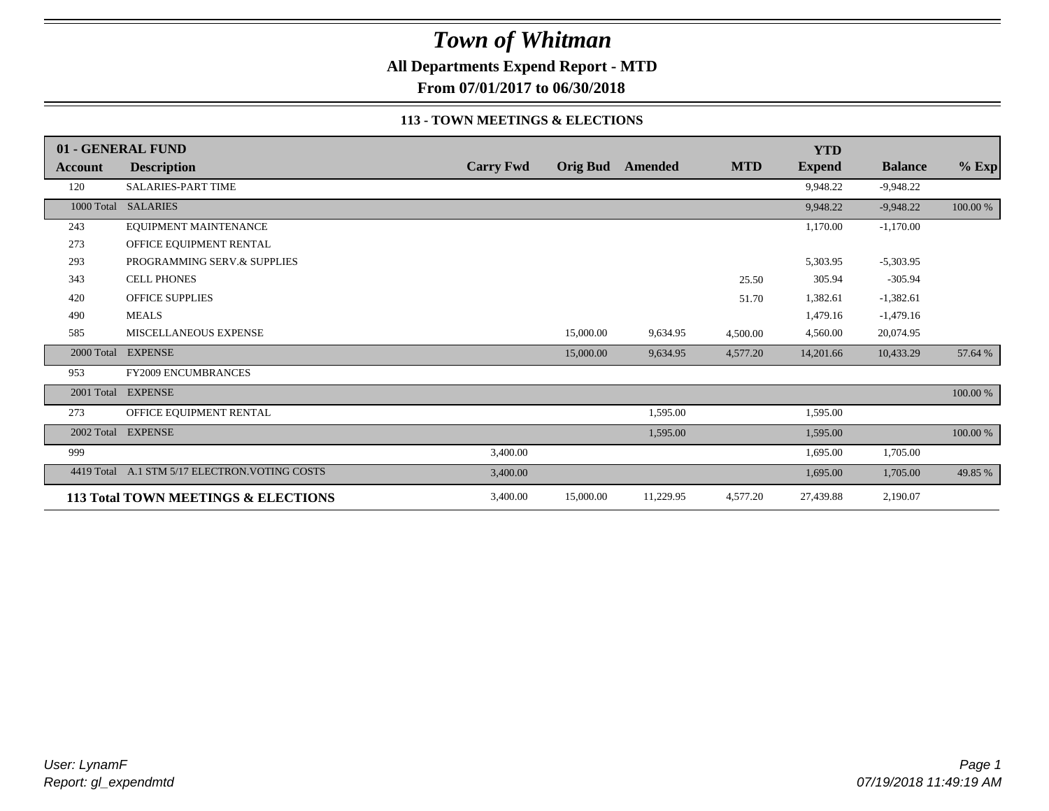**All Departments Expend Report - MTD**

**From 07/01/2017 to 06/30/2018**

#### **113 - TOWN MEETINGS & ELECTIONS**

|                | 01 - GENERAL FUND                   |                  |           |                         |            | <b>YTD</b>    |                |          |
|----------------|-------------------------------------|------------------|-----------|-------------------------|------------|---------------|----------------|----------|
| <b>Account</b> | <b>Description</b>                  | <b>Carry Fwd</b> |           | <b>Orig Bud</b> Amended | <b>MTD</b> | <b>Expend</b> | <b>Balance</b> | $%$ Exp  |
| 120            | <b>SALARIES-PART TIME</b>           |                  |           |                         |            | 9,948.22      | $-9,948.22$    |          |
|                | 1000 Total SALARIES                 |                  |           |                         |            | 9,948.22      | $-9,948.22$    | 100.00 % |
| 243            | EQUIPMENT MAINTENANCE               |                  |           |                         |            | 1,170.00      | $-1,170.00$    |          |
| 273            | OFFICE EQUIPMENT RENTAL             |                  |           |                         |            |               |                |          |
| 293            | PROGRAMMING SERV.& SUPPLIES         |                  |           |                         |            | 5,303.95      | $-5,303.95$    |          |
| 343            | <b>CELL PHONES</b>                  |                  |           |                         | 25.50      | 305.94        | $-305.94$      |          |
| 420            | <b>OFFICE SUPPLIES</b>              |                  |           |                         | 51.70      | 1,382.61      | $-1,382.61$    |          |
| 490            | <b>MEALS</b>                        |                  |           |                         |            | 1,479.16      | $-1,479.16$    |          |
| 585            | MISCELLANEOUS EXPENSE               |                  | 15,000.00 | 9,634.95                | 4,500.00   | 4,560.00      | 20,074.95      |          |
| 2000 Total     | <b>EXPENSE</b>                      |                  | 15,000.00 | 9,634.95                | 4,577.20   | 14,201.66     | 10,433.29      | 57.64 %  |
| 953            | <b>FY2009 ENCUMBRANCES</b>          |                  |           |                         |            |               |                |          |
| 2001 Total     | <b>EXPENSE</b>                      |                  |           |                         |            |               |                | 100.00 % |
| 273            | OFFICE EQUIPMENT RENTAL             |                  |           | 1,595.00                |            | 1,595.00      |                |          |
| 2002 Total     | <b>EXPENSE</b>                      |                  |           | 1,595.00                |            | 1,595.00      |                | 100.00 % |
| 999            |                                     | 3,400.00         |           |                         |            | 1,695.00      | 1,705.00       |          |
| 4419 Total     | A.1 STM 5/17 ELECTRON. VOTING COSTS | 3,400.00         |           |                         |            | 1,695.00      | 1,705.00       | 49.85 %  |
|                | 113 Total TOWN MEETINGS & ELECTIONS | 3,400.00         | 15,000.00 | 11,229.95               | 4,577.20   | 27,439.88     | 2,190.07       |          |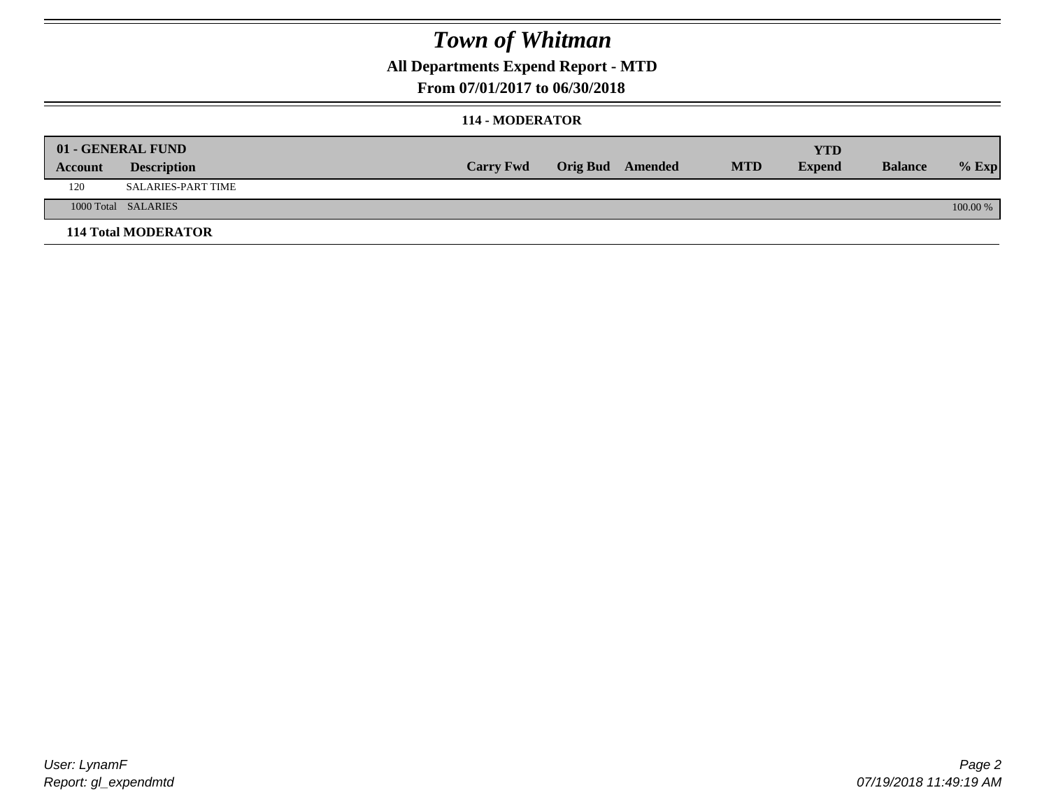### **All Departments Expend Report - MTD**

### **From 07/01/2017 to 06/30/2018**

#### **114 - MODERATOR**

|         | 01 - GENERAL FUND          |                  |                  |            | <b>YTD</b>    |                |          |
|---------|----------------------------|------------------|------------------|------------|---------------|----------------|----------|
| Account | <b>Description</b>         | <b>Carry Fwd</b> | Orig Bud Amended | <b>MTD</b> | <b>Expend</b> | <b>Balance</b> | $%$ Exp  |
| 120     | <b>SALARIES-PART TIME</b>  |                  |                  |            |               |                |          |
|         | 1000 Total SALARIES        |                  |                  |            |               |                | 100.00 % |
|         | <b>114 Total MODERATOR</b> |                  |                  |            |               |                |          |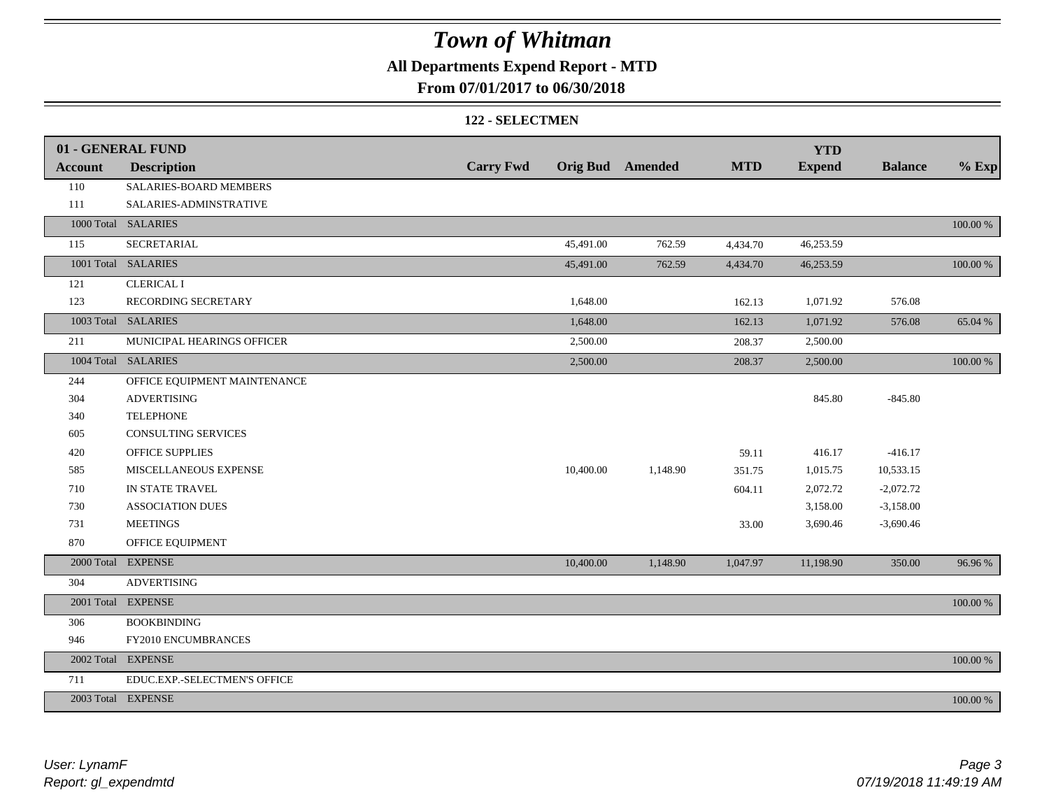## **All Departments Expend Report - MTD**

### **From 07/01/2017 to 06/30/2018**

#### **122 - SELECTMEN**

|                | 01 - GENERAL FUND            |                  |           |                         |            | <b>YTD</b>    |                |          |
|----------------|------------------------------|------------------|-----------|-------------------------|------------|---------------|----------------|----------|
| <b>Account</b> | <b>Description</b>           | <b>Carry Fwd</b> |           | <b>Orig Bud</b> Amended | <b>MTD</b> | <b>Expend</b> | <b>Balance</b> | $%$ Exp  |
| 110            | SALARIES-BOARD MEMBERS       |                  |           |                         |            |               |                |          |
| 111            | SALARIES-ADMINSTRATIVE       |                  |           |                         |            |               |                |          |
|                | 1000 Total SALARIES          |                  |           |                         |            |               |                | 100.00 % |
| 115            | SECRETARIAL                  |                  | 45,491.00 | 762.59                  | 4,434.70   | 46,253.59     |                |          |
|                | 1001 Total SALARIES          |                  | 45,491.00 | 762.59                  | 4,434.70   | 46,253.59     |                | 100.00 % |
| 121            | <b>CLERICAL I</b>            |                  |           |                         |            |               |                |          |
| 123            | RECORDING SECRETARY          |                  | 1,648.00  |                         | 162.13     | 1,071.92      | 576.08         |          |
|                | 1003 Total SALARIES          |                  | 1,648.00  |                         | 162.13     | 1,071.92      | 576.08         | 65.04 %  |
| 211            | MUNICIPAL HEARINGS OFFICER   |                  | 2,500.00  |                         | 208.37     | 2,500.00      |                |          |
|                | 1004 Total SALARIES          |                  | 2,500.00  |                         | 208.37     | 2,500.00      |                | 100.00 % |
| 244            | OFFICE EQUIPMENT MAINTENANCE |                  |           |                         |            |               |                |          |
| 304            | <b>ADVERTISING</b>           |                  |           |                         |            | 845.80        | $-845.80$      |          |
| 340            | <b>TELEPHONE</b>             |                  |           |                         |            |               |                |          |
| 605            | CONSULTING SERVICES          |                  |           |                         |            |               |                |          |
| 420            | <b>OFFICE SUPPLIES</b>       |                  |           |                         | 59.11      | 416.17        | $-416.17$      |          |
| 585            | MISCELLANEOUS EXPENSE        |                  | 10,400.00 | 1,148.90                | 351.75     | 1,015.75      | 10,533.15      |          |
| 710            | IN STATE TRAVEL              |                  |           |                         | 604.11     | 2,072.72      | $-2,072.72$    |          |
| 730            | <b>ASSOCIATION DUES</b>      |                  |           |                         |            | 3,158.00      | $-3,158.00$    |          |
| 731            | <b>MEETINGS</b>              |                  |           |                         | 33.00      | 3,690.46      | $-3,690.46$    |          |
| 870            | OFFICE EQUIPMENT             |                  |           |                         |            |               |                |          |
|                | 2000 Total EXPENSE           |                  | 10,400.00 | 1,148.90                | 1,047.97   | 11,198.90     | 350.00         | 96.96 %  |
| 304            | <b>ADVERTISING</b>           |                  |           |                         |            |               |                |          |
|                | 2001 Total EXPENSE           |                  |           |                         |            |               |                | 100.00 % |
| 306            | <b>BOOKBINDING</b>           |                  |           |                         |            |               |                |          |
| 946            | FY2010 ENCUMBRANCES          |                  |           |                         |            |               |                |          |
|                | 2002 Total EXPENSE           |                  |           |                         |            |               |                | 100.00 % |
| 711            | EDUC.EXP.-SELECTMEN'S OFFICE |                  |           |                         |            |               |                |          |
|                | 2003 Total EXPENSE           |                  |           |                         |            |               |                | 100.00 % |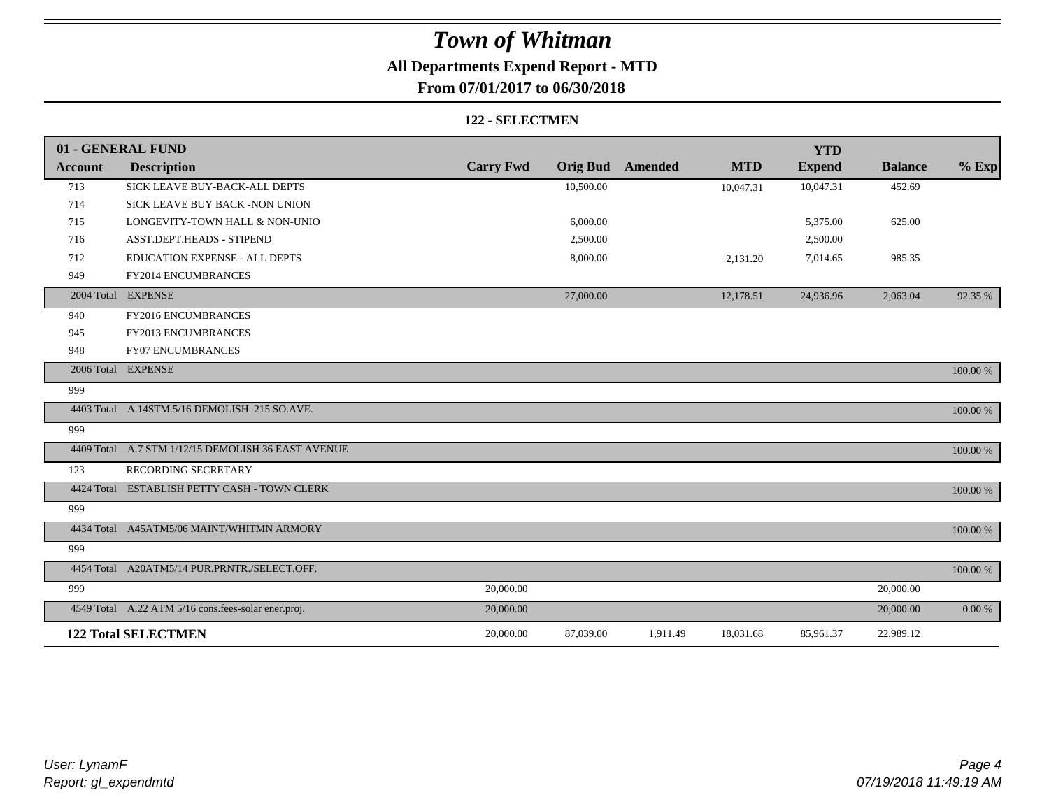### **All Departments Expend Report - MTD**

### **From 07/01/2017 to 06/30/2018**

#### **122 - SELECTMEN**

|                | 01 - GENERAL FUND                                   |                  |                 |          |            | <b>YTD</b>    |                |          |
|----------------|-----------------------------------------------------|------------------|-----------------|----------|------------|---------------|----------------|----------|
| <b>Account</b> | <b>Description</b>                                  | <b>Carry Fwd</b> | <b>Orig Bud</b> | Amended  | <b>MTD</b> | <b>Expend</b> | <b>Balance</b> | $%$ Exp  |
| 713            | SICK LEAVE BUY-BACK-ALL DEPTS                       |                  | 10,500.00       |          | 10,047.31  | 10,047.31     | 452.69         |          |
| 714            | SICK LEAVE BUY BACK -NON UNION                      |                  |                 |          |            |               |                |          |
| 715            | LONGEVITY-TOWN HALL & NON-UNIO                      |                  | 6,000.00        |          |            | 5,375.00      | 625.00         |          |
| 716            | ASST.DEPT.HEADS - STIPEND                           |                  | 2,500.00        |          |            | 2,500.00      |                |          |
| 712            | <b>EDUCATION EXPENSE - ALL DEPTS</b>                |                  | 8,000.00        |          | 2,131.20   | 7,014.65      | 985.35         |          |
| 949            | FY2014 ENCUMBRANCES                                 |                  |                 |          |            |               |                |          |
|                | 2004 Total EXPENSE                                  |                  | 27,000.00       |          | 12,178.51  | 24,936.96     | 2,063.04       | 92.35 %  |
| 940            | FY2016 ENCUMBRANCES                                 |                  |                 |          |            |               |                |          |
| 945            | FY2013 ENCUMBRANCES                                 |                  |                 |          |            |               |                |          |
| 948            | <b>FY07 ENCUMBRANCES</b>                            |                  |                 |          |            |               |                |          |
|                | 2006 Total EXPENSE                                  |                  |                 |          |            |               |                | 100.00 % |
| 999            |                                                     |                  |                 |          |            |               |                |          |
|                | 4403 Total A.14STM.5/16 DEMOLISH 215 SO.AVE.        |                  |                 |          |            |               |                | 100.00 % |
| 999            |                                                     |                  |                 |          |            |               |                |          |
|                | 4409 Total A.7 STM 1/12/15 DEMOLISH 36 EAST AVENUE  |                  |                 |          |            |               |                | 100.00 % |
| 123            | RECORDING SECRETARY                                 |                  |                 |          |            |               |                |          |
|                | 4424 Total ESTABLISH PETTY CASH - TOWN CLERK        |                  |                 |          |            |               |                | 100.00 % |
| 999            |                                                     |                  |                 |          |            |               |                |          |
|                | 4434 Total A45ATM5/06 MAINT/WHITMN ARMORY           |                  |                 |          |            |               |                | 100.00 % |
| 999            |                                                     |                  |                 |          |            |               |                |          |
|                | 4454 Total A20ATM5/14 PUR.PRNTR./SELECT.OFF.        |                  |                 |          |            |               |                | 100.00 % |
| 999            |                                                     | 20,000.00        |                 |          |            |               | 20,000.00      |          |
|                | 4549 Total A.22 ATM 5/16 cons.fees-solar ener.proj. | 20,000.00        |                 |          |            |               | 20,000.00      | 0.00 %   |
|                | <b>122 Total SELECTMEN</b>                          | 20,000.00        | 87,039.00       | 1,911.49 | 18,031.68  | 85,961.37     | 22,989.12      |          |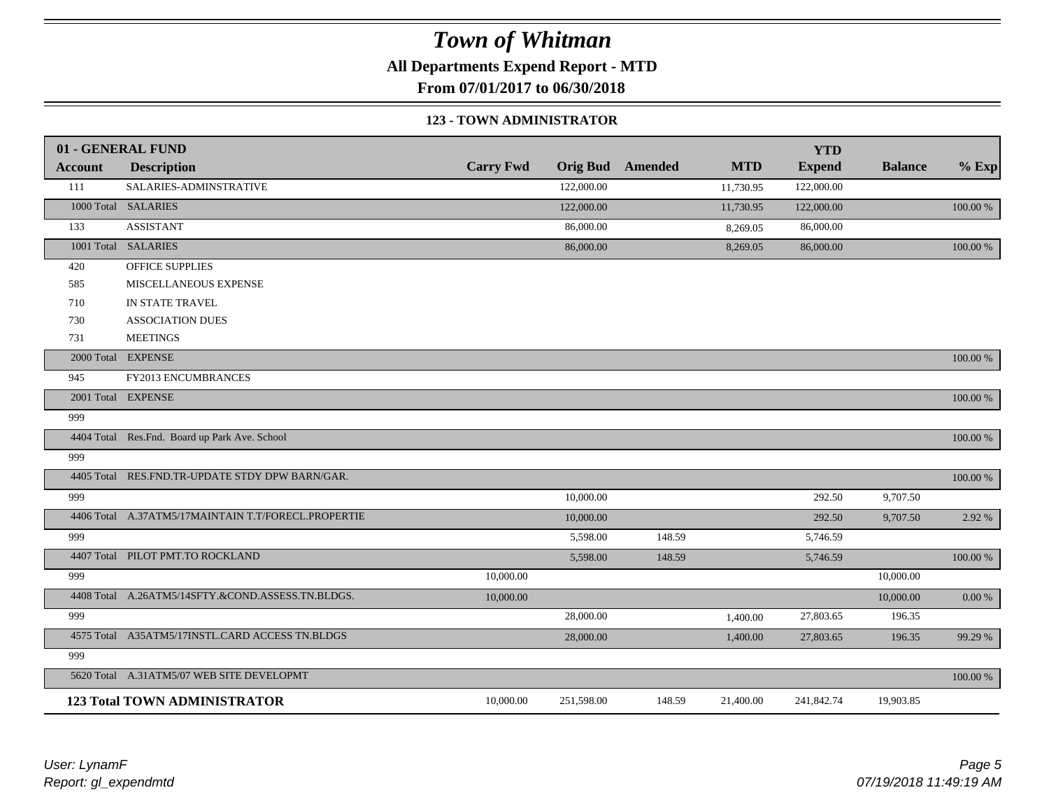**All Departments Expend Report - MTD**

**From 07/01/2017 to 06/30/2018**

#### **123 - TOWN ADMINISTRATOR**

|                | 01 - GENERAL FUND                                   |                  |                 |                |            | <b>YTD</b>    |                |             |
|----------------|-----------------------------------------------------|------------------|-----------------|----------------|------------|---------------|----------------|-------------|
| <b>Account</b> | <b>Description</b>                                  | <b>Carry Fwd</b> | <b>Orig Bud</b> | <b>Amended</b> | <b>MTD</b> | <b>Expend</b> | <b>Balance</b> | $%$ Exp     |
| 111            | SALARIES-ADMINSTRATIVE                              |                  | 122,000.00      |                | 11,730.95  | 122,000.00    |                |             |
|                | 1000 Total SALARIES                                 |                  | 122,000.00      |                | 11,730.95  | 122,000.00    |                | 100.00 %    |
| 133            | <b>ASSISTANT</b>                                    |                  | 86,000.00       |                | 8,269.05   | 86,000.00     |                |             |
|                | 1001 Total SALARIES                                 |                  | 86,000.00       |                | 8,269.05   | 86,000.00     |                | 100.00 %    |
| 420            | OFFICE SUPPLIES                                     |                  |                 |                |            |               |                |             |
| 585            | MISCELLANEOUS EXPENSE                               |                  |                 |                |            |               |                |             |
| 710            | IN STATE TRAVEL                                     |                  |                 |                |            |               |                |             |
| 730            | <b>ASSOCIATION DUES</b>                             |                  |                 |                |            |               |                |             |
| 731            | <b>MEETINGS</b>                                     |                  |                 |                |            |               |                |             |
|                | 2000 Total EXPENSE                                  |                  |                 |                |            |               |                | 100.00 %    |
| 945            | FY2013 ENCUMBRANCES                                 |                  |                 |                |            |               |                |             |
|                | 2001 Total EXPENSE                                  |                  |                 |                |            |               |                | 100.00 %    |
| 999            |                                                     |                  |                 |                |            |               |                |             |
|                | 4404 Total Res.Fnd. Board up Park Ave. School       |                  |                 |                |            |               |                | 100.00 %    |
| 999            |                                                     |                  |                 |                |            |               |                |             |
| 4405 Total     | RES.FND.TR-UPDATE STDY DPW BARN/GAR.                |                  |                 |                |            |               |                | $100.00~\%$ |
| 999            |                                                     |                  | 10,000.00       |                |            | 292.50        | 9,707.50       |             |
|                | 4406 Total A.37ATM5/17MAINTAIN T.T/FORECL.PROPERTIE |                  | 10,000.00       |                |            | 292.50        | 9,707.50       | 2.92 %      |
| 999            |                                                     |                  | 5,598.00        | 148.59         |            | 5,746.59      |                |             |
|                | 4407 Total PILOT PMT.TO ROCKLAND                    |                  | 5,598.00        | 148.59         |            | 5,746.59      |                | 100.00 %    |
| 999            |                                                     | 10,000.00        |                 |                |            |               | 10,000.00      |             |
|                | 4408 Total A.26ATM5/14SFTY.&COND.ASSESS.TN.BLDGS.   | 10,000.00        |                 |                |            |               | 10,000.00      | 0.00 %      |
| 999            |                                                     |                  | 28,000.00       |                | 1,400.00   | 27,803.65     | 196.35         |             |
|                | 4575 Total A35ATM5/17INSTL.CARD ACCESS TN.BLDGS     |                  | 28,000.00       |                | 1,400.00   | 27,803.65     | 196.35         | 99.29 %     |
| 999            |                                                     |                  |                 |                |            |               |                |             |
|                | 5620 Total A.31ATM5/07 WEB SITE DEVELOPMT           |                  |                 |                |            |               |                | 100.00 %    |
|                | <b>123 Total TOWN ADMINISTRATOR</b>                 | 10,000.00        | 251,598.00      | 148.59         | 21,400.00  | 241,842.74    | 19,903.85      |             |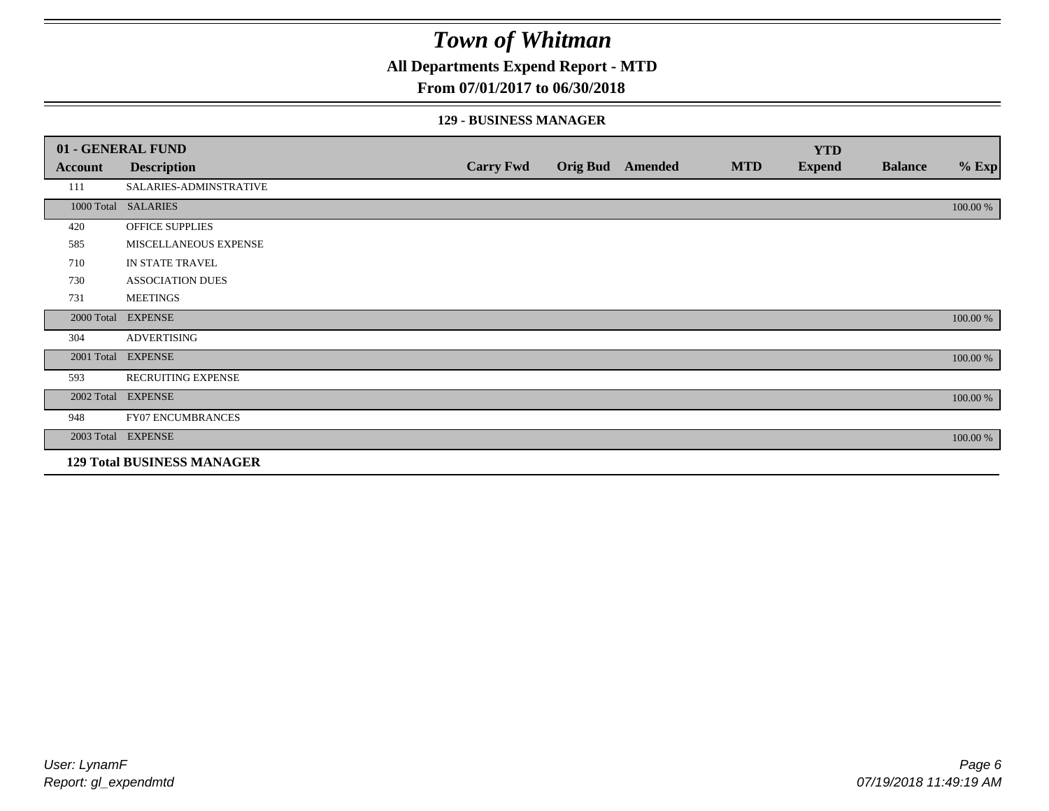### **All Departments Expend Report - MTD**

### **From 07/01/2017 to 06/30/2018**

#### **129 - BUSINESS MANAGER**

|            | 01 - GENERAL FUND                 |                  |                 |         |            | <b>YTD</b>    |                |          |
|------------|-----------------------------------|------------------|-----------------|---------|------------|---------------|----------------|----------|
| Account    | <b>Description</b>                | <b>Carry Fwd</b> | <b>Orig Bud</b> | Amended | <b>MTD</b> | <b>Expend</b> | <b>Balance</b> | $%$ Exp  |
| 111        | SALARIES-ADMINSTRATIVE            |                  |                 |         |            |               |                |          |
|            | 1000 Total SALARIES               |                  |                 |         |            |               |                | 100.00 % |
| 420        | OFFICE SUPPLIES                   |                  |                 |         |            |               |                |          |
| 585        | MISCELLANEOUS EXPENSE             |                  |                 |         |            |               |                |          |
| 710        | IN STATE TRAVEL                   |                  |                 |         |            |               |                |          |
| 730        | <b>ASSOCIATION DUES</b>           |                  |                 |         |            |               |                |          |
| 731        | <b>MEETINGS</b>                   |                  |                 |         |            |               |                |          |
| 2000 Total | <b>EXPENSE</b>                    |                  |                 |         |            |               |                | 100.00 % |
| 304        | <b>ADVERTISING</b>                |                  |                 |         |            |               |                |          |
| 2001 Total | <b>EXPENSE</b>                    |                  |                 |         |            |               |                | 100.00 % |
| 593        | <b>RECRUITING EXPENSE</b>         |                  |                 |         |            |               |                |          |
|            | 2002 Total EXPENSE                |                  |                 |         |            |               |                | 100.00 % |
| 948        | <b>FY07 ENCUMBRANCES</b>          |                  |                 |         |            |               |                |          |
|            | 2003 Total EXPENSE                |                  |                 |         |            |               |                | 100.00 % |
|            | <b>129 Total BUSINESS MANAGER</b> |                  |                 |         |            |               |                |          |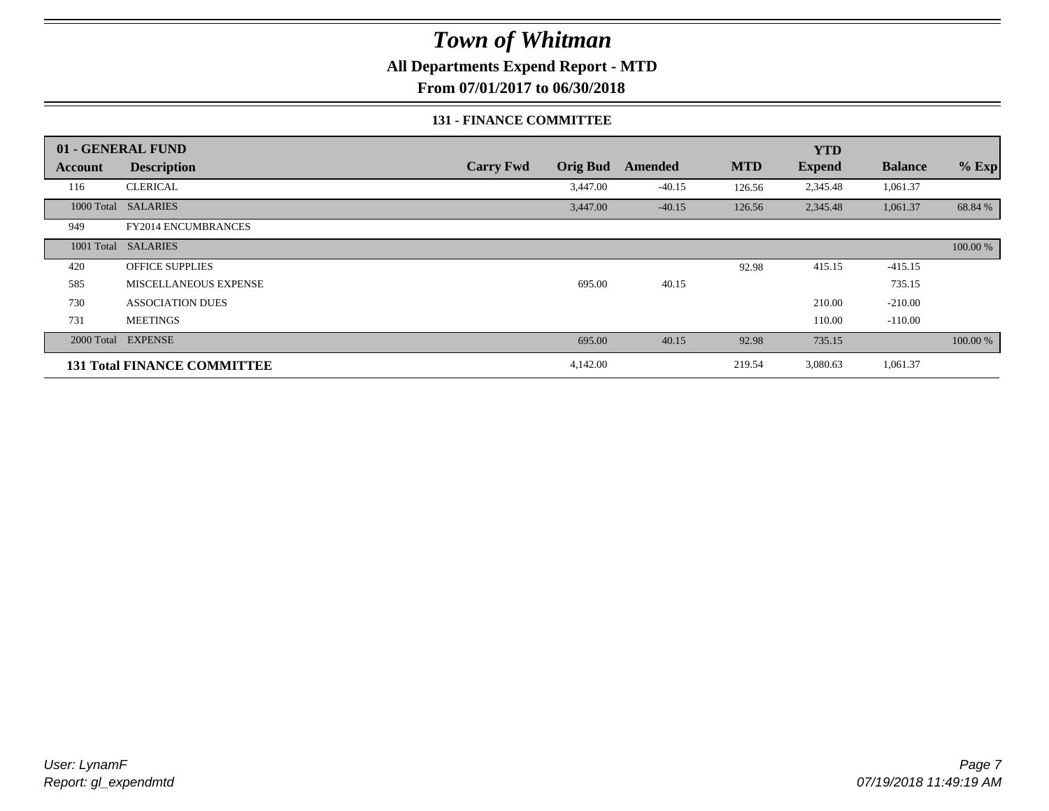**All Departments Expend Report - MTD**

**From 07/01/2017 to 06/30/2018**

#### **131 - FINANCE COMMITTEE**

|                | 01 - GENERAL FUND                  |                  |                 |          |            | <b>YTD</b>    |                |          |
|----------------|------------------------------------|------------------|-----------------|----------|------------|---------------|----------------|----------|
| <b>Account</b> | <b>Description</b>                 | <b>Carry Fwd</b> | <b>Orig Bud</b> | Amended  | <b>MTD</b> | <b>Expend</b> | <b>Balance</b> | $%$ Exp  |
| 116            | <b>CLERICAL</b>                    |                  | 3,447.00        | $-40.15$ | 126.56     | 2,345.48      | 1,061.37       |          |
|                | 1000 Total SALARIES                |                  | 3,447.00        | $-40.15$ | 126.56     | 2,345.48      | 1,061.37       | 68.84 %  |
| 949            | <b>FY2014 ENCUMBRANCES</b>         |                  |                 |          |            |               |                |          |
|                | 1001 Total SALARIES                |                  |                 |          |            |               |                | 100.00 % |
| 420            | <b>OFFICE SUPPLIES</b>             |                  |                 |          | 92.98      | 415.15        | $-415.15$      |          |
| 585            | <b>MISCELLANEOUS EXPENSE</b>       |                  | 695.00          | 40.15    |            |               | 735.15         |          |
| 730            | <b>ASSOCIATION DUES</b>            |                  |                 |          |            | 210.00        | $-210.00$      |          |
| 731            | <b>MEETINGS</b>                    |                  |                 |          |            | 110.00        | $-110.00$      |          |
|                | 2000 Total EXPENSE                 |                  | 695.00          | 40.15    | 92.98      | 735.15        |                | 100.00 % |
|                | <b>131 Total FINANCE COMMITTEE</b> |                  | 4,142.00        |          | 219.54     | 3,080.63      | 1,061.37       |          |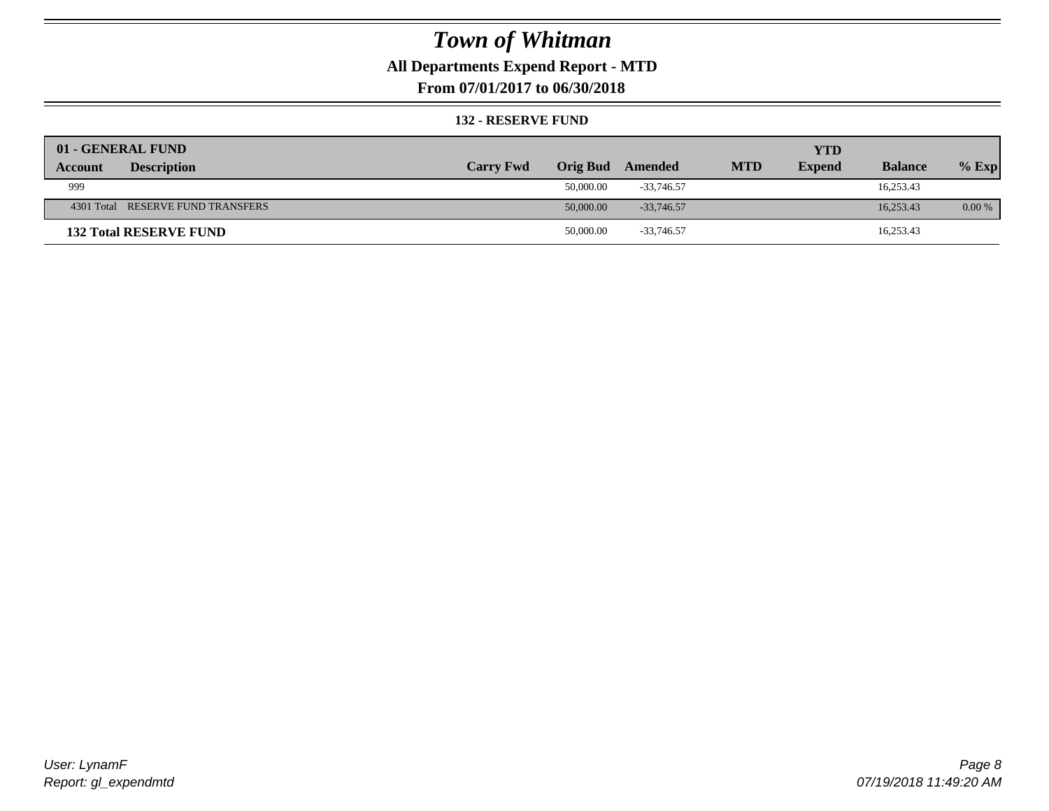### **All Departments Expend Report - MTD**

**From 07/01/2017 to 06/30/2018**

#### **132 - RESERVE FUND**

| 01 - GENERAL FUND                 |                  |                 |              |            | <b>YTD</b>    |                |          |
|-----------------------------------|------------------|-----------------|--------------|------------|---------------|----------------|----------|
| <b>Description</b><br>Account     | <b>Carry Fwd</b> | <b>Orig Bud</b> | Amended      | <b>MTD</b> | <b>Expend</b> | <b>Balance</b> | $%$ Exp  |
| 999                               |                  | 50,000.00       | $-33.746.57$ |            |               | 16,253.43      |          |
| 4301 Total RESERVE FUND TRANSFERS |                  | 50,000.00       | $-33.746.57$ |            |               | 16.253.43      | $0.00\%$ |
| <b>132 Total RESERVE FUND</b>     |                  | 50,000.00       | $-33,746.57$ |            |               | 16,253.43      |          |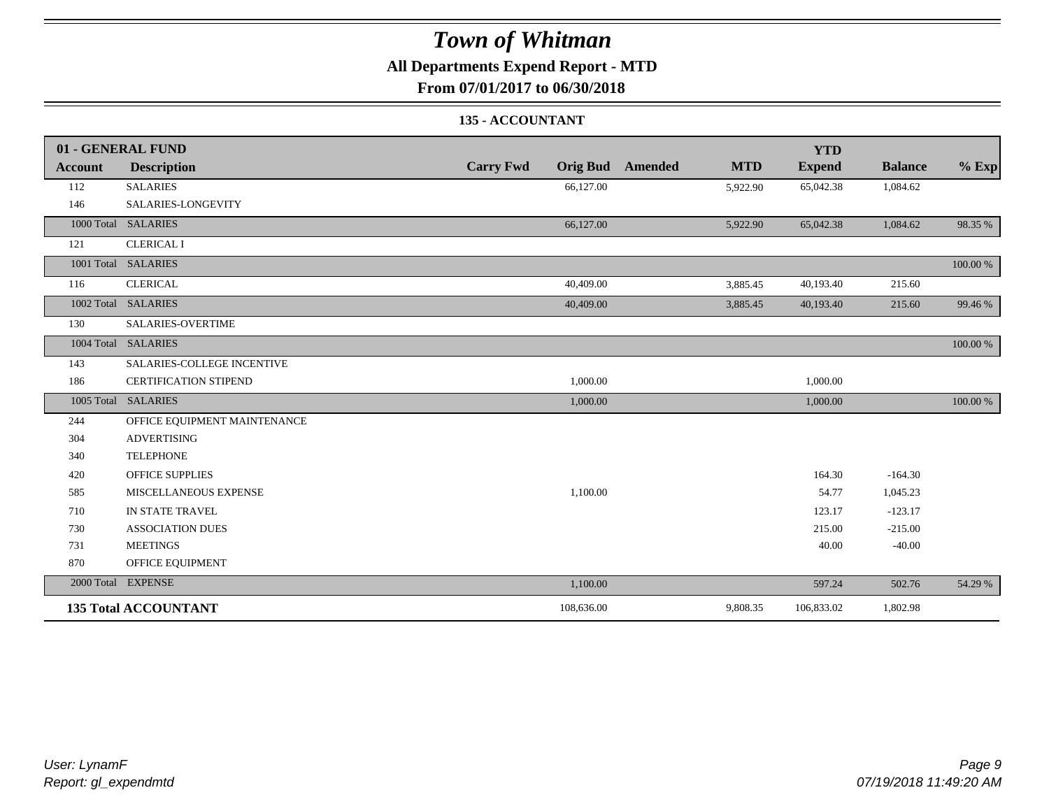### **All Departments Expend Report - MTD**

**From 07/01/2017 to 06/30/2018**

### **135 - ACCOUNTANT**

|                | 01 - GENERAL FUND            |                  |                                       | <b>YTD</b>    |                |          |
|----------------|------------------------------|------------------|---------------------------------------|---------------|----------------|----------|
| <b>Account</b> | <b>Description</b>           | <b>Carry Fwd</b> | <b>MTD</b><br><b>Orig Bud</b> Amended | <b>Expend</b> | <b>Balance</b> | $%$ Exp  |
| 112            | <b>SALARIES</b>              | 66,127.00        | 5,922.90                              | 65,042.38     | 1,084.62       |          |
| 146            | SALARIES-LONGEVITY           |                  |                                       |               |                |          |
|                | 1000 Total SALARIES          | 66,127.00        | 5,922.90                              | 65,042.38     | 1,084.62       | 98.35 %  |
| 121            | <b>CLERICAL I</b>            |                  |                                       |               |                |          |
|                | 1001 Total SALARIES          |                  |                                       |               |                | 100.00 % |
| 116            | <b>CLERICAL</b>              | 40,409.00        | 3,885.45                              | 40,193.40     | 215.60         |          |
|                | 1002 Total SALARIES          | 40,409.00        | 3,885.45                              | 40,193.40     | 215.60         | 99.46 %  |
| 130            | <b>SALARIES-OVERTIME</b>     |                  |                                       |               |                |          |
|                | 1004 Total SALARIES          |                  |                                       |               |                | 100.00 % |
| 143            | SALARIES-COLLEGE INCENTIVE   |                  |                                       |               |                |          |
| 186            | <b>CERTIFICATION STIPEND</b> | 1,000.00         |                                       | 1,000.00      |                |          |
|                | 1005 Total SALARIES          | 1,000.00         |                                       | 1,000.00      |                | 100.00 % |
| 244            | OFFICE EQUIPMENT MAINTENANCE |                  |                                       |               |                |          |
| 304            | <b>ADVERTISING</b>           |                  |                                       |               |                |          |
| 340            | <b>TELEPHONE</b>             |                  |                                       |               |                |          |
| 420            | <b>OFFICE SUPPLIES</b>       |                  |                                       | 164.30        | $-164.30$      |          |
| 585            | MISCELLANEOUS EXPENSE        | 1,100.00         |                                       | 54.77         | 1,045.23       |          |
| 710            | IN STATE TRAVEL              |                  |                                       | 123.17        | $-123.17$      |          |
| 730            | <b>ASSOCIATION DUES</b>      |                  |                                       | 215.00        | $-215.00$      |          |
| 731            | <b>MEETINGS</b>              |                  |                                       | 40.00         | $-40.00$       |          |
| 870            | OFFICE EQUIPMENT             |                  |                                       |               |                |          |
|                | 2000 Total EXPENSE           | 1,100.00         |                                       | 597.24        | 502.76         | 54.29 %  |
|                | <b>135 Total ACCOUNTANT</b>  | 108,636.00       | 9,808.35                              | 106,833.02    | 1,802.98       |          |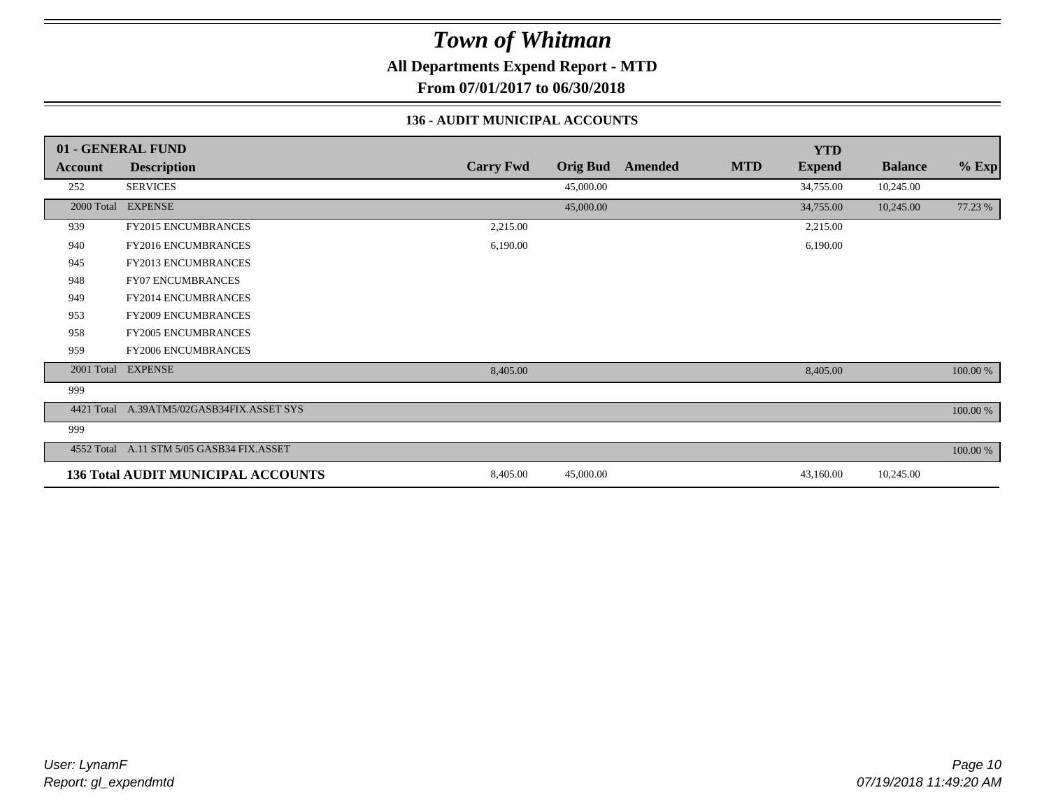**All Departments Expend Report - MTD**

**From 07/01/2017 to 06/30/2018**

### **136 - AUDIT MUNICIPAL ACCOUNTS**

|                | 01 - GENERAL FUND                         |                  |                 |                |            | <b>YTD</b>    |                |          |
|----------------|-------------------------------------------|------------------|-----------------|----------------|------------|---------------|----------------|----------|
| <b>Account</b> | <b>Description</b>                        | <b>Carry Fwd</b> | <b>Orig Bud</b> | <b>Amended</b> | <b>MTD</b> | <b>Expend</b> | <b>Balance</b> | $%$ Exp  |
| 252            | <b>SERVICES</b>                           |                  | 45,000.00       |                |            | 34,755.00     | 10,245.00      |          |
| 2000 Total     | <b>EXPENSE</b>                            |                  | 45,000.00       |                |            | 34,755.00     | 10,245.00      | 77.23 %  |
| 939            | FY2015 ENCUMBRANCES                       | 2,215.00         |                 |                |            | 2,215.00      |                |          |
| 940            | FY2016 ENCUMBRANCES                       | 6,190.00         |                 |                |            | 6,190.00      |                |          |
| 945            | FY2013 ENCUMBRANCES                       |                  |                 |                |            |               |                |          |
| 948            | <b>FY07 ENCUMBRANCES</b>                  |                  |                 |                |            |               |                |          |
| 949            | <b>FY2014 ENCUMBRANCES</b>                |                  |                 |                |            |               |                |          |
| 953            | <b>FY2009 ENCUMBRANCES</b>                |                  |                 |                |            |               |                |          |
| 958            | <b>FY2005 ENCUMBRANCES</b>                |                  |                 |                |            |               |                |          |
| 959            | <b>FY2006 ENCUMBRANCES</b>                |                  |                 |                |            |               |                |          |
| 2001 Total     | <b>EXPENSE</b>                            | 8,405.00         |                 |                |            | 8,405.00      |                | 100.00 % |
| 999            |                                           |                  |                 |                |            |               |                |          |
| 4421 Total     | A.39ATM5/02GASB34FIX.ASSET SYS            |                  |                 |                |            |               |                | 100.00 % |
| 999            |                                           |                  |                 |                |            |               |                |          |
|                | 4552 Total A.11 STM 5/05 GASB34 FIX.ASSET |                  |                 |                |            |               |                | 100.00 % |
|                | <b>136 Total AUDIT MUNICIPAL ACCOUNTS</b> | 8,405.00         | 45,000.00       |                |            | 43,160.00     | 10,245.00      |          |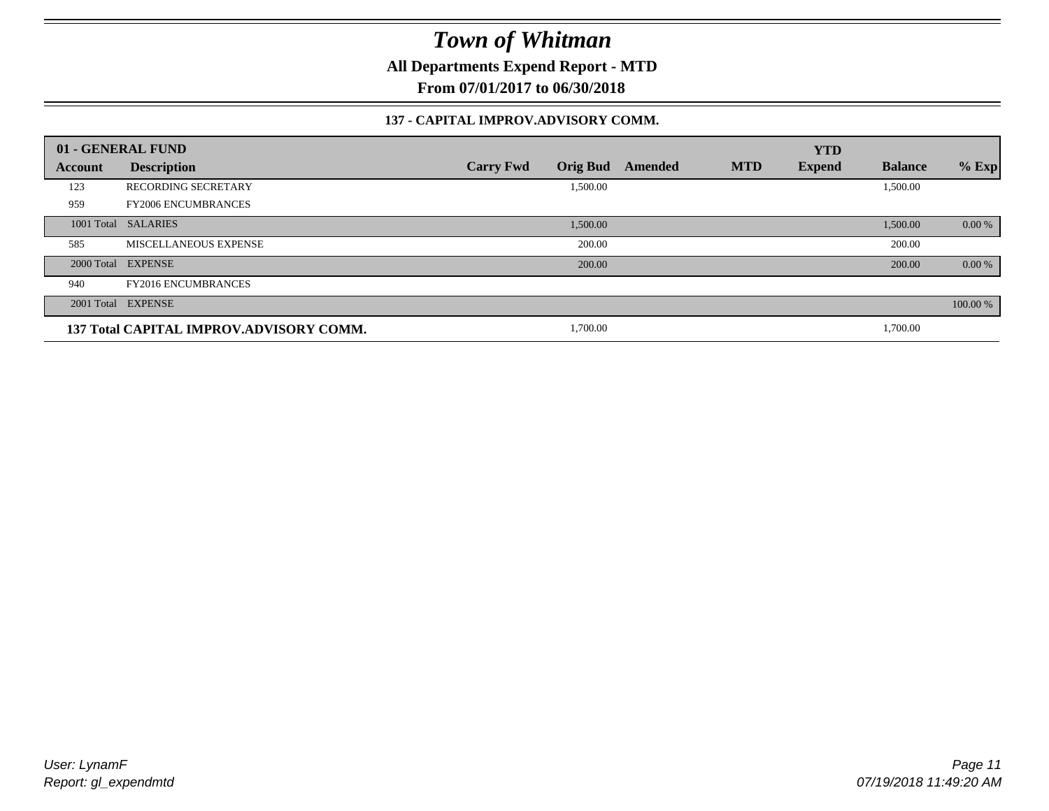**All Departments Expend Report - MTD**

**From 07/01/2017 to 06/30/2018**

#### **137 - CAPITAL IMPROV.ADVISORY COMM.**

|            | 01 - GENERAL FUND                       |                                     |         |            | <b>YTD</b>    |                |          |
|------------|-----------------------------------------|-------------------------------------|---------|------------|---------------|----------------|----------|
| Account    | <b>Description</b>                      | <b>Orig Bud</b><br><b>Carry Fwd</b> | Amended | <b>MTD</b> | <b>Expend</b> | <b>Balance</b> | $%$ Exp  |
| 123        | <b>RECORDING SECRETARY</b>              | 1,500.00                            |         |            |               | 1,500.00       |          |
| 959        | <b>FY2006 ENCUMBRANCES</b>              |                                     |         |            |               |                |          |
| 1001 Total | <b>SALARIES</b>                         | 1,500.00                            |         |            |               | 1,500.00       | 0.00 %   |
| 585        | MISCELLANEOUS EXPENSE                   | 200.00                              |         |            |               | 200.00         |          |
|            | 2000 Total EXPENSE                      | 200.00                              |         |            |               | 200.00         | 0.00 %   |
| 940        | <b>FY2016 ENCUMBRANCES</b>              |                                     |         |            |               |                |          |
|            | 2001 Total EXPENSE                      |                                     |         |            |               |                | 100.00 % |
|            | 137 Total CAPITAL IMPROV.ADVISORY COMM. | 1,700.00                            |         |            |               | 1,700.00       |          |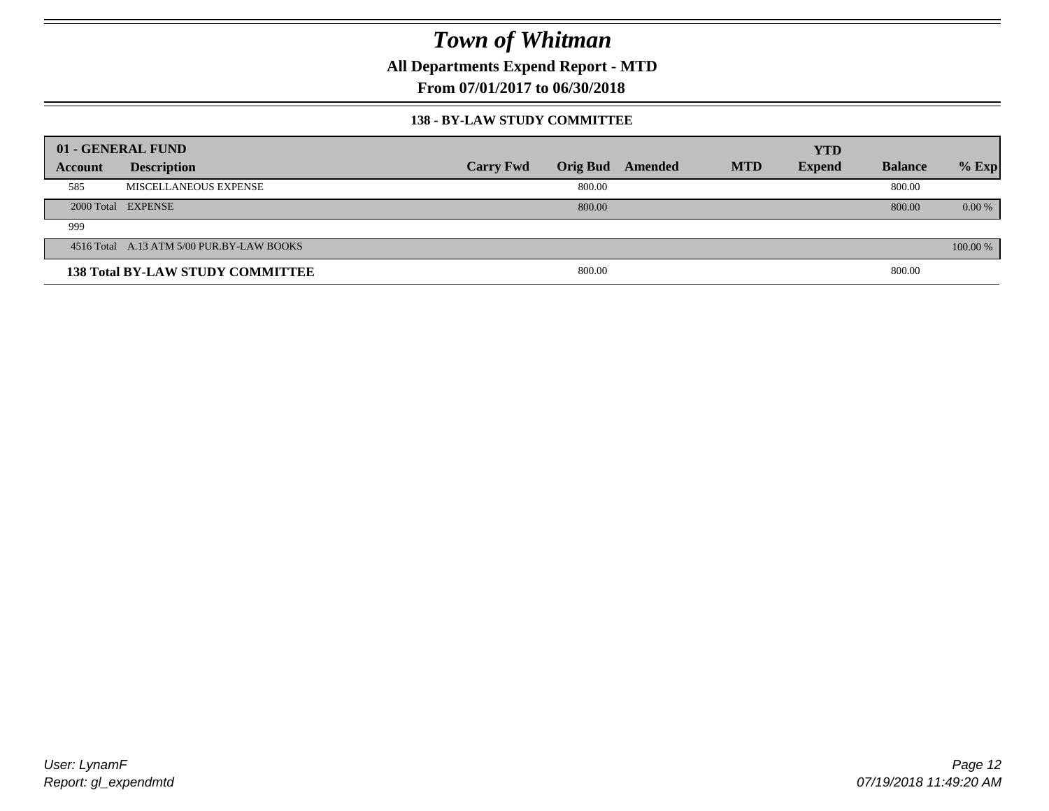**All Departments Expend Report - MTD**

**From 07/01/2017 to 06/30/2018**

#### **138 - BY-LAW STUDY COMMITTEE**

|         | 01 - GENERAL FUND                         |                  |                 |         |            | <b>YTD</b>    |                |          |
|---------|-------------------------------------------|------------------|-----------------|---------|------------|---------------|----------------|----------|
| Account | <b>Description</b>                        | <b>Carry Fwd</b> | <b>Orig Bud</b> | Amended | <b>MTD</b> | <b>Expend</b> | <b>Balance</b> | $%$ Exp  |
| 585     | MISCELLANEOUS EXPENSE                     |                  | 800.00          |         |            |               | 800.00         |          |
|         | 2000 Total EXPENSE                        |                  | 800.00          |         |            |               | 800.00         | $0.00\%$ |
| 999     |                                           |                  |                 |         |            |               |                |          |
|         | 4516 Total A.13 ATM 5/00 PUR.BY-LAW BOOKS |                  |                 |         |            |               |                | 100.00 % |
|         | <b>138 Total BY-LAW STUDY COMMITTEE</b>   |                  | 800.00          |         |            |               | 800.00         |          |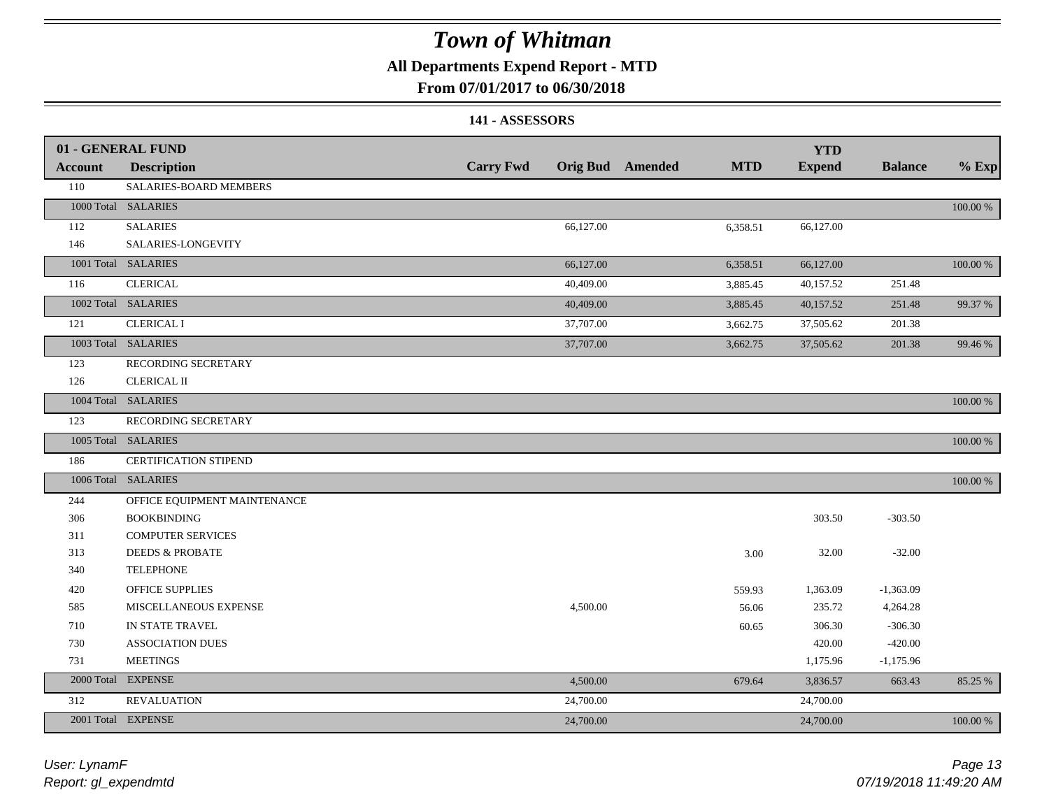### **All Departments Expend Report - MTD**

### **From 07/01/2017 to 06/30/2018**

#### **141 - ASSESSORS**

|                | 01 - GENERAL FUND            |                  |           |                  |            | <b>YTD</b>    |                |          |
|----------------|------------------------------|------------------|-----------|------------------|------------|---------------|----------------|----------|
| <b>Account</b> | <b>Description</b>           | <b>Carry Fwd</b> |           | Orig Bud Amended | <b>MTD</b> | <b>Expend</b> | <b>Balance</b> | $%$ Exp  |
| 110            | SALARIES-BOARD MEMBERS       |                  |           |                  |            |               |                |          |
|                | 1000 Total SALARIES          |                  |           |                  |            |               |                | 100.00 % |
| 112            | <b>SALARIES</b>              |                  | 66,127.00 |                  | 6,358.51   | 66,127.00     |                |          |
| 146            | SALARIES-LONGEVITY           |                  |           |                  |            |               |                |          |
|                | 1001 Total SALARIES          |                  | 66,127.00 |                  | 6,358.51   | 66,127.00     |                | 100.00 % |
| 116            | <b>CLERICAL</b>              |                  | 40,409.00 |                  | 3,885.45   | 40,157.52     | 251.48         |          |
|                | 1002 Total SALARIES          |                  | 40,409.00 |                  | 3,885.45   | 40,157.52     | 251.48         | 99.37 %  |
| 121            | <b>CLERICAL I</b>            |                  | 37,707.00 |                  | 3,662.75   | 37,505.62     | 201.38         |          |
|                | 1003 Total SALARIES          |                  | 37,707.00 |                  | 3,662.75   | 37,505.62     | 201.38         | 99.46 %  |
| 123            | RECORDING SECRETARY          |                  |           |                  |            |               |                |          |
| 126            | <b>CLERICAL II</b>           |                  |           |                  |            |               |                |          |
|                | 1004 Total SALARIES          |                  |           |                  |            |               |                | 100.00 % |
| 123            | RECORDING SECRETARY          |                  |           |                  |            |               |                |          |
|                | 1005 Total SALARIES          |                  |           |                  |            |               |                | 100.00 % |
| 186            | CERTIFICATION STIPEND        |                  |           |                  |            |               |                |          |
|                | 1006 Total SALARIES          |                  |           |                  |            |               |                | 100.00 % |
| 244            | OFFICE EQUIPMENT MAINTENANCE |                  |           |                  |            |               |                |          |
| 306            | <b>BOOKBINDING</b>           |                  |           |                  |            | 303.50        | $-303.50$      |          |
| 311            | <b>COMPUTER SERVICES</b>     |                  |           |                  |            |               |                |          |
| 313            | <b>DEEDS &amp; PROBATE</b>   |                  |           |                  | 3.00       | 32.00         | $-32.00$       |          |
| 340            | <b>TELEPHONE</b>             |                  |           |                  |            |               |                |          |
| 420            | <b>OFFICE SUPPLIES</b>       |                  |           |                  | 559.93     | 1,363.09      | $-1,363.09$    |          |
| 585            | MISCELLANEOUS EXPENSE        |                  | 4,500.00  |                  | 56.06      | 235.72        | 4,264.28       |          |
| 710            | IN STATE TRAVEL              |                  |           |                  | 60.65      | 306.30        | $-306.30$      |          |
| 730            | <b>ASSOCIATION DUES</b>      |                  |           |                  |            | 420.00        | $-420.00$      |          |
| 731            | <b>MEETINGS</b>              |                  |           |                  |            | 1,175.96      | $-1,175.96$    |          |
| 2000 Total     | <b>EXPENSE</b>               |                  | 4,500.00  |                  | 679.64     | 3,836.57      | 663.43         | 85.25 %  |
| 312            | <b>REVALUATION</b>           |                  | 24,700.00 |                  |            | 24,700.00     |                |          |
|                | 2001 Total EXPENSE           |                  | 24,700.00 |                  |            | 24,700.00     |                | 100.00 % |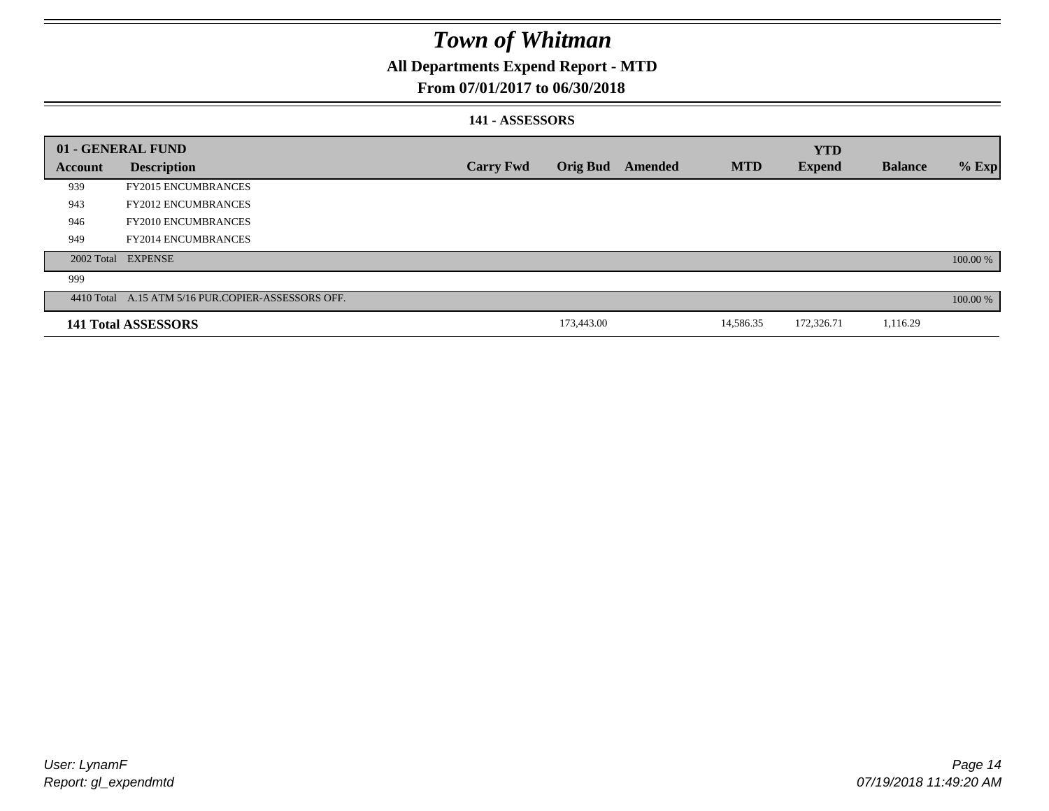### **All Departments Expend Report - MTD**

### **From 07/01/2017 to 06/30/2018**

#### **141 - ASSESSORS**

|                | 01 - GENERAL FUND                                  |                  |                 |         |            | <b>YTD</b>    |                |          |
|----------------|----------------------------------------------------|------------------|-----------------|---------|------------|---------------|----------------|----------|
| <b>Account</b> | <b>Description</b>                                 | <b>Carry Fwd</b> | <b>Orig Bud</b> | Amended | <b>MTD</b> | <b>Expend</b> | <b>Balance</b> | $%$ Exp  |
| 939            | <b>FY2015 ENCUMBRANCES</b>                         |                  |                 |         |            |               |                |          |
| 943            | <b>FY2012 ENCUMBRANCES</b>                         |                  |                 |         |            |               |                |          |
| 946            | <b>FY2010 ENCUMBRANCES</b>                         |                  |                 |         |            |               |                |          |
| 949            | <b>FY2014 ENCUMBRANCES</b>                         |                  |                 |         |            |               |                |          |
|                | 2002 Total EXPENSE                                 |                  |                 |         |            |               |                | 100.00 % |
| 999            |                                                    |                  |                 |         |            |               |                |          |
|                | 4410 Total A.15 ATM 5/16 PUR.COPIER-ASSESSORS OFF. |                  |                 |         |            |               |                | 100.00 % |
|                | 141 Total ASSESSORS                                |                  | 173,443.00      |         | 14,586.35  | 172,326.71    | 1,116.29       |          |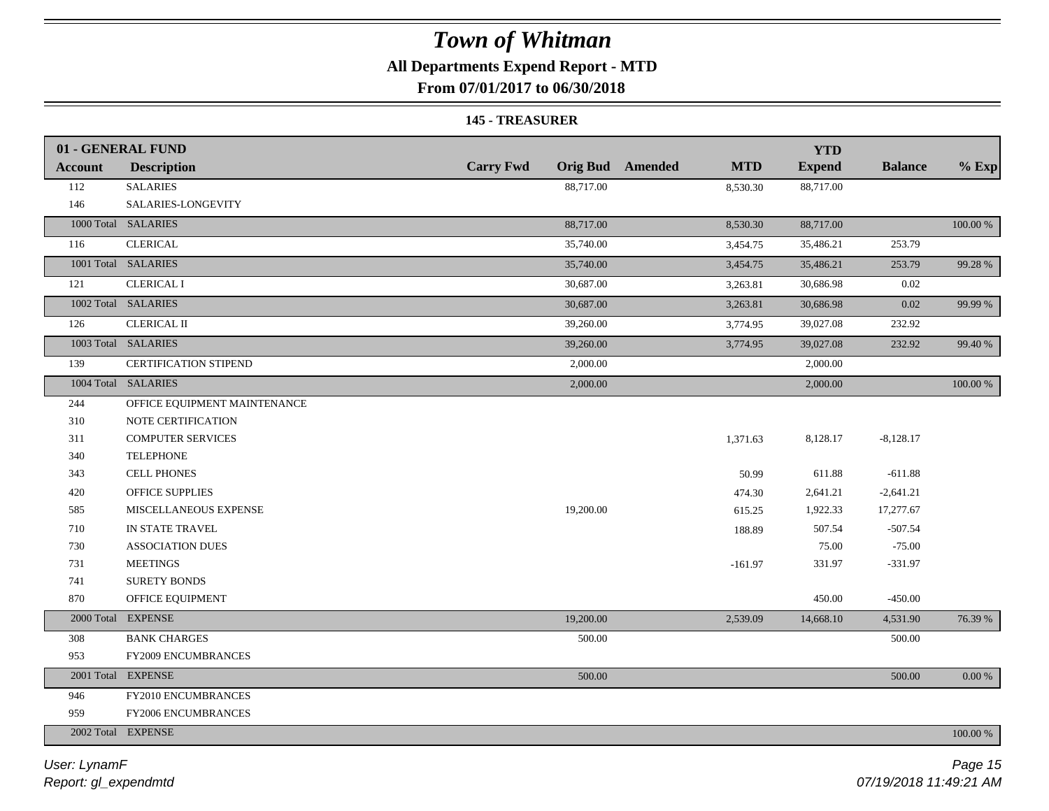### **All Departments Expend Report - MTD**

**From 07/01/2017 to 06/30/2018**

#### **145 - TREASURER**

|                | 01 - GENERAL FUND            |                  |                                       | <b>YTD</b>    |                |             |
|----------------|------------------------------|------------------|---------------------------------------|---------------|----------------|-------------|
| <b>Account</b> | <b>Description</b>           | <b>Carry Fwd</b> | <b>Orig Bud</b> Amended<br><b>MTD</b> | <b>Expend</b> | <b>Balance</b> | $%$ Exp     |
| 112            | <b>SALARIES</b>              | 88,717.00        | 8,530.30                              | 88,717.00     |                |             |
| 146            | SALARIES-LONGEVITY           |                  |                                       |               |                |             |
|                | 1000 Total SALARIES          | 88,717.00        | 8,530.30                              | 88,717.00     |                | 100.00 %    |
| 116            | <b>CLERICAL</b>              | 35,740.00        | 3,454.75                              | 35,486.21     | 253.79         |             |
|                | 1001 Total SALARIES          | 35,740.00        | 3,454.75                              | 35,486.21     | 253.79         | 99.28 %     |
| 121            | <b>CLERICAL I</b>            | 30,687.00        | 3,263.81                              | 30,686.98     | 0.02           |             |
|                | 1002 Total SALARIES          | 30,687.00        | 3,263.81                              | 30,686.98     | 0.02           | 99.99 %     |
| 126            | <b>CLERICAL II</b>           | 39,260.00        | 3,774.95                              | 39,027.08     | 232.92         |             |
|                | 1003 Total SALARIES          | 39,260.00        | 3,774.95                              | 39,027.08     | 232.92         | 99.40 %     |
| 139            | <b>CERTIFICATION STIPEND</b> | 2,000.00         |                                       | 2,000.00      |                |             |
|                | 1004 Total SALARIES          | 2,000.00         |                                       | 2,000.00      |                | 100.00 %    |
| 244            | OFFICE EQUIPMENT MAINTENANCE |                  |                                       |               |                |             |
| 310            | NOTE CERTIFICATION           |                  |                                       |               |                |             |
| 311            | <b>COMPUTER SERVICES</b>     |                  | 1,371.63                              | 8,128.17      | $-8,128.17$    |             |
| 340            | <b>TELEPHONE</b>             |                  |                                       |               |                |             |
| 343            | <b>CELL PHONES</b>           |                  | 50.99                                 | 611.88        | $-611.88$      |             |
| 420            | <b>OFFICE SUPPLIES</b>       |                  | 474.30                                | 2,641.21      | $-2,641.21$    |             |
| 585            | MISCELLANEOUS EXPENSE        | 19,200.00        | 615.25                                | 1,922.33      | 17,277.67      |             |
| 710            | IN STATE TRAVEL              |                  | 188.89                                | 507.54        | $-507.54$      |             |
| 730            | <b>ASSOCIATION DUES</b>      |                  |                                       | 75.00         | $-75.00$       |             |
| 731            | <b>MEETINGS</b>              |                  | $-161.97$                             | 331.97        | $-331.97$      |             |
| 741            | <b>SURETY BONDS</b>          |                  |                                       |               |                |             |
| 870            | OFFICE EQUIPMENT             |                  |                                       | 450.00        | $-450.00$      |             |
|                | 2000 Total EXPENSE           | 19,200.00        | 2,539.09                              | 14,668.10     | 4,531.90       | 76.39 %     |
| 308            | <b>BANK CHARGES</b>          | 500.00           |                                       |               | 500.00         |             |
| 953            | FY2009 ENCUMBRANCES          |                  |                                       |               |                |             |
|                | 2001 Total EXPENSE           | 500.00           |                                       |               | 500.00         | $0.00~\%$   |
| 946            | FY2010 ENCUMBRANCES          |                  |                                       |               |                |             |
| 959            | FY2006 ENCUMBRANCES          |                  |                                       |               |                |             |
|                | 2002 Total EXPENSE           |                  |                                       |               |                | $100.00~\%$ |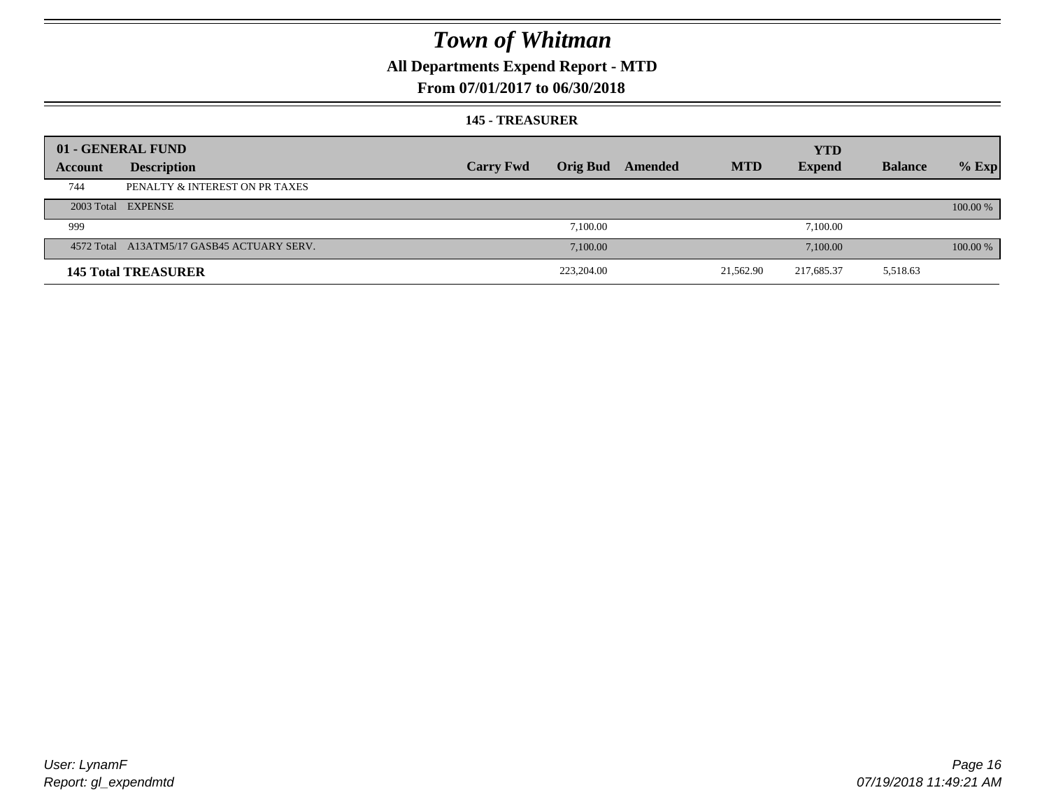## **All Departments Expend Report - MTD**

### **From 07/01/2017 to 06/30/2018**

#### **145 - TREASURER**

| 01 - GENERAL FUND<br><b>YTD</b>                                                                                                  |          |
|----------------------------------------------------------------------------------------------------------------------------------|----------|
|                                                                                                                                  |          |
| <b>MTD</b><br><b>Orig Bud</b><br><b>Carry Fwd</b><br><b>Expend</b><br><b>Balance</b><br>Amended<br><b>Description</b><br>Account | $%$ Exp  |
| 744<br>PENALTY & INTEREST ON PR TAXES                                                                                            |          |
| 2003 Total EXPENSE                                                                                                               | 100.00 % |
| 7.100.00<br>7,100.00<br>999                                                                                                      |          |
| 4572 Total A13ATM5/17 GASB45 ACTUARY SERV.<br>7,100.00<br>7,100.00                                                               | 100.00 % |
| 223,204.00<br>21,562.90<br>217,685.37<br>5,518.63<br><b>145 Total TREASURER</b>                                                  |          |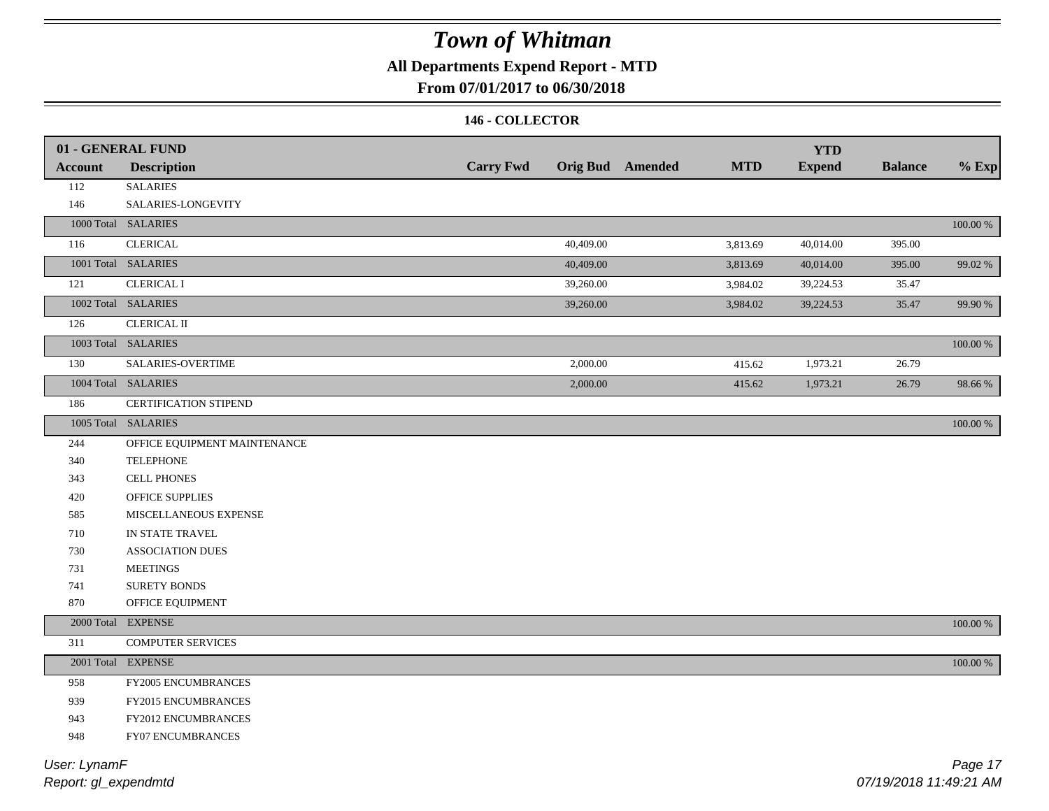## **All Departments Expend Report - MTD**

### **From 07/01/2017 to 06/30/2018**

#### **146 - COLLECTOR**

|                | 01 - GENERAL FUND            |                  |           |                         |            | <b>YTD</b>    |                |             |
|----------------|------------------------------|------------------|-----------|-------------------------|------------|---------------|----------------|-------------|
| <b>Account</b> | <b>Description</b>           | <b>Carry Fwd</b> |           | <b>Orig Bud</b> Amended | <b>MTD</b> | <b>Expend</b> | <b>Balance</b> | $%$ Exp     |
| 112            | <b>SALARIES</b>              |                  |           |                         |            |               |                |             |
| 146            | SALARIES-LONGEVITY           |                  |           |                         |            |               |                |             |
|                | 1000 Total SALARIES          |                  |           |                         |            |               |                | $100.00~\%$ |
| 116            | <b>CLERICAL</b>              |                  | 40,409.00 |                         | 3,813.69   | 40,014.00     | 395.00         |             |
|                | 1001 Total SALARIES          |                  | 40,409.00 |                         | 3,813.69   | 40,014.00     | 395.00         | 99.02 %     |
| 121            | <b>CLERICAL I</b>            |                  | 39,260.00 |                         | 3,984.02   | 39,224.53     | 35.47          |             |
|                | 1002 Total SALARIES          |                  | 39,260.00 |                         | 3,984.02   | 39,224.53     | 35.47          | 99.90 %     |
| 126            | <b>CLERICAL II</b>           |                  |           |                         |            |               |                |             |
|                | 1003 Total SALARIES          |                  |           |                         |            |               |                | 100.00 %    |
| 130            | SALARIES-OVERTIME            |                  | 2,000.00  |                         | 415.62     | 1,973.21      | 26.79          |             |
|                | 1004 Total SALARIES          |                  | 2,000.00  |                         | 415.62     | 1,973.21      | 26.79          | 98.66%      |
| 186            | CERTIFICATION STIPEND        |                  |           |                         |            |               |                |             |
|                | 1005 Total SALARIES          |                  |           |                         |            |               |                | 100.00 %    |
| 244            | OFFICE EQUIPMENT MAINTENANCE |                  |           |                         |            |               |                |             |
| 340            | <b>TELEPHONE</b>             |                  |           |                         |            |               |                |             |
| 343            | <b>CELL PHONES</b>           |                  |           |                         |            |               |                |             |
| 420            | OFFICE SUPPLIES              |                  |           |                         |            |               |                |             |
| 585            | MISCELLANEOUS EXPENSE        |                  |           |                         |            |               |                |             |
| 710            | IN STATE TRAVEL              |                  |           |                         |            |               |                |             |
| 730            | <b>ASSOCIATION DUES</b>      |                  |           |                         |            |               |                |             |
| 731            | <b>MEETINGS</b>              |                  |           |                         |            |               |                |             |
| 741            | <b>SURETY BONDS</b>          |                  |           |                         |            |               |                |             |
| 870            | OFFICE EQUIPMENT             |                  |           |                         |            |               |                |             |
|                | 2000 Total EXPENSE           |                  |           |                         |            |               |                | 100.00 %    |
| 311            | <b>COMPUTER SERVICES</b>     |                  |           |                         |            |               |                |             |
|                | 2001 Total EXPENSE           |                  |           |                         |            |               |                | $100.00~\%$ |
| 958            | FY2005 ENCUMBRANCES          |                  |           |                         |            |               |                |             |
| 939            | FY2015 ENCUMBRANCES          |                  |           |                         |            |               |                |             |
| 943            | FY2012 ENCUMBRANCES          |                  |           |                         |            |               |                |             |
| 948            | FY07 ENCUMBRANCES            |                  |           |                         |            |               |                |             |
|                |                              |                  |           |                         |            |               |                |             |

*Report: gl\_expendmtd User: LynamF*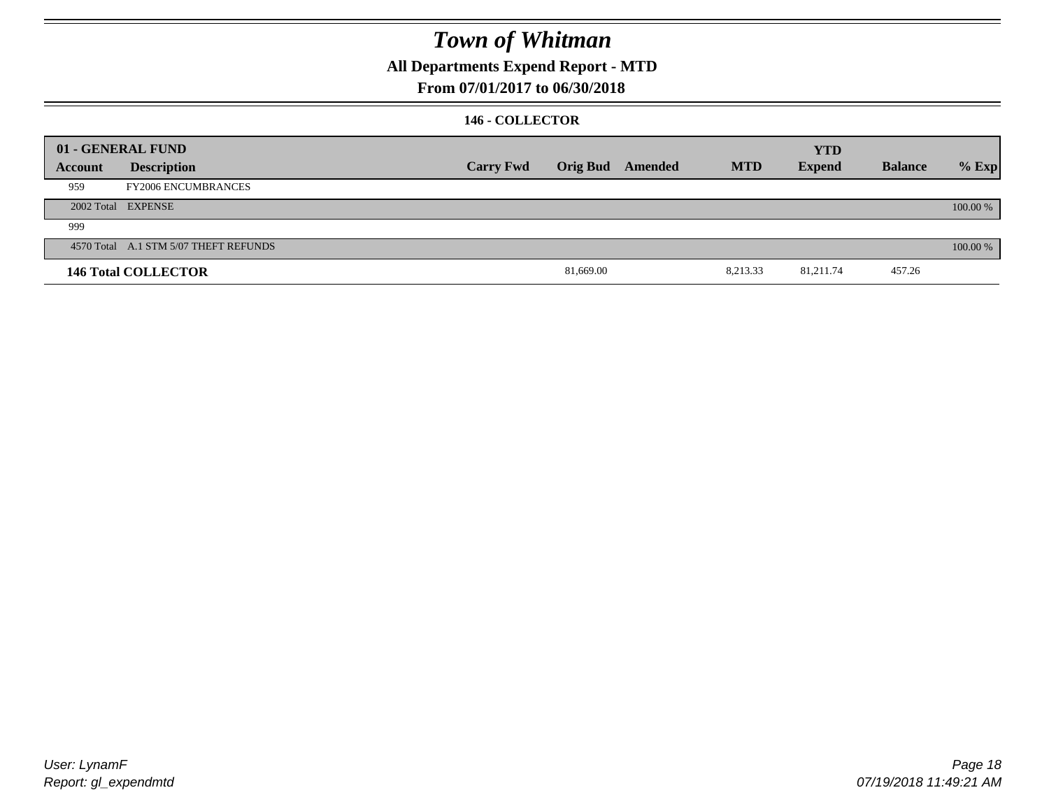### **All Departments Expend Report - MTD**

### **From 07/01/2017 to 06/30/2018**

#### **146 - COLLECTOR**

|         | 01 - GENERAL FUND                     |                  |           |                  |            | <b>YTD</b>    |                |          |
|---------|---------------------------------------|------------------|-----------|------------------|------------|---------------|----------------|----------|
| Account | <b>Description</b>                    | <b>Carry Fwd</b> |           | Orig Bud Amended | <b>MTD</b> | <b>Expend</b> | <b>Balance</b> | $%$ Exp  |
| 959     | <b>FY2006 ENCUMBRANCES</b>            |                  |           |                  |            |               |                |          |
|         | 2002 Total EXPENSE                    |                  |           |                  |            |               |                | 100.00 % |
| 999     |                                       |                  |           |                  |            |               |                |          |
|         | 4570 Total A.1 STM 5/07 THEFT REFUNDS |                  |           |                  |            |               |                | 100.00 % |
|         | <b>146 Total COLLECTOR</b>            |                  | 81,669.00 |                  | 8,213.33   | 81,211.74     | 457.26         |          |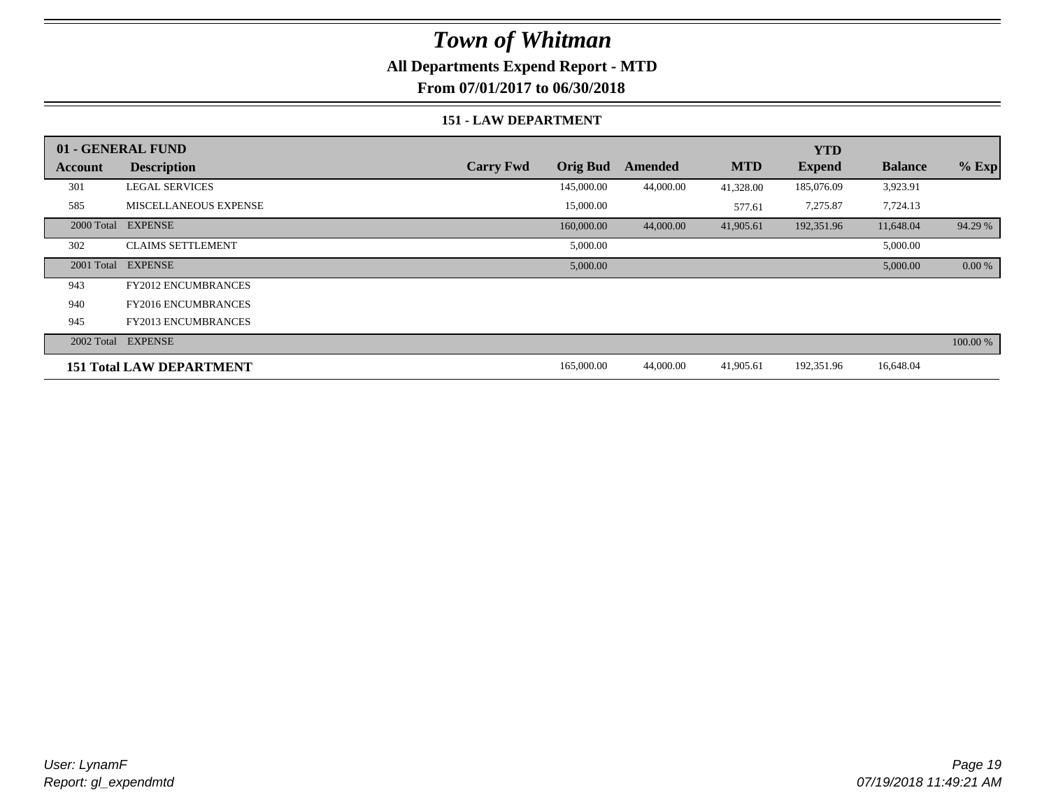### **All Departments Expend Report - MTD**

**From 07/01/2017 to 06/30/2018**

#### **151 - LAW DEPARTMENT**

|         | 01 - GENERAL FUND               |                  |                 |           |            | <b>YTD</b>    |                |          |
|---------|---------------------------------|------------------|-----------------|-----------|------------|---------------|----------------|----------|
| Account | <b>Description</b>              | <b>Carry Fwd</b> | <b>Orig Bud</b> | Amended   | <b>MTD</b> | <b>Expend</b> | <b>Balance</b> | $%$ Exp  |
| 301     | <b>LEGAL SERVICES</b>           |                  | 145,000.00      | 44,000.00 | 41,328.00  | 185,076.09    | 3,923.91       |          |
| 585     | <b>MISCELLANEOUS EXPENSE</b>    |                  | 15,000.00       |           | 577.61     | 7,275.87      | 7,724.13       |          |
|         | 2000 Total EXPENSE              |                  | 160,000.00      | 44,000.00 | 41,905.61  | 192,351.96    | 11,648.04      | 94.29 %  |
| 302     | <b>CLAIMS SETTLEMENT</b>        |                  | 5,000.00        |           |            |               | 5,000.00       |          |
|         | 2001 Total EXPENSE              |                  | 5,000.00        |           |            |               | 5,000.00       | 0.00 %   |
| 943     | <b>FY2012 ENCUMBRANCES</b>      |                  |                 |           |            |               |                |          |
| 940     | <b>FY2016 ENCUMBRANCES</b>      |                  |                 |           |            |               |                |          |
| 945     | <b>FY2013 ENCUMBRANCES</b>      |                  |                 |           |            |               |                |          |
|         | 2002 Total EXPENSE              |                  |                 |           |            |               |                | 100.00 % |
|         | <b>151 Total LAW DEPARTMENT</b> |                  | 165,000.00      | 44,000.00 | 41,905.61  | 192,351.96    | 16,648.04      |          |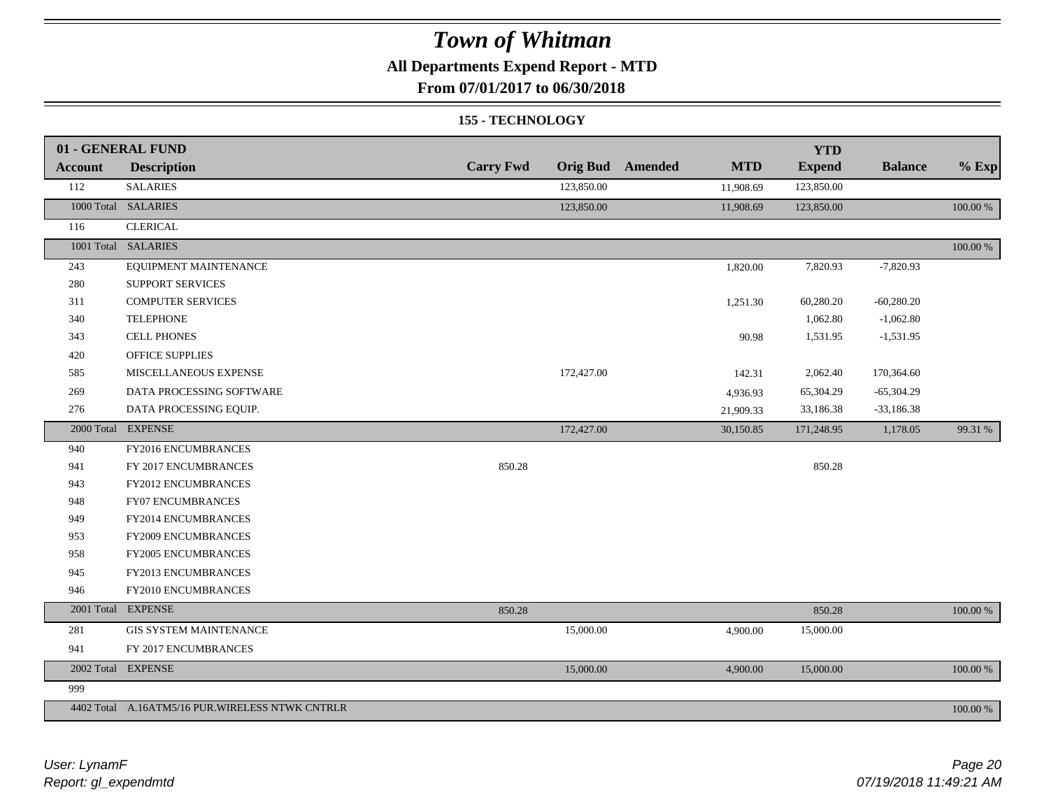### **All Departments Expend Report - MTD**

**From 07/01/2017 to 06/30/2018**

#### **155 - TECHNOLOGY**

|                | 01 - GENERAL FUND                               |                  |                 |         |            | <b>YTD</b>    |                |             |
|----------------|-------------------------------------------------|------------------|-----------------|---------|------------|---------------|----------------|-------------|
| <b>Account</b> | <b>Description</b>                              | <b>Carry Fwd</b> | <b>Orig Bud</b> | Amended | <b>MTD</b> | <b>Expend</b> | <b>Balance</b> | $%$ Exp     |
| 112            | <b>SALARIES</b>                                 |                  | 123,850.00      |         | 11,908.69  | 123,850.00    |                |             |
|                | 1000 Total SALARIES                             |                  | 123,850.00      |         | 11,908.69  | 123,850.00    |                | $100.00~\%$ |
| 116            | <b>CLERICAL</b>                                 |                  |                 |         |            |               |                |             |
|                | 1001 Total SALARIES                             |                  |                 |         |            |               |                | $100.00~\%$ |
| 243            | EQUIPMENT MAINTENANCE                           |                  |                 |         | 1,820.00   | 7,820.93      | $-7,820.93$    |             |
| 280            | SUPPORT SERVICES                                |                  |                 |         |            |               |                |             |
| 311            | <b>COMPUTER SERVICES</b>                        |                  |                 |         | 1,251.30   | 60,280.20     | $-60,280.20$   |             |
| 340            | <b>TELEPHONE</b>                                |                  |                 |         |            | 1,062.80      | $-1,062.80$    |             |
| 343            | <b>CELL PHONES</b>                              |                  |                 |         | 90.98      | 1,531.95      | $-1,531.95$    |             |
| 420            | OFFICE SUPPLIES                                 |                  |                 |         |            |               |                |             |
| 585            | MISCELLANEOUS EXPENSE                           |                  | 172,427.00      |         | 142.31     | 2,062.40      | 170,364.60     |             |
| 269            | DATA PROCESSING SOFTWARE                        |                  |                 |         | 4,936.93   | 65,304.29     | $-65,304.29$   |             |
| 276            | DATA PROCESSING EQUIP.                          |                  |                 |         | 21,909.33  | 33,186.38     | $-33,186.38$   |             |
|                | 2000 Total EXPENSE                              |                  | 172,427.00      |         | 30,150.85  | 171,248.95    | 1,178.05       | 99.31 %     |
| 940            | FY2016 ENCUMBRANCES                             |                  |                 |         |            |               |                |             |
| 941            | FY 2017 ENCUMBRANCES                            | 850.28           |                 |         |            | 850.28        |                |             |
| 943            | FY2012 ENCUMBRANCES                             |                  |                 |         |            |               |                |             |
| 948            | <b>FY07 ENCUMBRANCES</b>                        |                  |                 |         |            |               |                |             |
| 949            | FY2014 ENCUMBRANCES                             |                  |                 |         |            |               |                |             |
| 953            | FY2009 ENCUMBRANCES                             |                  |                 |         |            |               |                |             |
| 958            | FY2005 ENCUMBRANCES                             |                  |                 |         |            |               |                |             |
| 945            | FY2013 ENCUMBRANCES                             |                  |                 |         |            |               |                |             |
| 946            | FY2010 ENCUMBRANCES                             |                  |                 |         |            |               |                |             |
|                | 2001 Total EXPENSE                              | 850.28           |                 |         |            | 850.28        |                | 100.00 %    |
| 281            | <b>GIS SYSTEM MAINTENANCE</b>                   |                  | 15,000.00       |         | 4,900.00   | 15,000.00     |                |             |
| 941            | FY 2017 ENCUMBRANCES                            |                  |                 |         |            |               |                |             |
|                | 2002 Total EXPENSE                              |                  | 15,000.00       |         | 4,900.00   | 15,000.00     |                | 100.00 %    |
| 999            |                                                 |                  |                 |         |            |               |                |             |
|                | 4402 Total A.16ATM5/16 PUR.WIRELESS NTWK CNTRLR |                  |                 |         |            |               |                | 100.00 %    |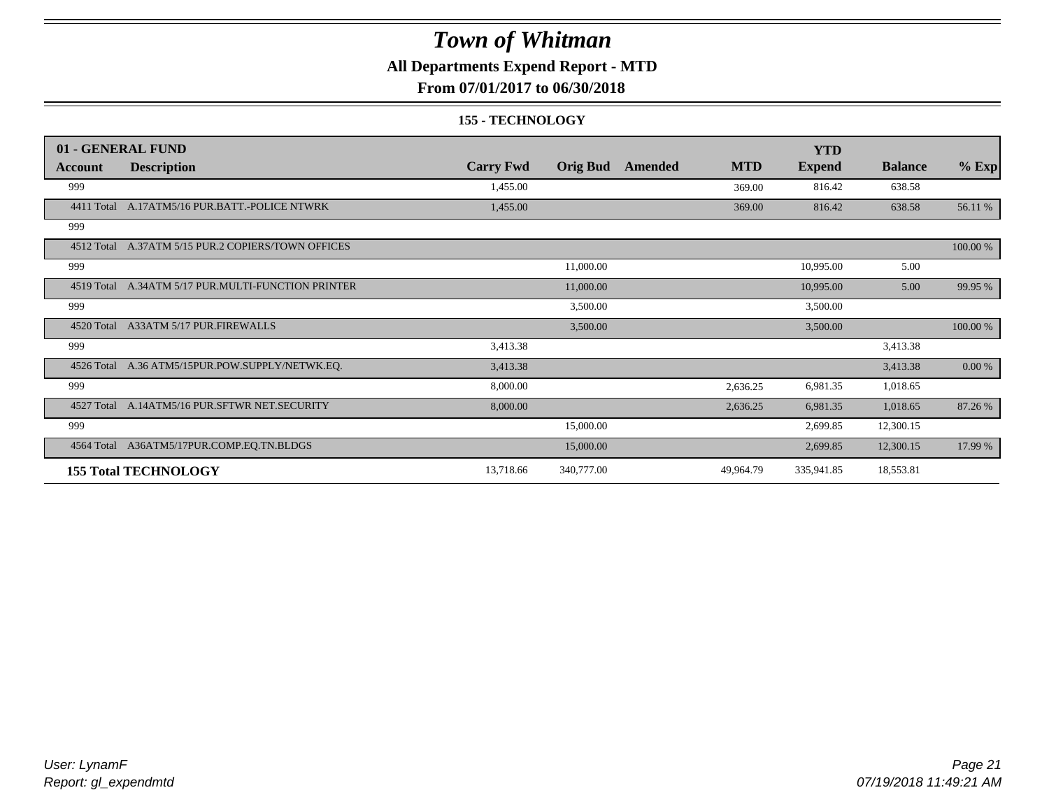### **All Departments Expend Report - MTD**

**From 07/01/2017 to 06/30/2018**

#### **155 - TECHNOLOGY**

|            | 01 - GENERAL FUND                       |                  |                 |         |            | <b>YTD</b>    |                |           |
|------------|-----------------------------------------|------------------|-----------------|---------|------------|---------------|----------------|-----------|
| Account    | <b>Description</b>                      | <b>Carry Fwd</b> | <b>Orig Bud</b> | Amended | <b>MTD</b> | <b>Expend</b> | <b>Balance</b> | $%$ Exp   |
| 999        |                                         | 1,455.00         |                 |         | 369.00     | 816.42        | 638.58         |           |
| 4411 Total | A.17ATM5/16 PUR.BATT.-POLICE NTWRK      | 1,455.00         |                 |         | 369.00     | 816.42        | 638.58         | 56.11 %   |
| 999        |                                         |                  |                 |         |            |               |                |           |
| 4512 Total | A.37ATM 5/15 PUR.2 COPIERS/TOWN OFFICES |                  |                 |         |            |               |                | 100.00 %  |
| 999        |                                         |                  | 11,000.00       |         |            | 10,995.00     | 5.00           |           |
| 4519 Total | A.34ATM 5/17 PUR.MULTI-FUNCTION PRINTER |                  | 11,000.00       |         |            | 10,995.00     | 5.00           | 99.95 %   |
| 999        |                                         |                  | 3,500.00        |         |            | 3,500.00      |                |           |
| 4520 Total | A33ATM 5/17 PUR.FIREWALLS               |                  | 3,500.00        |         |            | 3,500.00      |                | 100.00 %  |
| 999        |                                         | 3,413.38         |                 |         |            |               | 3,413.38       |           |
| 4526 Total | A.36 ATM5/15PUR.POW.SUPPLY/NETWK.EQ.    | 3,413.38         |                 |         |            |               | 3,413.38       | $0.00 \%$ |
| 999        |                                         | 8,000.00         |                 |         | 2,636.25   | 6,981.35      | 1,018.65       |           |
| 4527 Total | A.14ATM5/16 PUR.SFTWR NET.SECURITY      | 8,000.00         |                 |         | 2,636.25   | 6,981.35      | 1,018.65       | 87.26 %   |
| 999        |                                         |                  | 15,000.00       |         |            | 2,699.85      | 12,300.15      |           |
| 4564 Total | A36ATM5/17PUR.COMP.EQ.TN.BLDGS          |                  | 15,000.00       |         |            | 2,699.85      | 12,300.15      | 17.99 %   |
|            | <b>155 Total TECHNOLOGY</b>             | 13,718.66        | 340,777.00      |         | 49,964.79  | 335,941.85    | 18,553.81      |           |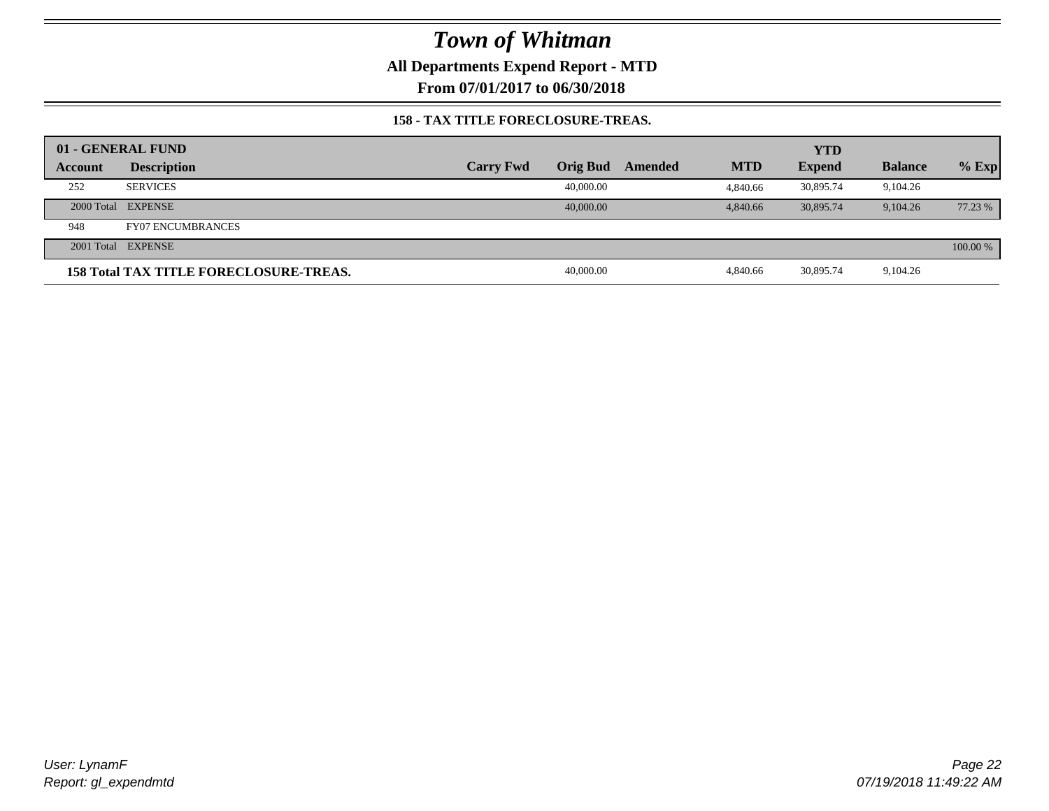**All Departments Expend Report - MTD**

**From 07/01/2017 to 06/30/2018**

#### **158 - TAX TITLE FORECLOSURE-TREAS.**

|         | 01 - GENERAL FUND                             |                  |                 |         |            | <b>YTD</b>    |                |          |
|---------|-----------------------------------------------|------------------|-----------------|---------|------------|---------------|----------------|----------|
| Account | <b>Description</b>                            | <b>Carry Fwd</b> | <b>Orig Bud</b> | Amended | <b>MTD</b> | <b>Expend</b> | <b>Balance</b> | $%$ Exp  |
| 252     | <b>SERVICES</b>                               |                  | 40,000.00       |         | 4.840.66   | 30.895.74     | 9,104.26       |          |
|         | 2000 Total EXPENSE                            |                  | 40,000,00       |         | 4,840.66   | 30,895.74     | 9.104.26       | 77.23 %  |
| 948     | <b>FY07 ENCUMBRANCES</b>                      |                  |                 |         |            |               |                |          |
|         | 2001 Total EXPENSE                            |                  |                 |         |            |               |                | 100.00 % |
|         | <b>158 Total TAX TITLE FORECLOSURE-TREAS.</b> |                  | 40,000.00       |         | 4.840.66   | 30,895.74     | 9,104.26       |          |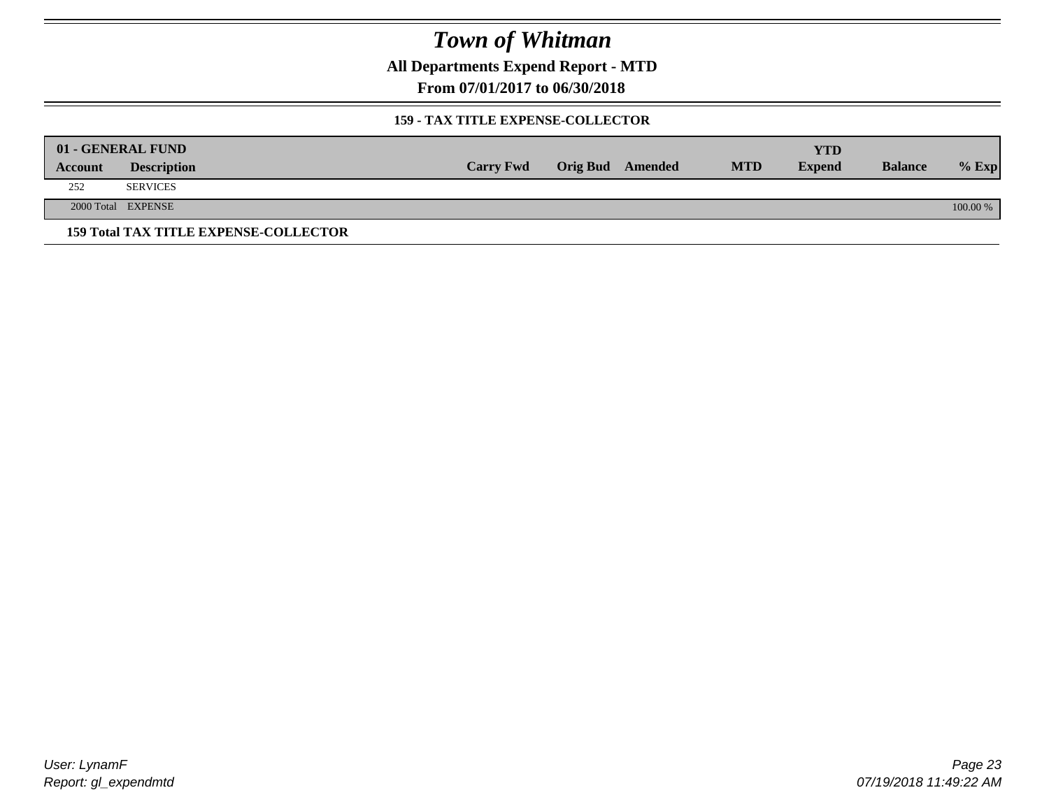**All Departments Expend Report - MTD**

**From 07/01/2017 to 06/30/2018**

#### **159 - TAX TITLE EXPENSE-COLLECTOR**

|         | 01 - GENERAL FUND                            |                  |                         |            | YTD           |                |          |
|---------|----------------------------------------------|------------------|-------------------------|------------|---------------|----------------|----------|
| Account | <b>Description</b>                           | <b>Carry Fwd</b> | <b>Orig Bud</b> Amended | <b>MTD</b> | <b>Expend</b> | <b>Balance</b> | $%$ Exp  |
| 252     | <b>SERVICES</b>                              |                  |                         |            |               |                |          |
|         | 2000 Total EXPENSE                           |                  |                         |            |               |                | 100.00 % |
|         | <b>159 Total TAX TITLE EXPENSE-COLLECTOR</b> |                  |                         |            |               |                |          |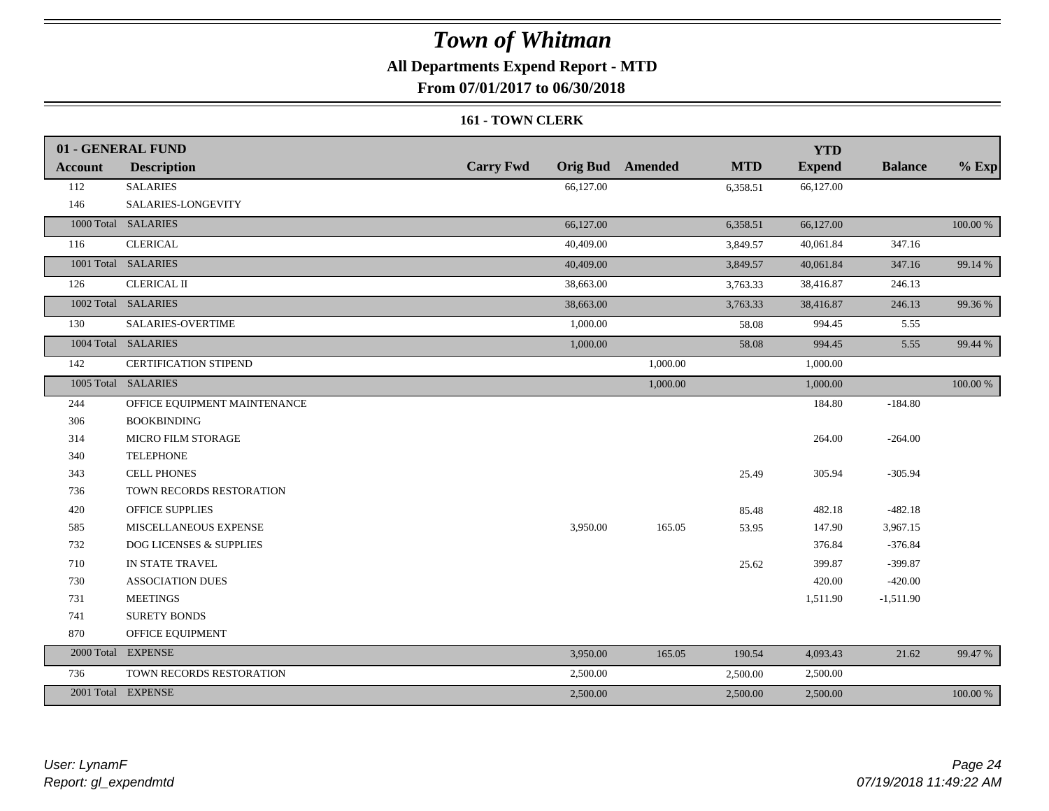### **All Departments Expend Report - MTD**

**From 07/01/2017 to 06/30/2018**

#### **161 - TOWN CLERK**

|                | 01 - GENERAL FUND            |                  |                         |            | <b>YTD</b>    |                |          |
|----------------|------------------------------|------------------|-------------------------|------------|---------------|----------------|----------|
| <b>Account</b> | <b>Description</b>           | <b>Carry Fwd</b> | <b>Orig Bud</b> Amended | <b>MTD</b> | <b>Expend</b> | <b>Balance</b> | $%$ Exp  |
| 112            | <b>SALARIES</b>              | 66,127.00        |                         | 6,358.51   | 66,127.00     |                |          |
| 146            | SALARIES-LONGEVITY           |                  |                         |            |               |                |          |
|                | 1000 Total SALARIES          | 66,127.00        |                         | 6,358.51   | 66,127.00     |                | 100.00 % |
| 116            | <b>CLERICAL</b>              | 40,409.00        |                         | 3,849.57   | 40,061.84     | 347.16         |          |
|                | 1001 Total SALARIES          | 40,409.00        |                         | 3,849.57   | 40,061.84     | 347.16         | 99.14 %  |
| 126            | <b>CLERICAL II</b>           | 38,663.00        |                         | 3,763.33   | 38,416.87     | 246.13         |          |
|                | 1002 Total SALARIES          | 38,663.00        |                         | 3,763.33   | 38,416.87     | 246.13         | 99.36 %  |
| 130            | SALARIES-OVERTIME            | 1,000.00         |                         | 58.08      | 994.45        | 5.55           |          |
|                | 1004 Total SALARIES          | 1,000.00         |                         | 58.08      | 994.45        | 5.55           | 99.44 %  |
| 142            | <b>CERTIFICATION STIPEND</b> |                  | 1,000.00                |            | 1,000.00      |                |          |
|                | 1005 Total SALARIES          |                  | 1,000.00                |            | 1,000.00      |                | 100.00 % |
| 244            | OFFICE EQUIPMENT MAINTENANCE |                  |                         |            | 184.80        | $-184.80$      |          |
| 306            | <b>BOOKBINDING</b>           |                  |                         |            |               |                |          |
| 314            | MICRO FILM STORAGE           |                  |                         |            | 264.00        | $-264.00$      |          |
| 340            | <b>TELEPHONE</b>             |                  |                         |            |               |                |          |
| 343            | <b>CELL PHONES</b>           |                  |                         | 25.49      | 305.94        | $-305.94$      |          |
| 736            | TOWN RECORDS RESTORATION     |                  |                         |            |               |                |          |
| 420            | <b>OFFICE SUPPLIES</b>       |                  |                         | 85.48      | 482.18        | $-482.18$      |          |
| 585            | MISCELLANEOUS EXPENSE        | 3,950.00         | 165.05                  | 53.95      | 147.90        | 3,967.15       |          |
| 732            | DOG LICENSES & SUPPLIES      |                  |                         |            | 376.84        | $-376.84$      |          |
| 710            | IN STATE TRAVEL              |                  |                         | 25.62      | 399.87        | $-399.87$      |          |
| 730            | <b>ASSOCIATION DUES</b>      |                  |                         |            | 420.00        | $-420.00$      |          |
| 731            | <b>MEETINGS</b>              |                  |                         |            | 1,511.90      | $-1,511.90$    |          |
| 741            | <b>SURETY BONDS</b>          |                  |                         |            |               |                |          |
| 870            | OFFICE EQUIPMENT             |                  |                         |            |               |                |          |
|                | 2000 Total EXPENSE           | 3,950.00         | 165.05                  | 190.54     | 4,093.43      | 21.62          | 99.47 %  |
| 736            | TOWN RECORDS RESTORATION     | 2,500.00         |                         | 2,500.00   | 2,500.00      |                |          |
|                | 2001 Total EXPENSE           | 2,500.00         |                         | 2,500.00   | 2,500.00      |                | 100.00 % |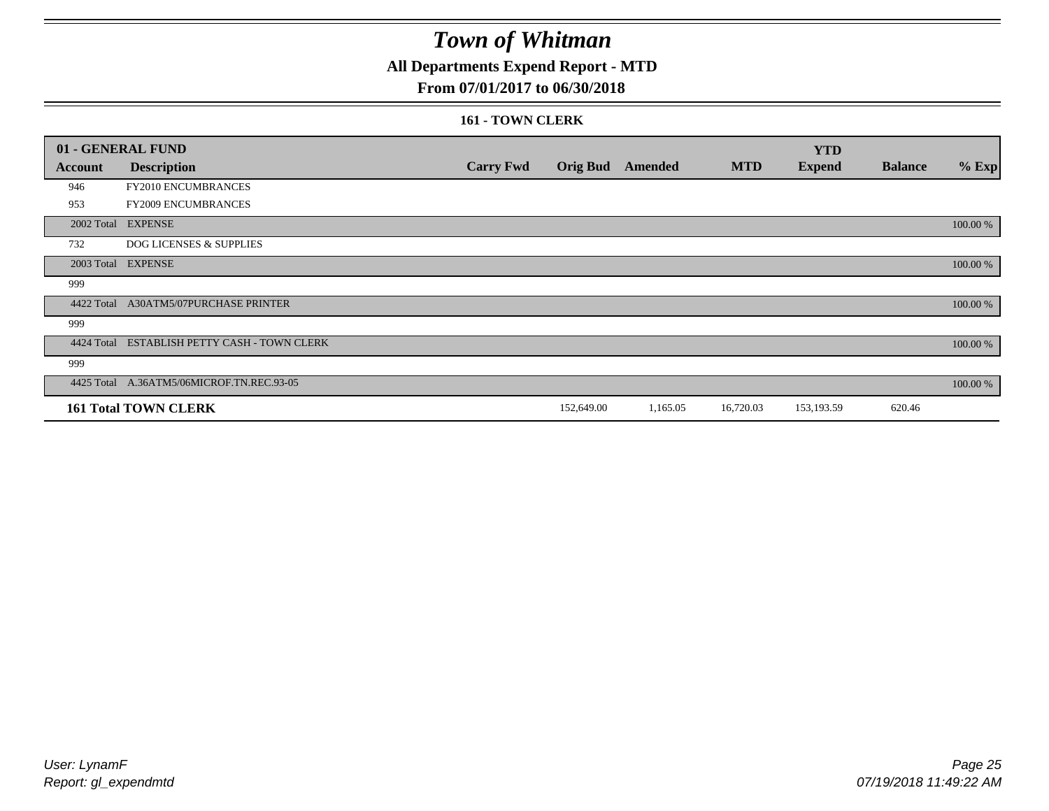## **All Departments Expend Report - MTD**

### **From 07/01/2017 to 06/30/2018**

#### **161 - TOWN CLERK**

|            | 01 - GENERAL FUND                  |                  |                 |          |            | <b>YTD</b>    |                |          |
|------------|------------------------------------|------------------|-----------------|----------|------------|---------------|----------------|----------|
| Account    | <b>Description</b>                 | <b>Carry Fwd</b> | <b>Orig Bud</b> | Amended  | <b>MTD</b> | <b>Expend</b> | <b>Balance</b> | $%$ Exp  |
| 946        | FY2010 ENCUMBRANCES                |                  |                 |          |            |               |                |          |
| 953        | FY2009 ENCUMBRANCES                |                  |                 |          |            |               |                |          |
| 2002 Total | <b>EXPENSE</b>                     |                  |                 |          |            |               |                | 100.00 % |
| 732        | <b>DOG LICENSES &amp; SUPPLIES</b> |                  |                 |          |            |               |                |          |
|            | 2003 Total EXPENSE                 |                  |                 |          |            |               |                | 100.00 % |
| 999        |                                    |                  |                 |          |            |               |                |          |
| 4422 Total | A30ATM5/07PURCHASE PRINTER         |                  |                 |          |            |               |                | 100.00 % |
| 999        |                                    |                  |                 |          |            |               |                |          |
| 4424 Total | ESTABLISH PETTY CASH - TOWN CLERK  |                  |                 |          |            |               |                | 100.00 % |
| 999        |                                    |                  |                 |          |            |               |                |          |
| 4425 Total | A.36ATM5/06MICROF.TN.REC.93-05     |                  |                 |          |            |               |                | 100.00 % |
|            | <b>161 Total TOWN CLERK</b>        |                  | 152,649.00      | 1,165.05 | 16,720.03  | 153,193.59    | 620.46         |          |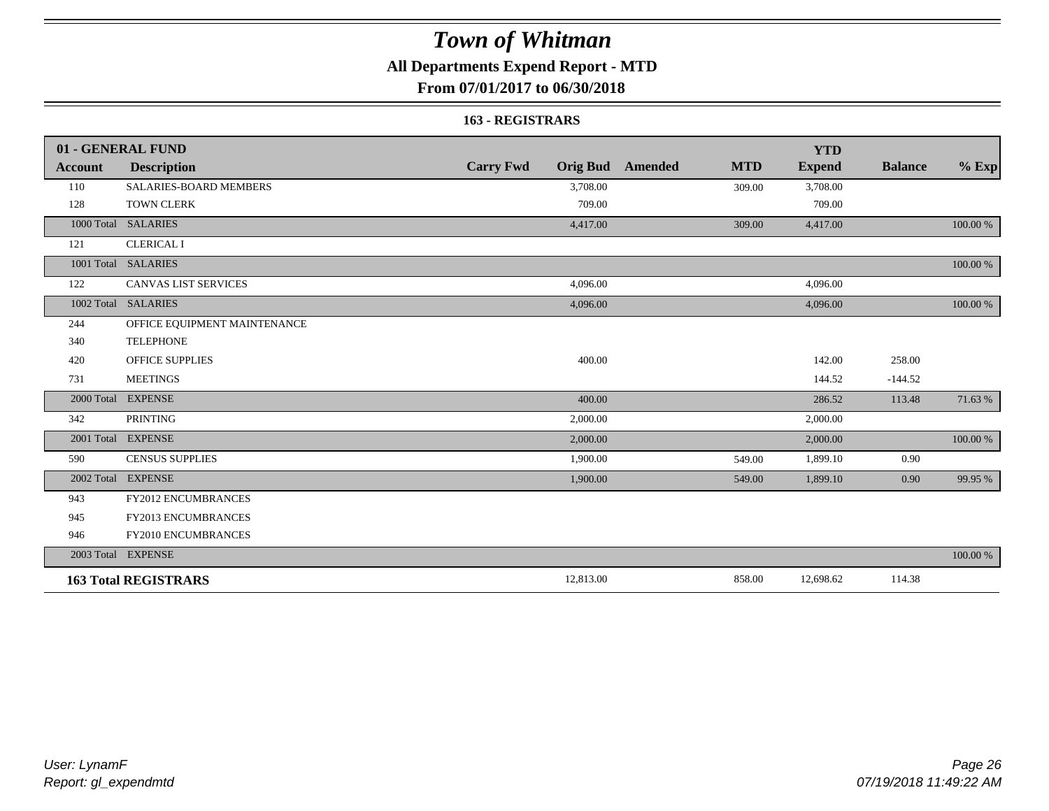## **All Departments Expend Report - MTD**

### **From 07/01/2017 to 06/30/2018**

#### **163 - REGISTRARS**

|                | 01 - GENERAL FUND             |                                     |                       | <b>YTD</b>    |                |             |
|----------------|-------------------------------|-------------------------------------|-----------------------|---------------|----------------|-------------|
| <b>Account</b> | <b>Description</b>            | <b>Carry Fwd</b><br><b>Orig Bud</b> | <b>MTD</b><br>Amended | <b>Expend</b> | <b>Balance</b> | $\%$ Exp    |
| 110            | <b>SALARIES-BOARD MEMBERS</b> | 3,708.00                            | 309.00                | 3,708.00      |                |             |
| 128            | <b>TOWN CLERK</b>             | 709.00                              |                       | 709.00        |                |             |
| 1000 Total     | <b>SALARIES</b>               | 4,417.00                            | 309.00                | 4,417.00      |                | 100.00 %    |
| 121            | <b>CLERICAL I</b>             |                                     |                       |               |                |             |
|                | 1001 Total SALARIES           |                                     |                       |               |                | 100.00 %    |
| 122            | <b>CANVAS LIST SERVICES</b>   | 4,096.00                            |                       | 4,096.00      |                |             |
| 1002 Total     | <b>SALARIES</b>               | 4,096.00                            |                       | 4,096.00      |                | 100.00 %    |
| 244            | OFFICE EQUIPMENT MAINTENANCE  |                                     |                       |               |                |             |
| 340            | <b>TELEPHONE</b>              |                                     |                       |               |                |             |
| 420            | <b>OFFICE SUPPLIES</b>        | 400.00                              |                       | 142.00        | 258.00         |             |
| 731            | <b>MEETINGS</b>               |                                     |                       | 144.52        | $-144.52$      |             |
| 2000 Total     | <b>EXPENSE</b>                | 400.00                              |                       | 286.52        | 113.48         | 71.63%      |
| 342            | <b>PRINTING</b>               | 2,000.00                            |                       | 2,000.00      |                |             |
|                | 2001 Total EXPENSE            | 2,000.00                            |                       | 2,000.00      |                | $100.00~\%$ |
| 590            | <b>CENSUS SUPPLIES</b>        | 1,900.00                            | 549.00                | 1,899.10      | 0.90           |             |
| 2002 Total     | <b>EXPENSE</b>                | 1,900.00                            | 549.00                | 1,899.10      | 0.90           | 99.95 %     |
| 943            | FY2012 ENCUMBRANCES           |                                     |                       |               |                |             |
| 945            | <b>FY2013 ENCUMBRANCES</b>    |                                     |                       |               |                |             |
| 946            | FY2010 ENCUMBRANCES           |                                     |                       |               |                |             |
|                | 2003 Total EXPENSE            |                                     |                       |               |                | 100.00 %    |
|                | <b>163 Total REGISTRARS</b>   | 12,813.00                           | 858.00                | 12,698.62     | 114.38         |             |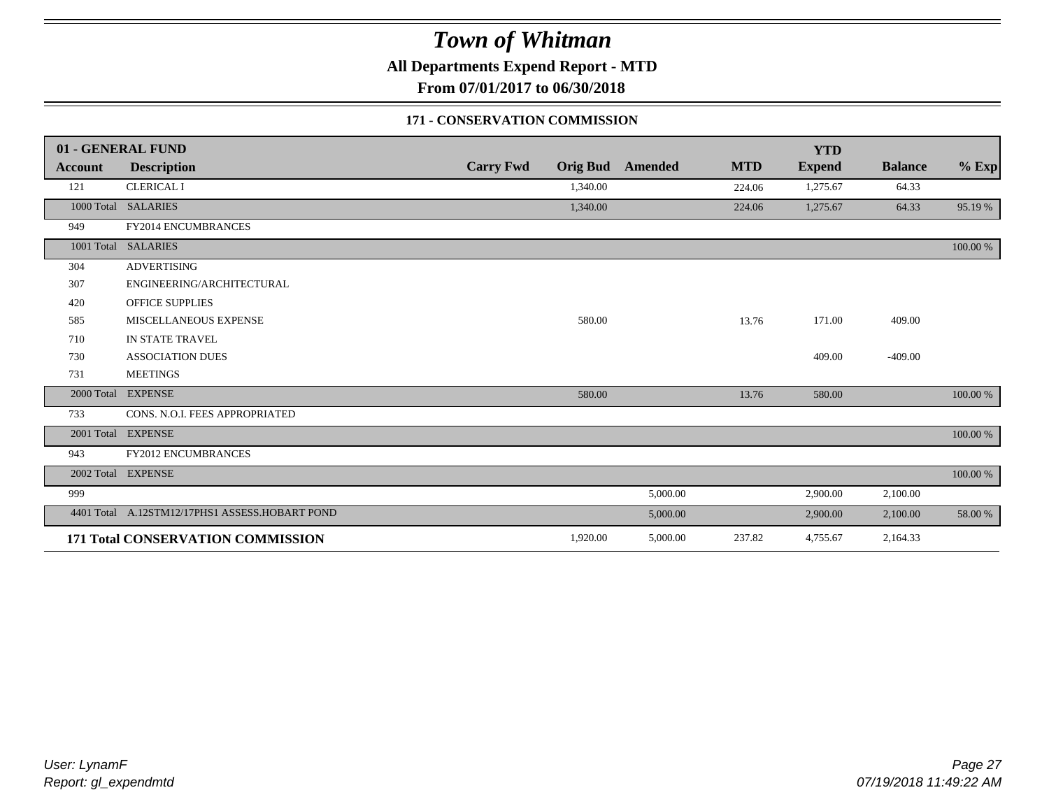**All Departments Expend Report - MTD**

**From 07/01/2017 to 06/30/2018**

### **171 - CONSERVATION COMMISSION**

|                | 01 - GENERAL FUND                              |                  |          |                         |            | <b>YTD</b>    |                |          |
|----------------|------------------------------------------------|------------------|----------|-------------------------|------------|---------------|----------------|----------|
| <b>Account</b> | <b>Description</b>                             | <b>Carry Fwd</b> |          | <b>Orig Bud</b> Amended | <b>MTD</b> | <b>Expend</b> | <b>Balance</b> | $%$ Exp  |
| 121            | <b>CLERICAL I</b>                              |                  | 1,340.00 |                         | 224.06     | 1,275.67      | 64.33          |          |
|                | 1000 Total SALARIES                            |                  | 1,340.00 |                         | 224.06     | 1,275.67      | 64.33          | 95.19 %  |
| 949            | FY2014 ENCUMBRANCES                            |                  |          |                         |            |               |                |          |
| 1001 Total     | <b>SALARIES</b>                                |                  |          |                         |            |               |                | 100.00 % |
| 304            | <b>ADVERTISING</b>                             |                  |          |                         |            |               |                |          |
| 307            | ENGINEERING/ARCHITECTURAL                      |                  |          |                         |            |               |                |          |
| 420            | <b>OFFICE SUPPLIES</b>                         |                  |          |                         |            |               |                |          |
| 585            | MISCELLANEOUS EXPENSE                          |                  | 580.00   |                         | 13.76      | 171.00        | 409.00         |          |
| 710            | IN STATE TRAVEL                                |                  |          |                         |            |               |                |          |
| 730            | <b>ASSOCIATION DUES</b>                        |                  |          |                         |            | 409.00        | $-409.00$      |          |
| 731            | <b>MEETINGS</b>                                |                  |          |                         |            |               |                |          |
| 2000 Total     | <b>EXPENSE</b>                                 |                  | 580.00   |                         | 13.76      | 580.00        |                | 100.00 % |
| 733            | CONS. N.O.I. FEES APPROPRIATED                 |                  |          |                         |            |               |                |          |
|                | 2001 Total EXPENSE                             |                  |          |                         |            |               |                | 100.00 % |
| 943            | FY2012 ENCUMBRANCES                            |                  |          |                         |            |               |                |          |
|                | 2002 Total EXPENSE                             |                  |          |                         |            |               |                | 100.00 % |
| 999            |                                                |                  |          | 5,000.00                |            | 2,900.00      | 2,100.00       |          |
|                | 4401 Total A.12STM12/17PHS1 ASSESS.HOBART POND |                  |          | 5,000.00                |            | 2,900.00      | 2,100.00       | 58.00 %  |
|                | 171 Total CONSERVATION COMMISSION              |                  | 1,920.00 | 5,000.00                | 237.82     | 4,755.67      | 2,164.33       |          |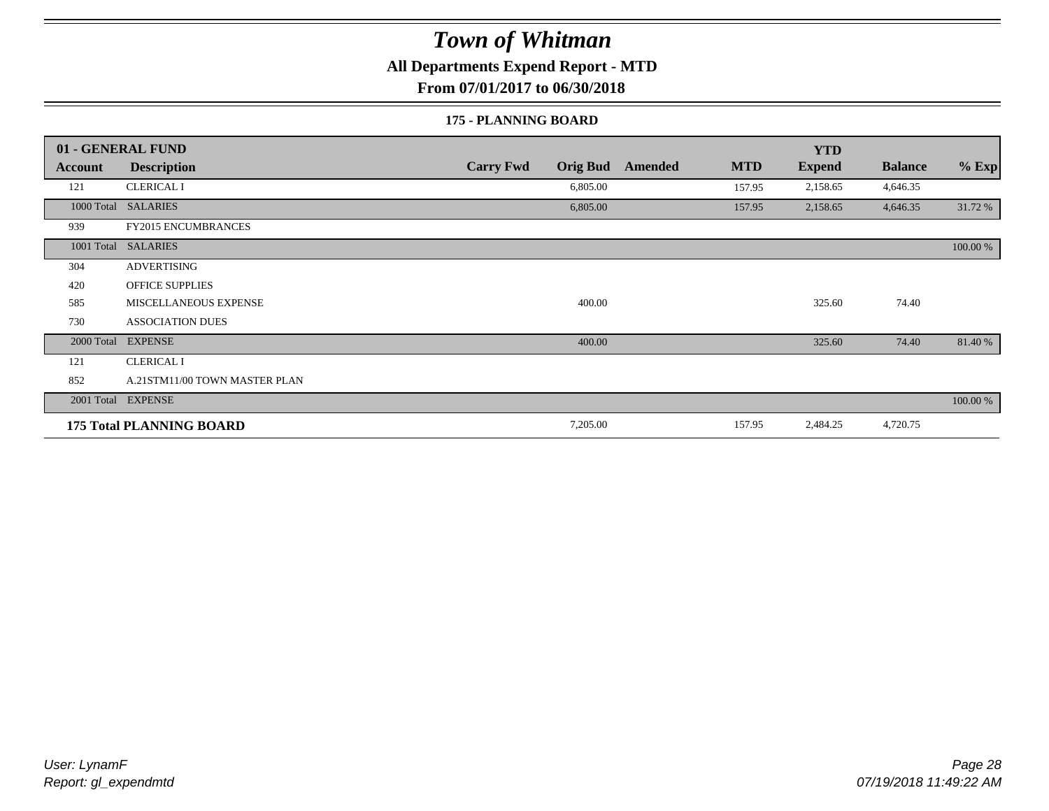### **All Departments Expend Report - MTD**

**From 07/01/2017 to 06/30/2018**

#### **175 - PLANNING BOARD**

|                | 01 - GENERAL FUND               |                                     |                       | <b>YTD</b>    |                |          |
|----------------|---------------------------------|-------------------------------------|-----------------------|---------------|----------------|----------|
| <b>Account</b> | <b>Description</b>              | <b>Carry Fwd</b><br><b>Orig Bud</b> | <b>MTD</b><br>Amended | <b>Expend</b> | <b>Balance</b> | $%$ Exp  |
| 121            | <b>CLERICAL I</b>               | 6,805.00                            | 157.95                | 2,158.65      | 4,646.35       |          |
| 1000 Total     | <b>SALARIES</b>                 | 6,805.00                            | 157.95                | 2,158.65      | 4,646.35       | 31.72 %  |
| 939            | <b>FY2015 ENCUMBRANCES</b>      |                                     |                       |               |                |          |
| 1001 Total     | <b>SALARIES</b>                 |                                     |                       |               |                | 100.00 % |
| 304            | <b>ADVERTISING</b>              |                                     |                       |               |                |          |
| 420            | <b>OFFICE SUPPLIES</b>          |                                     |                       |               |                |          |
| 585            | MISCELLANEOUS EXPENSE           | 400.00                              |                       | 325.60        | 74.40          |          |
| 730            | <b>ASSOCIATION DUES</b>         |                                     |                       |               |                |          |
| 2000 Total     | <b>EXPENSE</b>                  | 400.00                              |                       | 325.60        | 74.40          | 81.40 %  |
| 121            | <b>CLERICAL I</b>               |                                     |                       |               |                |          |
| 852            | A.21STM11/00 TOWN MASTER PLAN   |                                     |                       |               |                |          |
|                | 2001 Total EXPENSE              |                                     |                       |               |                | 100.00 % |
|                | <b>175 Total PLANNING BOARD</b> | 7,205.00                            | 157.95                | 2,484.25      | 4,720.75       |          |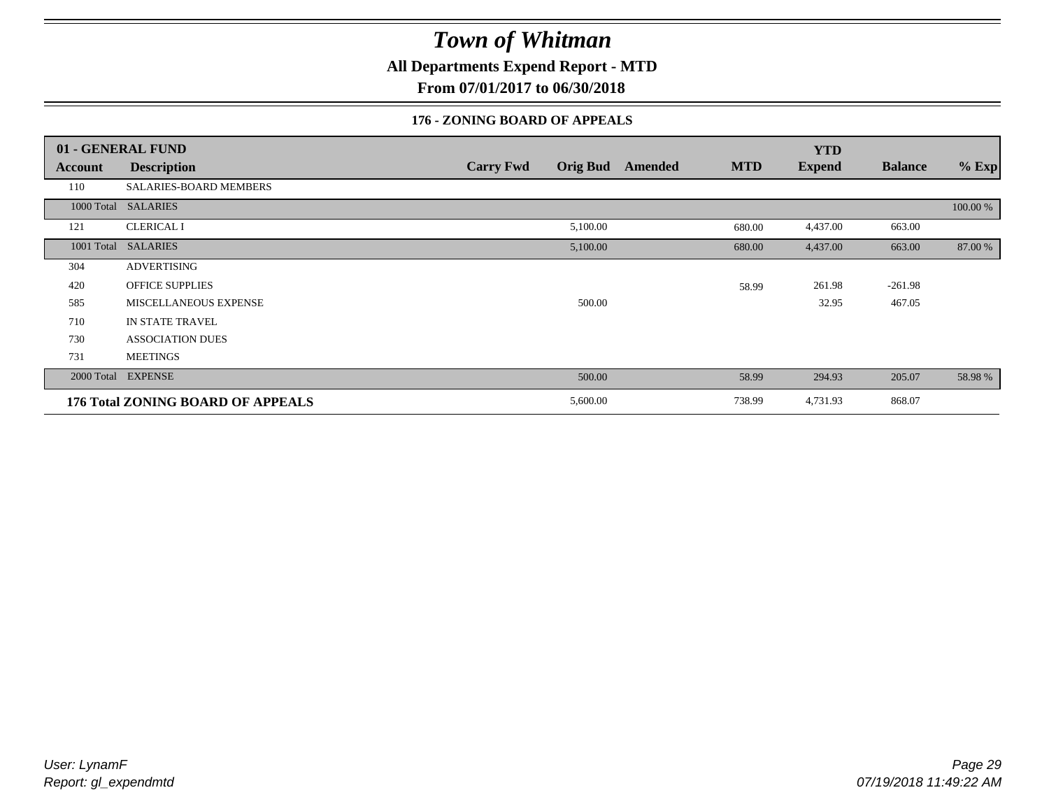**All Departments Expend Report - MTD**

**From 07/01/2017 to 06/30/2018**

### **176 - ZONING BOARD OF APPEALS**

|            | 01 - GENERAL FUND                 |                                     |                       | <b>YTD</b>    |                |          |
|------------|-----------------------------------|-------------------------------------|-----------------------|---------------|----------------|----------|
| Account    | <b>Description</b>                | <b>Carry Fwd</b><br><b>Orig Bud</b> | <b>MTD</b><br>Amended | <b>Expend</b> | <b>Balance</b> | $%$ Exp  |
| 110        | <b>SALARIES-BOARD MEMBERS</b>     |                                     |                       |               |                |          |
| 1000 Total | <b>SALARIES</b>                   |                                     |                       |               |                | 100.00 % |
| 121        | <b>CLERICAL I</b>                 | 5,100.00                            | 680.00                | 4,437.00      | 663.00         |          |
| 1001 Total | <b>SALARIES</b>                   | 5,100.00                            | 680.00                | 4,437.00      | 663.00         | 87.00 %  |
| 304        | <b>ADVERTISING</b>                |                                     |                       |               |                |          |
| 420        | <b>OFFICE SUPPLIES</b>            |                                     | 58.99                 | 261.98        | $-261.98$      |          |
| 585        | MISCELLANEOUS EXPENSE             | 500.00                              |                       | 32.95         | 467.05         |          |
| 710        | IN STATE TRAVEL                   |                                     |                       |               |                |          |
| 730        | <b>ASSOCIATION DUES</b>           |                                     |                       |               |                |          |
| 731        | <b>MEETINGS</b>                   |                                     |                       |               |                |          |
| 2000 Total | <b>EXPENSE</b>                    | 500.00                              | 58.99                 | 294.93        | 205.07         | 58.98 %  |
|            | 176 Total ZONING BOARD OF APPEALS | 5,600.00                            | 738.99                | 4,731.93      | 868.07         |          |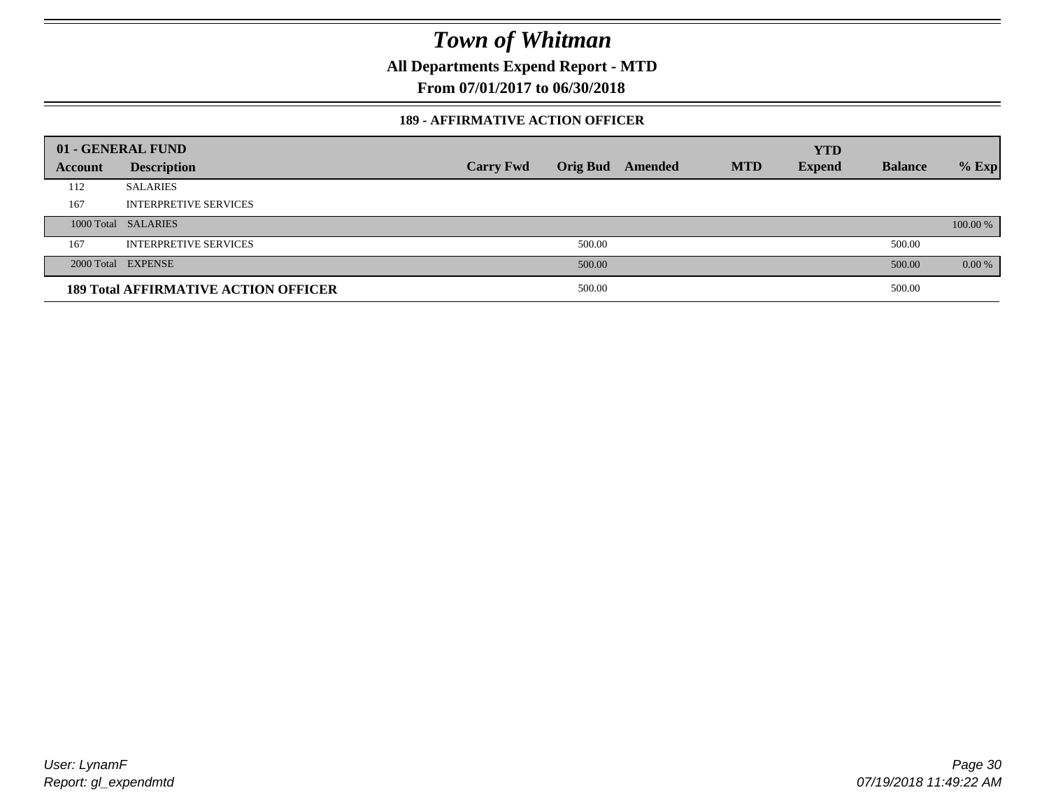**All Departments Expend Report - MTD**

**From 07/01/2017 to 06/30/2018**

#### **189 - AFFIRMATIVE ACTION OFFICER**

|         | 01 - GENERAL FUND                           |                  |        |                         |            | <b>YTD</b>    |                |          |
|---------|---------------------------------------------|------------------|--------|-------------------------|------------|---------------|----------------|----------|
| Account | <b>Description</b>                          | <b>Carry Fwd</b> |        | <b>Orig Bud</b> Amended | <b>MTD</b> | <b>Expend</b> | <b>Balance</b> | $%$ Exp  |
| 112     | <b>SALARIES</b>                             |                  |        |                         |            |               |                |          |
| 167     | <b>INTERPRETIVE SERVICES</b>                |                  |        |                         |            |               |                |          |
|         | 1000 Total SALARIES                         |                  |        |                         |            |               |                | 100.00 % |
| 167     | <b>INTERPRETIVE SERVICES</b>                |                  | 500.00 |                         |            |               | 500.00         |          |
|         | 2000 Total EXPENSE                          |                  | 500.00 |                         |            |               | 500.00         | $0.00\%$ |
|         | <b>189 Total AFFIRMATIVE ACTION OFFICER</b> |                  | 500.00 |                         |            |               | 500.00         |          |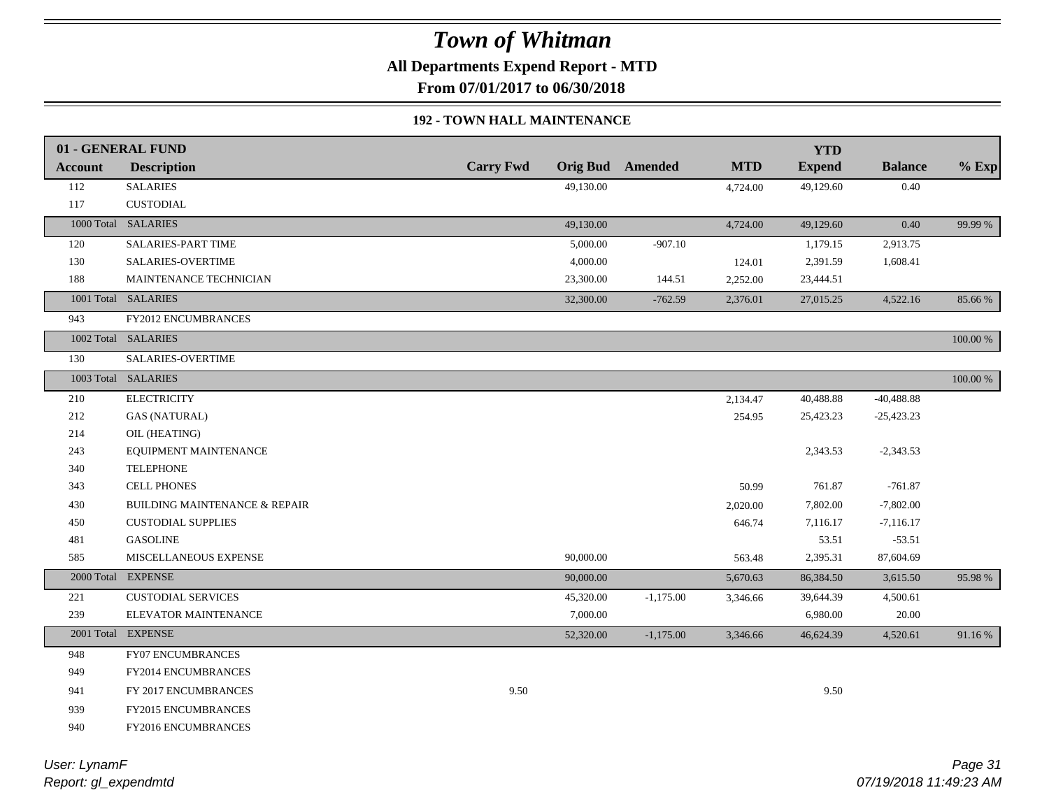**All Departments Expend Report - MTD**

**From 07/01/2017 to 06/30/2018**

### **192 - TOWN HALL MAINTENANCE**

|         | 01 - GENERAL FUND                        |                  |           |                         |            | <b>YTD</b>    |                |          |
|---------|------------------------------------------|------------------|-----------|-------------------------|------------|---------------|----------------|----------|
| Account | <b>Description</b>                       | <b>Carry Fwd</b> |           | <b>Orig Bud</b> Amended | <b>MTD</b> | <b>Expend</b> | <b>Balance</b> | $%$ Exp  |
| 112     | <b>SALARIES</b>                          |                  | 49,130.00 |                         | 4,724.00   | 49,129.60     | 0.40           |          |
| 117     | <b>CUSTODIAL</b>                         |                  |           |                         |            |               |                |          |
|         | 1000 Total SALARIES                      |                  | 49,130.00 |                         | 4,724.00   | 49,129.60     | 0.40           | 99.99 %  |
| 120     | SALARIES-PART TIME                       |                  | 5,000.00  | $-907.10$               |            | 1,179.15      | 2,913.75       |          |
| 130     | SALARIES-OVERTIME                        |                  | 4,000.00  |                         | 124.01     | 2,391.59      | 1,608.41       |          |
| 188     | MAINTENANCE TECHNICIAN                   |                  | 23,300.00 | 144.51                  | 2,252.00   | 23,444.51     |                |          |
|         | 1001 Total SALARIES                      |                  | 32,300.00 | $-762.59$               | 2,376.01   | 27,015.25     | 4,522.16       | 85.66 %  |
| 943     | <b>FY2012 ENCUMBRANCES</b>               |                  |           |                         |            |               |                |          |
|         | 1002 Total SALARIES                      |                  |           |                         |            |               |                | 100.00 % |
| 130     | SALARIES-OVERTIME                        |                  |           |                         |            |               |                |          |
|         | 1003 Total SALARIES                      |                  |           |                         |            |               |                | 100.00 % |
| 210     | <b>ELECTRICITY</b>                       |                  |           |                         | 2,134.47   | 40,488.88     | $-40,488.88$   |          |
| 212     | <b>GAS (NATURAL)</b>                     |                  |           |                         | 254.95     | 25,423.23     | $-25,423.23$   |          |
| 214     | OIL (HEATING)                            |                  |           |                         |            |               |                |          |
| 243     | EQUIPMENT MAINTENANCE                    |                  |           |                         |            | 2,343.53      | $-2,343.53$    |          |
| 340     | <b>TELEPHONE</b>                         |                  |           |                         |            |               |                |          |
| 343     | <b>CELL PHONES</b>                       |                  |           |                         | 50.99      | 761.87        | $-761.87$      |          |
| 430     | <b>BUILDING MAINTENANCE &amp; REPAIR</b> |                  |           |                         | 2,020.00   | 7,802.00      | $-7,802.00$    |          |
| 450     | <b>CUSTODIAL SUPPLIES</b>                |                  |           |                         | 646.74     | 7,116.17      | $-7,116.17$    |          |
| 481     | <b>GASOLINE</b>                          |                  |           |                         |            | 53.51         | $-53.51$       |          |
| 585     | <b>MISCELLANEOUS EXPENSE</b>             |                  | 90,000.00 |                         | 563.48     | 2,395.31      | 87,604.69      |          |
|         | 2000 Total EXPENSE                       |                  | 90,000.00 |                         | 5,670.63   | 86,384.50     | 3,615.50       | 95.98%   |
| 221     | <b>CUSTODIAL SERVICES</b>                |                  | 45,320.00 | $-1,175.00$             | 3,346.66   | 39,644.39     | 4,500.61       |          |
| 239     | ELEVATOR MAINTENANCE                     |                  | 7,000.00  |                         |            | 6,980.00      | 20.00          |          |
|         | 2001 Total EXPENSE                       |                  | 52,320.00 | $-1,175.00$             | 3,346.66   | 46,624.39     | 4,520.61       | 91.16%   |
| 948     | FY07 ENCUMBRANCES                        |                  |           |                         |            |               |                |          |
| 949     | <b>FY2014 ENCUMBRANCES</b>               |                  |           |                         |            |               |                |          |
| 941     | FY 2017 ENCUMBRANCES                     | 9.50             |           |                         |            | 9.50          |                |          |
| 939     | <b>FY2015 ENCUMBRANCES</b>               |                  |           |                         |            |               |                |          |
| 940     | FY2016 ENCUMBRANCES                      |                  |           |                         |            |               |                |          |
|         |                                          |                  |           |                         |            |               |                |          |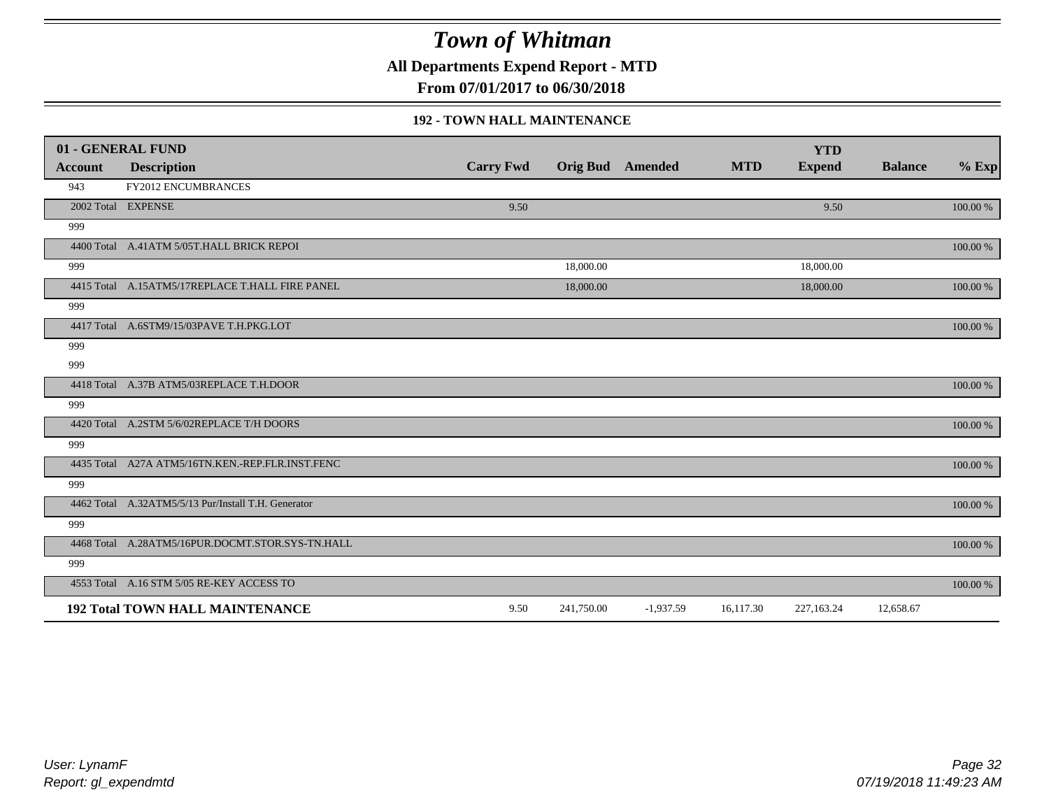**All Departments Expend Report - MTD**

**From 07/01/2017 to 06/30/2018**

#### **192 - TOWN HALL MAINTENANCE**

|         | 01 - GENERAL FUND                                   |                  |                         |             |            | <b>YTD</b>    |                |          |
|---------|-----------------------------------------------------|------------------|-------------------------|-------------|------------|---------------|----------------|----------|
| Account | <b>Description</b>                                  | <b>Carry Fwd</b> | <b>Orig Bud</b> Amended |             | <b>MTD</b> | <b>Expend</b> | <b>Balance</b> | $%$ Exp  |
| 943     | FY2012 ENCUMBRANCES                                 |                  |                         |             |            |               |                |          |
|         | 2002 Total EXPENSE                                  | 9.50             |                         |             |            | 9.50          |                | 100.00 % |
| 999     |                                                     |                  |                         |             |            |               |                |          |
|         | 4400 Total A.41ATM 5/05T.HALL BRICK REPOI           |                  |                         |             |            |               |                | 100.00 % |
| 999     |                                                     |                  | 18,000.00               |             |            | 18,000.00     |                |          |
|         | 4415 Total A.15ATM5/17REPLACE T.HALL FIRE PANEL     |                  | 18,000.00               |             |            | 18,000.00     |                | 100.00 % |
| 999     |                                                     |                  |                         |             |            |               |                |          |
|         | 4417 Total A.6STM9/15/03PAVE T.H.PKG.LOT            |                  |                         |             |            |               |                | 100.00 % |
| 999     |                                                     |                  |                         |             |            |               |                |          |
| 999     |                                                     |                  |                         |             |            |               |                |          |
|         | 4418 Total A.37B ATM5/03REPLACE T.H.DOOR            |                  |                         |             |            |               |                | 100.00 % |
| 999     |                                                     |                  |                         |             |            |               |                |          |
|         | 4420 Total A.2STM 5/6/02REPLACE T/H DOORS           |                  |                         |             |            |               |                | 100.00 % |
| 999     |                                                     |                  |                         |             |            |               |                |          |
|         | 4435 Total A27A ATM5/16TN.KEN.-REP.FLR.INST.FENC    |                  |                         |             |            |               |                | 100.00 % |
| 999     |                                                     |                  |                         |             |            |               |                |          |
|         | 4462 Total A.32ATM5/5/13 Pur/Install T.H. Generator |                  |                         |             |            |               |                | 100.00 % |
| 999     |                                                     |                  |                         |             |            |               |                |          |
|         | 4468 Total A.28ATM5/16PUR.DOCMT.STOR.SYS-TN.HALL    |                  |                         |             |            |               |                | 100.00 % |
| 999     |                                                     |                  |                         |             |            |               |                |          |
|         | 4553 Total A.16 STM 5/05 RE-KEY ACCESS TO           |                  |                         |             |            |               |                | 100.00 % |
|         | <b>192 Total TOWN HALL MAINTENANCE</b>              | 9.50             | 241,750.00              | $-1,937.59$ | 16,117.30  | 227,163.24    | 12,658.67      |          |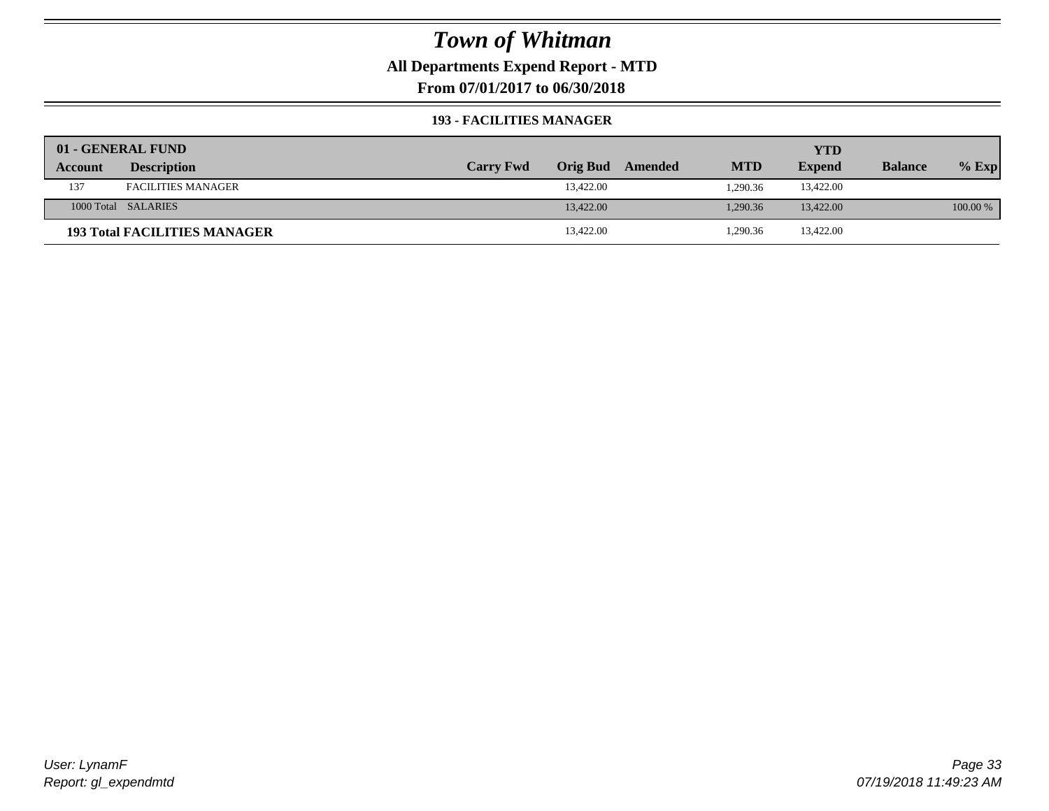**All Departments Expend Report - MTD**

**From 07/01/2017 to 06/30/2018**

#### **193 - FACILITIES MANAGER**

|         | 01 - GENERAL FUND                   |                  |           |                  |            | YTD           |                |          |
|---------|-------------------------------------|------------------|-----------|------------------|------------|---------------|----------------|----------|
| Account | <b>Description</b>                  | <b>Carry Fwd</b> |           | Orig Bud Amended | <b>MTD</b> | <b>Expend</b> | <b>Balance</b> | $%$ Exp  |
| 137     | <b>FACILITIES MANAGER</b>           |                  | 13,422.00 |                  | 1.290.36   | 13,422.00     |                |          |
|         | 1000 Total SALARIES                 |                  | 13,422.00 |                  | 1.290.36   | 13,422.00     |                | 100.00 % |
|         | <b>193 Total FACILITIES MANAGER</b> |                  | 13,422.00 |                  | 1,290.36   | 13,422.00     |                |          |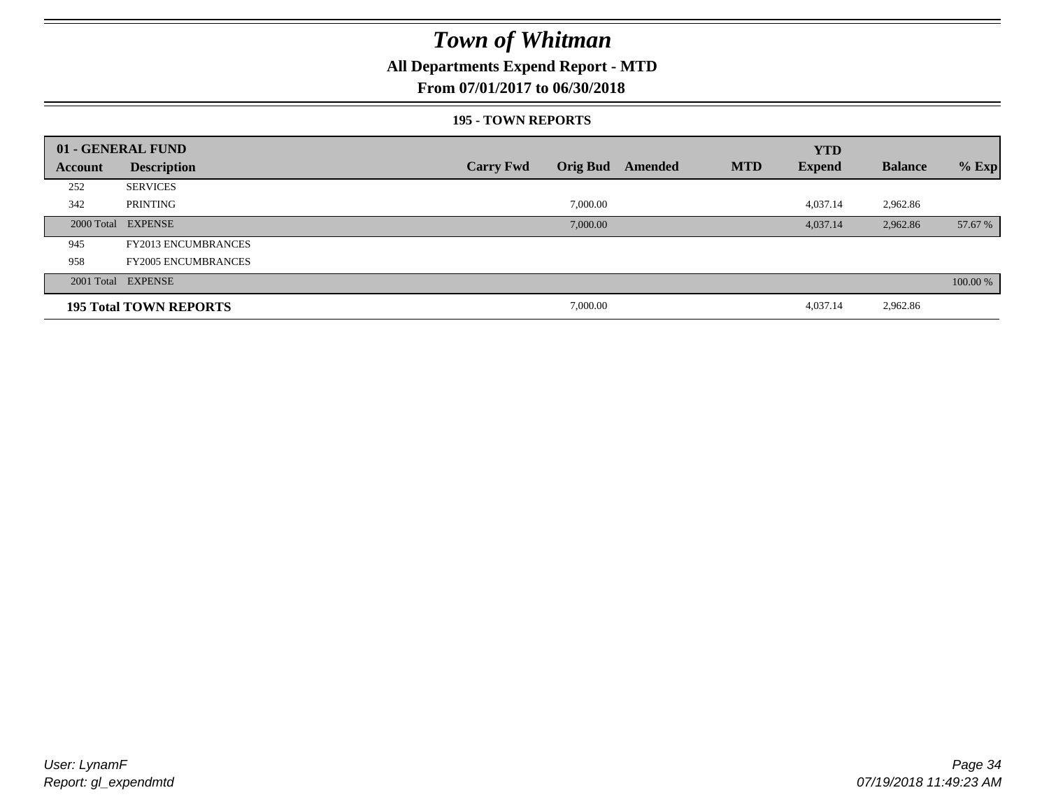### **All Departments Expend Report - MTD**

### **From 07/01/2017 to 06/30/2018**

#### **195 - TOWN REPORTS**

|         | 01 - GENERAL FUND             |                  |                 |         |            | <b>YTD</b>    |                |          |
|---------|-------------------------------|------------------|-----------------|---------|------------|---------------|----------------|----------|
| Account | <b>Description</b>            | <b>Carry Fwd</b> | <b>Orig Bud</b> | Amended | <b>MTD</b> | <b>Expend</b> | <b>Balance</b> | $%$ Exp  |
| 252     | <b>SERVICES</b>               |                  |                 |         |            |               |                |          |
| 342     | PRINTING                      |                  | 7,000.00        |         |            | 4,037.14      | 2,962.86       |          |
|         | 2000 Total EXPENSE            |                  | 7,000.00        |         |            | 4,037.14      | 2,962.86       | 57.67 %  |
| 945     | <b>FY2013 ENCUMBRANCES</b>    |                  |                 |         |            |               |                |          |
| 958     | <b>FY2005 ENCUMBRANCES</b>    |                  |                 |         |            |               |                |          |
|         | 2001 Total EXPENSE            |                  |                 |         |            |               |                | 100.00 % |
|         | <b>195 Total TOWN REPORTS</b> |                  | 7,000.00        |         |            | 4,037.14      | 2,962.86       |          |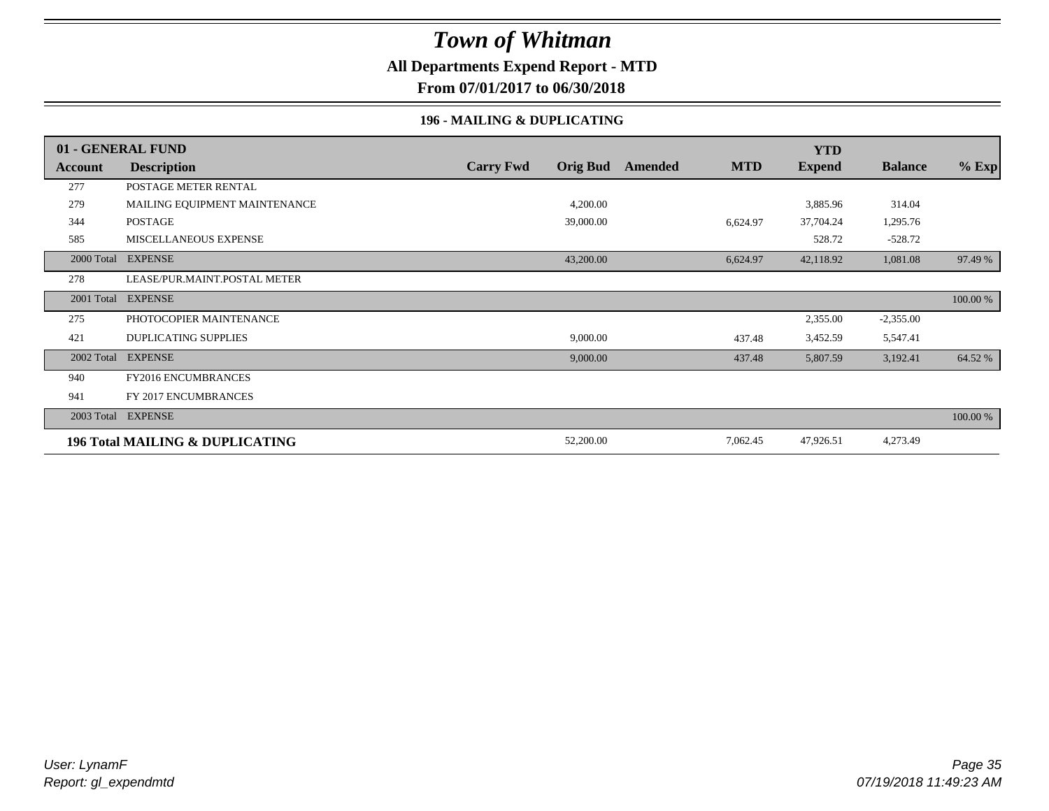### **All Departments Expend Report - MTD**

**From 07/01/2017 to 06/30/2018**

### **196 - MAILING & DUPLICATING**

|         | 01 - GENERAL FUND                          |                  |                 |         |            | <b>YTD</b>    |                |          |
|---------|--------------------------------------------|------------------|-----------------|---------|------------|---------------|----------------|----------|
| Account | <b>Description</b>                         | <b>Carry Fwd</b> | <b>Orig Bud</b> | Amended | <b>MTD</b> | <b>Expend</b> | <b>Balance</b> | $%$ Exp  |
| 277     | POSTAGE METER RENTAL                       |                  |                 |         |            |               |                |          |
| 279     | MAILING EQUIPMENT MAINTENANCE              |                  | 4,200.00        |         |            | 3,885.96      | 314.04         |          |
| 344     | <b>POSTAGE</b>                             |                  | 39,000.00       |         | 6,624.97   | 37,704.24     | 1,295.76       |          |
| 585     | MISCELLANEOUS EXPENSE                      |                  |                 |         |            | 528.72        | $-528.72$      |          |
|         | 2000 Total EXPENSE                         |                  | 43,200.00       |         | 6,624.97   | 42,118.92     | 1,081.08       | 97.49 %  |
| 278     | LEASE/PUR.MAINT.POSTAL METER               |                  |                 |         |            |               |                |          |
|         | 2001 Total EXPENSE                         |                  |                 |         |            |               |                | 100.00 % |
| 275     | PHOTOCOPIER MAINTENANCE                    |                  |                 |         |            | 2,355.00      | $-2,355.00$    |          |
| 421     | <b>DUPLICATING SUPPLIES</b>                |                  | 9,000.00        |         | 437.48     | 3,452.59      | 5,547.41       |          |
|         | 2002 Total EXPENSE                         |                  | 9,000.00        |         | 437.48     | 5,807.59      | 3,192.41       | 64.52 %  |
| 940     | FY2016 ENCUMBRANCES                        |                  |                 |         |            |               |                |          |
| 941     | FY 2017 ENCUMBRANCES                       |                  |                 |         |            |               |                |          |
|         | 2003 Total EXPENSE                         |                  |                 |         |            |               |                | 100.00 % |
|         | <b>196 Total MAILING &amp; DUPLICATING</b> |                  | 52,200.00       |         | 7,062.45   | 47,926.51     | 4,273.49       |          |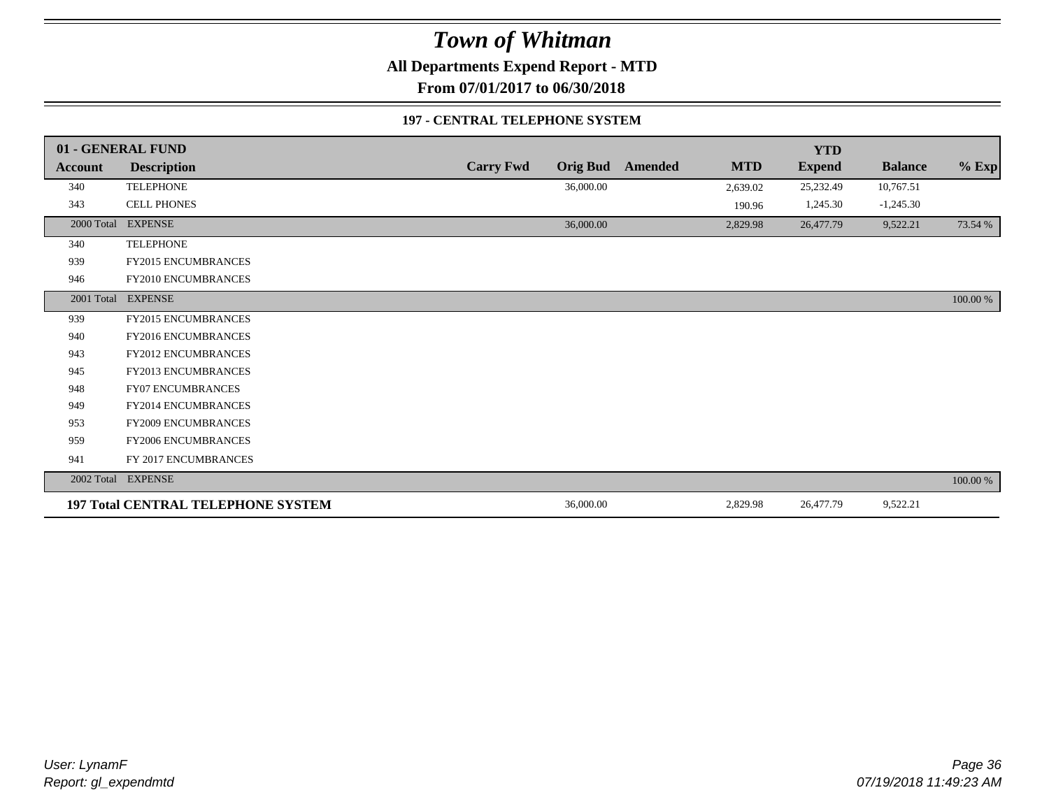**All Departments Expend Report - MTD**

**From 07/01/2017 to 06/30/2018**

### **197 - CENTRAL TELEPHONE SYSTEM**

|            | 01 - GENERAL FUND                         |                  |                 |         |            | <b>YTD</b>    |                |          |
|------------|-------------------------------------------|------------------|-----------------|---------|------------|---------------|----------------|----------|
| Account    | <b>Description</b>                        | <b>Carry Fwd</b> | <b>Orig Bud</b> | Amended | <b>MTD</b> | <b>Expend</b> | <b>Balance</b> | $%$ Exp  |
| 340        | <b>TELEPHONE</b>                          |                  | 36,000.00       |         | 2,639.02   | 25,232.49     | 10,767.51      |          |
| 343        | CELL PHONES                               |                  |                 |         | 190.96     | 1,245.30      | $-1,245.30$    |          |
| 2000 Total | <b>EXPENSE</b>                            |                  | 36,000.00       |         | 2,829.98   | 26,477.79     | 9,522.21       | 73.54 %  |
| 340        | <b>TELEPHONE</b>                          |                  |                 |         |            |               |                |          |
| 939        | FY2015 ENCUMBRANCES                       |                  |                 |         |            |               |                |          |
| 946        | FY2010 ENCUMBRANCES                       |                  |                 |         |            |               |                |          |
|            | 2001 Total EXPENSE                        |                  |                 |         |            |               |                | 100.00 % |
| 939        | FY2015 ENCUMBRANCES                       |                  |                 |         |            |               |                |          |
| 940        | <b>FY2016 ENCUMBRANCES</b>                |                  |                 |         |            |               |                |          |
| 943        | <b>FY2012 ENCUMBRANCES</b>                |                  |                 |         |            |               |                |          |
| 945        | <b>FY2013 ENCUMBRANCES</b>                |                  |                 |         |            |               |                |          |
| 948        | FY07 ENCUMBRANCES                         |                  |                 |         |            |               |                |          |
| 949        | FY2014 ENCUMBRANCES                       |                  |                 |         |            |               |                |          |
| 953        | <b>FY2009 ENCUMBRANCES</b>                |                  |                 |         |            |               |                |          |
| 959        | FY2006 ENCUMBRANCES                       |                  |                 |         |            |               |                |          |
| 941        | FY 2017 ENCUMBRANCES                      |                  |                 |         |            |               |                |          |
|            | 2002 Total EXPENSE                        |                  |                 |         |            |               |                | 100.00 % |
|            | <b>197 Total CENTRAL TELEPHONE SYSTEM</b> |                  | 36,000.00       |         | 2,829.98   | 26,477.79     | 9,522.21       |          |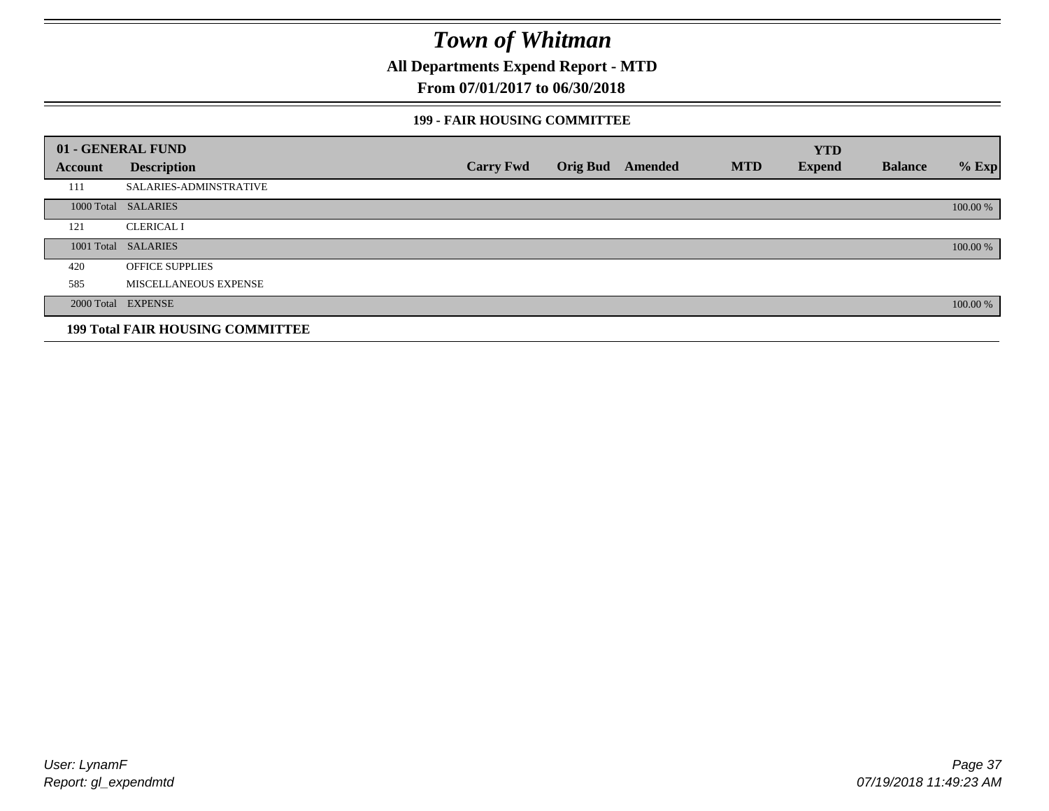**All Departments Expend Report - MTD**

### **From 07/01/2017 to 06/30/2018**

#### **199 - FAIR HOUSING COMMITTEE**

|         | 01 - GENERAL FUND                       |                  |                         |            | <b>YTD</b>    |                |          |
|---------|-----------------------------------------|------------------|-------------------------|------------|---------------|----------------|----------|
| Account | <b>Description</b>                      | <b>Carry Fwd</b> | <b>Orig Bud</b> Amended | <b>MTD</b> | <b>Expend</b> | <b>Balance</b> | $%$ Exp  |
| 111     | SALARIES-ADMINSTRATIVE                  |                  |                         |            |               |                |          |
|         | 1000 Total SALARIES                     |                  |                         |            |               |                | 100.00 % |
| 121     | <b>CLERICAL I</b>                       |                  |                         |            |               |                |          |
|         | 1001 Total SALARIES                     |                  |                         |            |               |                | 100.00 % |
| 420     | <b>OFFICE SUPPLIES</b>                  |                  |                         |            |               |                |          |
| 585     | MISCELLANEOUS EXPENSE                   |                  |                         |            |               |                |          |
|         | 2000 Total EXPENSE                      |                  |                         |            |               |                | 100.00 % |
|         | <b>199 Total FAIR HOUSING COMMITTEE</b> |                  |                         |            |               |                |          |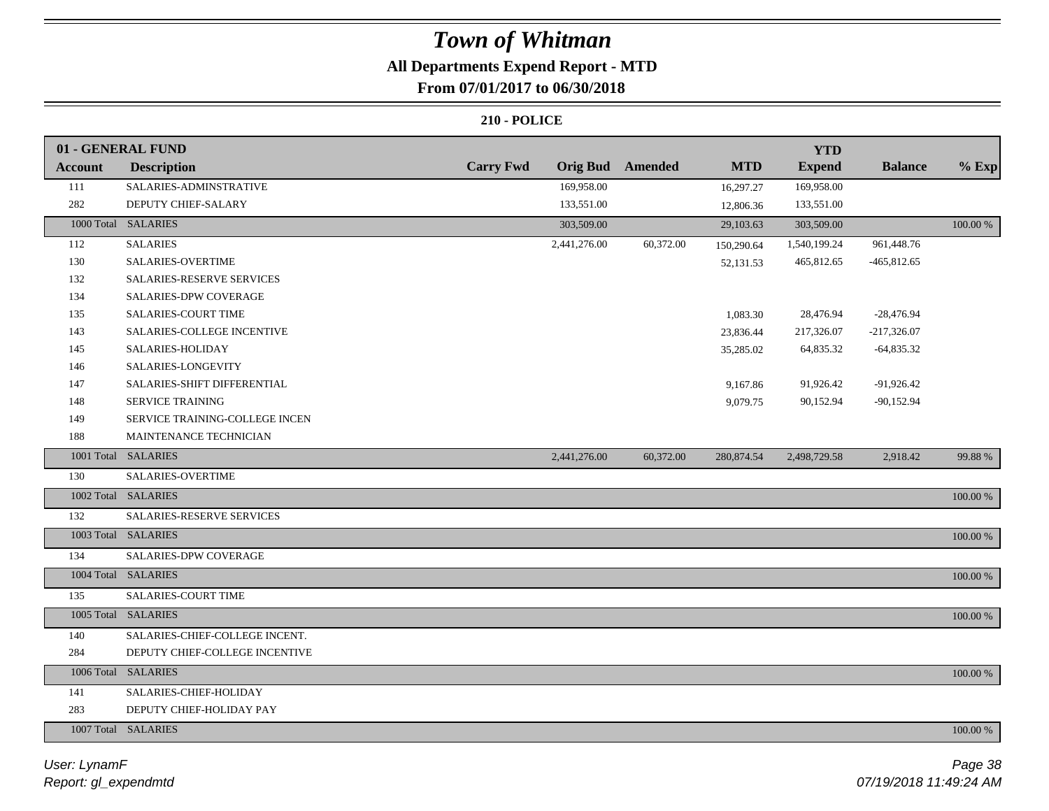## **All Departments Expend Report - MTD**

### **From 07/01/2017 to 06/30/2018**

|                | 01 - GENERAL FUND                |                  |                 |                |            | <b>YTD</b>    |                |             |
|----------------|----------------------------------|------------------|-----------------|----------------|------------|---------------|----------------|-------------|
| <b>Account</b> | <b>Description</b>               | <b>Carry Fwd</b> | <b>Orig Bud</b> | <b>Amended</b> | <b>MTD</b> | <b>Expend</b> | <b>Balance</b> | $%$ Exp     |
| 111            | SALARIES-ADMINSTRATIVE           |                  | 169,958.00      |                | 16,297.27  | 169,958.00    |                |             |
| 282            | DEPUTY CHIEF-SALARY              |                  | 133,551.00      |                | 12,806.36  | 133,551.00    |                |             |
|                | 1000 Total SALARIES              |                  | 303,509.00      |                | 29,103.63  | 303,509.00    |                | 100.00 %    |
| 112            | <b>SALARIES</b>                  |                  | 2,441,276.00    | 60,372.00      | 150,290.64 | 1,540,199.24  | 961,448.76     |             |
| 130            | <b>SALARIES-OVERTIME</b>         |                  |                 |                | 52,131.53  | 465,812.65    | $-465,812.65$  |             |
| 132            | <b>SALARIES-RESERVE SERVICES</b> |                  |                 |                |            |               |                |             |
| 134            | SALARIES-DPW COVERAGE            |                  |                 |                |            |               |                |             |
| 135            | SALARIES-COURT TIME              |                  |                 |                | 1,083.30   | 28,476.94     | $-28,476.94$   |             |
| 143            | SALARIES-COLLEGE INCENTIVE       |                  |                 |                | 23,836.44  | 217,326.07    | $-217,326.07$  |             |
| 145            | SALARIES-HOLIDAY                 |                  |                 |                | 35,285.02  | 64,835.32     | $-64,835.32$   |             |
| 146            | SALARIES-LONGEVITY               |                  |                 |                |            |               |                |             |
| 147            | SALARIES-SHIFT DIFFERENTIAL      |                  |                 |                | 9,167.86   | 91,926.42     | -91,926.42     |             |
| 148            | <b>SERVICE TRAINING</b>          |                  |                 |                | 9,079.75   | 90,152.94     | $-90,152.94$   |             |
| 149            | SERVICE TRAINING-COLLEGE INCEN   |                  |                 |                |            |               |                |             |
| 188            | MAINTENANCE TECHNICIAN           |                  |                 |                |            |               |                |             |
|                | 1001 Total SALARIES              |                  | 2,441,276.00    | 60,372.00      | 280,874.54 | 2,498,729.58  | 2,918.42       | 99.88%      |
| 130            | <b>SALARIES-OVERTIME</b>         |                  |                 |                |            |               |                |             |
|                | 1002 Total SALARIES              |                  |                 |                |            |               |                | $100.00~\%$ |
| 132            | SALARIES-RESERVE SERVICES        |                  |                 |                |            |               |                |             |
|                | 1003 Total SALARIES              |                  |                 |                |            |               |                | 100.00 %    |
| 134            | SALARIES-DPW COVERAGE            |                  |                 |                |            |               |                |             |
|                | 1004 Total SALARIES              |                  |                 |                |            |               |                | 100.00 %    |
| 135            | <b>SALARIES-COURT TIME</b>       |                  |                 |                |            |               |                |             |
|                | 1005 Total SALARIES              |                  |                 |                |            |               |                | 100.00 %    |
| 140            | SALARIES-CHIEF-COLLEGE INCENT.   |                  |                 |                |            |               |                |             |
| 284            | DEPUTY CHIEF-COLLEGE INCENTIVE   |                  |                 |                |            |               |                |             |
|                | 1006 Total SALARIES              |                  |                 |                |            |               |                | 100.00 %    |
| 141            | SALARIES-CHIEF-HOLIDAY           |                  |                 |                |            |               |                |             |
| 283            | DEPUTY CHIEF-HOLIDAY PAY         |                  |                 |                |            |               |                |             |
|                | 1007 Total SALARIES              |                  |                 |                |            |               |                | 100.00 %    |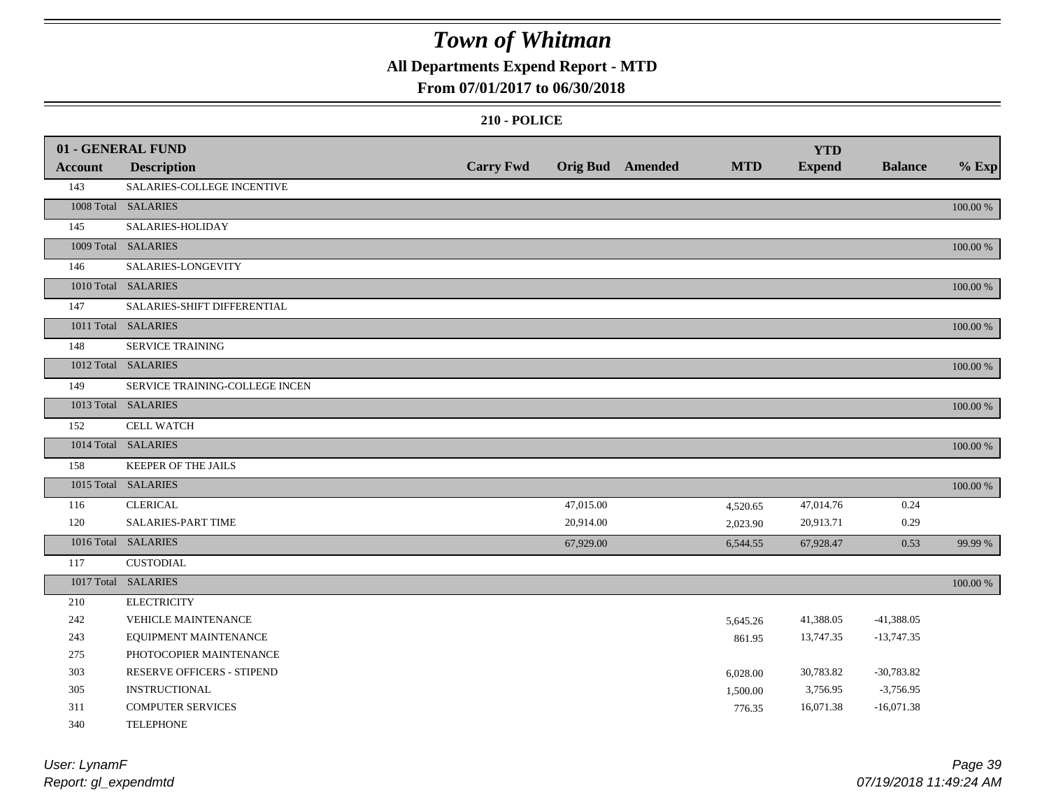### **All Departments Expend Report - MTD**

### **From 07/01/2017 to 06/30/2018**

|         | 01 - GENERAL FUND              |                  |           |                  |            | <b>YTD</b>    |                |          |
|---------|--------------------------------|------------------|-----------|------------------|------------|---------------|----------------|----------|
| Account | <b>Description</b>             | <b>Carry Fwd</b> |           | Orig Bud Amended | <b>MTD</b> | <b>Expend</b> | <b>Balance</b> | $%$ Exp  |
| 143     | SALARIES-COLLEGE INCENTIVE     |                  |           |                  |            |               |                |          |
|         | 1008 Total SALARIES            |                  |           |                  |            |               |                | 100.00 % |
| 145     | SALARIES-HOLIDAY               |                  |           |                  |            |               |                |          |
|         | 1009 Total SALARIES            |                  |           |                  |            |               |                | 100.00 % |
| 146     | SALARIES-LONGEVITY             |                  |           |                  |            |               |                |          |
|         | 1010 Total SALARIES            |                  |           |                  |            |               |                | 100.00 % |
| 147     | SALARIES-SHIFT DIFFERENTIAL    |                  |           |                  |            |               |                |          |
|         | 1011 Total SALARIES            |                  |           |                  |            |               |                | 100.00 % |
| 148     | SERVICE TRAINING               |                  |           |                  |            |               |                |          |
|         | 1012 Total SALARIES            |                  |           |                  |            |               |                | 100.00 % |
| 149     | SERVICE TRAINING-COLLEGE INCEN |                  |           |                  |            |               |                |          |
|         | 1013 Total SALARIES            |                  |           |                  |            |               |                | 100.00 % |
| 152     | <b>CELL WATCH</b>              |                  |           |                  |            |               |                |          |
|         | 1014 Total SALARIES            |                  |           |                  |            |               |                | 100.00 % |
| 158     | KEEPER OF THE JAILS            |                  |           |                  |            |               |                |          |
|         | 1015 Total SALARIES            |                  |           |                  |            |               |                | 100.00 % |
| 116     | <b>CLERICAL</b>                |                  | 47,015.00 |                  | 4,520.65   | 47,014.76     | 0.24           |          |
| 120     | <b>SALARIES-PART TIME</b>      |                  | 20,914.00 |                  | 2,023.90   | 20,913.71     | 0.29           |          |
|         | 1016 Total SALARIES            |                  | 67,929.00 |                  | 6,544.55   | 67,928.47     | 0.53           | 99.99 %  |
| 117     | <b>CUSTODIAL</b>               |                  |           |                  |            |               |                |          |
|         | 1017 Total SALARIES            |                  |           |                  |            |               |                | 100.00 % |
| 210     | <b>ELECTRICITY</b>             |                  |           |                  |            |               |                |          |
| 242     | <b>VEHICLE MAINTENANCE</b>     |                  |           |                  | 5,645.26   | 41,388.05     | $-41,388.05$   |          |
| 243     | EQUIPMENT MAINTENANCE          |                  |           |                  | 861.95     | 13,747.35     | $-13,747.35$   |          |
| 275     | PHOTOCOPIER MAINTENANCE        |                  |           |                  |            |               |                |          |
| 303     | RESERVE OFFICERS - STIPEND     |                  |           |                  | 6,028.00   | 30,783.82     | $-30,783.82$   |          |
| 305     | <b>INSTRUCTIONAL</b>           |                  |           |                  | 1,500.00   | 3,756.95      | $-3,756.95$    |          |
| 311     | <b>COMPUTER SERVICES</b>       |                  |           |                  | 776.35     | 16,071.38     | $-16,071.38$   |          |
| 340     | <b>TELEPHONE</b>               |                  |           |                  |            |               |                |          |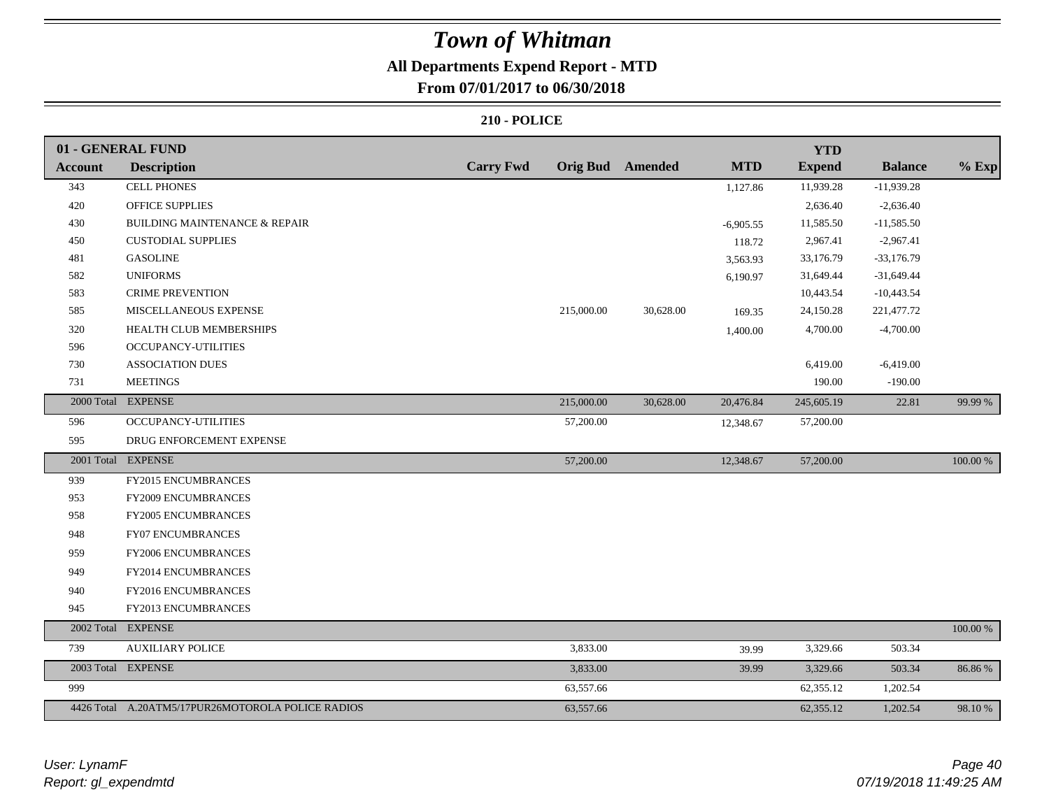### **All Departments Expend Report - MTD**

### **From 07/01/2017 to 06/30/2018**

|                | 01 - GENERAL FUND                                 |                  |            |                         |             | <b>YTD</b>    |                |             |
|----------------|---------------------------------------------------|------------------|------------|-------------------------|-------------|---------------|----------------|-------------|
| <b>Account</b> | <b>Description</b>                                | <b>Carry Fwd</b> |            | <b>Orig Bud</b> Amended | <b>MTD</b>  | <b>Expend</b> | <b>Balance</b> | $%$ Exp     |
| 343            | <b>CELL PHONES</b>                                |                  |            |                         | 1,127.86    | 11,939.28     | $-11,939.28$   |             |
| 420            | <b>OFFICE SUPPLIES</b>                            |                  |            |                         |             | 2,636.40      | $-2,636.40$    |             |
| 430            | <b>BUILDING MAINTENANCE &amp; REPAIR</b>          |                  |            |                         | $-6,905.55$ | 11,585.50     | $-11,585.50$   |             |
| 450            | <b>CUSTODIAL SUPPLIES</b>                         |                  |            |                         | 118.72      | 2,967.41      | $-2,967.41$    |             |
| 481            | <b>GASOLINE</b>                                   |                  |            |                         | 3,563.93    | 33,176.79     | $-33,176.79$   |             |
| 582            | <b>UNIFORMS</b>                                   |                  |            |                         | 6,190.97    | 31,649.44     | $-31,649.44$   |             |
| 583            | <b>CRIME PREVENTION</b>                           |                  |            |                         |             | 10,443.54     | $-10,443.54$   |             |
| 585            | MISCELLANEOUS EXPENSE                             |                  | 215,000.00 | 30,628.00               | 169.35      | 24,150.28     | 221,477.72     |             |
| 320            | HEALTH CLUB MEMBERSHIPS                           |                  |            |                         | 1,400.00    | 4,700.00      | $-4,700.00$    |             |
| 596            | <b>OCCUPANCY-UTILITIES</b>                        |                  |            |                         |             |               |                |             |
| 730            | <b>ASSOCIATION DUES</b>                           |                  |            |                         |             | 6,419.00      | $-6,419.00$    |             |
| 731            | <b>MEETINGS</b>                                   |                  |            |                         |             | 190.00        | $-190.00$      |             |
|                | 2000 Total EXPENSE                                |                  | 215,000.00 | 30,628.00               | 20,476.84   | 245,605.19    | 22.81          | 99.99 %     |
| 596            | OCCUPANCY-UTILITIES                               |                  | 57,200.00  |                         | 12,348.67   | 57,200.00     |                |             |
| 595            | DRUG ENFORCEMENT EXPENSE                          |                  |            |                         |             |               |                |             |
|                | 2001 Total EXPENSE                                |                  | 57,200.00  |                         | 12,348.67   | 57,200.00     |                | 100.00 %    |
| 939            | <b>FY2015 ENCUMBRANCES</b>                        |                  |            |                         |             |               |                |             |
| 953            | FY2009 ENCUMBRANCES                               |                  |            |                         |             |               |                |             |
| 958            | FY2005 ENCUMBRANCES                               |                  |            |                         |             |               |                |             |
| 948            | FY07 ENCUMBRANCES                                 |                  |            |                         |             |               |                |             |
| 959            | FY2006 ENCUMBRANCES                               |                  |            |                         |             |               |                |             |
| 949            | FY2014 ENCUMBRANCES                               |                  |            |                         |             |               |                |             |
| 940            | FY2016 ENCUMBRANCES                               |                  |            |                         |             |               |                |             |
| 945            | FY2013 ENCUMBRANCES                               |                  |            |                         |             |               |                |             |
|                | 2002 Total EXPENSE                                |                  |            |                         |             |               |                | $100.00~\%$ |
| 739            | <b>AUXILIARY POLICE</b>                           |                  | 3,833.00   |                         | 39.99       | 3,329.66      | 503.34         |             |
|                | 2003 Total EXPENSE                                |                  | 3,833.00   |                         | 39.99       | 3,329.66      | 503.34         | 86.86%      |
| 999            |                                                   |                  | 63,557.66  |                         |             | 62,355.12     | 1,202.54       |             |
|                | 4426 Total A.20ATM5/17PUR26MOTOROLA POLICE RADIOS |                  | 63,557.66  |                         |             | 62,355.12     | 1,202.54       | 98.10 %     |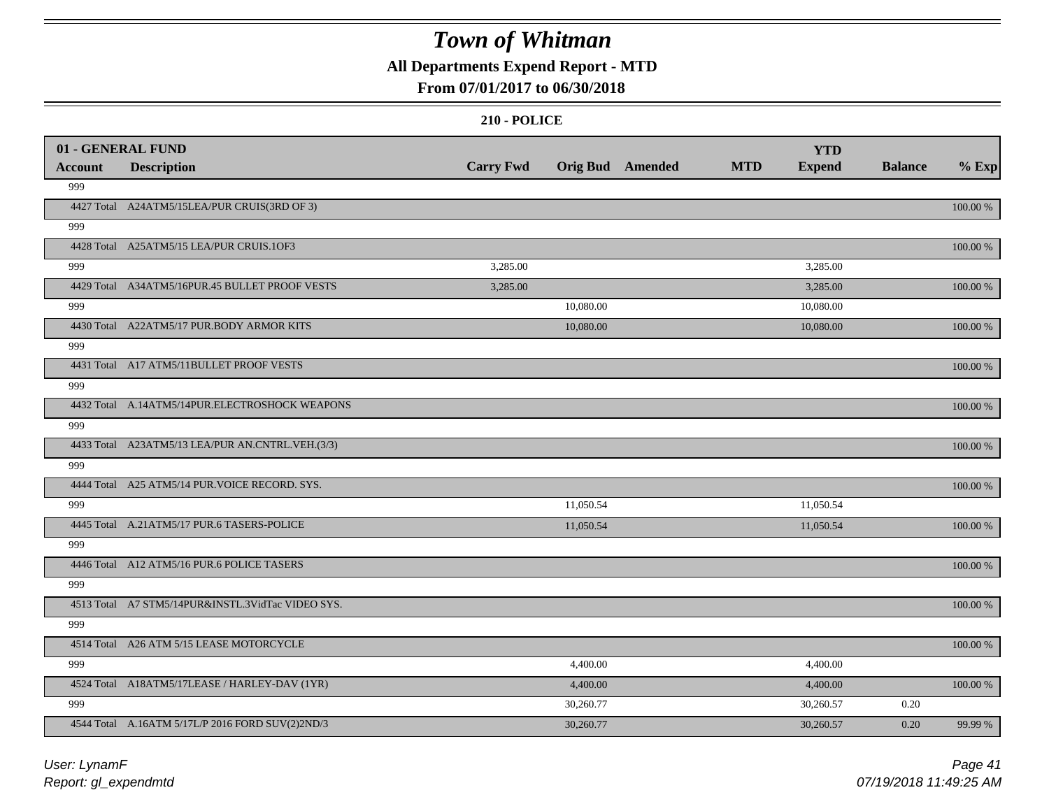### **All Departments Expend Report - MTD**

### **From 07/01/2017 to 06/30/2018**

|                | 01 - GENERAL FUND                                 |                  |                  |            | <b>YTD</b>    |                |             |
|----------------|---------------------------------------------------|------------------|------------------|------------|---------------|----------------|-------------|
| <b>Account</b> | <b>Description</b>                                | <b>Carry Fwd</b> | Orig Bud Amended | <b>MTD</b> | <b>Expend</b> | <b>Balance</b> | $%$ Exp     |
| 999            |                                                   |                  |                  |            |               |                |             |
|                | 4427 Total A24ATM5/15LEA/PUR CRUIS(3RD OF 3)      |                  |                  |            |               |                | 100.00 %    |
| 999            |                                                   |                  |                  |            |               |                |             |
|                | 4428 Total A25ATM5/15 LEA/PUR CRUIS.1OF3          |                  |                  |            |               |                | $100.00~\%$ |
| 999            |                                                   | 3,285.00         |                  |            | 3,285.00      |                |             |
|                | 4429 Total A34ATM5/16PUR.45 BULLET PROOF VESTS    | 3,285.00         |                  |            | 3,285.00      |                | 100.00 %    |
| 999            |                                                   |                  | 10,080.00        |            | 10,080.00     |                |             |
|                | 4430 Total A22ATM5/17 PUR.BODY ARMOR KITS         |                  | 10,080.00        |            | 10,080.00     |                | 100.00 %    |
| 999            |                                                   |                  |                  |            |               |                |             |
|                | 4431 Total A17 ATM5/11BULLET PROOF VESTS          |                  |                  |            |               |                | 100.00 %    |
| 999            |                                                   |                  |                  |            |               |                |             |
|                | 4432 Total A.14ATM5/14PUR.ELECTROSHOCK WEAPONS    |                  |                  |            |               |                | 100.00 %    |
| 999            |                                                   |                  |                  |            |               |                |             |
|                | 4433 Total A23ATM5/13 LEA/PUR AN.CNTRL.VEH.(3/3)  |                  |                  |            |               |                | 100.00 %    |
| 999            |                                                   |                  |                  |            |               |                |             |
|                | 4444 Total A25 ATM5/14 PUR. VOICE RECORD. SYS.    |                  |                  |            |               |                | 100.00 %    |
| 999            |                                                   |                  | 11,050.54        |            | 11,050.54     |                |             |
|                | 4445 Total A.21ATM5/17 PUR.6 TASERS-POLICE        |                  | 11,050.54        |            | 11,050.54     |                | 100.00 %    |
| 999            |                                                   |                  |                  |            |               |                |             |
|                | 4446 Total A12 ATM5/16 PUR.6 POLICE TASERS        |                  |                  |            |               |                | 100.00 %    |
| 999            |                                                   |                  |                  |            |               |                |             |
|                | 4513 Total A7 STM5/14PUR&INSTL.3VidTac VIDEO SYS. |                  |                  |            |               |                | 100.00 %    |
| 999            |                                                   |                  |                  |            |               |                |             |
|                | 4514 Total A26 ATM 5/15 LEASE MOTORCYCLE          |                  |                  |            |               |                | 100.00 %    |
| 999            |                                                   |                  | 4,400.00         |            | 4,400.00      |                |             |
|                | 4524 Total A18ATM5/17LEASE / HARLEY-DAV (1YR)     |                  | 4,400.00         |            | 4,400.00      |                | 100.00 %    |
| 999            |                                                   |                  | 30,260.77        |            | 30,260.57     | 0.20           |             |
|                | 4544 Total A.16ATM 5/17L/P 2016 FORD SUV(2)2ND/3  |                  | 30,260.77        |            | 30,260.57     | 0.20           | 99.99 %     |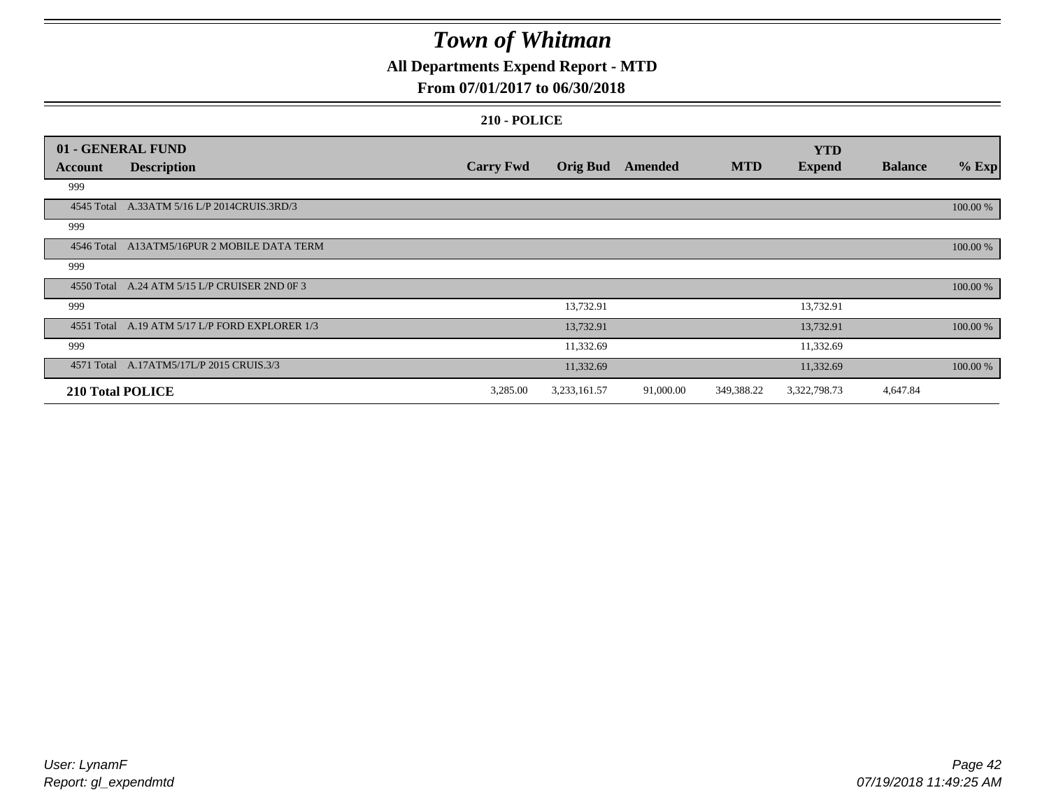### **All Departments Expend Report - MTD**

### **From 07/01/2017 to 06/30/2018**

|                  | 01 - GENERAL FUND                              |                  |                 |           |            | <b>YTD</b>    |                |          |
|------------------|------------------------------------------------|------------------|-----------------|-----------|------------|---------------|----------------|----------|
| Account          | <b>Description</b>                             | <b>Carry Fwd</b> | <b>Orig Bud</b> | Amended   | <b>MTD</b> | <b>Expend</b> | <b>Balance</b> | $%$ Exp  |
| 999              |                                                |                  |                 |           |            |               |                |          |
|                  | 4545 Total A.33ATM 5/16 L/P 2014CRUIS.3RD/3    |                  |                 |           |            |               |                | 100.00 % |
| 999              |                                                |                  |                 |           |            |               |                |          |
|                  | 4546 Total A13ATM5/16PUR 2 MOBILE DATA TERM    |                  |                 |           |            |               |                | 100.00 % |
| 999              |                                                |                  |                 |           |            |               |                |          |
|                  | 4550 Total A.24 ATM 5/15 L/P CRUISER 2ND 0F 3  |                  |                 |           |            |               |                | 100.00 % |
| 999              |                                                |                  | 13,732.91       |           |            | 13,732.91     |                |          |
|                  | 4551 Total A.19 ATM 5/17 L/P FORD EXPLORER 1/3 |                  | 13,732.91       |           |            | 13,732.91     |                | 100.00 % |
| 999              |                                                |                  | 11,332.69       |           |            | 11,332.69     |                |          |
|                  | 4571 Total A.17ATM5/17L/P 2015 CRUIS.3/3       |                  | 11,332.69       |           |            | 11,332.69     |                | 100.00 % |
| 210 Total POLICE |                                                | 3,285.00         | 3,233,161.57    | 91,000.00 | 349,388.22 | 3,322,798.73  | 4,647.84       |          |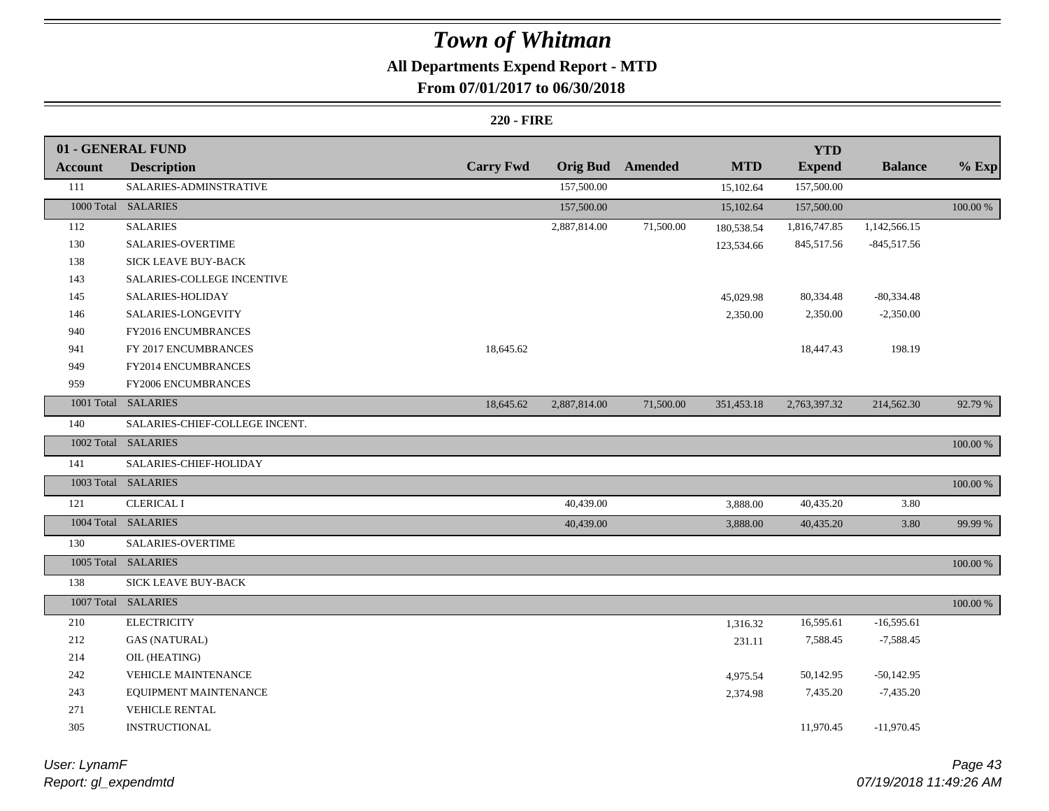## **All Departments Expend Report - MTD**

### **From 07/01/2017 to 06/30/2018**

|                | 01 - GENERAL FUND              |                  |              |                  |            | <b>YTD</b>    |                |          |
|----------------|--------------------------------|------------------|--------------|------------------|------------|---------------|----------------|----------|
| <b>Account</b> | <b>Description</b>             | <b>Carry Fwd</b> |              | Orig Bud Amended | <b>MTD</b> | <b>Expend</b> | <b>Balance</b> | $%$ Exp  |
| 111            | SALARIES-ADMINSTRATIVE         |                  | 157,500.00   |                  | 15,102.64  | 157,500.00    |                |          |
|                | 1000 Total SALARIES            |                  | 157,500.00   |                  | 15,102.64  | 157,500.00    |                | 100.00 % |
| 112            | <b>SALARIES</b>                |                  | 2,887,814.00 | 71,500.00        | 180,538.54 | 1,816,747.85  | 1,142,566.15   |          |
| 130            | <b>SALARIES-OVERTIME</b>       |                  |              |                  | 123,534.66 | 845,517.56    | $-845,517.56$  |          |
| 138            | SICK LEAVE BUY-BACK            |                  |              |                  |            |               |                |          |
| 143            | SALARIES-COLLEGE INCENTIVE     |                  |              |                  |            |               |                |          |
| 145            | SALARIES-HOLIDAY               |                  |              |                  | 45,029.98  | 80,334.48     | $-80,334.48$   |          |
| 146            | SALARIES-LONGEVITY             |                  |              |                  | 2,350.00   | 2,350.00      | $-2,350.00$    |          |
| 940            | FY2016 ENCUMBRANCES            |                  |              |                  |            |               |                |          |
| 941            | FY 2017 ENCUMBRANCES           | 18,645.62        |              |                  |            | 18,447.43     | 198.19         |          |
| 949            | FY2014 ENCUMBRANCES            |                  |              |                  |            |               |                |          |
| 959            | FY2006 ENCUMBRANCES            |                  |              |                  |            |               |                |          |
|                | 1001 Total SALARIES            | 18,645.62        | 2,887,814.00 | 71,500.00        | 351,453.18 | 2,763,397.32  | 214,562.30     | 92.79 %  |
| 140            | SALARIES-CHIEF-COLLEGE INCENT. |                  |              |                  |            |               |                |          |
|                | 1002 Total SALARIES            |                  |              |                  |            |               |                | 100.00 % |
| 141            | SALARIES-CHIEF-HOLIDAY         |                  |              |                  |            |               |                |          |
|                | 1003 Total SALARIES            |                  |              |                  |            |               |                | 100.00 % |
| 121            | <b>CLERICAL I</b>              |                  | 40,439.00    |                  | 3,888.00   | 40,435.20     | 3.80           |          |
|                | 1004 Total SALARIES            |                  | 40,439.00    |                  | 3,888.00   | 40,435.20     | 3.80           | 99.99 %  |
| 130            | SALARIES-OVERTIME              |                  |              |                  |            |               |                |          |
|                | 1005 Total SALARIES            |                  |              |                  |            |               |                | 100.00 % |
| 138            | <b>SICK LEAVE BUY-BACK</b>     |                  |              |                  |            |               |                |          |
|                | 1007 Total SALARIES            |                  |              |                  |            |               |                | 100.00 % |
| 210            | <b>ELECTRICITY</b>             |                  |              |                  | 1,316.32   | 16,595.61     | $-16,595.61$   |          |
| 212            | <b>GAS (NATURAL)</b>           |                  |              |                  | 231.11     | 7,588.45      | $-7,588.45$    |          |
| 214            | OIL (HEATING)                  |                  |              |                  |            |               |                |          |
| 242            | VEHICLE MAINTENANCE            |                  |              |                  | 4,975.54   | 50,142.95     | $-50,142.95$   |          |
| 243            | EQUIPMENT MAINTENANCE          |                  |              |                  | 2,374.98   | 7,435.20      | $-7,435.20$    |          |
| 271            | VEHICLE RENTAL                 |                  |              |                  |            |               |                |          |
| 305            | <b>INSTRUCTIONAL</b>           |                  |              |                  |            | 11,970.45     | $-11,970.45$   |          |

| User: LynamF         |  |
|----------------------|--|
| Report: gl_expendmtd |  |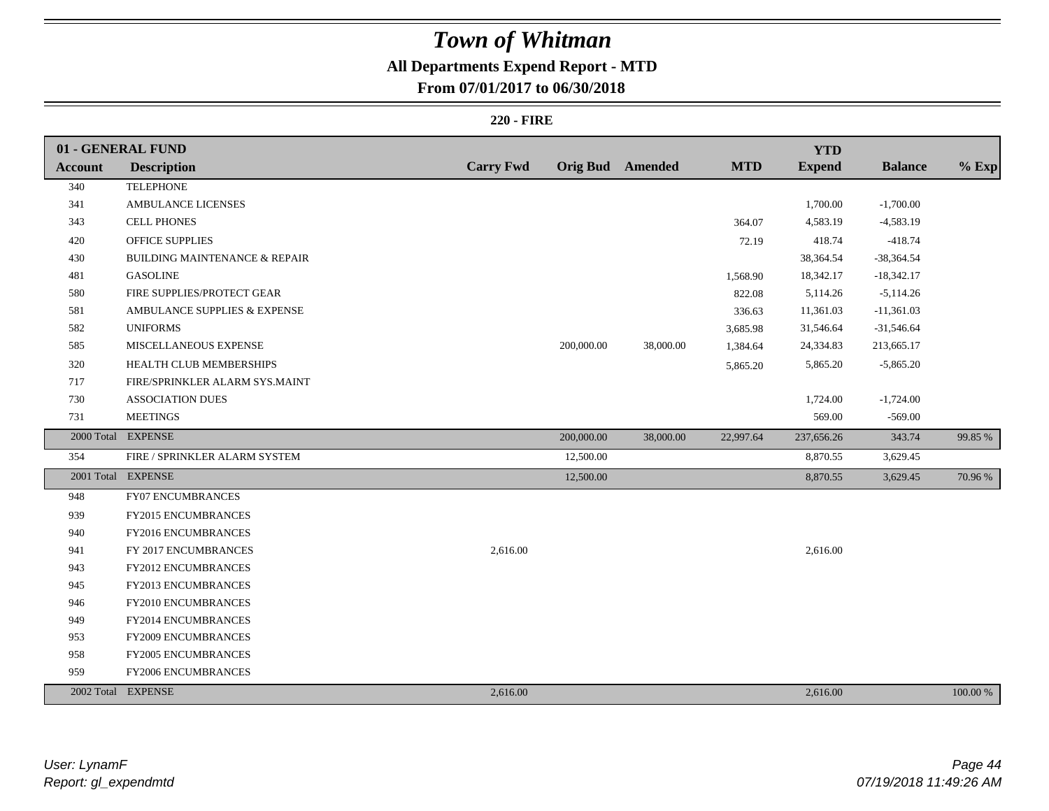## **All Departments Expend Report - MTD**

### **From 07/01/2017 to 06/30/2018**

|                | 01 - GENERAL FUND                        |                  |            |                         |            | <b>YTD</b>    |                |          |
|----------------|------------------------------------------|------------------|------------|-------------------------|------------|---------------|----------------|----------|
| <b>Account</b> | <b>Description</b>                       | <b>Carry Fwd</b> |            | <b>Orig Bud</b> Amended | <b>MTD</b> | <b>Expend</b> | <b>Balance</b> | $%$ Exp  |
| 340            | <b>TELEPHONE</b>                         |                  |            |                         |            |               |                |          |
| 341            | AMBULANCE LICENSES                       |                  |            |                         |            | 1,700.00      | $-1,700.00$    |          |
| 343            | <b>CELL PHONES</b>                       |                  |            |                         | 364.07     | 4,583.19      | $-4,583.19$    |          |
| 420            | OFFICE SUPPLIES                          |                  |            |                         | 72.19      | 418.74        | $-418.74$      |          |
| 430            | <b>BUILDING MAINTENANCE &amp; REPAIR</b> |                  |            |                         |            | 38,364.54     | -38,364.54     |          |
| 481            | <b>GASOLINE</b>                          |                  |            |                         | 1,568.90   | 18,342.17     | $-18,342.17$   |          |
| 580            | FIRE SUPPLIES/PROTECT GEAR               |                  |            |                         | 822.08     | 5,114.26      | $-5,114.26$    |          |
| 581            | AMBULANCE SUPPLIES & EXPENSE             |                  |            |                         | 336.63     | 11,361.03     | $-11,361.03$   |          |
| 582            | <b>UNIFORMS</b>                          |                  |            |                         | 3,685.98   | 31,546.64     | $-31,546.64$   |          |
| 585            | MISCELLANEOUS EXPENSE                    |                  | 200,000.00 | 38,000.00               | 1,384.64   | 24,334.83     | 213,665.17     |          |
| 320            | HEALTH CLUB MEMBERSHIPS                  |                  |            |                         | 5,865.20   | 5,865.20      | $-5,865.20$    |          |
| 717            | FIRE/SPRINKLER ALARM SYS.MAINT           |                  |            |                         |            |               |                |          |
| 730            | ASSOCIATION DUES                         |                  |            |                         |            | 1,724.00      | $-1,724.00$    |          |
| 731            | <b>MEETINGS</b>                          |                  |            |                         |            | 569.00        | $-569.00$      |          |
|                | 2000 Total EXPENSE                       |                  | 200,000.00 | 38,000.00               | 22,997.64  | 237,656.26    | 343.74         | 99.85 %  |
| 354            | FIRE / SPRINKLER ALARM SYSTEM            |                  | 12,500.00  |                         |            | 8,870.55      | 3,629.45       |          |
|                | 2001 Total EXPENSE                       |                  | 12,500.00  |                         |            | 8,870.55      | 3,629.45       | 70.96%   |
| 948            | <b>FY07 ENCUMBRANCES</b>                 |                  |            |                         |            |               |                |          |
| 939            | FY2015 ENCUMBRANCES                      |                  |            |                         |            |               |                |          |
| 940            | FY2016 ENCUMBRANCES                      |                  |            |                         |            |               |                |          |
| 941            | FY 2017 ENCUMBRANCES                     | 2,616.00         |            |                         |            | 2,616.00      |                |          |
| 943            | FY2012 ENCUMBRANCES                      |                  |            |                         |            |               |                |          |
| 945            | FY2013 ENCUMBRANCES                      |                  |            |                         |            |               |                |          |
| 946            | FY2010 ENCUMBRANCES                      |                  |            |                         |            |               |                |          |
| 949            | FY2014 ENCUMBRANCES                      |                  |            |                         |            |               |                |          |
| 953            | FY2009 ENCUMBRANCES                      |                  |            |                         |            |               |                |          |
| 958            | <b>FY2005 ENCUMBRANCES</b>               |                  |            |                         |            |               |                |          |
| 959            | FY2006 ENCUMBRANCES                      |                  |            |                         |            |               |                |          |
|                | 2002 Total EXPENSE                       | 2,616.00         |            |                         |            | 2,616.00      |                | 100.00 % |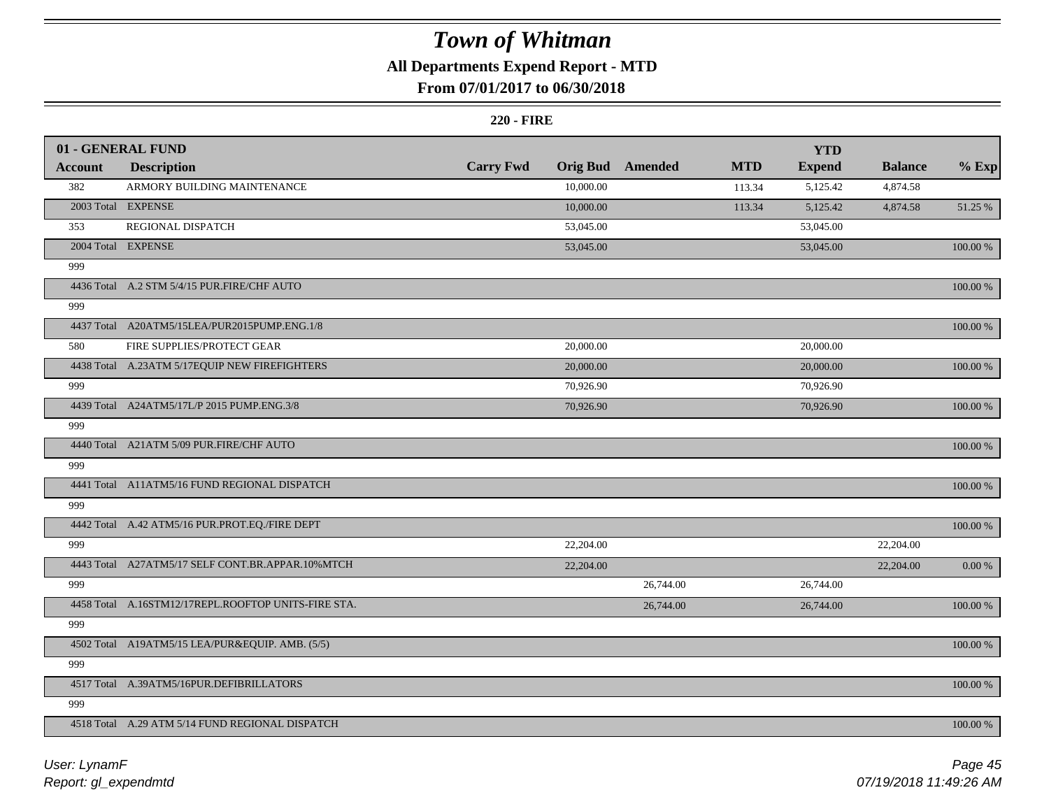### **All Departments Expend Report - MTD**

### **From 07/01/2017 to 06/30/2018**

|                | 01 - GENERAL FUND                                   |                  |                 |           |            | <b>YTD</b>    |                        |             |
|----------------|-----------------------------------------------------|------------------|-----------------|-----------|------------|---------------|------------------------|-------------|
| <b>Account</b> | <b>Description</b>                                  | <b>Carry Fwd</b> | <b>Orig Bud</b> | Amended   | <b>MTD</b> | <b>Expend</b> | <b>Balance</b>         | $%$ Exp     |
| 382            | ARMORY BUILDING MAINTENANCE                         |                  | 10,000.00       |           | 113.34     | 5,125.42      | 4,874.58               |             |
|                | 2003 Total EXPENSE                                  |                  | 10,000.00       |           | 113.34     | 5,125.42      | 4,874.58               | 51.25 %     |
| 353            | REGIONAL DISPATCH                                   |                  | 53,045.00       |           |            | 53,045.00     |                        |             |
|                | 2004 Total EXPENSE                                  |                  | 53,045.00       |           |            | 53,045.00     |                        | 100.00 %    |
| 999            |                                                     |                  |                 |           |            |               |                        |             |
|                | 4436 Total A.2 STM 5/4/15 PUR.FIRE/CHF AUTO         |                  |                 |           |            |               |                        | 100.00 %    |
| 999            |                                                     |                  |                 |           |            |               |                        |             |
|                | 4437 Total A20ATM5/15LEA/PUR2015PUMP.ENG.1/8        |                  |                 |           |            |               |                        | 100.00 %    |
| 580            | FIRE SUPPLIES/PROTECT GEAR                          |                  | 20,000.00       |           |            | 20,000.00     |                        |             |
|                | 4438 Total A.23ATM 5/17EQUIP NEW FIREFIGHTERS       |                  | 20,000.00       |           |            | 20,000.00     |                        | 100.00 %    |
| 999            |                                                     |                  | 70,926.90       |           |            | 70,926.90     |                        |             |
|                | 4439 Total A24ATM5/17L/P 2015 PUMP.ENG.3/8          |                  | 70,926.90       |           |            | 70,926.90     |                        | 100.00 %    |
| 999            |                                                     |                  |                 |           |            |               |                        |             |
|                | 4440 Total A21ATM 5/09 PUR.FIRE/CHF AUTO            |                  |                 |           |            |               |                        | $100.00~\%$ |
| 999            |                                                     |                  |                 |           |            |               |                        |             |
|                | 4441 Total A11ATM5/16 FUND REGIONAL DISPATCH        |                  |                 |           |            |               |                        | 100.00 %    |
| 999            |                                                     |                  |                 |           |            |               |                        |             |
|                | 4442 Total A.42 ATM5/16 PUR.PROT.EQ./FIRE DEPT      |                  |                 |           |            |               |                        | 100.00 %    |
| 999            |                                                     |                  | 22,204.00       |           |            |               | $\overline{2}2,204.00$ |             |
|                | 4443 Total A27ATM5/17 SELF CONT.BR.APPAR.10%MTCH    |                  | 22,204.00       |           |            |               | 22,204.00              | $0.00~\%$   |
| 999            |                                                     |                  |                 | 26,744.00 |            | 26,744.00     |                        |             |
|                | 4458 Total A.16STM12/17REPL.ROOFTOP UNITS-FIRE STA. |                  |                 | 26,744.00 |            | 26,744.00     |                        | 100.00 %    |
| 999            |                                                     |                  |                 |           |            |               |                        |             |
|                | 4502 Total A19ATM5/15 LEA/PUR&EQUIP. AMB. (5/5)     |                  |                 |           |            |               |                        | $100.00~\%$ |
| 999            |                                                     |                  |                 |           |            |               |                        |             |
|                | 4517 Total A.39ATM5/16PUR.DEFIBRILLATORS            |                  |                 |           |            |               |                        | 100.00 %    |
| 999            |                                                     |                  |                 |           |            |               |                        |             |
|                | 4518 Total A.29 ATM 5/14 FUND REGIONAL DISPATCH     |                  |                 |           |            |               |                        | 100.00 %    |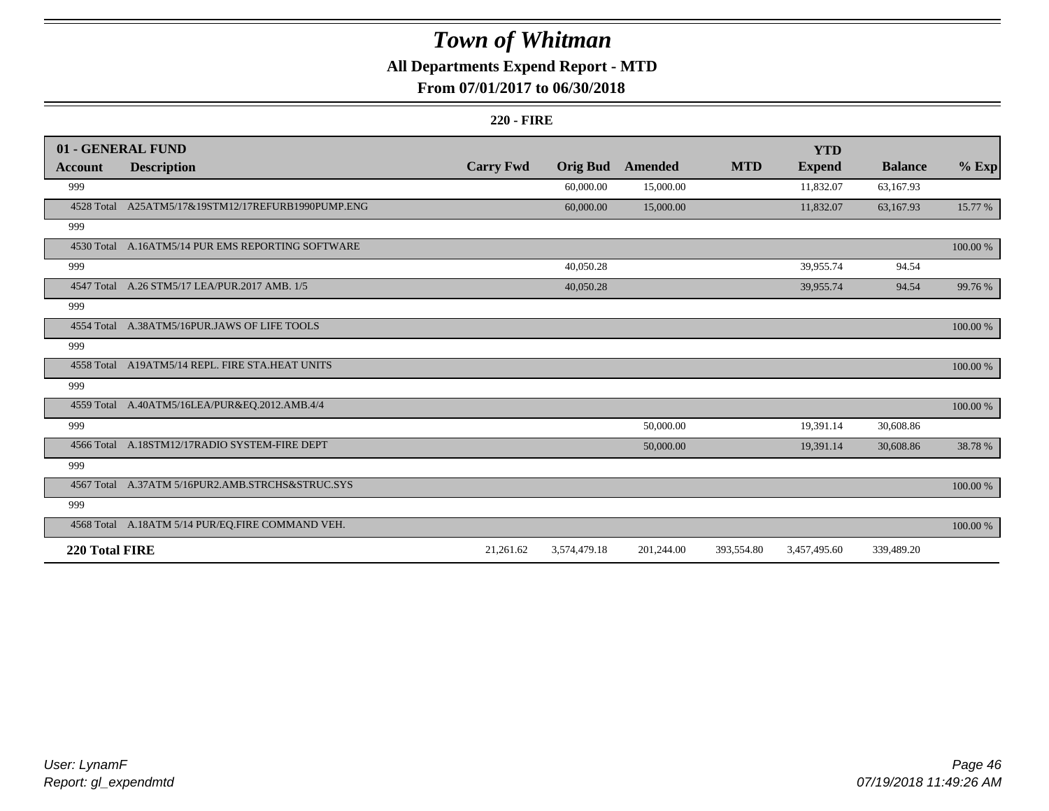### **All Departments Expend Report - MTD**

### **From 07/01/2017 to 06/30/2018**

|                | 01 - GENERAL FUND                                  |                  |                 |            |            | <b>YTD</b>    |                |             |
|----------------|----------------------------------------------------|------------------|-----------------|------------|------------|---------------|----------------|-------------|
| <b>Account</b> | <b>Description</b>                                 | <b>Carry Fwd</b> | <b>Orig Bud</b> | Amended    | <b>MTD</b> | <b>Expend</b> | <b>Balance</b> | $%$ Exp     |
| 999            |                                                    |                  | 60,000.00       | 15,000.00  |            | 11,832.07     | 63,167.93      |             |
|                | 4528 Total A25ATM5/17&19STM12/17REFURB1990PUMP.ENG |                  | 60,000.00       | 15,000.00  |            | 11,832.07     | 63,167.93      | 15.77 %     |
| 999            |                                                    |                  |                 |            |            |               |                |             |
|                | 4530 Total A.16ATM5/14 PUR EMS REPORTING SOFTWARE  |                  |                 |            |            |               |                | 100.00 %    |
| 999            |                                                    |                  | 40,050.28       |            |            | 39,955.74     | 94.54          |             |
| 4547 Total     | A.26 STM5/17 LEA/PUR.2017 AMB. 1/5                 |                  | 40,050.28       |            |            | 39,955.74     | 94.54          | 99.76 %     |
| 999            |                                                    |                  |                 |            |            |               |                |             |
|                | 4554 Total A.38ATM5/16PUR.JAWS OF LIFE TOOLS       |                  |                 |            |            |               |                | 100.00 %    |
| 999            |                                                    |                  |                 |            |            |               |                |             |
|                | 4558 Total A19ATM5/14 REPL. FIRE STA.HEAT UNITS    |                  |                 |            |            |               |                | 100.00 %    |
| 999            |                                                    |                  |                 |            |            |               |                |             |
|                | 4559 Total A.40ATM5/16LEA/PUR&EQ.2012.AMB.4/4      |                  |                 |            |            |               |                | 100.00 %    |
| 999            |                                                    |                  |                 | 50,000.00  |            | 19,391.14     | 30,608.86      |             |
|                | 4566 Total A.18STM12/17RADIO SYSTEM-FIRE DEPT      |                  |                 | 50,000.00  |            | 19,391.14     | 30,608.86      | 38.78%      |
| 999            |                                                    |                  |                 |            |            |               |                |             |
|                | 4567 Total A.37ATM 5/16PUR2.AMB.STRCHS&STRUC.SYS   |                  |                 |            |            |               |                | $100.00~\%$ |
| 999            |                                                    |                  |                 |            |            |               |                |             |
|                | 4568 Total A.18ATM 5/14 PUR/EQ.FIRE COMMAND VEH.   |                  |                 |            |            |               |                | 100.00 %    |
| 220 Total FIRE |                                                    | 21,261.62        | 3,574,479.18    | 201,244.00 | 393,554.80 | 3,457,495.60  | 339,489.20     |             |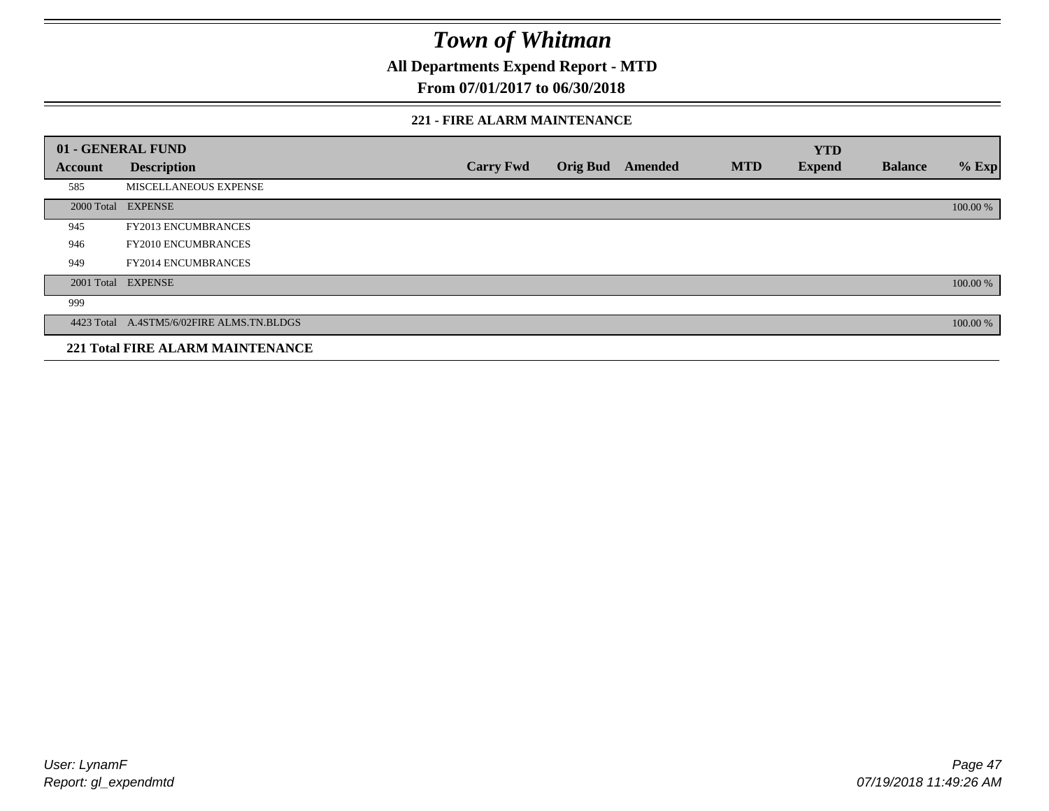**All Departments Expend Report - MTD**

### **From 07/01/2017 to 06/30/2018**

#### **221 - FIRE ALARM MAINTENANCE**

|         | 01 - GENERAL FUND                         |                  |                 |                |            | <b>YTD</b>    |                |          |
|---------|-------------------------------------------|------------------|-----------------|----------------|------------|---------------|----------------|----------|
| Account | <b>Description</b>                        | <b>Carry Fwd</b> | <b>Orig Bud</b> | <b>Amended</b> | <b>MTD</b> | <b>Expend</b> | <b>Balance</b> | $%$ Exp  |
| 585     | MISCELLANEOUS EXPENSE                     |                  |                 |                |            |               |                |          |
|         | 2000 Total EXPENSE                        |                  |                 |                |            |               |                | 100.00 % |
| 945     | FY2013 ENCUMBRANCES                       |                  |                 |                |            |               |                |          |
| 946     | FY2010 ENCUMBRANCES                       |                  |                 |                |            |               |                |          |
| 949     | <b>FY2014 ENCUMBRANCES</b>                |                  |                 |                |            |               |                |          |
|         | 2001 Total EXPENSE                        |                  |                 |                |            |               |                | 100.00 % |
| 999     |                                           |                  |                 |                |            |               |                |          |
|         | 4423 Total A.4STM5/6/02FIRE ALMS.TN.BLDGS |                  |                 |                |            |               |                | 100.00 % |
|         | <b>221 Total FIRE ALARM MAINTENANCE</b>   |                  |                 |                |            |               |                |          |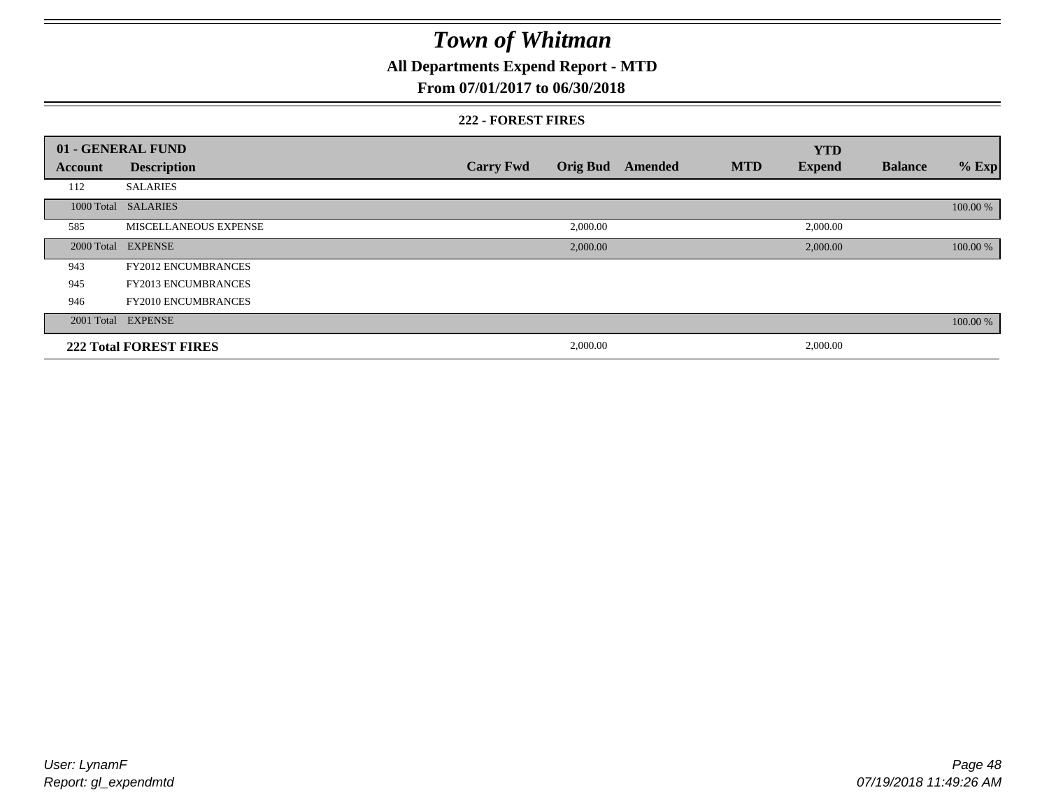### **All Departments Expend Report - MTD**

### **From 07/01/2017 to 06/30/2018**

#### **222 - FOREST FIRES**

|         | 01 - GENERAL FUND             |                  |          |                         |            | <b>YTD</b>    |                |          |
|---------|-------------------------------|------------------|----------|-------------------------|------------|---------------|----------------|----------|
| Account | <b>Description</b>            | <b>Carry Fwd</b> |          | <b>Orig Bud</b> Amended | <b>MTD</b> | <b>Expend</b> | <b>Balance</b> | $%$ Exp  |
| 112     | <b>SALARIES</b>               |                  |          |                         |            |               |                |          |
|         | 1000 Total SALARIES           |                  |          |                         |            |               |                | 100.00 % |
| 585     | MISCELLANEOUS EXPENSE         |                  | 2,000.00 |                         |            | 2,000.00      |                |          |
|         | 2000 Total EXPENSE            |                  | 2,000.00 |                         |            | 2,000.00      |                | 100.00 % |
| 943     | <b>FY2012 ENCUMBRANCES</b>    |                  |          |                         |            |               |                |          |
| 945     | <b>FY2013 ENCUMBRANCES</b>    |                  |          |                         |            |               |                |          |
| 946     | <b>FY2010 ENCUMBRANCES</b>    |                  |          |                         |            |               |                |          |
|         | 2001 Total EXPENSE            |                  |          |                         |            |               |                | 100.00 % |
|         | <b>222 Total FOREST FIRES</b> |                  | 2,000.00 |                         |            | 2,000.00      |                |          |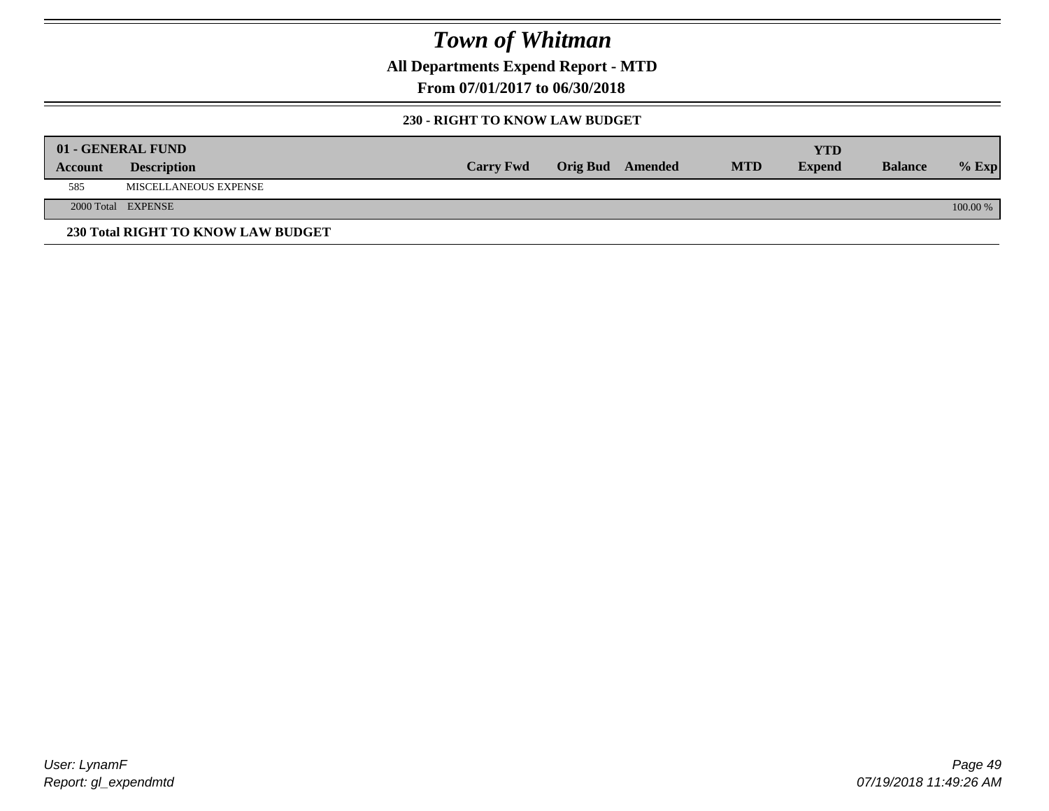**All Departments Expend Report - MTD**

**From 07/01/2017 to 06/30/2018**

#### **230 - RIGHT TO KNOW LAW BUDGET**

|         | 01 - GENERAL FUND                  |                  |                         |            | YTD           |                |            |
|---------|------------------------------------|------------------|-------------------------|------------|---------------|----------------|------------|
| Account | <b>Description</b>                 | <b>Carry Fwd</b> | <b>Orig Bud</b> Amended | <b>MTD</b> | <b>Expend</b> | <b>Balance</b> | $%$ Exp    |
| 585     | MISCELLANEOUS EXPENSE              |                  |                         |            |               |                |            |
|         | 2000 Total EXPENSE                 |                  |                         |            |               |                | $100.00\%$ |
|         | 230 Total RIGHT TO KNOW LAW BUDGET |                  |                         |            |               |                |            |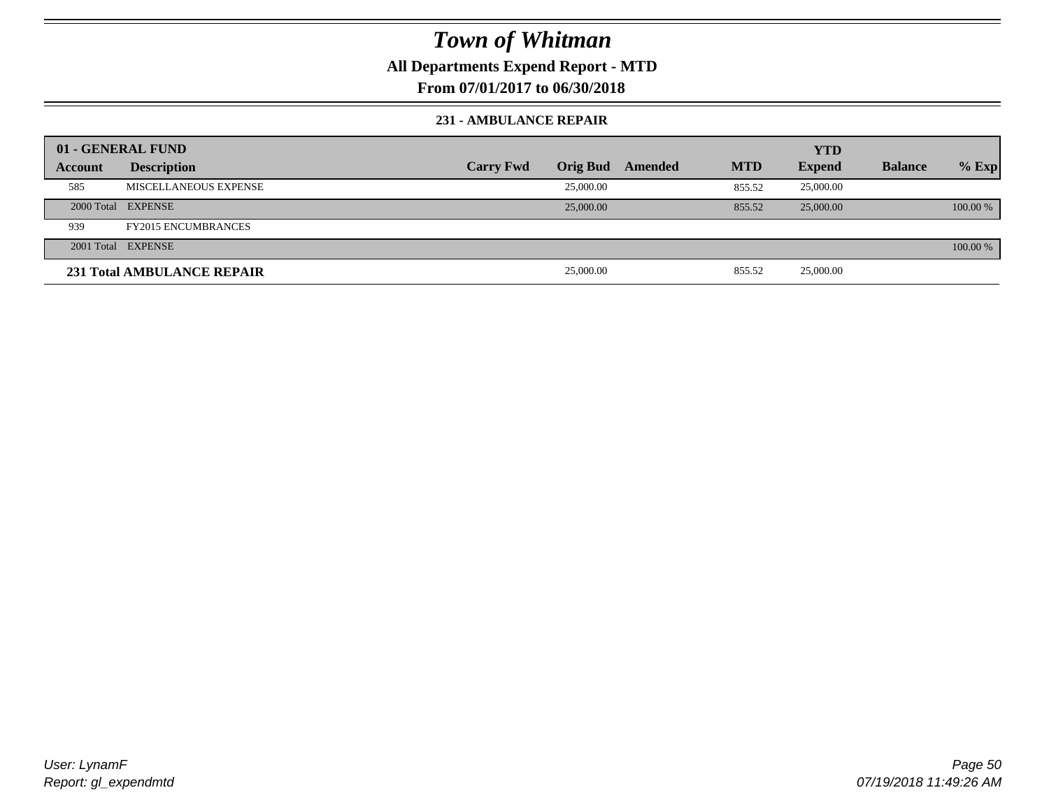**All Departments Expend Report - MTD**

**From 07/01/2017 to 06/30/2018**

#### **231 - AMBULANCE REPAIR**

| 01 - GENERAL FUND |                                   |                  |                 |         |            | <b>YTD</b>    |                |          |
|-------------------|-----------------------------------|------------------|-----------------|---------|------------|---------------|----------------|----------|
| Account           | <b>Description</b>                | <b>Carry Fwd</b> | <b>Orig Bud</b> | Amended | <b>MTD</b> | <b>Expend</b> | <b>Balance</b> | $%$ Exp  |
| 585               | MISCELLANEOUS EXPENSE             |                  | 25,000.00       |         | 855.52     | 25,000.00     |                |          |
|                   | 2000 Total EXPENSE                |                  | 25,000.00       |         | 855.52     | 25,000.00     |                | 100.00 % |
| 939               | <b>FY2015 ENCUMBRANCES</b>        |                  |                 |         |            |               |                |          |
|                   | 2001 Total EXPENSE                |                  |                 |         |            |               |                | 100.00 % |
|                   | <b>231 Total AMBULANCE REPAIR</b> |                  | 25,000.00       |         | 855.52     | 25,000.00     |                |          |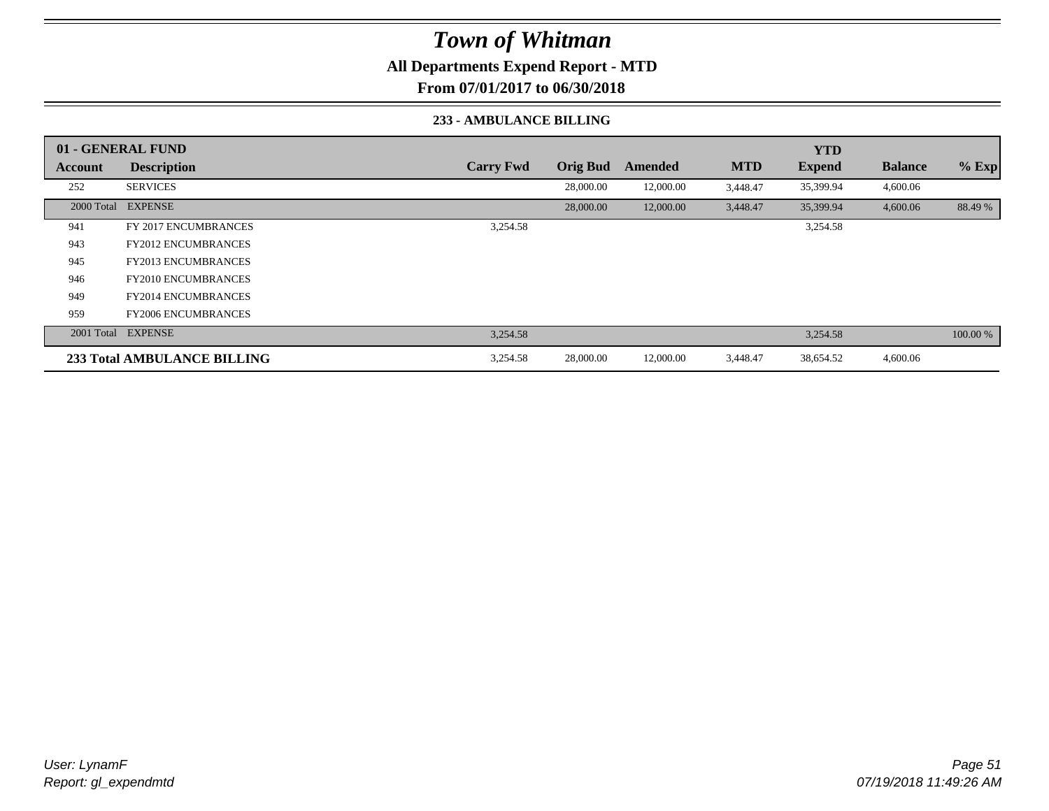**All Departments Expend Report - MTD**

**From 07/01/2017 to 06/30/2018**

#### **233 - AMBULANCE BILLING**

|         | 01 - GENERAL FUND                  |                  |                 |           |            | <b>YTD</b>    |                |          |
|---------|------------------------------------|------------------|-----------------|-----------|------------|---------------|----------------|----------|
| Account | <b>Description</b>                 | <b>Carry Fwd</b> | <b>Orig Bud</b> | Amended   | <b>MTD</b> | <b>Expend</b> | <b>Balance</b> | $%$ Exp  |
| 252     | <b>SERVICES</b>                    |                  | 28,000.00       | 12,000.00 | 3,448.47   | 35,399.94     | 4,600.06       |          |
|         | 2000 Total EXPENSE                 |                  | 28,000.00       | 12,000.00 | 3,448.47   | 35,399.94     | 4,600.06       | 88.49 %  |
| 941     | FY 2017 ENCUMBRANCES               | 3,254.58         |                 |           |            | 3,254.58      |                |          |
| 943     | <b>FY2012 ENCUMBRANCES</b>         |                  |                 |           |            |               |                |          |
| 945     | <b>FY2013 ENCUMBRANCES</b>         |                  |                 |           |            |               |                |          |
| 946     | <b>FY2010 ENCUMBRANCES</b>         |                  |                 |           |            |               |                |          |
| 949     | <b>FY2014 ENCUMBRANCES</b>         |                  |                 |           |            |               |                |          |
| 959     | <b>FY2006 ENCUMBRANCES</b>         |                  |                 |           |            |               |                |          |
|         | 2001 Total EXPENSE                 | 3,254.58         |                 |           |            | 3,254.58      |                | 100.00 % |
|         | <b>233 Total AMBULANCE BILLING</b> | 3,254.58         | 28,000.00       | 12,000.00 | 3,448.47   | 38,654.52     | 4,600.06       |          |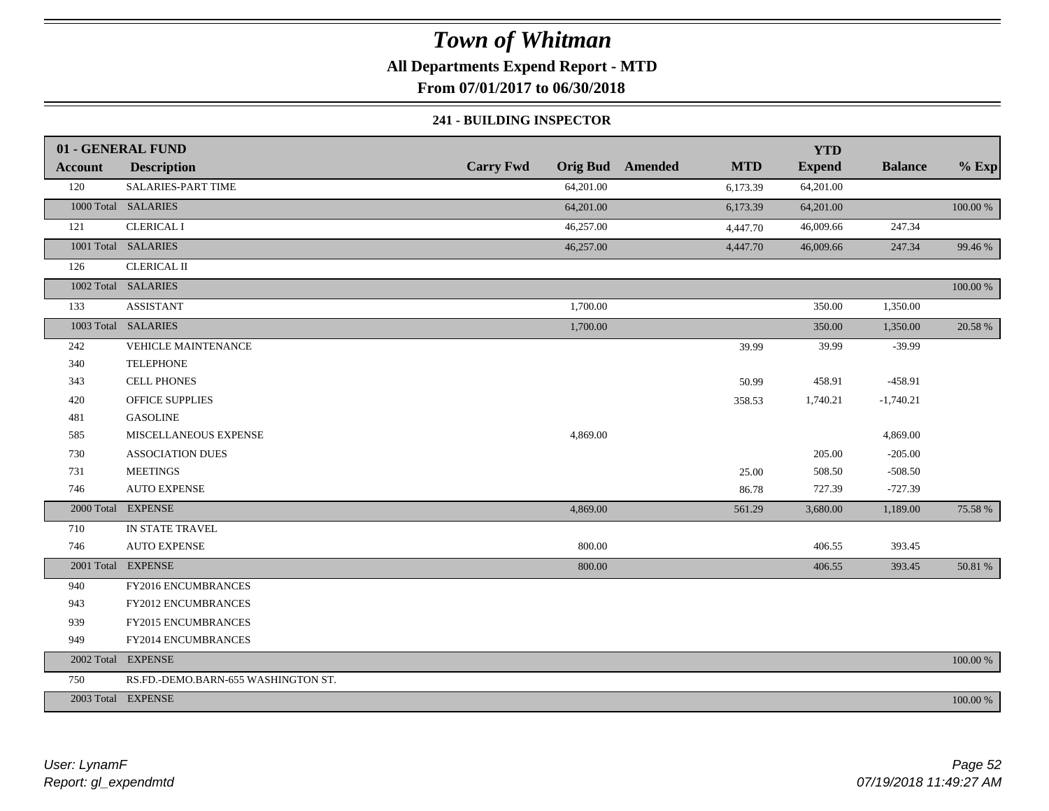**All Departments Expend Report - MTD**

**From 07/01/2017 to 06/30/2018**

#### **241 - BUILDING INSPECTOR**

|                | 01 - GENERAL FUND                   |                  |                                       | <b>YTD</b>    |                |          |
|----------------|-------------------------------------|------------------|---------------------------------------|---------------|----------------|----------|
| <b>Account</b> | <b>Description</b>                  | <b>Carry Fwd</b> | <b>Orig Bud</b> Amended<br><b>MTD</b> | <b>Expend</b> | <b>Balance</b> | $%$ Exp  |
| 120            | SALARIES-PART TIME                  | 64,201.00        | 6,173.39                              | 64,201.00     |                |          |
|                | 1000 Total SALARIES                 | 64,201.00        | 6,173.39                              | 64,201.00     |                | 100.00 % |
| 121            | <b>CLERICAL I</b>                   | 46,257.00        | 4,447.70                              | 46,009.66     | 247.34         |          |
|                | 1001 Total SALARIES                 | 46,257.00        | 4,447.70                              | 46,009.66     | 247.34         | 99.46 %  |
| 126            | <b>CLERICAL II</b>                  |                  |                                       |               |                |          |
|                | 1002 Total SALARIES                 |                  |                                       |               |                | 100.00 % |
| 133            | <b>ASSISTANT</b>                    | 1,700.00         |                                       | 350.00        | 1,350.00       |          |
|                | 1003 Total SALARIES                 | 1,700.00         |                                       | 350.00        | 1,350.00       | 20.58 %  |
| 242            | <b>VEHICLE MAINTENANCE</b>          |                  | 39.99                                 | 39.99         | $-39.99$       |          |
| 340            | <b>TELEPHONE</b>                    |                  |                                       |               |                |          |
| 343            | <b>CELL PHONES</b>                  |                  | 50.99                                 | 458.91        | $-458.91$      |          |
| 420            | <b>OFFICE SUPPLIES</b>              |                  | 358.53                                | 1,740.21      | $-1,740.21$    |          |
| 481            | <b>GASOLINE</b>                     |                  |                                       |               |                |          |
| 585            | MISCELLANEOUS EXPENSE               | 4,869.00         |                                       |               | 4,869.00       |          |
| 730            | <b>ASSOCIATION DUES</b>             |                  |                                       | 205.00        | $-205.00$      |          |
| 731            | <b>MEETINGS</b>                     |                  | 25.00                                 | 508.50        | $-508.50$      |          |
| 746            | <b>AUTO EXPENSE</b>                 |                  | 86.78                                 | 727.39        | $-727.39$      |          |
|                | 2000 Total EXPENSE                  | 4,869.00         | 561.29                                | 3,680.00      | 1,189.00       | 75.58 %  |
| 710            | IN STATE TRAVEL                     |                  |                                       |               |                |          |
| 746            | <b>AUTO EXPENSE</b>                 | 800.00           |                                       | 406.55        | 393.45         |          |
|                | 2001 Total EXPENSE                  | 800.00           |                                       | 406.55        | 393.45         | 50.81 %  |
| 940            | FY2016 ENCUMBRANCES                 |                  |                                       |               |                |          |
| 943            | FY2012 ENCUMBRANCES                 |                  |                                       |               |                |          |
| 939            | FY2015 ENCUMBRANCES                 |                  |                                       |               |                |          |
| 949            | FY2014 ENCUMBRANCES                 |                  |                                       |               |                |          |
|                | 2002 Total EXPENSE                  |                  |                                       |               |                | 100.00 % |
| 750            | RS.FD.-DEMO.BARN-655 WASHINGTON ST. |                  |                                       |               |                |          |
|                | 2003 Total EXPENSE                  |                  |                                       |               |                | 100.00 % |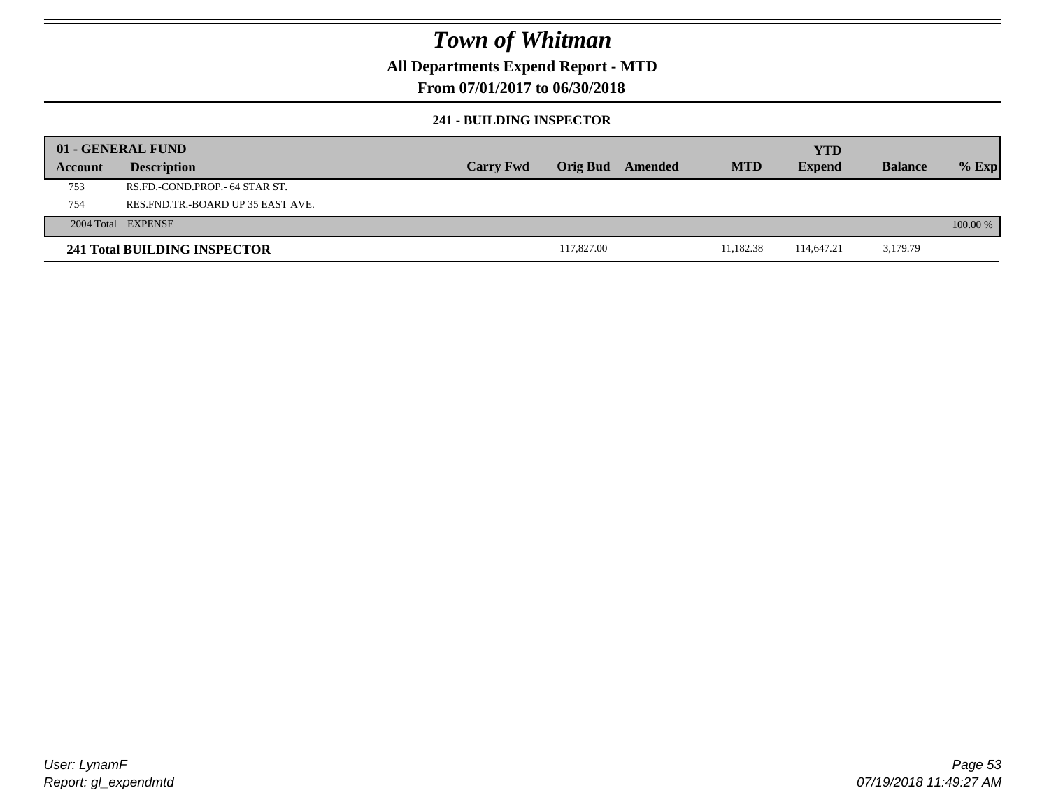### **All Departments Expend Report - MTD**

### **From 07/01/2017 to 06/30/2018**

#### **241 - BUILDING INSPECTOR**

|         | 01 - GENERAL FUND                     |                  |            |         |            | <b>YTD</b>    |                |            |
|---------|---------------------------------------|------------------|------------|---------|------------|---------------|----------------|------------|
| Account | <b>Description</b>                    | <b>Carry Fwd</b> | Orig Bud   | Amended | <b>MTD</b> | <b>Expend</b> | <b>Balance</b> | $%$ Exp    |
| 753     | RS.FD.-COND.PROP.- 64 STAR ST.        |                  |            |         |            |               |                |            |
| 754     | RES. FND. TR. - BOARD UP 35 EAST AVE. |                  |            |         |            |               |                |            |
|         | 2004 Total EXPENSE                    |                  |            |         |            |               |                | $100.00\%$ |
|         | 241 Total BUILDING INSPECTOR          |                  | 117,827.00 |         | 11,182.38  | 114,647.21    | 3,179.79       |            |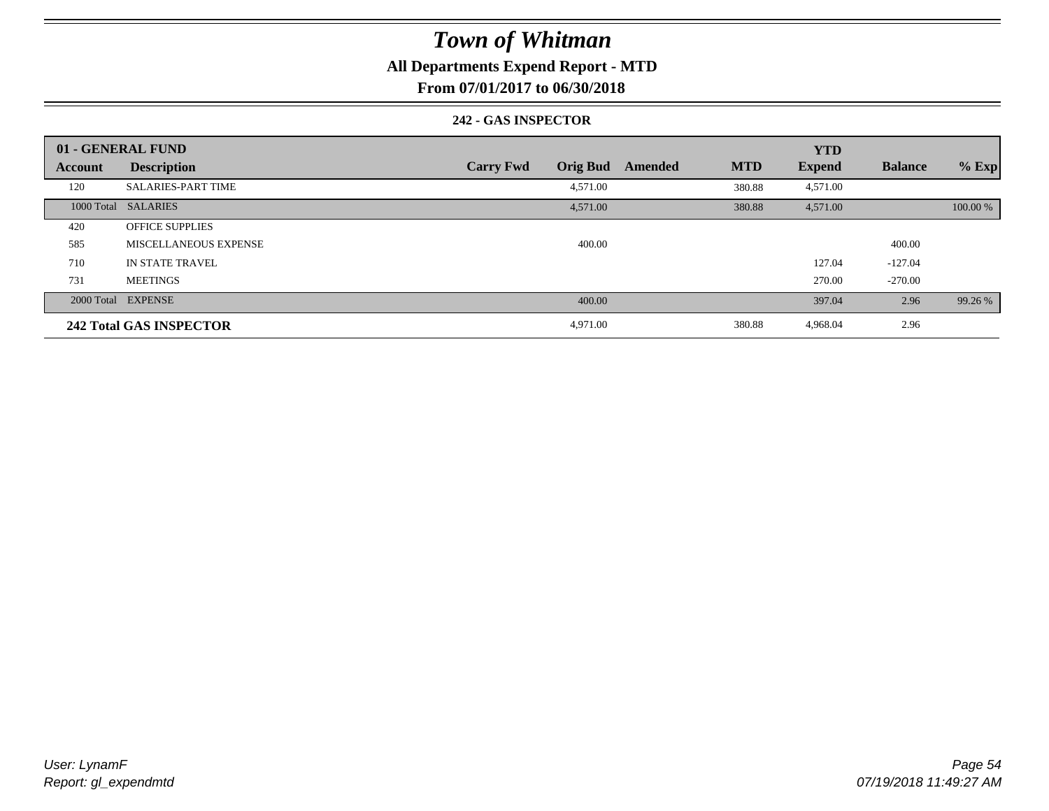### **All Departments Expend Report - MTD**

**From 07/01/2017 to 06/30/2018**

#### **242 - GAS INSPECTOR**

|                | 01 - GENERAL FUND              |                                     |                       | <b>YTD</b>    |                |          |
|----------------|--------------------------------|-------------------------------------|-----------------------|---------------|----------------|----------|
| <b>Account</b> | <b>Description</b>             | <b>Orig Bud</b><br><b>Carry Fwd</b> | <b>MTD</b><br>Amended | <b>Expend</b> | <b>Balance</b> | $%$ Exp  |
| 120            | <b>SALARIES-PART TIME</b>      | 4,571.00                            | 380.88                | 4,571.00      |                |          |
|                | 1000 Total SALARIES            | 4,571.00                            | 380.88                | 4,571.00      |                | 100.00 % |
| 420            | <b>OFFICE SUPPLIES</b>         |                                     |                       |               |                |          |
| 585            | MISCELLANEOUS EXPENSE          | 400.00                              |                       |               | 400.00         |          |
| 710            | IN STATE TRAVEL                |                                     |                       | 127.04        | $-127.04$      |          |
| 731            | <b>MEETINGS</b>                |                                     |                       | 270.00        | $-270.00$      |          |
|                | 2000 Total EXPENSE             | 400.00                              |                       | 397.04        | 2.96           | 99.26 %  |
|                | <b>242 Total GAS INSPECTOR</b> | 4,971.00                            | 380.88                | 4,968.04      | 2.96           |          |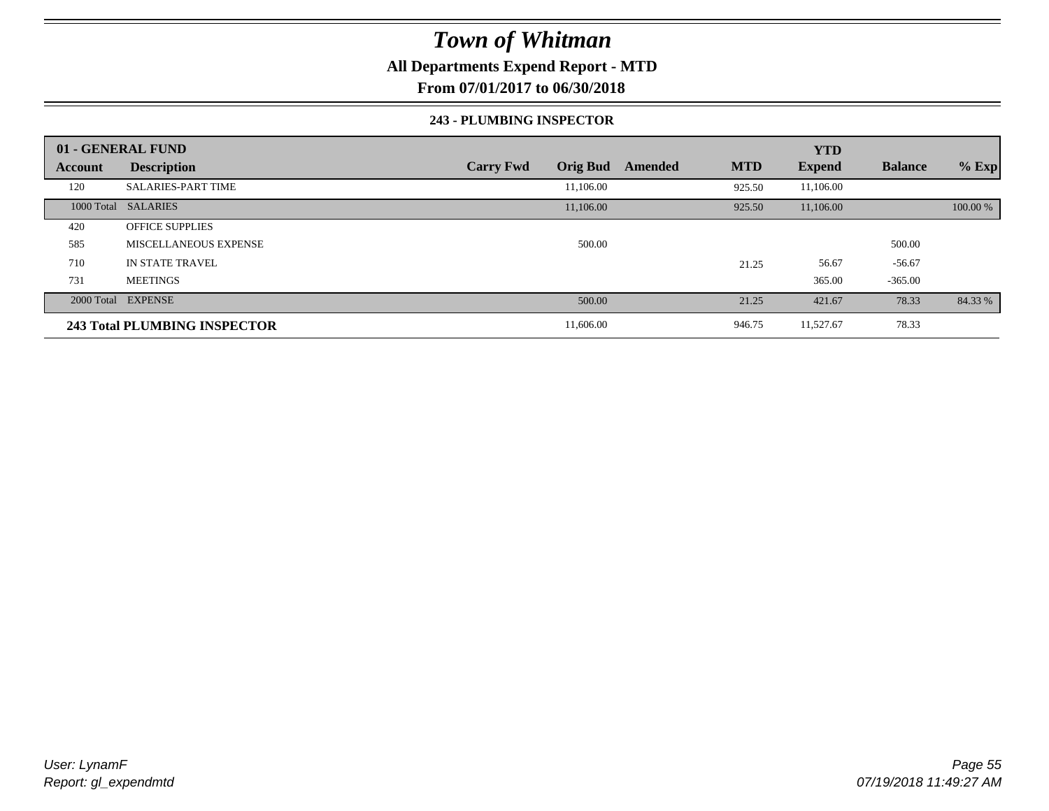### **All Departments Expend Report - MTD**

**From 07/01/2017 to 06/30/2018**

#### **243 - PLUMBING INSPECTOR**

|         | 01 - GENERAL FUND            |                                     |                       | <b>YTD</b>    |                |          |
|---------|------------------------------|-------------------------------------|-----------------------|---------------|----------------|----------|
| Account | <b>Description</b>           | <b>Orig Bud</b><br><b>Carry Fwd</b> | <b>MTD</b><br>Amended | <b>Expend</b> | <b>Balance</b> | $%$ Exp  |
| 120     | <b>SALARIES-PART TIME</b>    | 11.106.00                           | 925.50                | 11,106.00     |                |          |
|         | 1000 Total SALARIES          | 11,106.00                           | 925.50                | 11,106.00     |                | 100.00 % |
| 420     | <b>OFFICE SUPPLIES</b>       |                                     |                       |               |                |          |
| 585     | <b>MISCELLANEOUS EXPENSE</b> | 500.00                              |                       |               | 500.00         |          |
| 710     | IN STATE TRAVEL              |                                     | 21.25                 | 56.67         | $-56.67$       |          |
| 731     | <b>MEETINGS</b>              |                                     |                       | 365.00        | $-365.00$      |          |
|         | 2000 Total EXPENSE           | 500.00                              | 21.25                 | 421.67        | 78.33          | 84.33 %  |
|         | 243 Total PLUMBING INSPECTOR | 11,606.00                           | 946.75                | 11,527.67     | 78.33          |          |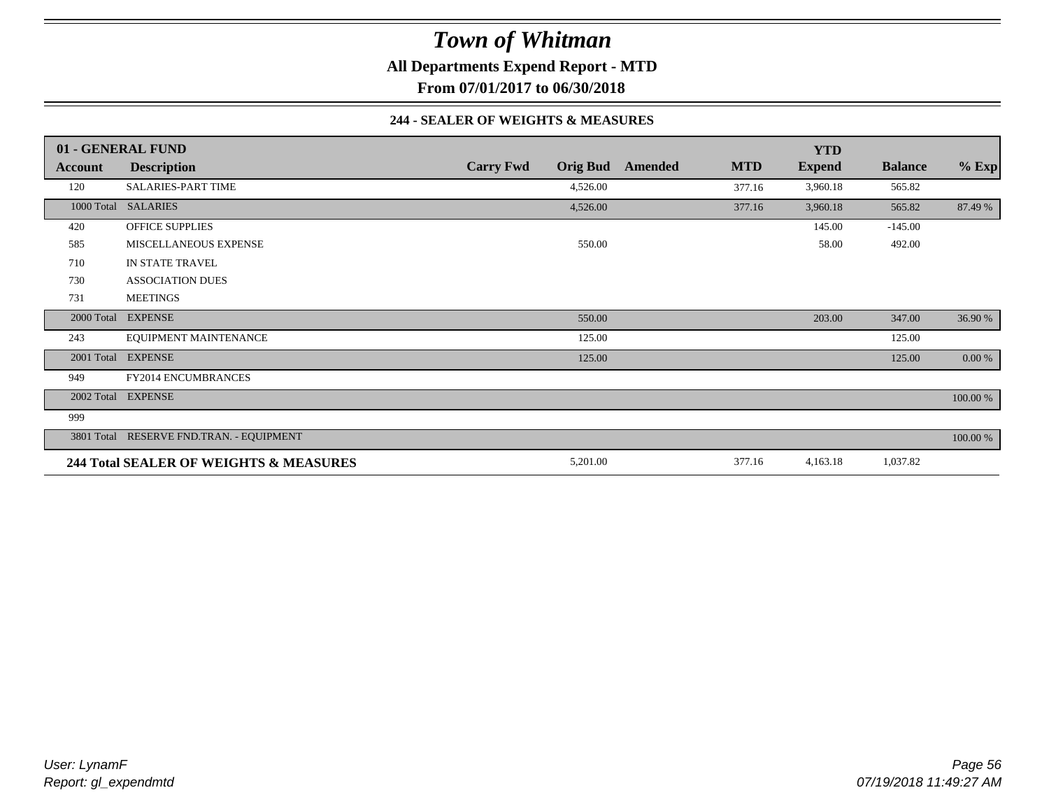**All Departments Expend Report - MTD**

**From 07/01/2017 to 06/30/2018**

#### **244 - SEALER OF WEIGHTS & MEASURES**

|         | 01 - GENERAL FUND                        |                  |                 |         |            | <b>YTD</b>    |                |          |
|---------|------------------------------------------|------------------|-----------------|---------|------------|---------------|----------------|----------|
| Account | <b>Description</b>                       | <b>Carry Fwd</b> | <b>Orig Bud</b> | Amended | <b>MTD</b> | <b>Expend</b> | <b>Balance</b> | $%$ Exp  |
| 120     | <b>SALARIES-PART TIME</b>                |                  | 4,526.00        |         | 377.16     | 3,960.18      | 565.82         |          |
|         | 1000 Total SALARIES                      |                  | 4,526.00        |         | 377.16     | 3,960.18      | 565.82         | 87.49 %  |
| 420     | <b>OFFICE SUPPLIES</b>                   |                  |                 |         |            | 145.00        | $-145.00$      |          |
| 585     | MISCELLANEOUS EXPENSE                    |                  | 550.00          |         |            | 58.00         | 492.00         |          |
| 710     | IN STATE TRAVEL                          |                  |                 |         |            |               |                |          |
| 730     | <b>ASSOCIATION DUES</b>                  |                  |                 |         |            |               |                |          |
| 731     | <b>MEETINGS</b>                          |                  |                 |         |            |               |                |          |
|         | 2000 Total EXPENSE                       |                  | 550.00          |         |            | 203.00        | 347.00         | 36.90 %  |
| 243     | EQUIPMENT MAINTENANCE                    |                  | 125.00          |         |            |               | 125.00         |          |
|         | 2001 Total EXPENSE                       |                  | 125.00          |         |            |               | 125.00         | 0.00 %   |
| 949     | <b>FY2014 ENCUMBRANCES</b>               |                  |                 |         |            |               |                |          |
|         | 2002 Total EXPENSE                       |                  |                 |         |            |               |                | 100.00 % |
| 999     |                                          |                  |                 |         |            |               |                |          |
|         | 3801 Total RESERVE FND.TRAN. - EQUIPMENT |                  |                 |         |            |               |                | 100.00 % |
|         | 244 Total SEALER OF WEIGHTS & MEASURES   |                  | 5,201.00        |         | 377.16     | 4,163.18      | 1,037.82       |          |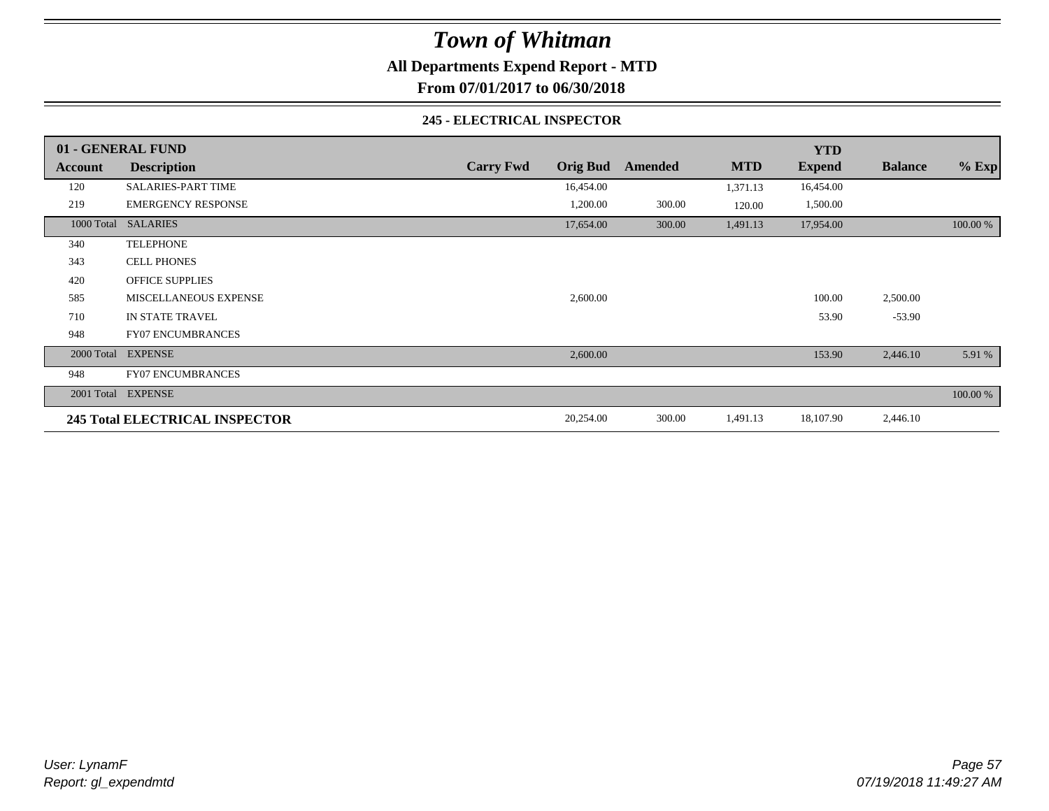**All Departments Expend Report - MTD**

**From 07/01/2017 to 06/30/2018**

#### **245 - ELECTRICAL INSPECTOR**

|         | 01 - GENERAL FUND                     |                  |                 |         |            | <b>YTD</b>    |                |          |
|---------|---------------------------------------|------------------|-----------------|---------|------------|---------------|----------------|----------|
| Account | <b>Description</b>                    | <b>Carry Fwd</b> | <b>Orig Bud</b> | Amended | <b>MTD</b> | <b>Expend</b> | <b>Balance</b> | $%$ Exp  |
| 120     | <b>SALARIES-PART TIME</b>             |                  | 16,454.00       |         | 1,371.13   | 16,454.00     |                |          |
| 219     | <b>EMERGENCY RESPONSE</b>             |                  | 1,200.00        | 300.00  | 120.00     | 1,500.00      |                |          |
|         | 1000 Total SALARIES                   |                  | 17,654.00       | 300.00  | 1,491.13   | 17,954.00     |                | 100.00 % |
| 340     | <b>TELEPHONE</b>                      |                  |                 |         |            |               |                |          |
| 343     | <b>CELL PHONES</b>                    |                  |                 |         |            |               |                |          |
| 420     | <b>OFFICE SUPPLIES</b>                |                  |                 |         |            |               |                |          |
| 585     | <b>MISCELLANEOUS EXPENSE</b>          |                  | 2,600.00        |         |            | 100.00        | 2,500.00       |          |
| 710     | <b>IN STATE TRAVEL</b>                |                  |                 |         |            | 53.90         | $-53.90$       |          |
| 948     | <b>FY07 ENCUMBRANCES</b>              |                  |                 |         |            |               |                |          |
|         | 2000 Total EXPENSE                    |                  | 2,600.00        |         |            | 153.90        | 2,446.10       | 5.91 %   |
| 948     | <b>FY07 ENCUMBRANCES</b>              |                  |                 |         |            |               |                |          |
|         | 2001 Total EXPENSE                    |                  |                 |         |            |               |                | 100.00 % |
|         | <b>245 Total ELECTRICAL INSPECTOR</b> |                  | 20,254.00       | 300.00  | 1,491.13   | 18,107.90     | 2,446.10       |          |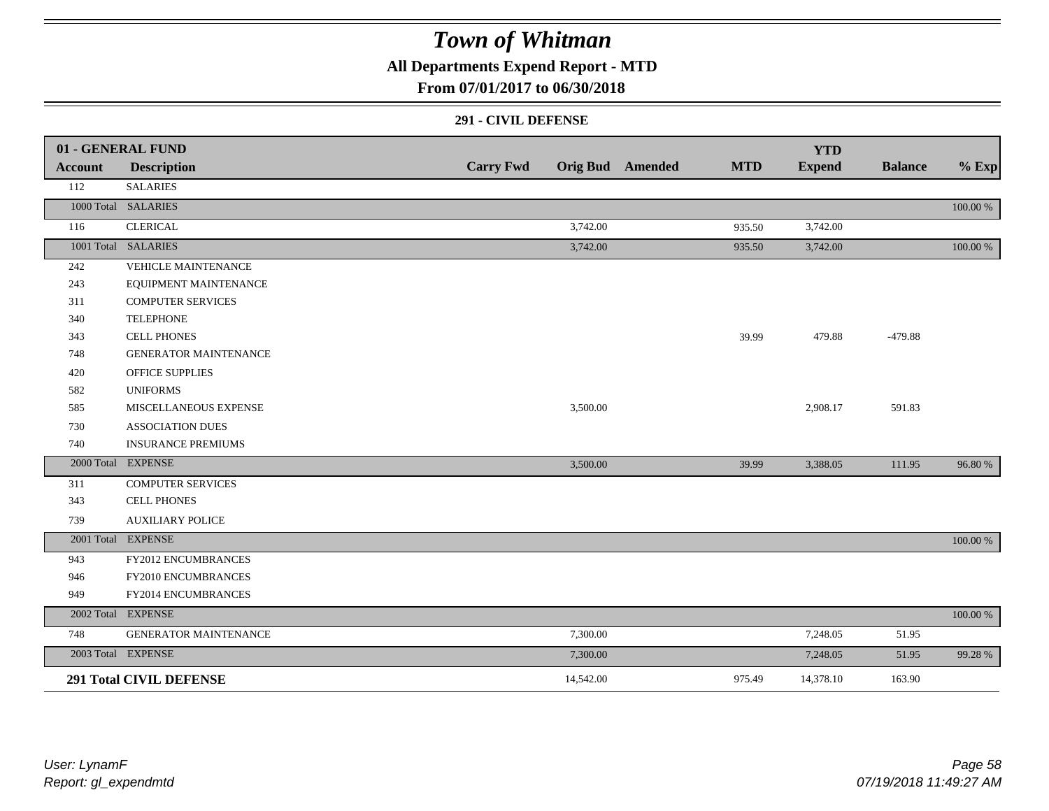### **All Departments Expend Report - MTD**

### **From 07/01/2017 to 06/30/2018**

#### **291 - CIVIL DEFENSE**

|                | 01 - GENERAL FUND              |                  |           |                         |            | <b>YTD</b>    |                |             |
|----------------|--------------------------------|------------------|-----------|-------------------------|------------|---------------|----------------|-------------|
| <b>Account</b> | <b>Description</b>             | <b>Carry Fwd</b> |           | <b>Orig Bud</b> Amended | <b>MTD</b> | <b>Expend</b> | <b>Balance</b> | $%$ Exp     |
| 112            | <b>SALARIES</b>                |                  |           |                         |            |               |                |             |
|                | 1000 Total SALARIES            |                  |           |                         |            |               |                | 100.00 %    |
| 116            | <b>CLERICAL</b>                |                  | 3,742.00  |                         | 935.50     | 3,742.00      |                |             |
|                | 1001 Total SALARIES            |                  | 3,742.00  |                         | 935.50     | 3,742.00      |                | 100.00 %    |
| 242            | <b>VEHICLE MAINTENANCE</b>     |                  |           |                         |            |               |                |             |
| 243            | EQUIPMENT MAINTENANCE          |                  |           |                         |            |               |                |             |
| 311            | <b>COMPUTER SERVICES</b>       |                  |           |                         |            |               |                |             |
| 340            | <b>TELEPHONE</b>               |                  |           |                         |            |               |                |             |
| 343            | <b>CELL PHONES</b>             |                  |           |                         | 39.99      | 479.88        | $-479.88$      |             |
| 748            | <b>GENERATOR MAINTENANCE</b>   |                  |           |                         |            |               |                |             |
| 420            | <b>OFFICE SUPPLIES</b>         |                  |           |                         |            |               |                |             |
| 582            | <b>UNIFORMS</b>                |                  |           |                         |            |               |                |             |
| 585            | MISCELLANEOUS EXPENSE          |                  | 3,500.00  |                         |            | 2,908.17      | 591.83         |             |
| 730            | <b>ASSOCIATION DUES</b>        |                  |           |                         |            |               |                |             |
| 740            | <b>INSURANCE PREMIUMS</b>      |                  |           |                         |            |               |                |             |
|                | 2000 Total EXPENSE             |                  | 3,500.00  |                         | 39.99      | 3,388.05      | 111.95         | 96.80%      |
| 311            | <b>COMPUTER SERVICES</b>       |                  |           |                         |            |               |                |             |
| 343            | <b>CELL PHONES</b>             |                  |           |                         |            |               |                |             |
| 739            | <b>AUXILIARY POLICE</b>        |                  |           |                         |            |               |                |             |
|                | 2001 Total EXPENSE             |                  |           |                         |            |               |                | 100.00 %    |
| 943            | FY2012 ENCUMBRANCES            |                  |           |                         |            |               |                |             |
| 946            | FY2010 ENCUMBRANCES            |                  |           |                         |            |               |                |             |
| 949            | FY2014 ENCUMBRANCES            |                  |           |                         |            |               |                |             |
|                | 2002 Total EXPENSE             |                  |           |                         |            |               |                | $100.00~\%$ |
| 748            | <b>GENERATOR MAINTENANCE</b>   |                  | 7,300.00  |                         |            | 7,248.05      | 51.95          |             |
|                | 2003 Total EXPENSE             |                  | 7,300.00  |                         |            | 7,248.05      | 51.95          | 99.28 %     |
|                | <b>291 Total CIVIL DEFENSE</b> |                  | 14,542.00 |                         | 975.49     | 14,378.10     | 163.90         |             |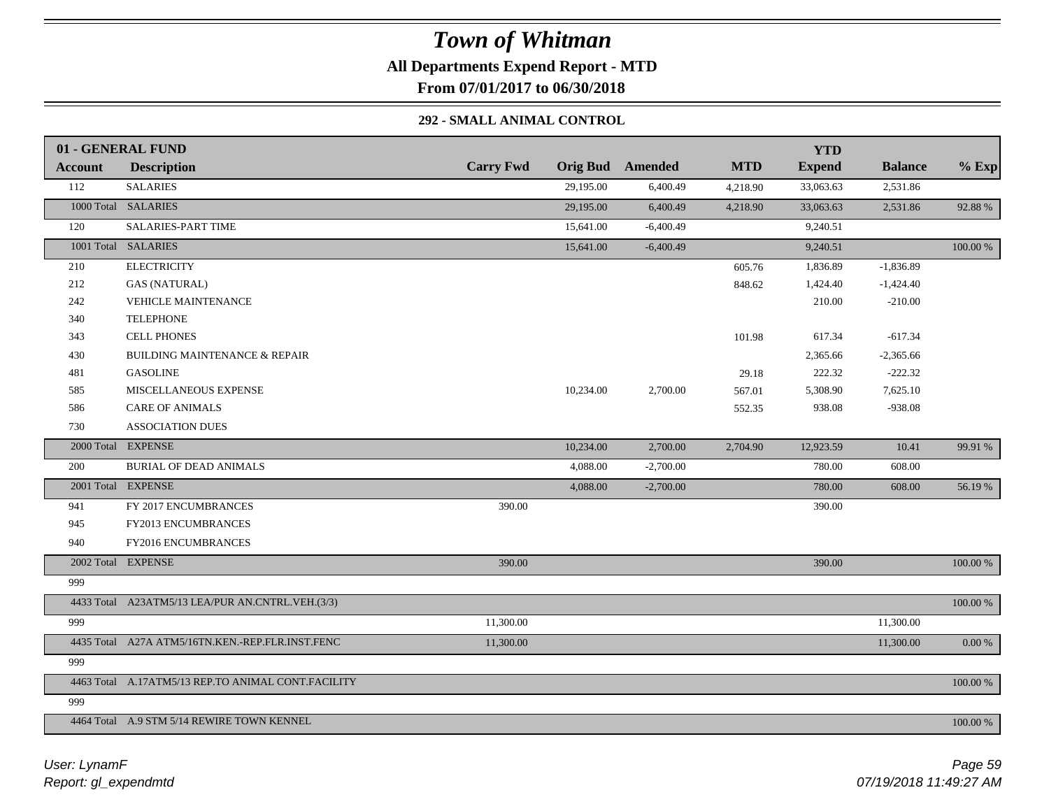**All Departments Expend Report - MTD**

**From 07/01/2017 to 06/30/2018**

### **292 - SMALL ANIMAL CONTROL**

|                | 01 - GENERAL FUND                                  |                  |           |                         |            | <b>YTD</b>    |                |          |
|----------------|----------------------------------------------------|------------------|-----------|-------------------------|------------|---------------|----------------|----------|
| <b>Account</b> | <b>Description</b>                                 | <b>Carry Fwd</b> |           | <b>Orig Bud</b> Amended | <b>MTD</b> | <b>Expend</b> | <b>Balance</b> | $%$ Exp  |
| 112            | <b>SALARIES</b>                                    |                  | 29,195.00 | 6,400.49                | 4,218.90   | 33,063.63     | 2,531.86       |          |
|                | 1000 Total SALARIES                                |                  | 29,195.00 | 6,400.49                | 4,218.90   | 33,063.63     | 2,531.86       | 92.88%   |
| 120            | SALARIES-PART TIME                                 |                  | 15,641.00 | $-6,400.49$             |            | 9,240.51      |                |          |
|                | 1001 Total SALARIES                                |                  | 15,641.00 | $-6,400.49$             |            | 9,240.51      |                | 100.00 % |
| 210            | <b>ELECTRICITY</b>                                 |                  |           |                         | 605.76     | 1,836.89      | $-1,836.89$    |          |
| 212            | <b>GAS (NATURAL)</b>                               |                  |           |                         | 848.62     | 1,424.40      | $-1,424.40$    |          |
| 242            | <b>VEHICLE MAINTENANCE</b>                         |                  |           |                         |            | 210.00        | $-210.00$      |          |
| 340            | <b>TELEPHONE</b>                                   |                  |           |                         |            |               |                |          |
| 343            | CELL PHONES                                        |                  |           |                         | 101.98     | 617.34        | $-617.34$      |          |
| 430            | <b>BUILDING MAINTENANCE &amp; REPAIR</b>           |                  |           |                         |            | 2,365.66      | $-2,365.66$    |          |
| 481            | <b>GASOLINE</b>                                    |                  |           |                         | 29.18      | 222.32        | $-222.32$      |          |
| 585            | MISCELLANEOUS EXPENSE                              |                  | 10,234.00 | 2,700.00                | 567.01     | 5,308.90      | 7,625.10       |          |
| 586            | <b>CARE OF ANIMALS</b>                             |                  |           |                         | 552.35     | 938.08        | $-938.08$      |          |
| 730            | <b>ASSOCIATION DUES</b>                            |                  |           |                         |            |               |                |          |
|                | 2000 Total EXPENSE                                 |                  | 10,234.00 | 2,700.00                | 2,704.90   | 12,923.59     | 10.41          | 99.91 %  |
| 200            | <b>BURIAL OF DEAD ANIMALS</b>                      |                  | 4,088.00  | $-2,700.00$             |            | 780.00        | 608.00         |          |
|                | 2001 Total EXPENSE                                 |                  | 4,088.00  | $-2,700.00$             |            | 780.00        | 608.00         | 56.19 %  |
| 941            | FY 2017 ENCUMBRANCES                               | 390.00           |           |                         |            | 390.00        |                |          |
| 945            | FY2013 ENCUMBRANCES                                |                  |           |                         |            |               |                |          |
| 940            | FY2016 ENCUMBRANCES                                |                  |           |                         |            |               |                |          |
|                | 2002 Total EXPENSE                                 | 390.00           |           |                         |            | 390.00        |                | 100.00 % |
| 999            |                                                    |                  |           |                         |            |               |                |          |
|                | 4433 Total A23ATM5/13 LEA/PUR AN.CNTRL.VEH.(3/3)   |                  |           |                         |            |               |                | 100.00 % |
| 999            |                                                    | 11,300.00        |           |                         |            |               | 11,300.00      |          |
|                | 4435 Total A27A ATM5/16TN.KEN.-REP.FLR.INST.FENC   | 11,300.00        |           |                         |            |               | 11,300.00      | 0.00 %   |
| 999            |                                                    |                  |           |                         |            |               |                |          |
|                | 4463 Total A.17ATM5/13 REP.TO ANIMAL CONT.FACILITY |                  |           |                         |            |               |                | 100.00 % |
| 999            |                                                    |                  |           |                         |            |               |                |          |
|                | 4464 Total A.9 STM 5/14 REWIRE TOWN KENNEL         |                  |           |                         |            |               |                | 100.00 % |
|                |                                                    |                  |           |                         |            |               |                |          |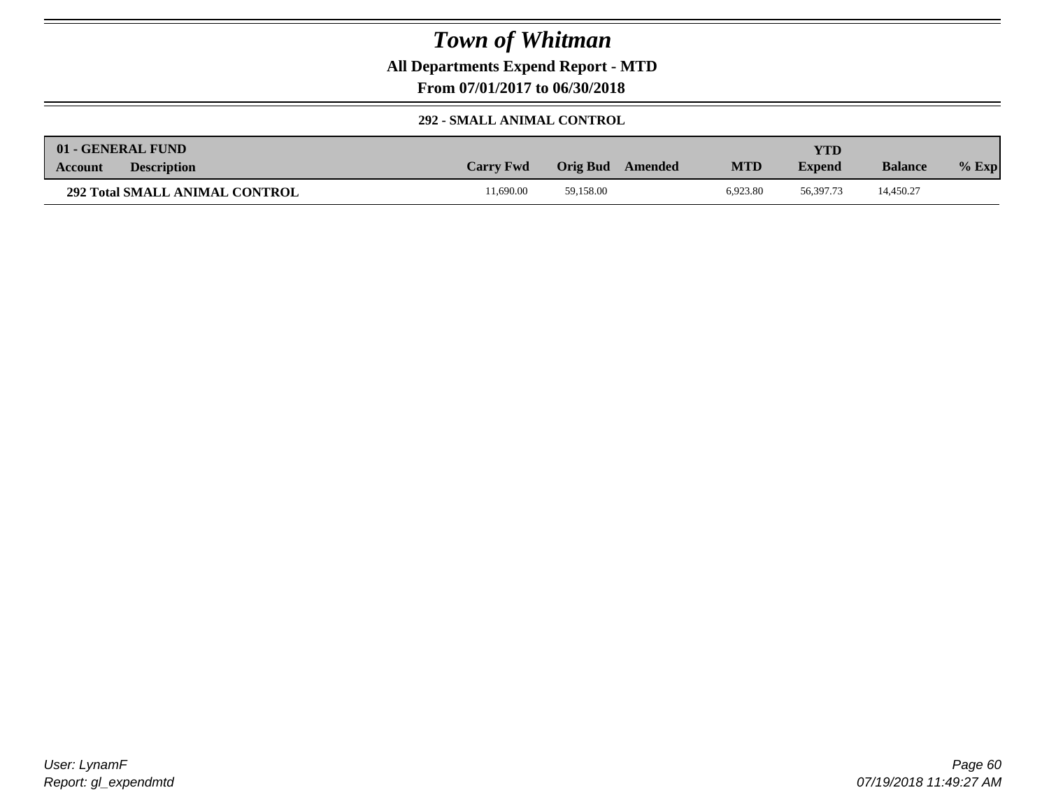**All Departments Expend Report - MTD**

**From 07/01/2017 to 06/30/2018**

#### **292 - SMALL ANIMAL CONTROL**

| 01 - GENERAL FUND                     |                  |                     |            | YTD           |                |         |
|---------------------------------------|------------------|---------------------|------------|---------------|----------------|---------|
| <b>Description</b><br><b>Account</b>  | <b>Carry Fwd</b> | Orig Bud<br>Amended | <b>MTD</b> | <b>Expend</b> | <b>Balance</b> | $%$ Exp |
| <b>292 Total SMALL ANIMAL CONTROL</b> | 1.690.00         | 59.158.00           | 6.923.80   | 56,397.73     | 14,450.27      |         |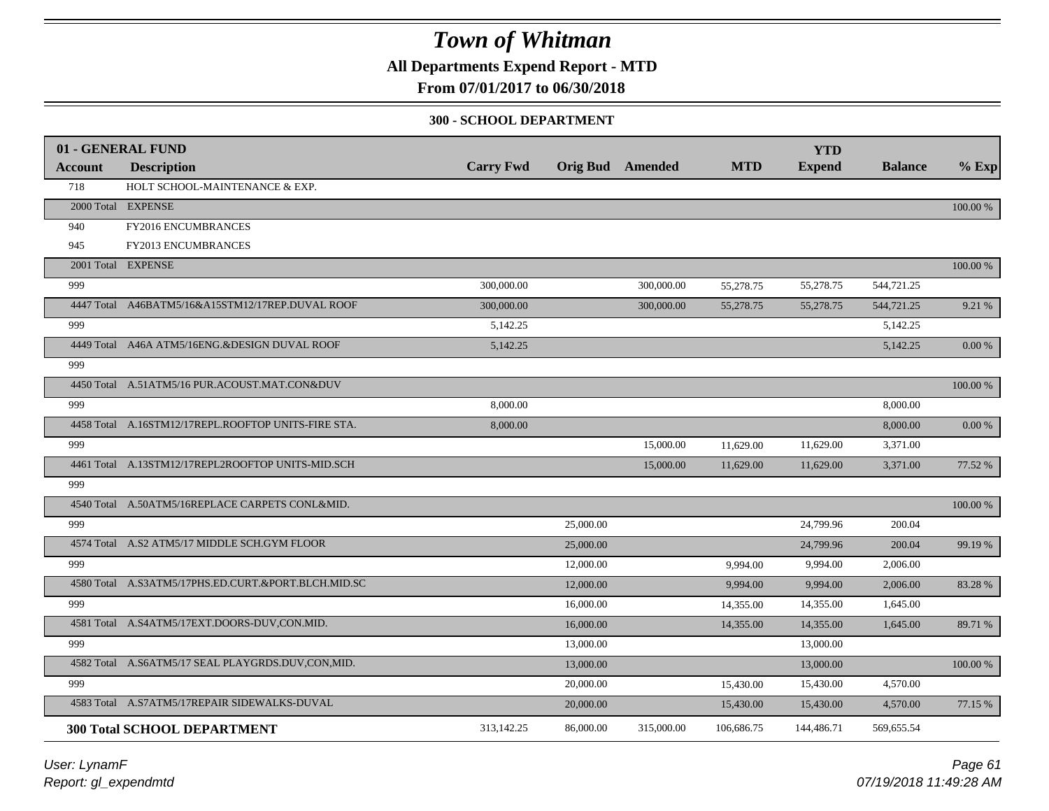**All Departments Expend Report - MTD**

### **From 07/01/2017 to 06/30/2018**

#### **300 - SCHOOL DEPARTMENT**

|                | 01 - GENERAL FUND                                   |                  |                         |            |            | <b>YTD</b>    |                |            |
|----------------|-----------------------------------------------------|------------------|-------------------------|------------|------------|---------------|----------------|------------|
| <b>Account</b> | <b>Description</b>                                  | <b>Carry Fwd</b> | <b>Orig Bud</b> Amended |            | <b>MTD</b> | <b>Expend</b> | <b>Balance</b> | $%$ Exp    |
| 718            | HOLT SCHOOL-MAINTENANCE & EXP.                      |                  |                         |            |            |               |                |            |
|                | 2000 Total EXPENSE                                  |                  |                         |            |            |               |                | 100.00 %   |
| 940            | FY2016 ENCUMBRANCES                                 |                  |                         |            |            |               |                |            |
| 945            | FY2013 ENCUMBRANCES                                 |                  |                         |            |            |               |                |            |
|                | 2001 Total EXPENSE                                  |                  |                         |            |            |               |                | 100.00 %   |
| 999            |                                                     | 300,000.00       |                         | 300,000.00 | 55,278.75  | 55,278.75     | 544,721.25     |            |
|                | 4447 Total A46BATM5/16&A15STM12/17REP.DUVAL ROOF    | 300,000.00       |                         | 300,000.00 | 55,278.75  | 55,278.75     | 544,721.25     | 9.21 %     |
| 999            |                                                     | 5,142.25         |                         |            |            |               | 5,142.25       |            |
|                | 4449 Total A46A ATM5/16ENG.&DESIGN DUVAL ROOF       | 5,142.25         |                         |            |            |               | 5,142.25       | 0.00%      |
| 999            |                                                     |                  |                         |            |            |               |                |            |
|                | 4450 Total A.51ATM5/16 PUR.ACOUST.MAT.CON&DUV       |                  |                         |            |            |               |                | 100.00 %   |
| 999            |                                                     | 8,000.00         |                         |            |            |               | 8,000.00       |            |
|                | 4458 Total A.16STM12/17REPL.ROOFTOP UNITS-FIRE STA. | 8,000.00         |                         |            |            |               | 8,000.00       | $0.00\,\%$ |
| 999            |                                                     |                  |                         | 15,000.00  | 11,629.00  | 11,629.00     | 3,371.00       |            |
|                | 4461 Total A.13STM12/17REPL2ROOFTOP UNITS-MID.SCH   |                  |                         | 15,000.00  | 11,629.00  | 11,629.00     | 3,371.00       | 77.52 %    |
| 999            |                                                     |                  |                         |            |            |               |                |            |
|                | 4540 Total A.50ATM5/16REPLACE CARPETS CONL&MID.     |                  |                         |            |            |               |                | $100.00\%$ |
| 999            |                                                     |                  | 25,000.00               |            |            | 24,799.96     | 200.04         |            |
|                | 4574 Total A.S2 ATM5/17 MIDDLE SCH.GYM FLOOR        |                  | 25,000.00               |            |            | 24,799.96     | 200.04         | 99.19 %    |
| 999            |                                                     |                  | 12,000.00               |            | 9,994.00   | 9,994.00      | 2,006.00       |            |
|                | 4580 Total A.S3ATM5/17PHS.ED.CURT.&PORT.BLCH.MID.SC |                  | 12,000.00               |            | 9,994.00   | 9,994.00      | 2,006.00       | 83.28 %    |
| 999            |                                                     |                  | 16,000.00               |            | 14,355.00  | 14,355.00     | 1,645.00       |            |
|                | 4581 Total A.S4ATM5/17EXT.DOORS-DUV,CON.MID.        |                  | 16,000.00               |            | 14,355.00  | 14,355.00     | 1,645.00       | 89.71 %    |
| 999            |                                                     |                  | 13,000.00               |            |            | 13,000.00     |                |            |
|                | 4582 Total A.S6ATM5/17 SEAL PLAYGRDS.DUV,CON,MID.   |                  | 13,000.00               |            |            | 13,000.00     |                | 100.00 %   |
| 999            |                                                     |                  | 20,000.00               |            | 15,430.00  | 15,430.00     | 4,570.00       |            |
|                | 4583 Total A.S7ATM5/17REPAIR SIDEWALKS-DUVAL        |                  | 20,000.00               |            | 15,430.00  | 15,430.00     | 4,570.00       | 77.15 %    |
|                | <b>300 Total SCHOOL DEPARTMENT</b>                  | 313,142.25       | 86,000.00               | 315,000.00 | 106,686.75 | 144,486.71    | 569,655.54     |            |
|                |                                                     |                  |                         |            |            |               |                |            |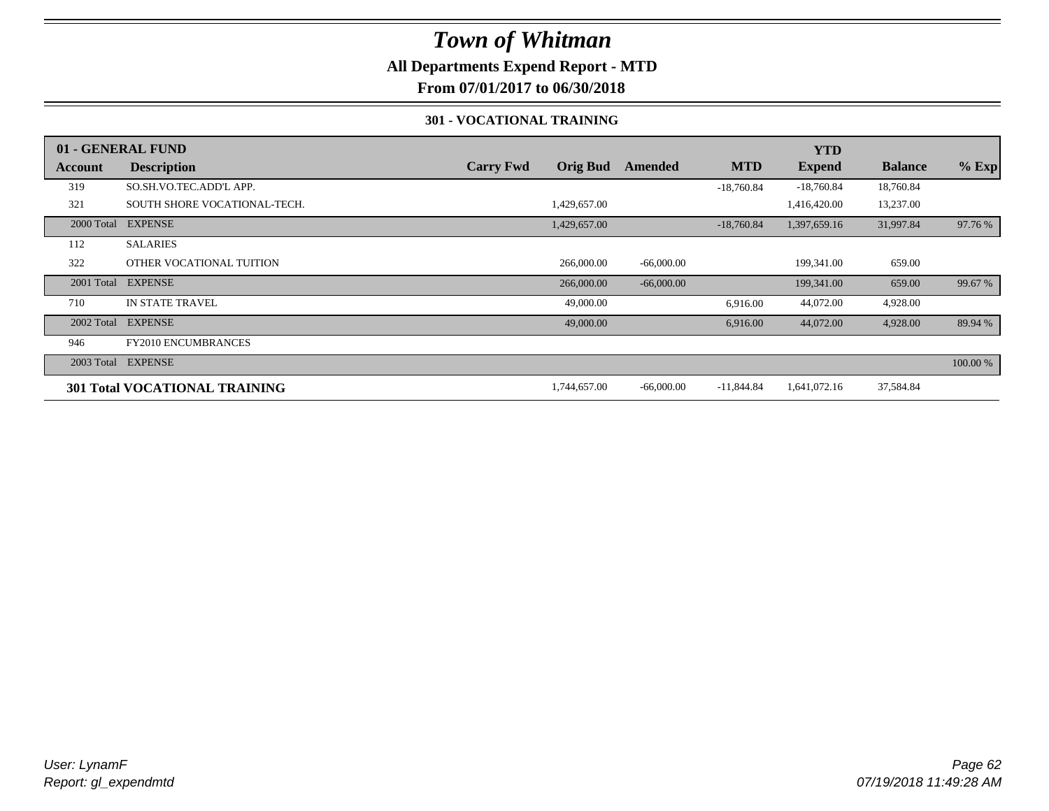### **All Departments Expend Report - MTD**

**From 07/01/2017 to 06/30/2018**

#### **301 - VOCATIONAL TRAINING**

|            | 01 - GENERAL FUND                    |                  |                 |                |              | <b>YTD</b>    |                |          |
|------------|--------------------------------------|------------------|-----------------|----------------|--------------|---------------|----------------|----------|
| Account    | <b>Description</b>                   | <b>Carry Fwd</b> | <b>Orig Bud</b> | <b>Amended</b> | <b>MTD</b>   | <b>Expend</b> | <b>Balance</b> | $%$ Exp  |
| 319        | SO.SH.VO.TEC.ADD'L APP.              |                  |                 |                | $-18,760.84$ | $-18,760.84$  | 18,760.84      |          |
| 321        | SOUTH SHORE VOCATIONAL-TECH.         |                  | 1,429,657.00    |                |              | 1,416,420.00  | 13,237.00      |          |
| 2000 Total | <b>EXPENSE</b>                       |                  | 1,429,657.00    |                | $-18,760.84$ | 1,397,659.16  | 31,997.84      | 97.76 %  |
| 112        | <b>SALARIES</b>                      |                  |                 |                |              |               |                |          |
| 322        | OTHER VOCATIONAL TUITION             |                  | 266,000.00      | $-66,000.00$   |              | 199,341.00    | 659.00         |          |
| 2001 Total | <b>EXPENSE</b>                       |                  | 266,000.00      | $-66,000.00$   |              | 199,341.00    | 659.00         | 99.67 %  |
| 710        | <b>IN STATE TRAVEL</b>               |                  | 49,000.00       |                | 6,916.00     | 44,072.00     | 4,928.00       |          |
| 2002 Total | <b>EXPENSE</b>                       |                  | 49,000.00       |                | 6,916.00     | 44,072.00     | 4,928.00       | 89.94 %  |
| 946        | <b>FY2010 ENCUMBRANCES</b>           |                  |                 |                |              |               |                |          |
| 2003 Total | <b>EXPENSE</b>                       |                  |                 |                |              |               |                | 100.00 % |
|            | <b>301 Total VOCATIONAL TRAINING</b> |                  | 1,744,657.00    | $-66,000.00$   | $-11,844.84$ | 1,641,072.16  | 37,584.84      |          |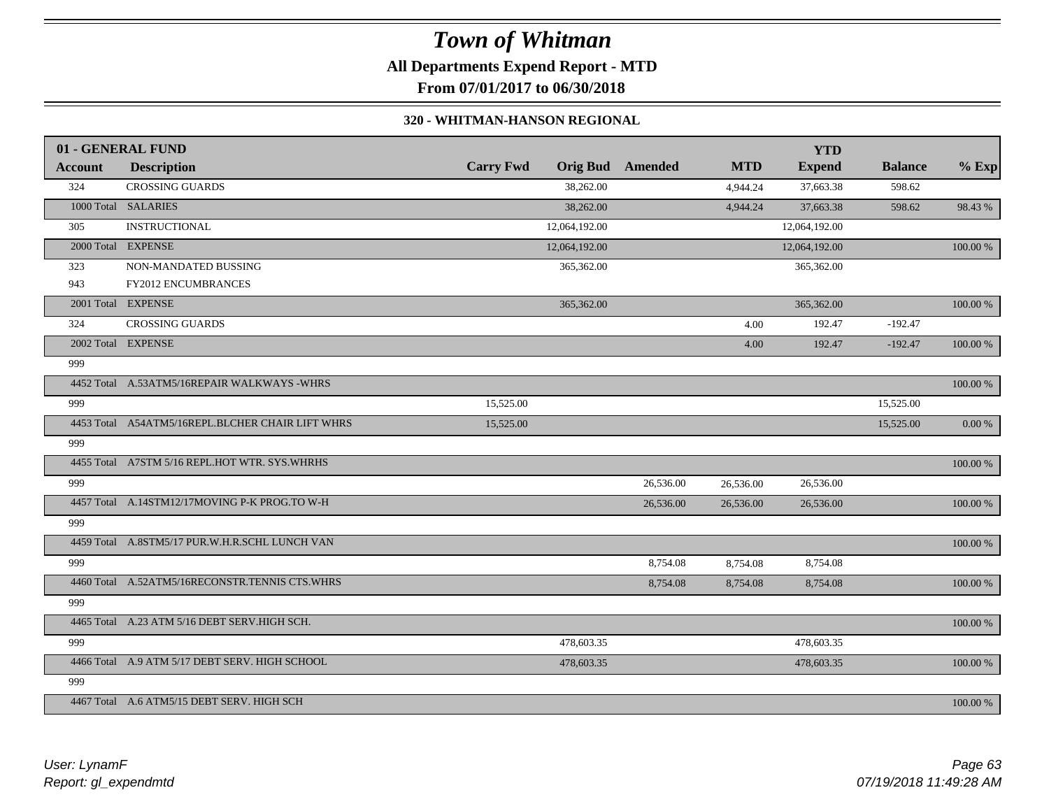**All Departments Expend Report - MTD**

**From 07/01/2017 to 06/30/2018**

#### **320 - WHITMAN-HANSON REGIONAL**

|                | 01 - GENERAL FUND                                |                  |               |                         |            | <b>YTD</b>    |                |             |
|----------------|--------------------------------------------------|------------------|---------------|-------------------------|------------|---------------|----------------|-------------|
| <b>Account</b> | <b>Description</b>                               | <b>Carry Fwd</b> |               | <b>Orig Bud</b> Amended | <b>MTD</b> | <b>Expend</b> | <b>Balance</b> | $%$ Exp     |
| 324            | <b>CROSSING GUARDS</b>                           |                  | 38,262.00     |                         | 4,944.24   | 37,663.38     | 598.62         |             |
|                | 1000 Total SALARIES                              |                  | 38,262.00     |                         | 4,944.24   | 37,663.38     | 598.62         | 98.43%      |
| 305            | <b>INSTRUCTIONAL</b>                             |                  | 12,064,192.00 |                         |            | 12,064,192.00 |                |             |
|                | 2000 Total EXPENSE                               |                  | 12,064,192.00 |                         |            | 12,064,192.00 |                | 100.00 %    |
| 323            | NON-MANDATED BUSSING                             |                  | 365,362.00    |                         |            | 365,362.00    |                |             |
| 943            | FY2012 ENCUMBRANCES                              |                  |               |                         |            |               |                |             |
|                | 2001 Total EXPENSE                               |                  | 365,362.00    |                         |            | 365,362.00    |                | $100.00~\%$ |
| 324            | <b>CROSSING GUARDS</b>                           |                  |               |                         | 4.00       | 192.47        | $-192.47$      |             |
|                | 2002 Total EXPENSE                               |                  |               |                         | 4.00       | 192.47        | $-192.47$      | 100.00 %    |
| 999            |                                                  |                  |               |                         |            |               |                |             |
|                | 4452 Total A.53ATM5/16REPAIR WALKWAYS -WHRS      |                  |               |                         |            |               |                | 100.00 %    |
| 999            |                                                  | 15,525.00        |               |                         |            |               | 15,525.00      |             |
|                | 4453 Total A54ATM5/16REPL.BLCHER CHAIR LIFT WHRS | 15,525.00        |               |                         |            |               | 15,525.00      | $0.00\ \%$  |
| 999            |                                                  |                  |               |                         |            |               |                |             |
|                | 4455 Total A7STM 5/16 REPL.HOT WTR. SYS.WHRHS    |                  |               |                         |            |               |                | 100.00 %    |
| 999            |                                                  |                  |               | 26,536.00               | 26,536.00  | 26,536.00     |                |             |
|                | 4457 Total A.14STM12/17MOVING P-K PROG.TO W-H    |                  |               | 26,536.00               | 26,536.00  | 26,536.00     |                | 100.00 %    |
| 999            |                                                  |                  |               |                         |            |               |                |             |
|                | 4459 Total A.8STM5/17 PUR.W.H.R.SCHL LUNCH VAN   |                  |               |                         |            |               |                | $100.00~\%$ |
| 999            |                                                  |                  |               | 8,754.08                | 8,754.08   | 8,754.08      |                |             |
|                | 4460 Total A.52ATM5/16RECONSTR.TENNIS CTS.WHRS   |                  |               | 8,754.08                | 8,754.08   | 8,754.08      |                | 100.00 %    |
| 999            |                                                  |                  |               |                         |            |               |                |             |
|                | 4465 Total A.23 ATM 5/16 DEBT SERV.HIGH SCH.     |                  |               |                         |            |               |                | 100.00 %    |
| 999            |                                                  |                  | 478,603.35    |                         |            | 478,603.35    |                |             |
|                | 4466 Total A.9 ATM 5/17 DEBT SERV. HIGH SCHOOL   |                  | 478,603.35    |                         |            | 478,603.35    |                | 100.00 %    |
| 999            |                                                  |                  |               |                         |            |               |                |             |
|                | 4467 Total A.6 ATM5/15 DEBT SERV. HIGH SCH       |                  |               |                         |            |               |                | 100.00 %    |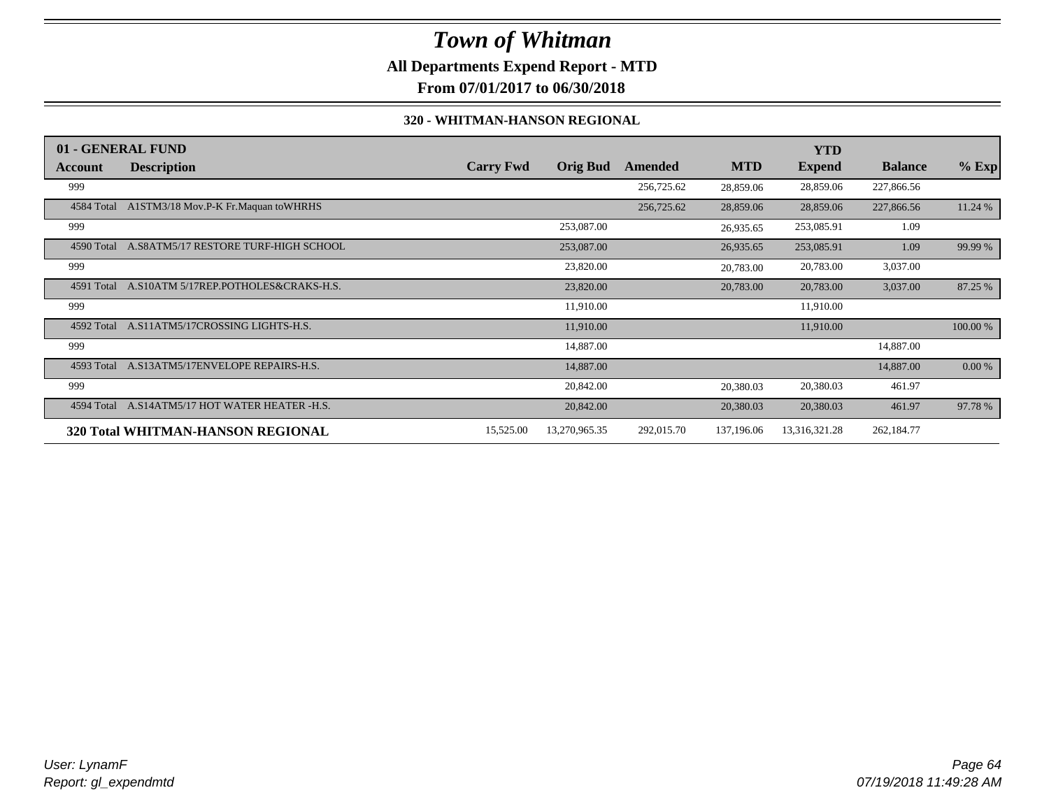### **All Departments Expend Report - MTD**

**From 07/01/2017 to 06/30/2018**

#### **320 - WHITMAN-HANSON REGIONAL**

|            | 01 - GENERAL FUND                    |                  |                 |            |            | YTD           |                |          |
|------------|--------------------------------------|------------------|-----------------|------------|------------|---------------|----------------|----------|
| Account    | <b>Description</b>                   | <b>Carry Fwd</b> | <b>Orig Bud</b> | Amended    | <b>MTD</b> | <b>Expend</b> | <b>Balance</b> | $%$ Exp  |
| 999        |                                      |                  |                 | 256,725.62 | 28,859.06  | 28,859.06     | 227,866.56     |          |
| 4584 Total | A1STM3/18 Mov.P-K Fr.Maquan to WHRHS |                  |                 | 256,725.62 | 28,859.06  | 28,859.06     | 227,866.56     | 11.24 %  |
| 999        |                                      |                  | 253,087.00      |            | 26,935.65  | 253,085.91    | 1.09           |          |
| 4590 Total | A.S8ATM5/17 RESTORE TURF-HIGH SCHOOL |                  | 253,087.00      |            | 26,935.65  | 253,085.91    | 1.09           | 99.99 %  |
| 999        |                                      |                  | 23,820.00       |            | 20,783.00  | 20,783.00     | 3,037.00       |          |
| 4591 Total | A.S10ATM 5/17REP.POTHOLES&CRAKS-H.S. |                  | 23,820.00       |            | 20,783.00  | 20,783.00     | 3,037.00       | 87.25 %  |
| 999        |                                      |                  | 11,910.00       |            |            | 11,910.00     |                |          |
| 4592 Total | A.S11ATM5/17CROSSING LIGHTS-H.S.     |                  | 11,910.00       |            |            | 11,910.00     |                | 100.00 % |
| 999        |                                      |                  | 14,887.00       |            |            |               | 14,887.00      |          |
| 4593 Total | A.S13ATM5/17ENVELOPE REPAIRS-H.S.    |                  | 14,887.00       |            |            |               | 14,887.00      | 0.00 %   |
| 999        |                                      |                  | 20,842.00       |            | 20,380.03  | 20,380.03     | 461.97         |          |
| 4594 Total | A.S14ATM5/17 HOT WATER HEATER -H.S.  |                  | 20,842.00       |            | 20,380.03  | 20,380.03     | 461.97         | 97.78 %  |
|            | 320 Total WHITMAN-HANSON REGIONAL    | 15,525.00        | 13,270,965.35   | 292,015.70 | 137,196.06 | 13,316,321.28 | 262,184.77     |          |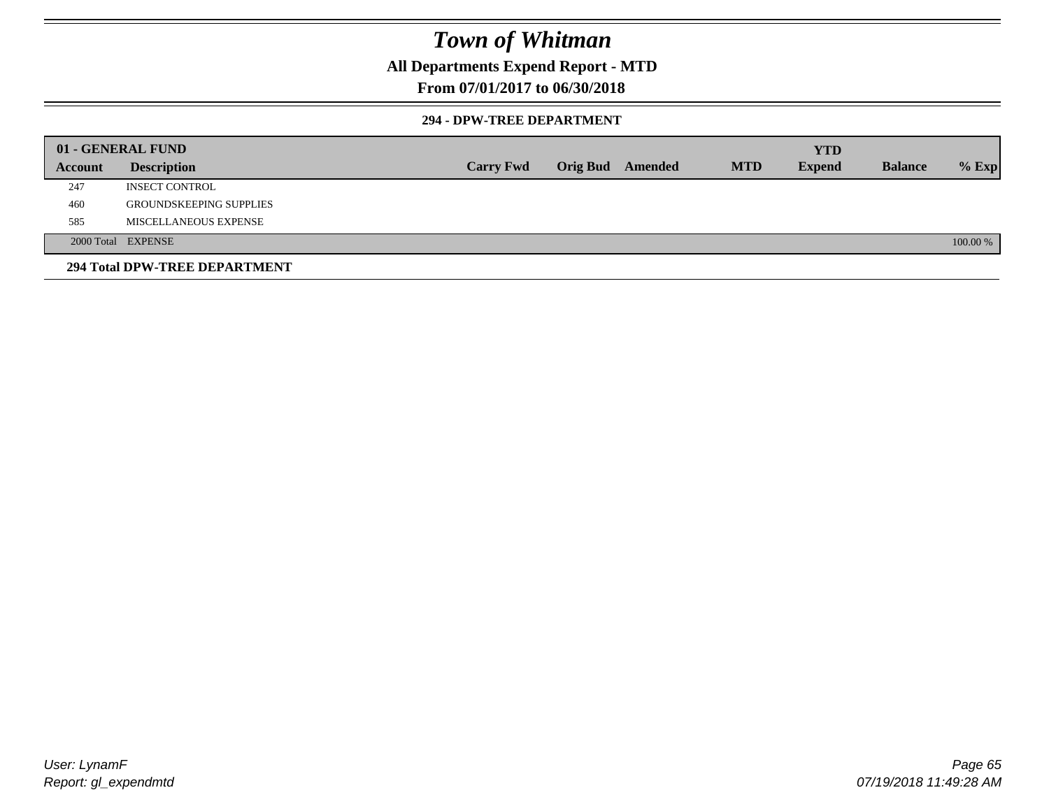### **All Departments Expend Report - MTD**

### **From 07/01/2017 to 06/30/2018**

#### **294 - DPW-TREE DEPARTMENT**

|         | 01 - GENERAL FUND              |                  |                         |            | <b>YTD</b>    |                |          |
|---------|--------------------------------|------------------|-------------------------|------------|---------------|----------------|----------|
| Account | <b>Description</b>             | <b>Carry Fwd</b> | <b>Orig Bud</b> Amended | <b>MTD</b> | <b>Expend</b> | <b>Balance</b> | $%$ Exp  |
| 247     | <b>INSECT CONTROL</b>          |                  |                         |            |               |                |          |
| 460     | <b>GROUNDSKEEPING SUPPLIES</b> |                  |                         |            |               |                |          |
| 585     | MISCELLANEOUS EXPENSE          |                  |                         |            |               |                |          |
|         | 2000 Total EXPENSE             |                  |                         |            |               |                | 100.00 % |
|         | 294 Total DPW-TREE DEPARTMENT  |                  |                         |            |               |                |          |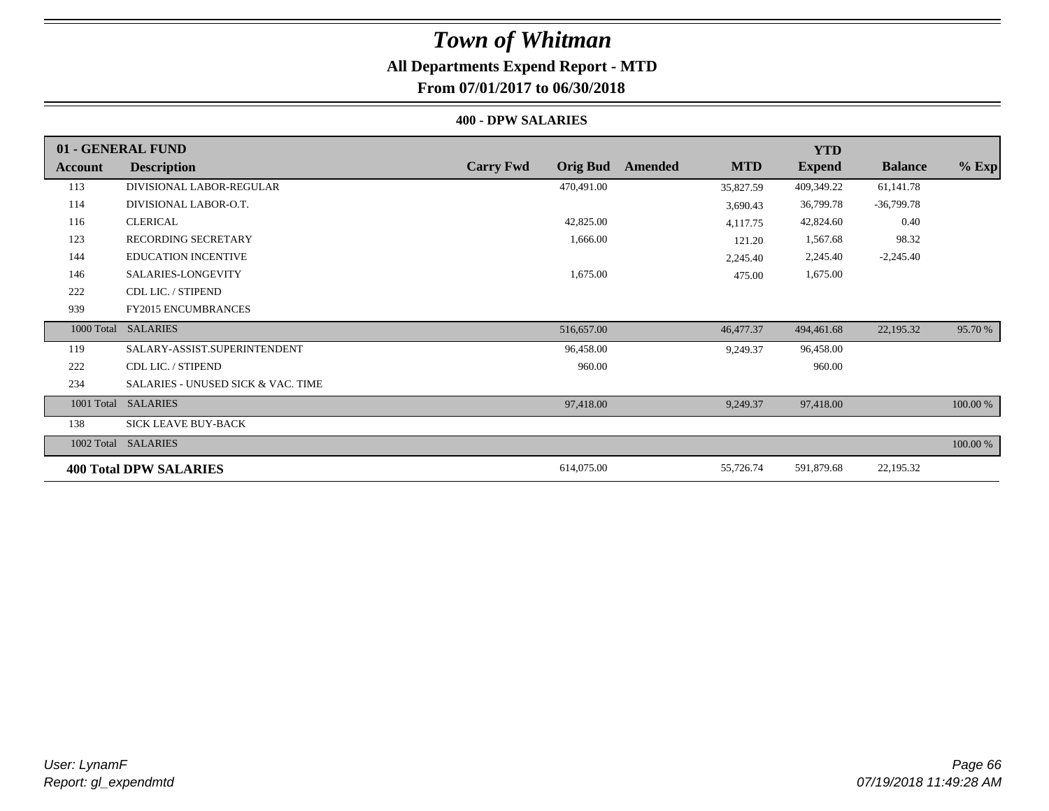### **All Departments Expend Report - MTD**

**From 07/01/2017 to 06/30/2018**

#### **400 - DPW SALARIES**

|            | 01 - GENERAL FUND                             |                                     |                       | <b>YTD</b>    |                |          |
|------------|-----------------------------------------------|-------------------------------------|-----------------------|---------------|----------------|----------|
| Account    | <b>Description</b>                            | <b>Carry Fwd</b><br><b>Orig Bud</b> | <b>MTD</b><br>Amended | <b>Expend</b> | <b>Balance</b> | $%$ Exp  |
| 113        | DIVISIONAL LABOR-REGULAR                      | 470,491.00                          | 35,827.59             | 409,349.22    | 61,141.78      |          |
| 114        | DIVISIONAL LABOR-O.T.                         |                                     | 3,690.43              | 36,799.78     | $-36,799.78$   |          |
| 116        | <b>CLERICAL</b>                               | 42,825.00                           | 4,117.75              | 42,824.60     | 0.40           |          |
| 123        | <b>RECORDING SECRETARY</b>                    | 1,666.00                            | 121.20                | 1,567.68      | 98.32          |          |
| 144        | <b>EDUCATION INCENTIVE</b>                    |                                     | 2,245.40              | 2,245.40      | $-2,245.40$    |          |
| 146        | SALARIES-LONGEVITY                            | 1,675.00                            | 475.00                | 1,675.00      |                |          |
| 222        | CDL LIC. / STIPEND                            |                                     |                       |               |                |          |
| 939        | <b>FY2015 ENCUMBRANCES</b>                    |                                     |                       |               |                |          |
| 1000 Total | <b>SALARIES</b>                               | 516,657.00                          | 46,477.37             | 494,461.68    | 22,195.32      | 95.70 %  |
| 119        | SALARY-ASSIST.SUPERINTENDENT                  | 96,458.00                           | 9,249.37              | 96,458.00     |                |          |
| 222        | CDL LIC. / STIPEND                            | 960.00                              |                       | 960.00        |                |          |
| 234        | <b>SALARIES - UNUSED SICK &amp; VAC. TIME</b> |                                     |                       |               |                |          |
| 1001 Total | <b>SALARIES</b>                               | 97,418.00                           | 9,249.37              | 97,418.00     |                | 100.00 % |
| 138        | <b>SICK LEAVE BUY-BACK</b>                    |                                     |                       |               |                |          |
|            | 1002 Total SALARIES                           |                                     |                       |               |                | 100.00 % |
|            | <b>400 Total DPW SALARIES</b>                 | 614,075.00                          | 55,726.74             | 591,879.68    | 22,195.32      |          |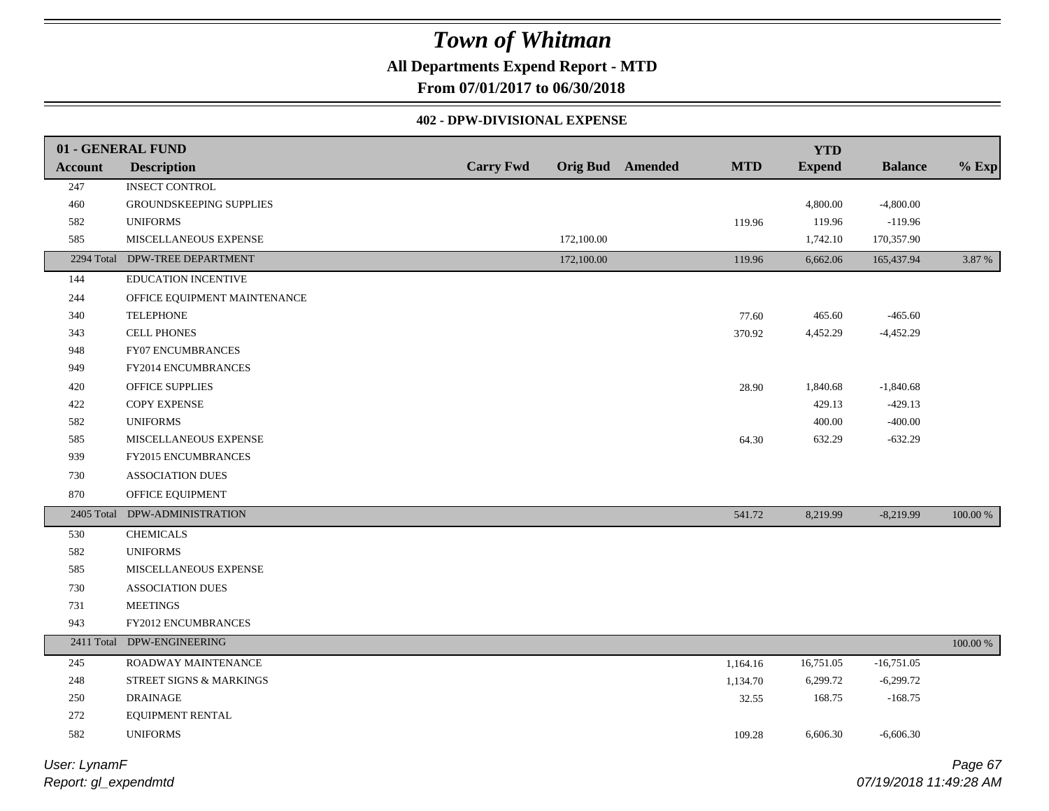### **All Departments Expend Report - MTD**

**From 07/01/2017 to 06/30/2018**

#### **402 - DPW-DIVISIONAL EXPENSE**

|                | 01 - GENERAL FUND              |                  |            |                         |            | <b>YTD</b>    |                |             |
|----------------|--------------------------------|------------------|------------|-------------------------|------------|---------------|----------------|-------------|
| <b>Account</b> | <b>Description</b>             | <b>Carry Fwd</b> |            | <b>Orig Bud</b> Amended | <b>MTD</b> | <b>Expend</b> | <b>Balance</b> | $%$ Exp     |
| 247            | <b>INSECT CONTROL</b>          |                  |            |                         |            |               |                |             |
| 460            | <b>GROUNDSKEEPING SUPPLIES</b> |                  |            |                         |            | 4,800.00      | $-4,800.00$    |             |
| 582            | <b>UNIFORMS</b>                |                  |            |                         | 119.96     | 119.96        | $-119.96$      |             |
| 585            | MISCELLANEOUS EXPENSE          |                  | 172,100.00 |                         |            | 1,742.10      | 170,357.90     |             |
| 2294 Total     | DPW-TREE DEPARTMENT            |                  | 172,100.00 |                         | 119.96     | 6,662.06      | 165,437.94     | 3.87 %      |
| 144            | EDUCATION INCENTIVE            |                  |            |                         |            |               |                |             |
| 244            | OFFICE EQUIPMENT MAINTENANCE   |                  |            |                         |            |               |                |             |
| 340            | <b>TELEPHONE</b>               |                  |            |                         | 77.60      | 465.60        | $-465.60$      |             |
| 343            | <b>CELL PHONES</b>             |                  |            |                         | 370.92     | 4,452.29      | $-4,452.29$    |             |
| 948            | FY07 ENCUMBRANCES              |                  |            |                         |            |               |                |             |
| 949            | FY2014 ENCUMBRANCES            |                  |            |                         |            |               |                |             |
| 420            | OFFICE SUPPLIES                |                  |            |                         | 28.90      | 1,840.68      | $-1,840.68$    |             |
| 422            | <b>COPY EXPENSE</b>            |                  |            |                         |            | 429.13        | $-429.13$      |             |
| 582            | <b>UNIFORMS</b>                |                  |            |                         |            | 400.00        | $-400.00$      |             |
| 585            | MISCELLANEOUS EXPENSE          |                  |            |                         | 64.30      | 632.29        | $-632.29$      |             |
| 939            | FY2015 ENCUMBRANCES            |                  |            |                         |            |               |                |             |
| 730            | ASSOCIATION DUES               |                  |            |                         |            |               |                |             |
| 870            | OFFICE EQUIPMENT               |                  |            |                         |            |               |                |             |
| 2405 Total     | DPW-ADMINISTRATION             |                  |            |                         | 541.72     | 8,219.99      | $-8,219.99$    | 100.00 %    |
| 530            | <b>CHEMICALS</b>               |                  |            |                         |            |               |                |             |
| 582            | <b>UNIFORMS</b>                |                  |            |                         |            |               |                |             |
| 585            | MISCELLANEOUS EXPENSE          |                  |            |                         |            |               |                |             |
| 730            | <b>ASSOCIATION DUES</b>        |                  |            |                         |            |               |                |             |
| 731            | <b>MEETINGS</b>                |                  |            |                         |            |               |                |             |
| 943            | <b>FY2012 ENCUMBRANCES</b>     |                  |            |                         |            |               |                |             |
|                | 2411 Total DPW-ENGINEERING     |                  |            |                         |            |               |                | $100.00~\%$ |
| 245            | ROADWAY MAINTENANCE            |                  |            |                         | 1,164.16   | 16,751.05     | $-16,751.05$   |             |
| 248            | STREET SIGNS & MARKINGS        |                  |            |                         | 1,134.70   | 6,299.72      | $-6,299.72$    |             |
| $250\,$        | <b>DRAINAGE</b>                |                  |            |                         | 32.55      | 168.75        | $-168.75$      |             |
| 272            | EQUIPMENT RENTAL               |                  |            |                         |            |               |                |             |
| 582            | <b>UNIFORMS</b>                |                  |            |                         | 109.28     | 6,606.30      | $-6,606.30$    |             |
|                |                                |                  |            |                         |            |               |                |             |

*Report: gl\_expendmtd User: LynamF*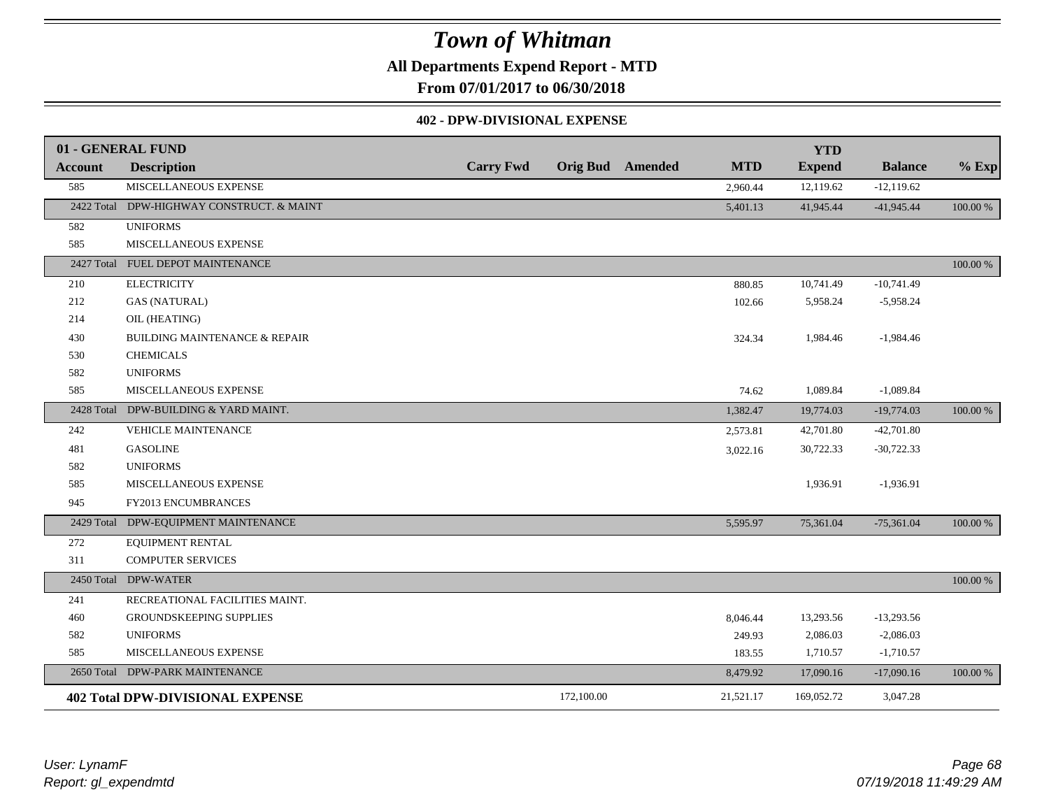**All Departments Expend Report - MTD**

**From 07/01/2017 to 06/30/2018**

#### **402 - DPW-DIVISIONAL EXPENSE**

|                | 01 - GENERAL FUND                        |                  |            |                         |            | <b>YTD</b>    |                |          |
|----------------|------------------------------------------|------------------|------------|-------------------------|------------|---------------|----------------|----------|
| <b>Account</b> | <b>Description</b>                       | <b>Carry Fwd</b> |            | <b>Orig Bud</b> Amended | <b>MTD</b> | <b>Expend</b> | <b>Balance</b> | $%$ Exp  |
| 585            | MISCELLANEOUS EXPENSE                    |                  |            |                         | 2,960.44   | 12,119.62     | $-12,119.62$   |          |
| 2422 Total     | DPW-HIGHWAY CONSTRUCT. & MAINT           |                  |            |                         | 5,401.13   | 41,945.44     | $-41,945.44$   | 100.00 % |
| 582            | <b>UNIFORMS</b>                          |                  |            |                         |            |               |                |          |
| 585            | MISCELLANEOUS EXPENSE                    |                  |            |                         |            |               |                |          |
|                | 2427 Total FUEL DEPOT MAINTENANCE        |                  |            |                         |            |               |                | 100.00 % |
| 210            | <b>ELECTRICITY</b>                       |                  |            |                         | 880.85     | 10,741.49     | $-10,741.49$   |          |
| 212            | <b>GAS (NATURAL)</b>                     |                  |            |                         | 102.66     | 5,958.24      | $-5,958.24$    |          |
| 214            | OIL (HEATING)                            |                  |            |                         |            |               |                |          |
| 430            | <b>BUILDING MAINTENANCE &amp; REPAIR</b> |                  |            |                         | 324.34     | 1,984.46      | $-1,984.46$    |          |
| 530            | <b>CHEMICALS</b>                         |                  |            |                         |            |               |                |          |
| 582            | <b>UNIFORMS</b>                          |                  |            |                         |            |               |                |          |
| 585            | MISCELLANEOUS EXPENSE                    |                  |            |                         | 74.62      | 1,089.84      | $-1,089.84$    |          |
|                | 2428 Total DPW-BUILDING & YARD MAINT.    |                  |            |                         | 1,382.47   | 19,774.03     | $-19,774.03$   | 100.00 % |
| 242            | <b>VEHICLE MAINTENANCE</b>               |                  |            |                         | 2,573.81   | 42,701.80     | $-42,701.80$   |          |
| 481            | <b>GASOLINE</b>                          |                  |            |                         | 3,022.16   | 30,722.33     | $-30,722.33$   |          |
| 582            | <b>UNIFORMS</b>                          |                  |            |                         |            |               |                |          |
| 585            | MISCELLANEOUS EXPENSE                    |                  |            |                         |            | 1,936.91      | $-1,936.91$    |          |
| 945            | FY2013 ENCUMBRANCES                      |                  |            |                         |            |               |                |          |
| 2429 Total     | DPW-EQUIPMENT MAINTENANCE                |                  |            |                         | 5,595.97   | 75,361.04     | $-75,361.04$   | 100.00 % |
| 272            | EQUIPMENT RENTAL                         |                  |            |                         |            |               |                |          |
| 311            | <b>COMPUTER SERVICES</b>                 |                  |            |                         |            |               |                |          |
| 2450 Total     | <b>DPW-WATER</b>                         |                  |            |                         |            |               |                | 100.00 % |
| 241            | RECREATIONAL FACILITIES MAINT.           |                  |            |                         |            |               |                |          |
| 460            | GROUNDSKEEPING SUPPLIES                  |                  |            |                         | 8,046.44   | 13,293.56     | $-13,293.56$   |          |
| 582            | <b>UNIFORMS</b>                          |                  |            |                         | 249.93     | 2,086.03      | $-2,086.03$    |          |
| 585            | MISCELLANEOUS EXPENSE                    |                  |            |                         | 183.55     | 1,710.57      | $-1,710.57$    |          |
|                | 2650 Total DPW-PARK MAINTENANCE          |                  |            |                         | 8,479.92   | 17,090.16     | $-17,090.16$   | 100.00 % |
|                | <b>402 Total DPW-DIVISIONAL EXPENSE</b>  |                  | 172,100.00 |                         | 21,521.17  | 169,052.72    | 3,047.28       |          |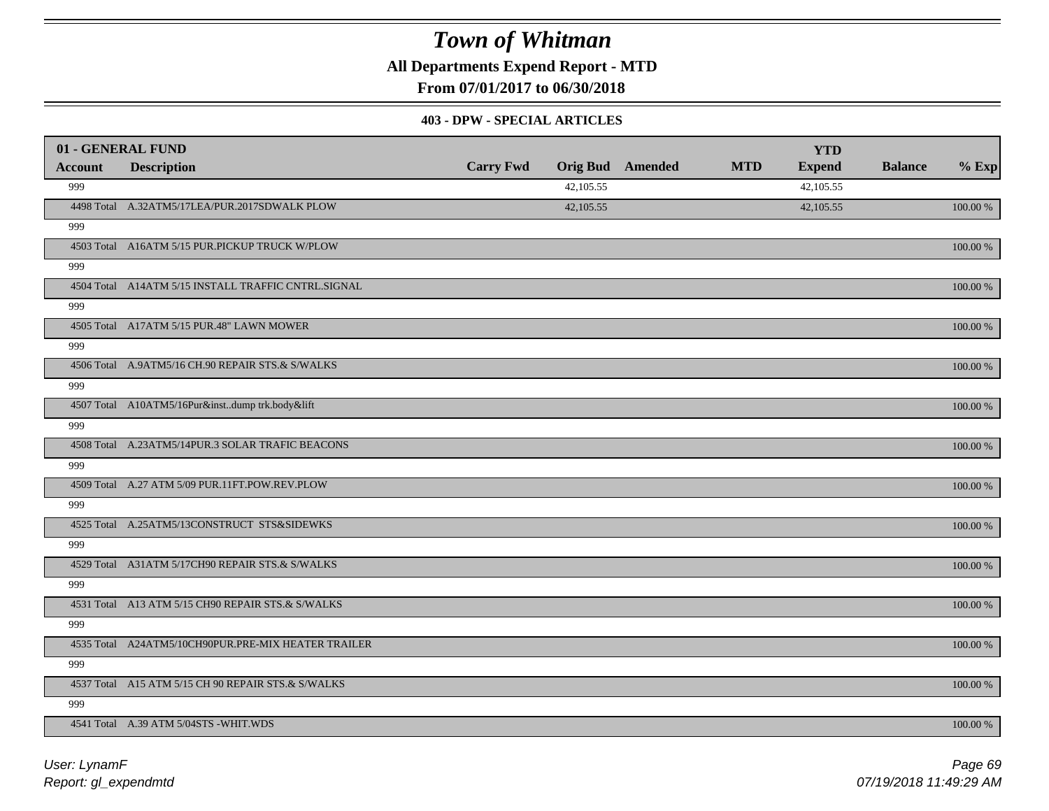**All Departments Expend Report - MTD**

**From 07/01/2017 to 06/30/2018**

#### **403 - DPW - SPECIAL ARTICLES**

| 01 - GENERAL FUND |                                                     |                  |           |                         |            | <b>YTD</b>    |                |             |
|-------------------|-----------------------------------------------------|------------------|-----------|-------------------------|------------|---------------|----------------|-------------|
| <b>Account</b>    | <b>Description</b>                                  | <b>Carry Fwd</b> |           | <b>Orig Bud</b> Amended | <b>MTD</b> | <b>Expend</b> | <b>Balance</b> | $%$ Exp     |
| 999               |                                                     |                  | 42,105.55 |                         |            | 42,105.55     |                |             |
|                   | 4498 Total A.32ATM5/17LEA/PUR.2017SDWALK PLOW       |                  | 42,105.55 |                         |            | 42,105.55     |                | 100.00 %    |
| 999               |                                                     |                  |           |                         |            |               |                |             |
|                   | 4503 Total A16ATM 5/15 PUR.PICKUP TRUCK W/PLOW      |                  |           |                         |            |               |                | 100.00 %    |
| 999               |                                                     |                  |           |                         |            |               |                |             |
|                   | 4504 Total A14ATM 5/15 INSTALL TRAFFIC CNTRL.SIGNAL |                  |           |                         |            |               |                | 100.00 %    |
| 999               |                                                     |                  |           |                         |            |               |                |             |
|                   | 4505 Total A17ATM 5/15 PUR.48" LAWN MOWER           |                  |           |                         |            |               |                | 100.00 %    |
| 999               |                                                     |                  |           |                         |            |               |                |             |
|                   | 4506 Total A.9ATM5/16 CH.90 REPAIR STS.& S/WALKS    |                  |           |                         |            |               |                | 100.00 %    |
| 999               |                                                     |                  |           |                         |            |               |                |             |
|                   | 4507 Total A10ATM5/16Pur&instdump trk.body&lift     |                  |           |                         |            |               |                | 100.00 %    |
| 999               |                                                     |                  |           |                         |            |               |                |             |
|                   | 4508 Total A.23ATM5/14PUR.3 SOLAR TRAFIC BEACONS    |                  |           |                         |            |               |                | 100.00 %    |
| 999               |                                                     |                  |           |                         |            |               |                |             |
|                   | 4509 Total A.27 ATM 5/09 PUR.11FT.POW.REV.PLOW      |                  |           |                         |            |               |                | 100.00 %    |
| 999               |                                                     |                  |           |                         |            |               |                |             |
|                   | 4525 Total A.25ATM5/13CONSTRUCT STS&SIDEWKS         |                  |           |                         |            |               |                | 100.00 %    |
| 999               |                                                     |                  |           |                         |            |               |                |             |
|                   | 4529 Total A31ATM 5/17CH90 REPAIR STS.& S/WALKS     |                  |           |                         |            |               |                | 100.00 %    |
| 999               |                                                     |                  |           |                         |            |               |                |             |
|                   | 4531 Total A13 ATM 5/15 CH90 REPAIR STS.& S/WALKS   |                  |           |                         |            |               |                | 100.00 %    |
| 999               |                                                     |                  |           |                         |            |               |                |             |
|                   | 4535 Total A24ATM5/10CH90PUR.PRE-MIX HEATER TRAILER |                  |           |                         |            |               |                | $100.00~\%$ |
| 999               |                                                     |                  |           |                         |            |               |                |             |
|                   | 4537 Total A15 ATM 5/15 CH 90 REPAIR STS.& S/WALKS  |                  |           |                         |            |               |                | 100.00 %    |
| 999               |                                                     |                  |           |                         |            |               |                |             |
|                   | 4541 Total A.39 ATM 5/04STS -WHIT.WDS               |                  |           |                         |            |               |                | 100.00 %    |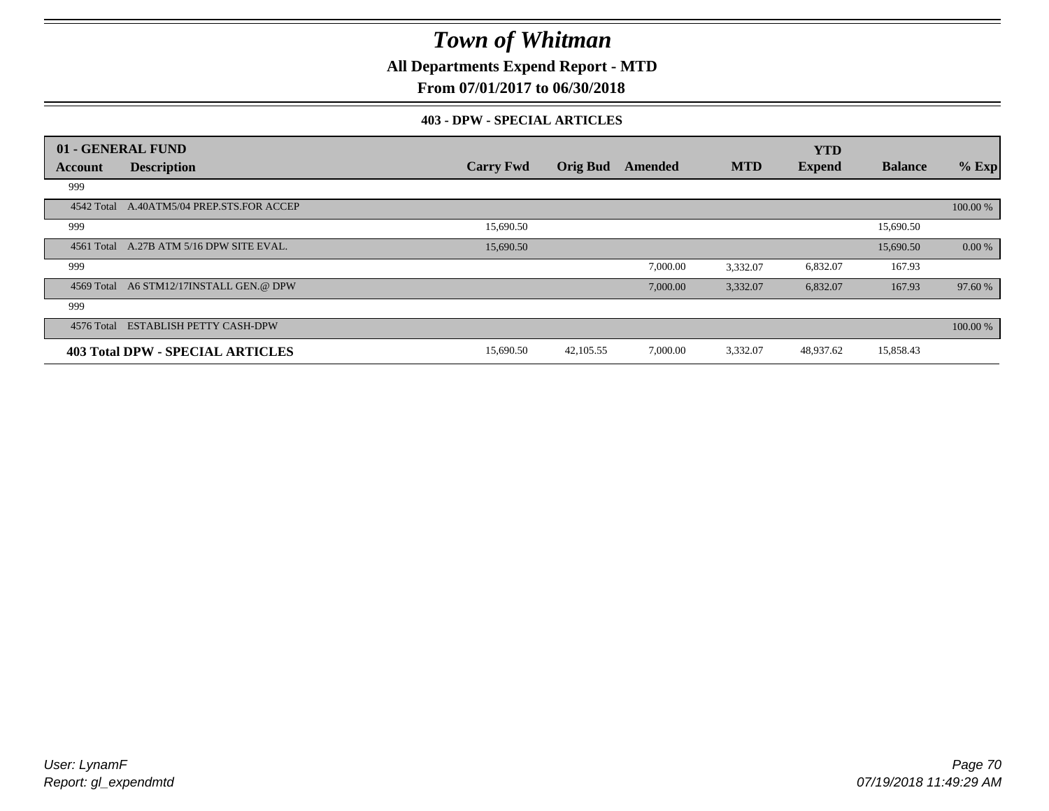**All Departments Expend Report - MTD**

### **From 07/01/2017 to 06/30/2018**

#### **403 - DPW - SPECIAL ARTICLES**

|            | 01 - GENERAL FUND                         |                  |                 |          |            | <b>YTD</b>    |                |          |
|------------|-------------------------------------------|------------------|-----------------|----------|------------|---------------|----------------|----------|
| Account    | <b>Description</b>                        | <b>Carry Fwd</b> | <b>Orig Bud</b> | Amended  | <b>MTD</b> | <b>Expend</b> | <b>Balance</b> | $%$ Exp  |
| 999        |                                           |                  |                 |          |            |               |                |          |
|            | 4542 Total A.40ATM5/04 PREP.STS.FOR ACCEP |                  |                 |          |            |               |                | 100.00 % |
| 999        |                                           | 15,690.50        |                 |          |            |               | 15,690.50      |          |
|            | 4561 Total A.27B ATM 5/16 DPW SITE EVAL.  | 15,690.50        |                 |          |            |               | 15,690.50      | 0.00 %   |
| 999        |                                           |                  |                 | 7,000.00 | 3,332.07   | 6,832.07      | 167.93         |          |
|            | 4569 Total A6 STM12/17INSTALL GEN.@ DPW   |                  |                 | 7,000.00 | 3,332.07   | 6,832.07      | 167.93         | 97.60 %  |
| 999        |                                           |                  |                 |          |            |               |                |          |
| 4576 Total | <b>ESTABLISH PETTY CASH-DPW</b>           |                  |                 |          |            |               |                | 100.00 % |
|            | <b>403 Total DPW - SPECIAL ARTICLES</b>   | 15,690.50        | 42,105.55       | 7,000.00 | 3,332.07   | 48,937.62     | 15,858.43      |          |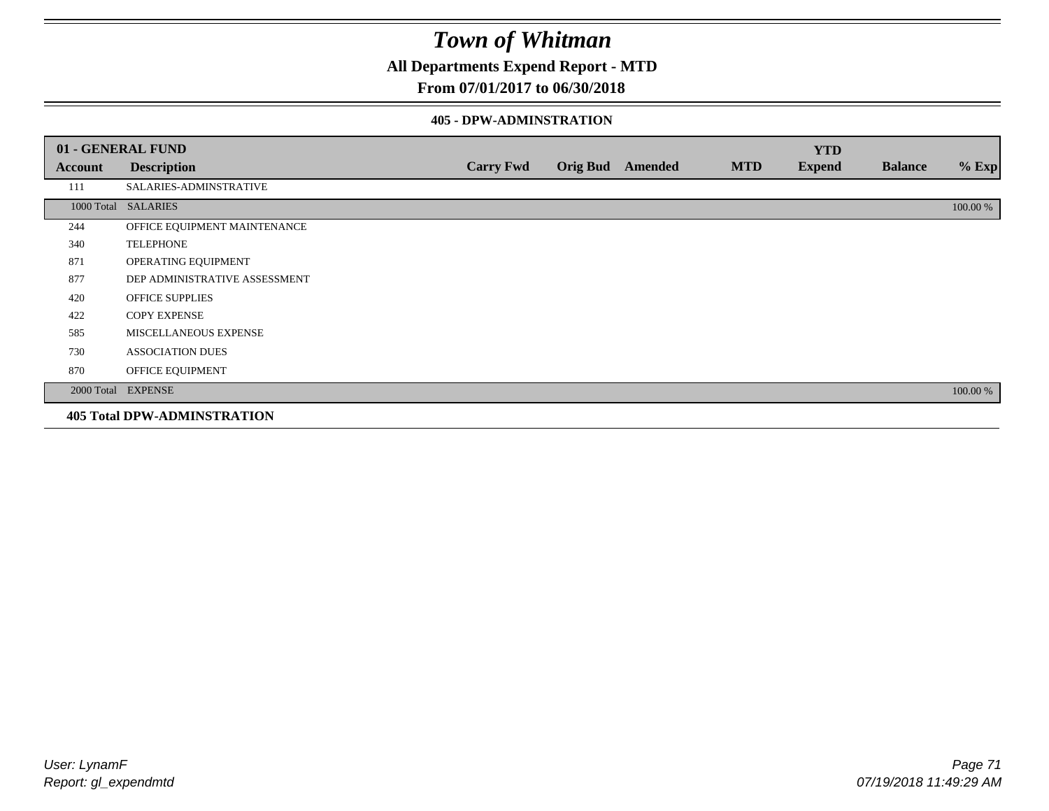**All Departments Expend Report - MTD**

### **From 07/01/2017 to 06/30/2018**

#### **405 - DPW-ADMINSTRATION**

|         | 01 - GENERAL FUND                  |                  |                  |            | <b>YTD</b>    |                |          |
|---------|------------------------------------|------------------|------------------|------------|---------------|----------------|----------|
| Account | <b>Description</b>                 | <b>Carry Fwd</b> | Orig Bud Amended | <b>MTD</b> | <b>Expend</b> | <b>Balance</b> | $%$ Exp  |
| 111     | SALARIES-ADMINSTRATIVE             |                  |                  |            |               |                |          |
|         | 1000 Total SALARIES                |                  |                  |            |               |                | 100.00 % |
| 244     | OFFICE EQUIPMENT MAINTENANCE       |                  |                  |            |               |                |          |
| 340     | <b>TELEPHONE</b>                   |                  |                  |            |               |                |          |
| 871     | OPERATING EQUIPMENT                |                  |                  |            |               |                |          |
| 877     | DEP ADMINISTRATIVE ASSESSMENT      |                  |                  |            |               |                |          |
| 420     | <b>OFFICE SUPPLIES</b>             |                  |                  |            |               |                |          |
| 422     | <b>COPY EXPENSE</b>                |                  |                  |            |               |                |          |
| 585     | MISCELLANEOUS EXPENSE              |                  |                  |            |               |                |          |
| 730     | <b>ASSOCIATION DUES</b>            |                  |                  |            |               |                |          |
| 870     | OFFICE EQUIPMENT                   |                  |                  |            |               |                |          |
|         | 2000 Total EXPENSE                 |                  |                  |            |               |                | 100.00 % |
|         | <b>405 Total DPW-ADMINSTRATION</b> |                  |                  |            |               |                |          |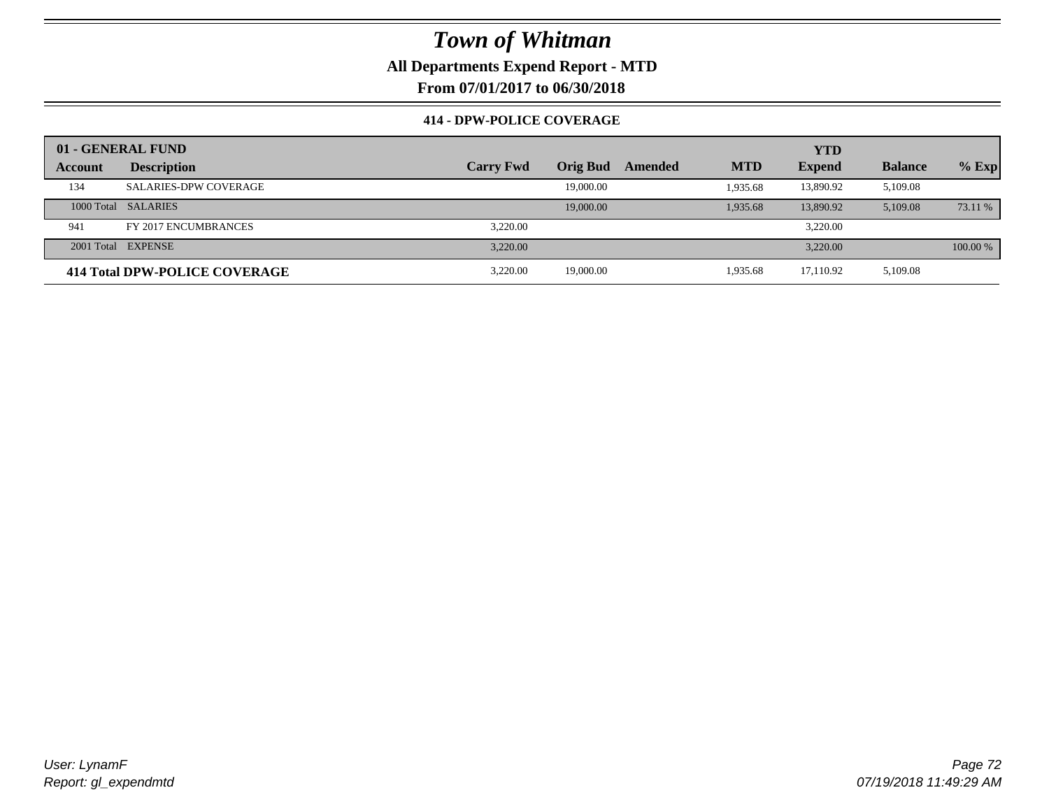**All Departments Expend Report - MTD**

**From 07/01/2017 to 06/30/2018**

### **414 - DPW-POLICE COVERAGE**

|         | 01 - GENERAL FUND             |                  |                 |         |            | <b>YTD</b>    |                |          |
|---------|-------------------------------|------------------|-----------------|---------|------------|---------------|----------------|----------|
| Account | <b>Description</b>            | <b>Carry Fwd</b> | <b>Orig Bud</b> | Amended | <b>MTD</b> | <b>Expend</b> | <b>Balance</b> | $%$ Exp  |
| 134     | <b>SALARIES-DPW COVERAGE</b>  |                  | 19,000.00       |         | 1,935.68   | 13,890.92     | 5,109.08       |          |
|         | 1000 Total SALARIES           |                  | 19,000.00       |         | 1,935.68   | 13,890.92     | 5,109.08       | 73.11 %  |
| 941     | FY 2017 ENCUMBRANCES          | 3.220.00         |                 |         |            | 3,220.00      |                |          |
|         | 2001 Total EXPENSE            | 3.220.00         |                 |         |            | 3.220.00      |                | 100.00 % |
|         | 414 Total DPW-POLICE COVERAGE | 3.220.00         | 19,000.00       |         | 1.935.68   | 17,110.92     | 5,109.08       |          |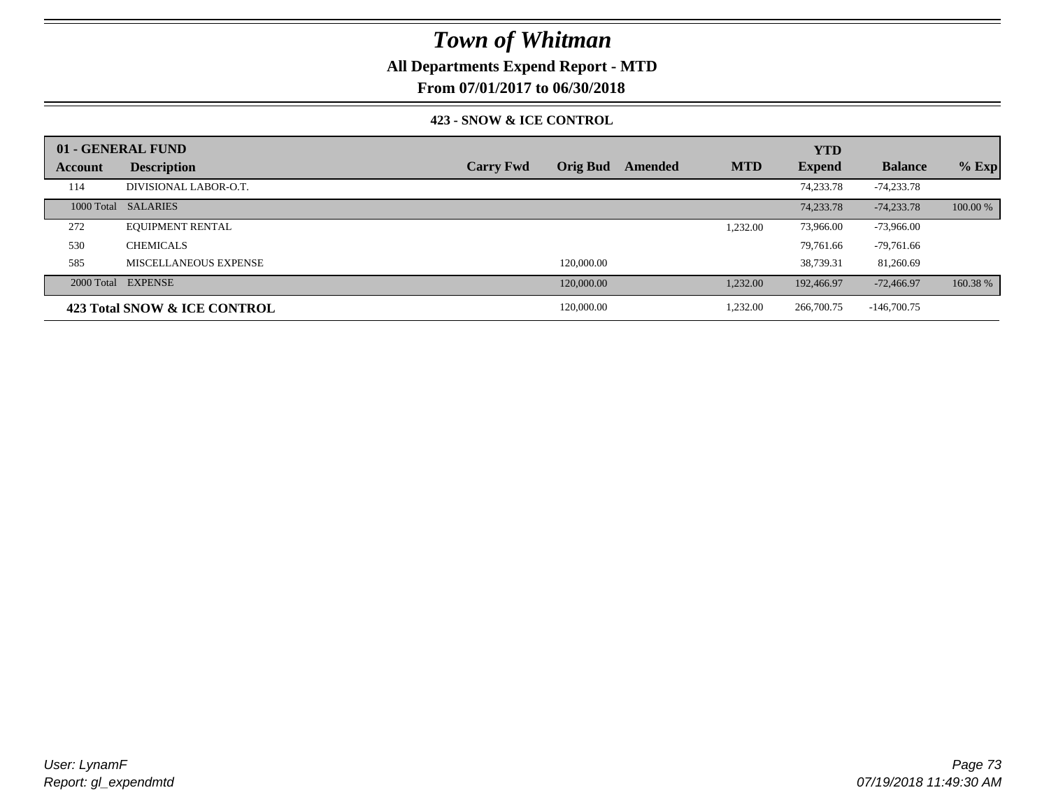## **All Departments Expend Report - MTD**

**From 07/01/2017 to 06/30/2018**

### **423 - SNOW & ICE CONTROL**

|         | 01 - GENERAL FUND            |                  |                 |         |            | <b>YTD</b>    |                |          |
|---------|------------------------------|------------------|-----------------|---------|------------|---------------|----------------|----------|
| Account | <b>Description</b>           | <b>Carry Fwd</b> | <b>Orig Bud</b> | Amended | <b>MTD</b> | <b>Expend</b> | <b>Balance</b> | $%$ Exp  |
| 114     | DIVISIONAL LABOR-O.T.        |                  |                 |         |            | 74,233.78     | -74,233.78     |          |
|         | 1000 Total SALARIES          |                  |                 |         |            | 74,233.78     | $-74,233.78$   | 100.00 % |
| 272     | <b>EQUIPMENT RENTAL</b>      |                  |                 |         | 1,232.00   | 73,966.00     | $-73,966.00$   |          |
| 530     | <b>CHEMICALS</b>             |                  |                 |         |            | 79.761.66     | $-79,761.66$   |          |
| 585     | MISCELLANEOUS EXPENSE        |                  | 120,000.00      |         |            | 38.739.31     | 81,260.69      |          |
|         | 2000 Total EXPENSE           |                  | 120,000.00      |         | 1,232.00   | 192,466.97    | $-72,466,97$   | 160.38 % |
|         | 423 Total SNOW & ICE CONTROL |                  | 120,000.00      |         | 1,232.00   | 266,700.75    | $-146,700.75$  |          |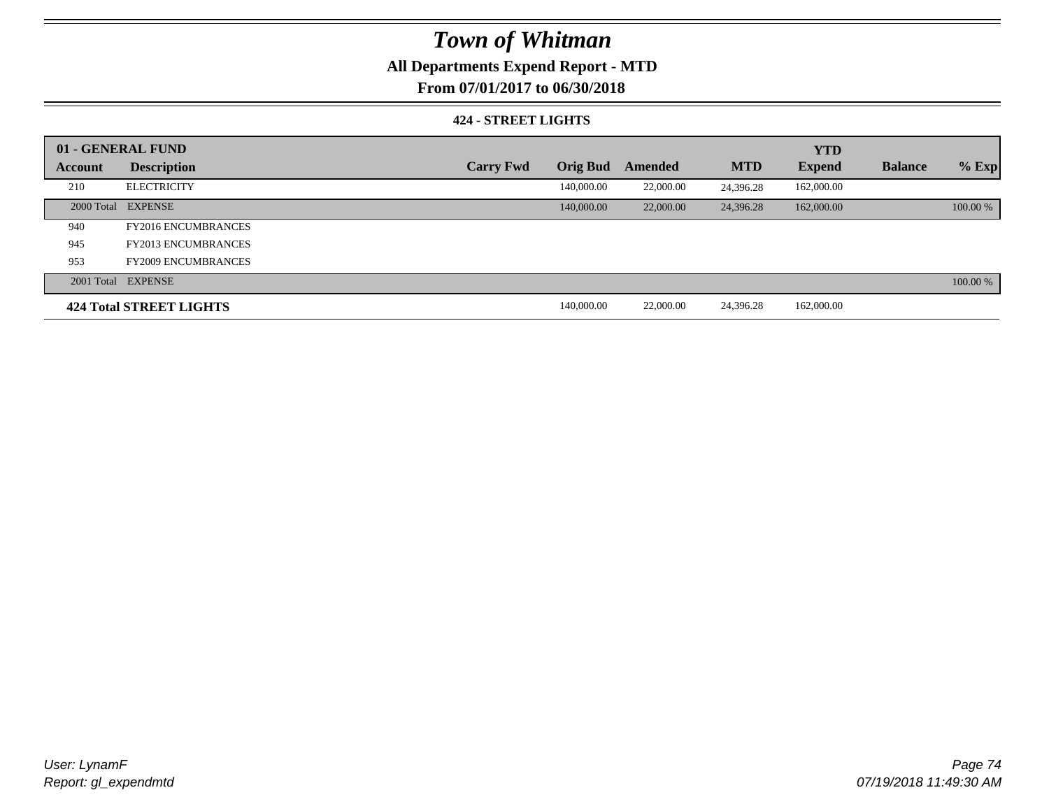## **All Departments Expend Report - MTD**

**From 07/01/2017 to 06/30/2018**

### **424 - STREET LIGHTS**

|         | 01 - GENERAL FUND              |                  |                 |           |            | <b>YTD</b>    |                |          |
|---------|--------------------------------|------------------|-----------------|-----------|------------|---------------|----------------|----------|
| Account | <b>Description</b>             | <b>Carry Fwd</b> | <b>Orig Bud</b> | Amended   | <b>MTD</b> | <b>Expend</b> | <b>Balance</b> | $%$ Exp  |
| 210     | <b>ELECTRICITY</b>             |                  | 140,000.00      | 22,000.00 | 24,396.28  | 162,000.00    |                |          |
|         | 2000 Total EXPENSE             |                  | 140,000.00      | 22,000.00 | 24,396.28  | 162,000.00    |                | 100.00 % |
| 940     | <b>FY2016 ENCUMBRANCES</b>     |                  |                 |           |            |               |                |          |
| 945     | <b>FY2013 ENCUMBRANCES</b>     |                  |                 |           |            |               |                |          |
| 953     | <b>FY2009 ENCUMBRANCES</b>     |                  |                 |           |            |               |                |          |
|         | 2001 Total EXPENSE             |                  |                 |           |            |               |                | 100.00 % |
|         | <b>424 Total STREET LIGHTS</b> |                  | 140,000.00      | 22,000.00 | 24.396.28  | 162,000.00    |                |          |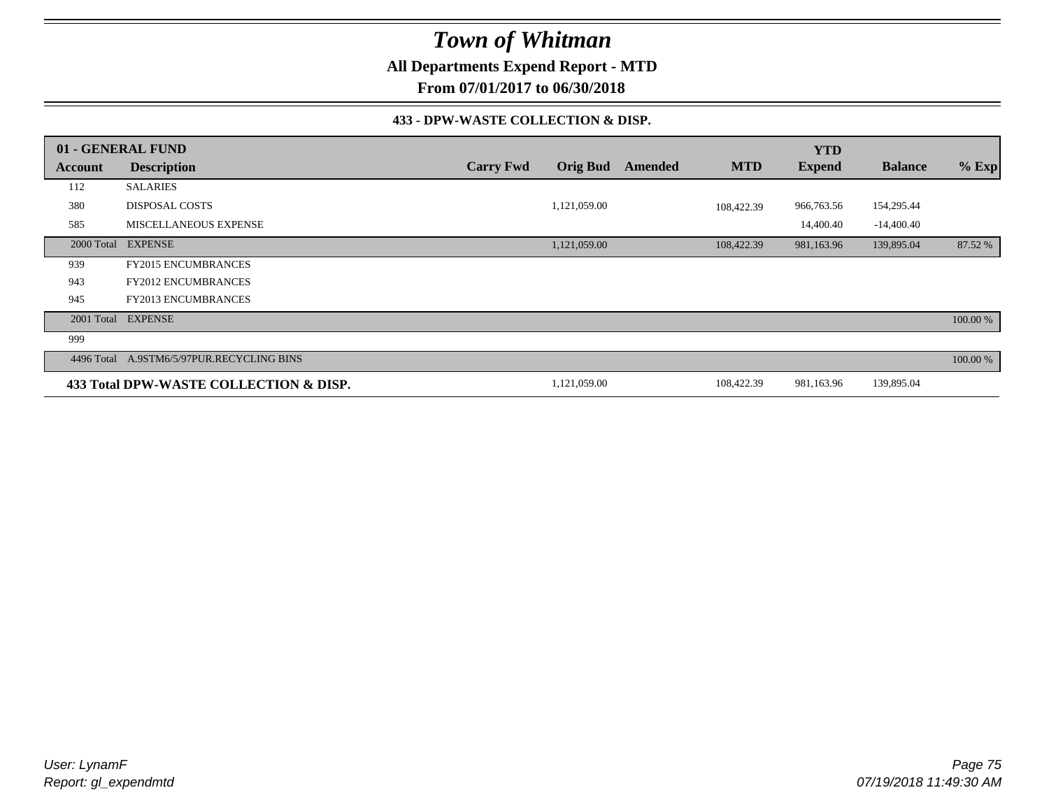**All Departments Expend Report - MTD**

**From 07/01/2017 to 06/30/2018**

### **433 - DPW-WASTE COLLECTION & DISP.**

|         | 01 - GENERAL FUND                         |                  |                 |                |            | <b>YTD</b>    |                |          |
|---------|-------------------------------------------|------------------|-----------------|----------------|------------|---------------|----------------|----------|
| Account | <b>Description</b>                        | <b>Carry Fwd</b> | <b>Orig Bud</b> | <b>Amended</b> | <b>MTD</b> | <b>Expend</b> | <b>Balance</b> | $%$ Exp  |
| 112     | <b>SALARIES</b>                           |                  |                 |                |            |               |                |          |
| 380     | <b>DISPOSAL COSTS</b>                     |                  | 1,121,059.00    |                | 108,422.39 | 966,763.56    | 154,295.44     |          |
| 585     | <b>MISCELLANEOUS EXPENSE</b>              |                  |                 |                |            | 14,400.40     | $-14,400.40$   |          |
|         | 2000 Total EXPENSE                        |                  | 1,121,059.00    |                | 108,422.39 | 981,163.96    | 139,895.04     | 87.52 %  |
| 939     | <b>FY2015 ENCUMBRANCES</b>                |                  |                 |                |            |               |                |          |
| 943     | <b>FY2012 ENCUMBRANCES</b>                |                  |                 |                |            |               |                |          |
| 945     | <b>FY2013 ENCUMBRANCES</b>                |                  |                 |                |            |               |                |          |
|         | 2001 Total EXPENSE                        |                  |                 |                |            |               |                | 100.00 % |
| 999     |                                           |                  |                 |                |            |               |                |          |
|         | 4496 Total A.9STM6/5/97PUR.RECYCLING BINS |                  |                 |                |            |               |                | 100.00 % |
|         | 433 Total DPW-WASTE COLLECTION & DISP.    |                  | 1,121,059.00    |                | 108,422.39 | 981,163.96    | 139,895.04     |          |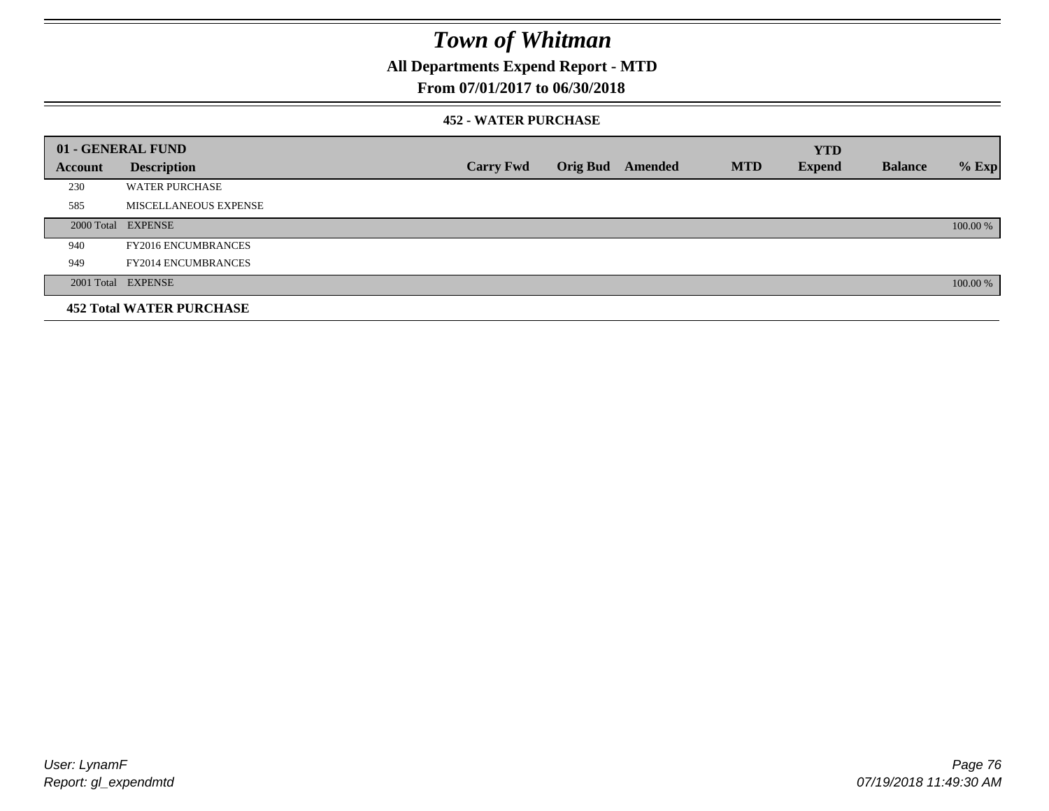## **All Departments Expend Report - MTD**

### **From 07/01/2017 to 06/30/2018**

### **452 - WATER PURCHASE**

|         | 01 - GENERAL FUND               |                  |                 |         |            | <b>YTD</b>    |                |          |
|---------|---------------------------------|------------------|-----------------|---------|------------|---------------|----------------|----------|
| Account | <b>Description</b>              | <b>Carry Fwd</b> | <b>Orig Bud</b> | Amended | <b>MTD</b> | <b>Expend</b> | <b>Balance</b> | $%$ Exp  |
| 230     | <b>WATER PURCHASE</b>           |                  |                 |         |            |               |                |          |
| 585     | MISCELLANEOUS EXPENSE           |                  |                 |         |            |               |                |          |
|         | 2000 Total EXPENSE              |                  |                 |         |            |               |                | 100.00 % |
| 940     | <b>FY2016 ENCUMBRANCES</b>      |                  |                 |         |            |               |                |          |
| 949     | <b>FY2014 ENCUMBRANCES</b>      |                  |                 |         |            |               |                |          |
|         | 2001 Total EXPENSE              |                  |                 |         |            |               |                | 100.00 % |
|         | <b>452 Total WATER PURCHASE</b> |                  |                 |         |            |               |                |          |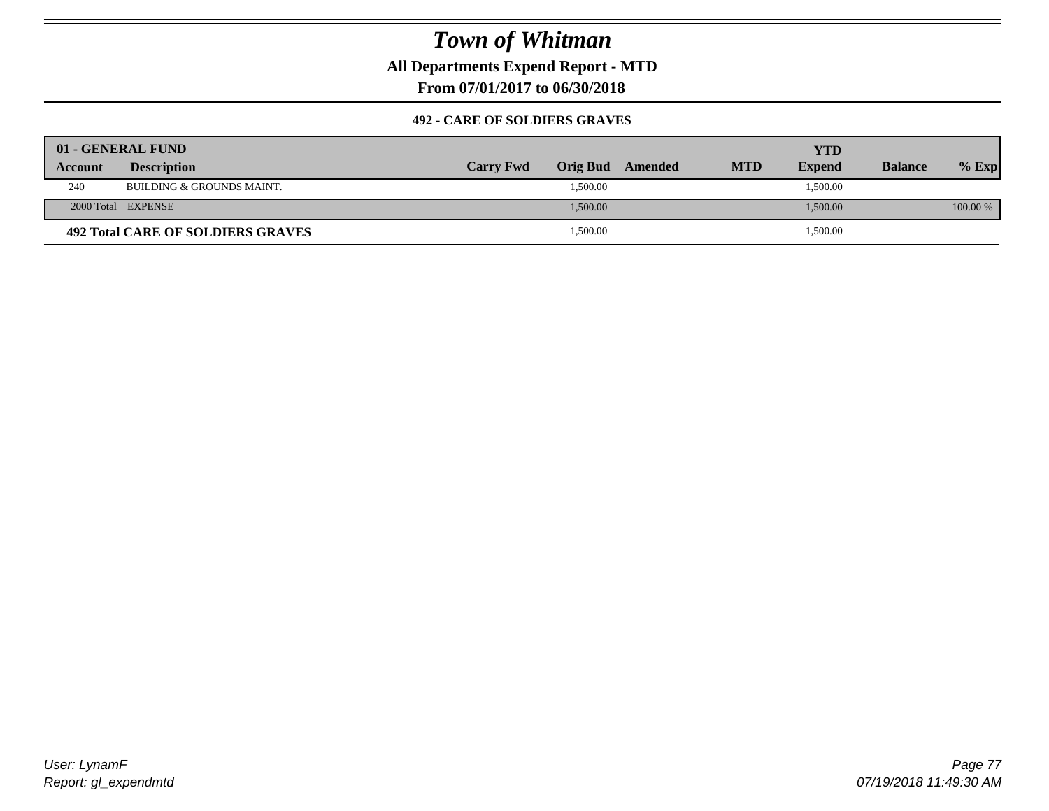**All Departments Expend Report - MTD**

**From 07/01/2017 to 06/30/2018**

### **492 - CARE OF SOLDIERS GRAVES**

|                | 01 - GENERAL FUND                 |                  |                  |            | YTD           |                |          |
|----------------|-----------------------------------|------------------|------------------|------------|---------------|----------------|----------|
| <b>Account</b> | <b>Description</b>                | <b>Carry Fwd</b> | Orig Bud Amended | <b>MTD</b> | <b>Expend</b> | <b>Balance</b> | $%$ Exp  |
| 240            | BUILDING & GROUNDS MAINT.         |                  | 1,500.00         |            | 1,500.00      |                |          |
|                | 2000 Total EXPENSE                |                  | 1,500.00         |            | 1,500.00      |                | 100.00 % |
|                | 492 Total CARE OF SOLDIERS GRAVES |                  | 1,500.00         |            | 1,500.00      |                |          |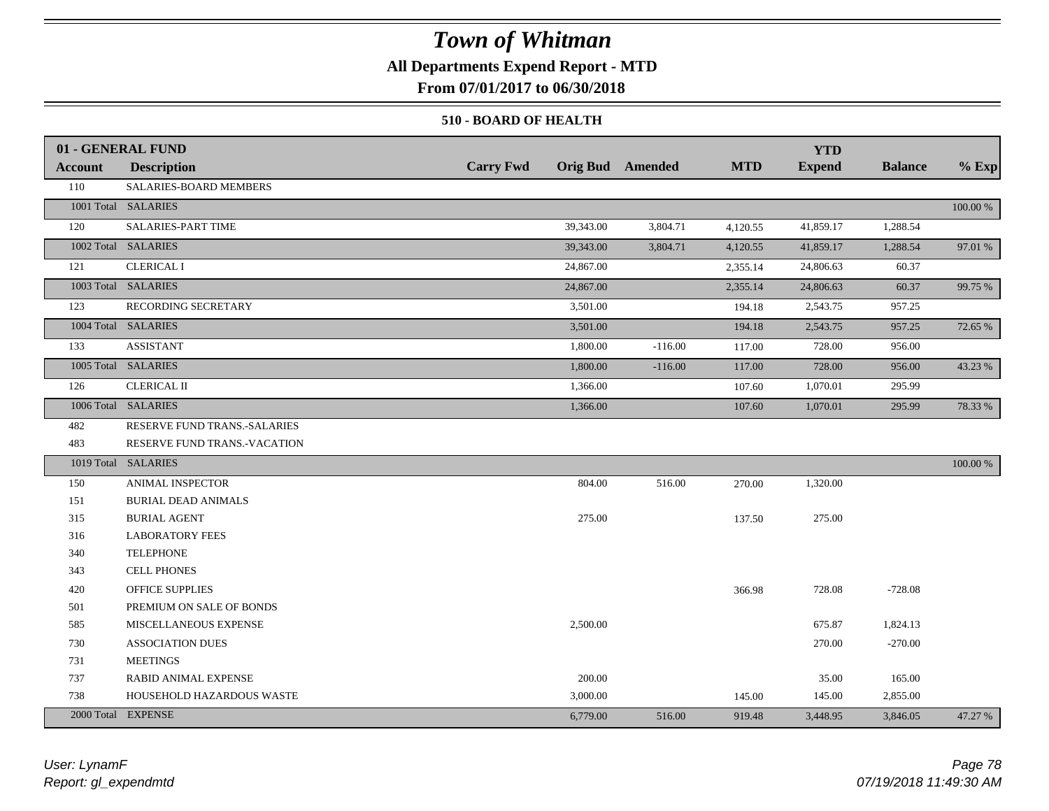## **All Departments Expend Report - MTD**

**From 07/01/2017 to 06/30/2018**

### **510 - BOARD OF HEALTH**

|                | 01 - GENERAL FUND            |                  |                         |            | <b>YTD</b>    |                |          |
|----------------|------------------------------|------------------|-------------------------|------------|---------------|----------------|----------|
| <b>Account</b> | <b>Description</b>           | <b>Carry Fwd</b> | <b>Orig Bud</b> Amended | <b>MTD</b> | <b>Expend</b> | <b>Balance</b> | $%$ Exp  |
| 110            | SALARIES-BOARD MEMBERS       |                  |                         |            |               |                |          |
|                | 1001 Total SALARIES          |                  |                         |            |               |                | 100.00 % |
| 120            | SALARIES-PART TIME           | 39,343.00        | 3,804.71                | 4,120.55   | 41,859.17     | 1,288.54       |          |
|                | 1002 Total SALARIES          | 39,343.00        | 3,804.71                | 4,120.55   | 41,859.17     | 1,288.54       | 97.01 %  |
| 121            | <b>CLERICAL I</b>            | 24,867.00        |                         | 2,355.14   | 24,806.63     | 60.37          |          |
|                | 1003 Total SALARIES          | 24,867.00        |                         | 2,355.14   | 24,806.63     | 60.37          | 99.75 %  |
| 123            | RECORDING SECRETARY          | 3,501.00         |                         | 194.18     | 2,543.75      | 957.25         |          |
|                | 1004 Total SALARIES          | 3,501.00         |                         | 194.18     | 2,543.75      | 957.25         | 72.65 %  |
| 133            | <b>ASSISTANT</b>             | 1,800.00         | $-116.00$               | 117.00     | 728.00        | 956.00         |          |
|                | 1005 Total SALARIES          | 1,800.00         | $-116.00$               | 117.00     | 728.00        | 956.00         | 43.23 %  |
| 126            | <b>CLERICAL II</b>           | 1,366.00         |                         | 107.60     | 1,070.01      | 295.99         |          |
|                | 1006 Total SALARIES          | 1,366.00         |                         | 107.60     | 1,070.01      | 295.99         | 78.33 %  |
| 482            | RESERVE FUND TRANS.-SALARIES |                  |                         |            |               |                |          |
| 483            | RESERVE FUND TRANS.-VACATION |                  |                         |            |               |                |          |
|                | 1019 Total SALARIES          |                  |                         |            |               |                | 100.00 % |
| 150            | <b>ANIMAL INSPECTOR</b>      | 804.00           | 516.00                  | 270.00     | 1,320.00      |                |          |
| 151            | <b>BURIAL DEAD ANIMALS</b>   |                  |                         |            |               |                |          |
| 315            | <b>BURIAL AGENT</b>          | 275.00           |                         | 137.50     | 275.00        |                |          |
| 316            | <b>LABORATORY FEES</b>       |                  |                         |            |               |                |          |
| 340            | <b>TELEPHONE</b>             |                  |                         |            |               |                |          |
| 343            | CELL PHONES                  |                  |                         |            |               |                |          |
| 420            | OFFICE SUPPLIES              |                  |                         | 366.98     | 728.08        | $-728.08$      |          |
| 501            | PREMIUM ON SALE OF BONDS     |                  |                         |            |               |                |          |
| 585            | MISCELLANEOUS EXPENSE        | 2,500.00         |                         |            | 675.87        | 1,824.13       |          |
| 730            | <b>ASSOCIATION DUES</b>      |                  |                         |            | 270.00        | $-270.00$      |          |
| 731            | <b>MEETINGS</b>              |                  |                         |            |               |                |          |
| 737            | RABID ANIMAL EXPENSE         | 200.00           |                         |            | 35.00         | 165.00         |          |
| 738            | HOUSEHOLD HAZARDOUS WASTE    | 3,000.00         |                         | 145.00     | 145.00        | 2,855.00       |          |
|                | 2000 Total EXPENSE           | 6,779.00         | 516.00                  | 919.48     | 3,448.95      | 3,846.05       | 47.27 %  |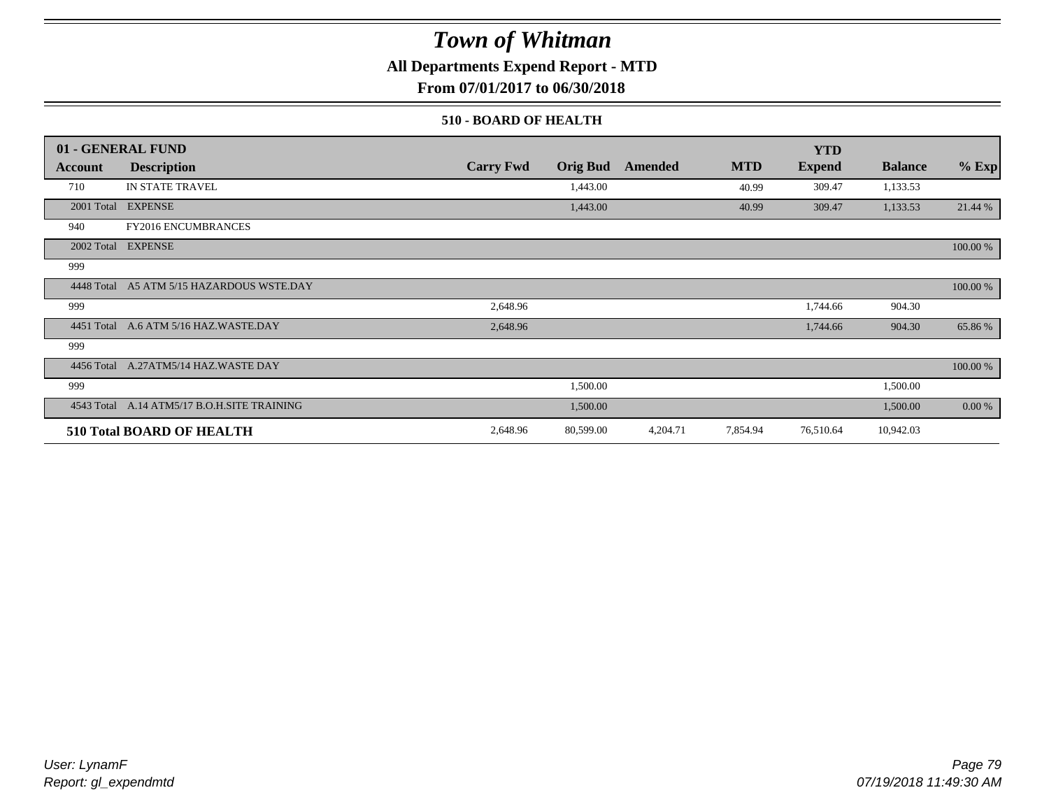## **All Departments Expend Report - MTD**

**From 07/01/2017 to 06/30/2018**

### **510 - BOARD OF HEALTH**

|            | 01 - GENERAL FUND                           |                  |                 |          |            | <b>YTD</b>    |                |          |
|------------|---------------------------------------------|------------------|-----------------|----------|------------|---------------|----------------|----------|
| Account    | <b>Description</b>                          | <b>Carry Fwd</b> | <b>Orig Bud</b> | Amended  | <b>MTD</b> | <b>Expend</b> | <b>Balance</b> | $%$ Exp  |
| 710        | IN STATE TRAVEL                             |                  | 1,443.00        |          | 40.99      | 309.47        | 1,133.53       |          |
|            | 2001 Total EXPENSE                          |                  | 1,443.00        |          | 40.99      | 309.47        | 1,133.53       | 21.44 %  |
| 940        | <b>FY2016 ENCUMBRANCES</b>                  |                  |                 |          |            |               |                |          |
|            | 2002 Total EXPENSE                          |                  |                 |          |            |               |                | 100.00 % |
| 999        |                                             |                  |                 |          |            |               |                |          |
|            | 4448 Total A5 ATM 5/15 HAZARDOUS WSTE.DAY   |                  |                 |          |            |               |                | 100.00 % |
| 999        |                                             | 2,648.96         |                 |          |            | 1,744.66      | 904.30         |          |
| 4451 Total | A.6 ATM 5/16 HAZ.WASTE.DAY                  | 2,648.96         |                 |          |            | 1,744.66      | 904.30         | 65.86%   |
| 999        |                                             |                  |                 |          |            |               |                |          |
|            | 4456 Total A.27ATM5/14 HAZ.WASTE DAY        |                  |                 |          |            |               |                | 100.00 % |
| 999        |                                             |                  | 1,500.00        |          |            |               | 1,500.00       |          |
|            | 4543 Total A.14 ATM5/17 B.O.H.SITE TRAINING |                  | 1,500.00        |          |            |               | 1,500.00       | 0.00 %   |
|            | <b>510 Total BOARD OF HEALTH</b>            | 2,648.96         | 80,599.00       | 4,204.71 | 7,854.94   | 76,510.64     | 10,942.03      |          |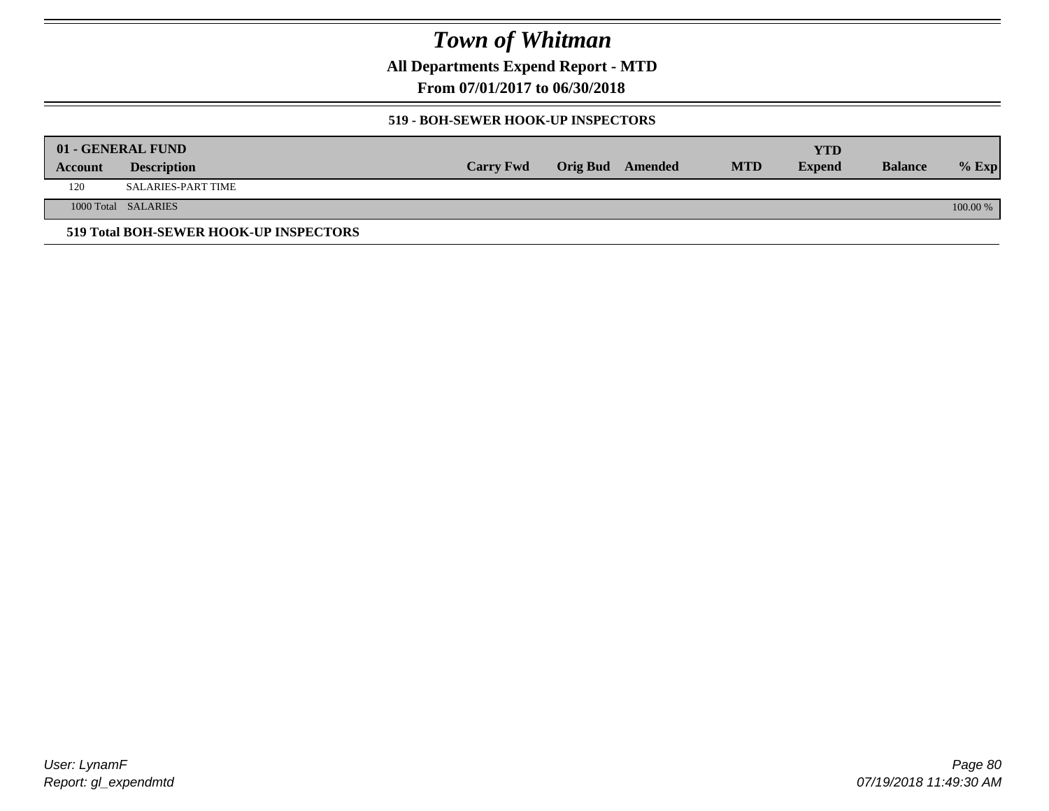**All Departments Expend Report - MTD**

**From 07/01/2017 to 06/30/2018**

### **519 - BOH-SEWER HOOK-UP INSPECTORS**

|         | 01 - GENERAL FUND                      |                  |                  |            | YTD           |                |          |
|---------|----------------------------------------|------------------|------------------|------------|---------------|----------------|----------|
| Account | <b>Description</b>                     | <b>Carry Fwd</b> | Orig Bud Amended | <b>MTD</b> | <b>Expend</b> | <b>Balance</b> | $%$ Exp  |
| 120     | SALARIES-PART TIME                     |                  |                  |            |               |                |          |
|         | 1000 Total SALARIES                    |                  |                  |            |               |                | 100.00 % |
|         | 519 Total BOH-SEWER HOOK-UP INSPECTORS |                  |                  |            |               |                |          |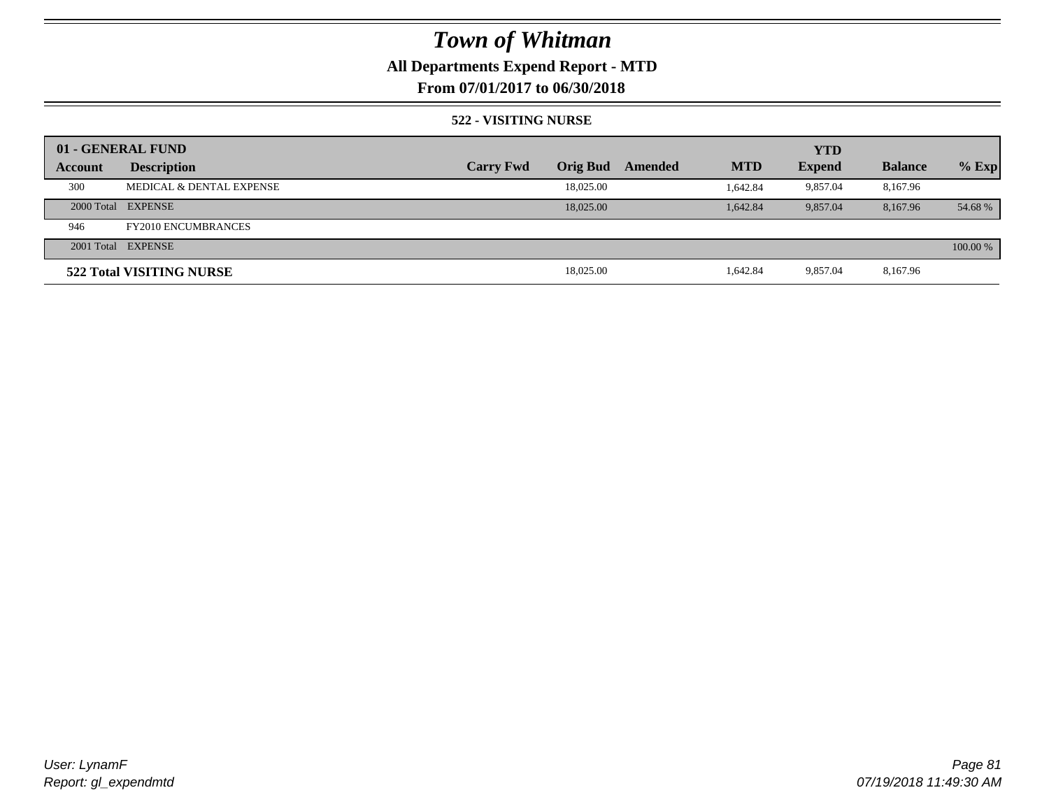## **All Departments Expend Report - MTD**

## **From 07/01/2017 to 06/30/2018**

### **522 - VISITING NURSE**

|         | 01 - GENERAL FUND          |                  |                 |         |            | <b>YTD</b>    |                |          |
|---------|----------------------------|------------------|-----------------|---------|------------|---------------|----------------|----------|
| Account | <b>Description</b>         | <b>Carry Fwd</b> | <b>Orig Bud</b> | Amended | <b>MTD</b> | <b>Expend</b> | <b>Balance</b> | $%$ Exp  |
| 300     | MEDICAL & DENTAL EXPENSE   |                  | 18,025.00       |         | 1.642.84   | 9.857.04      | 8,167.96       |          |
|         | 2000 Total EXPENSE         |                  | 18,025,00       |         | 1.642.84   | 9,857.04      | 8.167.96       | 54.68 %  |
| 946     | <b>FY2010 ENCUMBRANCES</b> |                  |                 |         |            |               |                |          |
|         | 2001 Total EXPENSE         |                  |                 |         |            |               |                | 100.00 % |
|         | 522 Total VISITING NURSE   |                  | 18,025.00       |         | 1,642.84   | 9.857.04      | 8,167.96       |          |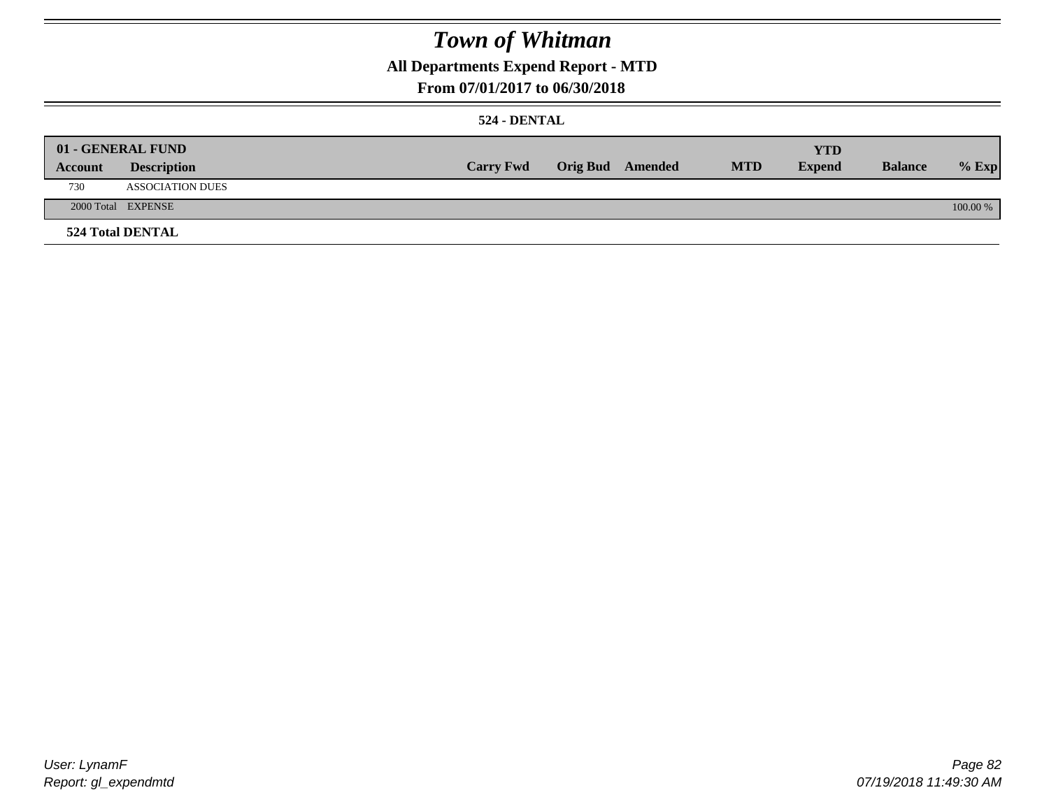## **All Departments Expend Report - MTD**

### **From 07/01/2017 to 06/30/2018**

### **524 - DENTAL**

|         | 01 - GENERAL FUND       |                  |                  |            | <b>YTD</b>    |                |          |
|---------|-------------------------|------------------|------------------|------------|---------------|----------------|----------|
| Account | <b>Description</b>      | <b>Carry Fwd</b> | Orig Bud Amended | <b>MTD</b> | <b>Expend</b> | <b>Balance</b> | $%$ Exp  |
| 730     | <b>ASSOCIATION DUES</b> |                  |                  |            |               |                |          |
|         | 2000 Total EXPENSE      |                  |                  |            |               |                | 100.00 % |
|         | <b>524 Total DENTAL</b> |                  |                  |            |               |                |          |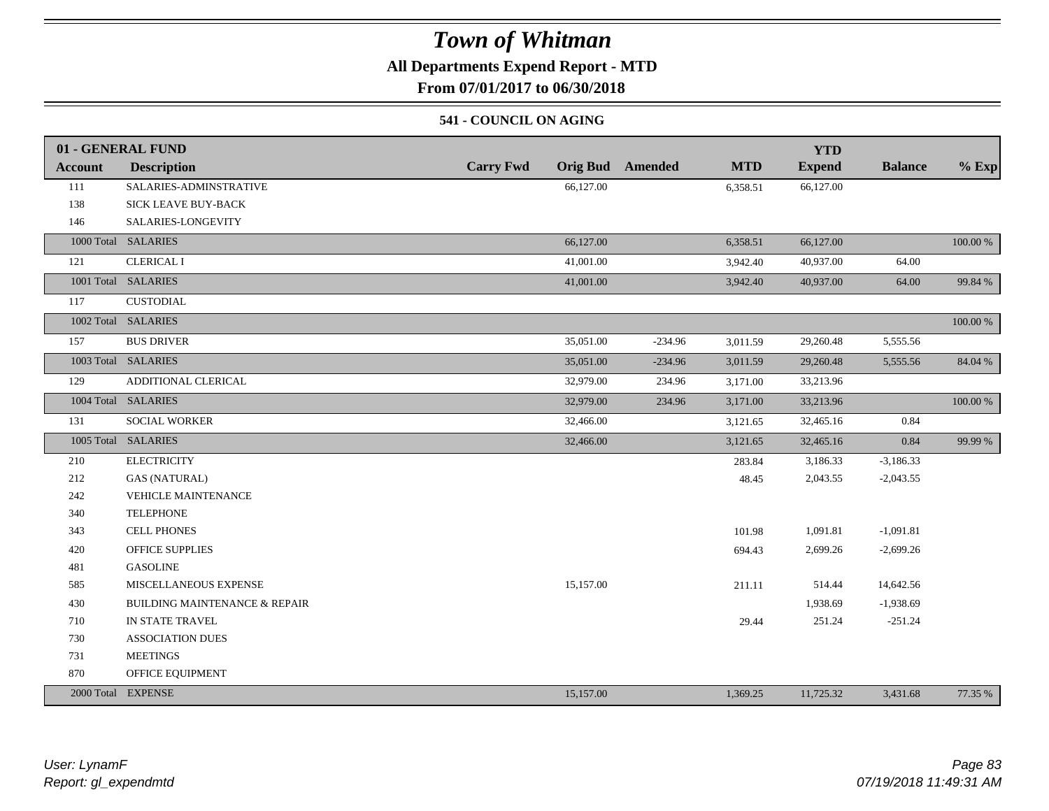## **All Departments Expend Report - MTD**

**From 07/01/2017 to 06/30/2018**

### **541 - COUNCIL ON AGING**

|         | 01 - GENERAL FUND                        |                                     |           |            | <b>YTD</b>    |                |             |
|---------|------------------------------------------|-------------------------------------|-----------|------------|---------------|----------------|-------------|
| Account | <b>Description</b>                       | <b>Carry Fwd</b><br><b>Orig Bud</b> | Amended   | <b>MTD</b> | <b>Expend</b> | <b>Balance</b> | $%$ Exp     |
| 111     | SALARIES-ADMINSTRATIVE                   | 66,127.00                           |           | 6,358.51   | 66,127.00     |                |             |
| 138     | SICK LEAVE BUY-BACK                      |                                     |           |            |               |                |             |
| 146     | SALARIES-LONGEVITY                       |                                     |           |            |               |                |             |
|         | 1000 Total SALARIES                      | 66,127.00                           |           | 6,358.51   | 66,127.00     |                | 100.00 %    |
| 121     | <b>CLERICAL I</b>                        | 41,001.00                           |           | 3,942.40   | 40,937.00     | 64.00          |             |
|         | 1001 Total SALARIES                      | 41,001.00                           |           | 3,942.40   | 40,937.00     | 64.00          | 99.84 %     |
| 117     | <b>CUSTODIAL</b>                         |                                     |           |            |               |                |             |
|         | 1002 Total SALARIES                      |                                     |           |            |               |                | $100.00~\%$ |
| 157     | <b>BUS DRIVER</b>                        | 35,051.00                           | $-234.96$ | 3,011.59   | 29,260.48     | 5,555.56       |             |
|         | 1003 Total SALARIES                      | 35,051.00                           | $-234.96$ | 3,011.59   | 29,260.48     | 5,555.56       | 84.04 %     |
| 129     | ADDITIONAL CLERICAL                      | 32,979.00                           | 234.96    | 3,171.00   | 33,213.96     |                |             |
|         | 1004 Total SALARIES                      | 32,979.00                           | 234.96    | 3,171.00   | 33,213.96     |                | $100.00~\%$ |
| 131     | SOCIAL WORKER                            | 32,466.00                           |           | 3,121.65   | 32,465.16     | 0.84           |             |
|         | 1005 Total SALARIES                      | 32,466.00                           |           | 3,121.65   | 32,465.16     | 0.84           | 99.99 %     |
| 210     | <b>ELECTRICITY</b>                       |                                     |           | 283.84     | 3,186.33      | $-3,186.33$    |             |
| 212     | <b>GAS (NATURAL)</b>                     |                                     |           | 48.45      | 2,043.55      | $-2,043.55$    |             |
| 242     | VEHICLE MAINTENANCE                      |                                     |           |            |               |                |             |
| 340     | <b>TELEPHONE</b>                         |                                     |           |            |               |                |             |
| 343     | <b>CELL PHONES</b>                       |                                     |           | 101.98     | 1,091.81      | $-1,091.81$    |             |
| 420     | <b>OFFICE SUPPLIES</b>                   |                                     |           | 694.43     | 2,699.26      | $-2,699.26$    |             |
| 481     | <b>GASOLINE</b>                          |                                     |           |            |               |                |             |
| 585     | MISCELLANEOUS EXPENSE                    | 15,157.00                           |           | 211.11     | 514.44        | 14,642.56      |             |
| 430     | <b>BUILDING MAINTENANCE &amp; REPAIR</b> |                                     |           |            | 1,938.69      | $-1,938.69$    |             |
| 710     | IN STATE TRAVEL                          |                                     |           | 29.44      | 251.24        | $-251.24$      |             |
| 730     | <b>ASSOCIATION DUES</b>                  |                                     |           |            |               |                |             |
| 731     | <b>MEETINGS</b>                          |                                     |           |            |               |                |             |
| 870     | OFFICE EQUIPMENT                         |                                     |           |            |               |                |             |
|         | 2000 Total EXPENSE                       | 15,157.00                           |           | 1,369.25   | 11,725.32     | 3,431.68       | 77.35 %     |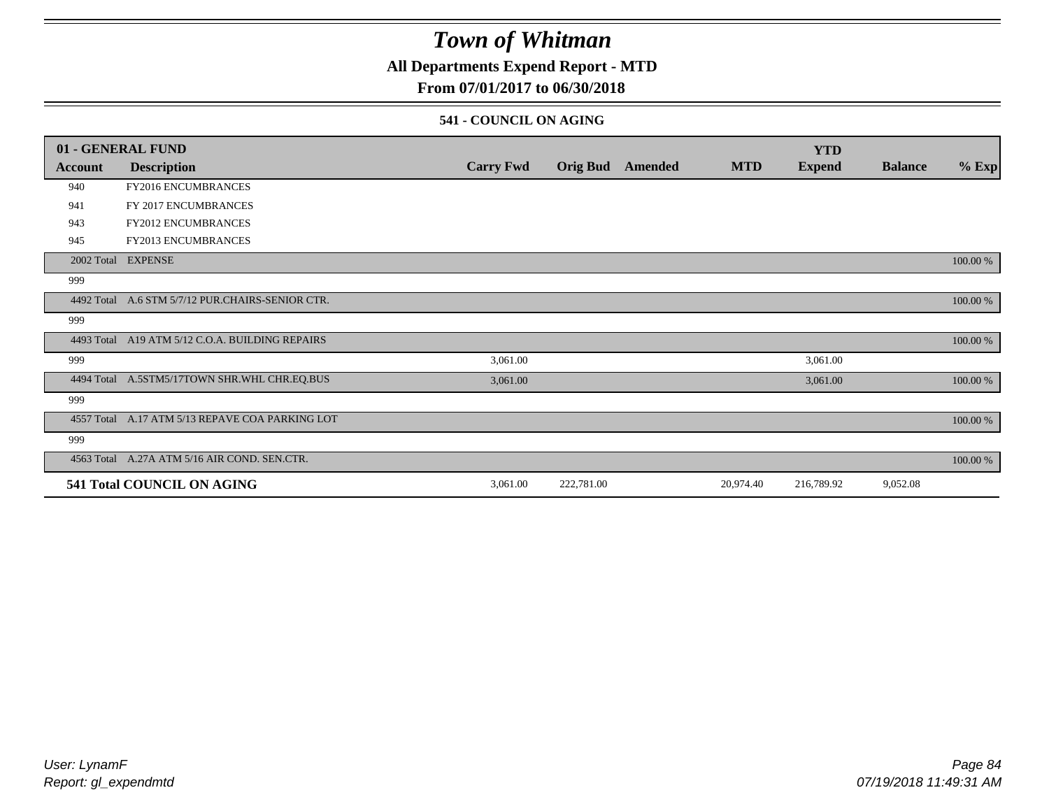## **All Departments Expend Report - MTD**

## **From 07/01/2017 to 06/30/2018**

### **541 - COUNCIL ON AGING**

|         | 01 - GENERAL FUND                                |                  |                 |         |            | <b>YTD</b>    |                |          |
|---------|--------------------------------------------------|------------------|-----------------|---------|------------|---------------|----------------|----------|
| Account | <b>Description</b>                               | <b>Carry Fwd</b> | <b>Orig Bud</b> | Amended | <b>MTD</b> | <b>Expend</b> | <b>Balance</b> | $%$ Exp  |
| 940     | <b>FY2016 ENCUMBRANCES</b>                       |                  |                 |         |            |               |                |          |
| 941     | FY 2017 ENCUMBRANCES                             |                  |                 |         |            |               |                |          |
| 943     | <b>FY2012 ENCUMBRANCES</b>                       |                  |                 |         |            |               |                |          |
| 945     | <b>FY2013 ENCUMBRANCES</b>                       |                  |                 |         |            |               |                |          |
|         | 2002 Total EXPENSE                               |                  |                 |         |            |               |                | 100.00 % |
| 999     |                                                  |                  |                 |         |            |               |                |          |
|         | 4492 Total A.6 STM 5/7/12 PUR.CHAIRS-SENIOR CTR. |                  |                 |         |            |               |                | 100.00 % |
| 999     |                                                  |                  |                 |         |            |               |                |          |
|         | 4493 Total A19 ATM 5/12 C.O.A. BUILDING REPAIRS  |                  |                 |         |            |               |                | 100.00 % |
| 999     |                                                  | 3,061.00         |                 |         |            | 3,061.00      |                |          |
|         | 4494 Total A.5STM5/17TOWN SHR.WHL CHR.EQ.BUS     | 3,061.00         |                 |         |            | 3,061.00      |                | 100.00 % |
| 999     |                                                  |                  |                 |         |            |               |                |          |
|         | 4557 Total A.17 ATM 5/13 REPAVE COA PARKING LOT  |                  |                 |         |            |               |                | 100.00 % |
| 999     |                                                  |                  |                 |         |            |               |                |          |
|         | 4563 Total A.27A ATM 5/16 AIR COND. SEN.CTR.     |                  |                 |         |            |               |                | 100.00 % |
|         | 541 Total COUNCIL ON AGING                       | 3,061.00         | 222,781.00      |         | 20,974.40  | 216,789.92    | 9,052.08       |          |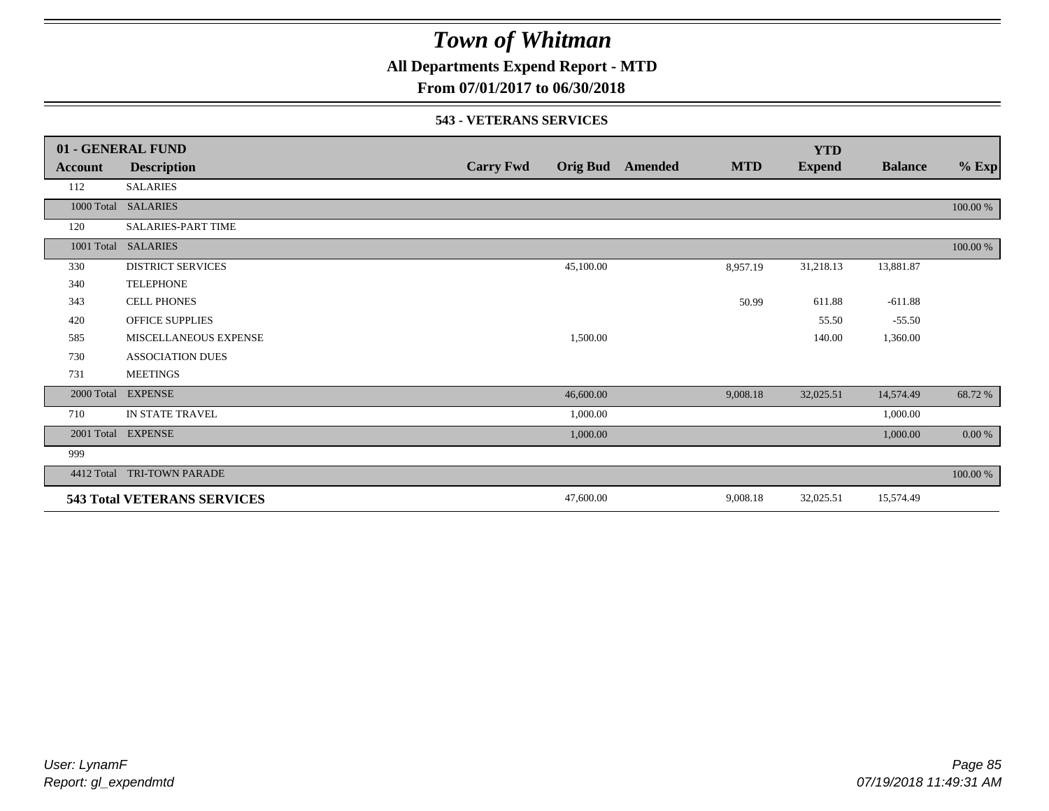**All Departments Expend Report - MTD**

## **From 07/01/2017 to 06/30/2018**

#### **543 - VETERANS SERVICES**

|            | 01 - GENERAL FUND                  |                  |                 |         |            | <b>YTD</b>    |                |          |
|------------|------------------------------------|------------------|-----------------|---------|------------|---------------|----------------|----------|
| Account    | <b>Description</b>                 | <b>Carry Fwd</b> | <b>Orig Bud</b> | Amended | <b>MTD</b> | <b>Expend</b> | <b>Balance</b> | $%$ Exp  |
| 112        | <b>SALARIES</b>                    |                  |                 |         |            |               |                |          |
|            | 1000 Total SALARIES                |                  |                 |         |            |               |                | 100.00 % |
| 120        | <b>SALARIES-PART TIME</b>          |                  |                 |         |            |               |                |          |
|            | 1001 Total SALARIES                |                  |                 |         |            |               |                | 100.00 % |
| 330        | <b>DISTRICT SERVICES</b>           |                  | 45,100.00       |         | 8,957.19   | 31,218.13     | 13,881.87      |          |
| 340        | <b>TELEPHONE</b>                   |                  |                 |         |            |               |                |          |
| 343        | <b>CELL PHONES</b>                 |                  |                 |         | 50.99      | 611.88        | $-611.88$      |          |
| 420        | <b>OFFICE SUPPLIES</b>             |                  |                 |         |            | 55.50         | $-55.50$       |          |
| 585        | MISCELLANEOUS EXPENSE              |                  | 1,500.00        |         |            | 140.00        | 1,360.00       |          |
| 730        | <b>ASSOCIATION DUES</b>            |                  |                 |         |            |               |                |          |
| 731        | <b>MEETINGS</b>                    |                  |                 |         |            |               |                |          |
| 2000 Total | <b>EXPENSE</b>                     |                  | 46,600.00       |         | 9,008.18   | 32,025.51     | 14,574.49      | 68.72%   |
| 710        | IN STATE TRAVEL                    |                  | 1,000.00        |         |            |               | 1,000.00       |          |
| 2001 Total | <b>EXPENSE</b>                     |                  | 1,000.00        |         |            |               | 1,000.00       | 0.00 %   |
| 999        |                                    |                  |                 |         |            |               |                |          |
| 4412 Total | <b>TRI-TOWN PARADE</b>             |                  |                 |         |            |               |                | 100.00 % |
|            | <b>543 Total VETERANS SERVICES</b> |                  | 47,600.00       |         | 9,008.18   | 32,025.51     | 15,574.49      |          |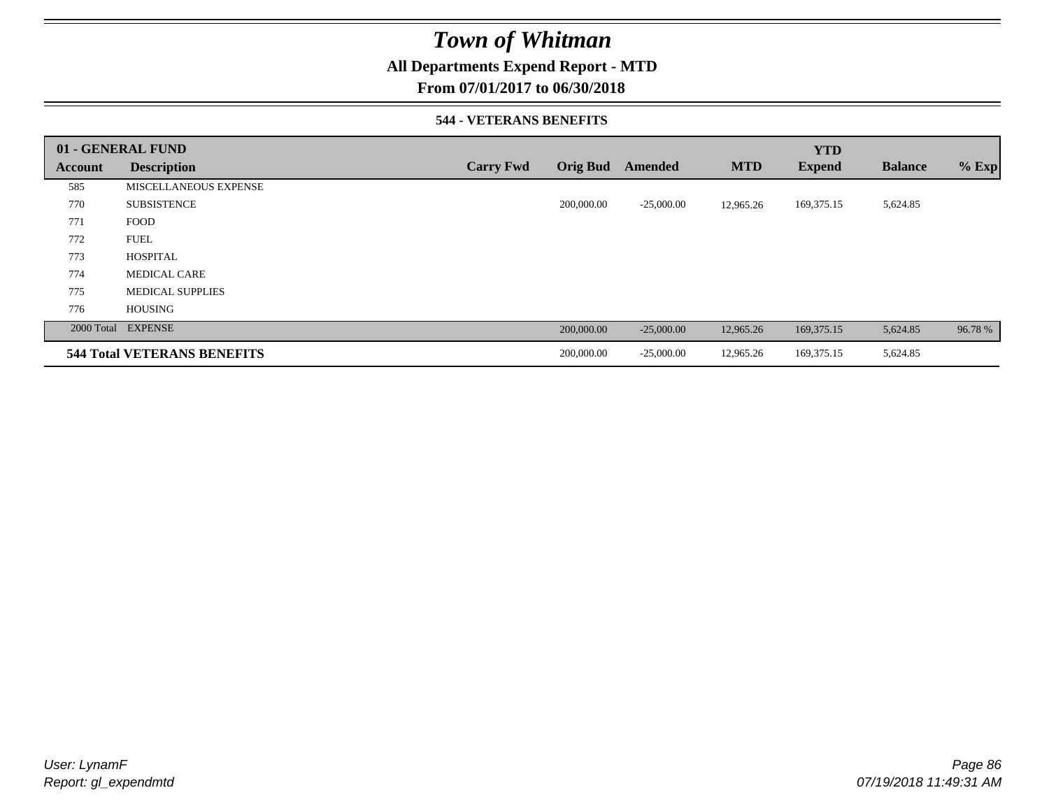## **All Departments Expend Report - MTD**

### **From 07/01/2017 to 06/30/2018**

### **544 - VETERANS BENEFITS**

|         | 01 - GENERAL FUND                  |                  |                 |              |            | <b>YTD</b>    |                |         |
|---------|------------------------------------|------------------|-----------------|--------------|------------|---------------|----------------|---------|
| Account | <b>Description</b>                 | <b>Carry Fwd</b> | <b>Orig Bud</b> | Amended      | <b>MTD</b> | <b>Expend</b> | <b>Balance</b> | $%$ Exp |
| 585     | MISCELLANEOUS EXPENSE              |                  |                 |              |            |               |                |         |
| 770     | <b>SUBSISTENCE</b>                 |                  | 200,000.00      | $-25,000.00$ | 12,965.26  | 169, 375. 15  | 5,624.85       |         |
| 771     | <b>FOOD</b>                        |                  |                 |              |            |               |                |         |
| 772     | <b>FUEL</b>                        |                  |                 |              |            |               |                |         |
| 773     | <b>HOSPITAL</b>                    |                  |                 |              |            |               |                |         |
| 774     | <b>MEDICAL CARE</b>                |                  |                 |              |            |               |                |         |
| 775     | <b>MEDICAL SUPPLIES</b>            |                  |                 |              |            |               |                |         |
| 776     | <b>HOUSING</b>                     |                  |                 |              |            |               |                |         |
|         | 2000 Total EXPENSE                 |                  | 200,000.00      | $-25,000.00$ | 12,965.26  | 169, 375. 15  | 5,624.85       | 96.78%  |
|         | <b>544 Total VETERANS BENEFITS</b> |                  | 200,000.00      | $-25,000.00$ | 12,965.26  | 169, 375. 15  | 5,624.85       |         |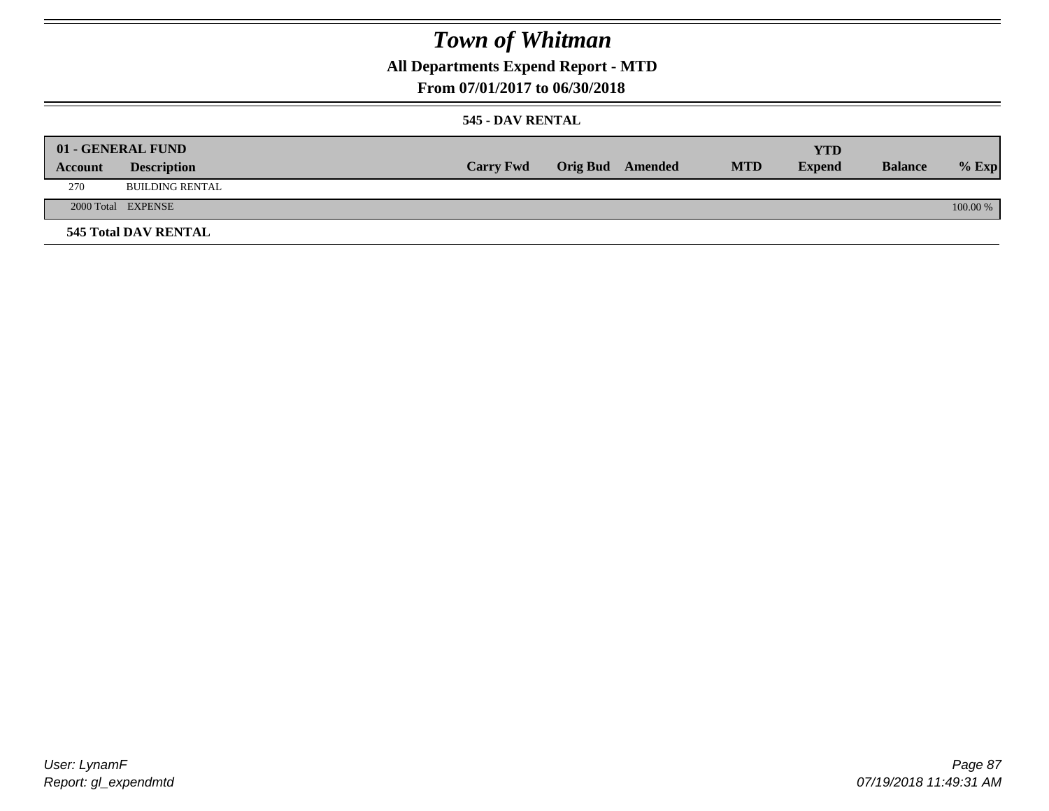## **All Departments Expend Report - MTD**

### **From 07/01/2017 to 06/30/2018**

### **545 - DAV RENTAL**

|         | 01 - GENERAL FUND           |                  |                         |            | <b>YTD</b>    |                |          |
|---------|-----------------------------|------------------|-------------------------|------------|---------------|----------------|----------|
| Account | <b>Description</b>          | <b>Carry Fwd</b> | <b>Orig Bud</b> Amended | <b>MTD</b> | <b>Expend</b> | <b>Balance</b> | $%$ Exp  |
| 270     | <b>BUILDING RENTAL</b>      |                  |                         |            |               |                |          |
|         | 2000 Total EXPENSE          |                  |                         |            |               |                | 100.00 % |
|         | <b>545 Total DAV RENTAL</b> |                  |                         |            |               |                |          |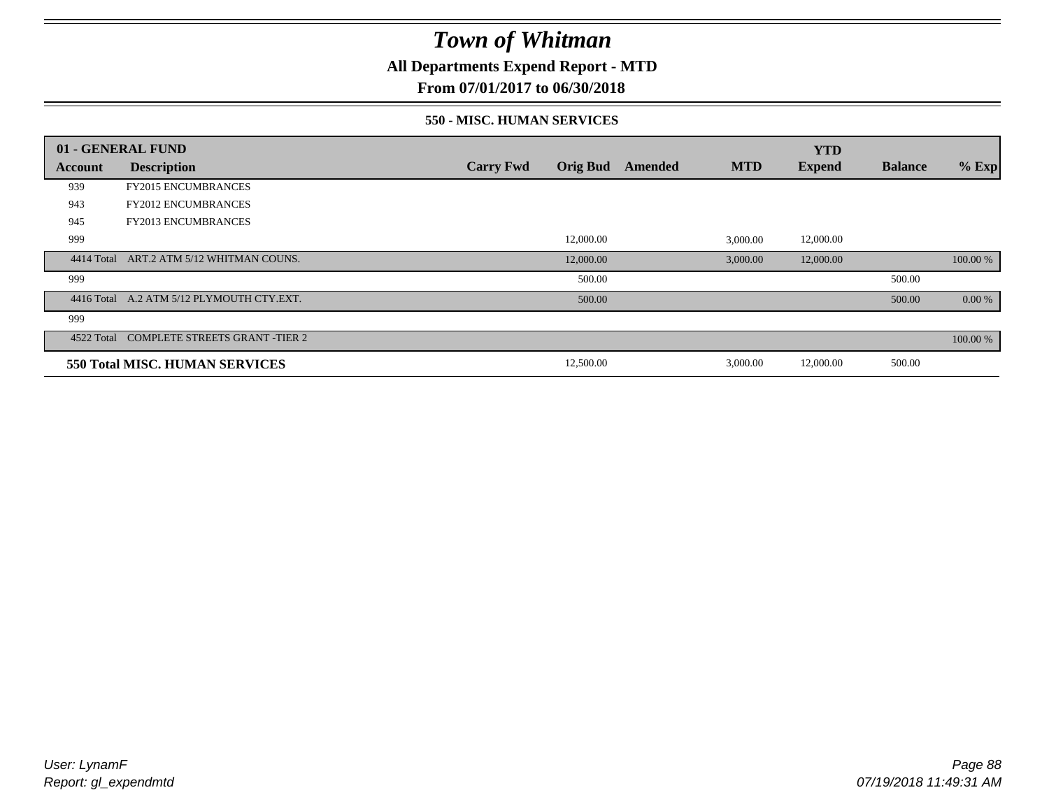**All Departments Expend Report - MTD**

**From 07/01/2017 to 06/30/2018**

### **550 - MISC. HUMAN SERVICES**

|            | 01 - GENERAL FUND                         |                  |                 |         |            | <b>YTD</b>    |                |          |
|------------|-------------------------------------------|------------------|-----------------|---------|------------|---------------|----------------|----------|
| Account    | <b>Description</b>                        | <b>Carry Fwd</b> | <b>Orig Bud</b> | Amended | <b>MTD</b> | <b>Expend</b> | <b>Balance</b> | $%$ Exp  |
| 939        | <b>FY2015 ENCUMBRANCES</b>                |                  |                 |         |            |               |                |          |
| 943        | <b>FY2012 ENCUMBRANCES</b>                |                  |                 |         |            |               |                |          |
| 945        | <b>FY2013 ENCUMBRANCES</b>                |                  |                 |         |            |               |                |          |
| 999        |                                           |                  | 12,000.00       |         | 3,000.00   | 12,000.00     |                |          |
| 4414 Total | ART.2 ATM 5/12 WHITMAN COUNS.             |                  | 12,000.00       |         | 3,000.00   | 12,000.00     |                | 100.00 % |
| 999        |                                           |                  | 500.00          |         |            |               | 500.00         |          |
|            | 4416 Total A.2 ATM 5/12 PLYMOUTH CTY.EXT. |                  | 500.00          |         |            |               | 500.00         | 0.00 %   |
| 999        |                                           |                  |                 |         |            |               |                |          |
| 4522 Total | <b>COMPLETE STREETS GRANT -TIER 2</b>     |                  |                 |         |            |               |                | 100.00 % |
|            | <b>550 Total MISC. HUMAN SERVICES</b>     |                  | 12,500.00       |         | 3,000.00   | 12,000.00     | 500.00         |          |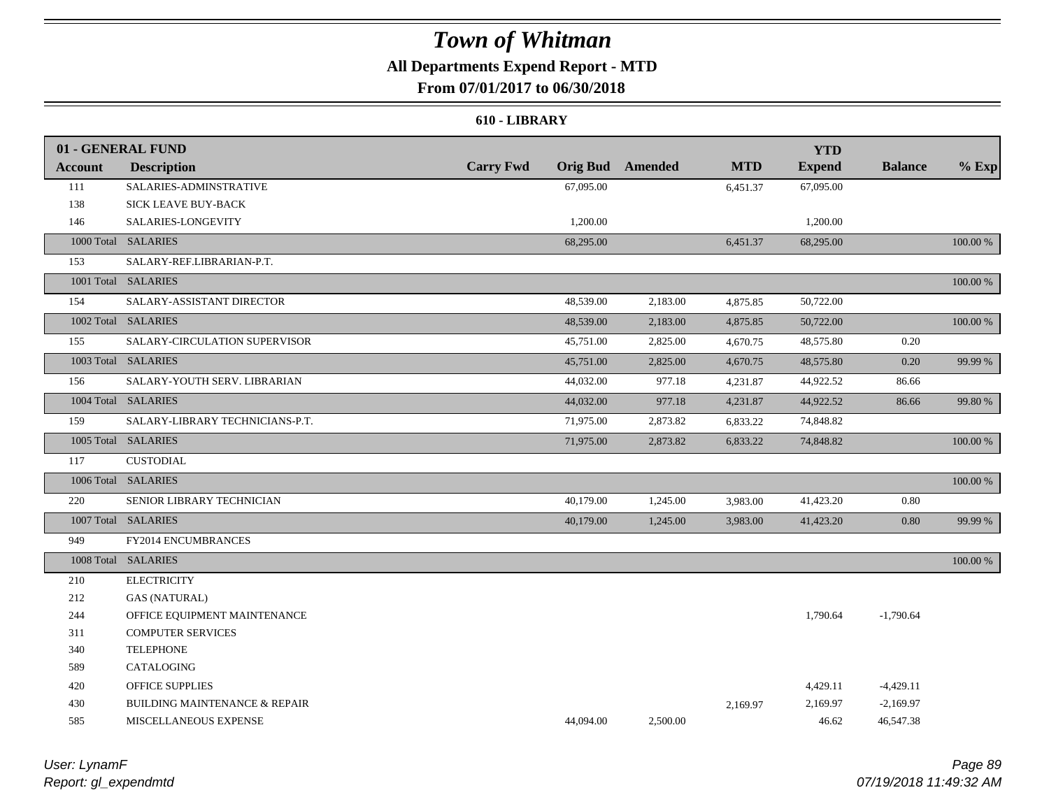## **All Departments Expend Report - MTD**

## **From 07/01/2017 to 06/30/2018**

#### **610 - LIBRARY**

|                | 01 - GENERAL FUND                                                                   |                  |                 |          |            | <b>YTD</b>    |                |          |
|----------------|-------------------------------------------------------------------------------------|------------------|-----------------|----------|------------|---------------|----------------|----------|
| <b>Account</b> | <b>Description</b>                                                                  | <b>Carry Fwd</b> | <b>Orig Bud</b> | Amended  | <b>MTD</b> | <b>Expend</b> | <b>Balance</b> | $%$ Exp  |
| 111            | SALARIES-ADMINSTRATIVE                                                              |                  | 67,095.00       |          | 6,451.37   | 67,095.00     |                |          |
| 138            | SICK LEAVE BUY-BACK                                                                 |                  |                 |          |            |               |                |          |
| 146            | SALARIES-LONGEVITY                                                                  |                  | 1,200.00        |          |            | 1,200.00      |                |          |
|                | 1000 Total SALARIES                                                                 |                  | 68,295.00       |          | 6,451.37   | 68,295.00     |                | 100.00 % |
| 153            | SALARY-REF.LIBRARIAN-P.T.                                                           |                  |                 |          |            |               |                |          |
|                | 1001 Total SALARIES                                                                 |                  |                 |          |            |               |                | 100.00 % |
| 154            | SALARY-ASSISTANT DIRECTOR                                                           |                  | 48,539.00       | 2,183.00 | 4,875.85   | 50,722.00     |                |          |
|                | 1002 Total SALARIES                                                                 |                  | 48,539.00       | 2,183.00 | 4,875.85   | 50,722.00     |                | 100.00 % |
| 155            | SALARY-CIRCULATION SUPERVISOR                                                       |                  | 45,751.00       | 2,825.00 | 4,670.75   | 48,575.80     | 0.20           |          |
|                | 1003 Total SALARIES                                                                 |                  | 45,751.00       | 2,825.00 | 4,670.75   | 48,575.80     | 0.20           | 99.99 %  |
| 156            | SALARY-YOUTH SERV. LIBRARIAN                                                        |                  | 44,032.00       | 977.18   | 4,231.87   | 44,922.52     | 86.66          |          |
|                | 1004 Total SALARIES                                                                 |                  | 44,032.00       | 977.18   | 4,231.87   | 44,922.52     | 86.66          | 99.80 %  |
| 159            | SALARY-LIBRARY TECHNICIANS-P.T.                                                     |                  | 71,975.00       | 2,873.82 | 6,833.22   | 74,848.82     |                |          |
|                | 1005 Total SALARIES                                                                 |                  | 71,975.00       | 2,873.82 | 6,833.22   | 74,848.82     |                | 100.00 % |
| 117            | $\begin{minipage}{.4\linewidth} \textbf{CUSTODIAL} \end{minipage} \vspace{-0.05cm}$ |                  |                 |          |            |               |                |          |
|                | 1006 Total SALARIES                                                                 |                  |                 |          |            |               |                | 100.00 % |
| 220            | SENIOR LIBRARY TECHNICIAN                                                           |                  | 40,179.00       | 1,245.00 | 3,983.00   | 41,423.20     | 0.80           |          |
|                | 1007 Total SALARIES                                                                 |                  | 40,179.00       | 1,245.00 | 3,983.00   | 41,423.20     | $0.80\,$       | 99.99 %  |
| 949            | FY2014 ENCUMBRANCES                                                                 |                  |                 |          |            |               |                |          |
|                | 1008 Total SALARIES                                                                 |                  |                 |          |            |               |                | 100.00 % |
| 210            | <b>ELECTRICITY</b>                                                                  |                  |                 |          |            |               |                |          |
| 212            | <b>GAS (NATURAL)</b>                                                                |                  |                 |          |            |               |                |          |
| 244            | OFFICE EQUIPMENT MAINTENANCE                                                        |                  |                 |          |            | 1,790.64      | $-1,790.64$    |          |
| 311            | <b>COMPUTER SERVICES</b>                                                            |                  |                 |          |            |               |                |          |
| 340            | <b>TELEPHONE</b>                                                                    |                  |                 |          |            |               |                |          |
| 589            | CATALOGING                                                                          |                  |                 |          |            |               |                |          |
| 420            | OFFICE SUPPLIES                                                                     |                  |                 |          |            | 4,429.11      | $-4,429.11$    |          |
| 430            | <b>BUILDING MAINTENANCE &amp; REPAIR</b>                                            |                  |                 |          | 2,169.97   | 2,169.97      | $-2,169.97$    |          |
| 585            | MISCELLANEOUS EXPENSE                                                               |                  | 44,094.00       | 2,500.00 |            | 46.62         | 46,547.38      |          |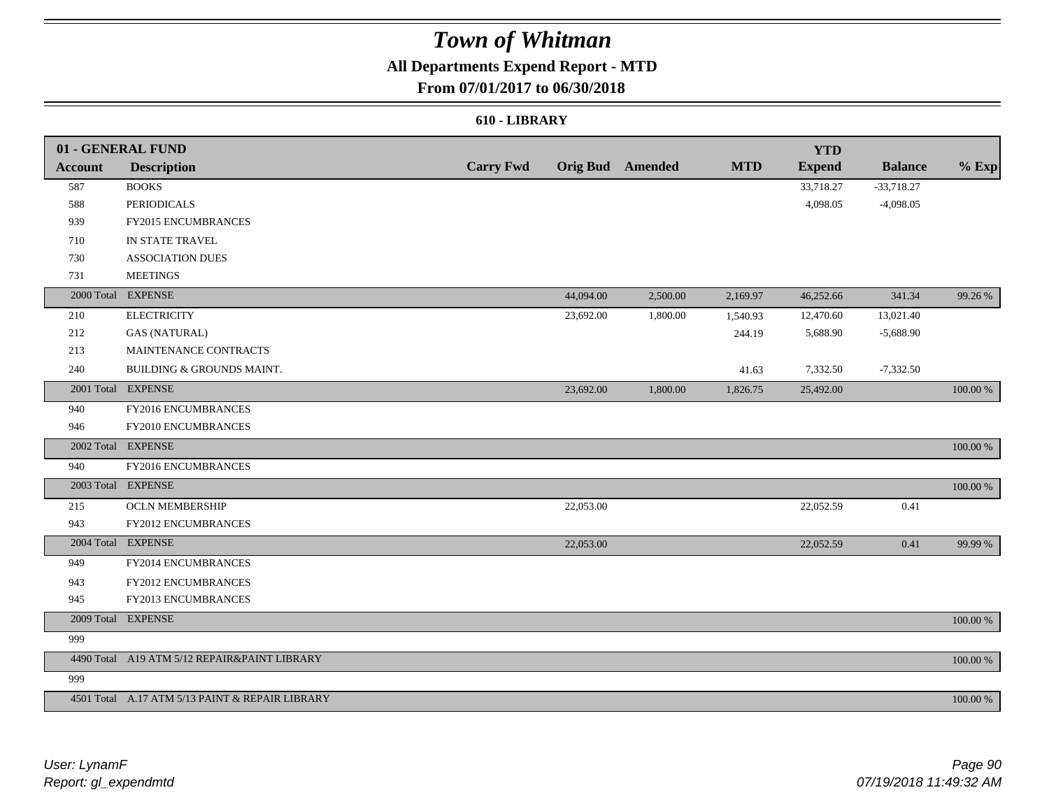## **All Departments Expend Report - MTD**

## **From 07/01/2017 to 06/30/2018**

### **610 - LIBRARY**

|                | 01 - GENERAL FUND                               |                  |           |                         |            | <b>YTD</b>    |                |             |
|----------------|-------------------------------------------------|------------------|-----------|-------------------------|------------|---------------|----------------|-------------|
| <b>Account</b> | <b>Description</b>                              | <b>Carry Fwd</b> |           | <b>Orig Bud</b> Amended | <b>MTD</b> | <b>Expend</b> | <b>Balance</b> | $%$ Exp     |
| 587            | <b>BOOKS</b>                                    |                  |           |                         |            | 33,718.27     | $-33,718.27$   |             |
| 588            | <b>PERIODICALS</b>                              |                  |           |                         |            | 4,098.05      | $-4,098.05$    |             |
| 939            | FY2015 ENCUMBRANCES                             |                  |           |                         |            |               |                |             |
| 710            | IN STATE TRAVEL                                 |                  |           |                         |            |               |                |             |
| 730            | <b>ASSOCIATION DUES</b>                         |                  |           |                         |            |               |                |             |
| 731            | <b>MEETINGS</b>                                 |                  |           |                         |            |               |                |             |
|                | 2000 Total EXPENSE                              |                  | 44,094.00 | 2,500.00                | 2,169.97   | 46,252.66     | 341.34         | 99.26 %     |
| 210            | <b>ELECTRICITY</b>                              |                  | 23,692.00 | 1,800.00                | 1,540.93   | 12,470.60     | 13,021.40      |             |
| 212            | <b>GAS (NATURAL)</b>                            |                  |           |                         | 244.19     | 5,688.90      | $-5,688.90$    |             |
| 213            | MAINTENANCE CONTRACTS                           |                  |           |                         |            |               |                |             |
| 240            | BUILDING & GROUNDS MAINT.                       |                  |           |                         | 41.63      | 7,332.50      | $-7,332.50$    |             |
|                | 2001 Total EXPENSE                              |                  | 23,692.00 | 1,800.00                | 1,826.75   | 25,492.00     |                | 100.00 %    |
| 940            | FY2016 ENCUMBRANCES                             |                  |           |                         |            |               |                |             |
| 946            | FY2010 ENCUMBRANCES                             |                  |           |                         |            |               |                |             |
|                | 2002 Total EXPENSE                              |                  |           |                         |            |               |                | 100.00 %    |
| 940            | FY2016 ENCUMBRANCES                             |                  |           |                         |            |               |                |             |
|                | 2003 Total EXPENSE                              |                  |           |                         |            |               |                | 100.00 %    |
| 215            | <b>OCLN MEMBERSHIP</b>                          |                  | 22,053.00 |                         |            | 22,052.59     | 0.41           |             |
| 943            | FY2012 ENCUMBRANCES                             |                  |           |                         |            |               |                |             |
|                | 2004 Total EXPENSE                              |                  | 22,053.00 |                         |            | 22,052.59     | 0.41           | 99.99 %     |
| 949            | FY2014 ENCUMBRANCES                             |                  |           |                         |            |               |                |             |
| 943            | FY2012 ENCUMBRANCES                             |                  |           |                         |            |               |                |             |
| 945            | FY2013 ENCUMBRANCES                             |                  |           |                         |            |               |                |             |
|                | 2009 Total EXPENSE                              |                  |           |                         |            |               |                | $100.00~\%$ |
| 999            |                                                 |                  |           |                         |            |               |                |             |
|                | 4490 Total A19 ATM 5/12 REPAIR&PAINT LIBRARY    |                  |           |                         |            |               |                | 100.00 %    |
| 999            |                                                 |                  |           |                         |            |               |                |             |
|                | 4501 Total A.17 ATM 5/13 PAINT & REPAIR LIBRARY |                  |           |                         |            |               |                | 100.00 %    |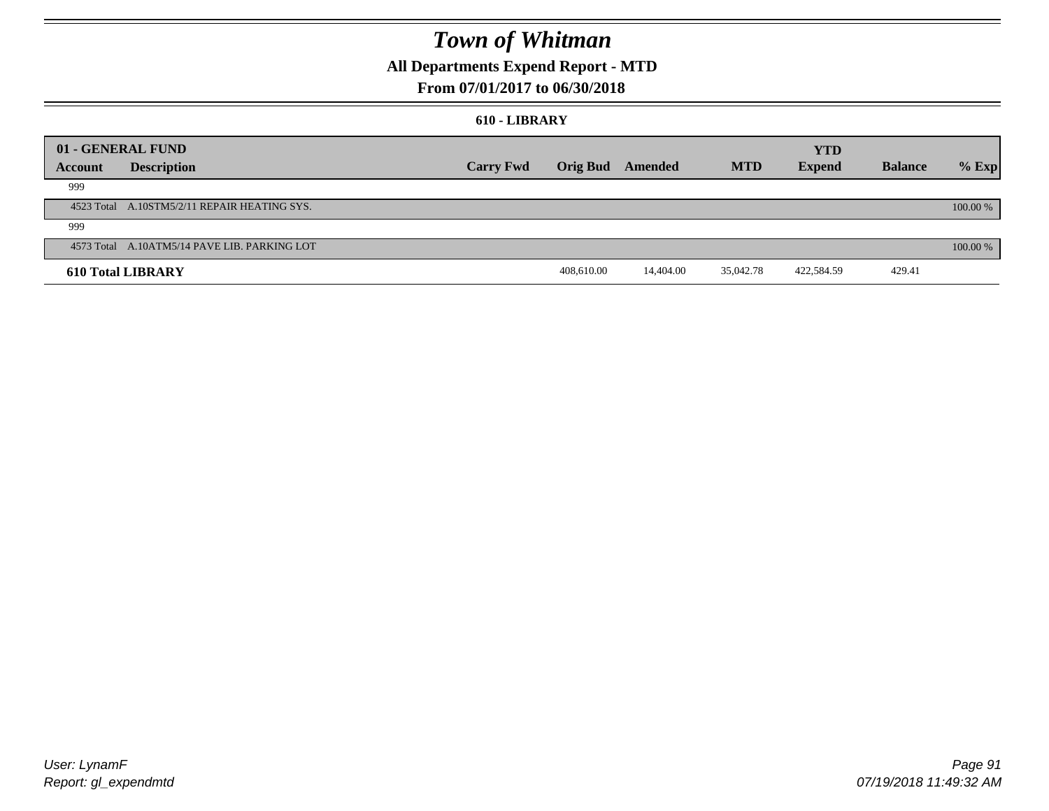## **All Departments Expend Report - MTD**

### **From 07/01/2017 to 06/30/2018**

#### **610 - LIBRARY**

| 01 - GENERAL FUND |                                              |                  |                 |           |            | <b>YTD</b>    |                |          |
|-------------------|----------------------------------------------|------------------|-----------------|-----------|------------|---------------|----------------|----------|
| Account           | <b>Description</b>                           | <b>Carry Fwd</b> | <b>Orig Bud</b> | Amended   | <b>MTD</b> | <b>Expend</b> | <b>Balance</b> | $%$ Exp  |
| 999               |                                              |                  |                 |           |            |               |                |          |
|                   | 4523 Total A.10STM5/2/11 REPAIR HEATING SYS. |                  |                 |           |            |               |                | 100.00 % |
| 999               |                                              |                  |                 |           |            |               |                |          |
|                   | 4573 Total A.10ATM5/14 PAVE LIB. PARKING LOT |                  |                 |           |            |               |                | 100.00 % |
|                   | <b>610 Total LIBRARY</b>                     |                  | 408,610.00      | 14,404.00 | 35,042.78  | 422,584.59    | 429.41         |          |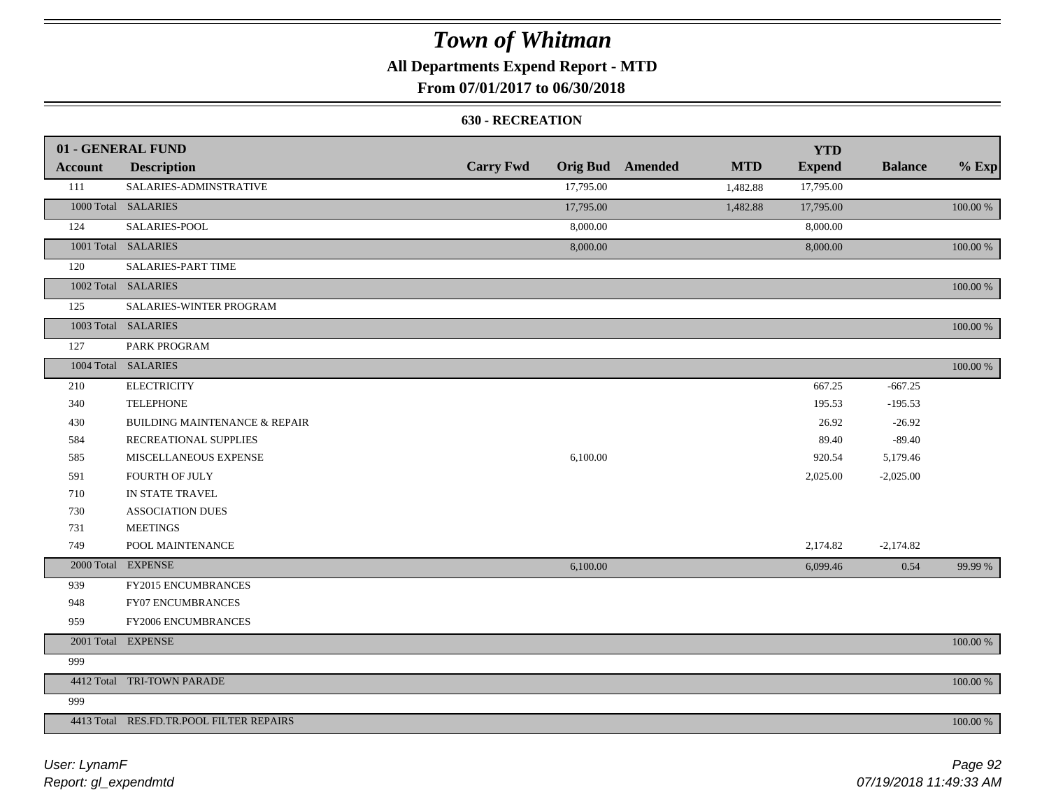## **All Departments Expend Report - MTD**

## **From 07/01/2017 to 06/30/2018**

### **630 - RECREATION**

|         | 01 - GENERAL FUND                        |                  |           |                         |            | <b>YTD</b>    |                |          |
|---------|------------------------------------------|------------------|-----------|-------------------------|------------|---------------|----------------|----------|
| Account | <b>Description</b>                       | <b>Carry Fwd</b> |           | <b>Orig Bud</b> Amended | <b>MTD</b> | <b>Expend</b> | <b>Balance</b> | $%$ Exp  |
| 111     | SALARIES-ADMINSTRATIVE                   |                  | 17,795.00 |                         | 1,482.88   | 17,795.00     |                |          |
|         | 1000 Total SALARIES                      |                  | 17,795.00 |                         | 1,482.88   | 17,795.00     |                | 100.00 % |
| 124     | SALARIES-POOL                            |                  | 8,000.00  |                         |            | 8,000.00      |                |          |
|         | 1001 Total SALARIES                      |                  | 8,000.00  |                         |            | 8,000.00      |                | 100.00 % |
| 120     | <b>SALARIES-PART TIME</b>                |                  |           |                         |            |               |                |          |
|         | 1002 Total SALARIES                      |                  |           |                         |            |               |                | 100.00 % |
| 125     | SALARIES-WINTER PROGRAM                  |                  |           |                         |            |               |                |          |
|         | 1003 Total SALARIES                      |                  |           |                         |            |               |                | 100.00 % |
| 127     | PARK PROGRAM                             |                  |           |                         |            |               |                |          |
|         | 1004 Total SALARIES                      |                  |           |                         |            |               |                | 100.00 % |
| 210     | <b>ELECTRICITY</b>                       |                  |           |                         |            | 667.25        | $-667.25$      |          |
| 340     | <b>TELEPHONE</b>                         |                  |           |                         |            | 195.53        | $-195.53$      |          |
| 430     | <b>BUILDING MAINTENANCE &amp; REPAIR</b> |                  |           |                         |            | 26.92         | $-26.92$       |          |
| 584     | RECREATIONAL SUPPLIES                    |                  |           |                         |            | 89.40         | $-89.40$       |          |
| 585     | MISCELLANEOUS EXPENSE                    |                  | 6,100.00  |                         |            | 920.54        | 5,179.46       |          |
| 591     | FOURTH OF JULY                           |                  |           |                         |            | 2,025.00      | $-2,025.00$    |          |
| 710     | IN STATE TRAVEL                          |                  |           |                         |            |               |                |          |
| 730     | <b>ASSOCIATION DUES</b>                  |                  |           |                         |            |               |                |          |
| 731     | <b>MEETINGS</b>                          |                  |           |                         |            |               |                |          |
| 749     | POOL MAINTENANCE                         |                  |           |                         |            | 2,174.82      | $-2,174.82$    |          |
|         | 2000 Total EXPENSE                       |                  | 6,100.00  |                         |            | 6,099.46      | 0.54           | 99.99 %  |
| 939     | FY2015 ENCUMBRANCES                      |                  |           |                         |            |               |                |          |
| 948     | FY07 ENCUMBRANCES                        |                  |           |                         |            |               |                |          |
| 959     | FY2006 ENCUMBRANCES                      |                  |           |                         |            |               |                |          |
|         | 2001 Total EXPENSE                       |                  |           |                         |            |               |                | 100.00 % |
| 999     |                                          |                  |           |                         |            |               |                |          |
|         | 4412 Total TRI-TOWN PARADE               |                  |           |                         |            |               |                | 100.00 % |
| 999     |                                          |                  |           |                         |            |               |                |          |
|         | 4413 Total RES.FD.TR.POOL FILTER REPAIRS |                  |           |                         |            |               |                | 100.00 % |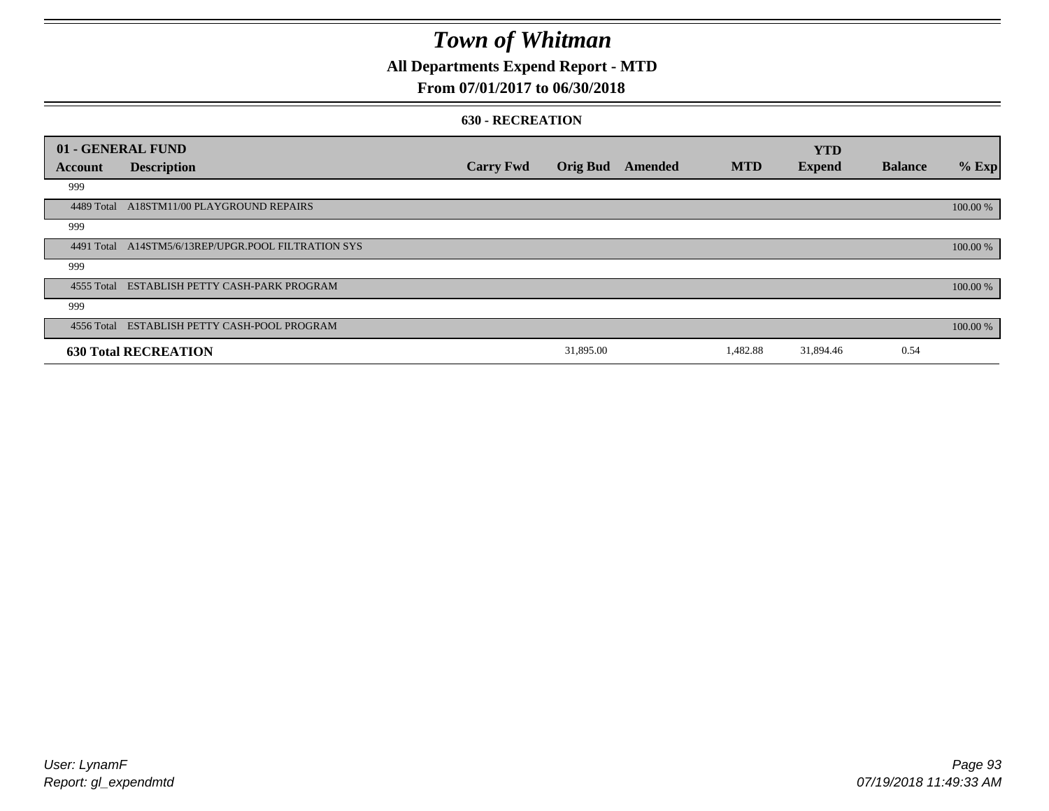## **All Departments Expend Report - MTD**

### **From 07/01/2017 to 06/30/2018**

#### **630 - RECREATION**

|            | 01 - GENERAL FUND                                   |                  |                 |         |            | <b>YTD</b>    |                |          |
|------------|-----------------------------------------------------|------------------|-----------------|---------|------------|---------------|----------------|----------|
| Account    | <b>Description</b>                                  | <b>Carry Fwd</b> | <b>Orig Bud</b> | Amended | <b>MTD</b> | <b>Expend</b> | <b>Balance</b> | % Exp    |
| 999        |                                                     |                  |                 |         |            |               |                |          |
| 4489 Total | A18STM11/00 PLAYGROUND REPAIRS                      |                  |                 |         |            |               |                | 100.00 % |
| 999        |                                                     |                  |                 |         |            |               |                |          |
|            | 4491 Total A14STM5/6/13REP/UPGR.POOL FILTRATION SYS |                  |                 |         |            |               |                | 100.00 % |
| 999        |                                                     |                  |                 |         |            |               |                |          |
|            | 4555 Total ESTABLISH PETTY CASH-PARK PROGRAM        |                  |                 |         |            |               |                | 100.00 % |
| 999        |                                                     |                  |                 |         |            |               |                |          |
|            | 4556 Total ESTABLISH PETTY CASH-POOL PROGRAM        |                  |                 |         |            |               |                | 100.00 % |
|            | <b>630 Total RECREATION</b>                         |                  | 31,895.00       |         | 1,482.88   | 31,894.46     | 0.54           |          |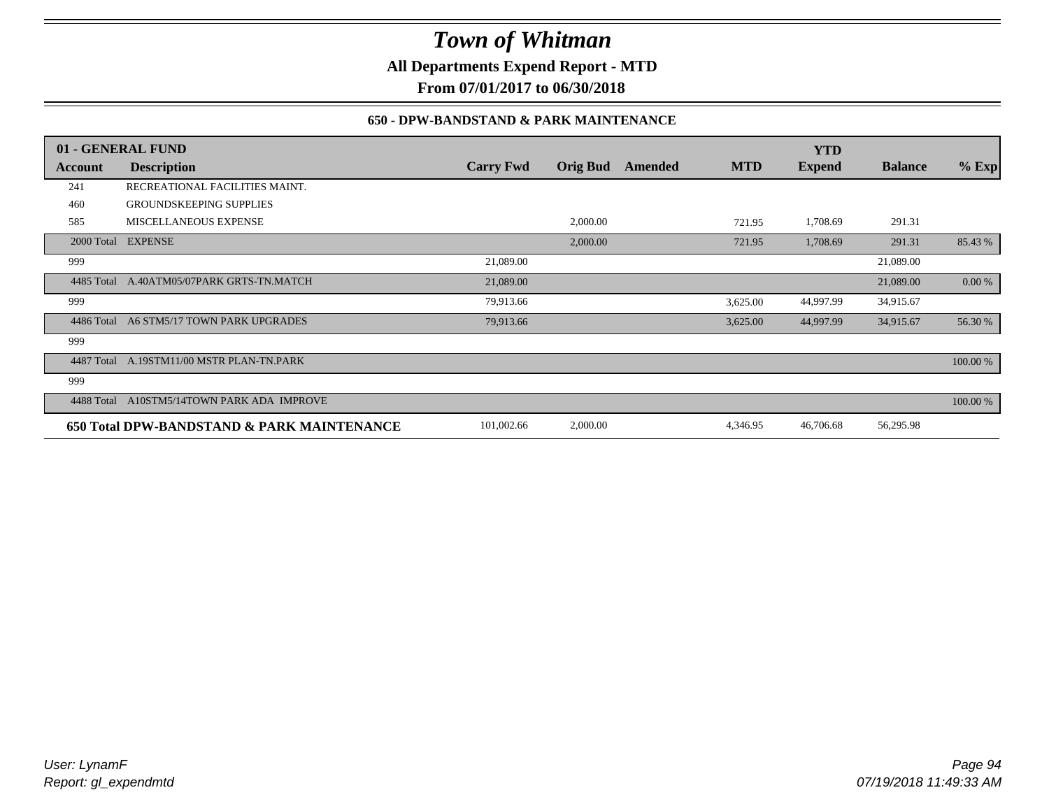**All Departments Expend Report - MTD**

**From 07/01/2017 to 06/30/2018**

### **650 - DPW-BANDSTAND & PARK MAINTENANCE**

|            | 01 - GENERAL FUND                          |                  |                 |         |            | <b>YTD</b>    |                |          |
|------------|--------------------------------------------|------------------|-----------------|---------|------------|---------------|----------------|----------|
| Account    | <b>Description</b>                         | <b>Carry Fwd</b> | <b>Orig Bud</b> | Amended | <b>MTD</b> | <b>Expend</b> | <b>Balance</b> | $%$ Exp  |
| 241        | RECREATIONAL FACILITIES MAINT.             |                  |                 |         |            |               |                |          |
| 460        | <b>GROUNDSKEEPING SUPPLIES</b>             |                  |                 |         |            |               |                |          |
| 585        | MISCELLANEOUS EXPENSE                      |                  | 2,000.00        |         | 721.95     | 1,708.69      | 291.31         |          |
|            | 2000 Total EXPENSE                         |                  | 2,000.00        |         | 721.95     | 1,708.69      | 291.31         | 85.43 %  |
| 999        |                                            | 21,089.00        |                 |         |            |               | 21,089.00      |          |
| 4485 Total | A.40ATM05/07PARK GRTS-TN.MATCH             | 21,089.00        |                 |         |            |               | 21,089.00      | 0.00 %   |
| 999        |                                            | 79,913.66        |                 |         | 3,625.00   | 44,997.99     | 34,915.67      |          |
| 4486 Total | A6 STM5/17 TOWN PARK UPGRADES              | 79,913.66        |                 |         | 3,625.00   | 44,997.99     | 34,915.67      | 56.30 %  |
| 999        |                                            |                  |                 |         |            |               |                |          |
| 4487 Total | A.19STM11/00 MSTR PLAN-TN.PARK             |                  |                 |         |            |               |                | 100.00 % |
| 999        |                                            |                  |                 |         |            |               |                |          |
| 4488 Total | A10STM5/14TOWN PARK ADA IMPROVE            |                  |                 |         |            |               |                | 100.00 % |
|            | 650 Total DPW-BANDSTAND & PARK MAINTENANCE | 101,002.66       | 2,000.00        |         | 4,346.95   | 46,706.68     | 56,295.98      |          |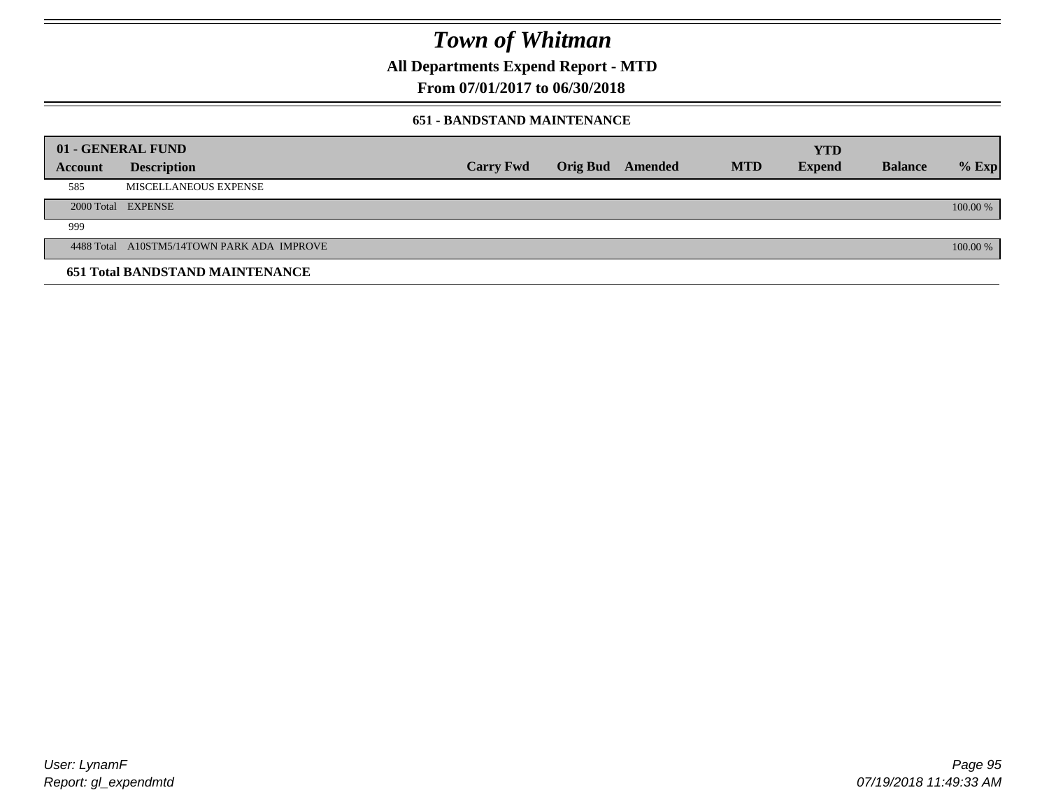**All Departments Expend Report - MTD**

**From 07/01/2017 to 06/30/2018**

### **651 - BANDSTAND MAINTENANCE**

| 01 - GENERAL FUND |                                            |                  |                  |            | <b>YTD</b>    |                |          |
|-------------------|--------------------------------------------|------------------|------------------|------------|---------------|----------------|----------|
| Account           | <b>Description</b>                         | <b>Carry Fwd</b> | Orig Bud Amended | <b>MTD</b> | <b>Expend</b> | <b>Balance</b> | $%$ Exp  |
| 585               | MISCELLANEOUS EXPENSE                      |                  |                  |            |               |                |          |
|                   | 2000 Total EXPENSE                         |                  |                  |            |               |                | 100.00 % |
| 999               |                                            |                  |                  |            |               |                |          |
|                   | 4488 Total A10STM5/14TOWN PARK ADA IMPROVE |                  |                  |            |               |                | 100.00 % |
|                   | <b>651 Total BANDSTAND MAINTENANCE</b>     |                  |                  |            |               |                |          |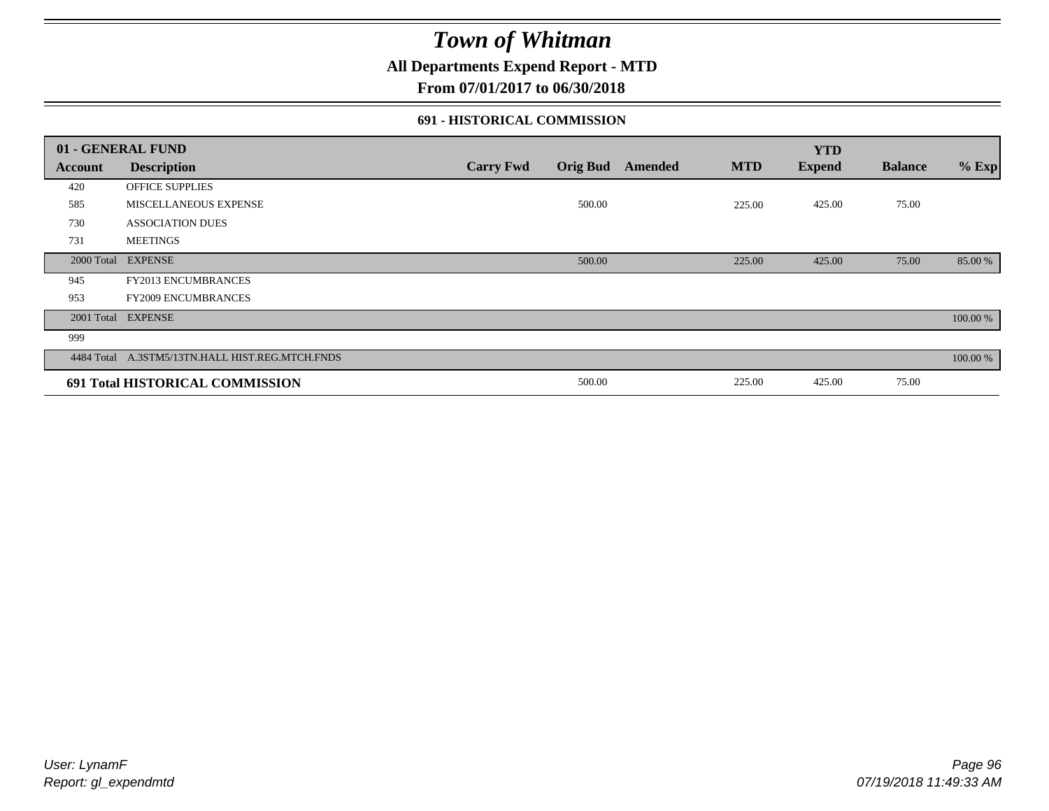**All Departments Expend Report - MTD**

**From 07/01/2017 to 06/30/2018**

### **691 - HISTORICAL COMMISSION**

|         | 01 - GENERAL FUND                               |                  |                 |                |            | <b>YTD</b>    |                |          |
|---------|-------------------------------------------------|------------------|-----------------|----------------|------------|---------------|----------------|----------|
| Account | <b>Description</b>                              | <b>Carry Fwd</b> | <b>Orig Bud</b> | <b>Amended</b> | <b>MTD</b> | <b>Expend</b> | <b>Balance</b> | $%$ Exp  |
| 420     | <b>OFFICE SUPPLIES</b>                          |                  |                 |                |            |               |                |          |
| 585     | MISCELLANEOUS EXPENSE                           |                  | 500.00          |                | 225.00     | 425.00        | 75.00          |          |
| 730     | <b>ASSOCIATION DUES</b>                         |                  |                 |                |            |               |                |          |
| 731     | <b>MEETINGS</b>                                 |                  |                 |                |            |               |                |          |
|         | 2000 Total EXPENSE                              |                  | 500.00          |                | 225.00     | 425.00        | 75.00          | 85.00 %  |
| 945     | FY2013 ENCUMBRANCES                             |                  |                 |                |            |               |                |          |
| 953     | <b>FY2009 ENCUMBRANCES</b>                      |                  |                 |                |            |               |                |          |
|         | 2001 Total EXPENSE                              |                  |                 |                |            |               |                | 100.00 % |
| 999     |                                                 |                  |                 |                |            |               |                |          |
|         | 4484 Total A.3STM5/13TN.HALL HIST.REG.MTCH.FNDS |                  |                 |                |            |               |                | 100.00 % |
|         | 691 Total HISTORICAL COMMISSION                 |                  | 500.00          |                | 225.00     | 425.00        | 75.00          |          |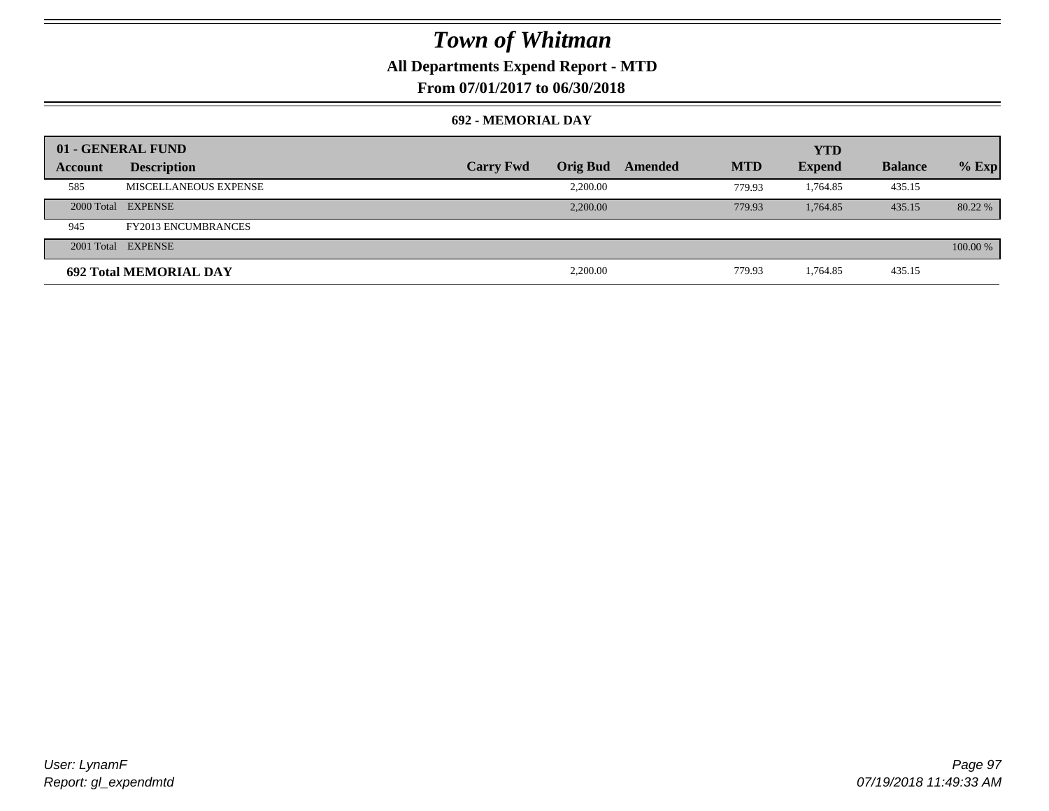## **All Departments Expend Report - MTD**

**From 07/01/2017 to 06/30/2018**

### **692 - MEMORIAL DAY**

|         | 01 - GENERAL FUND             |                  |                 |         |            | <b>YTD</b>    |                |          |
|---------|-------------------------------|------------------|-----------------|---------|------------|---------------|----------------|----------|
| Account | <b>Description</b>            | <b>Carry Fwd</b> | <b>Orig Bud</b> | Amended | <b>MTD</b> | <b>Expend</b> | <b>Balance</b> | $%$ Exp  |
| 585     | MISCELLANEOUS EXPENSE         |                  | 2,200.00        |         | 779.93     | 1.764.85      | 435.15         |          |
|         | 2000 Total EXPENSE            |                  | 2,200,00        |         | 779.93     | 1.764.85      | 435.15         | 80.22 %  |
| 945     | <b>FY2013 ENCUMBRANCES</b>    |                  |                 |         |            |               |                |          |
|         | 2001 Total EXPENSE            |                  |                 |         |            |               |                | 100.00 % |
|         | <b>692 Total MEMORIAL DAY</b> |                  | 2,200.00        |         | 779.93     | 1,764.85      | 435.15         |          |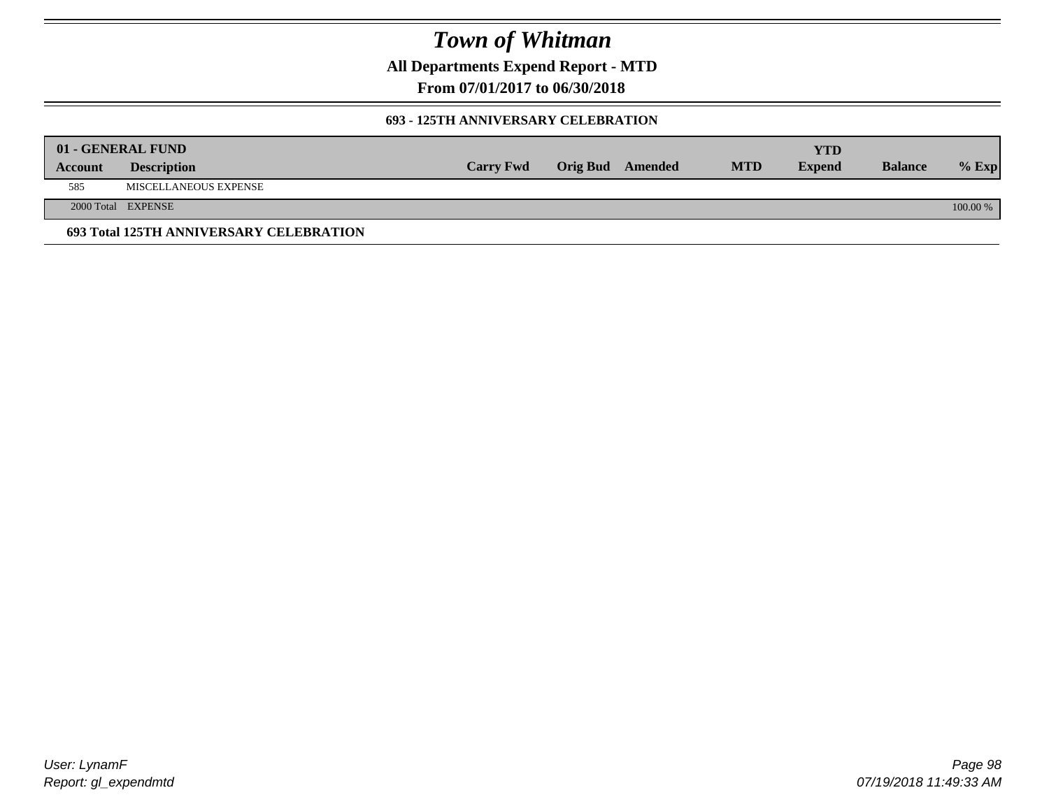**All Departments Expend Report - MTD**

**From 07/01/2017 to 06/30/2018**

### **693 - 125TH ANNIVERSARY CELEBRATION**

|         | 01 - GENERAL FUND                       |                  |                         |            | YTD           |                |          |
|---------|-----------------------------------------|------------------|-------------------------|------------|---------------|----------------|----------|
| Account | <b>Description</b>                      | <b>Carry Fwd</b> | <b>Orig Bud</b> Amended | <b>MTD</b> | <b>Expend</b> | <b>Balance</b> | $%$ Exp  |
| 585     | MISCELLANEOUS EXPENSE                   |                  |                         |            |               |                |          |
|         | 2000 Total EXPENSE                      |                  |                         |            |               |                | 100.00 % |
|         | 693 Total 125TH ANNIVERSARY CELEBRATION |                  |                         |            |               |                |          |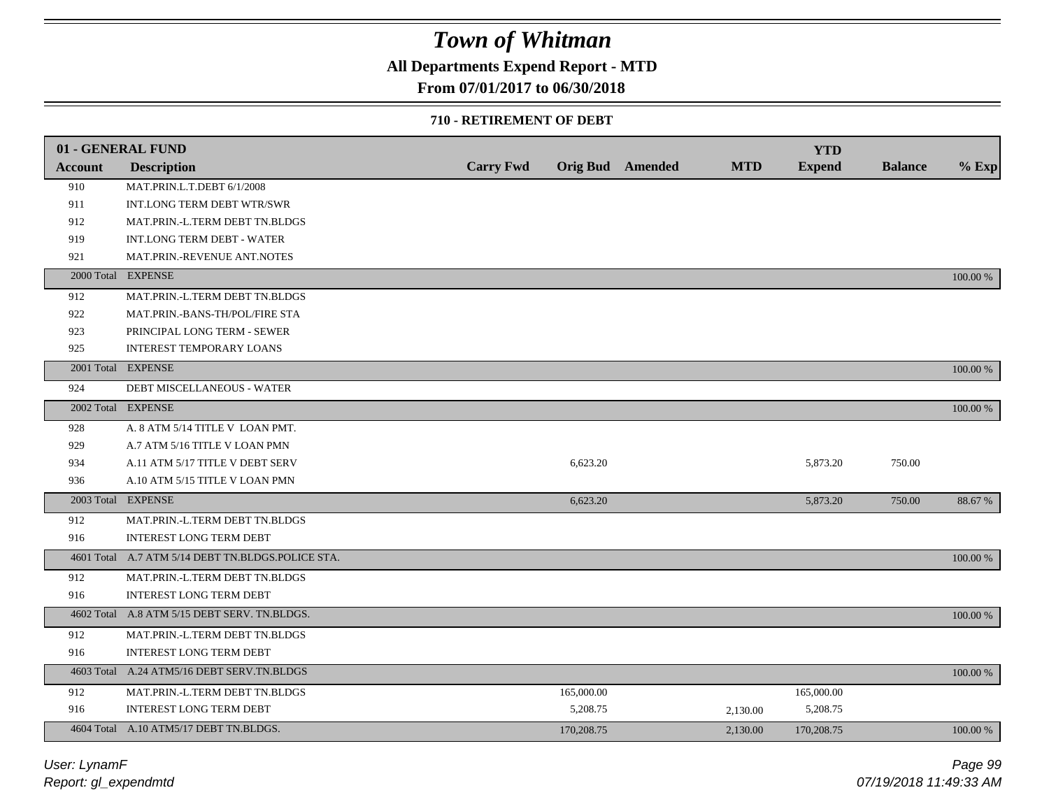## **All Departments Expend Report - MTD**

## **From 07/01/2017 to 06/30/2018**

### **710 - RETIREMENT OF DEBT**

|         | 01 - GENERAL FUND                                 |                  |            |                  |            | <b>YTD</b>    |                |             |
|---------|---------------------------------------------------|------------------|------------|------------------|------------|---------------|----------------|-------------|
| Account | <b>Description</b>                                | <b>Carry Fwd</b> |            | Orig Bud Amended | <b>MTD</b> | <b>Expend</b> | <b>Balance</b> | $%$ Exp     |
| 910     | MAT.PRIN.L.T.DEBT 6/1/2008                        |                  |            |                  |            |               |                |             |
| 911     | INT.LONG TERM DEBT WTR/SWR                        |                  |            |                  |            |               |                |             |
| 912     | MAT.PRIN.-L.TERM DEBT TN.BLDGS                    |                  |            |                  |            |               |                |             |
| 919     | INT.LONG TERM DEBT - WATER                        |                  |            |                  |            |               |                |             |
| 921     | MAT.PRIN.-REVENUE ANT.NOTES                       |                  |            |                  |            |               |                |             |
|         | 2000 Total EXPENSE                                |                  |            |                  |            |               |                | 100.00 %    |
| 912     | MAT.PRIN.-L.TERM DEBT TN.BLDGS                    |                  |            |                  |            |               |                |             |
| 922     | MAT.PRIN.-BANS-TH/POL/FIRE STA                    |                  |            |                  |            |               |                |             |
| 923     | PRINCIPAL LONG TERM - SEWER                       |                  |            |                  |            |               |                |             |
| 925     | <b>INTEREST TEMPORARY LOANS</b>                   |                  |            |                  |            |               |                |             |
|         | 2001 Total EXPENSE                                |                  |            |                  |            |               |                | 100.00 %    |
| 924     | DEBT MISCELLANEOUS - WATER                        |                  |            |                  |            |               |                |             |
|         | 2002 Total EXPENSE                                |                  |            |                  |            |               |                | 100.00 %    |
| 928     | A. 8 ATM 5/14 TITLE V LOAN PMT.                   |                  |            |                  |            |               |                |             |
| 929     | A.7 ATM 5/16 TITLE V LOAN PMN                     |                  |            |                  |            |               |                |             |
| 934     | A.11 ATM 5/17 TITLE V DEBT SERV                   |                  | 6,623.20   |                  |            | 5,873.20      | 750.00         |             |
| 936     | A.10 ATM 5/15 TITLE V LOAN PMN                    |                  |            |                  |            |               |                |             |
|         | 2003 Total EXPENSE                                |                  | 6,623.20   |                  |            | 5,873.20      | 750.00         | 88.67 %     |
| 912     | MAT.PRIN.-L.TERM DEBT TN.BLDGS                    |                  |            |                  |            |               |                |             |
| 916     | <b>INTEREST LONG TERM DEBT</b>                    |                  |            |                  |            |               |                |             |
|         | 4601 Total A.7 ATM 5/14 DEBT TN.BLDGS.POLICE STA. |                  |            |                  |            |               |                | $100.00~\%$ |
| 912     | MAT.PRIN.-L.TERM DEBT TN.BLDGS                    |                  |            |                  |            |               |                |             |
| 916     | INTEREST LONG TERM DEBT                           |                  |            |                  |            |               |                |             |
|         | 4602 Total A.8 ATM 5/15 DEBT SERV. TN.BLDGS.      |                  |            |                  |            |               |                | 100.00 %    |
| 912     | MAT.PRIN.-L.TERM DEBT TN.BLDGS                    |                  |            |                  |            |               |                |             |
| 916     | <b>INTEREST LONG TERM DEBT</b>                    |                  |            |                  |            |               |                |             |
|         | 4603 Total A.24 ATM5/16 DEBT SERV.TN.BLDGS        |                  |            |                  |            |               |                | 100.00 %    |
| 912     | MAT.PRIN.-L.TERM DEBT TN.BLDGS                    |                  | 165,000.00 |                  |            | 165,000.00    |                |             |
| 916     | <b>INTEREST LONG TERM DEBT</b>                    |                  | 5,208.75   |                  | 2,130.00   | 5,208.75      |                |             |
|         | 4604 Total A.10 ATM5/17 DEBT TN.BLDGS.            |                  | 170,208.75 |                  | 2.130.00   | 170,208.75    |                | 100.00 %    |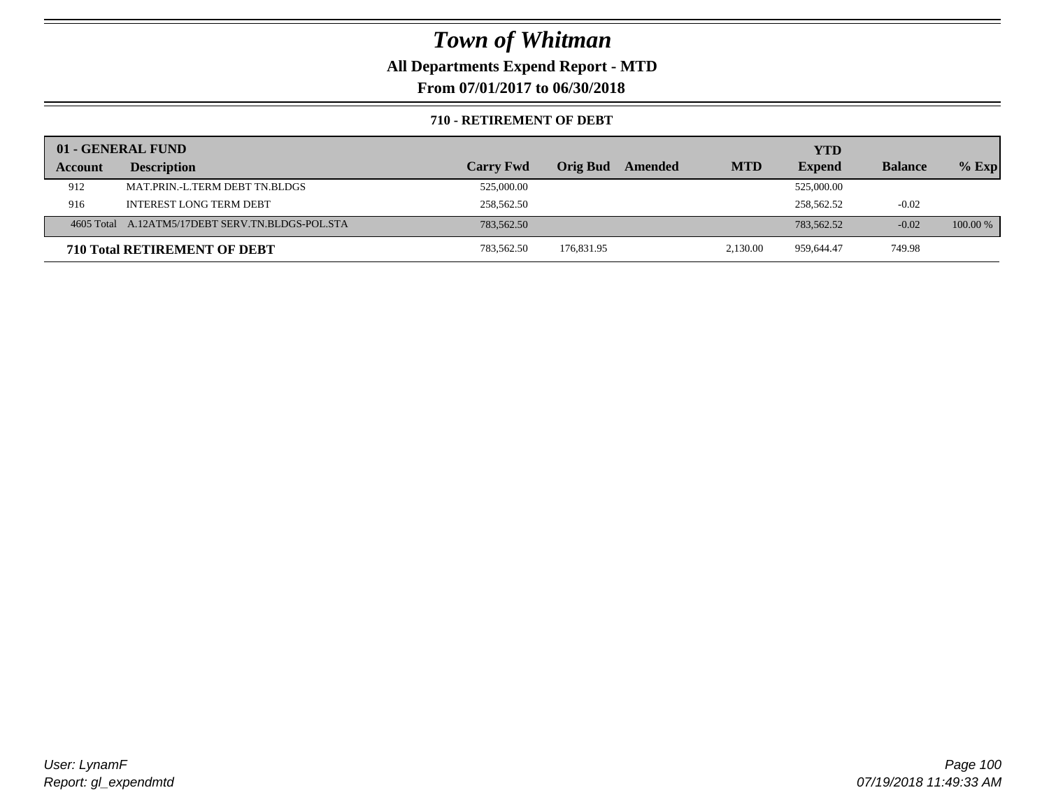**All Departments Expend Report - MTD**

**From 07/01/2017 to 06/30/2018**

### **710 - RETIREMENT OF DEBT**

|         | 01 - GENERAL FUND                                |                  |                 |                       | YTD           |                |            |
|---------|--------------------------------------------------|------------------|-----------------|-----------------------|---------------|----------------|------------|
| Account | <b>Description</b>                               | <b>Carry Fwd</b> | <b>Orig Bud</b> | <b>MTD</b><br>Amended | <b>Expend</b> | <b>Balance</b> | $%$ Exp    |
| 912     | MAT.PRIN.-L.TERM DEBT TN.BLDGS                   | 525,000.00       |                 |                       | 525,000.00    |                |            |
| 916     | <b>INTEREST LONG TERM DEBT</b>                   | 258,562.50       |                 |                       | 258,562.52    | $-0.02$        |            |
|         | 4605 Total A.12ATM5/17DEBT SERV.TN.BLDGS-POL.STA | 783,562.50       |                 |                       | 783,562.52    | $-0.02$        | $100.00\%$ |
|         | <b>710 Total RETIREMENT OF DEBT</b>              | 783,562.50       | 176,831.95      | 2,130.00              | 959,644.47    | 749.98         |            |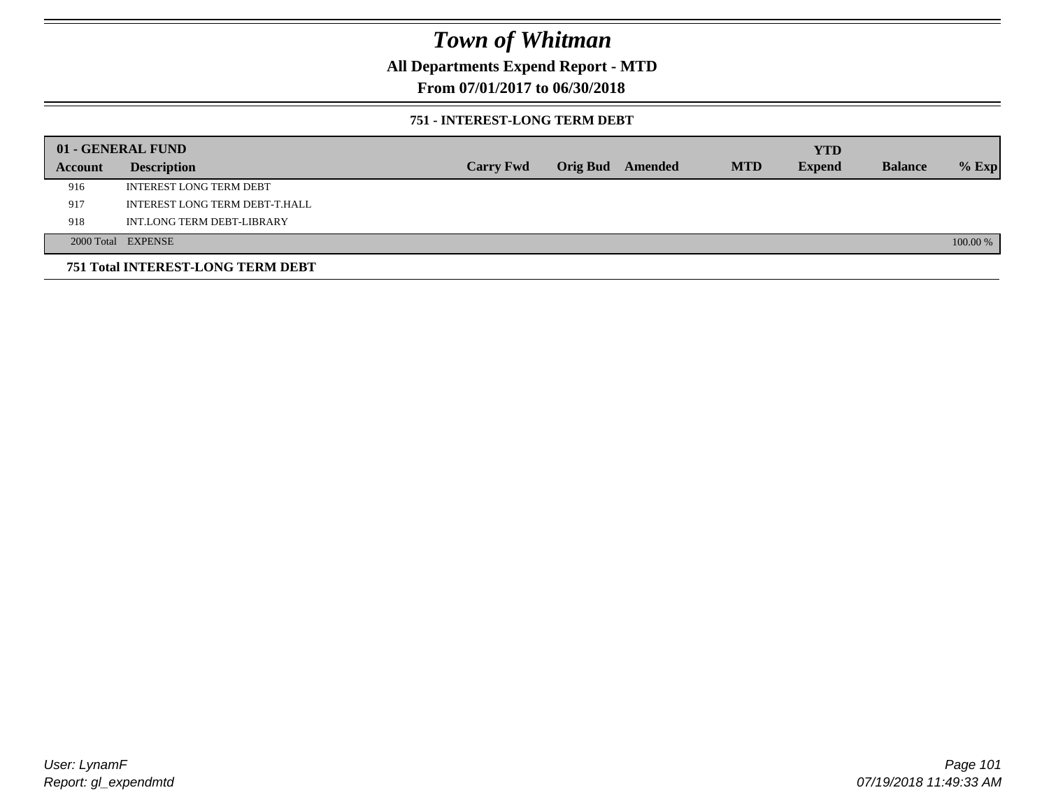**All Departments Expend Report - MTD**

## **From 07/01/2017 to 06/30/2018**

### **751 - INTEREST-LONG TERM DEBT**

|         | 01 - GENERAL FUND                 |                  |  |                  |            | <b>YTD</b>    |                |          |
|---------|-----------------------------------|------------------|--|------------------|------------|---------------|----------------|----------|
| Account | <b>Description</b>                | <b>Carry Fwd</b> |  | Orig Bud Amended | <b>MTD</b> | <b>Expend</b> | <b>Balance</b> | $%$ Exp  |
| 916     | <b>INTEREST LONG TERM DEBT</b>    |                  |  |                  |            |               |                |          |
| 917     | INTEREST LONG TERM DEBT-T.HALL    |                  |  |                  |            |               |                |          |
| 918     | INT.LONG TERM DEBT-LIBRARY        |                  |  |                  |            |               |                |          |
|         | 2000 Total EXPENSE                |                  |  |                  |            |               |                | 100.00 % |
|         | 751 Total INTEREST-LONG TERM DEBT |                  |  |                  |            |               |                |          |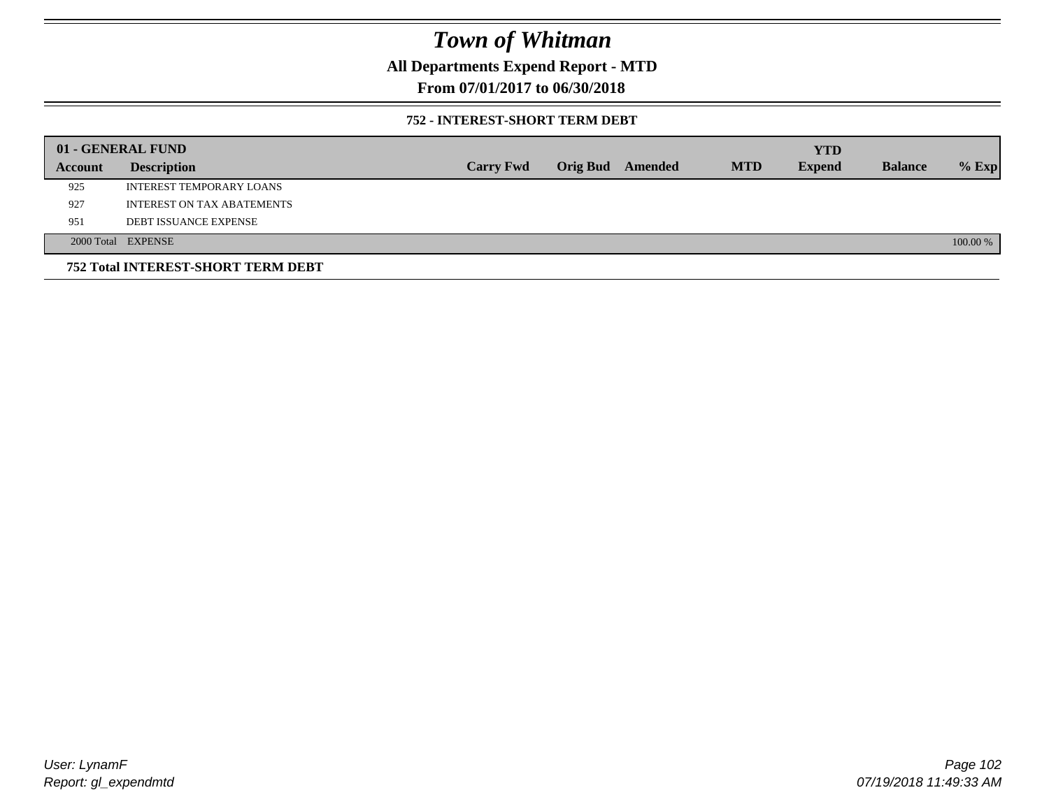**All Departments Expend Report - MTD**

**From 07/01/2017 to 06/30/2018**

### **752 - INTEREST-SHORT TERM DEBT**

|         | 01 - GENERAL FUND                  |                  |                 |         |            | <b>YTD</b>    |                |          |
|---------|------------------------------------|------------------|-----------------|---------|------------|---------------|----------------|----------|
| Account | <b>Description</b>                 | <b>Carry Fwd</b> | <b>Orig Bud</b> | Amended | <b>MTD</b> | <b>Expend</b> | <b>Balance</b> | $%$ Exp  |
| 925     | <b>INTEREST TEMPORARY LOANS</b>    |                  |                 |         |            |               |                |          |
| 927     | <b>INTEREST ON TAX ABATEMENTS</b>  |                  |                 |         |            |               |                |          |
| 951     | <b>DEBT ISSUANCE EXPENSE</b>       |                  |                 |         |            |               |                |          |
|         | 2000 Total EXPENSE                 |                  |                 |         |            |               |                | 100.00 % |
|         | 752 Total INTEREST-SHORT TERM DEBT |                  |                 |         |            |               |                |          |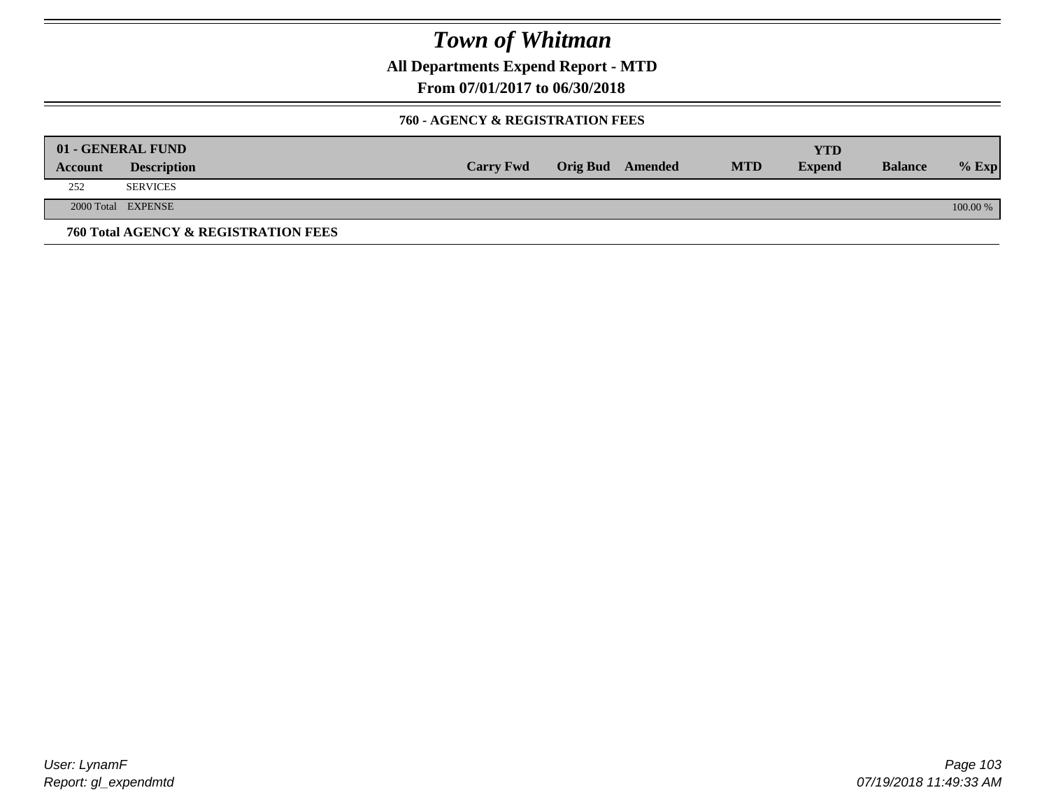**All Departments Expend Report - MTD**

**From 07/01/2017 to 06/30/2018**

### **760 - AGENCY & REGISTRATION FEES**

|         | 01 - GENERAL FUND                    |                  |                         |            | YTD           |                |          |
|---------|--------------------------------------|------------------|-------------------------|------------|---------------|----------------|----------|
| Account | <b>Description</b>                   | <b>Carry Fwd</b> | <b>Orig Bud</b> Amended | <b>MTD</b> | <b>Expend</b> | <b>Balance</b> | $%$ Exp  |
| 252     | <b>SERVICES</b>                      |                  |                         |            |               |                |          |
|         | 2000 Total EXPENSE                   |                  |                         |            |               |                | 100.00 % |
|         | 760 Total AGENCY & REGISTRATION FEES |                  |                         |            |               |                |          |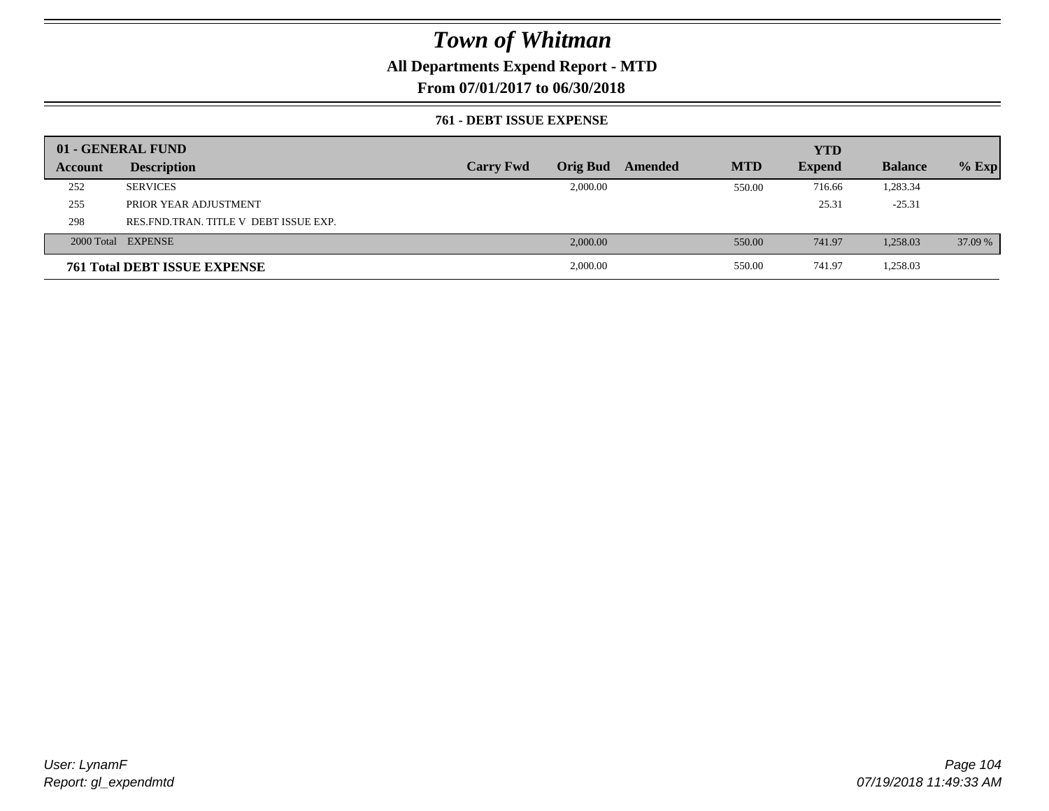## **All Departments Expend Report - MTD**

**From 07/01/2017 to 06/30/2018**

### **761 - DEBT ISSUE EXPENSE**

|         | 01 - GENERAL FUND                     |                  |                 |         |            | <b>YTD</b>    |                |         |
|---------|---------------------------------------|------------------|-----------------|---------|------------|---------------|----------------|---------|
| Account | <b>Description</b>                    | <b>Carry Fwd</b> | <b>Orig Bud</b> | Amended | <b>MTD</b> | <b>Expend</b> | <b>Balance</b> | $%$ Exp |
| 252     | <b>SERVICES</b>                       |                  | 2,000.00        |         | 550.00     | 716.66        | 1,283.34       |         |
| 255     | PRIOR YEAR ADJUSTMENT                 |                  |                 |         |            | 25.31         | $-25.31$       |         |
| 298     | RES FND TRAN. TITLE V DEBT ISSUE EXP. |                  |                 |         |            |               |                |         |
|         | 2000 Total EXPENSE                    |                  | 2,000.00        |         | 550.00     | 741.97        | 1,258.03       | 37.09 % |
|         | <b>761 Total DEBT ISSUE EXPENSE</b>   |                  | 2,000.00        |         | 550.00     | 741.97        | 1,258.03       |         |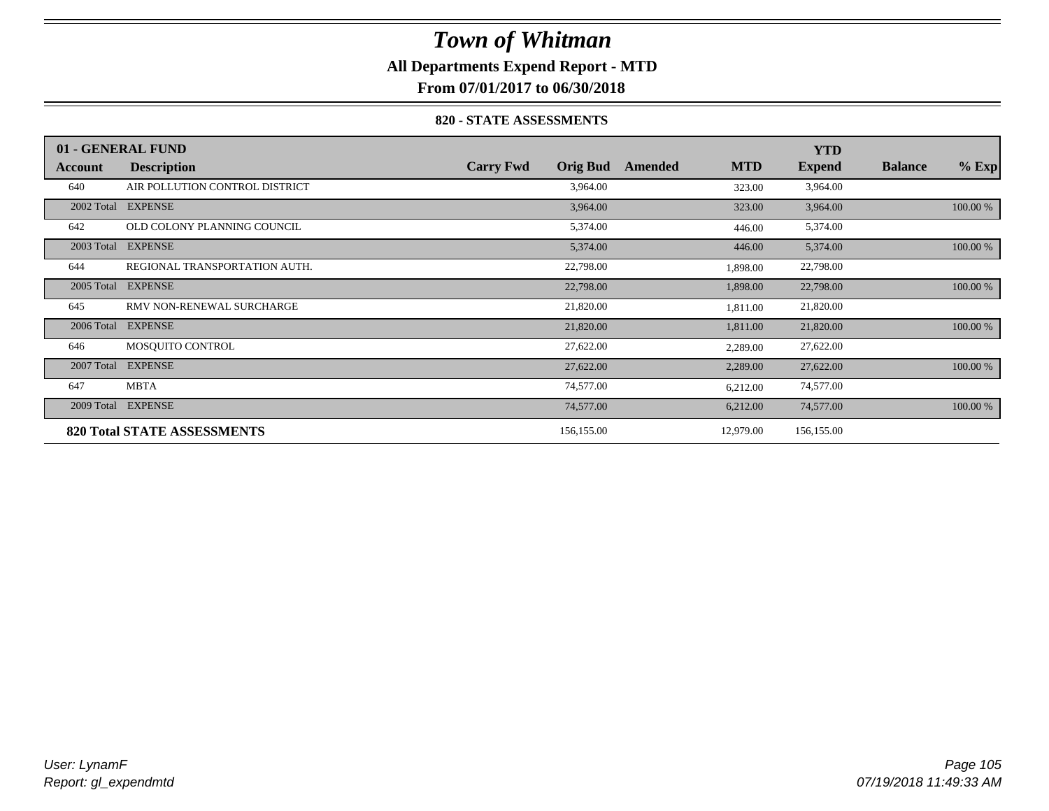## **All Departments Expend Report - MTD**

**From 07/01/2017 to 06/30/2018**

### **820 - STATE ASSESSMENTS**

|            | 01 - GENERAL FUND                  |                  |                 |         |            | <b>YTD</b>    |                |          |
|------------|------------------------------------|------------------|-----------------|---------|------------|---------------|----------------|----------|
| Account    | <b>Description</b>                 | <b>Carry Fwd</b> | <b>Orig Bud</b> | Amended | <b>MTD</b> | <b>Expend</b> | <b>Balance</b> | $%$ Exp  |
| 640        | AIR POLLUTION CONTROL DISTRICT     |                  | 3,964.00        |         | 323.00     | 3,964.00      |                |          |
| 2002 Total | <b>EXPENSE</b>                     |                  | 3,964.00        |         | 323.00     | 3,964.00      |                | 100.00 % |
| 642        | OLD COLONY PLANNING COUNCIL        |                  | 5,374.00        |         | 446.00     | 5,374.00      |                |          |
| 2003 Total | <b>EXPENSE</b>                     |                  | 5,374.00        |         | 446.00     | 5,374.00      |                | 100.00 % |
| 644        | REGIONAL TRANSPORTATION AUTH.      |                  | 22,798.00       |         | 1,898.00   | 22,798.00     |                |          |
| 2005 Total | <b>EXPENSE</b>                     |                  | 22,798.00       |         | 1,898.00   | 22,798.00     |                | 100.00 % |
| 645        | RMV NON-RENEWAL SURCHARGE          |                  | 21,820.00       |         | 1,811.00   | 21,820.00     |                |          |
| 2006 Total | <b>EXPENSE</b>                     |                  | 21,820.00       |         | 1,811.00   | 21,820.00     |                | 100.00 % |
| 646        | MOSQUITO CONTROL                   |                  | 27,622.00       |         | 2,289.00   | 27,622.00     |                |          |
| 2007 Total | <b>EXPENSE</b>                     |                  | 27,622.00       |         | 2,289.00   | 27,622.00     |                | 100.00 % |
| 647        | <b>MBTA</b>                        |                  | 74,577.00       |         | 6,212.00   | 74,577.00     |                |          |
| 2009 Total | <b>EXPENSE</b>                     |                  | 74,577.00       |         | 6,212.00   | 74,577.00     |                | 100.00 % |
|            | <b>820 Total STATE ASSESSMENTS</b> |                  | 156,155.00      |         | 12,979.00  | 156,155.00    |                |          |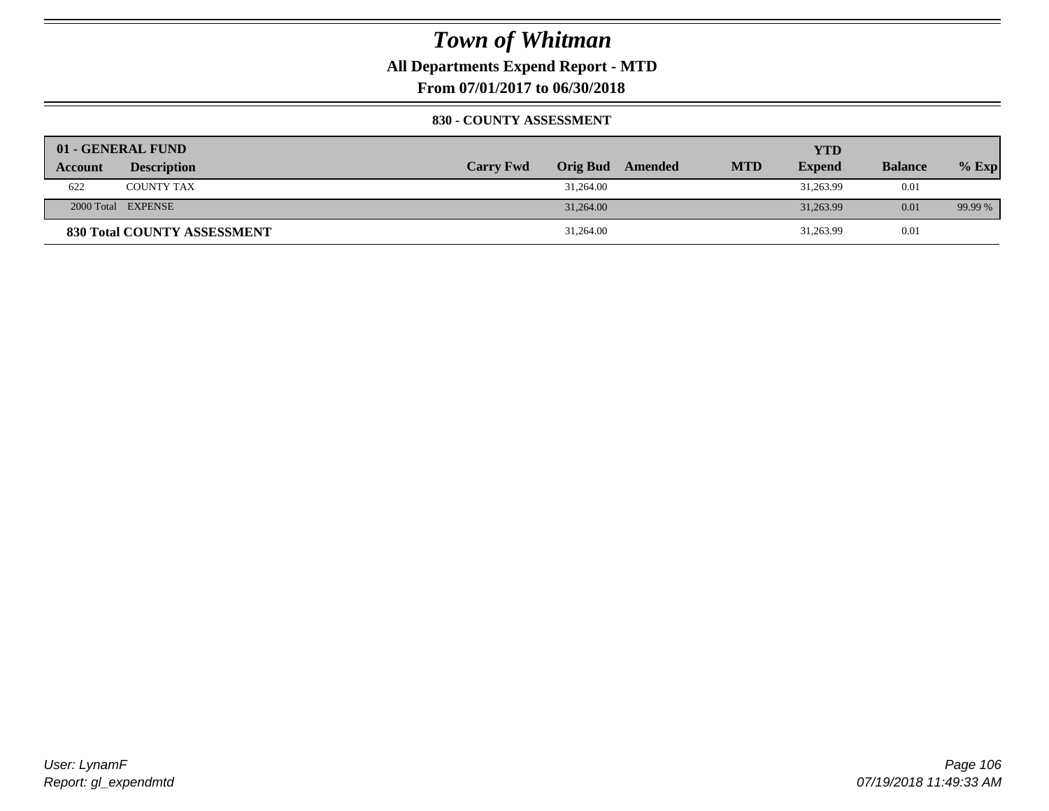**All Departments Expend Report - MTD**

**From 07/01/2017 to 06/30/2018**

### **830 - COUNTY ASSESSMENT**

|                | 01 - GENERAL FUND                  |                  |           |                  |            | YTD           |                |         |
|----------------|------------------------------------|------------------|-----------|------------------|------------|---------------|----------------|---------|
| <b>Account</b> | <b>Description</b>                 | <b>Carry Fwd</b> |           | Orig Bud Amended | <b>MTD</b> | <b>Expend</b> | <b>Balance</b> | $%$ Exp |
| 622            | <b>COUNTY TAX</b>                  |                  | 31,264.00 |                  |            | 31,263.99     | 0.01           |         |
|                | 2000 Total EXPENSE                 |                  | 31,264.00 |                  |            | 31,263.99     | 0.01           | 99.99 % |
|                | <b>830 Total COUNTY ASSESSMENT</b> |                  | 31,264.00 |                  |            | 31,263.99     | 0.01           |         |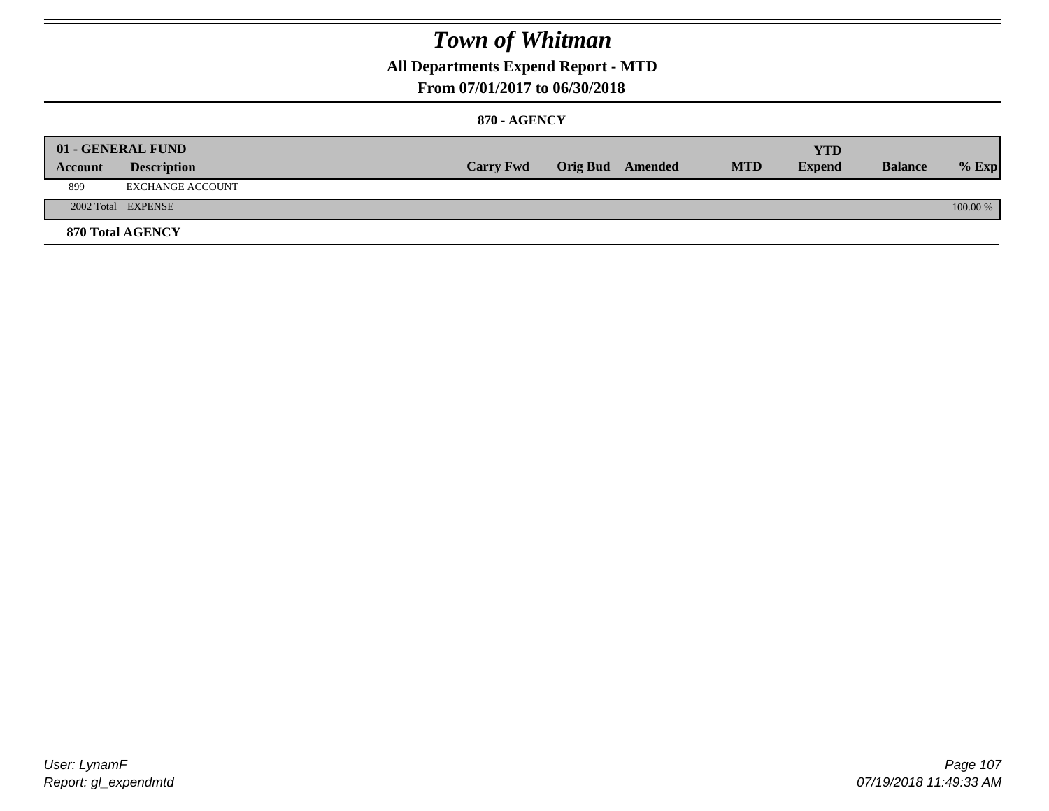## **All Departments Expend Report - MTD**

### **From 07/01/2017 to 06/30/2018**

### **870 - AGENCY**

| Account | 01 - GENERAL FUND<br><b>Description</b> | <b>Carry Fwd</b> | <b>Orig Bud</b> Amended | <b>MTD</b> | <b>YTD</b><br><b>Expend</b> | <b>Balance</b> | $%$ Exp  |
|---------|-----------------------------------------|------------------|-------------------------|------------|-----------------------------|----------------|----------|
| 899     | EXCHANGE ACCOUNT                        |                  |                         |            |                             |                |          |
|         | 2002 Total EXPENSE                      |                  |                         |            |                             |                | 100.00 % |
|         | <b>870 Total AGENCY</b>                 |                  |                         |            |                             |                |          |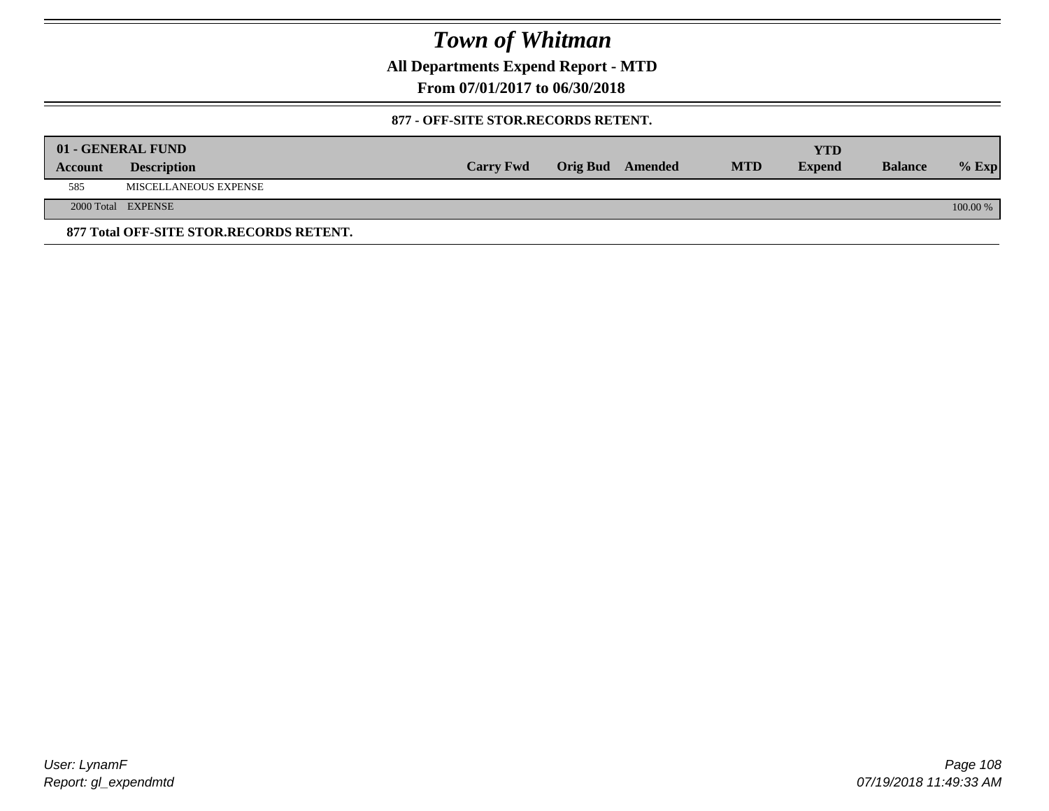**All Departments Expend Report - MTD**

**From 07/01/2017 to 06/30/2018**

### **877 - OFF-SITE STOR.RECORDS RETENT.**

|         | 01 - GENERAL FUND                       |                  |                         |            | <b>YTD</b>    |                |            |
|---------|-----------------------------------------|------------------|-------------------------|------------|---------------|----------------|------------|
| Account | <b>Description</b>                      | <b>Carry Fwd</b> | <b>Orig Bud</b> Amended | <b>MTD</b> | <b>Expend</b> | <b>Balance</b> | $%$ Exp    |
| 585     | MISCELLANEOUS EXPENSE                   |                  |                         |            |               |                |            |
|         | 2000 Total EXPENSE                      |                  |                         |            |               |                | $100.00\%$ |
|         | 877 Total OFF-SITE STOR.RECORDS RETENT. |                  |                         |            |               |                |            |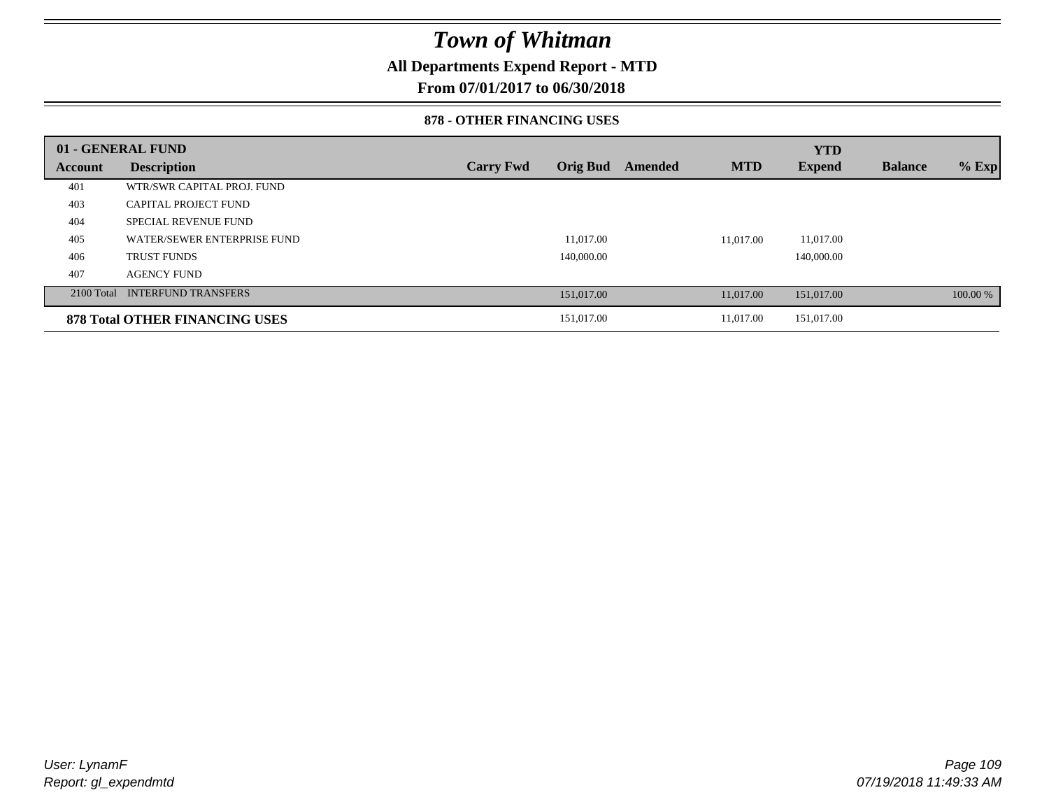### **All Departments Expend Report - MTD**

### **From 07/01/2017 to 06/30/2018**

#### **878 - OTHER FINANCING USES**

|         | 01 - GENERAL FUND                     |                  |                 |         |            | <b>YTD</b>    |                |          |
|---------|---------------------------------------|------------------|-----------------|---------|------------|---------------|----------------|----------|
| Account | <b>Description</b>                    | <b>Carry Fwd</b> | <b>Orig Bud</b> | Amended | <b>MTD</b> | <b>Expend</b> | <b>Balance</b> | $%$ Exp  |
| 401     | WTR/SWR CAPITAL PROJ. FUND            |                  |                 |         |            |               |                |          |
| 403     | <b>CAPITAL PROJECT FUND</b>           |                  |                 |         |            |               |                |          |
| 404     | <b>SPECIAL REVENUE FUND</b>           |                  |                 |         |            |               |                |          |
| 405     | WATER/SEWER ENTERPRISE FUND           |                  | 11.017.00       |         | 11.017.00  | 11.017.00     |                |          |
| 406     | <b>TRUST FUNDS</b>                    |                  | 140,000.00      |         |            | 140,000.00    |                |          |
| 407     | <b>AGENCY FUND</b>                    |                  |                 |         |            |               |                |          |
|         | 2100 Total INTERFUND TRANSFERS        |                  | 151,017.00      |         | 11,017.00  | 151,017.00    |                | 100.00 % |
|         | <b>878 Total OTHER FINANCING USES</b> |                  | 151,017.00      |         | 11.017.00  | 151,017.00    |                |          |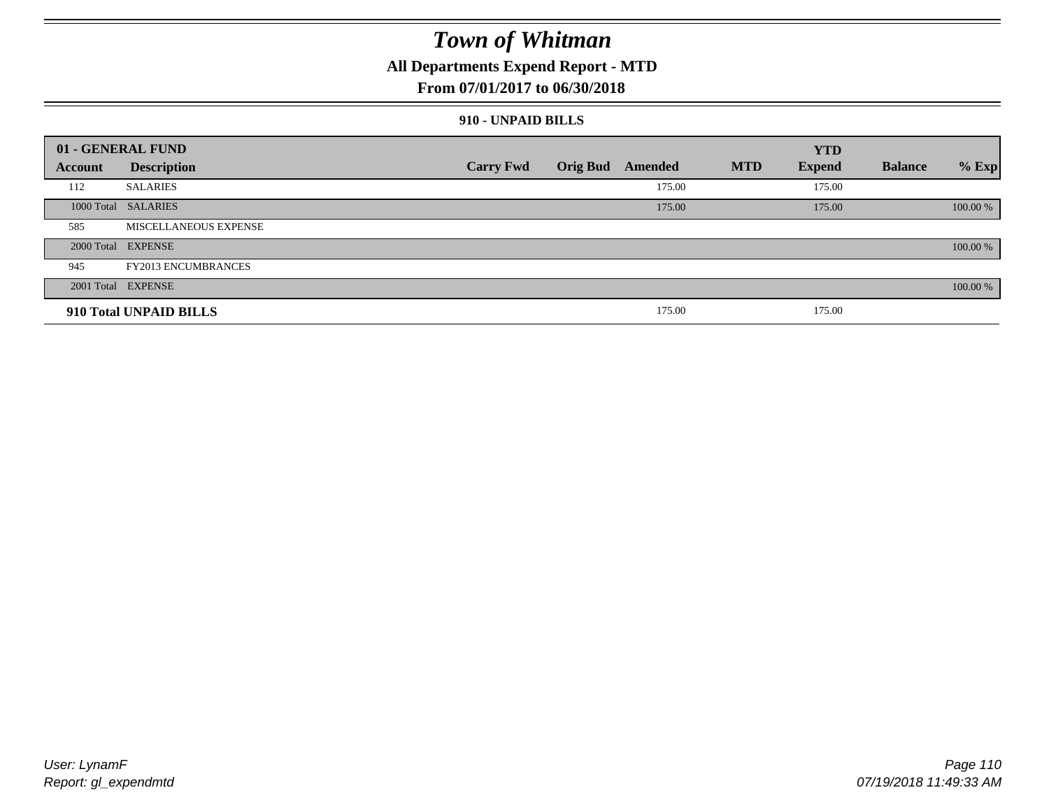### **All Departments Expend Report - MTD**

### **From 07/01/2017 to 06/30/2018**

#### **910 - UNPAID BILLS**

|         | 01 - GENERAL FUND          |                  |                  |            | <b>YTD</b>    |                |          |
|---------|----------------------------|------------------|------------------|------------|---------------|----------------|----------|
| Account | <b>Description</b>         | <b>Carry Fwd</b> | Orig Bud Amended | <b>MTD</b> | <b>Expend</b> | <b>Balance</b> | $%$ Exp  |
| 112     | <b>SALARIES</b>            |                  | 175.00           |            | 175.00        |                |          |
|         | 1000 Total SALARIES        |                  | 175.00           |            | 175.00        |                | 100.00 % |
| 585     | MISCELLANEOUS EXPENSE      |                  |                  |            |               |                |          |
|         | 2000 Total EXPENSE         |                  |                  |            |               |                | 100.00 % |
| 945     | <b>FY2013 ENCUMBRANCES</b> |                  |                  |            |               |                |          |
|         | 2001 Total EXPENSE         |                  |                  |            |               |                | 100.00 % |
|         | 910 Total UNPAID BILLS     |                  | 175.00           |            | 175.00        |                |          |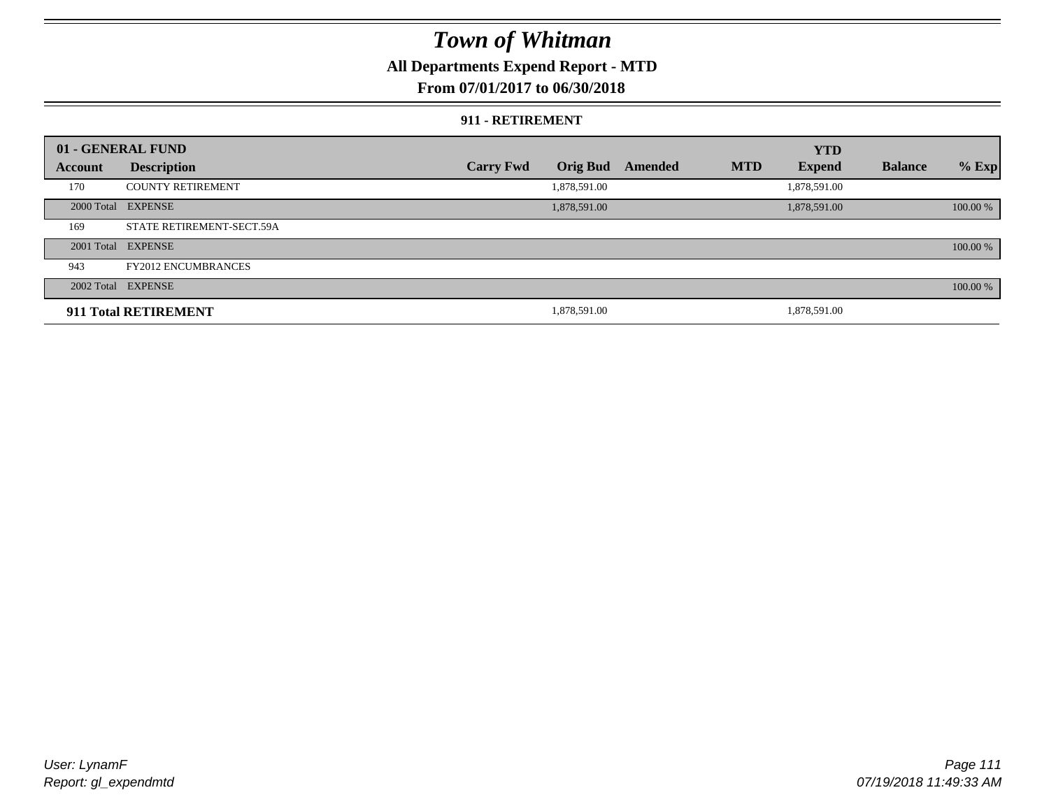### **All Departments Expend Report - MTD**

#### **From 07/01/2017 to 06/30/2018**

#### **911 - RETIREMENT**

|         | 01 - GENERAL FUND          |                  |                 |         |            | <b>YTD</b>    |                |          |
|---------|----------------------------|------------------|-----------------|---------|------------|---------------|----------------|----------|
| Account | <b>Description</b>         | <b>Carry Fwd</b> | <b>Orig Bud</b> | Amended | <b>MTD</b> | <b>Expend</b> | <b>Balance</b> | $%$ Exp  |
| 170     | <b>COUNTY RETIREMENT</b>   |                  | 1,878,591.00    |         |            | 1,878,591.00  |                |          |
|         | 2000 Total EXPENSE         |                  | 1,878,591.00    |         |            | 1,878,591.00  |                | 100.00 % |
| 169     | STATE RETIREMENT-SECT.59A  |                  |                 |         |            |               |                |          |
|         | 2001 Total EXPENSE         |                  |                 |         |            |               |                | 100.00 % |
| 943     | <b>FY2012 ENCUMBRANCES</b> |                  |                 |         |            |               |                |          |
|         | 2002 Total EXPENSE         |                  |                 |         |            |               |                | 100.00 % |
|         | 911 Total RETIREMENT       |                  | 1,878,591.00    |         |            | 1.878.591.00  |                |          |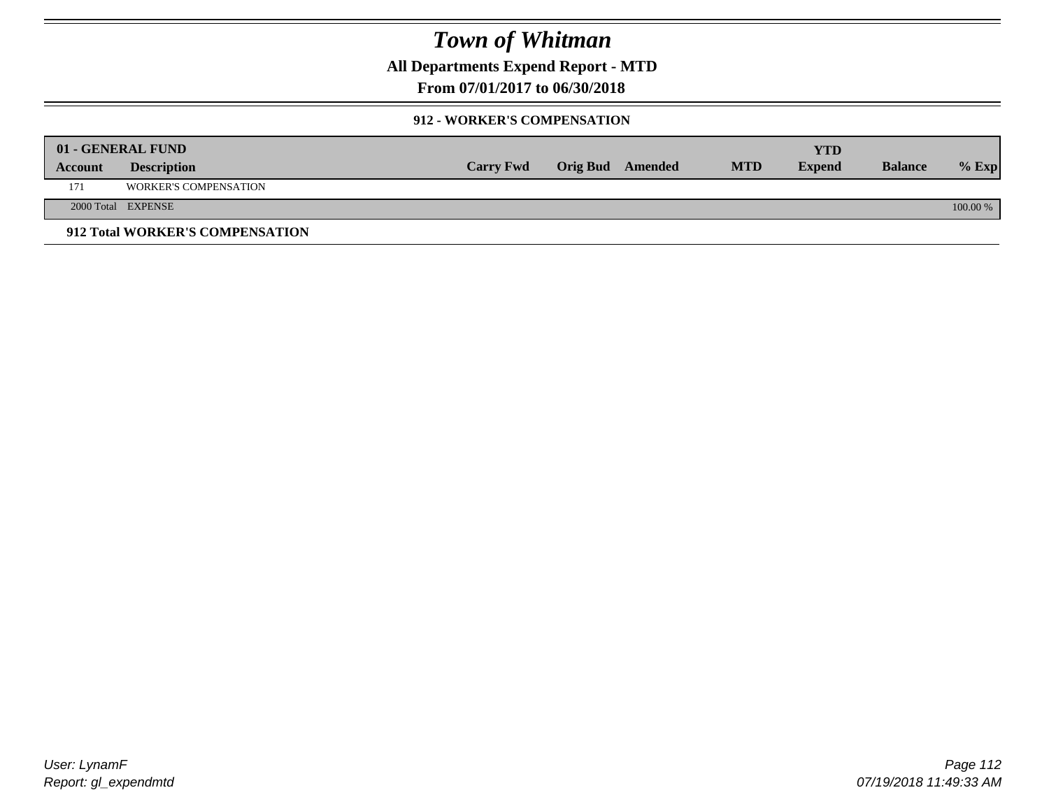**All Departments Expend Report - MTD**

**From 07/01/2017 to 06/30/2018**

#### **912 - WORKER'S COMPENSATION**

|         | 01 - GENERAL FUND               |                  |                  |            | <b>YTD</b>    |                |          |
|---------|---------------------------------|------------------|------------------|------------|---------------|----------------|----------|
| Account | <b>Description</b>              | <b>Carry Fwd</b> | Orig Bud Amended | <b>MTD</b> | <b>Expend</b> | <b>Balance</b> | $%$ Exp  |
| 171     | <b>WORKER'S COMPENSATION</b>    |                  |                  |            |               |                |          |
|         | 2000 Total EXPENSE              |                  |                  |            |               |                | 100.00 % |
|         | 912 Total WORKER'S COMPENSATION |                  |                  |            |               |                |          |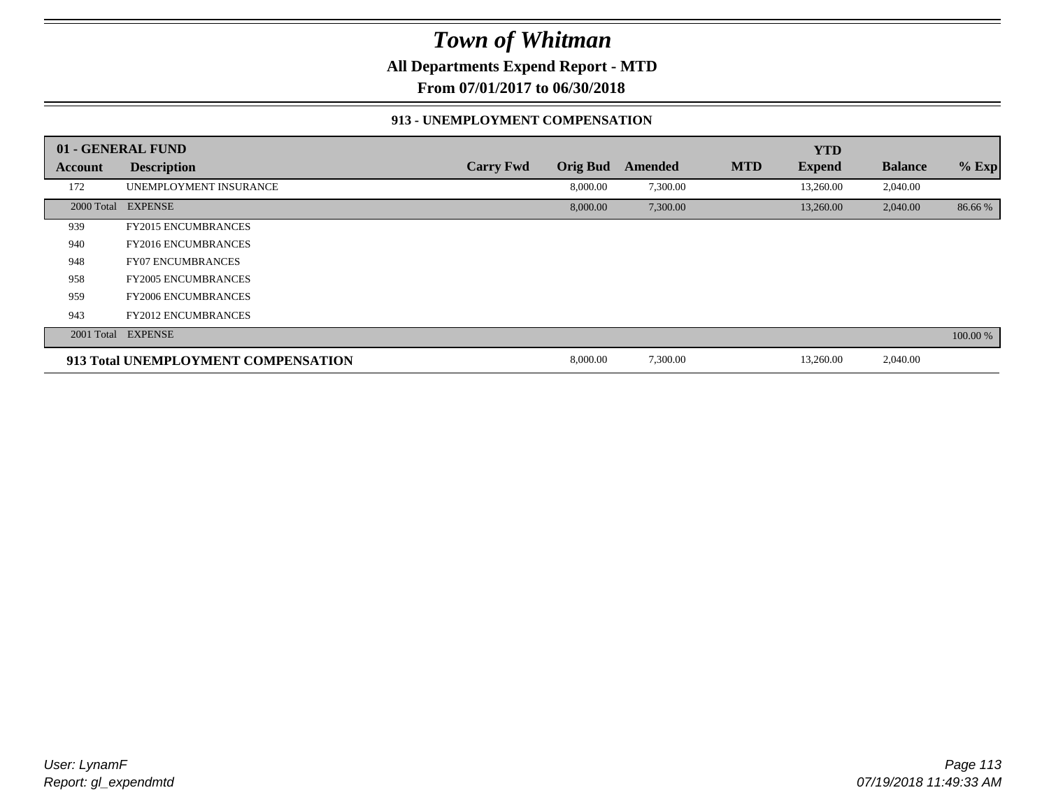**All Departments Expend Report - MTD**

**From 07/01/2017 to 06/30/2018**

#### **913 - UNEMPLOYMENT COMPENSATION**

|                | 01 - GENERAL FUND                   |                  |                 |          |            | <b>YTD</b>    |                |          |
|----------------|-------------------------------------|------------------|-----------------|----------|------------|---------------|----------------|----------|
| <b>Account</b> | <b>Description</b>                  | <b>Carry Fwd</b> | <b>Orig Bud</b> | Amended  | <b>MTD</b> | <b>Expend</b> | <b>Balance</b> | $%$ Exp  |
| 172            | UNEMPLOYMENT INSURANCE              |                  | 8,000.00        | 7,300.00 |            | 13,260.00     | 2,040.00       |          |
| 2000 Total     | <b>EXPENSE</b>                      |                  | 8,000.00        | 7,300.00 |            | 13,260.00     | 2,040.00       | 86.66%   |
| 939            | <b>FY2015 ENCUMBRANCES</b>          |                  |                 |          |            |               |                |          |
| 940            | <b>FY2016 ENCUMBRANCES</b>          |                  |                 |          |            |               |                |          |
| 948            | <b>FY07 ENCUMBRANCES</b>            |                  |                 |          |            |               |                |          |
| 958            | <b>FY2005 ENCUMBRANCES</b>          |                  |                 |          |            |               |                |          |
| 959            | <b>FY2006 ENCUMBRANCES</b>          |                  |                 |          |            |               |                |          |
| 943            | <b>FY2012 ENCUMBRANCES</b>          |                  |                 |          |            |               |                |          |
|                | 2001 Total EXPENSE                  |                  |                 |          |            |               |                | 100.00 % |
|                | 913 Total UNEMPLOYMENT COMPENSATION |                  | 8,000.00        | 7,300.00 |            | 13,260.00     | 2,040.00       |          |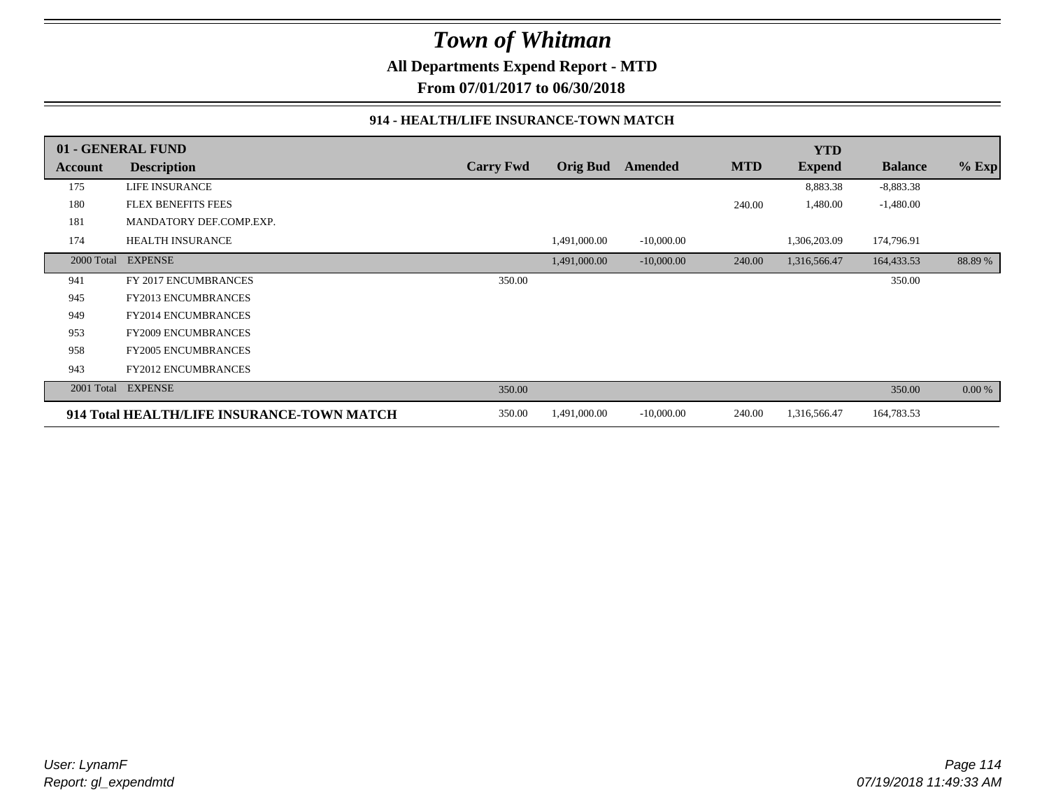**All Departments Expend Report - MTD**

**From 07/01/2017 to 06/30/2018**

#### **914 - HEALTH/LIFE INSURANCE-TOWN MATCH**

|            | 01 - GENERAL FUND                          |                  |                 |              |            | <b>YTD</b>    |                |         |
|------------|--------------------------------------------|------------------|-----------------|--------------|------------|---------------|----------------|---------|
| Account    | <b>Description</b>                         | <b>Carry Fwd</b> | <b>Orig Bud</b> | Amended      | <b>MTD</b> | <b>Expend</b> | <b>Balance</b> | $%$ Exp |
| 175        | LIFE INSURANCE                             |                  |                 |              |            | 8,883.38      | $-8,883.38$    |         |
| 180        | <b>FLEX BENEFITS FEES</b>                  |                  |                 |              | 240.00     | 1,480.00      | $-1,480.00$    |         |
| 181        | MANDATORY DEF.COMP.EXP.                    |                  |                 |              |            |               |                |         |
| 174        | <b>HEALTH INSURANCE</b>                    |                  | 1,491,000.00    | $-10,000.00$ |            | 1,306,203.09  | 174,796.91     |         |
| 2000 Total | <b>EXPENSE</b>                             |                  | 1,491,000.00    | $-10,000.00$ | 240.00     | 1,316,566.47  | 164,433.53     | 88.89%  |
| 941        | FY 2017 ENCUMBRANCES                       | 350.00           |                 |              |            |               | 350.00         |         |
| 945        | <b>FY2013 ENCUMBRANCES</b>                 |                  |                 |              |            |               |                |         |
| 949        | FY2014 ENCUMBRANCES                        |                  |                 |              |            |               |                |         |
| 953        | <b>FY2009 ENCUMBRANCES</b>                 |                  |                 |              |            |               |                |         |
| 958        | <b>FY2005 ENCUMBRANCES</b>                 |                  |                 |              |            |               |                |         |
| 943        | <b>FY2012 ENCUMBRANCES</b>                 |                  |                 |              |            |               |                |         |
| 2001 Total | <b>EXPENSE</b>                             | 350.00           |                 |              |            |               | 350.00         | 0.00 %  |
|            | 914 Total HEALTH/LIFE INSURANCE-TOWN MATCH | 350.00           | 1,491,000.00    | $-10,000.00$ | 240.00     | 1,316,566.47  | 164,783.53     |         |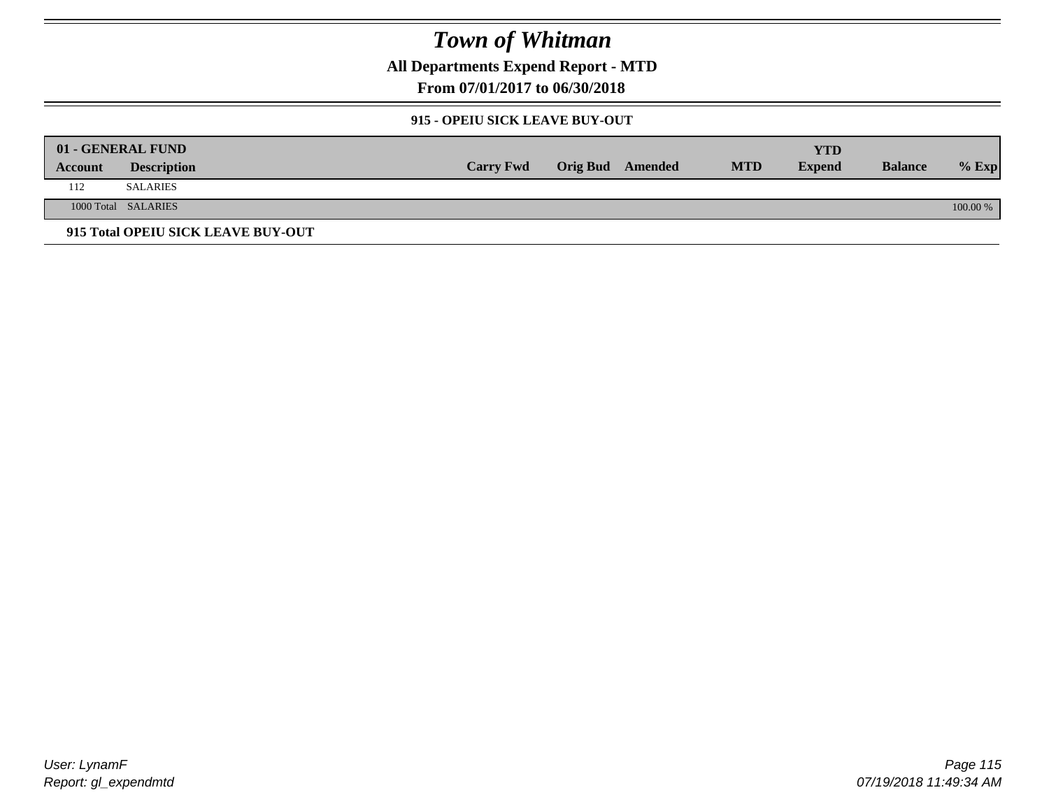**All Departments Expend Report - MTD**

**From 07/01/2017 to 06/30/2018**

#### **915 - OPEIU SICK LEAVE BUY-OUT**

| 01 - GENERAL FUND |                                    |                  |                         |            | <b>YTD</b>    |                |            |
|-------------------|------------------------------------|------------------|-------------------------|------------|---------------|----------------|------------|
| Account           | <b>Description</b>                 | <b>Carry Fwd</b> | <b>Orig Bud</b> Amended | <b>MTD</b> | <b>Expend</b> | <b>Balance</b> | $%$ Exp    |
| 112               | <b>SALARIES</b>                    |                  |                         |            |               |                |            |
|                   | 1000 Total SALARIES                |                  |                         |            |               |                | $100.00\%$ |
|                   | 915 Total OPEIU SICK LEAVE BUY-OUT |                  |                         |            |               |                |            |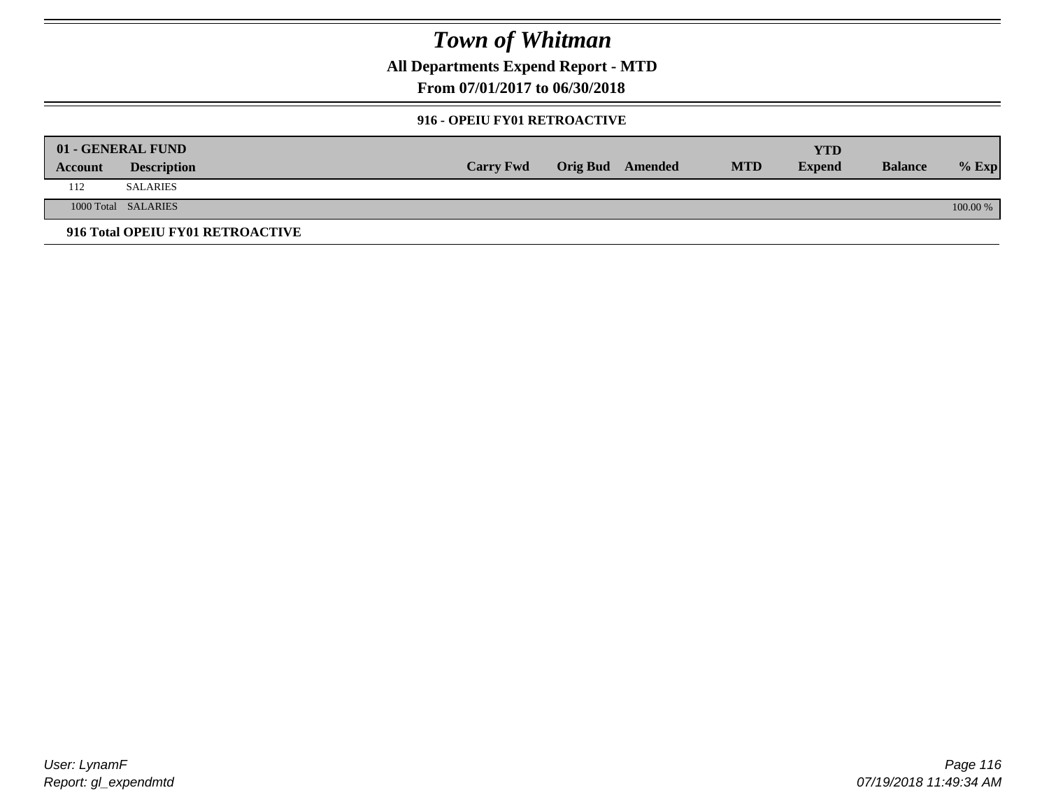**All Departments Expend Report - MTD**

**From 07/01/2017 to 06/30/2018**

#### **916 - OPEIU FY01 RETROACTIVE**

| 01 - GENERAL FUND |                                  |                  |                         |            | YTD           |                |          |
|-------------------|----------------------------------|------------------|-------------------------|------------|---------------|----------------|----------|
| Account           | <b>Description</b>               | <b>Carry Fwd</b> | <b>Orig Bud</b> Amended | <b>MTD</b> | <b>Expend</b> | <b>Balance</b> | $%$ Exp  |
| 112               | <b>SALARIES</b>                  |                  |                         |            |               |                |          |
|                   | 1000 Total SALARIES              |                  |                         |            |               |                | 100.00 % |
|                   | 916 Total OPEIU FY01 RETROACTIVE |                  |                         |            |               |                |          |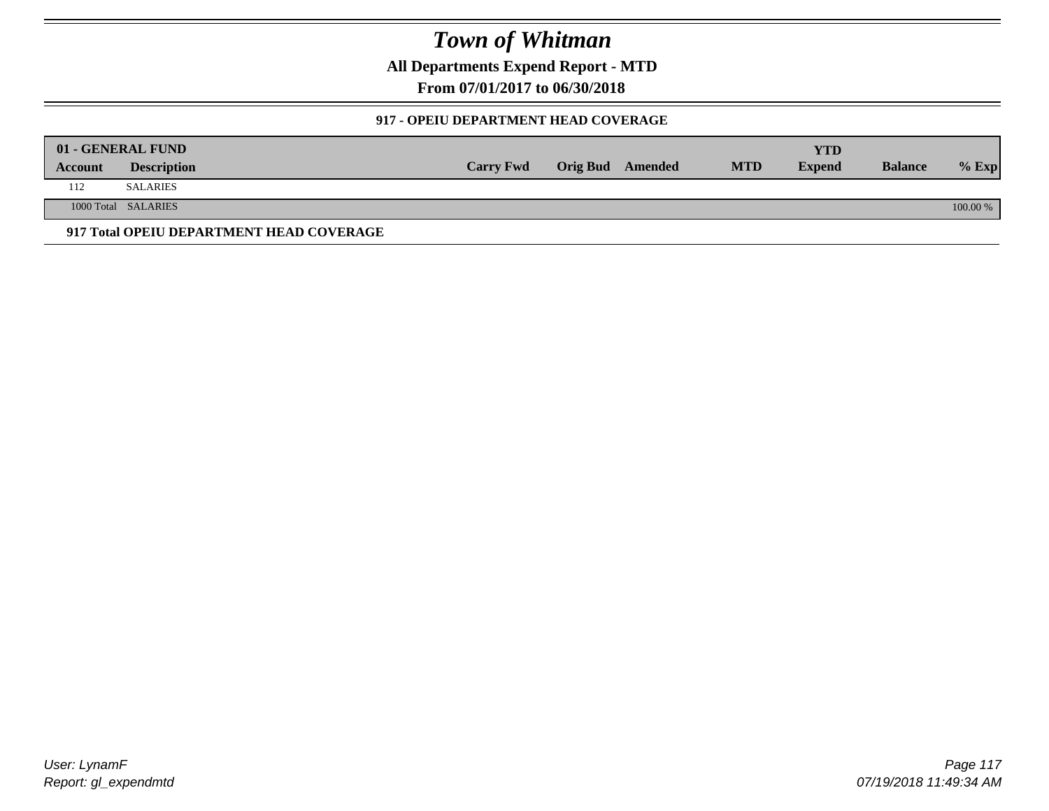**All Departments Expend Report - MTD**

**From 07/01/2017 to 06/30/2018**

### **917 - OPEIU DEPARTMENT HEAD COVERAGE**

|         | 01 - GENERAL FUND                        |                  |                         |            | <b>YTD</b>    |                |          |
|---------|------------------------------------------|------------------|-------------------------|------------|---------------|----------------|----------|
| Account | <b>Description</b>                       | <b>Carry Fwd</b> | <b>Orig Bud</b> Amended | <b>MTD</b> | <b>Expend</b> | <b>Balance</b> | $%$ Exp  |
| 112     | <b>SALARIES</b>                          |                  |                         |            |               |                |          |
|         | 1000 Total SALARIES                      |                  |                         |            |               |                | 100.00 % |
|         | 917 Total OPEIU DEPARTMENT HEAD COVERAGE |                  |                         |            |               |                |          |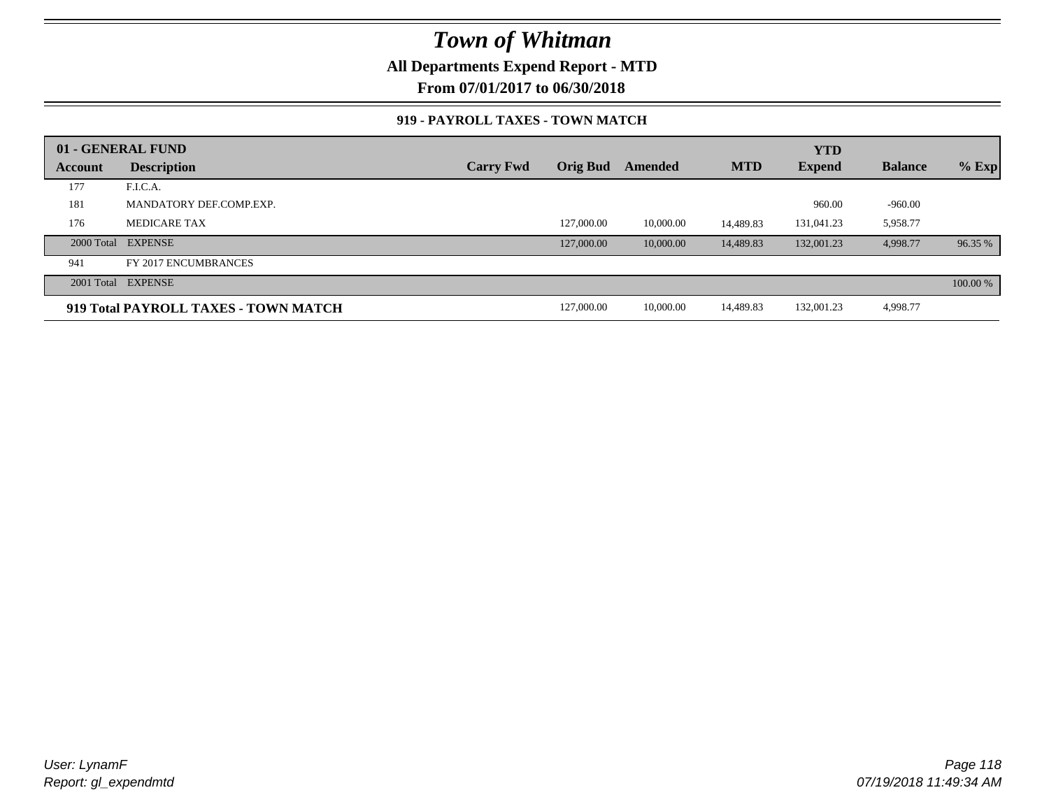### **All Departments Expend Report - MTD**

**From 07/01/2017 to 06/30/2018**

#### **919 - PAYROLL TAXES - TOWN MATCH**

|         | 01 - GENERAL FUND                    |                  |            |           |            | <b>YTD</b>    |                |          |
|---------|--------------------------------------|------------------|------------|-----------|------------|---------------|----------------|----------|
| Account | <b>Description</b>                   | <b>Carry Fwd</b> | Orig Bud   | Amended   | <b>MTD</b> | <b>Expend</b> | <b>Balance</b> | $%$ Exp  |
| 177     | F.I.C.A.                             |                  |            |           |            |               |                |          |
| 181     | MANDATORY DEF.COMP.EXP.              |                  |            |           |            | 960.00        | $-960.00$      |          |
| 176     | <b>MEDICARE TAX</b>                  |                  | 127,000.00 | 10,000.00 | 14.489.83  | 131,041.23    | 5,958.77       |          |
|         | 2000 Total EXPENSE                   |                  | 127,000.00 | 10,000.00 | 14,489.83  | 132,001.23    | 4,998.77       | 96.35 %  |
| 941     | FY 2017 ENCUMBRANCES                 |                  |            |           |            |               |                |          |
|         | 2001 Total EXPENSE                   |                  |            |           |            |               |                | 100.00 % |
|         | 919 Total PAYROLL TAXES - TOWN MATCH |                  | 127,000.00 | 10,000.00 | 14,489.83  | 132,001.23    | 4,998.77       |          |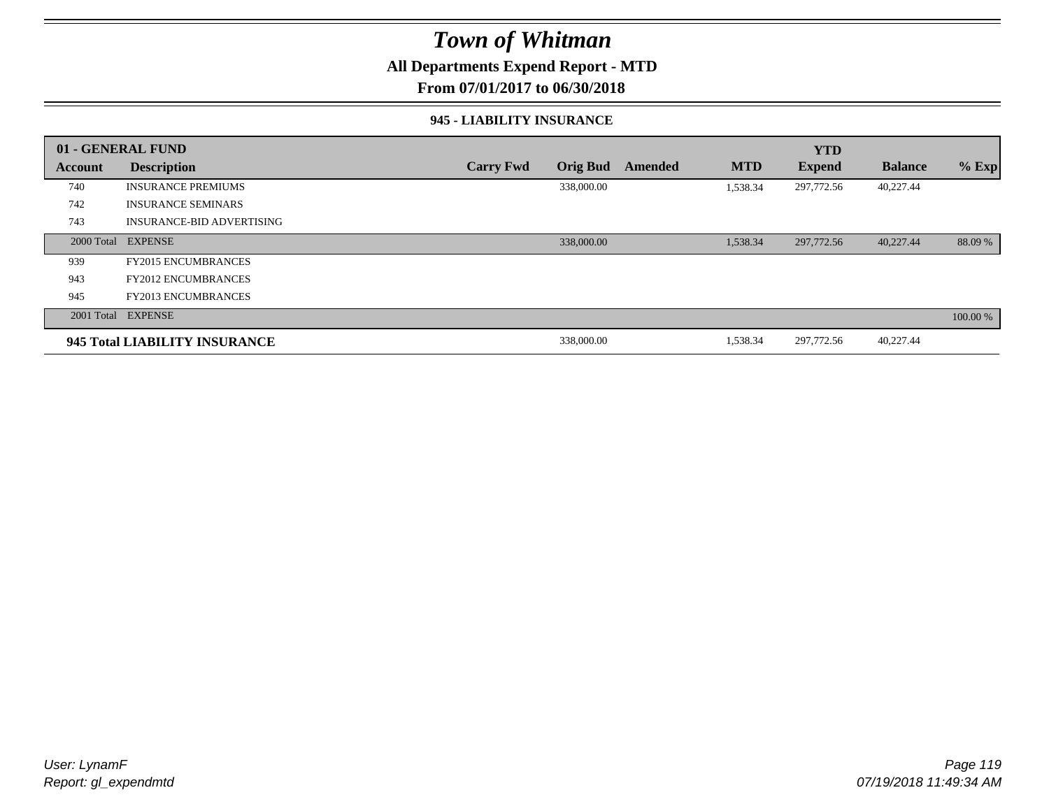### **All Departments Expend Report - MTD**

**From 07/01/2017 to 06/30/2018**

#### **945 - LIABILITY INSURANCE**

|                | 01 - GENERAL FUND                |                  |                 |                |            | <b>YTD</b>    |                |          |
|----------------|----------------------------------|------------------|-----------------|----------------|------------|---------------|----------------|----------|
| <b>Account</b> | <b>Description</b>               | <b>Carry Fwd</b> | <b>Orig Bud</b> | <b>Amended</b> | <b>MTD</b> | <b>Expend</b> | <b>Balance</b> | $%$ Exp  |
| 740            | <b>INSURANCE PREMIUMS</b>        |                  | 338,000.00      |                | 1,538.34   | 297,772.56    | 40,227.44      |          |
| 742            | <b>INSURANCE SEMINARS</b>        |                  |                 |                |            |               |                |          |
| 743            | <b>INSURANCE-BID ADVERTISING</b> |                  |                 |                |            |               |                |          |
|                | 2000 Total EXPENSE               |                  | 338,000.00      |                | 1,538.34   | 297,772.56    | 40,227.44      | 88.09 %  |
| 939            | <b>FY2015 ENCUMBRANCES</b>       |                  |                 |                |            |               |                |          |
| 943            | <b>FY2012 ENCUMBRANCES</b>       |                  |                 |                |            |               |                |          |
| 945            | <b>FY2013 ENCUMBRANCES</b>       |                  |                 |                |            |               |                |          |
|                | 2001 Total EXPENSE               |                  |                 |                |            |               |                | 100.00 % |
|                | 945 Total LIABILITY INSURANCE    |                  | 338,000.00      |                | 1,538.34   | 297,772.56    | 40,227.44      |          |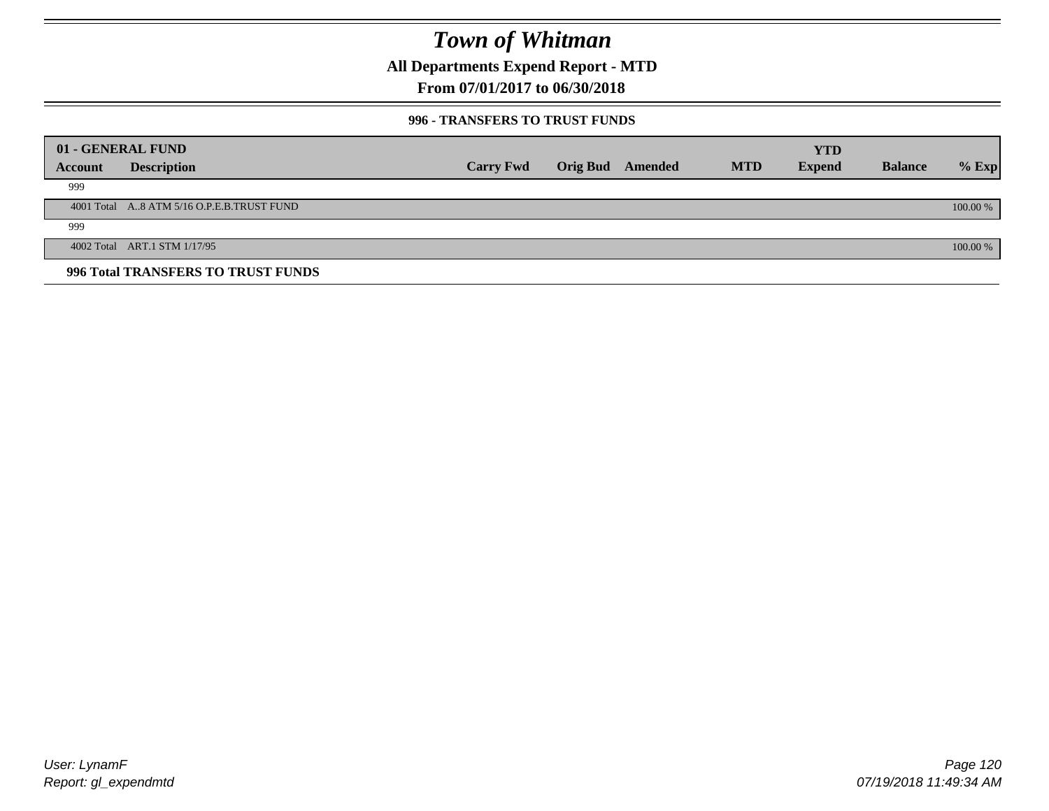**All Departments Expend Report - MTD**

### **From 07/01/2017 to 06/30/2018**

#### **996 - TRANSFERS TO TRUST FUNDS**

|         | 01 - GENERAL FUND                         |                  |                         |            | <b>YTD</b>    |                |            |
|---------|-------------------------------------------|------------------|-------------------------|------------|---------------|----------------|------------|
| Account | <b>Description</b>                        | <b>Carry Fwd</b> | <b>Orig Bud</b> Amended | <b>MTD</b> | <b>Expend</b> | <b>Balance</b> | $%$ Exp    |
| 999     |                                           |                  |                         |            |               |                |            |
|         | 4001 Total A8 ATM 5/16 O.P.E.B.TRUST FUND |                  |                         |            |               |                | $100.00\%$ |
| 999     |                                           |                  |                         |            |               |                |            |
|         | 4002 Total ART.1 STM 1/17/95              |                  |                         |            |               |                | 100.00 %   |
|         | 996 Total TRANSFERS TO TRUST FUNDS        |                  |                         |            |               |                |            |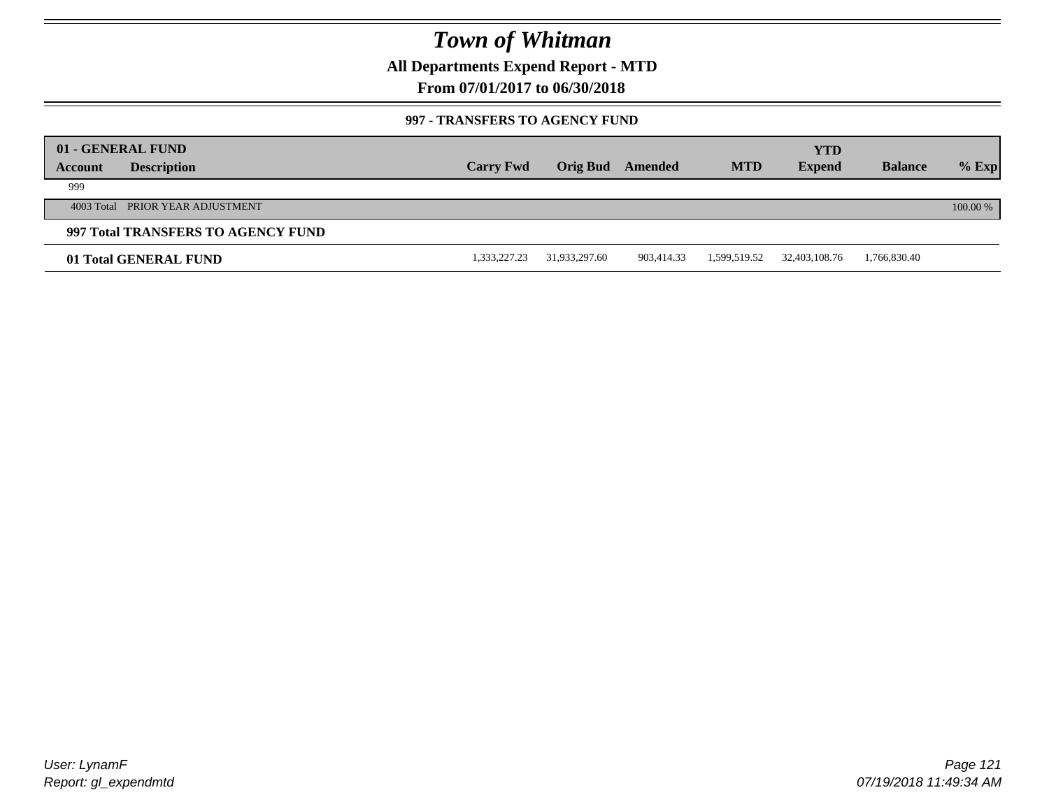**All Departments Expend Report - MTD**

**From 07/01/2017 to 06/30/2018**

#### **997 - TRANSFERS TO AGENCY FUND**

|         | 01 - GENERAL FUND                  |                  |               |            |              | YTD           |                |          |
|---------|------------------------------------|------------------|---------------|------------|--------------|---------------|----------------|----------|
| Account | <b>Description</b>                 | <b>Carry Fwd</b> | Orig Bud      | Amended    | <b>MTD</b>   | <b>Expend</b> | <b>Balance</b> | $%$ Exp  |
| 999     |                                    |                  |               |            |              |               |                |          |
|         | 4003 Total PRIOR YEAR ADJUSTMENT   |                  |               |            |              |               |                | 100.00 % |
|         | 997 Total TRANSFERS TO AGENCY FUND |                  |               |            |              |               |                |          |
|         | 01 Total GENERAL FUND              | 1,333,227.23     | 31,933,297.60 | 903,414.33 | 1,599,519.52 | 32,403,108.76 | 1,766,830.40   |          |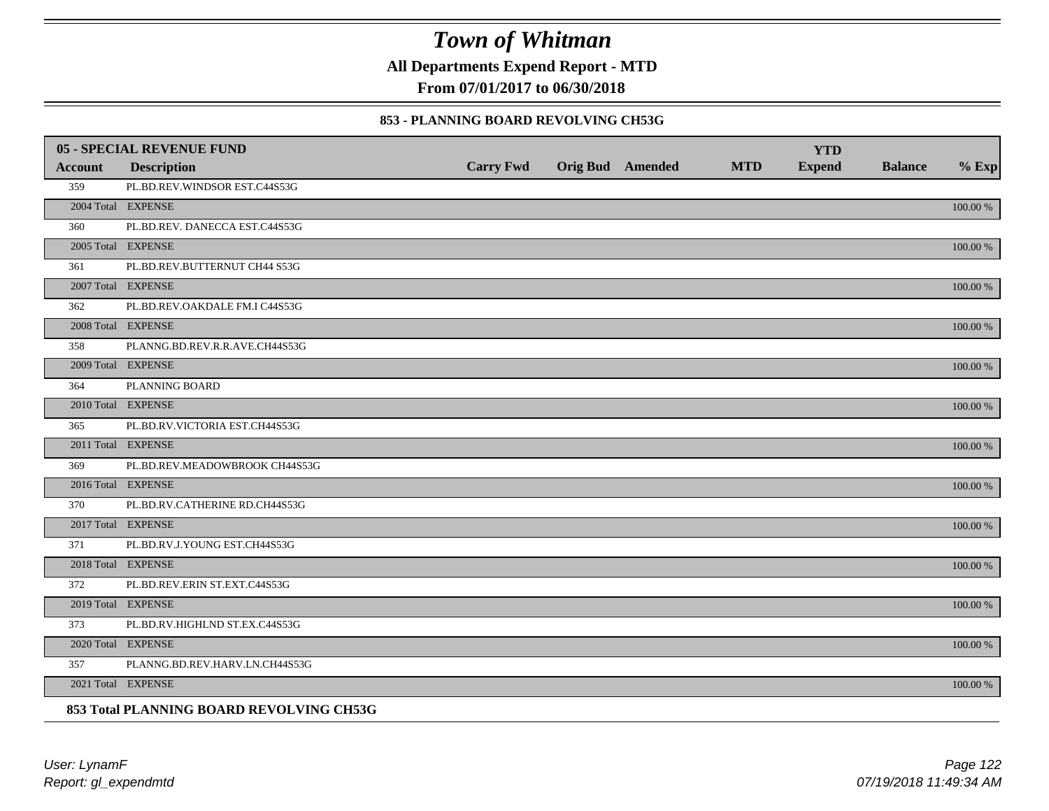**All Departments Expend Report - MTD**

**From 07/01/2017 to 06/30/2018**

#### **853 - PLANNING BOARD REVOLVING CH53G**

|         | <b>05 - SPECIAL REVENUE FUND</b>         |                  |                  |            | <b>YTD</b>    |                |             |
|---------|------------------------------------------|------------------|------------------|------------|---------------|----------------|-------------|
| Account | <b>Description</b>                       | <b>Carry Fwd</b> | Orig Bud Amended | <b>MTD</b> | <b>Expend</b> | <b>Balance</b> | $%$ Exp     |
| 359     | PL.BD.REV.WINDSOR EST.C44S53G            |                  |                  |            |               |                |             |
|         | 2004 Total EXPENSE                       |                  |                  |            |               |                | 100.00 %    |
| 360     | PL.BD.REV. DANECCA EST.C44S53G           |                  |                  |            |               |                |             |
|         | 2005 Total EXPENSE                       |                  |                  |            |               |                | 100.00 %    |
| 361     | PL.BD.REV.BUTTERNUT CH44 S53G            |                  |                  |            |               |                |             |
|         | 2007 Total EXPENSE                       |                  |                  |            |               |                | 100.00 %    |
| 362     | PL.BD.REV.OAKDALE FM.I C44S53G           |                  |                  |            |               |                |             |
|         | 2008 Total EXPENSE                       |                  |                  |            |               |                | $100.00~\%$ |
| 358     | PLANNG.BD.REV.R.R.AVE.CH44S53G           |                  |                  |            |               |                |             |
|         | 2009 Total EXPENSE                       |                  |                  |            |               |                | 100.00 %    |
| 364     | PLANNING BOARD                           |                  |                  |            |               |                |             |
|         | 2010 Total EXPENSE                       |                  |                  |            |               |                | $100.00~\%$ |
| 365     | PL.BD.RV.VICTORIA EST.CH44S53G           |                  |                  |            |               |                |             |
|         | 2011 Total EXPENSE                       |                  |                  |            |               |                | 100.00 %    |
| 369     | PL.BD.REV.MEADOWBROOK CH44S53G           |                  |                  |            |               |                |             |
|         | 2016 Total EXPENSE                       |                  |                  |            |               |                | 100.00 %    |
| 370     | PL.BD.RV.CATHERINE RD.CH44S53G           |                  |                  |            |               |                |             |
|         | 2017 Total EXPENSE                       |                  |                  |            |               |                | 100.00 %    |
| 371     | PL.BD.RV.J.YOUNG EST.CH44S53G            |                  |                  |            |               |                |             |
|         | 2018 Total EXPENSE                       |                  |                  |            |               |                | $100.00~\%$ |
| 372     | PL.BD.REV.ERIN ST.EXT.C44S53G            |                  |                  |            |               |                |             |
|         | 2019 Total EXPENSE                       |                  |                  |            |               |                | 100.00 %    |
| 373     | PL.BD.RV.HIGHLND ST.EX.C44S53G           |                  |                  |            |               |                |             |
|         | 2020 Total EXPENSE                       |                  |                  |            |               |                | 100.00 %    |
| 357     | PLANNG.BD.REV.HARV.LN.CH44S53G           |                  |                  |            |               |                |             |
|         | 2021 Total EXPENSE                       |                  |                  |            |               |                | 100.00 %    |
|         | 853 Total PLANNING BOARD REVOLVING CH53G |                  |                  |            |               |                |             |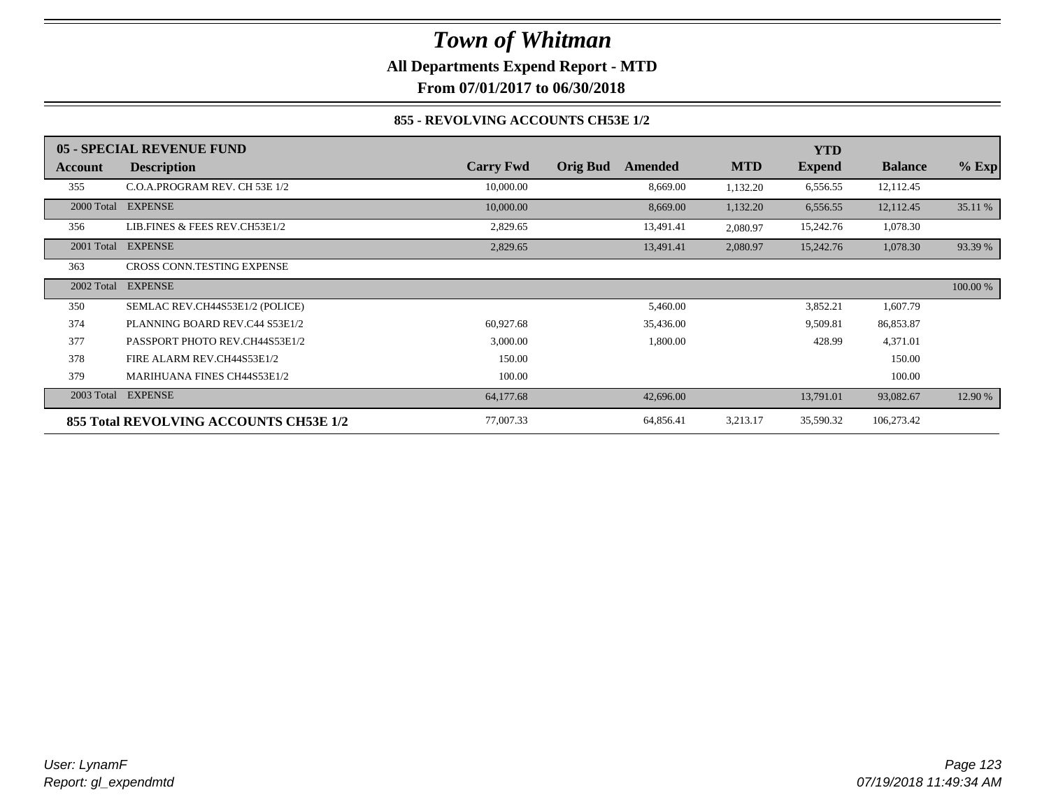**All Departments Expend Report - MTD**

**From 07/01/2017 to 06/30/2018**

### **855 - REVOLVING ACCOUNTS CH53E 1/2**

|                | 05 - SPECIAL REVENUE FUND              |                  |                            |            | <b>YTD</b>    |                |          |
|----------------|----------------------------------------|------------------|----------------------------|------------|---------------|----------------|----------|
| <b>Account</b> | <b>Description</b>                     | <b>Carry Fwd</b> | <b>Orig Bud</b><br>Amended | <b>MTD</b> | <b>Expend</b> | <b>Balance</b> | $%$ Exp  |
| 355            | C.O.A.PROGRAM REV. CH 53E 1/2          | 10,000.00        | 8,669.00                   | 1,132.20   | 6,556.55      | 12,112.45      |          |
| 2000 Total     | <b>EXPENSE</b>                         | 10,000.00        | 8,669.00                   | 1,132.20   | 6,556.55      | 12,112.45      | 35.11 %  |
| 356            | LIB.FINES & FEES REV.CH53E1/2          | 2,829.65         | 13,491.41                  | 2,080.97   | 15,242.76     | 1,078.30       |          |
| 2001 Total     | <b>EXPENSE</b>                         | 2,829.65         | 13,491.41                  | 2,080.97   | 15,242.76     | 1,078.30       | 93.39 %  |
| 363            | <b>CROSS CONN.TESTING EXPENSE</b>      |                  |                            |            |               |                |          |
| 2002 Total     | <b>EXPENSE</b>                         |                  |                            |            |               |                | 100.00 % |
| 350            | SEMLAC REV.CH44S53E1/2 (POLICE)        |                  | 5,460.00                   |            | 3,852.21      | 1,607.79       |          |
| 374            | PLANNING BOARD REV.C44 S53E1/2         | 60,927.68        | 35,436.00                  |            | 9,509.81      | 86,853.87      |          |
| 377            | PASSPORT PHOTO REV.CH44S53E1/2         | 3,000.00         | 1,800.00                   |            | 428.99        | 4,371.01       |          |
| 378            | FIRE ALARM REV.CH44S53E1/2             | 150.00           |                            |            |               | 150.00         |          |
| 379            | <b>MARIHUANA FINES CH44S53E1/2</b>     | 100.00           |                            |            |               | 100.00         |          |
|                | 2003 Total EXPENSE                     | 64,177.68        | 42,696.00                  |            | 13,791.01     | 93,082.67      | 12.90 %  |
|                | 855 Total REVOLVING ACCOUNTS CH53E 1/2 | 77,007.33        | 64,856.41                  | 3,213.17   | 35,590.32     | 106,273.42     |          |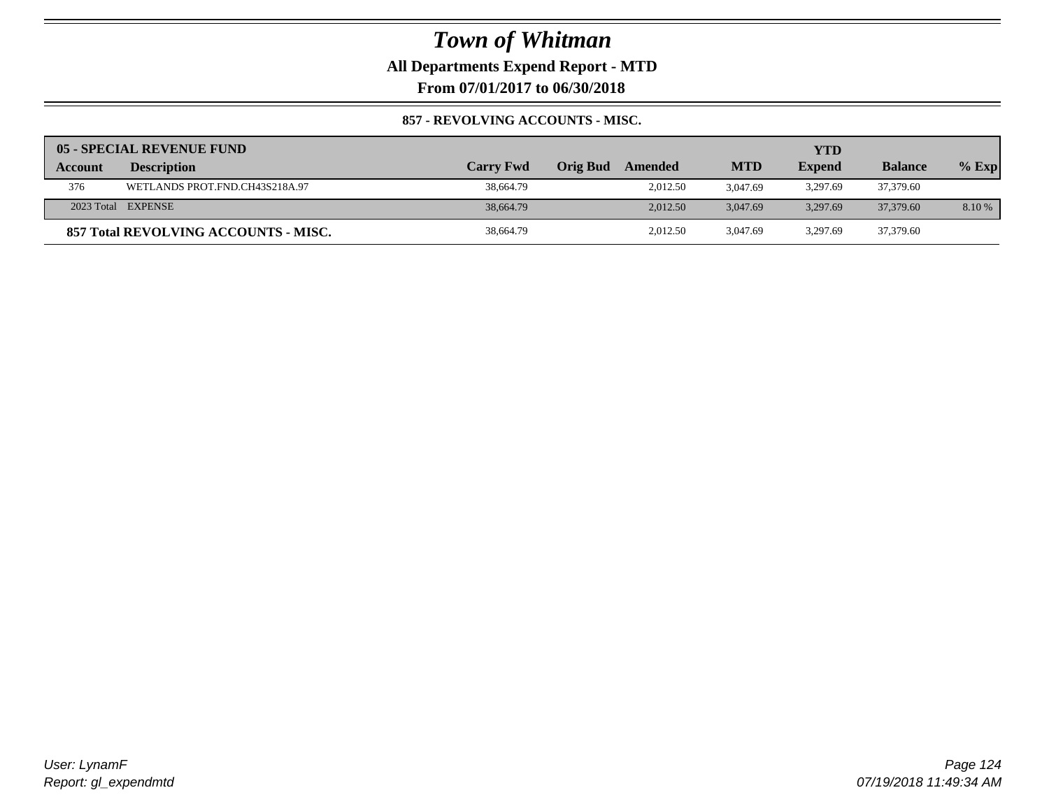**All Departments Expend Report - MTD**

**From 07/01/2017 to 06/30/2018**

### **857 - REVOLVING ACCOUNTS - MISC.**

|         | 05 - SPECIAL REVENUE FUND            |                  |          |          |            | YTD           |                |         |
|---------|--------------------------------------|------------------|----------|----------|------------|---------------|----------------|---------|
| Account | <b>Description</b>                   | <b>Carry Fwd</b> | Orig Bud | Amended  | <b>MTD</b> | <b>Expend</b> | <b>Balance</b> | $%$ Exp |
| 376     | WETLANDS PROT.FND.CH43S218A.97       | 38,664.79        |          | 2,012.50 | 3.047.69   | 3,297.69      | 37,379.60      |         |
|         | 2023 Total EXPENSE                   | 38,664.79        |          | 2.012.50 | 3.047.69   | 3.297.69      | 37,379.60      | 8.10 %  |
|         | 857 Total REVOLVING ACCOUNTS - MISC. | 38,664.79        |          | 2.012.50 | 3.047.69   | 3.297.69      | 37,379.60      |         |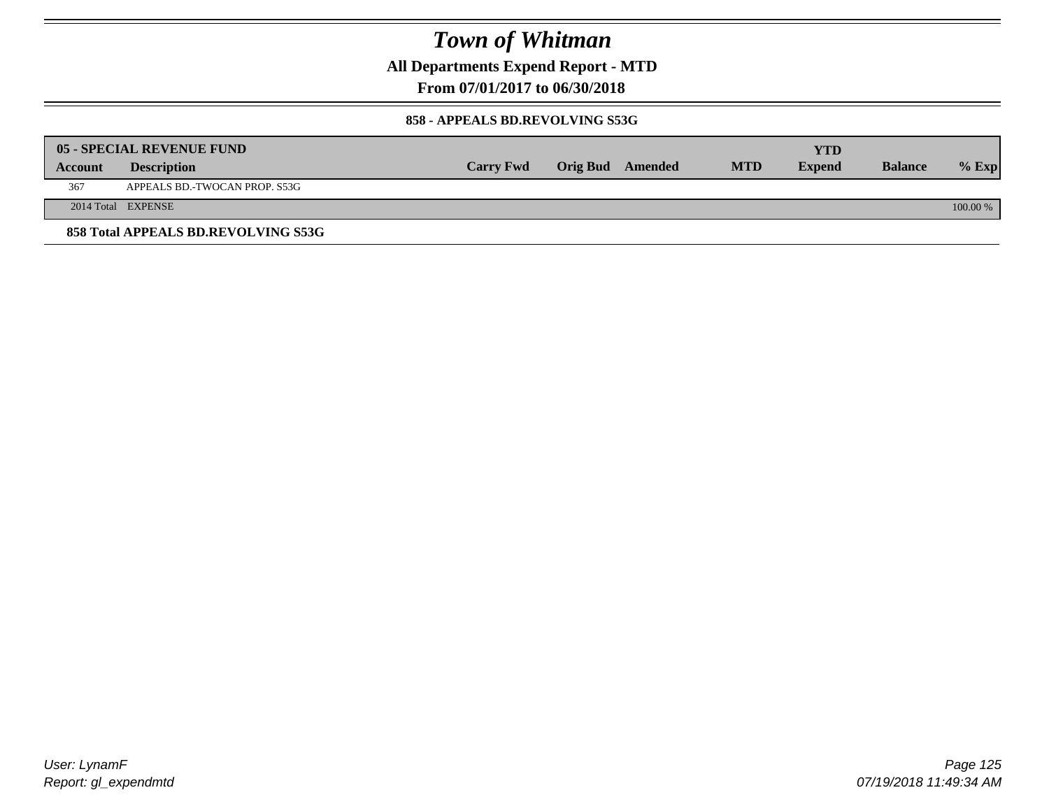**All Departments Expend Report - MTD**

**From 07/01/2017 to 06/30/2018**

#### **858 - APPEALS BD.REVOLVING S53G**

|         | 05 - SPECIAL REVENUE FUND           |                  |                  |            | YTD           |                |            |
|---------|-------------------------------------|------------------|------------------|------------|---------------|----------------|------------|
| Account | <b>Description</b>                  | <b>Carry Fwd</b> | Orig Bud Amended | <b>MTD</b> | <b>Expend</b> | <b>Balance</b> | $\%$ Exp   |
| 367     | APPEALS BD.-TWOCAN PROP. S53G       |                  |                  |            |               |                |            |
|         | 2014 Total EXPENSE                  |                  |                  |            |               |                | $100.00\%$ |
|         | 858 Total APPEALS BD.REVOLVING S53G |                  |                  |            |               |                |            |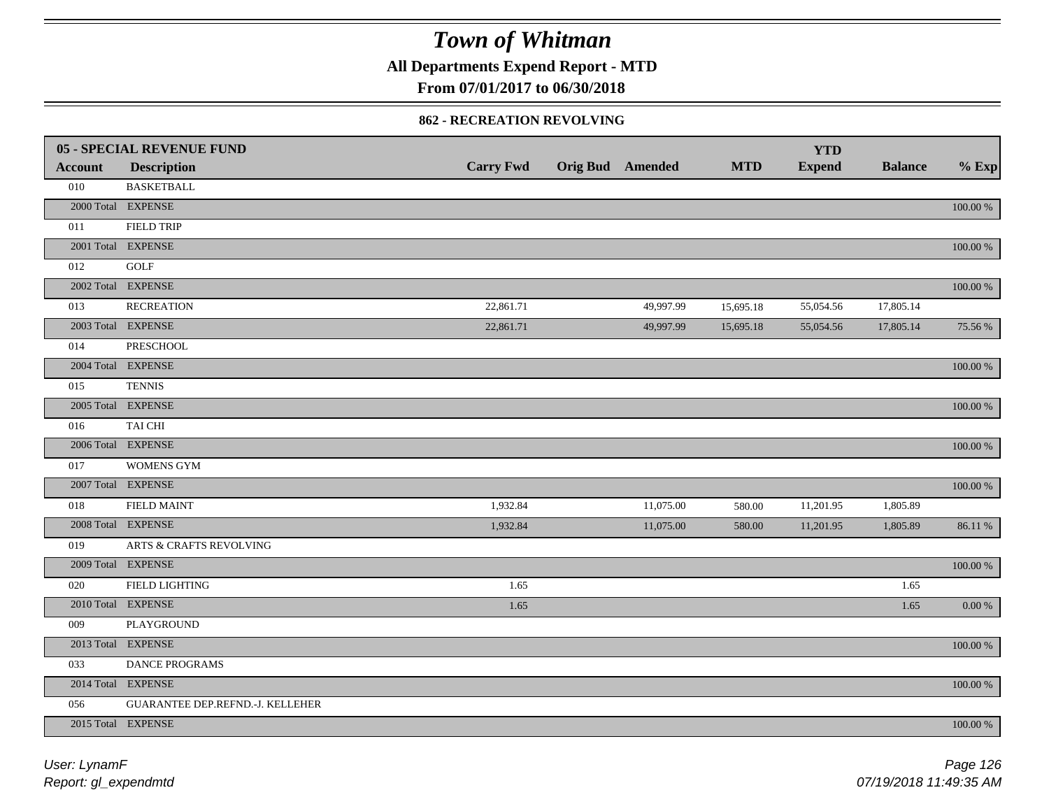**All Departments Expend Report - MTD**

**From 07/01/2017 to 06/30/2018**

#### **862 - RECREATION REVOLVING**

|                | 05 - SPECIAL REVENUE FUND        |                  |                         |            | <b>YTD</b>    |                |             |
|----------------|----------------------------------|------------------|-------------------------|------------|---------------|----------------|-------------|
| <b>Account</b> | <b>Description</b>               | <b>Carry Fwd</b> | <b>Orig Bud Amended</b> | <b>MTD</b> | <b>Expend</b> | <b>Balance</b> | $%$ Exp     |
| 010            | <b>BASKETBALL</b>                |                  |                         |            |               |                |             |
|                | 2000 Total EXPENSE               |                  |                         |            |               |                | $100.00~\%$ |
| 011            | <b>FIELD TRIP</b>                |                  |                         |            |               |                |             |
|                | 2001 Total EXPENSE               |                  |                         |            |               |                | 100.00 %    |
| 012            | <b>GOLF</b>                      |                  |                         |            |               |                |             |
|                | 2002 Total EXPENSE               |                  |                         |            |               |                | 100.00 %    |
| 013            | <b>RECREATION</b>                | 22,861.71        | 49,997.99               | 15,695.18  | 55,054.56     | 17,805.14      |             |
|                | 2003 Total EXPENSE               | 22,861.71        | 49,997.99               | 15,695.18  | 55,054.56     | 17,805.14      | 75.56 %     |
| 014            | PRESCHOOL                        |                  |                         |            |               |                |             |
|                | 2004 Total EXPENSE               |                  |                         |            |               |                | 100.00 %    |
| 015            | <b>TENNIS</b>                    |                  |                         |            |               |                |             |
|                | 2005 Total EXPENSE               |                  |                         |            |               |                | $100.00~\%$ |
| 016            | TAI CHI                          |                  |                         |            |               |                |             |
|                | 2006 Total EXPENSE               |                  |                         |            |               |                | 100.00 %    |
| 017            | <b>WOMENS GYM</b>                |                  |                         |            |               |                |             |
|                | 2007 Total EXPENSE               |                  |                         |            |               |                | $100.00~\%$ |
| 018            | <b>FIELD MAINT</b>               | 1,932.84         | 11,075.00               | 580.00     | 11,201.95     | 1,805.89       |             |
|                | 2008 Total EXPENSE               | 1,932.84         | 11,075.00               | 580.00     | 11,201.95     | 1,805.89       | 86.11 %     |
| 019            | ARTS & CRAFTS REVOLVING          |                  |                         |            |               |                |             |
|                | 2009 Total EXPENSE               |                  |                         |            |               |                | $100.00~\%$ |
| 020            | FIELD LIGHTING                   | 1.65             |                         |            |               | 1.65           |             |
|                | 2010 Total EXPENSE               | 1.65             |                         |            |               | 1.65           | 0.00 %      |
| 009            | PLAYGROUND                       |                  |                         |            |               |                |             |
|                | 2013 Total EXPENSE               |                  |                         |            |               |                | 100.00 %    |
| 033            | DANCE PROGRAMS                   |                  |                         |            |               |                |             |
|                | 2014 Total EXPENSE               |                  |                         |            |               |                | 100.00 %    |
| 056            | GUARANTEE DEP.REFND.-J. KELLEHER |                  |                         |            |               |                |             |
|                | 2015 Total EXPENSE               |                  |                         |            |               |                | 100.00 %    |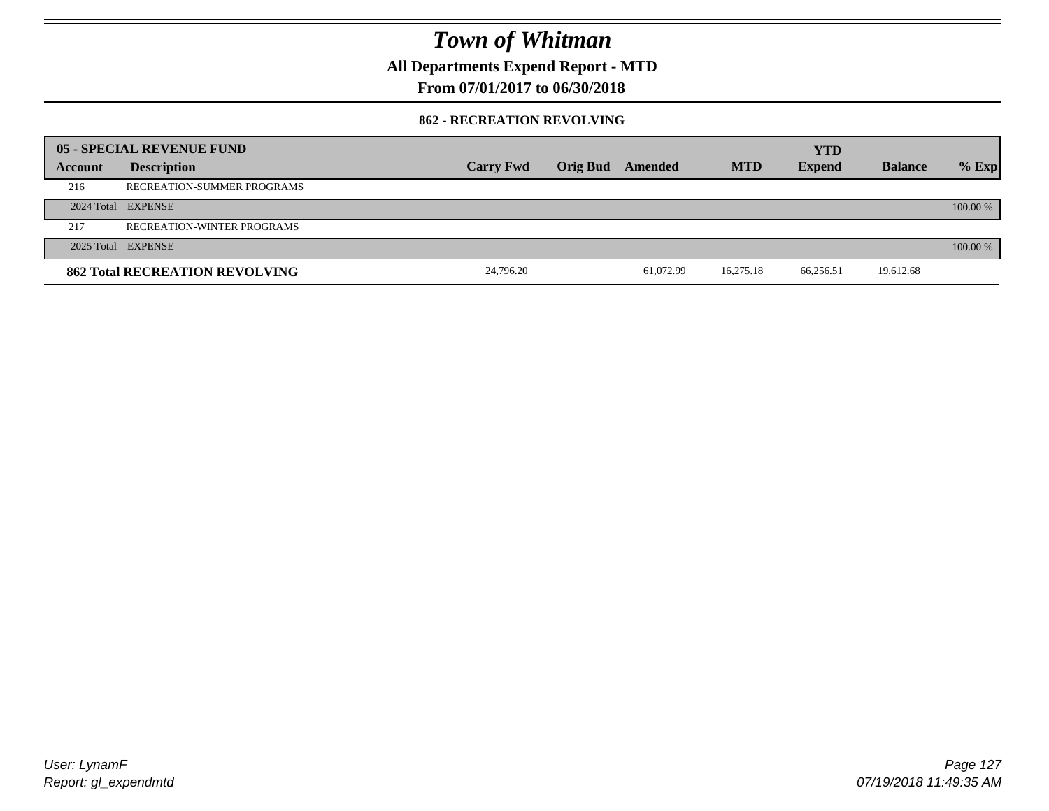**All Departments Expend Report - MTD**

**From 07/01/2017 to 06/30/2018**

#### **862 - RECREATION REVOLVING**

|         | 05 - SPECIAL REVENUE FUND             |                  |                         |           |            | <b>YTD</b>    |                |          |
|---------|---------------------------------------|------------------|-------------------------|-----------|------------|---------------|----------------|----------|
| Account | <b>Description</b>                    | <b>Carry Fwd</b> | <b>Orig Bud</b> Amended |           | <b>MTD</b> | <b>Expend</b> | <b>Balance</b> | $%$ Exp  |
| 216     | RECREATION-SUMMER PROGRAMS            |                  |                         |           |            |               |                |          |
|         | 2024 Total EXPENSE                    |                  |                         |           |            |               |                | 100.00 % |
| 217     | <b>RECREATION-WINTER PROGRAMS</b>     |                  |                         |           |            |               |                |          |
|         | 2025 Total EXPENSE                    |                  |                         |           |            |               |                | 100.00 % |
|         | <b>862 Total RECREATION REVOLVING</b> | 24,796.20        |                         | 61,072.99 | 16,275.18  | 66,256.51     | 19,612.68      |          |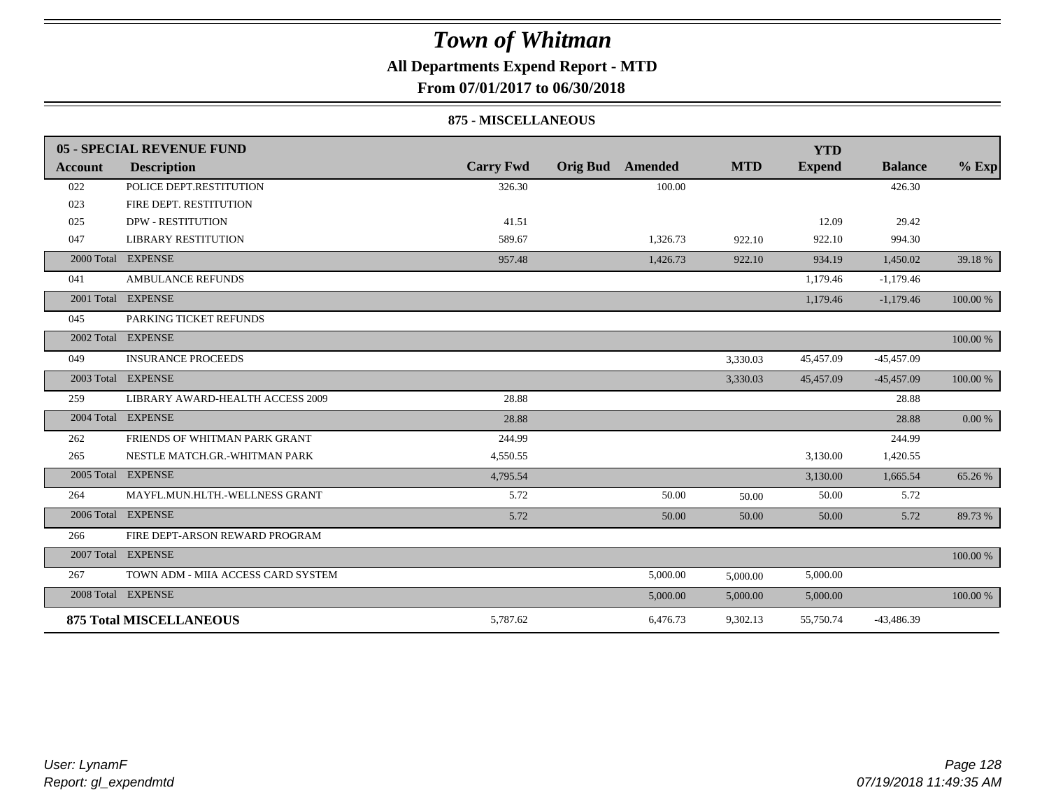### **All Departments Expend Report - MTD**

**From 07/01/2017 to 06/30/2018**

#### **875 - MISCELLANEOUS**

|            | 05 - SPECIAL REVENUE FUND          |                  |                         |          |            | <b>YTD</b>    |                |          |
|------------|------------------------------------|------------------|-------------------------|----------|------------|---------------|----------------|----------|
| Account    | <b>Description</b>                 | <b>Carry Fwd</b> | <b>Orig Bud</b> Amended |          | <b>MTD</b> | <b>Expend</b> | <b>Balance</b> | $%$ Exp  |
| 022        | POLICE DEPT.RESTITUTION            | 326.30           |                         | 100.00   |            |               | 426.30         |          |
| 023        | FIRE DEPT. RESTITUTION             |                  |                         |          |            |               |                |          |
| 025        | <b>DPW - RESTITUTION</b>           | 41.51            |                         |          |            | 12.09         | 29.42          |          |
| 047        | <b>LIBRARY RESTITUTION</b>         | 589.67           |                         | 1,326.73 | 922.10     | 922.10        | 994.30         |          |
| 2000 Total | <b>EXPENSE</b>                     | 957.48           |                         | 1,426.73 | 922.10     | 934.19        | 1,450.02       | 39.18 %  |
| 041        | <b>AMBULANCE REFUNDS</b>           |                  |                         |          |            | 1,179.46      | $-1,179.46$    |          |
| 2001 Total | <b>EXPENSE</b>                     |                  |                         |          |            | 1,179.46      | $-1,179.46$    | 100.00 % |
| 045        | PARKING TICKET REFUNDS             |                  |                         |          |            |               |                |          |
| 2002 Total | <b>EXPENSE</b>                     |                  |                         |          |            |               |                | 100.00 % |
| 049        | <b>INSURANCE PROCEEDS</b>          |                  |                         |          | 3,330.03   | 45,457.09     | $-45,457.09$   |          |
| 2003 Total | <b>EXPENSE</b>                     |                  |                         |          | 3,330.03   | 45,457.09     | $-45,457.09$   | 100.00 % |
| 259        | LIBRARY AWARD-HEALTH ACCESS 2009   | 28.88            |                         |          |            |               | 28.88          |          |
|            | 2004 Total EXPENSE                 | 28.88            |                         |          |            |               | 28.88          | 0.00 %   |
| 262        | FRIENDS OF WHITMAN PARK GRANT      | 244.99           |                         |          |            |               | 244.99         |          |
| 265        | NESTLE MATCH.GR.-WHITMAN PARK      | 4,550.55         |                         |          |            | 3,130.00      | 1,420.55       |          |
|            | 2005 Total EXPENSE                 | 4,795.54         |                         |          |            | 3,130.00      | 1,665.54       | 65.26 %  |
| 264        | MAYFL.MUN.HLTH.-WELLNESS GRANT     | 5.72             |                         | 50.00    | 50.00      | 50.00         | 5.72           |          |
|            | 2006 Total EXPENSE                 | 5.72             |                         | 50.00    | 50.00      | 50.00         | 5.72           | 89.73 %  |
| 266        | FIRE DEPT-ARSON REWARD PROGRAM     |                  |                         |          |            |               |                |          |
|            | 2007 Total EXPENSE                 |                  |                         |          |            |               |                | 100.00 % |
| 267        | TOWN ADM - MIIA ACCESS CARD SYSTEM |                  |                         | 5,000.00 | 5,000.00   | 5,000.00      |                |          |
|            | 2008 Total EXPENSE                 |                  |                         | 5,000.00 | 5,000.00   | 5,000.00      |                | 100.00 % |
|            | <b>875 Total MISCELLANEOUS</b>     | 5,787.62         |                         | 6,476.73 | 9,302.13   | 55,750.74     | -43,486.39     |          |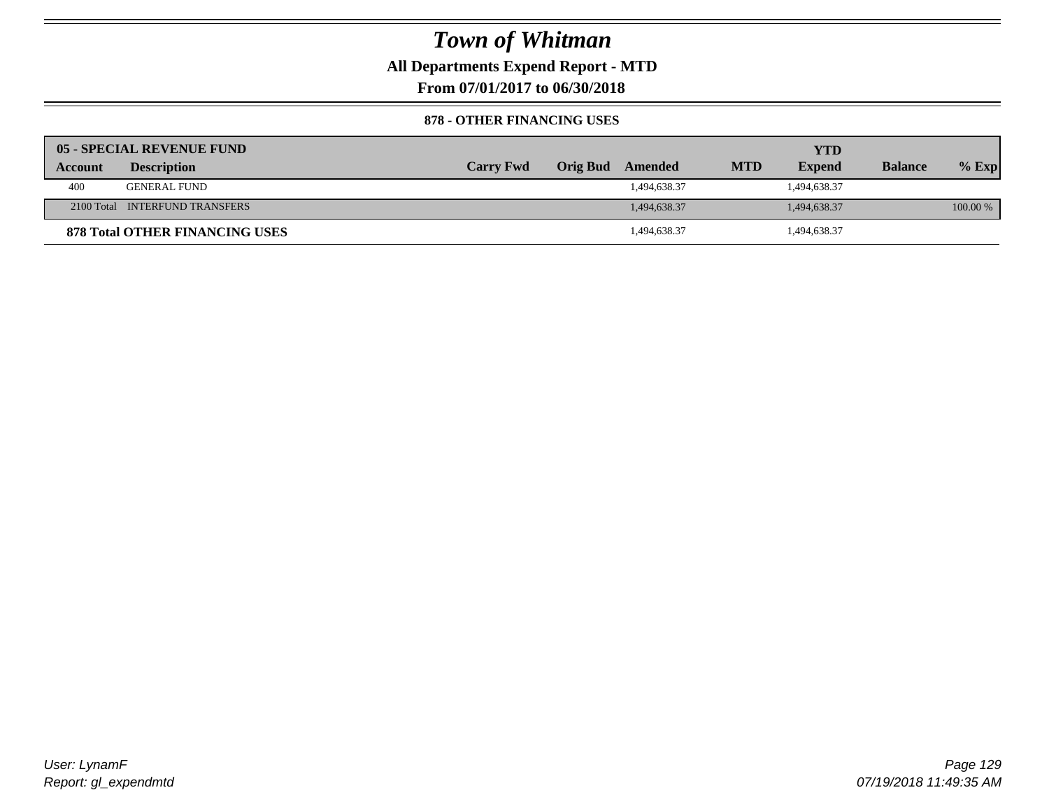**All Departments Expend Report - MTD**

**From 07/01/2017 to 06/30/2018**

#### **878 - OTHER FINANCING USES**

|         | 05 - SPECIAL REVENUE FUND             |                  |                  |            | YTD           |                |          |
|---------|---------------------------------------|------------------|------------------|------------|---------------|----------------|----------|
| Account | <b>Description</b>                    | <b>Carry Fwd</b> | Orig Bud Amended | <b>MTD</b> | <b>Expend</b> | <b>Balance</b> | $%$ Exp  |
| 400     | <b>GENERAL FUND</b>                   |                  | 1,494,638.37     |            | 1,494,638.37  |                |          |
|         | 2100 Total INTERFUND TRANSFERS        |                  | 1,494,638.37     |            | 1,494,638.37  |                | 100.00 % |
|         | <b>878 Total OTHER FINANCING USES</b> |                  | 1,494,638.37     |            | 494,638.37    |                |          |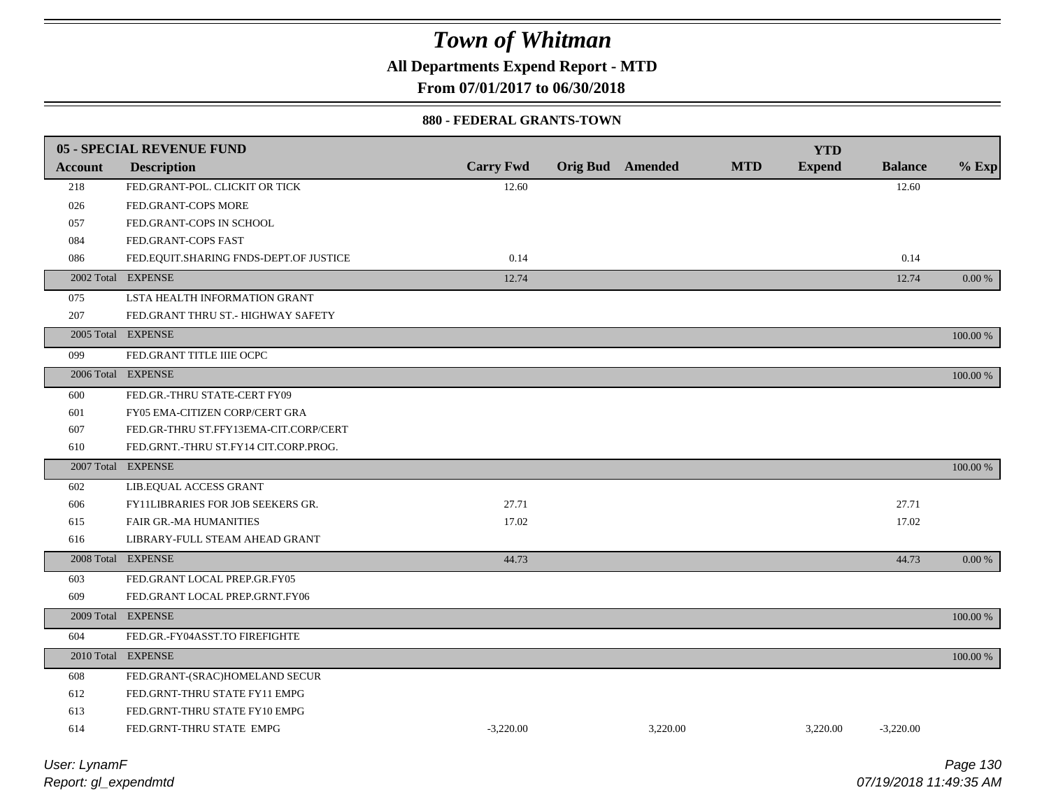**All Departments Expend Report - MTD**

**From 07/01/2017 to 06/30/2018**

#### **880 - FEDERAL GRANTS-TOWN**

|                | 05 - SPECIAL REVENUE FUND                |                  |                         |          |            | <b>YTD</b>    |                |             |
|----------------|------------------------------------------|------------------|-------------------------|----------|------------|---------------|----------------|-------------|
| <b>Account</b> | <b>Description</b>                       | <b>Carry Fwd</b> | <b>Orig Bud</b> Amended |          | <b>MTD</b> | <b>Expend</b> | <b>Balance</b> | $%$ Exp     |
| 218            | FED.GRANT-POL. CLICKIT OR TICK           | 12.60            |                         |          |            |               | 12.60          |             |
| 026            | FED.GRANT-COPS MORE                      |                  |                         |          |            |               |                |             |
| 057            | FED.GRANT-COPS IN SCHOOL                 |                  |                         |          |            |               |                |             |
| 084            | FED.GRANT-COPS FAST                      |                  |                         |          |            |               |                |             |
| 086            | FED.EQUIT.SHARING FNDS-DEPT.OF JUSTICE   | 0.14             |                         |          |            |               | 0.14           |             |
|                | 2002 Total EXPENSE                       | 12.74            |                         |          |            |               | 12.74          | $0.00\ \%$  |
| 075            | LSTA HEALTH INFORMATION GRANT            |                  |                         |          |            |               |                |             |
| 207            | FED.GRANT THRU ST.- HIGHWAY SAFETY       |                  |                         |          |            |               |                |             |
|                | 2005 Total EXPENSE                       |                  |                         |          |            |               |                | 100.00 %    |
| 099            | FED.GRANT TITLE IIIE OCPC                |                  |                         |          |            |               |                |             |
|                | 2006 Total EXPENSE                       |                  |                         |          |            |               |                | 100.00 %    |
| 600            | FED.GR.-THRU STATE-CERT FY09             |                  |                         |          |            |               |                |             |
| 601            | FY05 EMA-CITIZEN CORP/CERT GRA           |                  |                         |          |            |               |                |             |
| 607            | FED.GR-THRU ST.FFY13EMA-CIT.CORP/CERT    |                  |                         |          |            |               |                |             |
| 610            | FED.GRNT.-THRU ST.FY14 CIT.CORP.PROG.    |                  |                         |          |            |               |                |             |
|                | 2007 Total EXPENSE                       |                  |                         |          |            |               |                | $100.00~\%$ |
| 602            | LIB.EQUAL ACCESS GRANT                   |                  |                         |          |            |               |                |             |
| 606            | <b>FY11LIBRARIES FOR JOB SEEKERS GR.</b> | 27.71            |                         |          |            |               | 27.71          |             |
| 615            | FAIR GR.-MA HUMANITIES                   | 17.02            |                         |          |            |               | 17.02          |             |
| 616            | LIBRARY-FULL STEAM AHEAD GRANT           |                  |                         |          |            |               |                |             |
|                | 2008 Total EXPENSE                       | 44.73            |                         |          |            |               | 44.73          | 0.00 %      |
| 603            | FED.GRANT LOCAL PREP.GR.FY05             |                  |                         |          |            |               |                |             |
| 609            | FED.GRANT LOCAL PREP.GRNT.FY06           |                  |                         |          |            |               |                |             |
|                | 2009 Total EXPENSE                       |                  |                         |          |            |               |                | 100.00 %    |
| 604            | FED.GR.-FY04ASST.TO FIREFIGHTE           |                  |                         |          |            |               |                |             |
|                | 2010 Total EXPENSE                       |                  |                         |          |            |               |                | 100.00 %    |
| 608            | FED.GRANT-(SRAC)HOMELAND SECUR           |                  |                         |          |            |               |                |             |
| 612            | FED.GRNT-THRU STATE FY11 EMPG            |                  |                         |          |            |               |                |             |
| 613            | FED.GRNT-THRU STATE FY10 EMPG            |                  |                         |          |            |               |                |             |
| 614            | FED.GRNT-THRU STATE EMPG                 | $-3,220.00$      |                         | 3,220.00 |            | 3,220.00      | $-3,220.00$    |             |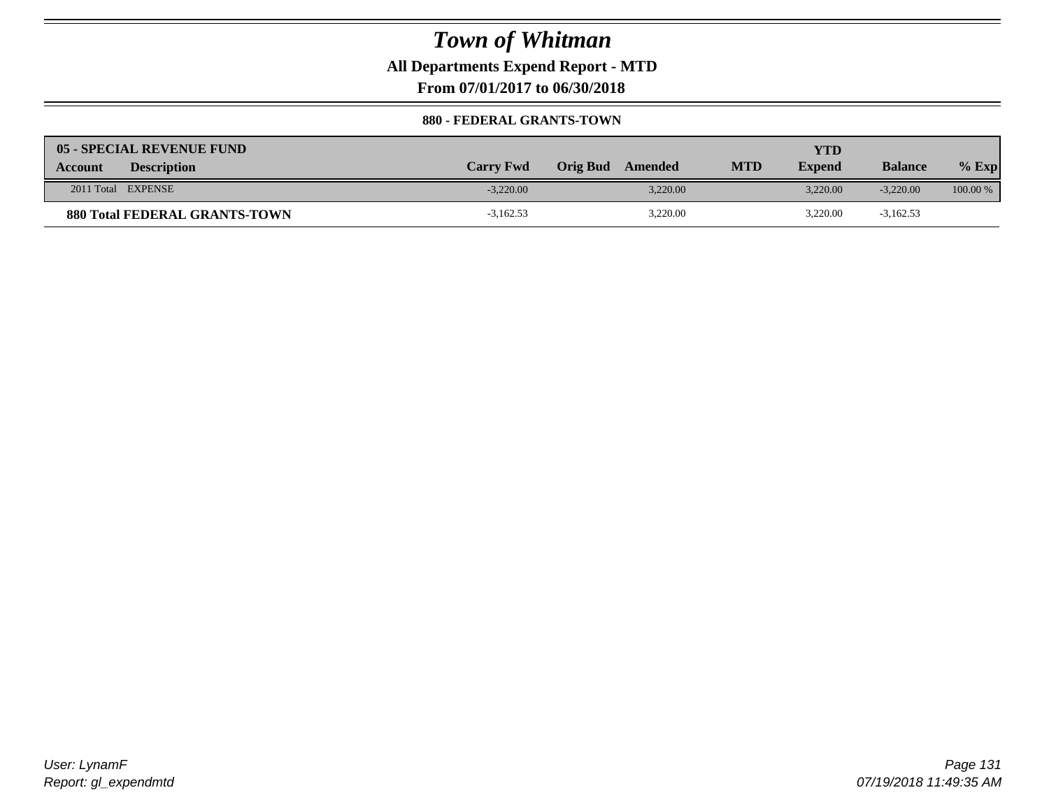**All Departments Expend Report - MTD**

**From 07/01/2017 to 06/30/2018**

#### **880 - FEDERAL GRANTS-TOWN**

| 05 - SPECIAL REVENUE FUND<br><b>Description</b><br>Account | <b>Carry Fwd</b> | Orig Bud<br>Amended | <b>MTD</b> | YTD<br><b>Expend</b> | <b>Balance</b> | $%$ Exp    |
|------------------------------------------------------------|------------------|---------------------|------------|----------------------|----------------|------------|
| 2011 Total EXPENSE                                         | $-3.220.00$      | 3,220.00            |            | 3.220.00             | $-3,220,00$    | $100.00\%$ |
| <b>880 Total FEDERAL GRANTS-TOWN</b>                       | $-3,162.53$      | 3,220.00            |            | 3,220.00             | $-3,162.53$    |            |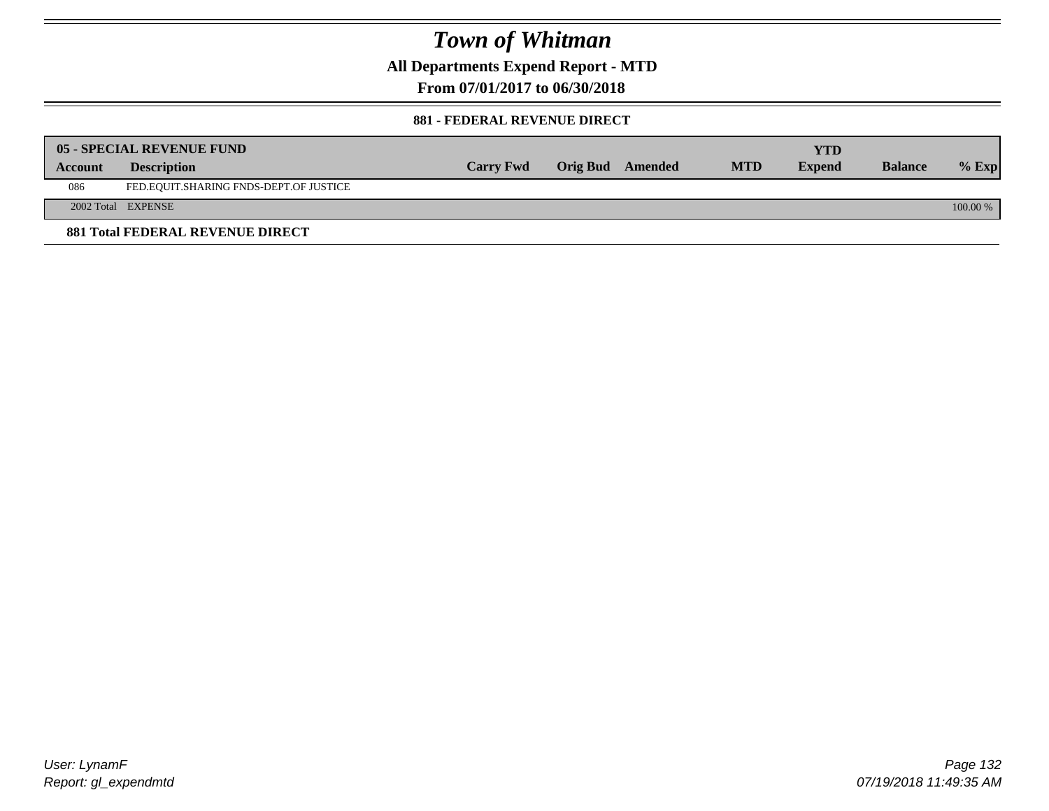**All Departments Expend Report - MTD**

**From 07/01/2017 to 06/30/2018**

#### **881 - FEDERAL REVENUE DIRECT**

|         | <b>05 - SPECIAL REVENUE FUND</b>        |                  |                  |            | YTD           |                |          |
|---------|-----------------------------------------|------------------|------------------|------------|---------------|----------------|----------|
| Account | <b>Description</b>                      | <b>Carry Fwd</b> | Orig Bud Amended | <b>MTD</b> | <b>Expend</b> | <b>Balance</b> | $%$ Exp  |
| 086     | FED.EQUIT.SHARING FNDS-DEPT.OF JUSTICE  |                  |                  |            |               |                |          |
|         | 2002 Total EXPENSE                      |                  |                  |            |               |                | 100.00 % |
|         | <b>881 Total FEDERAL REVENUE DIRECT</b> |                  |                  |            |               |                |          |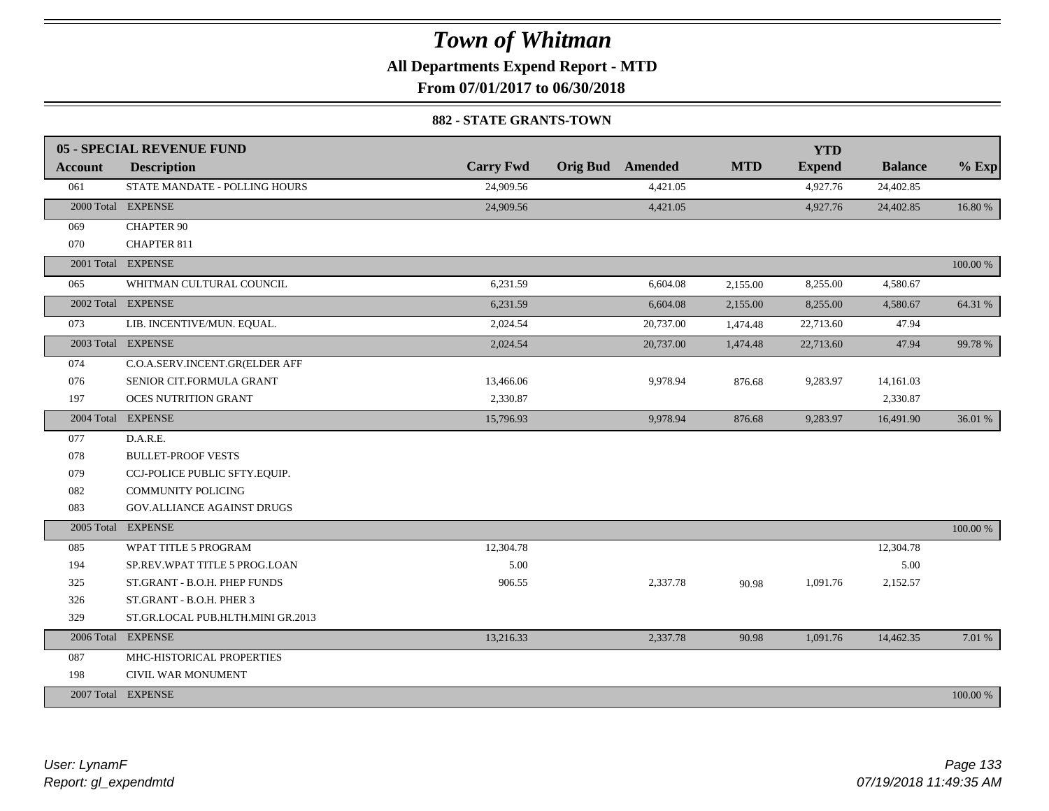**All Departments Expend Report - MTD**

**From 07/01/2017 to 06/30/2018**

#### **882 - STATE GRANTS-TOWN**

|                | 05 - SPECIAL REVENUE FUND         |                  |                         |            | <b>YTD</b>    |                |          |
|----------------|-----------------------------------|------------------|-------------------------|------------|---------------|----------------|----------|
| <b>Account</b> | <b>Description</b>                | <b>Carry Fwd</b> | <b>Orig Bud</b> Amended | <b>MTD</b> | <b>Expend</b> | <b>Balance</b> | $%$ Exp  |
| 061            | STATE MANDATE - POLLING HOURS     | 24,909.56        | 4,421.05                |            | 4,927.76      | 24,402.85      |          |
|                | 2000 Total EXPENSE                | 24,909.56        | 4,421.05                |            | 4,927.76      | 24,402.85      | 16.80 %  |
| 069            | <b>CHAPTER 90</b>                 |                  |                         |            |               |                |          |
| 070            | CHAPTER 811                       |                  |                         |            |               |                |          |
|                | 2001 Total EXPENSE                |                  |                         |            |               |                | 100.00 % |
| 065            | WHITMAN CULTURAL COUNCIL          | 6,231.59         | 6,604.08                | 2,155.00   | 8,255.00      | 4,580.67       |          |
|                | 2002 Total EXPENSE                | 6,231.59         | 6,604.08                | 2,155.00   | 8,255.00      | 4,580.67       | 64.31 %  |
| 073            | LIB. INCENTIVE/MUN. EQUAL.        | 2,024.54         | 20,737.00               | 1,474.48   | 22,713.60     | 47.94          |          |
|                | 2003 Total EXPENSE                | 2,024.54         | 20,737.00               | 1,474.48   | 22,713.60     | 47.94          | 99.78 %  |
| 074            | C.O.A.SERV.INCENT.GR(ELDER AFF    |                  |                         |            |               |                |          |
| 076            | SENIOR CIT.FORMULA GRANT          | 13,466.06        | 9,978.94                | 876.68     | 9,283.97      | 14,161.03      |          |
| 197            | OCES NUTRITION GRANT              | 2,330.87         |                         |            |               | 2,330.87       |          |
|                | 2004 Total EXPENSE                | 15,796.93        | 9,978.94                | 876.68     | 9,283.97      | 16,491.90      | 36.01 %  |
| 077            | D.A.R.E.                          |                  |                         |            |               |                |          |
| 078            | <b>BULLET-PROOF VESTS</b>         |                  |                         |            |               |                |          |
| 079            | CCJ-POLICE PUBLIC SFTY.EQUIP.     |                  |                         |            |               |                |          |
| 082            | <b>COMMUNITY POLICING</b>         |                  |                         |            |               |                |          |
| 083            | <b>GOV.ALLIANCE AGAINST DRUGS</b> |                  |                         |            |               |                |          |
|                | 2005 Total EXPENSE                |                  |                         |            |               |                | 100.00 % |
| 085            | WPAT TITLE 5 PROGRAM              | 12,304.78        |                         |            |               | 12,304.78      |          |
| 194            | SP.REV.WPAT TITLE 5 PROG.LOAN     | 5.00             |                         |            |               | 5.00           |          |
| 325            | ST.GRANT - B.O.H. PHEP FUNDS      | 906.55           | 2,337.78                | 90.98      | 1,091.76      | 2,152.57       |          |
| 326            | ST.GRANT - B.O.H. PHER 3          |                  |                         |            |               |                |          |
| 329            | ST.GR.LOCAL PUB.HLTH.MINI GR.2013 |                  |                         |            |               |                |          |
|                | 2006 Total EXPENSE                | 13,216.33        | 2,337.78                | 90.98      | 1,091.76      | 14,462.35      | 7.01 %   |
| 087            | MHC-HISTORICAL PROPERTIES         |                  |                         |            |               |                |          |
| 198            | CIVIL WAR MONUMENT                |                  |                         |            |               |                |          |
|                | 2007 Total EXPENSE                |                  |                         |            |               |                | 100.00 % |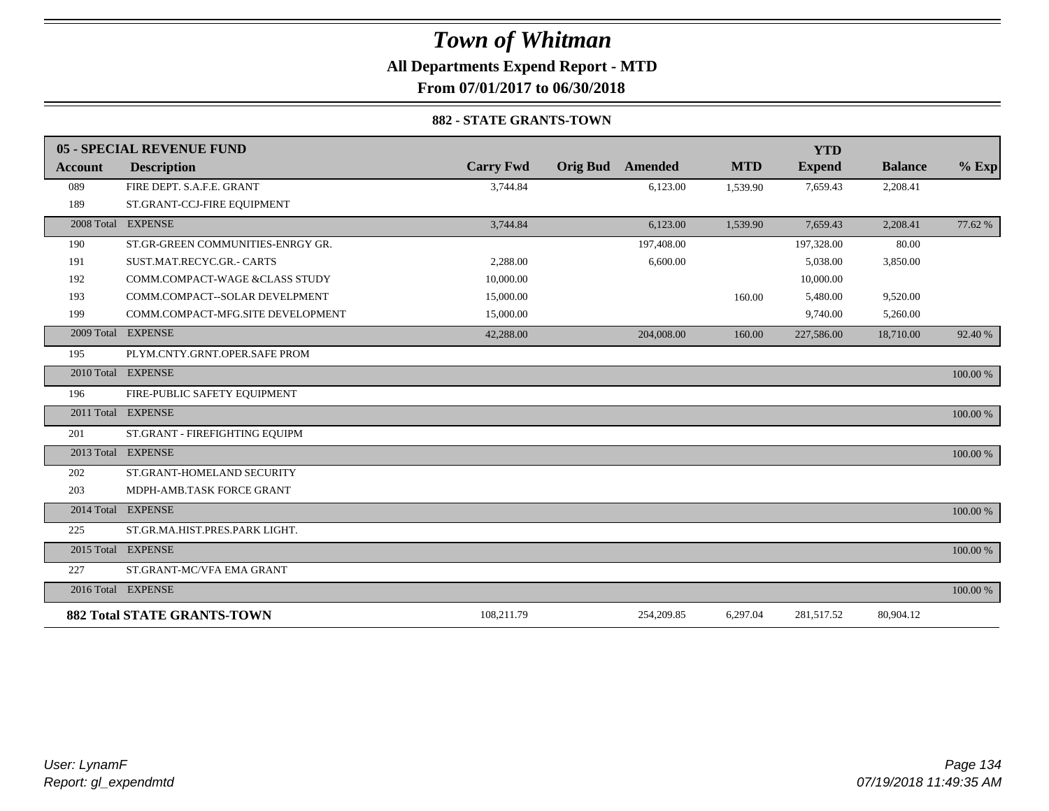**All Departments Expend Report - MTD**

**From 07/01/2017 to 06/30/2018**

#### **882 - STATE GRANTS-TOWN**

|                | 05 - SPECIAL REVENUE FUND          |                  |                 |                |            | <b>YTD</b>    |                |          |
|----------------|------------------------------------|------------------|-----------------|----------------|------------|---------------|----------------|----------|
| <b>Account</b> | <b>Description</b>                 | <b>Carry Fwd</b> | <b>Orig Bud</b> | <b>Amended</b> | <b>MTD</b> | <b>Expend</b> | <b>Balance</b> | $%$ Exp  |
| 089            | FIRE DEPT. S.A.F.E. GRANT          | 3,744.84         |                 | 6,123.00       | 1,539.90   | 7,659.43      | 2,208.41       |          |
| 189            | ST.GRANT-CCJ-FIRE EQUIPMENT        |                  |                 |                |            |               |                |          |
|                | 2008 Total EXPENSE                 | 3,744.84         |                 | 6,123.00       | 1,539.90   | 7,659.43      | 2,208.41       | 77.62 %  |
| 190            | ST.GR-GREEN COMMUNITIES-ENRGY GR.  |                  |                 | 197,408.00     |            | 197,328.00    | 80.00          |          |
| 191            | SUST.MAT.RECYC.GR.- CARTS          | 2.288.00         |                 | 6,600.00       |            | 5,038.00      | 3,850.00       |          |
| 192            | COMM.COMPACT-WAGE &CLASS STUDY     | 10,000.00        |                 |                |            | 10,000.00     |                |          |
| 193            | COMM.COMPACT--SOLAR DEVELPMENT     | 15,000.00        |                 |                | 160.00     | 5,480.00      | 9,520.00       |          |
| 199            | COMM.COMPACT-MFG.SITE DEVELOPMENT  | 15,000.00        |                 |                |            | 9,740.00      | 5,260.00       |          |
| 2009 Total     | <b>EXPENSE</b>                     | 42,288.00        |                 | 204,008.00     | 160.00     | 227,586.00    | 18,710.00      | 92.40 %  |
| 195            | PLYM.CNTY.GRNT.OPER.SAFE PROM      |                  |                 |                |            |               |                |          |
|                | 2010 Total EXPENSE                 |                  |                 |                |            |               |                | 100.00 % |
| 196            | FIRE-PUBLIC SAFETY EQUIPMENT       |                  |                 |                |            |               |                |          |
|                | 2011 Total EXPENSE                 |                  |                 |                |            |               |                | 100.00 % |
| 201            | ST.GRANT - FIREFIGHTING EQUIPM     |                  |                 |                |            |               |                |          |
|                | 2013 Total EXPENSE                 |                  |                 |                |            |               |                | 100.00 % |
| 202            | ST.GRANT-HOMELAND SECURITY         |                  |                 |                |            |               |                |          |
| 203            | MDPH-AMB.TASK FORCE GRANT          |                  |                 |                |            |               |                |          |
| 2014 Total     | <b>EXPENSE</b>                     |                  |                 |                |            |               |                | 100.00 % |
| 225            | ST.GR.MA.HIST.PRES.PARK LIGHT.     |                  |                 |                |            |               |                |          |
|                | 2015 Total EXPENSE                 |                  |                 |                |            |               |                | 100.00 % |
| 227            | ST.GRANT-MC/VFA EMA GRANT          |                  |                 |                |            |               |                |          |
|                | 2016 Total EXPENSE                 |                  |                 |                |            |               |                | 100.00 % |
|                | <b>882 Total STATE GRANTS-TOWN</b> | 108,211.79       |                 | 254,209.85     | 6,297.04   | 281,517.52    | 80,904.12      |          |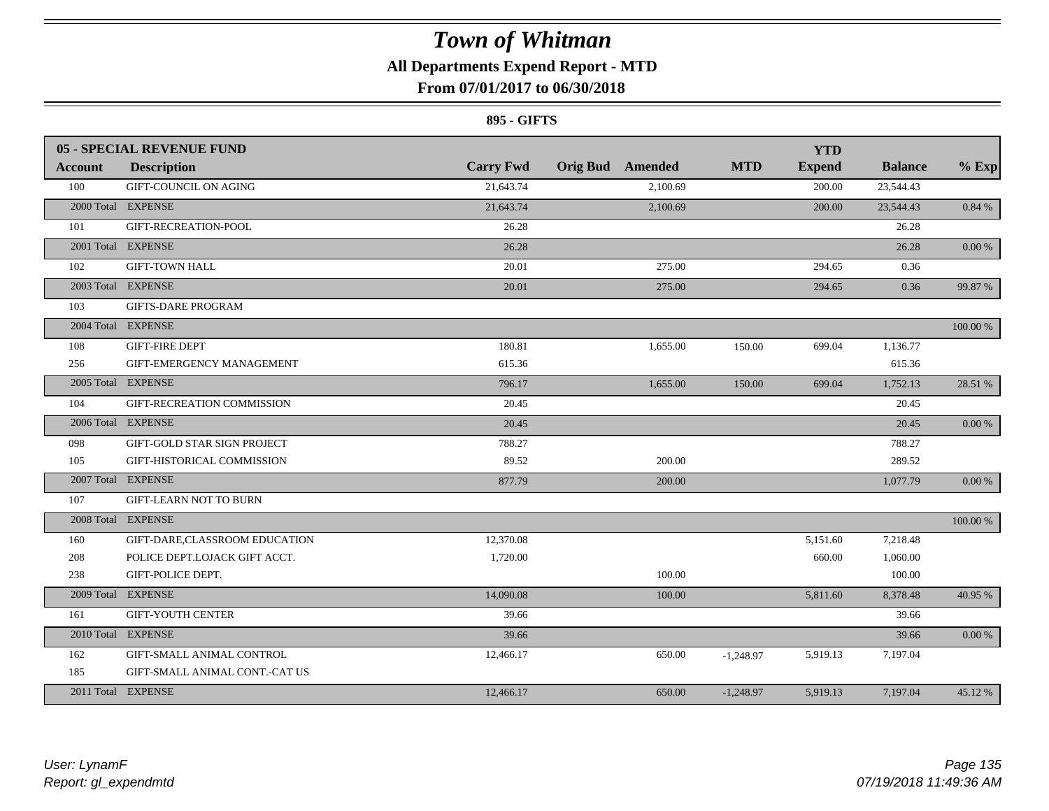### **All Departments Expend Report - MTD**

### **From 07/01/2017 to 06/30/2018**

#### **895 - GIFTS**

|                | <b>05 - SPECIAL REVENUE FUND</b>   |                  |                         |             | <b>YTD</b>    |                |            |
|----------------|------------------------------------|------------------|-------------------------|-------------|---------------|----------------|------------|
| <b>Account</b> | <b>Description</b>                 | <b>Carry Fwd</b> | <b>Orig Bud</b> Amended | <b>MTD</b>  | <b>Expend</b> | <b>Balance</b> | $%$ Exp    |
| 100            | <b>GIFT-COUNCIL ON AGING</b>       | 21,643.74        | 2.100.69                |             | 200.00        | 23,544.43      |            |
|                | 2000 Total EXPENSE                 | 21,643.74        | 2,100.69                |             | 200.00        | 23,544.43      | 0.84 %     |
| 101            | GIFT-RECREATION-POOL               | 26.28            |                         |             |               | 26.28          |            |
|                | 2001 Total EXPENSE                 | 26.28            |                         |             |               | 26.28          | 0.00%      |
| 102            | <b>GIFT-TOWN HALL</b>              | 20.01            | 275.00                  |             | 294.65        | 0.36           |            |
|                | 2003 Total EXPENSE                 | 20.01            | 275.00                  |             | 294.65        | 0.36           | 99.87 %    |
| 103            | <b>GIFTS-DARE PROGRAM</b>          |                  |                         |             |               |                |            |
|                | 2004 Total EXPENSE                 |                  |                         |             |               |                | 100.00 %   |
| 108            | <b>GIFT-FIRE DEPT</b>              | 180.81           | 1,655.00                | 150.00      | 699.04        | 1,136.77       |            |
| 256            | GIFT-EMERGENCY MANAGEMENT          | 615.36           |                         |             |               | 615.36         |            |
|                | 2005 Total EXPENSE                 | 796.17           | 1,655.00                | 150.00      | 699.04        | 1,752.13       | 28.51 %    |
| 104            | GIFT-RECREATION COMMISSION         | 20.45            |                         |             |               | 20.45          |            |
|                | 2006 Total EXPENSE                 | 20.45            |                         |             |               | 20.45          | 0.00 %     |
| 098            | <b>GIFT-GOLD STAR SIGN PROJECT</b> | 788.27           |                         |             |               | 788.27         |            |
| 105            | GIFT-HISTORICAL COMMISSION         | 89.52            | 200.00                  |             |               | 289.52         |            |
|                | 2007 Total EXPENSE                 | 877.79           | 200.00                  |             |               | 1,077.79       | $0.00\,\%$ |
| 107            | <b>GIFT-LEARN NOT TO BURN</b>      |                  |                         |             |               |                |            |
|                | 2008 Total EXPENSE                 |                  |                         |             |               |                | 100.00 %   |
| 160            | GIFT-DARE,CLASSROOM EDUCATION      | 12,370.08        |                         |             | 5,151.60      | 7,218.48       |            |
| 208            | POLICE DEPT.LOJACK GIFT ACCT.      | 1,720.00         |                         |             | 660.00        | 1,060.00       |            |
| 238            | GIFT-POLICE DEPT.                  |                  | 100.00                  |             |               | 100.00         |            |
|                | 2009 Total EXPENSE                 | 14,090.08        | 100.00                  |             | 5,811.60      | 8,378.48       | 40.95 %    |
| 161            | <b>GIFT-YOUTH CENTER</b>           | 39.66            |                         |             |               | 39.66          |            |
|                | 2010 Total EXPENSE                 | 39.66            |                         |             |               | 39.66          | 0.00 %     |
| 162            | GIFT-SMALL ANIMAL CONTROL          | 12,466.17        | 650.00                  | $-1,248.97$ | 5,919.13      | 7,197.04       |            |
| 185            | GIFT-SMALL ANIMAL CONT.-CAT US     |                  |                         |             |               |                |            |
|                | 2011 Total EXPENSE                 | 12,466.17        | 650.00                  | $-1,248.97$ | 5,919.13      | 7,197.04       | 45.12%     |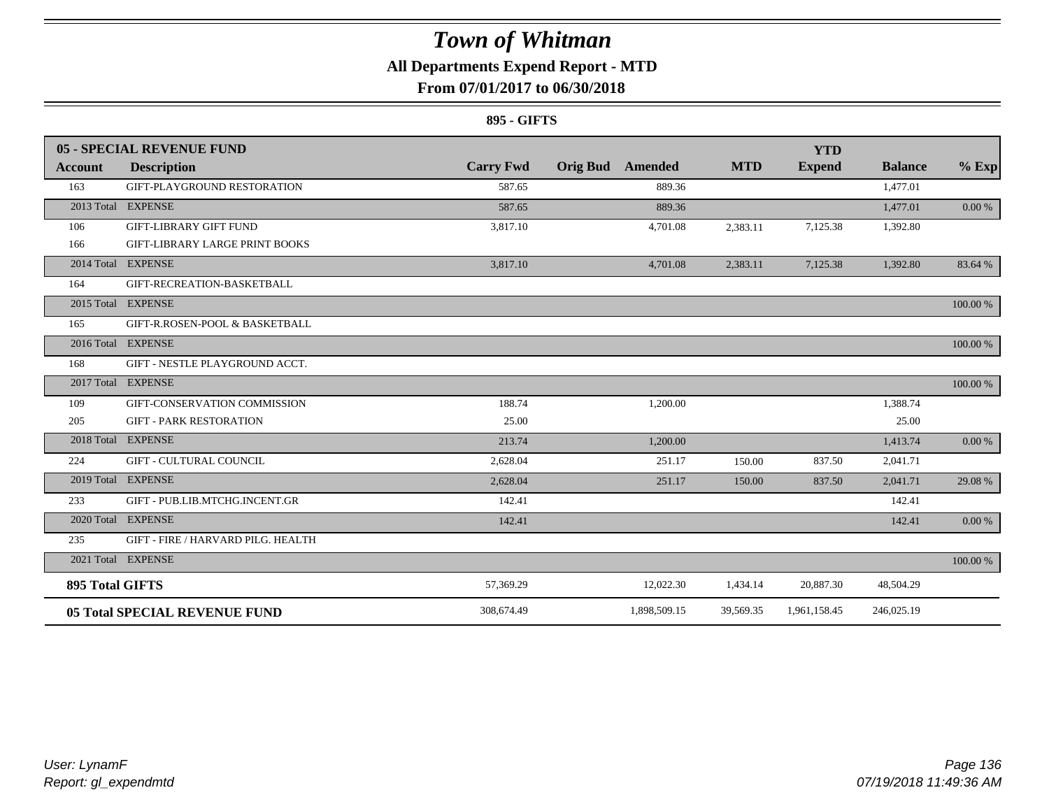### **All Departments Expend Report - MTD**

### **From 07/01/2017 to 06/30/2018**

#### **895 - GIFTS**

|                        | 05 - SPECIAL REVENUE FUND             |                  |                            |            | <b>YTD</b>    |                |          |
|------------------------|---------------------------------------|------------------|----------------------------|------------|---------------|----------------|----------|
| Account                | <b>Description</b>                    | <b>Carry Fwd</b> | <b>Orig Bud</b><br>Amended | <b>MTD</b> | <b>Expend</b> | <b>Balance</b> | $%$ Exp  |
| 163                    | GIFT-PLAYGROUND RESTORATION           | 587.65           | 889.36                     |            |               | 1,477.01       |          |
|                        | 2013 Total EXPENSE                    | 587.65           | 889.36                     |            |               | 1,477.01       | 0.00 %   |
| 106                    | <b>GIFT-LIBRARY GIFT FUND</b>         | 3,817.10         | 4,701.08                   | 2,383.11   | 7,125.38      | 1,392.80       |          |
| 166                    | <b>GIFT-LIBRARY LARGE PRINT BOOKS</b> |                  |                            |            |               |                |          |
|                        | 2014 Total EXPENSE                    | 3,817.10         | 4,701.08                   | 2,383.11   | 7,125.38      | 1,392.80       | 83.64 %  |
| 164                    | GIFT-RECREATION-BASKETBALL            |                  |                            |            |               |                |          |
|                        | 2015 Total EXPENSE                    |                  |                            |            |               |                | 100.00 % |
| 165                    | GIFT-R.ROSEN-POOL & BASKETBALL        |                  |                            |            |               |                |          |
|                        | 2016 Total EXPENSE                    |                  |                            |            |               |                | 100.00 % |
| 168                    | GIFT - NESTLE PLAYGROUND ACCT.        |                  |                            |            |               |                |          |
|                        | 2017 Total EXPENSE                    |                  |                            |            |               |                | 100.00 % |
| 109                    | GIFT-CONSERVATION COMMISSION          | 188.74           | 1,200.00                   |            |               | 1,388.74       |          |
| 205                    | <b>GIFT - PARK RESTORATION</b>        | 25.00            |                            |            |               | 25.00          |          |
|                        | 2018 Total EXPENSE                    | 213.74           | 1,200.00                   |            |               | 1,413.74       | 0.00 %   |
| 224                    | <b>GIFT - CULTURAL COUNCIL</b>        | 2,628.04         | 251.17                     | 150.00     | 837.50        | 2,041.71       |          |
|                        | 2019 Total EXPENSE                    | 2,628.04         | 251.17                     | 150.00     | 837.50        | 2,041.71       | 29.08 %  |
| 233                    | GIFT - PUB.LIB.MTCHG.INCENT.GR        | 142.41           |                            |            |               | 142.41         |          |
|                        | 2020 Total EXPENSE                    | 142.41           |                            |            |               | 142.41         | 0.00 %   |
| 235                    | GIFT - FIRE / HARVARD PILG. HEALTH    |                  |                            |            |               |                |          |
|                        | 2021 Total EXPENSE                    |                  |                            |            |               |                | 100.00 % |
| <b>895 Total GIFTS</b> |                                       | 57,369.29        | 12,022.30                  | 1,434.14   | 20,887.30     | 48,504.29      |          |
|                        | <b>05 Total SPECIAL REVENUE FUND</b>  | 308,674.49       | 1,898,509.15               | 39,569.35  | 1,961,158.45  | 246,025.19     |          |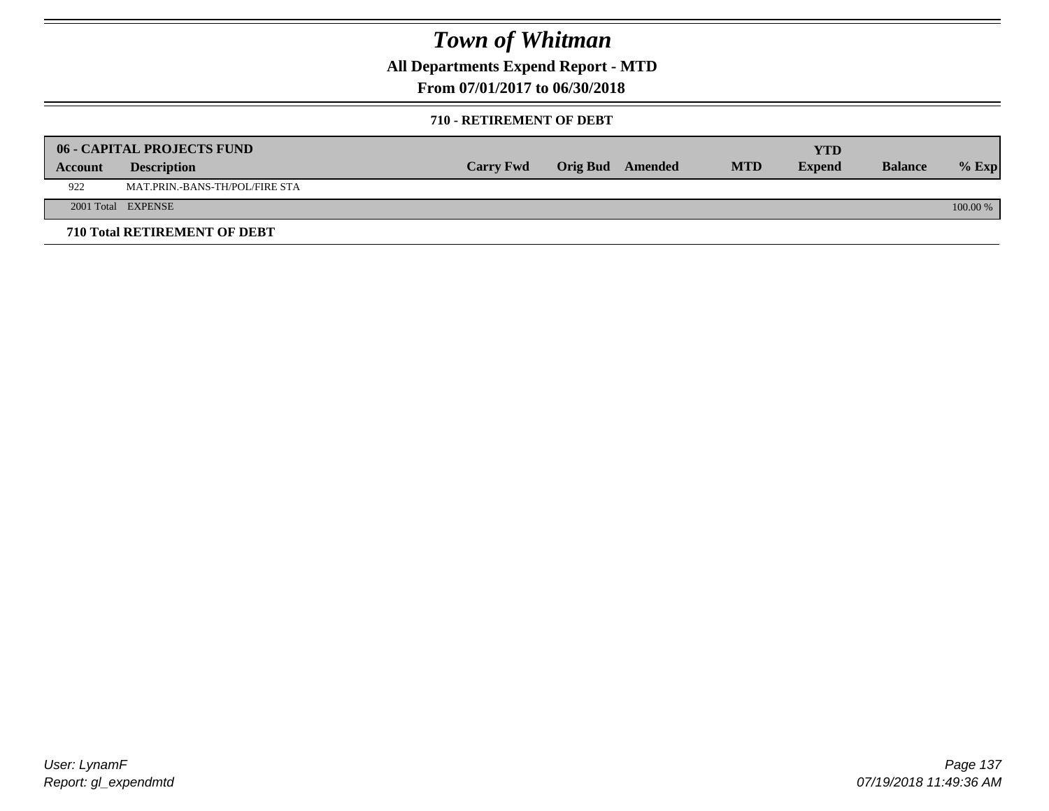**All Departments Expend Report - MTD**

**From 07/01/2017 to 06/30/2018**

#### **710 - RETIREMENT OF DEBT**

|         | <b>06 - CAPITAL PROJECTS FUND</b>     |                  |                  |            | <b>YTD</b>    |                |            |
|---------|---------------------------------------|------------------|------------------|------------|---------------|----------------|------------|
| Account | <b>Description</b>                    | <b>Carry Fwd</b> | Orig Bud Amended | <b>MTD</b> | <b>Expend</b> | <b>Balance</b> | $%$ Exp    |
| 922     | <b>MAT.PRIN.-BANS-TH/POL/FIRE STA</b> |                  |                  |            |               |                |            |
|         | 2001 Total EXPENSE                    |                  |                  |            |               |                | $100.00\%$ |
|         | 710 Total RETIREMENT OF DEBT          |                  |                  |            |               |                |            |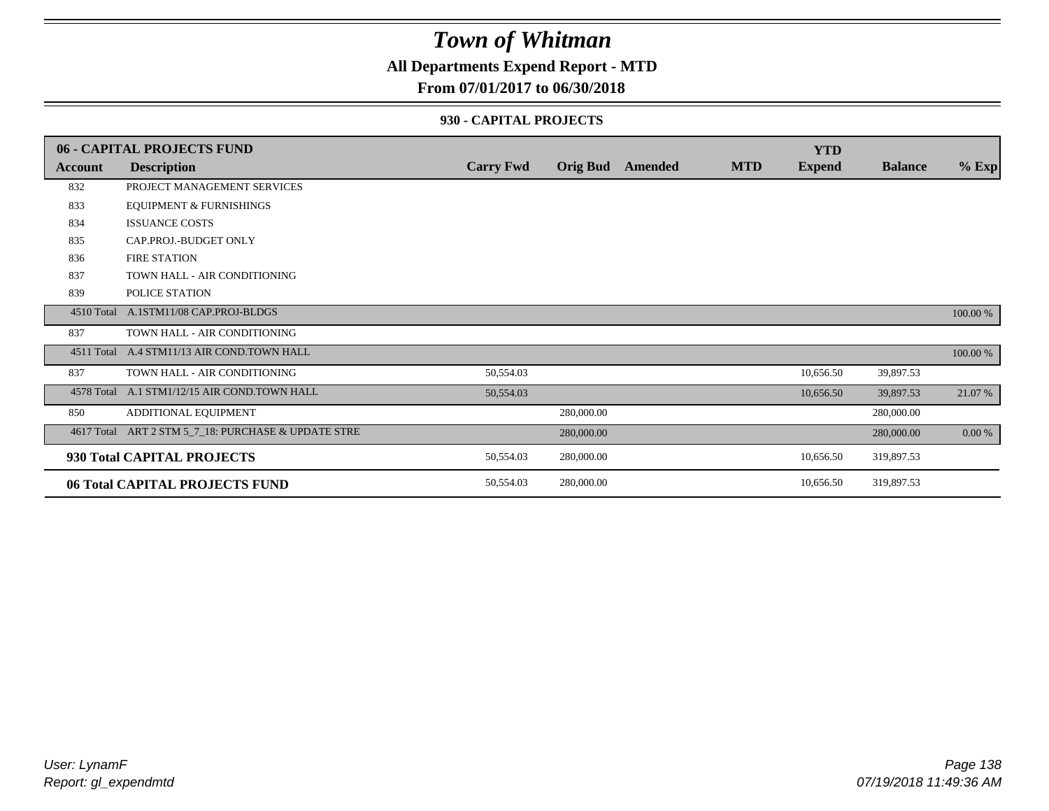### **All Departments Expend Report - MTD**

### **From 07/01/2017 to 06/30/2018**

#### **930 - CAPITAL PROJECTS**

|            | <b>06 - CAPITAL PROJECTS FUND</b>            |                  |                 |                |            | <b>YTD</b>    |                |          |
|------------|----------------------------------------------|------------------|-----------------|----------------|------------|---------------|----------------|----------|
| Account    | <b>Description</b>                           | <b>Carry Fwd</b> | <b>Orig Bud</b> | <b>Amended</b> | <b>MTD</b> | <b>Expend</b> | <b>Balance</b> | $%$ Exp  |
| 832        | PROJECT MANAGEMENT SERVICES                  |                  |                 |                |            |               |                |          |
| 833        | <b>EQUIPMENT &amp; FURNISHINGS</b>           |                  |                 |                |            |               |                |          |
| 834        | <b>ISSUANCE COSTS</b>                        |                  |                 |                |            |               |                |          |
| 835        | CAP.PROJ.-BUDGET ONLY                        |                  |                 |                |            |               |                |          |
| 836        | <b>FIRE STATION</b>                          |                  |                 |                |            |               |                |          |
| 837        | TOWN HALL - AIR CONDITIONING                 |                  |                 |                |            |               |                |          |
| 839        | POLICE STATION                               |                  |                 |                |            |               |                |          |
| 4510 Total | A.1STM11/08 CAP.PROJ-BLDGS                   |                  |                 |                |            |               |                | 100.00 % |
| 837        | TOWN HALL - AIR CONDITIONING                 |                  |                 |                |            |               |                |          |
|            | 4511 Total A.4 STM11/13 AIR COND.TOWN HALL   |                  |                 |                |            |               |                | 100.00 % |
| 837        | TOWN HALL - AIR CONDITIONING                 | 50,554.03        |                 |                |            | 10,656.50     | 39,897.53      |          |
|            | 4578 Total A.1 STM1/12/15 AIR COND.TOWN HALL | 50,554.03        |                 |                |            | 10,656.50     | 39,897.53      | 21.07 %  |
| 850        | ADDITIONAL EQUIPMENT                         |                  | 280,000.00      |                |            |               | 280,000.00     |          |
| 4617 Total | ART 2 STM 5_7_18: PURCHASE & UPDATE STRE     |                  | 280,000.00      |                |            |               | 280,000.00     | $0.00\%$ |
|            | 930 Total CAPITAL PROJECTS                   | 50,554.03        | 280,000.00      |                |            | 10,656.50     | 319,897.53     |          |
|            | 06 Total CAPITAL PROJECTS FUND               | 50,554.03        | 280,000.00      |                |            | 10.656.50     | 319,897.53     |          |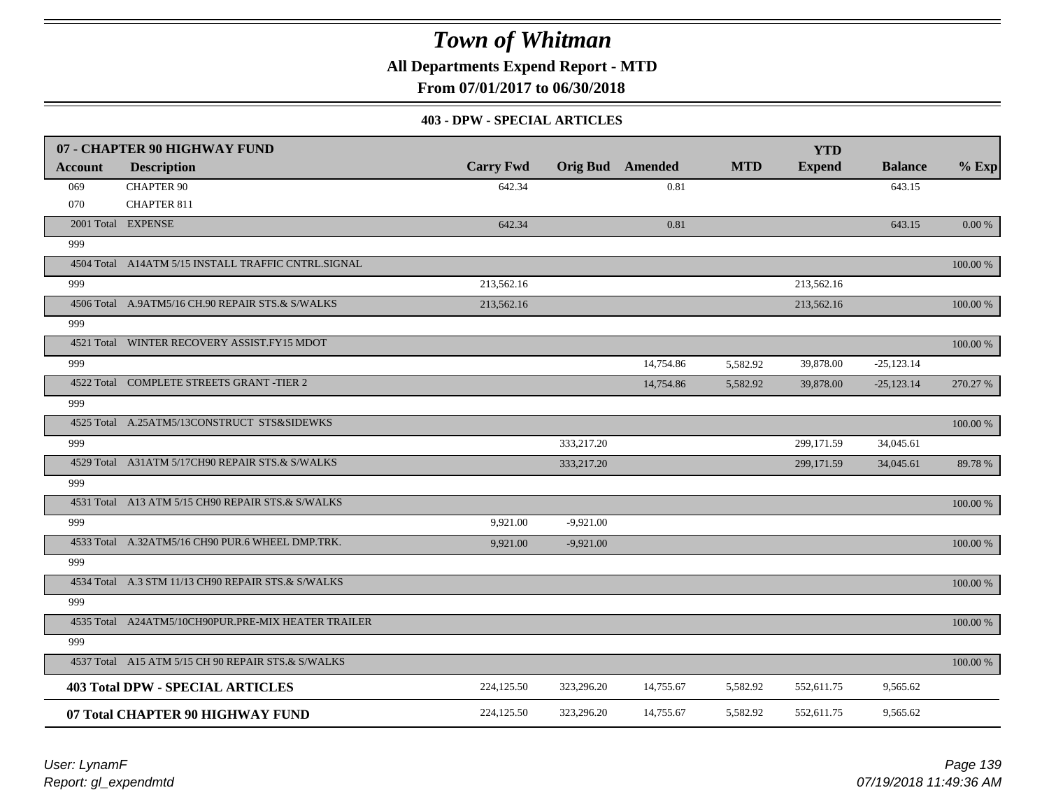**All Departments Expend Report - MTD**

**From 07/01/2017 to 06/30/2018**

#### **403 - DPW - SPECIAL ARTICLES**

|                | 07 - CHAPTER 90 HIGHWAY FUND                        |                  |             |                         |            | <b>YTD</b>    |                |           |
|----------------|-----------------------------------------------------|------------------|-------------|-------------------------|------------|---------------|----------------|-----------|
| <b>Account</b> | <b>Description</b>                                  | <b>Carry Fwd</b> |             | <b>Orig Bud</b> Amended | <b>MTD</b> | <b>Expend</b> | <b>Balance</b> | $%$ Exp   |
| 069            | <b>CHAPTER 90</b>                                   | 642.34           |             | 0.81                    |            |               | 643.15         |           |
| 070            | <b>CHAPTER 811</b>                                  |                  |             |                         |            |               |                |           |
|                | 2001 Total EXPENSE                                  | 642.34           |             | 0.81                    |            |               | 643.15         | $0.00 \%$ |
| 999            |                                                     |                  |             |                         |            |               |                |           |
|                | 4504 Total A14ATM 5/15 INSTALL TRAFFIC CNTRL.SIGNAL |                  |             |                         |            |               |                | 100.00 %  |
| 999            |                                                     | 213,562.16       |             |                         |            | 213,562.16    |                |           |
|                | 4506 Total A.9ATM5/16 CH.90 REPAIR STS.& S/WALKS    | 213,562.16       |             |                         |            | 213,562.16    |                | 100.00 %  |
| 999            |                                                     |                  |             |                         |            |               |                |           |
|                | 4521 Total WINTER RECOVERY ASSIST.FY15 MDOT         |                  |             |                         |            |               |                | 100.00 %  |
| 999            |                                                     |                  |             | 14,754.86               | 5,582.92   | 39,878.00     | $-25,123.14$   |           |
|                | 4522 Total COMPLETE STREETS GRANT -TIER 2           |                  |             | 14,754.86               | 5,582.92   | 39,878.00     | $-25,123.14$   | 270.27 %  |
| 999            |                                                     |                  |             |                         |            |               |                |           |
|                | 4525 Total A.25ATM5/13CONSTRUCT STS&SIDEWKS         |                  |             |                         |            |               |                | 100.00 %  |
| 999            |                                                     |                  | 333,217.20  |                         |            | 299,171.59    | 34,045.61      |           |
|                | 4529 Total A31ATM 5/17CH90 REPAIR STS.& S/WALKS     |                  | 333,217.20  |                         |            | 299,171.59    | 34,045.61      | 89.78%    |
| 999            |                                                     |                  |             |                         |            |               |                |           |
|                | 4531 Total A13 ATM 5/15 CH90 REPAIR STS.& S/WALKS   |                  |             |                         |            |               |                | 100.00 %  |
| 999            |                                                     | 9,921.00         | $-9,921.00$ |                         |            |               |                |           |
|                | 4533 Total A.32ATM5/16 CH90 PUR.6 WHEEL DMP.TRK.    | 9.921.00         | $-9,921.00$ |                         |            |               |                | 100.00 %  |
| 999            |                                                     |                  |             |                         |            |               |                |           |
|                | 4534 Total A.3 STM 11/13 CH90 REPAIR STS.& S/WALKS  |                  |             |                         |            |               |                | 100.00 %  |
| 999            |                                                     |                  |             |                         |            |               |                |           |
|                | 4535 Total A24ATM5/10CH90PUR.PRE-MIX HEATER TRAILER |                  |             |                         |            |               |                | 100.00 %  |
| 999            |                                                     |                  |             |                         |            |               |                |           |
|                | 4537 Total A15 ATM 5/15 CH 90 REPAIR STS.& S/WALKS  |                  |             |                         |            |               |                | 100.00 %  |
|                | <b>403 Total DPW - SPECIAL ARTICLES</b>             | 224,125.50       | 323,296.20  | 14,755.67               | 5,582.92   | 552,611.75    | 9,565.62       |           |
|                | 07 Total CHAPTER 90 HIGHWAY FUND                    | 224,125.50       | 323,296.20  | 14,755.67               | 5,582.92   | 552,611.75    | 9,565.62       |           |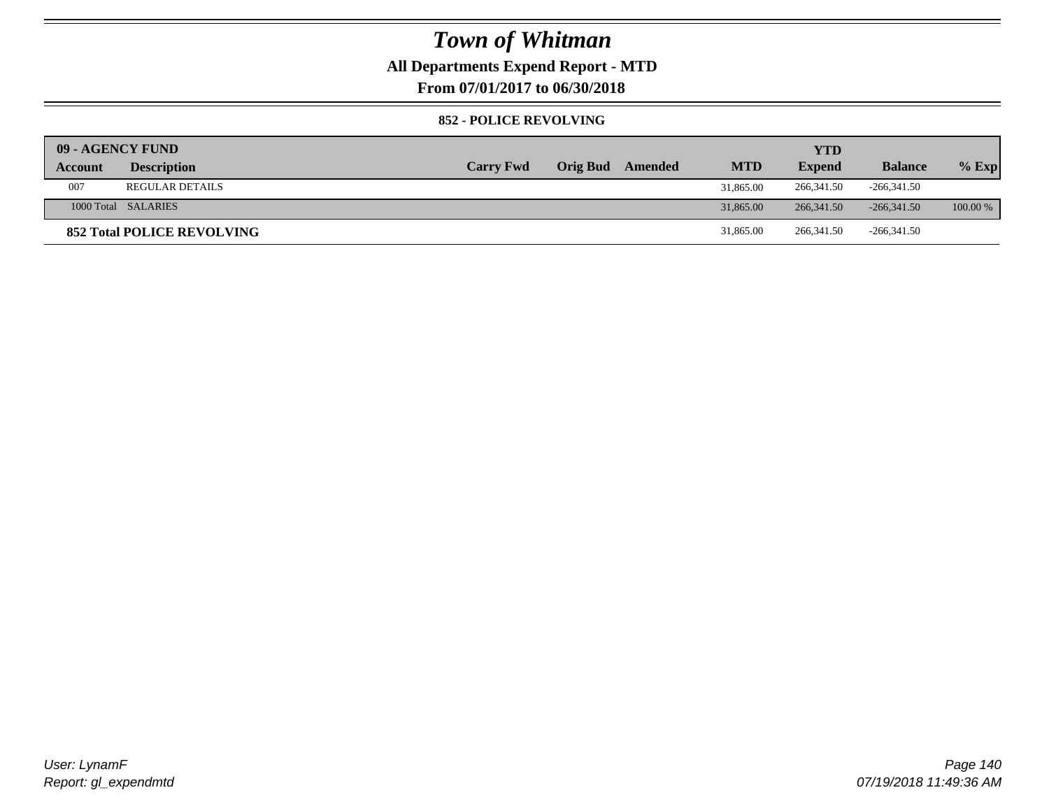### **All Departments Expend Report - MTD**

**From 07/01/2017 to 06/30/2018**

#### **852 - POLICE REVOLVING**

| 09 - AGENCY FUND |                                   |                  |                 |         |            | <b>YTD</b>    |                |            |
|------------------|-----------------------------------|------------------|-----------------|---------|------------|---------------|----------------|------------|
| Account          | <b>Description</b>                | <b>Carry Fwd</b> | <b>Orig Bud</b> | Amended | <b>MTD</b> | <b>Expend</b> | <b>Balance</b> | $%$ Exp    |
| 007              | <b>REGULAR DETAILS</b>            |                  |                 |         | 31,865.00  | 266,341.50    | $-266,341.50$  |            |
|                  | 1000 Total SALARIES               |                  |                 |         | 31,865.00  | 266, 341.50   | $-266,341.50$  | $100.00\%$ |
|                  | <b>852 Total POLICE REVOLVING</b> |                  |                 |         | 31,865.00  | 266, 341.50   | $-266,341.50$  |            |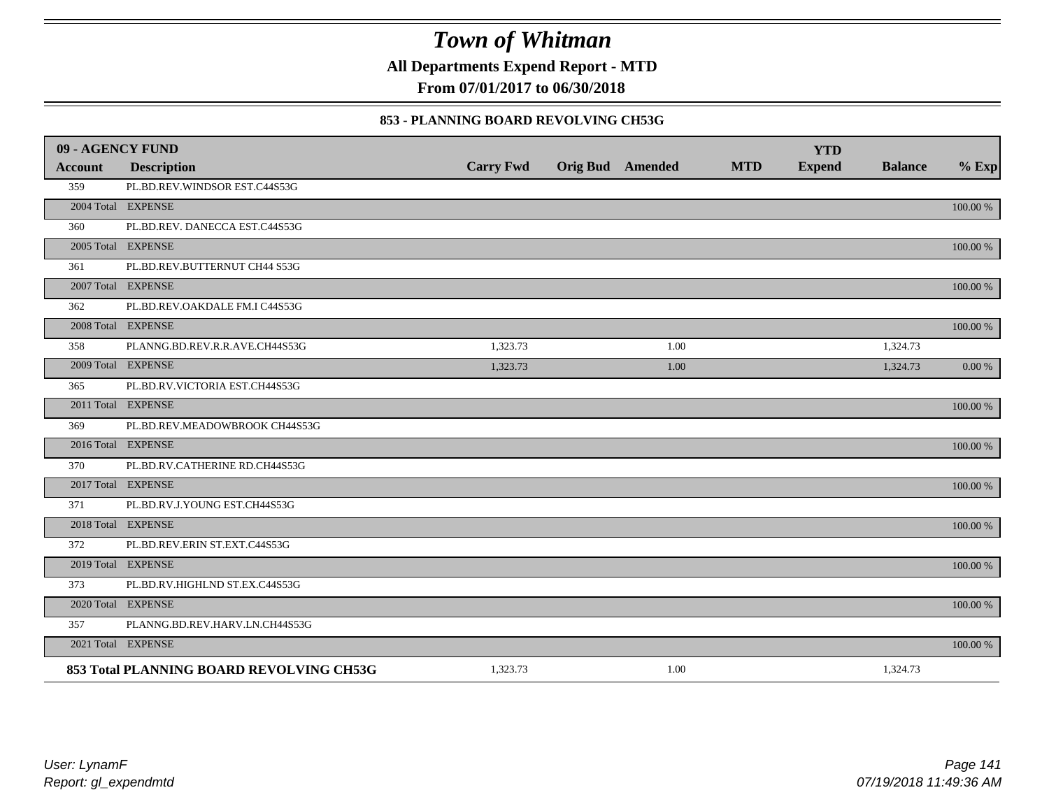**All Departments Expend Report - MTD**

**From 07/01/2017 to 06/30/2018**

#### **853 - PLANNING BOARD REVOLVING CH53G**

| 09 - AGENCY FUND |                                          |                  |                         |            | <b>YTD</b>    |                |             |
|------------------|------------------------------------------|------------------|-------------------------|------------|---------------|----------------|-------------|
| <b>Account</b>   | <b>Description</b>                       | <b>Carry Fwd</b> | <b>Orig Bud</b> Amended | <b>MTD</b> | <b>Expend</b> | <b>Balance</b> | $%$ Exp     |
| 359              | PL.BD.REV.WINDSOR EST.C44S53G            |                  |                         |            |               |                |             |
|                  | 2004 Total EXPENSE                       |                  |                         |            |               |                | 100.00 %    |
| 360              | PL.BD.REV. DANECCA EST.C44S53G           |                  |                         |            |               |                |             |
|                  | 2005 Total EXPENSE                       |                  |                         |            |               |                | 100.00 %    |
| 361              | PL.BD.REV.BUTTERNUT CH44 S53G            |                  |                         |            |               |                |             |
|                  | 2007 Total EXPENSE                       |                  |                         |            |               |                | $100.00~\%$ |
| 362              | PL.BD.REV.OAKDALE FM.I C44S53G           |                  |                         |            |               |                |             |
|                  | 2008 Total EXPENSE                       |                  |                         |            |               |                | 100.00 %    |
| 358              | PLANNG.BD.REV.R.R.AVE.CH44S53G           | 1,323.73         | 1.00                    |            |               | 1,324.73       |             |
|                  | 2009 Total EXPENSE                       | 1,323.73         | 1.00                    |            |               | 1,324.73       | 0.00 %      |
| 365              | PL.BD.RV.VICTORIA EST.CH44S53G           |                  |                         |            |               |                |             |
|                  | 2011 Total EXPENSE                       |                  |                         |            |               |                | $100.00~\%$ |
| 369              | PL.BD.REV.MEADOWBROOK CH44S53G           |                  |                         |            |               |                |             |
|                  | 2016 Total EXPENSE                       |                  |                         |            |               |                | 100.00 %    |
| 370              | PL.BD.RV.CATHERINE RD.CH44S53G           |                  |                         |            |               |                |             |
|                  | 2017 Total EXPENSE                       |                  |                         |            |               |                | 100.00 %    |
| 371              | PL.BD.RV.J.YOUNG EST.CH44S53G            |                  |                         |            |               |                |             |
|                  | 2018 Total EXPENSE                       |                  |                         |            |               |                | 100.00 %    |
| 372              | PL.BD.REV.ERIN ST.EXT.C44S53G            |                  |                         |            |               |                |             |
|                  | 2019 Total EXPENSE                       |                  |                         |            |               |                | 100.00 %    |
| 373              | PL.BD.RV.HIGHLND ST.EX.C44S53G           |                  |                         |            |               |                |             |
|                  | 2020 Total EXPENSE                       |                  |                         |            |               |                | 100.00 %    |
| 357              | PLANNG.BD.REV.HARV.LN.CH44S53G           |                  |                         |            |               |                |             |
|                  | 2021 Total EXPENSE                       |                  |                         |            |               |                | 100.00 %    |
|                  | 853 Total PLANNING BOARD REVOLVING CH53G | 1,323.73         | 1.00                    |            |               | 1,324.73       |             |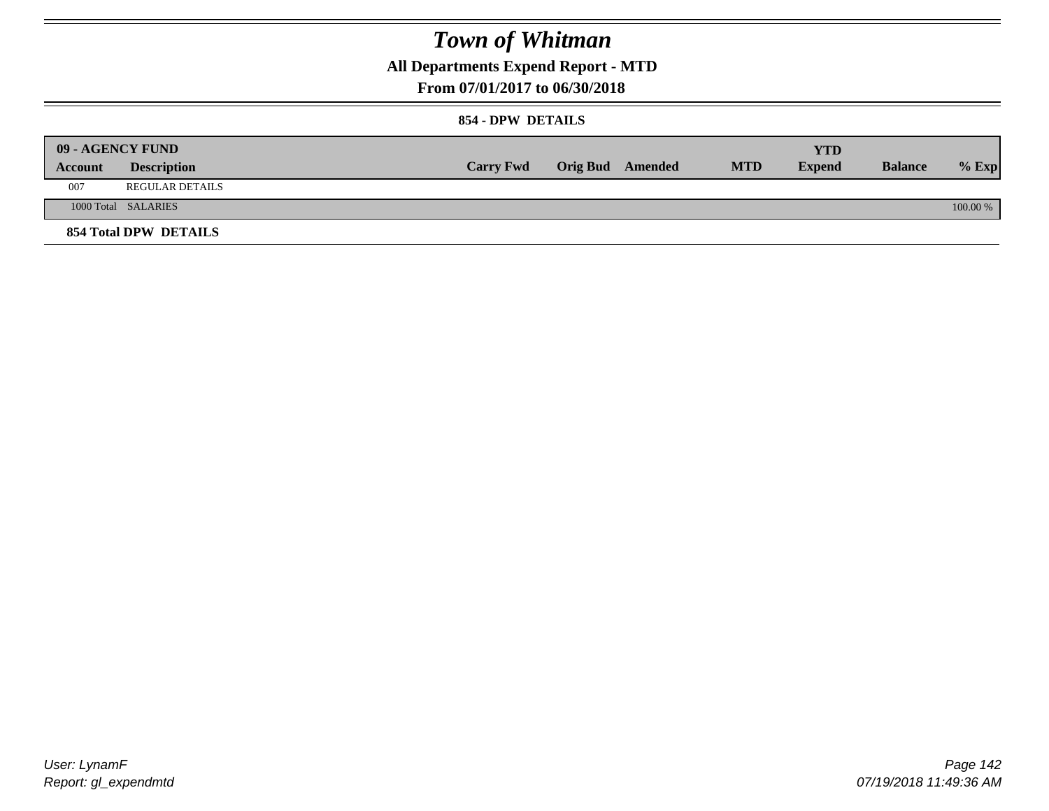### **All Departments Expend Report - MTD**

### **From 07/01/2017 to 06/30/2018**

#### **854 - DPW DETAILS**

|         | 09 - AGENCY FUND      |                  |                         |            | YTD           |                |            |
|---------|-----------------------|------------------|-------------------------|------------|---------------|----------------|------------|
| Account | <b>Description</b>    | <b>Carry Fwd</b> | <b>Orig Bud</b> Amended | <b>MTD</b> | <b>Expend</b> | <b>Balance</b> | $%$ Exp    |
| 007     | REGULAR DETAILS       |                  |                         |            |               |                |            |
|         | 1000 Total SALARIES   |                  |                         |            |               |                | $100.00\%$ |
|         | 854 Total DPW DETAILS |                  |                         |            |               |                |            |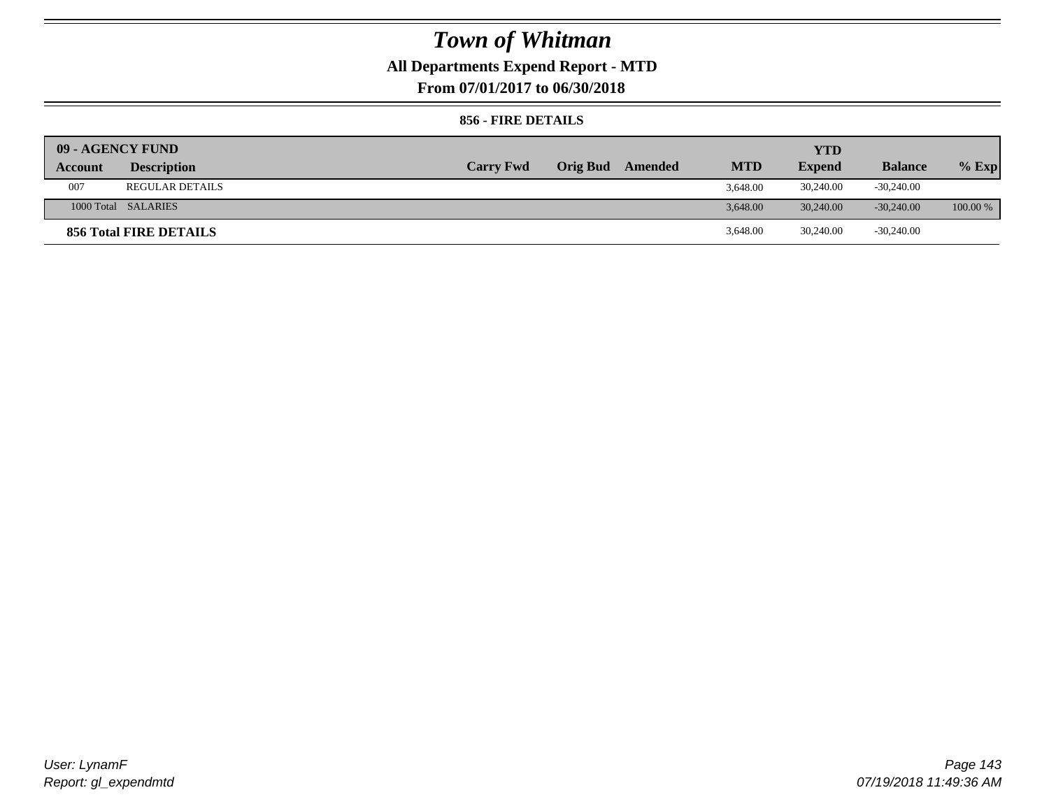### **All Departments Expend Report - MTD**

**From 07/01/2017 to 06/30/2018**

#### **856 - FIRE DETAILS**

| 09 - AGENCY FUND |                        |                  |                         |            | <b>YTD</b>    |                |            |
|------------------|------------------------|------------------|-------------------------|------------|---------------|----------------|------------|
| Account          | <b>Description</b>     | <b>Carry Fwd</b> | <b>Orig Bud</b> Amended | <b>MTD</b> | <b>Expend</b> | <b>Balance</b> | $%$ Exp    |
| 007              | <b>REGULAR DETAILS</b> |                  |                         | 3.648.00   | 30,240.00     | $-30,240.00$   |            |
|                  | 1000 Total SALARIES    |                  |                         | 3.648.00   | 30,240,00     | $-30.240.00$   | $100.00\%$ |
|                  | 856 Total FIRE DETAILS |                  |                         | 3,648.00   | 30,240.00     | $-30,240.00$   |            |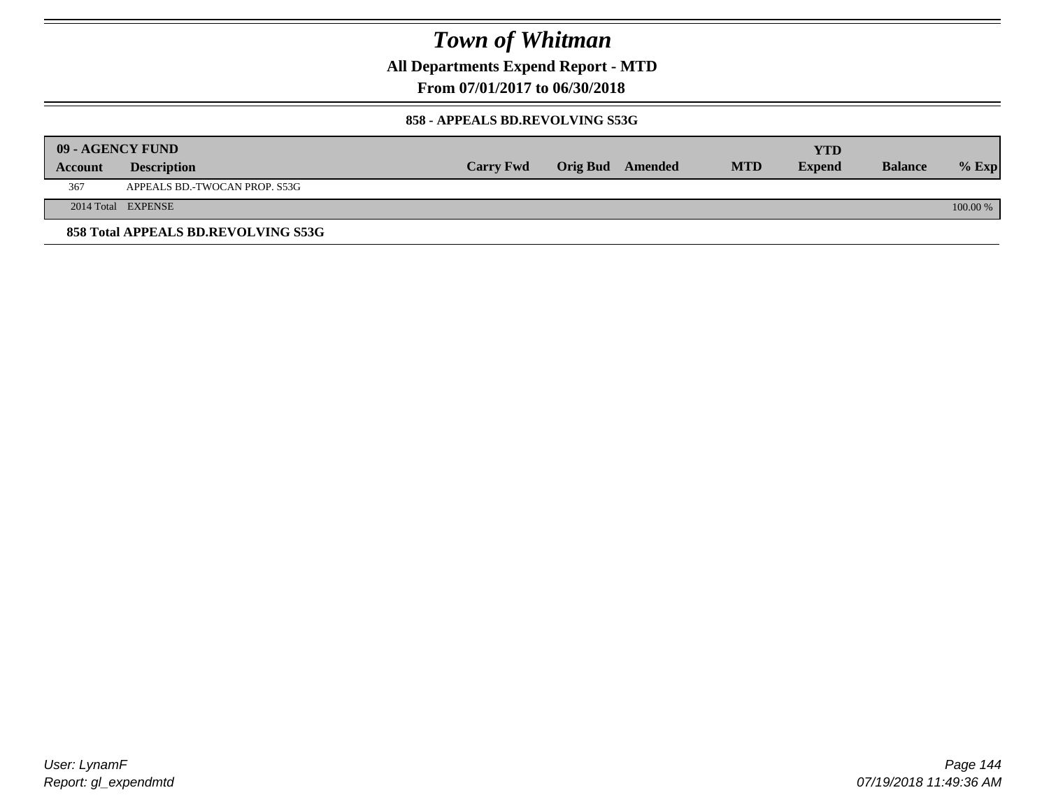**All Departments Expend Report - MTD**

**From 07/01/2017 to 06/30/2018**

#### **858 - APPEALS BD.REVOLVING S53G**

|         | 09 - AGENCY FUND                    |                  |                  |            | YTD           |                |            |
|---------|-------------------------------------|------------------|------------------|------------|---------------|----------------|------------|
| Account | <b>Description</b>                  | <b>Carry Fwd</b> | Orig Bud Amended | <b>MTD</b> | <b>Expend</b> | <b>Balance</b> | $%$ Exp    |
| 367     | APPEALS BD.-TWOCAN PROP. S53G       |                  |                  |            |               |                |            |
|         | 2014 Total EXPENSE                  |                  |                  |            |               |                | $100.00\%$ |
|         | 858 Total APPEALS BD.REVOLVING S53G |                  |                  |            |               |                |            |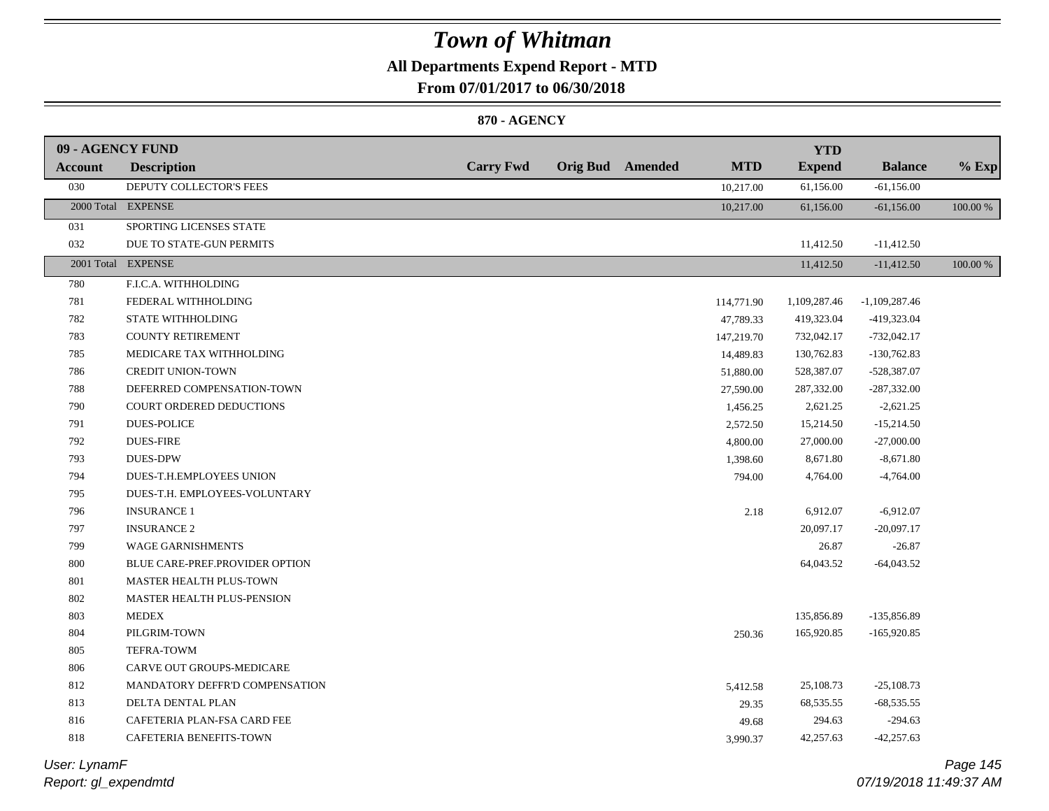## **All Departments Expend Report - MTD**

**From 07/01/2017 to 06/30/2018**

#### **870 - AGENCY**

| 09 - AGENCY FUND |                                   |                  |                         |            | <b>YTD</b>    |                 |          |
|------------------|-----------------------------------|------------------|-------------------------|------------|---------------|-----------------|----------|
| <b>Account</b>   | <b>Description</b>                | <b>Carry Fwd</b> | <b>Orig Bud</b> Amended | <b>MTD</b> | <b>Expend</b> | <b>Balance</b>  | $%$ Exp  |
| 030              | DEPUTY COLLECTOR'S FEES           |                  |                         | 10,217.00  | 61,156.00     | $-61,156.00$    |          |
|                  | 2000 Total EXPENSE                |                  |                         | 10,217.00  | 61,156.00     | $-61,156.00$    | 100.00 % |
| 031              | SPORTING LICENSES STATE           |                  |                         |            |               |                 |          |
| 032              | DUE TO STATE-GUN PERMITS          |                  |                         |            | 11,412.50     | $-11,412.50$    |          |
|                  | 2001 Total EXPENSE                |                  |                         |            | 11,412.50     | $-11,412.50$    | 100.00 % |
| 780              | F.I.C.A. WITHHOLDING              |                  |                         |            |               |                 |          |
| 781              | FEDERAL WITHHOLDING               |                  |                         | 114,771.90 | 1,109,287.46  | $-1,109,287.46$ |          |
| 782              | STATE WITHHOLDING                 |                  |                         | 47,789.33  | 419,323.04    | -419,323.04     |          |
| 783              | <b>COUNTY RETIREMENT</b>          |                  |                         | 147,219.70 | 732,042.17    | $-732,042.17$   |          |
| 785              | MEDICARE TAX WITHHOLDING          |                  |                         | 14,489.83  | 130,762.83    | $-130,762.83$   |          |
| 786              | <b>CREDIT UNION-TOWN</b>          |                  |                         | 51,880.00  | 528,387.07    | -528,387.07     |          |
| 788              | DEFERRED COMPENSATION-TOWN        |                  |                         | 27,590.00  | 287,332.00    | $-287,332.00$   |          |
| 790              | COURT ORDERED DEDUCTIONS          |                  |                         | 1,456.25   | 2,621.25      | $-2,621.25$     |          |
| 791              | <b>DUES-POLICE</b>                |                  |                         | 2,572.50   | 15,214.50     | $-15,214.50$    |          |
| 792              | <b>DUES-FIRE</b>                  |                  |                         | 4,800.00   | 27,000.00     | $-27,000.00$    |          |
| 793              | <b>DUES-DPW</b>                   |                  |                         | 1,398.60   | 8,671.80      | $-8,671.80$     |          |
| 794              | DUES-T.H.EMPLOYEES UNION          |                  |                         | 794.00     | 4,764.00      | $-4,764.00$     |          |
| 795              | DUES-T.H. EMPLOYEES-VOLUNTARY     |                  |                         |            |               |                 |          |
| 796              | <b>INSURANCE 1</b>                |                  |                         | 2.18       | 6,912.07      | $-6,912.07$     |          |
| 797              | <b>INSURANCE 2</b>                |                  |                         |            | 20,097.17     | $-20,097.17$    |          |
| 799              | <b>WAGE GARNISHMENTS</b>          |                  |                         |            | 26.87         | $-26.87$        |          |
| 800              | BLUE CARE-PREF.PROVIDER OPTION    |                  |                         |            | 64,043.52     | $-64,043.52$    |          |
| 801              | MASTER HEALTH PLUS-TOWN           |                  |                         |            |               |                 |          |
| 802              | <b>MASTER HEALTH PLUS-PENSION</b> |                  |                         |            |               |                 |          |
| 803              | <b>MEDEX</b>                      |                  |                         |            | 135,856.89    | -135,856.89     |          |
| 804              | PILGRIM-TOWN                      |                  |                         | 250.36     | 165,920.85    | $-165,920.85$   |          |
| 805              | TEFRA-TOWM                        |                  |                         |            |               |                 |          |
| 806              | CARVE OUT GROUPS-MEDICARE         |                  |                         |            |               |                 |          |
| 812              | MANDATORY DEFFR'D COMPENSATION    |                  |                         | 5,412.58   | 25,108.73     | $-25,108.73$    |          |
| 813              | DELTA DENTAL PLAN                 |                  |                         | 29.35      | 68,535.55     | $-68,535.55$    |          |
| 816              | CAFETERIA PLAN-FSA CARD FEE       |                  |                         | 49.68      | 294.63        | $-294.63$       |          |
| 818              | CAFETERIA BENEFITS-TOWN           |                  |                         | 3,990.37   | 42,257.63     | $-42,257.63$    |          |
|                  |                                   |                  |                         |            |               |                 |          |

*Report: gl\_expendmtd User: LynamF*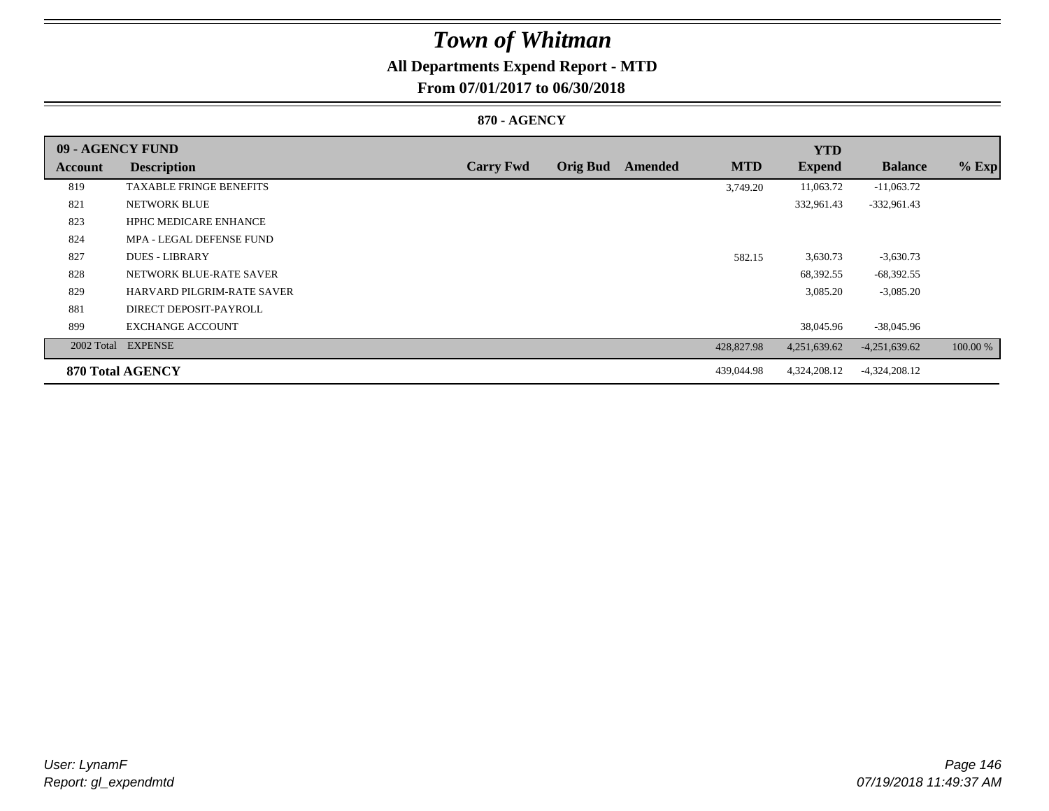## **All Departments Expend Report - MTD**

**From 07/01/2017 to 06/30/2018**

### **870 - AGENCY**

| 09 - AGENCY FUND |                                   |                  |                 |         |            | <b>YTD</b>    |                 |          |
|------------------|-----------------------------------|------------------|-----------------|---------|------------|---------------|-----------------|----------|
| Account          | <b>Description</b>                | <b>Carry Fwd</b> | <b>Orig Bud</b> | Amended | <b>MTD</b> | <b>Expend</b> | <b>Balance</b>  | $%$ Exp  |
| 819              | <b>TAXABLE FRINGE BENEFITS</b>    |                  |                 |         | 3,749.20   | 11,063.72     | $-11,063.72$    |          |
| 821              | NETWORK BLUE                      |                  |                 |         |            | 332,961.43    | $-332,961.43$   |          |
| 823              | <b>HPHC MEDICARE ENHANCE</b>      |                  |                 |         |            |               |                 |          |
| 824              | MPA - LEGAL DEFENSE FUND          |                  |                 |         |            |               |                 |          |
| 827              | <b>DUES - LIBRARY</b>             |                  |                 |         | 582.15     | 3,630.73      | $-3,630.73$     |          |
| 828              | NETWORK BLUE-RATE SAVER           |                  |                 |         |            | 68,392.55     | $-68,392.55$    |          |
| 829              | <b>HARVARD PILGRIM-RATE SAVER</b> |                  |                 |         |            | 3,085.20      | $-3,085.20$     |          |
| 881              | DIRECT DEPOSIT-PAYROLL            |                  |                 |         |            |               |                 |          |
| 899              | <b>EXCHANGE ACCOUNT</b>           |                  |                 |         |            | 38,045.96     | $-38,045.96$    |          |
|                  | 2002 Total EXPENSE                |                  |                 |         | 428,827.98 | 4,251,639.62  | $-4,251,639.62$ | 100.00 % |
|                  | <b>870 Total AGENCY</b>           |                  |                 |         | 439,044.98 | 4,324,208.12  | $-4,324,208.12$ |          |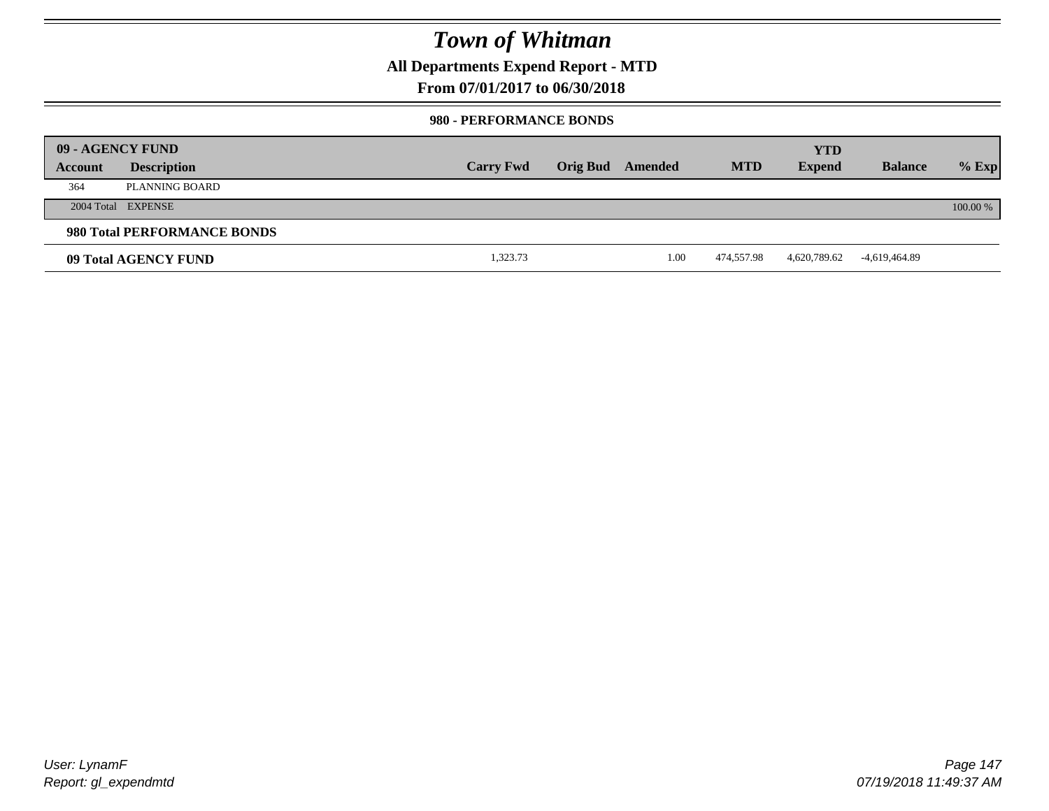**All Departments Expend Report - MTD**

**From 07/01/2017 to 06/30/2018**

#### **980 - PERFORMANCE BONDS**

|         | 09 - AGENCY FUND            |                  |                 |         |            | <b>YTD</b>    |                |          |
|---------|-----------------------------|------------------|-----------------|---------|------------|---------------|----------------|----------|
| Account | <b>Description</b>          | <b>Carry Fwd</b> | <b>Orig Bud</b> | Amended | <b>MTD</b> | <b>Expend</b> | <b>Balance</b> | $%$ Exp  |
| 364     | PLANNING BOARD              |                  |                 |         |            |               |                |          |
|         | 2004 Total EXPENSE          |                  |                 |         |            |               |                | 100.00 % |
|         | 980 Total PERFORMANCE BONDS |                  |                 |         |            |               |                |          |
|         | 09 Total AGENCY FUND        | 1,323.73         |                 | 1.00    | 474,557.98 | 4,620,789.62  | -4,619,464.89  |          |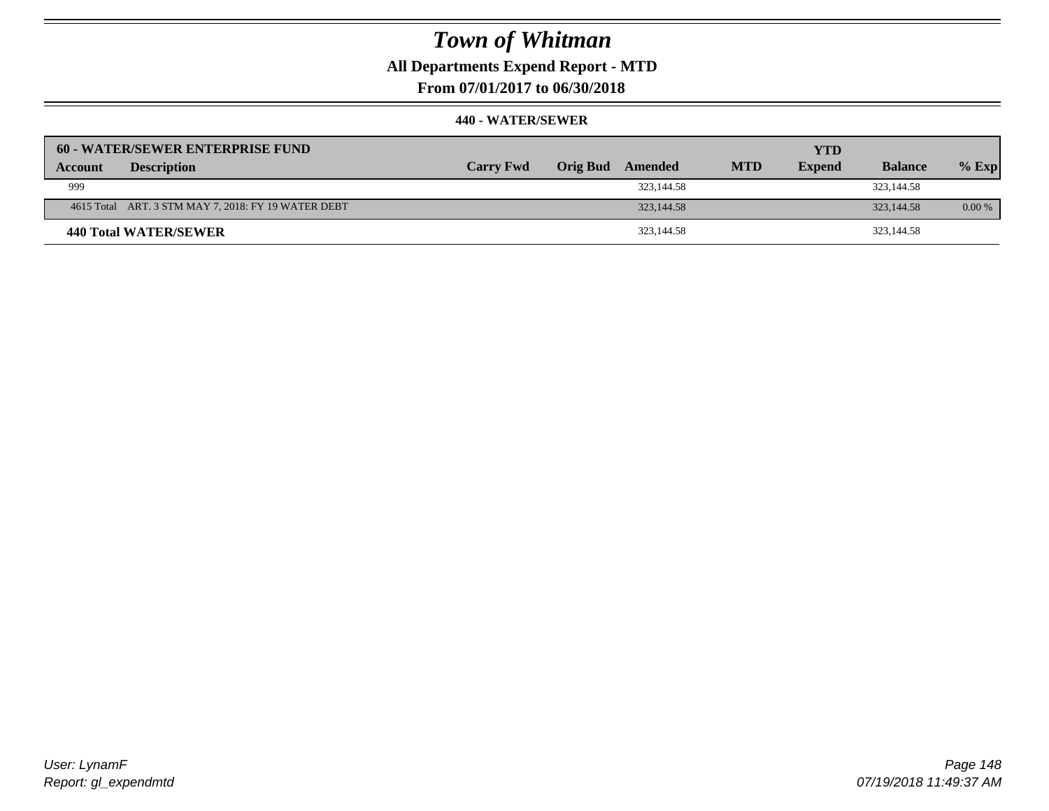## **All Departments Expend Report - MTD**

**From 07/01/2017 to 06/30/2018**

| 60 - WATER/SEWER ENTERPRISE FUND                    |                  |                     |            | <b>YTD</b>    |                |         |
|-----------------------------------------------------|------------------|---------------------|------------|---------------|----------------|---------|
| <b>Description</b><br>Account                       | <b>Carry Fwd</b> | Orig Bud<br>Amended | <b>MTD</b> | <b>Expend</b> | <b>Balance</b> | $%$ Exp |
| 999                                                 |                  | 323,144.58          |            |               | 323,144.58     |         |
| 4615 Total ART. 3 STM MAY 7, 2018: FY 19 WATER DEBT |                  | 323, 144. 58        |            |               | 323, 144. 58   | 0.00%   |
| 440 Total WATER/SEWER                               |                  | 323,144.58          |            |               | 323,144.58     |         |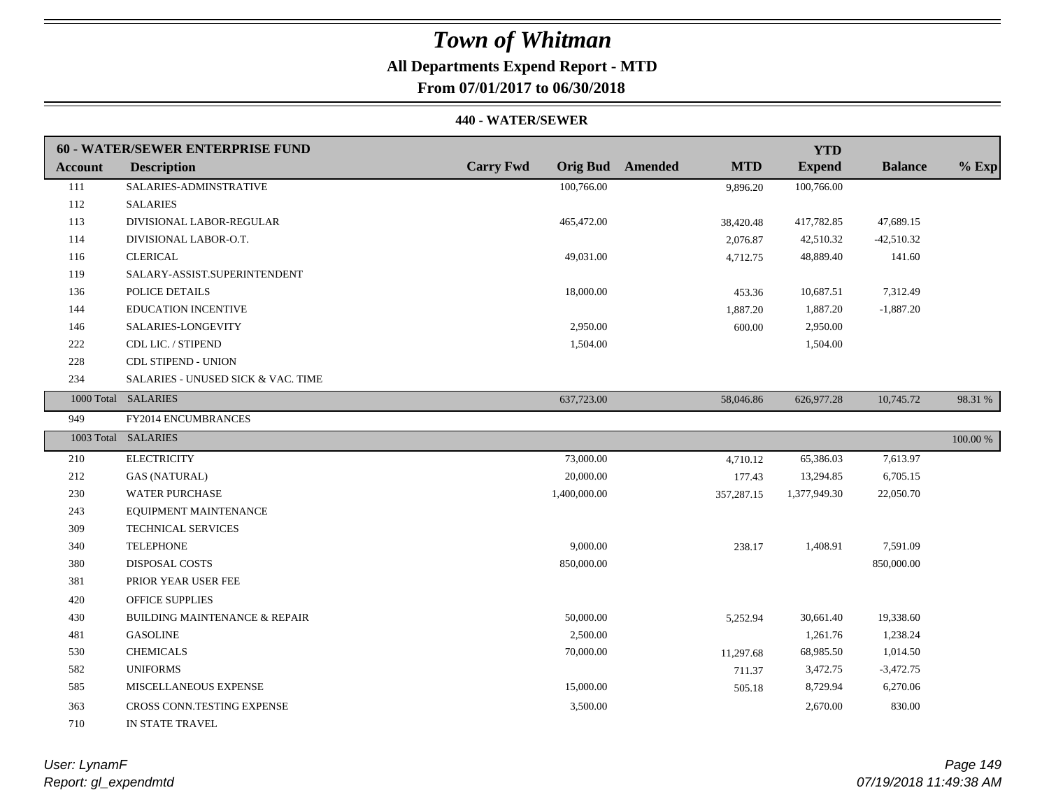## **All Departments Expend Report - MTD**

**From 07/01/2017 to 06/30/2018**

#### **440 - WATER/SEWER**

|         | 60 - WATER/SEWER ENTERPRISE FUND         |                  |                                       | <b>YTD</b>    |                |             |
|---------|------------------------------------------|------------------|---------------------------------------|---------------|----------------|-------------|
| Account | <b>Description</b>                       | <b>Carry Fwd</b> | <b>Orig Bud</b> Amended<br><b>MTD</b> | <b>Expend</b> | <b>Balance</b> | $%$ Exp     |
| 111     | SALARIES-ADMINSTRATIVE                   | 100,766.00       | 9,896.20                              | 100,766.00    |                |             |
| 112     | <b>SALARIES</b>                          |                  |                                       |               |                |             |
| 113     | DIVISIONAL LABOR-REGULAR                 | 465,472.00       | 38,420.48                             | 417,782.85    | 47,689.15      |             |
| 114     | DIVISIONAL LABOR-O.T.                    |                  | 2,076.87                              | 42,510.32     | $-42,510.32$   |             |
| 116     | <b>CLERICAL</b>                          | 49,031.00        | 4,712.75                              | 48,889.40     | 141.60         |             |
| 119     | SALARY-ASSIST.SUPERINTENDENT             |                  |                                       |               |                |             |
| 136     | POLICE DETAILS                           | 18,000.00        | 453.36                                | 10,687.51     | 7,312.49       |             |
| 144     | <b>EDUCATION INCENTIVE</b>               |                  | 1,887.20                              | 1,887.20      | $-1,887.20$    |             |
| 146     | SALARIES-LONGEVITY                       | 2,950.00         | 600.00                                | 2,950.00      |                |             |
| 222     | CDL LIC. / STIPEND                       | 1,504.00         |                                       | 1,504.00      |                |             |
| 228     | <b>CDL STIPEND - UNION</b>               |                  |                                       |               |                |             |
| 234     | SALARIES - UNUSED SICK & VAC. TIME       |                  |                                       |               |                |             |
|         | 1000 Total SALARIES                      | 637,723.00       | 58,046.86                             | 626,977.28    | 10,745.72      | 98.31 %     |
| 949     | FY2014 ENCUMBRANCES                      |                  |                                       |               |                |             |
|         | 1003 Total SALARIES                      |                  |                                       |               |                | $100.00~\%$ |
| 210     | <b>ELECTRICITY</b>                       | 73,000.00        | 4,710.12                              | 65,386.03     | 7,613.97       |             |
| 212     | <b>GAS (NATURAL)</b>                     | 20,000.00        | 177.43                                | 13,294.85     | 6,705.15       |             |
| 230     | <b>WATER PURCHASE</b>                    | 1,400,000.00     | 357,287.15                            | 1,377,949.30  | 22,050.70      |             |
| 243     | EQUIPMENT MAINTENANCE                    |                  |                                       |               |                |             |
| 309     | TECHNICAL SERVICES                       |                  |                                       |               |                |             |
| 340     | <b>TELEPHONE</b>                         | 9,000.00         | 238.17                                | 1,408.91      | 7,591.09       |             |
| 380     | DISPOSAL COSTS                           | 850,000.00       |                                       |               | 850,000.00     |             |
| 381     | PRIOR YEAR USER FEE                      |                  |                                       |               |                |             |
| 420     | <b>OFFICE SUPPLIES</b>                   |                  |                                       |               |                |             |
| 430     | <b>BUILDING MAINTENANCE &amp; REPAIR</b> | 50,000.00        | 5,252.94                              | 30,661.40     | 19,338.60      |             |
| 481     | <b>GASOLINE</b>                          | 2,500.00         |                                       | 1,261.76      | 1,238.24       |             |
| 530     | <b>CHEMICALS</b>                         | 70,000.00        | 11,297.68                             | 68,985.50     | 1,014.50       |             |
| 582     | <b>UNIFORMS</b>                          |                  | 711.37                                | 3,472.75      | $-3,472.75$    |             |
| 585     | MISCELLANEOUS EXPENSE                    | 15,000.00        | 505.18                                | 8,729.94      | 6,270.06       |             |
| 363     | CROSS CONN.TESTING EXPENSE               | 3,500.00         |                                       | 2,670.00      | 830.00         |             |
| 710     | IN STATE TRAVEL                          |                  |                                       |               |                |             |

*Report: gl\_expendmtd User: LynamF*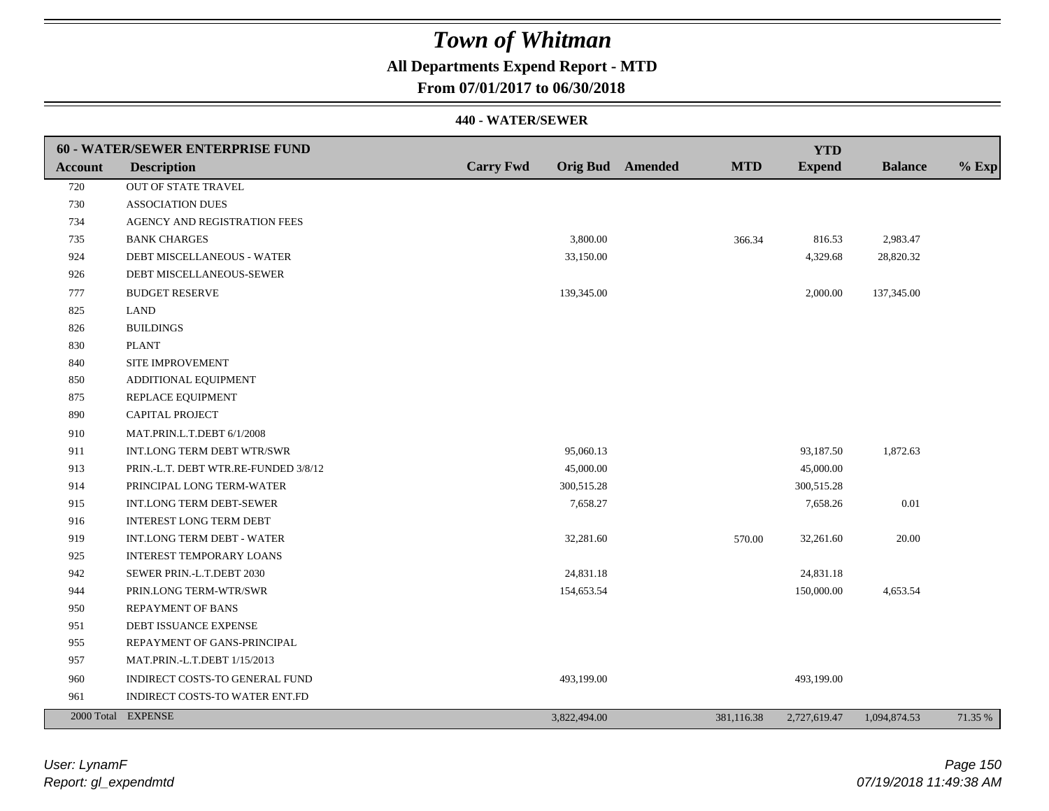## **All Departments Expend Report - MTD**

**From 07/01/2017 to 06/30/2018**

|                | 60 - WATER/SEWER ENTERPRISE FUND     |                  |                                       | <b>YTD</b>    |                |         |
|----------------|--------------------------------------|------------------|---------------------------------------|---------------|----------------|---------|
| <b>Account</b> | <b>Description</b>                   | <b>Carry Fwd</b> | <b>MTD</b><br><b>Orig Bud</b> Amended | <b>Expend</b> | <b>Balance</b> | $%$ Exp |
| 720            | OUT OF STATE TRAVEL                  |                  |                                       |               |                |         |
| 730            | <b>ASSOCIATION DUES</b>              |                  |                                       |               |                |         |
| 734            | AGENCY AND REGISTRATION FEES         |                  |                                       |               |                |         |
| 735            | <b>BANK CHARGES</b>                  | 3,800.00         | 366.34                                | 816.53        | 2,983.47       |         |
| 924            | DEBT MISCELLANEOUS - WATER           | 33,150.00        |                                       | 4,329.68      | 28,820.32      |         |
| 926            | DEBT MISCELLANEOUS-SEWER             |                  |                                       |               |                |         |
| 777            | <b>BUDGET RESERVE</b>                | 139,345.00       |                                       | 2,000.00      | 137,345.00     |         |
| 825            | LAND                                 |                  |                                       |               |                |         |
| 826            | <b>BUILDINGS</b>                     |                  |                                       |               |                |         |
| 830            | <b>PLANT</b>                         |                  |                                       |               |                |         |
| 840            | SITE IMPROVEMENT                     |                  |                                       |               |                |         |
| 850            | ADDITIONAL EQUIPMENT                 |                  |                                       |               |                |         |
| 875            | REPLACE EQUIPMENT                    |                  |                                       |               |                |         |
| 890            | <b>CAPITAL PROJECT</b>               |                  |                                       |               |                |         |
| 910            | MAT.PRIN.L.T.DEBT 6/1/2008           |                  |                                       |               |                |         |
| 911            | INT.LONG TERM DEBT WTR/SWR           | 95,060.13        |                                       | 93,187.50     | 1,872.63       |         |
| 913            | PRIN.-L.T. DEBT WTR.RE-FUNDED 3/8/12 | 45,000.00        |                                       | 45,000.00     |                |         |
| 914            | PRINCIPAL LONG TERM-WATER            | 300,515.28       |                                       | 300,515.28    |                |         |
| 915            | INT.LONG TERM DEBT-SEWER             | 7,658.27         |                                       | 7,658.26      | 0.01           |         |
| 916            | <b>INTEREST LONG TERM DEBT</b>       |                  |                                       |               |                |         |
| 919            | INT.LONG TERM DEBT - WATER           | 32,281.60        | 570.00                                | 32,261.60     | 20.00          |         |
| 925            | <b>INTEREST TEMPORARY LOANS</b>      |                  |                                       |               |                |         |
| 942            | SEWER PRIN.-L.T.DEBT 2030            | 24,831.18        |                                       | 24,831.18     |                |         |
| 944            | PRIN.LONG TERM-WTR/SWR               | 154,653.54       |                                       | 150,000.00    | 4,653.54       |         |
| 950            | <b>REPAYMENT OF BANS</b>             |                  |                                       |               |                |         |
| 951            | DEBT ISSUANCE EXPENSE                |                  |                                       |               |                |         |
| 955            | REPAYMENT OF GANS-PRINCIPAL          |                  |                                       |               |                |         |
| 957            | MAT.PRIN.-L.T.DEBT 1/15/2013         |                  |                                       |               |                |         |
| 960            | INDIRECT COSTS-TO GENERAL FUND       | 493,199.00       |                                       | 493,199.00    |                |         |
| 961            | INDIRECT COSTS-TO WATER ENT.FD       |                  |                                       |               |                |         |
|                | 2000 Total EXPENSE                   | 3,822,494.00     | 381,116.38                            | 2,727,619.47  | 1,094,874.53   | 71.35 % |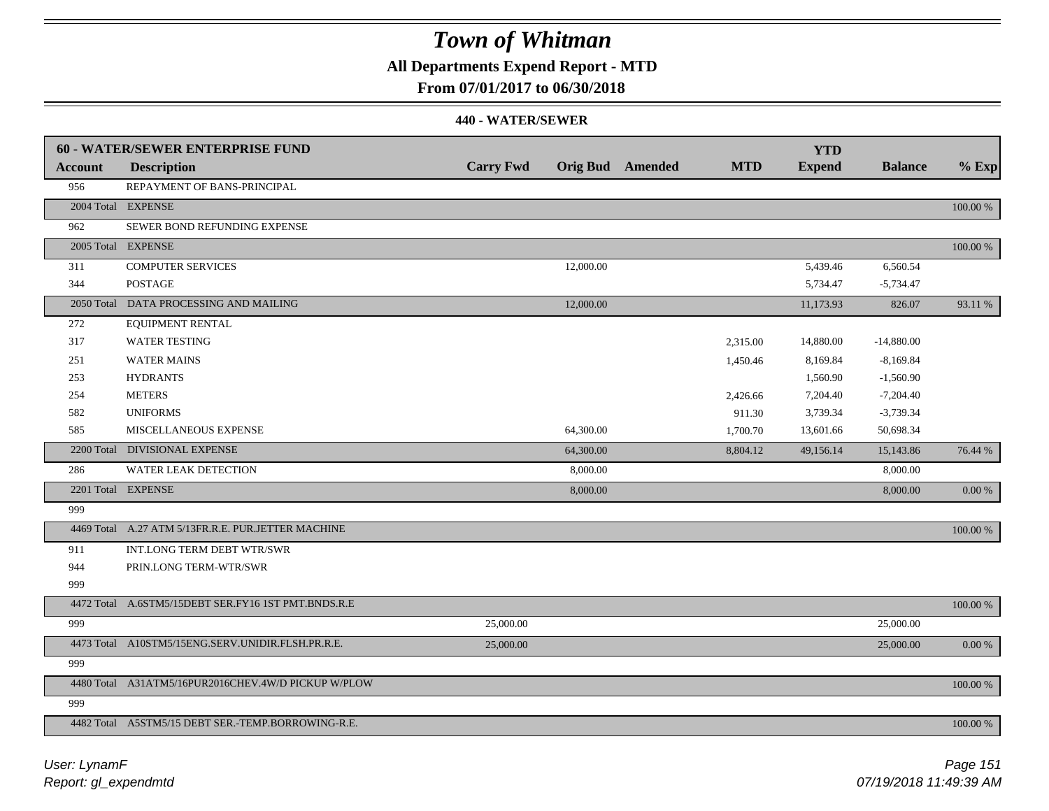## **All Departments Expend Report - MTD**

### **From 07/01/2017 to 06/30/2018**

|                | 60 - WATER/SEWER ENTERPRISE FUND                    |                  |           |                         |            | <b>YTD</b>    |                |            |
|----------------|-----------------------------------------------------|------------------|-----------|-------------------------|------------|---------------|----------------|------------|
| <b>Account</b> | <b>Description</b>                                  | <b>Carry Fwd</b> |           | <b>Orig Bud</b> Amended | <b>MTD</b> | <b>Expend</b> | <b>Balance</b> | $%$ Exp    |
| 956            | REPAYMENT OF BANS-PRINCIPAL                         |                  |           |                         |            |               |                |            |
|                | 2004 Total EXPENSE                                  |                  |           |                         |            |               |                | 100.00 %   |
| 962            | SEWER BOND REFUNDING EXPENSE                        |                  |           |                         |            |               |                |            |
|                | 2005 Total EXPENSE                                  |                  |           |                         |            |               |                | 100.00 %   |
| 311            | <b>COMPUTER SERVICES</b>                            |                  | 12,000.00 |                         |            | 5,439.46      | 6,560.54       |            |
| 344            | <b>POSTAGE</b>                                      |                  |           |                         |            | 5,734.47      | $-5,734.47$    |            |
|                | 2050 Total DATA PROCESSING AND MAILING              |                  | 12,000.00 |                         |            | 11,173.93     | 826.07         | 93.11 %    |
| 272            | <b>EQUIPMENT RENTAL</b>                             |                  |           |                         |            |               |                |            |
| 317            | <b>WATER TESTING</b>                                |                  |           |                         | 2,315.00   | 14,880.00     | $-14,880.00$   |            |
| 251            | <b>WATER MAINS</b>                                  |                  |           |                         | 1,450.46   | 8,169.84      | $-8,169.84$    |            |
| 253            | <b>HYDRANTS</b>                                     |                  |           |                         |            | 1,560.90      | $-1,560.90$    |            |
| 254            | <b>METERS</b>                                       |                  |           |                         | 2,426.66   | 7,204.40      | $-7,204.40$    |            |
| 582            | <b>UNIFORMS</b>                                     |                  |           |                         | 911.30     | 3,739.34      | $-3,739.34$    |            |
| 585            | <b>MISCELLANEOUS EXPENSE</b>                        |                  | 64,300.00 |                         | 1,700.70   | 13,601.66     | 50,698.34      |            |
|                | 2200 Total DIVISIONAL EXPENSE                       |                  | 64,300.00 |                         | 8,804.12   | 49,156.14     | 15,143.86      | 76.44 %    |
| 286            | <b>WATER LEAK DETECTION</b>                         |                  | 8,000.00  |                         |            |               | 8,000.00       |            |
|                | 2201 Total EXPENSE                                  |                  | 8,000.00  |                         |            |               | 8,000.00       | 0.00 %     |
| 999            |                                                     |                  |           |                         |            |               |                |            |
|                | 4469 Total A.27 ATM 5/13FR.R.E. PUR.JETTER MACHINE  |                  |           |                         |            |               |                | 100.00 %   |
| 911            | INT.LONG TERM DEBT WTR/SWR                          |                  |           |                         |            |               |                |            |
| 944            | PRIN.LONG TERM-WTR/SWR                              |                  |           |                         |            |               |                |            |
| 999            |                                                     |                  |           |                         |            |               |                |            |
|                | 4472 Total A.6STM5/15DEBT SER.FY16 1ST PMT.BNDS.R.E |                  |           |                         |            |               |                | 100.00 %   |
| 999            |                                                     | 25,000.00        |           |                         |            |               | 25,000.00      |            |
|                | 4473 Total A10STM5/15ENG.SERV.UNIDIR.FLSH.PR.R.E.   | 25,000.00        |           |                         |            |               | 25,000.00      | $0.00\ \%$ |
| 999            |                                                     |                  |           |                         |            |               |                |            |
|                | 4480 Total A31ATM5/16PUR2016CHEV.4W/D PICKUP W/PLOW |                  |           |                         |            |               |                | 100.00 %   |
| 999            |                                                     |                  |           |                         |            |               |                |            |
|                | 4482 Total A5STM5/15 DEBT SER.-TEMP.BORROWING-R.E.  |                  |           |                         |            |               |                | 100.00 %   |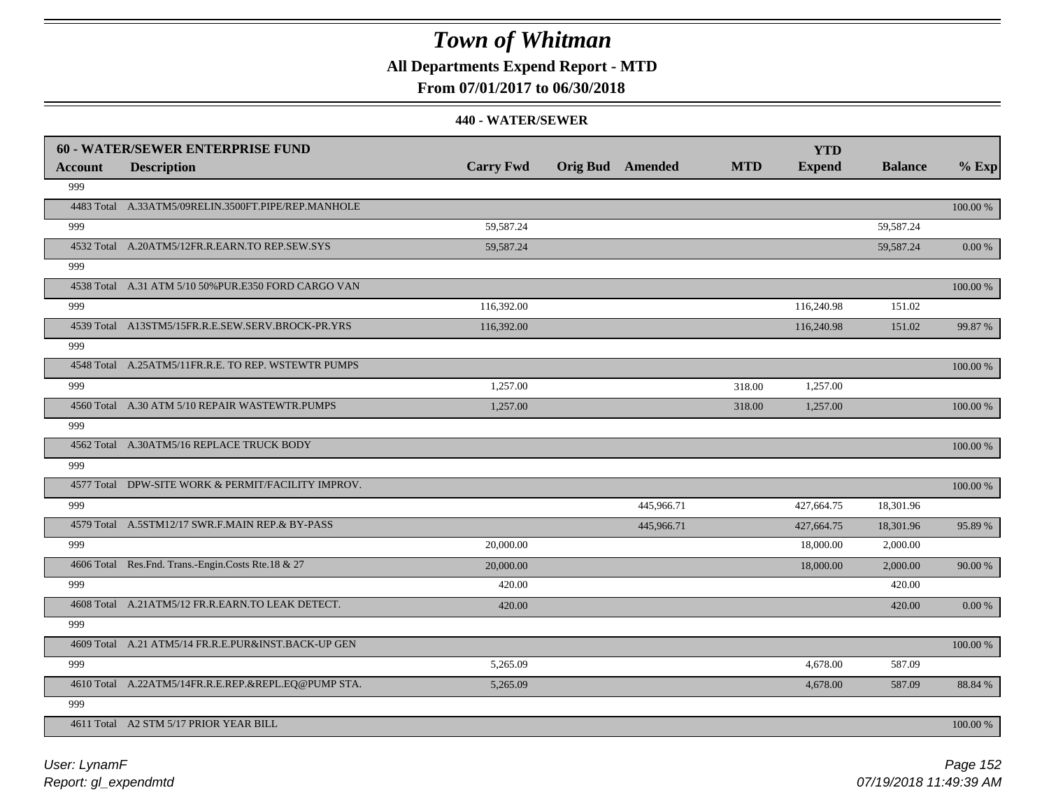## **All Departments Expend Report - MTD**

### **From 07/01/2017 to 06/30/2018**

|         | <b>60 - WATER/SEWER ENTERPRISE FUND</b>              |                  |                         |            | <b>YTD</b>    |                |             |
|---------|------------------------------------------------------|------------------|-------------------------|------------|---------------|----------------|-------------|
| Account | <b>Description</b>                                   | <b>Carry Fwd</b> | <b>Orig Bud</b> Amended | <b>MTD</b> | <b>Expend</b> | <b>Balance</b> | $%$ Exp     |
| 999     |                                                      |                  |                         |            |               |                |             |
|         | 4483 Total A.33ATM5/09RELIN.3500FT.PIPE/REP.MANHOLE  |                  |                         |            |               |                | $100.00~\%$ |
| 999     |                                                      | 59,587.24        |                         |            |               | 59,587.24      |             |
|         | 4532 Total A.20ATM5/12FR.R.EARN.TO REP.SEW.SYS       | 59,587.24        |                         |            |               | 59,587.24      | 0.00 %      |
| 999     |                                                      |                  |                         |            |               |                |             |
|         | 4538 Total A.31 ATM 5/10 50% PUR.E350 FORD CARGO VAN |                  |                         |            |               |                | 100.00 %    |
| 999     |                                                      | 116,392.00       |                         |            | 116,240.98    | 151.02         |             |
|         | 4539 Total A13STM5/15FR.R.E.SEW.SERV.BROCK-PR.YRS    | 116,392.00       |                         |            | 116,240.98    | 151.02         | 99.87 %     |
| 999     |                                                      |                  |                         |            |               |                |             |
|         | 4548 Total A.25ATM5/11FR.R.E. TO REP. WSTEWTR PUMPS  |                  |                         |            |               |                | 100.00 %    |
| 999     |                                                      | 1,257.00         |                         | 318.00     | 1,257.00      |                |             |
|         | 4560 Total A.30 ATM 5/10 REPAIR WASTEWTR.PUMPS       | 1,257.00         |                         | 318.00     | 1,257.00      |                | 100.00 %    |
| 999     |                                                      |                  |                         |            |               |                |             |
|         | 4562 Total A.30ATM5/16 REPLACE TRUCK BODY            |                  |                         |            |               |                | 100.00 %    |
| 999     |                                                      |                  |                         |            |               |                |             |
|         | 4577 Total DPW-SITE WORK & PERMIT/FACILITY IMPROV.   |                  |                         |            |               |                | $100.00~\%$ |
| 999     |                                                      |                  | 445,966.71              |            | 427,664.75    | 18,301.96      |             |
|         | 4579 Total A.5STM12/17 SWR.F.MAIN REP.& BY-PASS      |                  | 445,966.71              |            | 427,664.75    | 18,301.96      | 95.89 %     |
| 999     |                                                      | 20,000.00        |                         |            | 18,000.00     | 2,000.00       |             |
|         | 4606 Total Res.Fnd. Trans.-Engin.Costs Rte.18 & 27   | 20,000.00        |                         |            | 18,000.00     | 2,000.00       | 90.00 %     |
| 999     |                                                      | 420.00           |                         |            |               | 420.00         |             |
|         | 4608 Total A.21ATM5/12 FR.R.EARN.TO LEAK DETECT.     | 420.00           |                         |            |               | 420.00         | 0.00 %      |
| 999     |                                                      |                  |                         |            |               |                |             |
|         | 4609 Total A.21 ATM5/14 FR.R.E.PUR&INST.BACK-UP GEN  |                  |                         |            |               |                | 100.00 %    |
| 999     |                                                      | 5,265.09         |                         |            | 4,678.00      | 587.09         |             |
|         | 4610 Total A.22ATM5/14FR.R.E.REP.&REPL.EQ@PUMP STA.  | 5,265.09         |                         |            | 4,678.00      | 587.09         | 88.84 %     |
| 999     |                                                      |                  |                         |            |               |                |             |
|         | 4611 Total A2 STM 5/17 PRIOR YEAR BILL               |                  |                         |            |               |                | 100.00 %    |
|         |                                                      |                  |                         |            |               |                |             |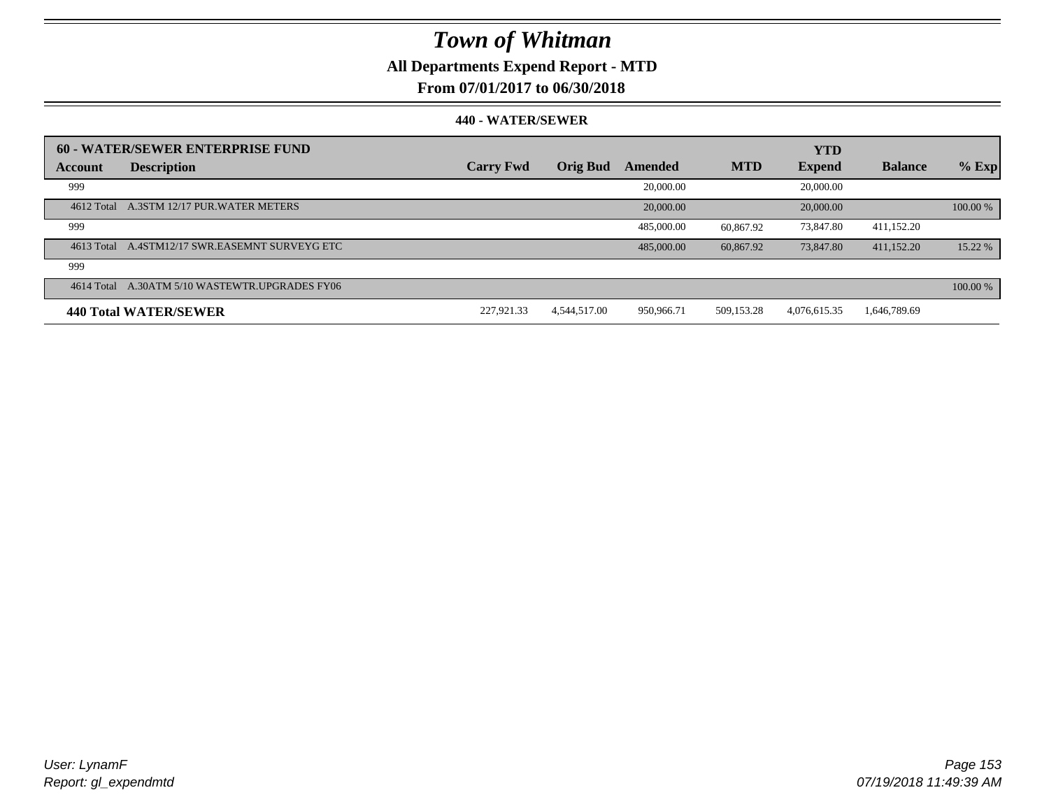## **All Departments Expend Report - MTD**

### **From 07/01/2017 to 06/30/2018**

|         | 60 - WATER/SEWER ENTERPRISE FUND               |                  |                 |            |            | <b>YTD</b>    |                |          |
|---------|------------------------------------------------|------------------|-----------------|------------|------------|---------------|----------------|----------|
| Account | <b>Description</b>                             | <b>Carry Fwd</b> | <b>Orig Bud</b> | Amended    | <b>MTD</b> | <b>Expend</b> | <b>Balance</b> | $%$ Exp  |
| 999     |                                                |                  |                 | 20,000.00  |            | 20,000.00     |                |          |
|         | 4612 Total A.3STM 12/17 PUR.WATER METERS       |                  |                 | 20,000.00  |            | 20,000.00     |                | 100.00 % |
| 999     |                                                |                  |                 | 485,000.00 | 60.867.92  | 73.847.80     | 411.152.20     |          |
|         | 4613 Total A.4STM12/17 SWR.EASEMNT SURVEYG ETC |                  |                 | 485,000.00 | 60.867.92  | 73,847.80     | 411.152.20     | 15.22 %  |
| 999     |                                                |                  |                 |            |            |               |                |          |
|         | 4614 Total A.30ATM 5/10 WASTEWTR.UPGRADES FY06 |                  |                 |            |            |               |                | 100.00 % |
|         | 440 Total WATER/SEWER                          | 227,921.33       | 4.544.517.00    | 950,966.71 | 509.153.28 | 4,076,615.35  | 1,646,789.69   |          |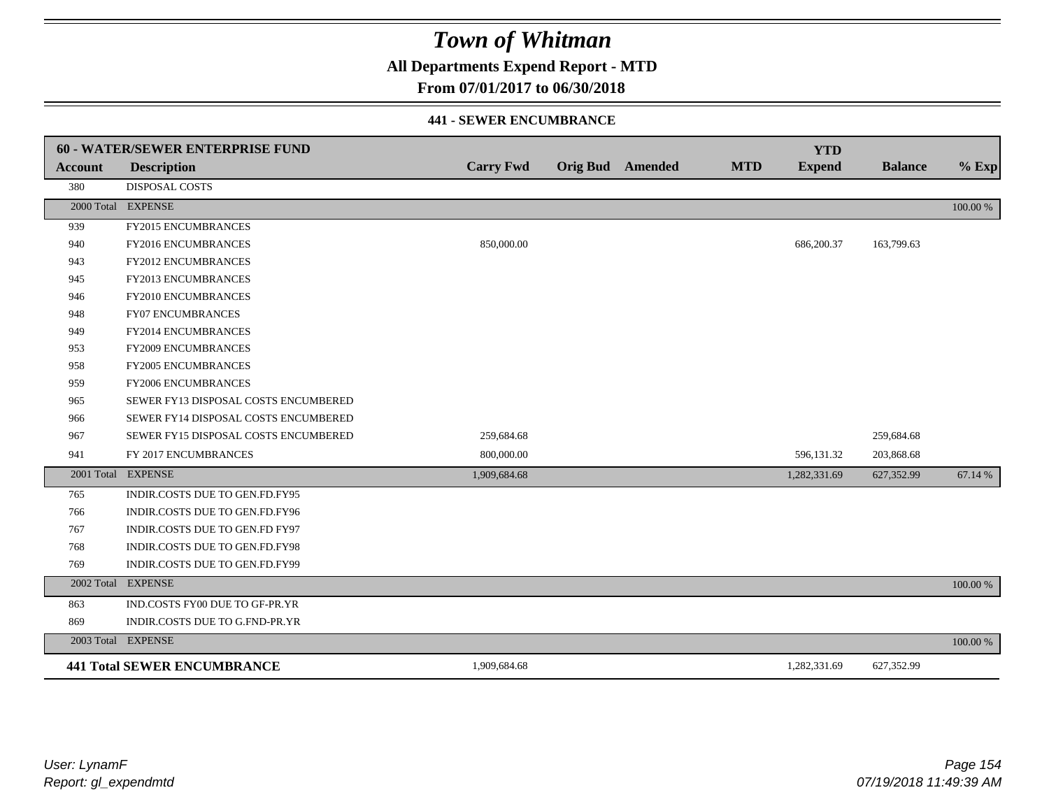**All Departments Expend Report - MTD**

### **From 07/01/2017 to 06/30/2018**

#### **441 - SEWER ENCUMBRANCE**

|                | <b>60 - WATER/SEWER ENTERPRISE FUND</b> |                  |                         |            | <b>YTD</b>    |                |          |
|----------------|-----------------------------------------|------------------|-------------------------|------------|---------------|----------------|----------|
| <b>Account</b> | <b>Description</b>                      | <b>Carry Fwd</b> | <b>Orig Bud</b> Amended | <b>MTD</b> | <b>Expend</b> | <b>Balance</b> | $%$ Exp  |
| 380            | <b>DISPOSAL COSTS</b>                   |                  |                         |            |               |                |          |
|                | 2000 Total EXPENSE                      |                  |                         |            |               |                | 100.00 % |
| 939            | FY2015 ENCUMBRANCES                     |                  |                         |            |               |                |          |
| 940            | FY2016 ENCUMBRANCES                     | 850,000.00       |                         |            | 686,200.37    | 163,799.63     |          |
| 943            | <b>FY2012 ENCUMBRANCES</b>              |                  |                         |            |               |                |          |
| 945            | FY2013 ENCUMBRANCES                     |                  |                         |            |               |                |          |
| 946            | FY2010 ENCUMBRANCES                     |                  |                         |            |               |                |          |
| 948            | <b>FY07 ENCUMBRANCES</b>                |                  |                         |            |               |                |          |
| 949            | FY2014 ENCUMBRANCES                     |                  |                         |            |               |                |          |
| 953            | <b>FY2009 ENCUMBRANCES</b>              |                  |                         |            |               |                |          |
| 958            | <b>FY2005 ENCUMBRANCES</b>              |                  |                         |            |               |                |          |
| 959            | <b>FY2006 ENCUMBRANCES</b>              |                  |                         |            |               |                |          |
| 965            | SEWER FY13 DISPOSAL COSTS ENCUMBERED    |                  |                         |            |               |                |          |
| 966            | SEWER FY14 DISPOSAL COSTS ENCUMBERED    |                  |                         |            |               |                |          |
| 967            | SEWER FY15 DISPOSAL COSTS ENCUMBERED    | 259,684.68       |                         |            |               | 259,684.68     |          |
| 941            | FY 2017 ENCUMBRANCES                    | 800,000.00       |                         |            | 596,131.32    | 203,868.68     |          |
|                | 2001 Total EXPENSE                      | 1,909,684.68     |                         |            | 1,282,331.69  | 627,352.99     | 67.14 %  |
| 765            | INDIR.COSTS DUE TO GEN.FD.FY95          |                  |                         |            |               |                |          |
| 766            | INDIR.COSTS DUE TO GEN.FD.FY96          |                  |                         |            |               |                |          |
| 767            | INDIR.COSTS DUE TO GEN.FD FY97          |                  |                         |            |               |                |          |
| 768            | INDIR.COSTS DUE TO GEN.FD.FY98          |                  |                         |            |               |                |          |
| 769            | INDIR.COSTS DUE TO GEN.FD.FY99          |                  |                         |            |               |                |          |
|                | 2002 Total EXPENSE                      |                  |                         |            |               |                | 100.00 % |
| 863            | IND.COSTS FY00 DUE TO GF-PR.YR          |                  |                         |            |               |                |          |
| 869            | INDIR.COSTS DUE TO G.FND-PR.YR          |                  |                         |            |               |                |          |
|                | 2003 Total EXPENSE                      |                  |                         |            |               |                | 100.00 % |
|                | <b>441 Total SEWER ENCUMBRANCE</b>      | 1,909,684.68     |                         |            | 1,282,331.69  | 627,352.99     |          |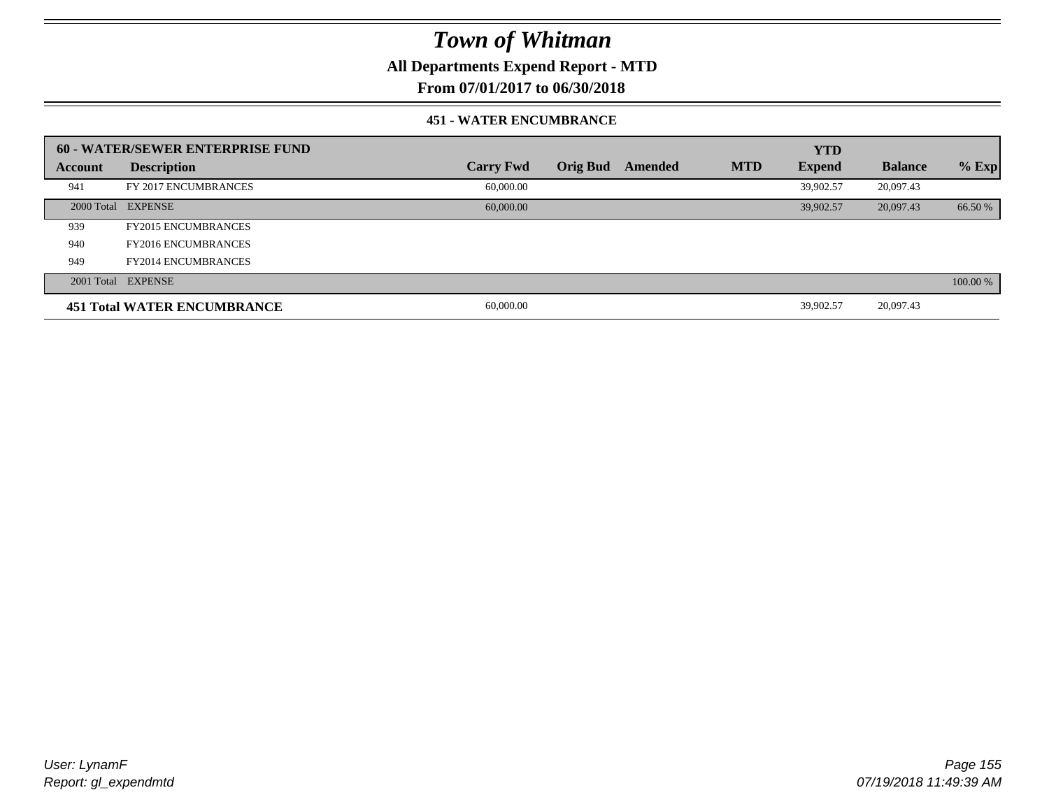**All Departments Expend Report - MTD**

## **From 07/01/2017 to 06/30/2018**

#### **451 - WATER ENCUMBRANCE**

|         | <b>60 - WATER/SEWER ENTERPRISE FUND</b> |                  |          |         |            | <b>YTD</b>    |                |          |
|---------|-----------------------------------------|------------------|----------|---------|------------|---------------|----------------|----------|
| Account | <b>Description</b>                      | <b>Carry Fwd</b> | Orig Bud | Amended | <b>MTD</b> | <b>Expend</b> | <b>Balance</b> | $%$ Exp  |
| 941     | FY 2017 ENCUMBRANCES                    | 60,000.00        |          |         |            | 39.902.57     | 20,097.43      |          |
|         | 2000 Total EXPENSE                      | 60,000,00        |          |         |            | 39.902.57     | 20,097.43      | 66.50 %  |
| 939     | <b>FY2015 ENCUMBRANCES</b>              |                  |          |         |            |               |                |          |
| 940     | <b>FY2016 ENCUMBRANCES</b>              |                  |          |         |            |               |                |          |
| 949     | <b>FY2014 ENCUMBRANCES</b>              |                  |          |         |            |               |                |          |
|         | 2001 Total EXPENSE                      |                  |          |         |            |               |                | 100.00 % |
|         | <b>451 Total WATER ENCUMBRANCE</b>      | 60,000.00        |          |         |            | 39,902.57     | 20,097.43      |          |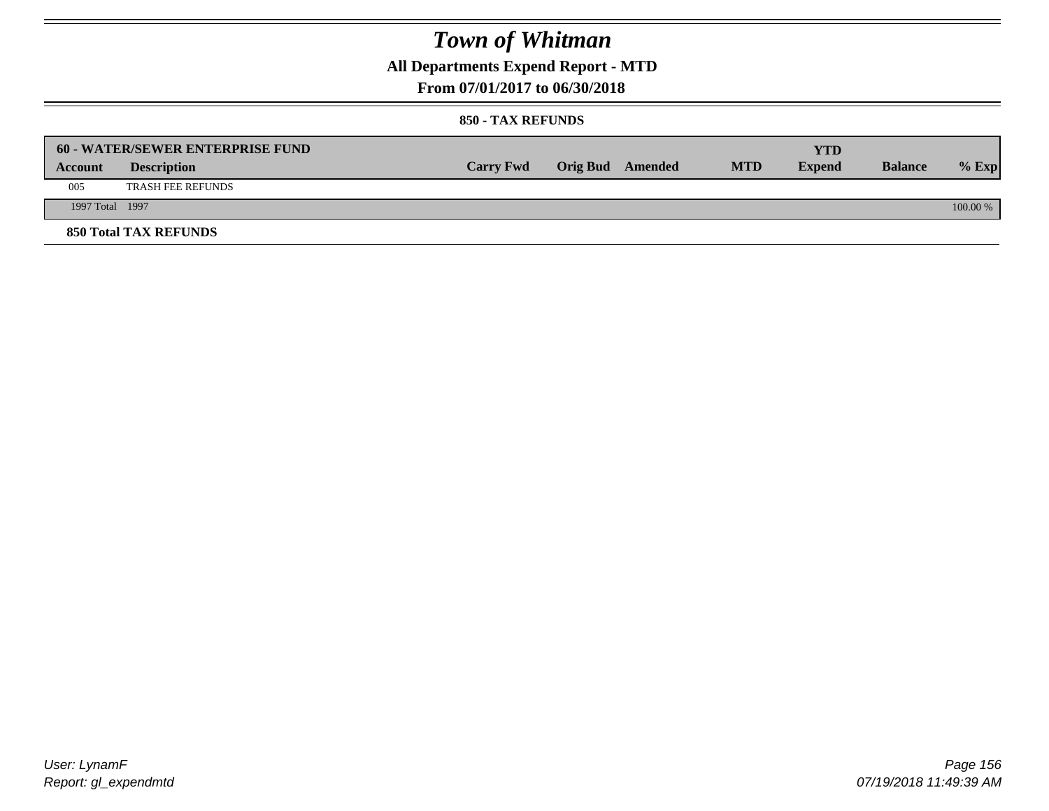## **All Departments Expend Report - MTD**

### **From 07/01/2017 to 06/30/2018**

|                 | <b>60 - WATER/SEWER ENTERPRISE FUND</b> |                  |                         |            | YTD           |                |            |
|-----------------|-----------------------------------------|------------------|-------------------------|------------|---------------|----------------|------------|
| Account         | <b>Description</b>                      | <b>Carry Fwd</b> | <b>Orig Bud</b> Amended | <b>MTD</b> | <b>Expend</b> | <b>Balance</b> | $%$ Exp    |
| 005             | <b>TRASH FEE REFUNDS</b>                |                  |                         |            |               |                |            |
| 1997 Total 1997 |                                         |                  |                         |            |               |                | $100.00\%$ |
|                 | <b>850 Total TAX REFUNDS</b>            |                  |                         |            |               |                |            |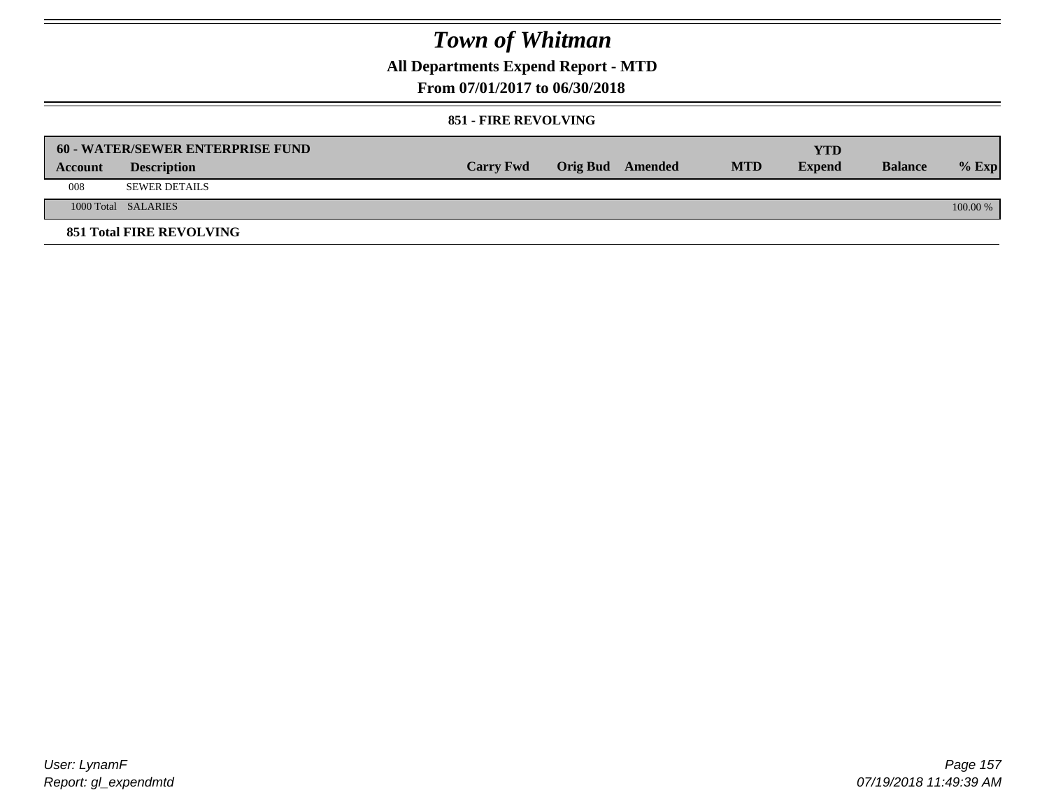**All Departments Expend Report - MTD**

**From 07/01/2017 to 06/30/2018**

#### **851 - FIRE REVOLVING**

|         | 60 - WATER/SEWER ENTERPRISE FUND |                  |                  |            | YTD           |                |          |
|---------|----------------------------------|------------------|------------------|------------|---------------|----------------|----------|
| Account | <b>Description</b>               | <b>Carry Fwd</b> | Orig Bud Amended | <b>MTD</b> | <b>Expend</b> | <b>Balance</b> | $%$ Exp  |
| 008     | <b>SEWER DETAILS</b>             |                  |                  |            |               |                |          |
|         | 1000 Total SALARIES              |                  |                  |            |               |                | 100.00 % |
|         | <b>851 Total FIRE REVOLVING</b>  |                  |                  |            |               |                |          |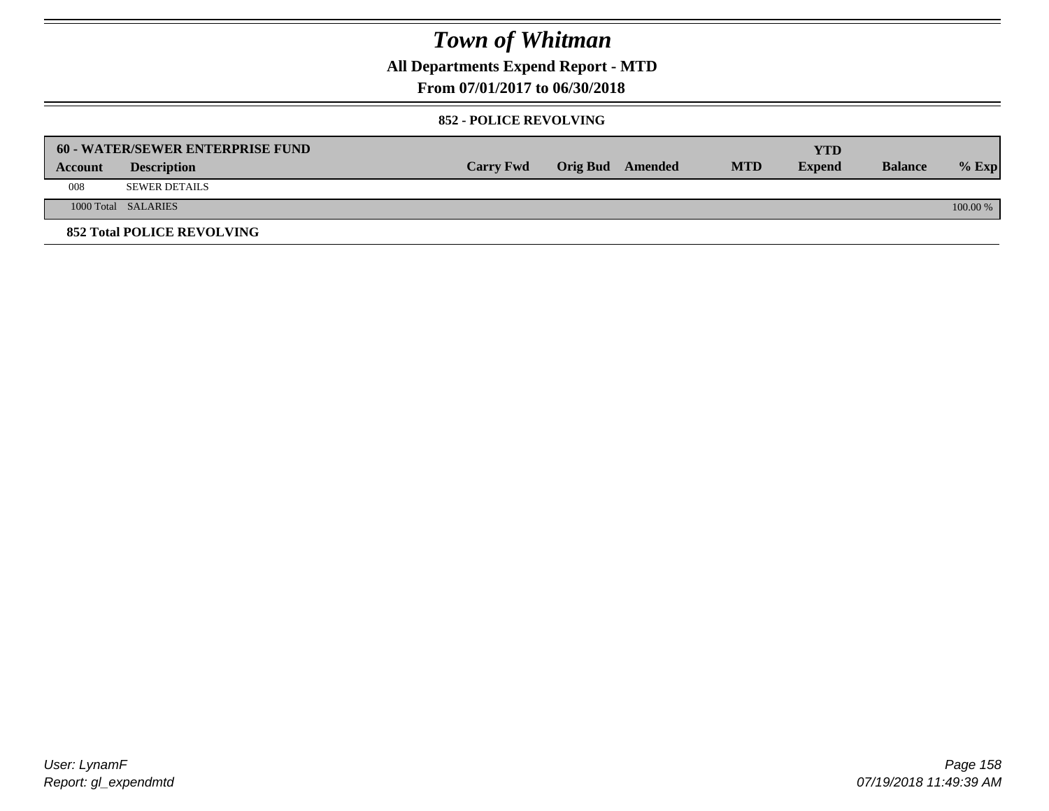**All Departments Expend Report - MTD**

### **From 07/01/2017 to 06/30/2018**

#### **852 - POLICE REVOLVING**

|         | 60 - WATER/SEWER ENTERPRISE FUND  |                  |                  |            | <b>YTD</b>    |                |            |
|---------|-----------------------------------|------------------|------------------|------------|---------------|----------------|------------|
| Account | <b>Description</b>                | <b>Carry Fwd</b> | Orig Bud Amended | <b>MTD</b> | <b>Expend</b> | <b>Balance</b> | $%$ Exp    |
| 008     | <b>SEWER DETAILS</b>              |                  |                  |            |               |                |            |
|         | 1000 Total SALARIES               |                  |                  |            |               |                | $100.00\%$ |
|         | <b>852 Total POLICE REVOLVING</b> |                  |                  |            |               |                |            |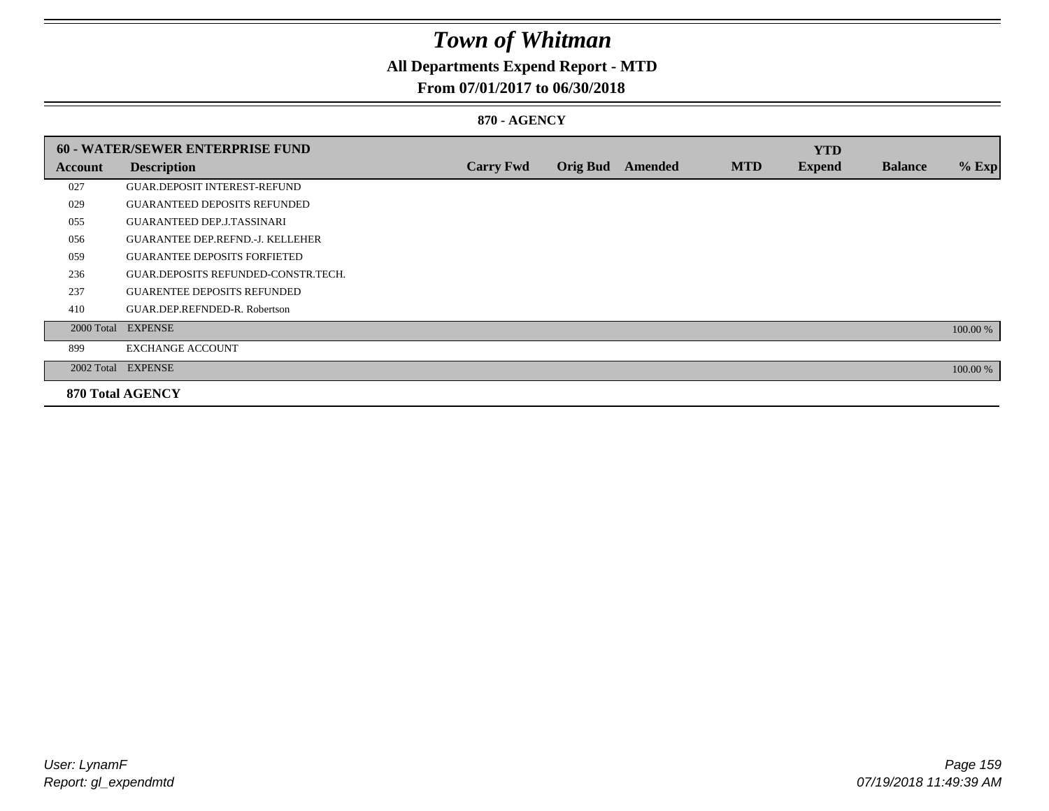## **All Departments Expend Report - MTD**

### **From 07/01/2017 to 06/30/2018**

#### **870 - AGENCY**

|         | <b>60 - WATER/SEWER ENTERPRISE FUND</b> |                  |                 |         |            | <b>YTD</b>    |                |          |
|---------|-----------------------------------------|------------------|-----------------|---------|------------|---------------|----------------|----------|
| Account | <b>Description</b>                      | <b>Carry Fwd</b> | <b>Orig Bud</b> | Amended | <b>MTD</b> | <b>Expend</b> | <b>Balance</b> | $%$ Exp  |
| 027     | <b>GUAR DEPOSIT INTEREST-REFUND</b>     |                  |                 |         |            |               |                |          |
| 029     | <b>GUARANTEED DEPOSITS REFUNDED</b>     |                  |                 |         |            |               |                |          |
| 055     | <b>GUARANTEED DEP.J.TASSINARI</b>       |                  |                 |         |            |               |                |          |
| 056     | <b>GUARANTEE DEP.REFND.-J. KELLEHER</b> |                  |                 |         |            |               |                |          |
| 059     | <b>GUARANTEE DEPOSITS FORFIETED</b>     |                  |                 |         |            |               |                |          |
| 236     | GUAR.DEPOSITS REFUNDED-CONSTR.TECH.     |                  |                 |         |            |               |                |          |
| 237     | <b>GUARENTEE DEPOSITS REFUNDED</b>      |                  |                 |         |            |               |                |          |
| 410     | GUAR.DEP.REFNDED-R. Robertson           |                  |                 |         |            |               |                |          |
|         | 2000 Total EXPENSE                      |                  |                 |         |            |               |                | 100.00 % |
| 899     | <b>EXCHANGE ACCOUNT</b>                 |                  |                 |         |            |               |                |          |
|         | 2002 Total EXPENSE                      |                  |                 |         |            |               |                | 100.00 % |
|         | <b>870 Total AGENCY</b>                 |                  |                 |         |            |               |                |          |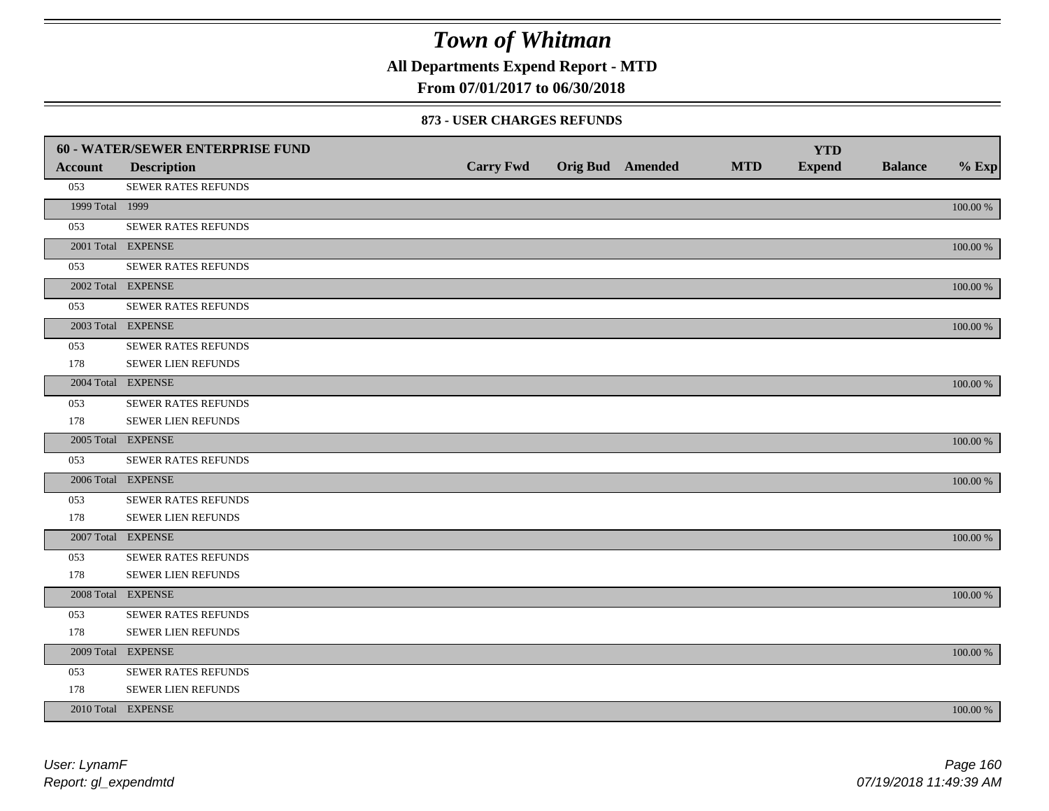**All Departments Expend Report - MTD**

## **From 07/01/2017 to 06/30/2018**

#### **873 - USER CHARGES REFUNDS**

|                 | 60 - WATER/SEWER ENTERPRISE FUND |                  |                         |            | <b>YTD</b>    |                |             |
|-----------------|----------------------------------|------------------|-------------------------|------------|---------------|----------------|-------------|
| <b>Account</b>  | <b>Description</b>               | <b>Carry Fwd</b> | <b>Orig Bud</b> Amended | <b>MTD</b> | <b>Expend</b> | <b>Balance</b> | $%$ Exp     |
| 053             | SEWER RATES REFUNDS              |                  |                         |            |               |                |             |
| 1999 Total 1999 |                                  |                  |                         |            |               |                | 100.00 %    |
| 053             | SEWER RATES REFUNDS              |                  |                         |            |               |                |             |
|                 | 2001 Total EXPENSE               |                  |                         |            |               |                | 100.00 %    |
| 053             | SEWER RATES REFUNDS              |                  |                         |            |               |                |             |
|                 | 2002 Total EXPENSE               |                  |                         |            |               |                | 100.00 %    |
| 053             | <b>SEWER RATES REFUNDS</b>       |                  |                         |            |               |                |             |
|                 | 2003 Total EXPENSE               |                  |                         |            |               |                | 100.00 %    |
| 053             | SEWER RATES REFUNDS              |                  |                         |            |               |                |             |
| 178             | SEWER LIEN REFUNDS               |                  |                         |            |               |                |             |
|                 | 2004 Total EXPENSE               |                  |                         |            |               |                | 100.00 %    |
| 053             | <b>SEWER RATES REFUNDS</b>       |                  |                         |            |               |                |             |
| 178             | SEWER LIEN REFUNDS               |                  |                         |            |               |                |             |
|                 | 2005 Total EXPENSE               |                  |                         |            |               |                | 100.00 %    |
| 053             | SEWER RATES REFUNDS              |                  |                         |            |               |                |             |
|                 | 2006 Total EXPENSE               |                  |                         |            |               |                | 100.00 %    |
| 053             | <b>SEWER RATES REFUNDS</b>       |                  |                         |            |               |                |             |
| 178             | SEWER LIEN REFUNDS               |                  |                         |            |               |                |             |
|                 | 2007 Total EXPENSE               |                  |                         |            |               |                | 100.00 %    |
| 053             | SEWER RATES REFUNDS              |                  |                         |            |               |                |             |
| 178             | SEWER LIEN REFUNDS               |                  |                         |            |               |                |             |
|                 | 2008 Total EXPENSE               |                  |                         |            |               |                | 100.00 %    |
| 053             | SEWER RATES REFUNDS              |                  |                         |            |               |                |             |
| 178             | SEWER LIEN REFUNDS               |                  |                         |            |               |                |             |
|                 | 2009 Total EXPENSE               |                  |                         |            |               |                | 100.00 %    |
| 053             | SEWER RATES REFUNDS              |                  |                         |            |               |                |             |
| 178             | SEWER LIEN REFUNDS               |                  |                         |            |               |                |             |
|                 | 2010 Total EXPENSE               |                  |                         |            |               |                | $100.00~\%$ |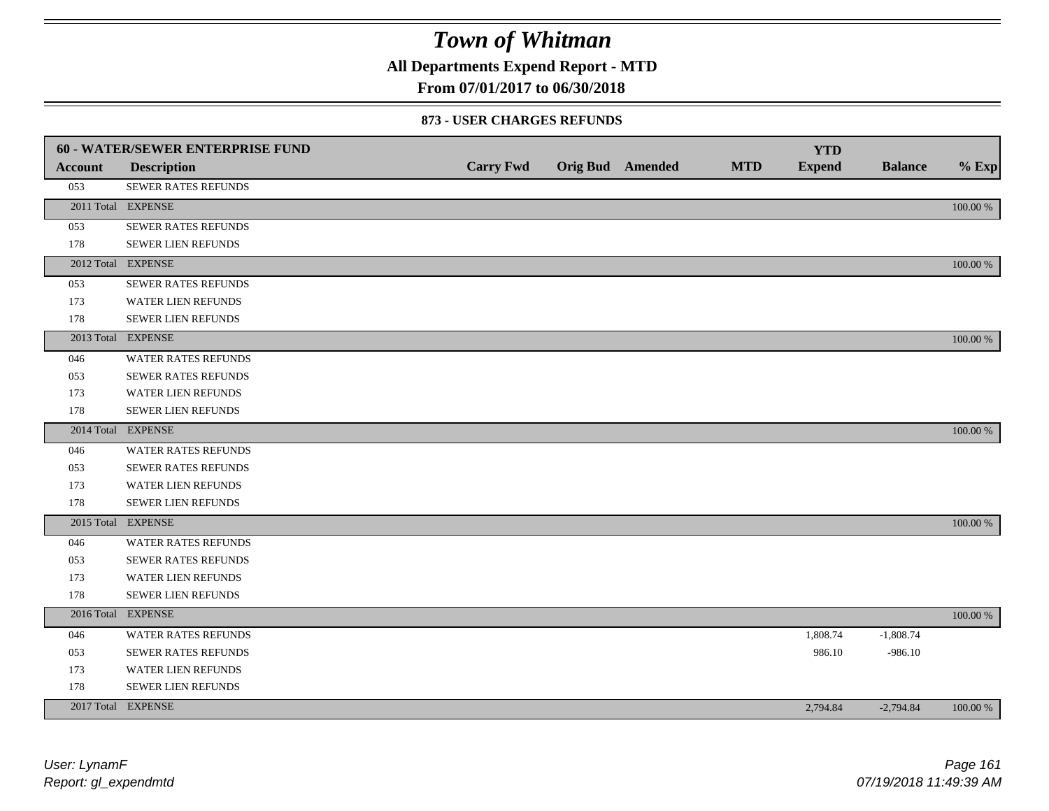**All Departments Expend Report - MTD**

## **From 07/01/2017 to 06/30/2018**

#### **873 - USER CHARGES REFUNDS**

|                | <b>60 - WATER/SEWER ENTERPRISE FUND</b> |                  |                         |            | <b>YTD</b>    |                |          |
|----------------|-----------------------------------------|------------------|-------------------------|------------|---------------|----------------|----------|
| <b>Account</b> | <b>Description</b>                      | <b>Carry Fwd</b> | <b>Orig Bud</b> Amended | <b>MTD</b> | <b>Expend</b> | <b>Balance</b> | $%$ Exp  |
| 053            | SEWER RATES REFUNDS                     |                  |                         |            |               |                |          |
|                | 2011 Total EXPENSE                      |                  |                         |            |               |                | 100.00 % |
| 053            | SEWER RATES REFUNDS                     |                  |                         |            |               |                |          |
| 178            | SEWER LIEN REFUNDS                      |                  |                         |            |               |                |          |
|                | 2012 Total EXPENSE                      |                  |                         |            |               |                | 100.00 % |
| 053            | SEWER RATES REFUNDS                     |                  |                         |            |               |                |          |
| 173            | WATER LIEN REFUNDS                      |                  |                         |            |               |                |          |
| 178            | SEWER LIEN REFUNDS                      |                  |                         |            |               |                |          |
|                | 2013 Total EXPENSE                      |                  |                         |            |               |                | 100.00 % |
| 046            | <b>WATER RATES REFUNDS</b>              |                  |                         |            |               |                |          |
| 053            | SEWER RATES REFUNDS                     |                  |                         |            |               |                |          |
| 173            | WATER LIEN REFUNDS                      |                  |                         |            |               |                |          |
| 178            | <b>SEWER LIEN REFUNDS</b>               |                  |                         |            |               |                |          |
|                | 2014 Total EXPENSE                      |                  |                         |            |               |                | 100.00 % |
| 046            | <b>WATER RATES REFUNDS</b>              |                  |                         |            |               |                |          |
| 053            | SEWER RATES REFUNDS                     |                  |                         |            |               |                |          |
| 173            | <b>WATER LIEN REFUNDS</b>               |                  |                         |            |               |                |          |
| 178            | <b>SEWER LIEN REFUNDS</b>               |                  |                         |            |               |                |          |
|                | 2015 Total EXPENSE                      |                  |                         |            |               |                | 100.00 % |
| 046            | <b>WATER RATES REFUNDS</b>              |                  |                         |            |               |                |          |
| 053            | SEWER RATES REFUNDS                     |                  |                         |            |               |                |          |
| 173            | WATER LIEN REFUNDS                      |                  |                         |            |               |                |          |
| 178            | SEWER LIEN REFUNDS                      |                  |                         |            |               |                |          |
|                | 2016 Total EXPENSE                      |                  |                         |            |               |                | 100.00 % |
| 046            | WATER RATES REFUNDS                     |                  |                         |            | 1,808.74      | $-1,808.74$    |          |
| 053            | <b>SEWER RATES REFUNDS</b>              |                  |                         |            | 986.10        | $-986.10$      |          |
| 173            | WATER LIEN REFUNDS                      |                  |                         |            |               |                |          |
| 178            | <b>SEWER LIEN REFUNDS</b>               |                  |                         |            |               |                |          |
|                | 2017 Total EXPENSE                      |                  |                         |            | 2,794.84      | $-2,794.84$    | 100.00 % |
|                |                                         |                  |                         |            |               |                |          |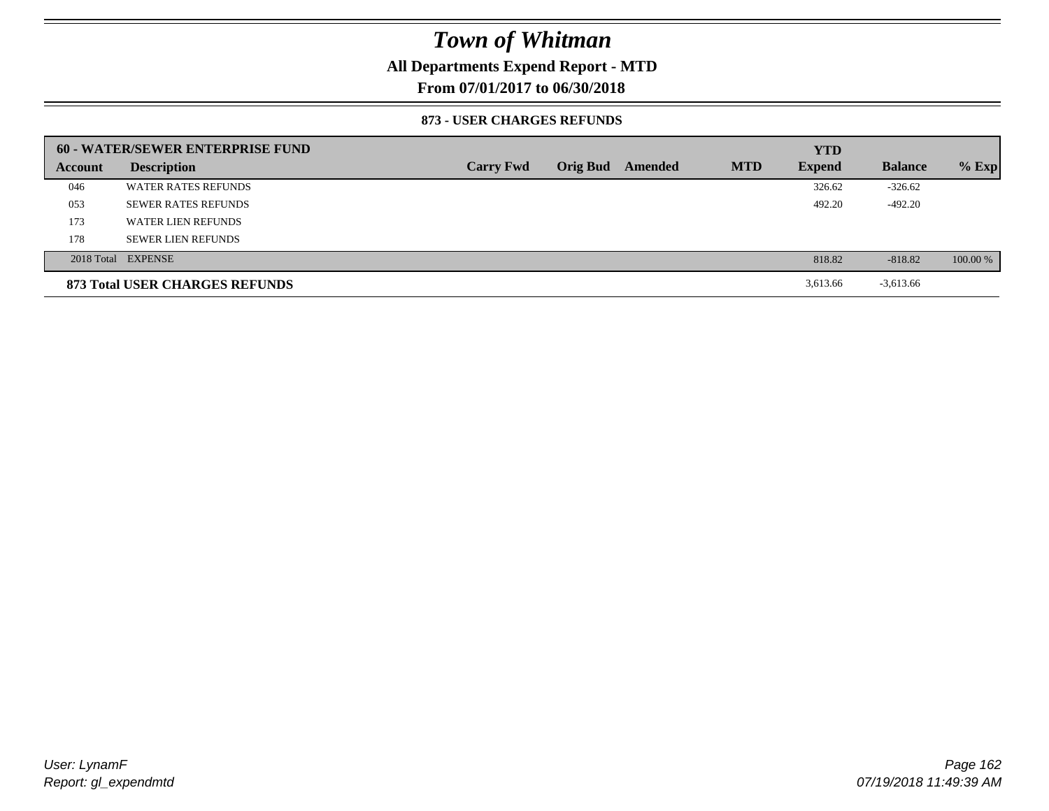## **All Departments Expend Report - MTD**

### **From 07/01/2017 to 06/30/2018**

#### **873 - USER CHARGES REFUNDS**

|         | 60 - WATER/SEWER ENTERPRISE FUND |                  |                 |         |            | <b>YTD</b>    |                |          |
|---------|----------------------------------|------------------|-----------------|---------|------------|---------------|----------------|----------|
| Account | <b>Description</b>               | <b>Carry Fwd</b> | <b>Orig Bud</b> | Amended | <b>MTD</b> | <b>Expend</b> | <b>Balance</b> | $%$ Exp  |
| 046     | <b>WATER RATES REFUNDS</b>       |                  |                 |         |            | 326.62        | $-326.62$      |          |
| 053     | <b>SEWER RATES REFUNDS</b>       |                  |                 |         |            | 492.20        | $-492.20$      |          |
| 173     | WATER LIEN REFUNDS               |                  |                 |         |            |               |                |          |
| 178     | <b>SEWER LIEN REFUNDS</b>        |                  |                 |         |            |               |                |          |
|         | 2018 Total EXPENSE               |                  |                 |         |            | 818.82        | $-818.82$      | 100.00 % |
|         | 873 Total USER CHARGES REFUNDS   |                  |                 |         |            | 3,613.66      | $-3,613.66$    |          |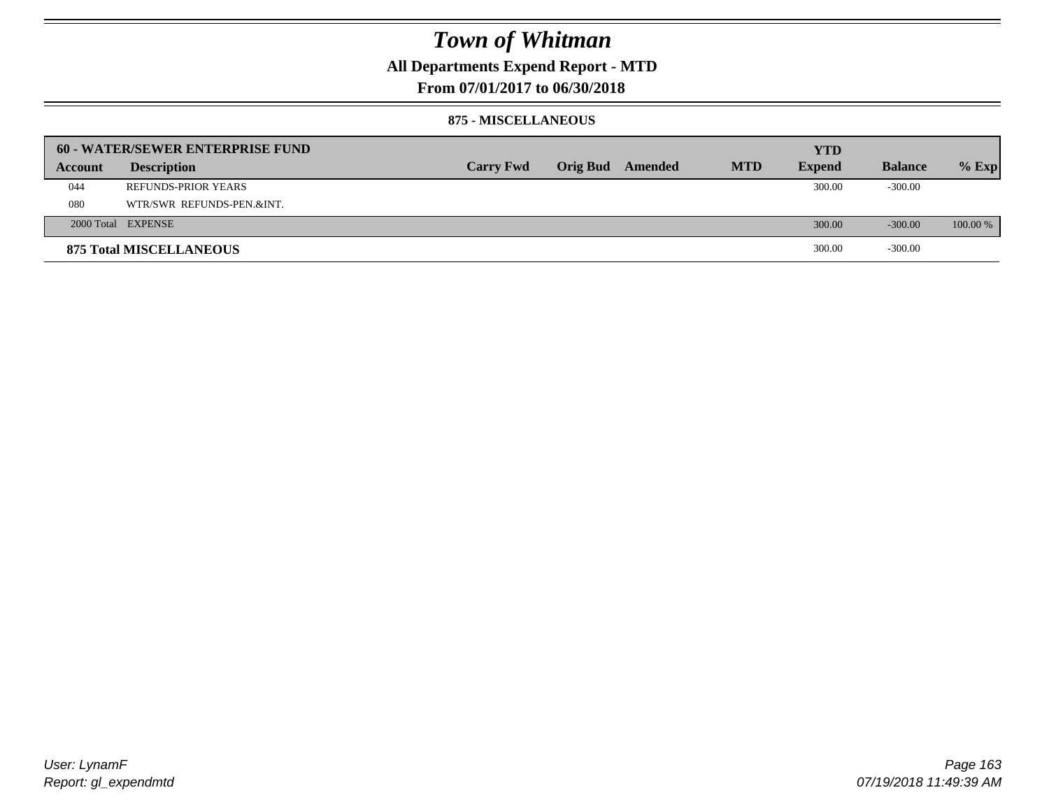## **All Departments Expend Report - MTD**

**From 07/01/2017 to 06/30/2018**

#### **875 - MISCELLANEOUS**

|         | 60 - WATER/SEWER ENTERPRISE FUND |                  |                  |            | <b>YTD</b>    |                |            |
|---------|----------------------------------|------------------|------------------|------------|---------------|----------------|------------|
| Account | <b>Description</b>               | <b>Carry Fwd</b> | Orig Bud Amended | <b>MTD</b> | <b>Expend</b> | <b>Balance</b> | $%$ Exp    |
| 044     | <b>REFUNDS-PRIOR YEARS</b>       |                  |                  |            | 300.00        | $-300.00$      |            |
| 080     | WTR/SWR REFUNDS-PEN.&INT.        |                  |                  |            |               |                |            |
|         | 2000 Total EXPENSE               |                  |                  |            | 300.00        | $-300.00$      | $100.00\%$ |
|         | <b>875 Total MISCELLANEOUS</b>   |                  |                  |            | 300.00        | $-300.00$      |            |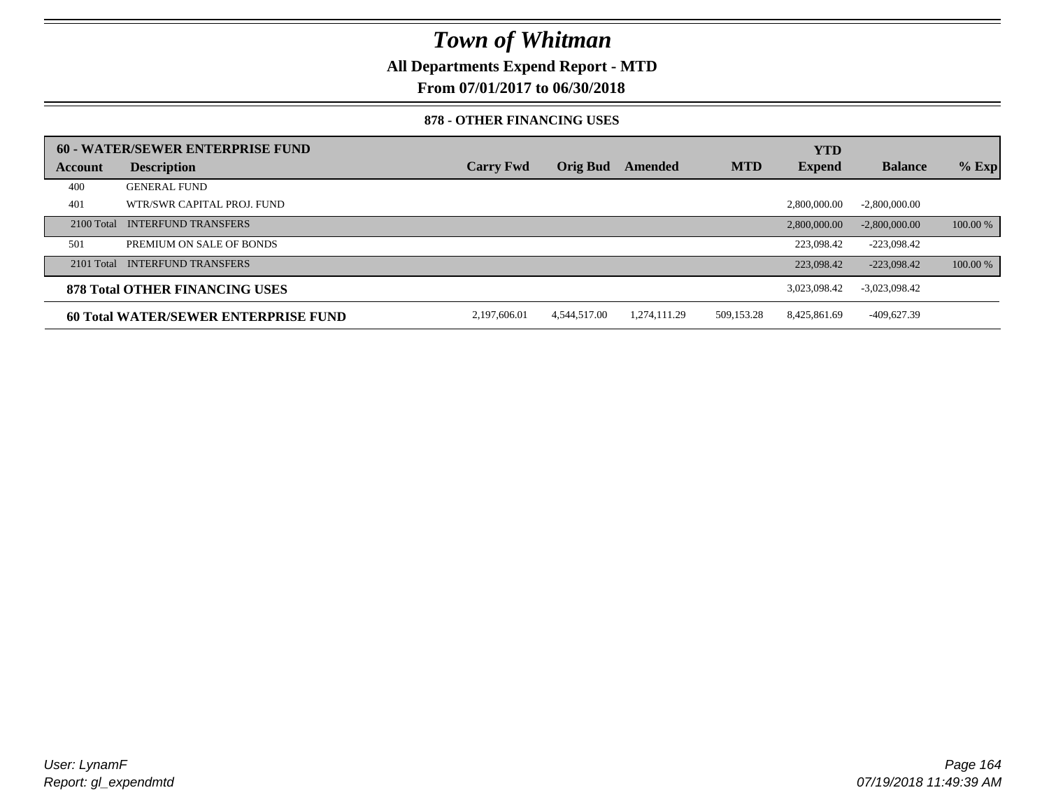**All Departments Expend Report - MTD**

**From 07/01/2017 to 06/30/2018**

#### **878 - OTHER FINANCING USES**

|              | 60 - WATER/SEWER ENTERPRISE FUND      |                  |                 |              |            | <b>YTD</b>    |                 |          |
|--------------|---------------------------------------|------------------|-----------------|--------------|------------|---------------|-----------------|----------|
| Account      | <b>Description</b>                    | <b>Carry Fwd</b> | <b>Orig Bud</b> | Amended      | <b>MTD</b> | <b>Expend</b> | <b>Balance</b>  | $%$ Exp  |
| 400          | <b>GENERAL FUND</b>                   |                  |                 |              |            |               |                 |          |
| 401          | WTR/SWR CAPITAL PROJ. FUND            |                  |                 |              |            | 2,800,000,00  | $-2,800,000.00$ |          |
| $2100$ Total | <b>INTERFUND TRANSFERS</b>            |                  |                 |              |            | 2,800,000,00  | $-2,800,000,00$ | 100.00 % |
| 501          | PREMIUM ON SALE OF BONDS              |                  |                 |              |            | 223,098.42    | $-223.098.42$   |          |
|              | 2101 Total INTERFUND TRANSFERS        |                  |                 |              |            | 223,098.42    | $-223.098.42$   | 100.00 % |
|              | <b>878 Total OTHER FINANCING USES</b> |                  |                 |              |            | 3,023,098.42  | $-3,023,098.42$ |          |
|              | 60 Total WATER/SEWER ENTERPRISE FUND  | 2,197,606.01     | 4,544,517.00    | 1,274,111.29 | 509,153.28 | 8,425,861.69  | -409,627.39     |          |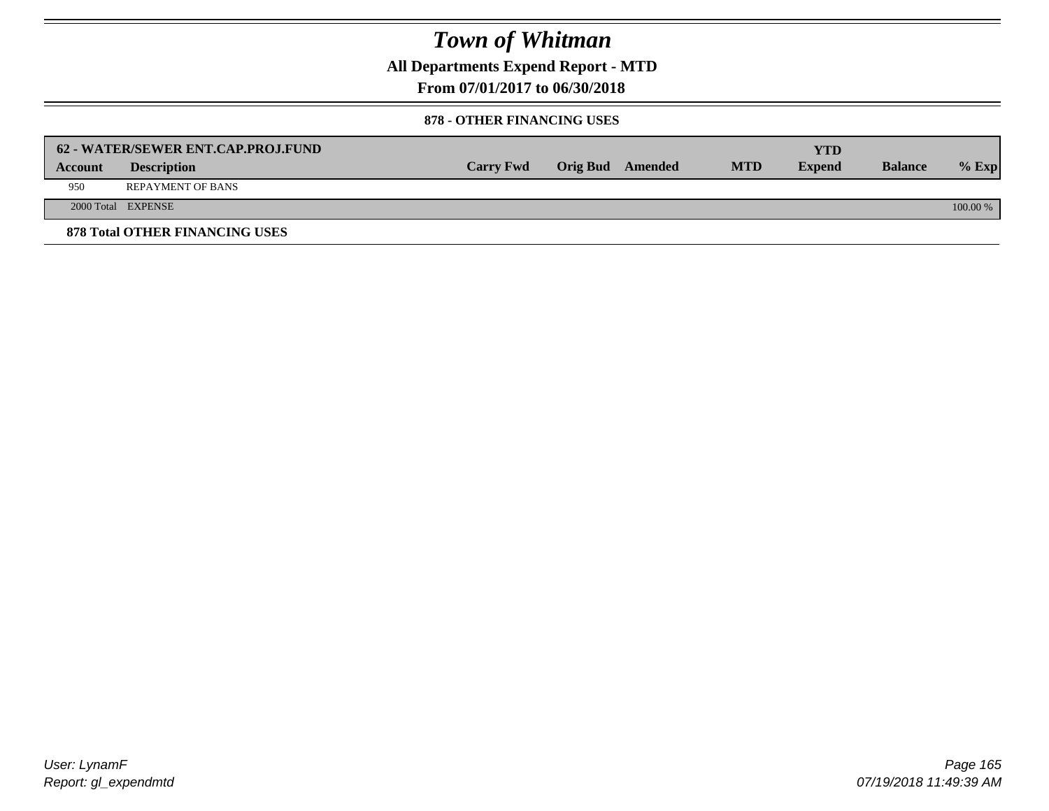**All Departments Expend Report - MTD**

**From 07/01/2017 to 06/30/2018**

#### **878 - OTHER FINANCING USES**

|                | 62 - WATER/SEWER ENT.CAP.PROJ.FUND    |                  |                  |            | YTD           |                |            |
|----------------|---------------------------------------|------------------|------------------|------------|---------------|----------------|------------|
| <b>Account</b> | <b>Description</b>                    | <b>Carry Fwd</b> | Orig Bud Amended | <b>MTD</b> | <b>Expend</b> | <b>Balance</b> | $%$ Exp    |
| 950            | <b>REPAYMENT OF BANS</b>              |                  |                  |            |               |                |            |
|                | 2000 Total EXPENSE                    |                  |                  |            |               |                | $100.00\%$ |
|                | <b>878 Total OTHER FINANCING USES</b> |                  |                  |            |               |                |            |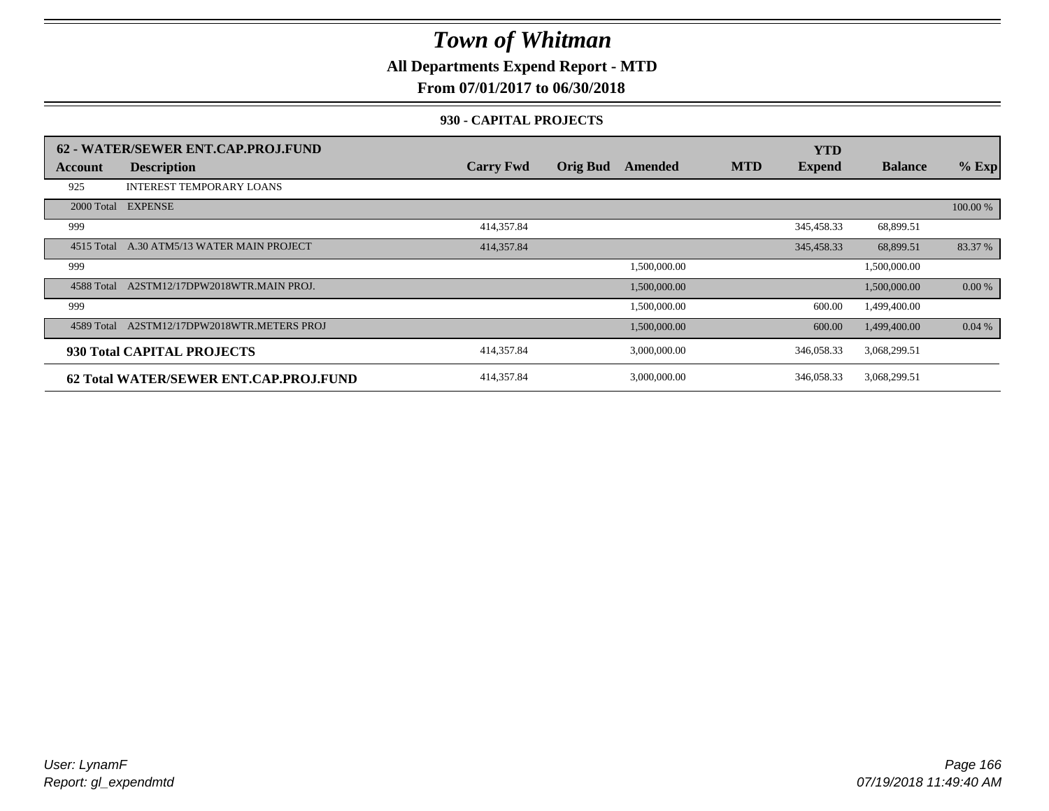**All Departments Expend Report - MTD**

**From 07/01/2017 to 06/30/2018**

#### **930 - CAPITAL PROJECTS**

|            | 62 - WATER/SEWER ENT.CAP.PROJ.FUND     |                  |                 |              |            | <b>YTD</b>    |                |          |
|------------|----------------------------------------|------------------|-----------------|--------------|------------|---------------|----------------|----------|
| Account    | <b>Description</b>                     | <b>Carry Fwd</b> | <b>Orig Bud</b> | Amended      | <b>MTD</b> | <b>Expend</b> | <b>Balance</b> | $%$ Exp  |
| 925        | <b>INTEREST TEMPORARY LOANS</b>        |                  |                 |              |            |               |                |          |
| 2000 Total | <b>EXPENSE</b>                         |                  |                 |              |            |               |                | 100.00 % |
| 999        |                                        | 414,357.84       |                 |              |            | 345,458.33    | 68,899.51      |          |
| 4515 Total | A.30 ATM5/13 WATER MAIN PROJECT        | 414,357.84       |                 |              |            | 345,458.33    | 68,899.51      | 83.37 %  |
| 999        |                                        |                  |                 | 1,500,000.00 |            |               | 1,500,000.00   |          |
| 4588 Total | A2STM12/17DPW2018WTR.MAIN PROJ.        |                  |                 | 1,500,000.00 |            |               | 1,500,000.00   | 0.00 %   |
| 999        |                                        |                  |                 | 1,500,000.00 |            | 600.00        | 1,499,400.00   |          |
| 4589 Total | A2STM12/17DPW2018WTR.METERS PROJ       |                  |                 | 1,500,000.00 |            | 600.00        | 1,499,400.00   | 0.04%    |
|            | 930 Total CAPITAL PROJECTS             | 414,357.84       |                 | 3,000,000.00 |            | 346,058.33    | 3,068,299.51   |          |
|            | 62 Total WATER/SEWER ENT.CAP.PROJ.FUND | 414,357.84       |                 | 3,000,000.00 |            | 346,058.33    | 3,068,299.51   |          |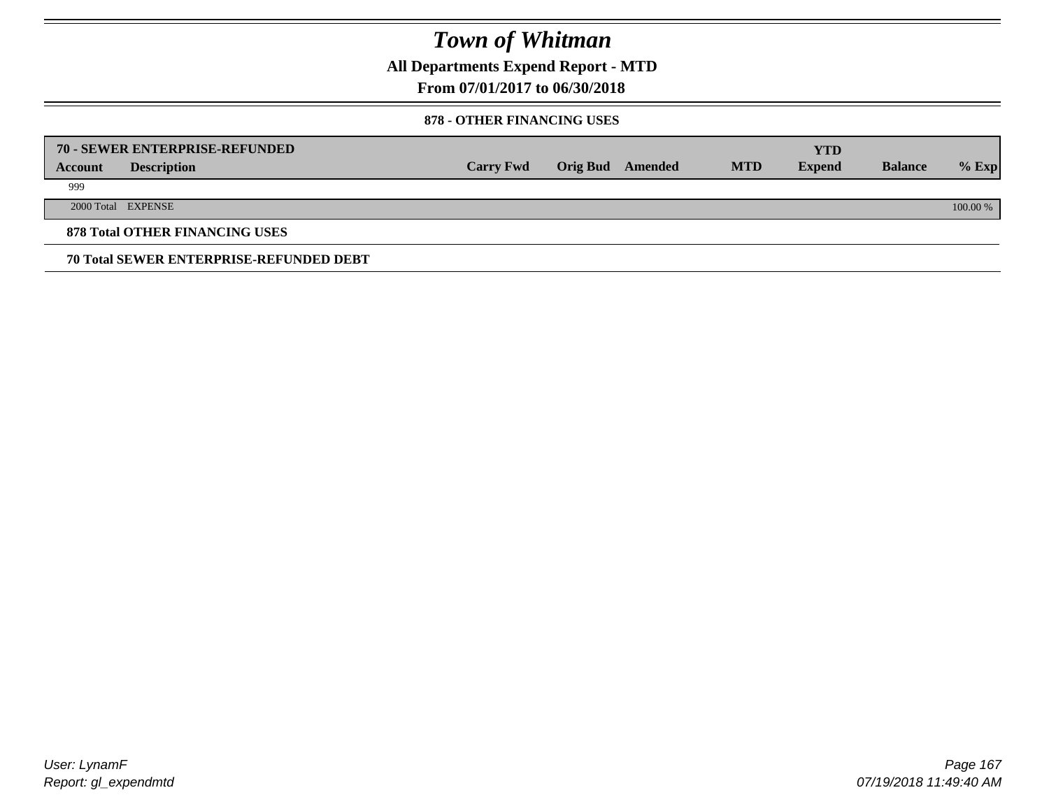**All Departments Expend Report - MTD**

**From 07/01/2017 to 06/30/2018**

#### **878 - OTHER FINANCING USES**

|         | 70 - SEWER ENTERPRISE-REFUNDED                 |                  |                 |         |            | <b>YTD</b>    |                |          |
|---------|------------------------------------------------|------------------|-----------------|---------|------------|---------------|----------------|----------|
| Account | <b>Description</b>                             | <b>Carry Fwd</b> | <b>Orig Bud</b> | Amended | <b>MTD</b> | <b>Expend</b> | <b>Balance</b> | $%$ Exp  |
| 999     |                                                |                  |                 |         |            |               |                |          |
|         | 2000 Total EXPENSE                             |                  |                 |         |            |               |                | 100.00 % |
|         | <b>878 Total OTHER FINANCING USES</b>          |                  |                 |         |            |               |                |          |
|         | <b>70 Total SEWER ENTERPRISE-REFUNDED DEBT</b> |                  |                 |         |            |               |                |          |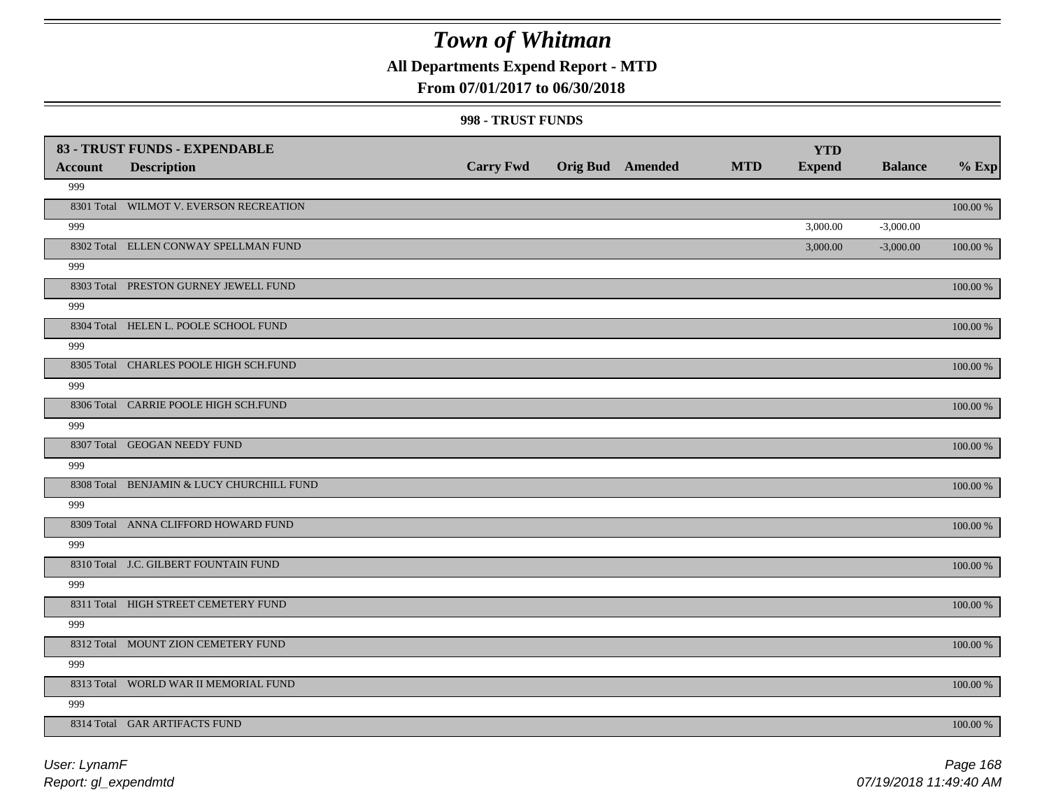## **All Departments Expend Report - MTD**

### **From 07/01/2017 to 06/30/2018**

#### **998 - TRUST FUNDS**

| Account | 83 - TRUST FUNDS - EXPENDABLE<br><b>Description</b> | <b>Carry Fwd</b> | <b>Orig Bud</b> Amended | <b>MTD</b> | <b>YTD</b><br><b>Expend</b> | <b>Balance</b> | $%$ Exp     |
|---------|-----------------------------------------------------|------------------|-------------------------|------------|-----------------------------|----------------|-------------|
| 999     |                                                     |                  |                         |            |                             |                |             |
|         | 8301 Total WILMOT V. EVERSON RECREATION             |                  |                         |            |                             |                | $100.00~\%$ |
| 999     |                                                     |                  |                         |            | 3,000.00                    | $-3,000.00$    |             |
|         | 8302 Total ELLEN CONWAY SPELLMAN FUND               |                  |                         |            | 3,000.00                    | $-3,000.00$    | $100.00~\%$ |
| 999     |                                                     |                  |                         |            |                             |                |             |
|         | 8303 Total PRESTON GURNEY JEWELL FUND               |                  |                         |            |                             |                | 100.00 %    |
| 999     |                                                     |                  |                         |            |                             |                |             |
|         | 8304 Total HELEN L. POOLE SCHOOL FUND               |                  |                         |            |                             |                | $100.00~\%$ |
| 999     |                                                     |                  |                         |            |                             |                |             |
|         | 8305 Total CHARLES POOLE HIGH SCH.FUND              |                  |                         |            |                             |                | 100.00 %    |
| 999     |                                                     |                  |                         |            |                             |                |             |
|         | 8306 Total CARRIE POOLE HIGH SCH.FUND               |                  |                         |            |                             |                | $100.00~\%$ |
| 999     |                                                     |                  |                         |            |                             |                |             |
|         | 8307 Total GEOGAN NEEDY FUND                        |                  |                         |            |                             |                | 100.00 %    |
| 999     |                                                     |                  |                         |            |                             |                |             |
|         | 8308 Total BENJAMIN & LUCY CHURCHILL FUND           |                  |                         |            |                             |                | 100.00 %    |
| 999     |                                                     |                  |                         |            |                             |                |             |
|         | 8309 Total ANNA CLIFFORD HOWARD FUND                |                  |                         |            |                             |                | $100.00~\%$ |
| 999     |                                                     |                  |                         |            |                             |                |             |
|         | 8310 Total J.C. GILBERT FOUNTAIN FUND               |                  |                         |            |                             |                | 100.00 %    |
| 999     |                                                     |                  |                         |            |                             |                |             |
|         | 8311 Total HIGH STREET CEMETERY FUND                |                  |                         |            |                             |                | 100.00 %    |
| 999     |                                                     |                  |                         |            |                             |                |             |
|         | 8312 Total MOUNT ZION CEMETERY FUND                 |                  |                         |            |                             |                | 100.00 %    |
| 999     |                                                     |                  |                         |            |                             |                |             |
|         | 8313 Total WORLD WAR II MEMORIAL FUND               |                  |                         |            |                             |                | $100.00~\%$ |
| 999     |                                                     |                  |                         |            |                             |                |             |
|         | 8314 Total GAR ARTIFACTS FUND                       |                  |                         |            |                             |                | $100.00~\%$ |

*Report: gl\_expendmtd User: LynamF*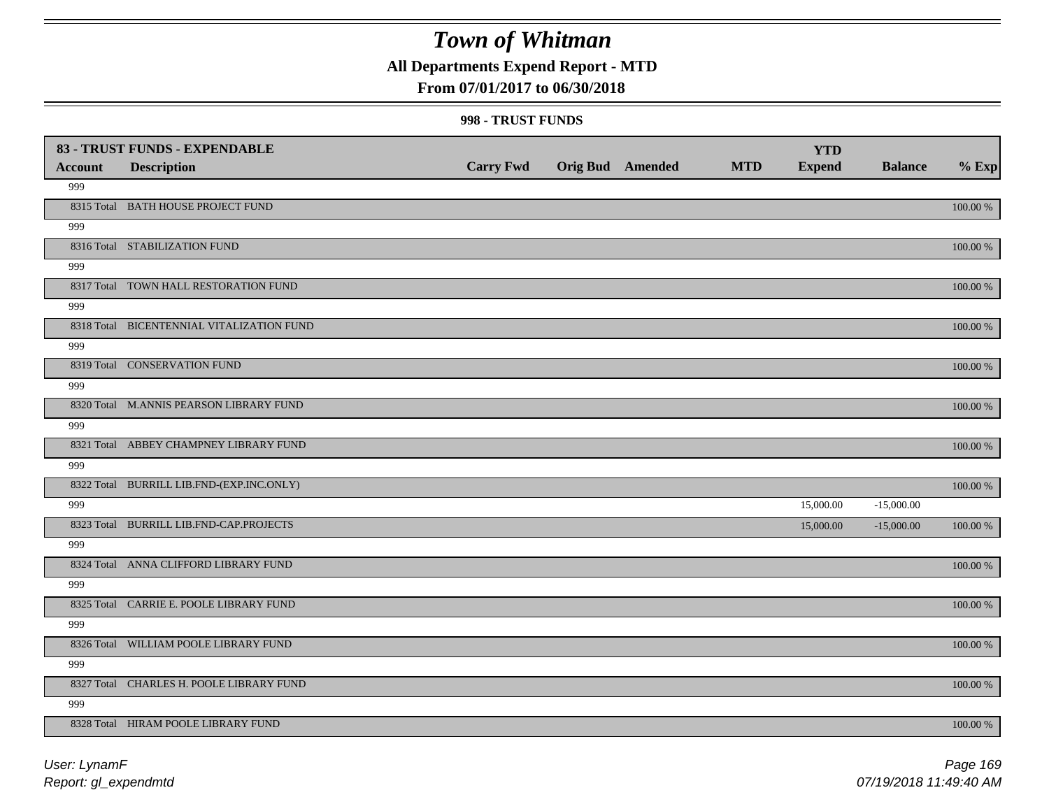## **All Departments Expend Report - MTD**

### **From 07/01/2017 to 06/30/2018**

#### **998 - TRUST FUNDS**

|                | 83 - TRUST FUNDS - EXPENDABLE             |                  |                         |            | <b>YTD</b>    |                |             |
|----------------|-------------------------------------------|------------------|-------------------------|------------|---------------|----------------|-------------|
| <b>Account</b> | <b>Description</b>                        | <b>Carry Fwd</b> | <b>Orig Bud</b> Amended | <b>MTD</b> | <b>Expend</b> | <b>Balance</b> | $%$ Exp     |
| 999            |                                           |                  |                         |            |               |                |             |
|                | 8315 Total BATH HOUSE PROJECT FUND        |                  |                         |            |               |                | 100.00 %    |
| 999            |                                           |                  |                         |            |               |                |             |
|                | 8316 Total STABILIZATION FUND             |                  |                         |            |               |                | 100.00 %    |
| 999            |                                           |                  |                         |            |               |                |             |
|                | 8317 Total TOWN HALL RESTORATION FUND     |                  |                         |            |               |                | 100.00 %    |
| 999            |                                           |                  |                         |            |               |                |             |
|                | 8318 Total BICENTENNIAL VITALIZATION FUND |                  |                         |            |               |                | 100.00 %    |
| 999            |                                           |                  |                         |            |               |                |             |
|                | 8319 Total CONSERVATION FUND              |                  |                         |            |               |                | 100.00 %    |
| 999            |                                           |                  |                         |            |               |                |             |
|                | 8320 Total M.ANNIS PEARSON LIBRARY FUND   |                  |                         |            |               |                | 100.00 %    |
| 999            |                                           |                  |                         |            |               |                |             |
|                | 8321 Total ABBEY CHAMPNEY LIBRARY FUND    |                  |                         |            |               |                | 100.00 %    |
| 999            |                                           |                  |                         |            |               |                |             |
|                | 8322 Total BURRILL LIB.FND-(EXP.INC.ONLY) |                  |                         |            |               |                | 100.00 %    |
| 999            |                                           |                  |                         |            | 15,000.00     | $-15,000.00$   |             |
|                | 8323 Total BURRILL LIB.FND-CAP.PROJECTS   |                  |                         |            | 15,000.00     | $-15,000.00$   | $100.00~\%$ |
| 999            |                                           |                  |                         |            |               |                |             |
|                | 8324 Total ANNA CLIFFORD LIBRARY FUND     |                  |                         |            |               |                | $100.00~\%$ |
| 999            |                                           |                  |                         |            |               |                |             |
|                | 8325 Total CARRIE E. POOLE LIBRARY FUND   |                  |                         |            |               |                | $100.00~\%$ |
| 999            |                                           |                  |                         |            |               |                |             |
|                | 8326 Total WILLIAM POOLE LIBRARY FUND     |                  |                         |            |               |                | 100.00 %    |
| 999            |                                           |                  |                         |            |               |                |             |
|                | 8327 Total CHARLES H. POOLE LIBRARY FUND  |                  |                         |            |               |                | 100.00 %    |
| 999            |                                           |                  |                         |            |               |                |             |
|                | 8328 Total HIRAM POOLE LIBRARY FUND       |                  |                         |            |               |                | 100.00 %    |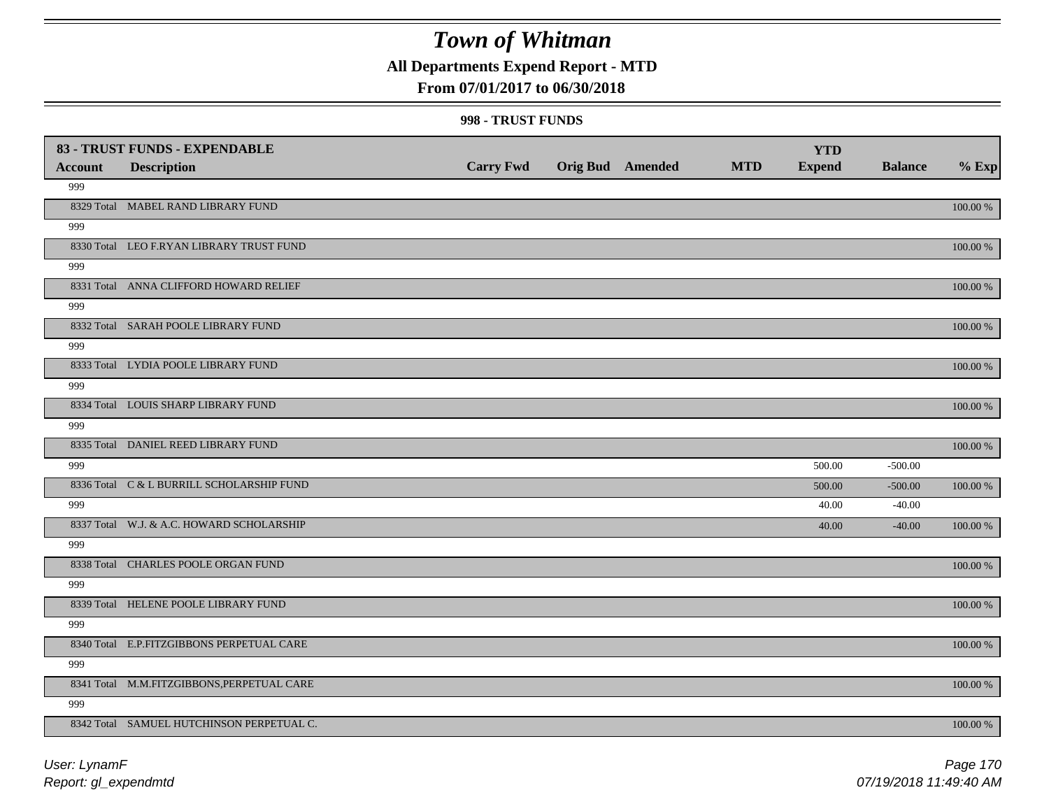## **All Departments Expend Report - MTD**

### **From 07/01/2017 to 06/30/2018**

#### **998 - TRUST FUNDS**

| <b>Account</b> | 83 - TRUST FUNDS - EXPENDABLE<br><b>Description</b> | <b>Carry Fwd</b> | <b>Orig Bud</b> Amended | <b>MTD</b> | <b>YTD</b><br><b>Expend</b> | <b>Balance</b> | $%$ Exp     |
|----------------|-----------------------------------------------------|------------------|-------------------------|------------|-----------------------------|----------------|-------------|
| 999            |                                                     |                  |                         |            |                             |                |             |
|                | 8329 Total MABEL RAND LIBRARY FUND                  |                  |                         |            |                             |                | 100.00 %    |
| 999            |                                                     |                  |                         |            |                             |                |             |
|                | 8330 Total LEO F.RYAN LIBRARY TRUST FUND            |                  |                         |            |                             |                | 100.00 %    |
| 999            |                                                     |                  |                         |            |                             |                |             |
|                | 8331 Total ANNA CLIFFORD HOWARD RELIEF              |                  |                         |            |                             |                | 100.00 %    |
| 999            |                                                     |                  |                         |            |                             |                |             |
|                | 8332 Total SARAH POOLE LIBRARY FUND                 |                  |                         |            |                             |                | 100.00 %    |
| 999            |                                                     |                  |                         |            |                             |                |             |
|                | 8333 Total LYDIA POOLE LIBRARY FUND                 |                  |                         |            |                             |                | 100.00 %    |
| 999            |                                                     |                  |                         |            |                             |                |             |
|                | 8334 Total LOUIS SHARP LIBRARY FUND                 |                  |                         |            |                             |                | 100.00 %    |
| 999            |                                                     |                  |                         |            |                             |                |             |
|                | 8335 Total DANIEL REED LIBRARY FUND                 |                  |                         |            |                             |                | 100.00 %    |
| 999            |                                                     |                  |                         |            | 500.00                      | $-500.00$      |             |
|                | 8336 Total C & L BURRILL SCHOLARSHIP FUND           |                  |                         |            | 500.00                      | $-500.00$      | 100.00 %    |
| 999            |                                                     |                  |                         |            | 40.00                       | $-40.00$       |             |
|                | 8337 Total W.J. & A.C. HOWARD SCHOLARSHIP           |                  |                         |            | 40.00                       | $-40.00$       | 100.00 %    |
| 999            |                                                     |                  |                         |            |                             |                |             |
|                | 8338 Total CHARLES POOLE ORGAN FUND                 |                  |                         |            |                             |                | 100.00 %    |
| 999            |                                                     |                  |                         |            |                             |                |             |
|                | 8339 Total HELENE POOLE LIBRARY FUND                |                  |                         |            |                             |                | $100.00~\%$ |
| 999            |                                                     |                  |                         |            |                             |                |             |
|                | 8340 Total E.P.FITZGIBBONS PERPETUAL CARE           |                  |                         |            |                             |                | 100.00 %    |
| 999            |                                                     |                  |                         |            |                             |                |             |
|                | 8341 Total M.M.FITZGIBBONS, PERPETUAL CARE          |                  |                         |            |                             |                | 100.00 %    |
| 999            |                                                     |                  |                         |            |                             |                |             |
|                | 8342 Total SAMUEL HUTCHINSON PERPETUAL C.           |                  |                         |            |                             |                | 100.00 %    |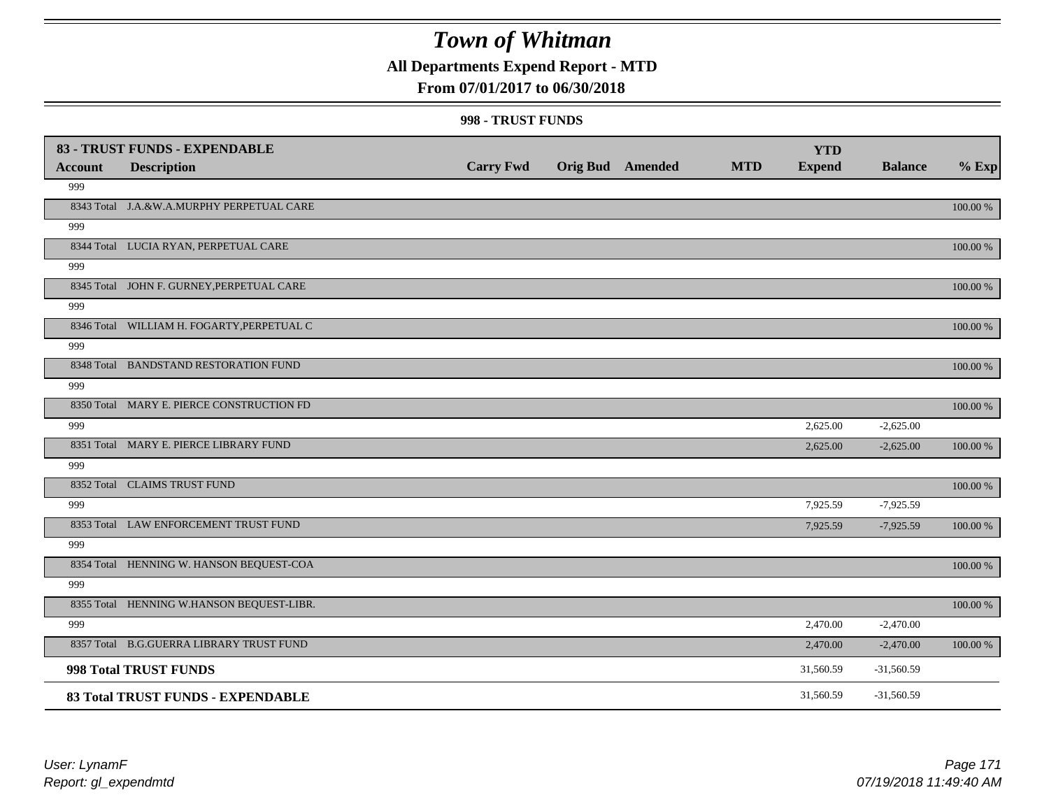## **All Departments Expend Report - MTD**

### **From 07/01/2017 to 06/30/2018**

#### **998 - TRUST FUNDS**

| <b>Account</b> | 83 - TRUST FUNDS - EXPENDABLE<br><b>Description</b> | <b>Carry Fwd</b> | <b>Orig Bud</b> Amended | <b>MTD</b> | <b>YTD</b><br><b>Expend</b> | <b>Balance</b> | $%$ Exp     |
|----------------|-----------------------------------------------------|------------------|-------------------------|------------|-----------------------------|----------------|-------------|
| 999            |                                                     |                  |                         |            |                             |                |             |
|                | 8343 Total J.A.&W.A.MURPHY PERPETUAL CARE           |                  |                         |            |                             |                | 100.00 %    |
| 999            |                                                     |                  |                         |            |                             |                |             |
|                | 8344 Total LUCIA RYAN, PERPETUAL CARE               |                  |                         |            |                             |                | 100.00 %    |
| 999            |                                                     |                  |                         |            |                             |                |             |
|                | 8345 Total JOHN F. GURNEY, PERPETUAL CARE           |                  |                         |            |                             |                | 100.00 %    |
| 999            |                                                     |                  |                         |            |                             |                |             |
|                | 8346 Total WILLIAM H. FOGARTY, PERPETUAL C          |                  |                         |            |                             |                | 100.00 %    |
| 999            |                                                     |                  |                         |            |                             |                |             |
|                | 8348 Total BANDSTAND RESTORATION FUND               |                  |                         |            |                             |                | 100.00 %    |
| 999            |                                                     |                  |                         |            |                             |                |             |
|                | 8350 Total MARY E. PIERCE CONSTRUCTION FD           |                  |                         |            |                             |                | 100.00 %    |
| 999            |                                                     |                  |                         |            | 2,625.00                    | $-2,625.00$    |             |
|                | 8351 Total MARY E. PIERCE LIBRARY FUND              |                  |                         |            | 2,625.00                    | $-2,625.00$    | 100.00 %    |
| 999            |                                                     |                  |                         |            |                             |                |             |
|                | 8352 Total CLAIMS TRUST FUND                        |                  |                         |            |                             |                | 100.00 %    |
| 999            |                                                     |                  |                         |            | 7,925.59                    | $-7,925.59$    |             |
|                | 8353 Total LAW ENFORCEMENT TRUST FUND               |                  |                         |            | 7,925.59                    | $-7,925.59$    | 100.00 %    |
| 999            |                                                     |                  |                         |            |                             |                |             |
|                | 8354 Total HENNING W. HANSON BEQUEST-COA            |                  |                         |            |                             |                | 100.00 %    |
| 999            |                                                     |                  |                         |            |                             |                |             |
|                | 8355 Total HENNING W.HANSON BEQUEST-LIBR.           |                  |                         |            |                             |                | $100.00~\%$ |
| 999            |                                                     |                  |                         |            | 2,470.00                    | $-2,470.00$    |             |
|                | 8357 Total B.G.GUERRA LIBRARY TRUST FUND            |                  |                         |            | 2,470.00                    | $-2,470.00$    | 100.00 %    |
|                | 998 Total TRUST FUNDS                               |                  |                         |            | 31,560.59                   | $-31,560.59$   |             |
|                | 83 Total TRUST FUNDS - EXPENDABLE                   |                  |                         |            | 31,560.59                   | $-31,560.59$   |             |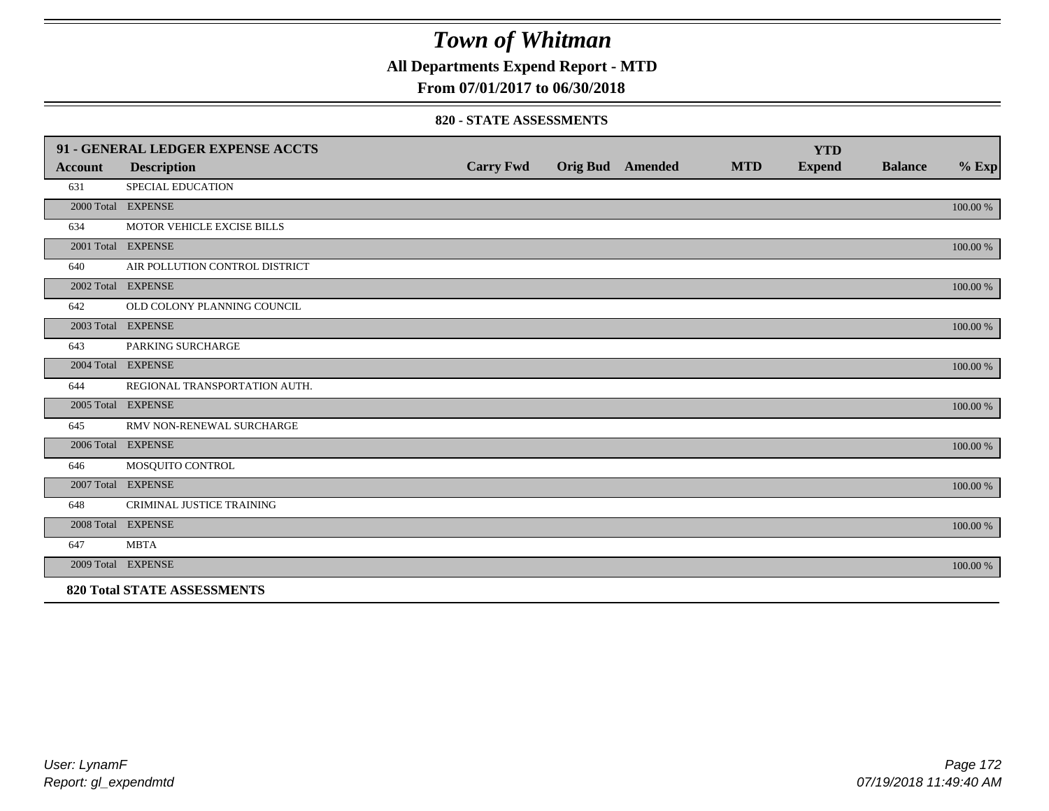**All Departments Expend Report - MTD**

### **From 07/01/2017 to 06/30/2018**

#### **820 - STATE ASSESSMENTS**

|                | 91 - GENERAL LEDGER EXPENSE ACCTS  |                  |                         |            | <b>YTD</b>    |                |          |
|----------------|------------------------------------|------------------|-------------------------|------------|---------------|----------------|----------|
| <b>Account</b> | <b>Description</b>                 | <b>Carry Fwd</b> | <b>Orig Bud</b> Amended | <b>MTD</b> | <b>Expend</b> | <b>Balance</b> | $%$ Exp  |
| 631            | <b>SPECIAL EDUCATION</b>           |                  |                         |            |               |                |          |
|                | 2000 Total EXPENSE                 |                  |                         |            |               |                | 100.00 % |
| 634            | MOTOR VEHICLE EXCISE BILLS         |                  |                         |            |               |                |          |
|                | 2001 Total EXPENSE                 |                  |                         |            |               |                | 100.00 % |
| 640            | AIR POLLUTION CONTROL DISTRICT     |                  |                         |            |               |                |          |
|                | 2002 Total EXPENSE                 |                  |                         |            |               |                | 100.00 % |
| 642            | OLD COLONY PLANNING COUNCIL        |                  |                         |            |               |                |          |
|                | 2003 Total EXPENSE                 |                  |                         |            |               |                | 100.00 % |
| 643            | PARKING SURCHARGE                  |                  |                         |            |               |                |          |
|                | 2004 Total EXPENSE                 |                  |                         |            |               |                | 100.00 % |
| 644            | REGIONAL TRANSPORTATION AUTH.      |                  |                         |            |               |                |          |
|                | 2005 Total EXPENSE                 |                  |                         |            |               |                | 100.00 % |
| 645            | RMV NON-RENEWAL SURCHARGE          |                  |                         |            |               |                |          |
|                | 2006 Total EXPENSE                 |                  |                         |            |               |                | 100.00 % |
| 646            | MOSQUITO CONTROL                   |                  |                         |            |               |                |          |
|                | 2007 Total EXPENSE                 |                  |                         |            |               |                | 100.00 % |
| 648            | CRIMINAL JUSTICE TRAINING          |                  |                         |            |               |                |          |
|                | 2008 Total EXPENSE                 |                  |                         |            |               |                | 100.00 % |
| 647            | <b>MBTA</b>                        |                  |                         |            |               |                |          |
|                | 2009 Total EXPENSE                 |                  |                         |            |               |                | 100.00 % |
|                | <b>820 Total STATE ASSESSMENTS</b> |                  |                         |            |               |                |          |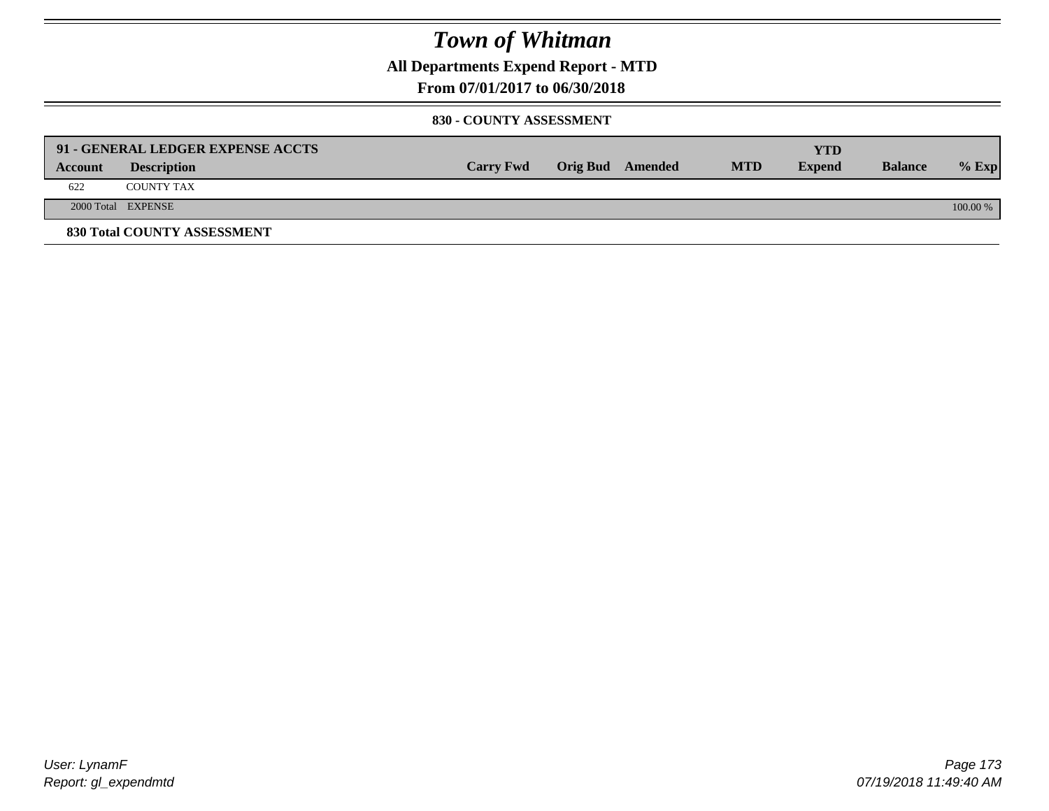**All Departments Expend Report - MTD**

**From 07/01/2017 to 06/30/2018**

#### **830 - COUNTY ASSESSMENT**

|         | 91 - GENERAL LEDGER EXPENSE ACCTS |                  |                  |            | <b>YTD</b>    |                |            |
|---------|-----------------------------------|------------------|------------------|------------|---------------|----------------|------------|
| Account | <b>Description</b>                | <b>Carry Fwd</b> | Orig Bud Amended | <b>MTD</b> | <b>Expend</b> | <b>Balance</b> | $%$ Exp    |
| 622     | <b>COUNTY TAX</b>                 |                  |                  |            |               |                |            |
|         | 2000 Total EXPENSE                |                  |                  |            |               |                | $100.00\%$ |
|         | 830 Total COUNTY ASSESSMENT       |                  |                  |            |               |                |            |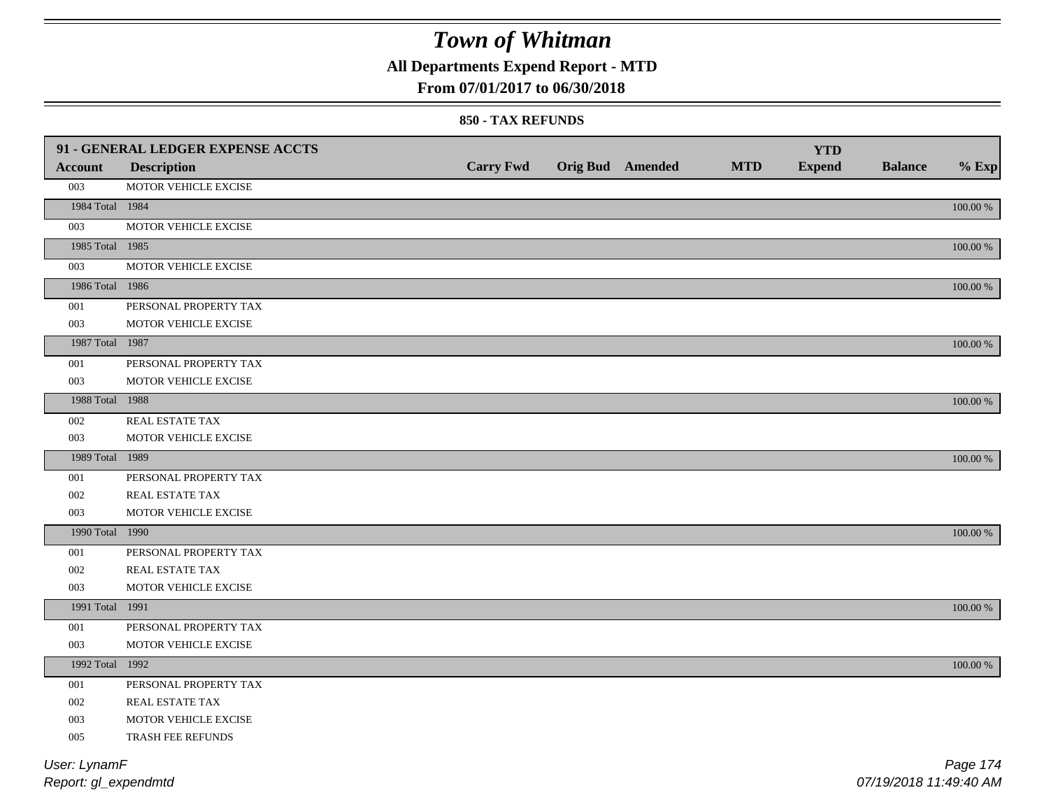## **All Departments Expend Report - MTD**

### **From 07/01/2017 to 06/30/2018**

#### **850 - TAX REFUNDS**

|                 | 91 - GENERAL LEDGER EXPENSE ACCTS |                  |                         |            | <b>YTD</b>    |                |             |
|-----------------|-----------------------------------|------------------|-------------------------|------------|---------------|----------------|-------------|
| <b>Account</b>  | <b>Description</b>                | <b>Carry Fwd</b> | <b>Orig Bud</b> Amended | <b>MTD</b> | <b>Expend</b> | <b>Balance</b> | $%$ Exp     |
| 003             | MOTOR VEHICLE EXCISE              |                  |                         |            |               |                |             |
| 1984 Total 1984 |                                   |                  |                         |            |               |                | 100.00 %    |
| 003             | MOTOR VEHICLE EXCISE              |                  |                         |            |               |                |             |
| 1985 Total 1985 |                                   |                  |                         |            |               |                | 100.00 %    |
| 003             | MOTOR VEHICLE EXCISE              |                  |                         |            |               |                |             |
| 1986 Total 1986 |                                   |                  |                         |            |               |                | 100.00 %    |
| 001             | PERSONAL PROPERTY TAX             |                  |                         |            |               |                |             |
| 003             | MOTOR VEHICLE EXCISE              |                  |                         |            |               |                |             |
| 1987 Total 1987 |                                   |                  |                         |            |               |                | 100.00 %    |
| 001             | PERSONAL PROPERTY TAX             |                  |                         |            |               |                |             |
| 003             | MOTOR VEHICLE EXCISE              |                  |                         |            |               |                |             |
| 1988 Total 1988 |                                   |                  |                         |            |               |                | 100.00 %    |
| 002             | REAL ESTATE TAX                   |                  |                         |            |               |                |             |
| 003             | MOTOR VEHICLE EXCISE              |                  |                         |            |               |                |             |
| 1989 Total 1989 |                                   |                  |                         |            |               |                | 100.00 %    |
| 001             | PERSONAL PROPERTY TAX             |                  |                         |            |               |                |             |
| 002             | <b>REAL ESTATE TAX</b>            |                  |                         |            |               |                |             |
| 003             | MOTOR VEHICLE EXCISE              |                  |                         |            |               |                |             |
| 1990 Total 1990 |                                   |                  |                         |            |               |                | 100.00 %    |
| 001             | PERSONAL PROPERTY TAX             |                  |                         |            |               |                |             |
| 002             | REAL ESTATE TAX                   |                  |                         |            |               |                |             |
| 003             | MOTOR VEHICLE EXCISE              |                  |                         |            |               |                |             |
| 1991 Total 1991 |                                   |                  |                         |            |               |                | $100.00~\%$ |
| 001             | PERSONAL PROPERTY TAX             |                  |                         |            |               |                |             |
| 003             | MOTOR VEHICLE EXCISE              |                  |                         |            |               |                |             |
| 1992 Total 1992 |                                   |                  |                         |            |               |                | 100.00 %    |
| 001             | PERSONAL PROPERTY TAX             |                  |                         |            |               |                |             |
| 002             | REAL ESTATE TAX                   |                  |                         |            |               |                |             |
| 003             | MOTOR VEHICLE EXCISE              |                  |                         |            |               |                |             |
| 005             | TRASH FEE REFUNDS                 |                  |                         |            |               |                |             |
| User: LynamF    |                                   |                  |                         |            |               |                | Page 174    |

*Report: gl\_expendmtd*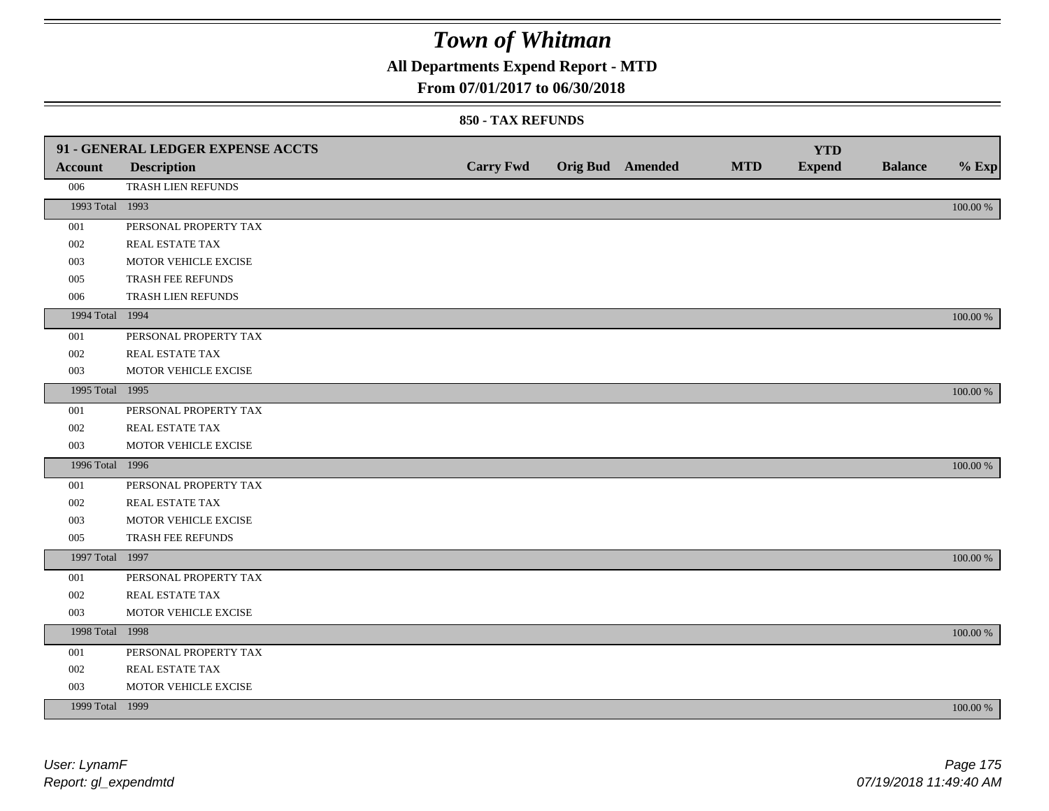## **All Departments Expend Report - MTD**

### **From 07/01/2017 to 06/30/2018**

|                 | 91 - GENERAL LEDGER EXPENSE ACCTS |                  |                  |            | <b>YTD</b>    |                |             |
|-----------------|-----------------------------------|------------------|------------------|------------|---------------|----------------|-------------|
| <b>Account</b>  | <b>Description</b>                | <b>Carry Fwd</b> | Orig Bud Amended | <b>MTD</b> | <b>Expend</b> | <b>Balance</b> | $%$ Exp     |
| 006             | TRASH LIEN REFUNDS                |                  |                  |            |               |                |             |
| 1993 Total 1993 |                                   |                  |                  |            |               |                | $100.00~\%$ |
| 001             | PERSONAL PROPERTY TAX             |                  |                  |            |               |                |             |
| 002             | REAL ESTATE TAX                   |                  |                  |            |               |                |             |
| 003             | MOTOR VEHICLE EXCISE              |                  |                  |            |               |                |             |
| 005             | TRASH FEE REFUNDS                 |                  |                  |            |               |                |             |
| 006             | TRASH LIEN REFUNDS                |                  |                  |            |               |                |             |
| 1994 Total 1994 |                                   |                  |                  |            |               |                | 100.00 %    |
| 001             | PERSONAL PROPERTY TAX             |                  |                  |            |               |                |             |
| 002             | REAL ESTATE TAX                   |                  |                  |            |               |                |             |
| 003             | MOTOR VEHICLE EXCISE              |                  |                  |            |               |                |             |
| 1995 Total 1995 |                                   |                  |                  |            |               |                | 100.00 %    |
| 001             | PERSONAL PROPERTY TAX             |                  |                  |            |               |                |             |
| 002             | REAL ESTATE TAX                   |                  |                  |            |               |                |             |
| 003             | MOTOR VEHICLE EXCISE              |                  |                  |            |               |                |             |
| 1996 Total 1996 |                                   |                  |                  |            |               |                | 100.00 %    |
| 001             | PERSONAL PROPERTY TAX             |                  |                  |            |               |                |             |
| 002             | REAL ESTATE TAX                   |                  |                  |            |               |                |             |
| 003             | MOTOR VEHICLE EXCISE              |                  |                  |            |               |                |             |
| 005             | TRASH FEE REFUNDS                 |                  |                  |            |               |                |             |
| 1997 Total 1997 |                                   |                  |                  |            |               |                | 100.00 %    |
| 001             | PERSONAL PROPERTY TAX             |                  |                  |            |               |                |             |
| 002             | REAL ESTATE TAX                   |                  |                  |            |               |                |             |
| 003             | MOTOR VEHICLE EXCISE              |                  |                  |            |               |                |             |
| 1998 Total 1998 |                                   |                  |                  |            |               |                | 100.00 %    |
| 001             | PERSONAL PROPERTY TAX             |                  |                  |            |               |                |             |
| 002             | REAL ESTATE TAX                   |                  |                  |            |               |                |             |
| 003             | MOTOR VEHICLE EXCISE              |                  |                  |            |               |                |             |
| 1999 Total 1999 |                                   |                  |                  |            |               |                | 100.00 %    |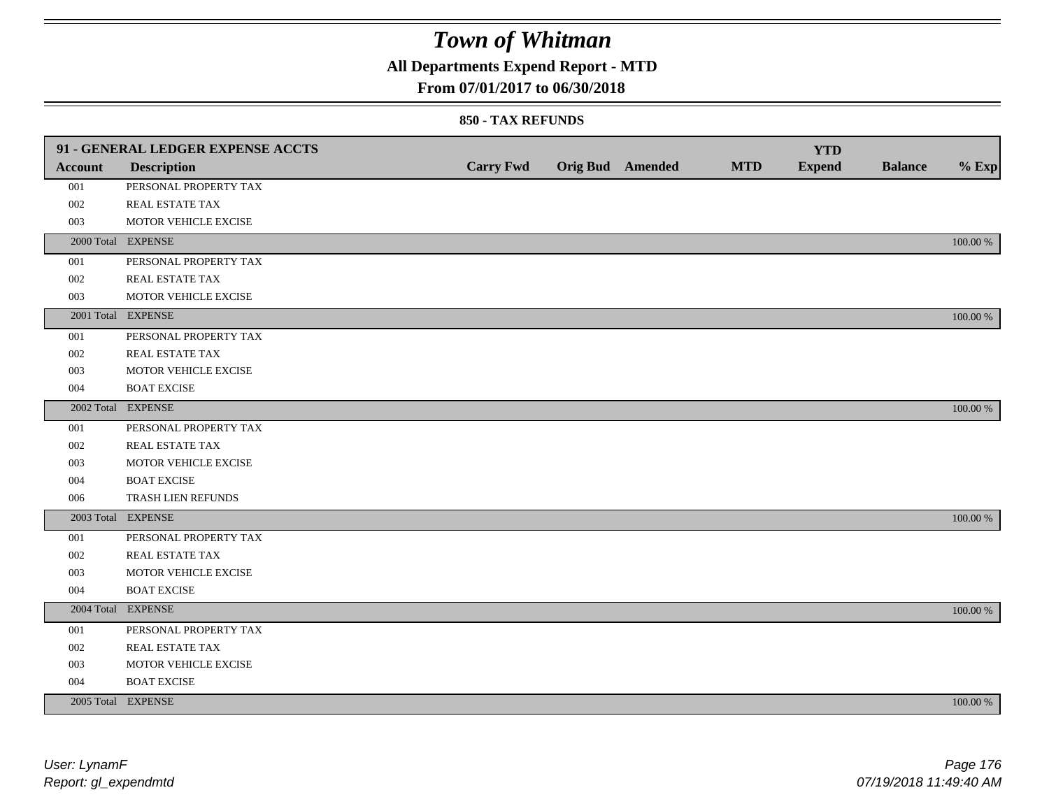## **All Departments Expend Report - MTD**

### **From 07/01/2017 to 06/30/2018**

|                | 91 - GENERAL LEDGER EXPENSE ACCTS |                  |                         |            | <b>YTD</b>    |                |             |
|----------------|-----------------------------------|------------------|-------------------------|------------|---------------|----------------|-------------|
| <b>Account</b> | <b>Description</b>                | <b>Carry Fwd</b> | <b>Orig Bud</b> Amended | <b>MTD</b> | <b>Expend</b> | <b>Balance</b> | $%$ Exp     |
| 001            | PERSONAL PROPERTY TAX             |                  |                         |            |               |                |             |
| 002            | REAL ESTATE TAX                   |                  |                         |            |               |                |             |
| 003            | MOTOR VEHICLE EXCISE              |                  |                         |            |               |                |             |
|                | 2000 Total EXPENSE                |                  |                         |            |               |                | 100.00 %    |
| 001            | PERSONAL PROPERTY TAX             |                  |                         |            |               |                |             |
| 002            | REAL ESTATE TAX                   |                  |                         |            |               |                |             |
| 003            | MOTOR VEHICLE EXCISE              |                  |                         |            |               |                |             |
|                | 2001 Total EXPENSE                |                  |                         |            |               |                | 100.00 %    |
| 001            | PERSONAL PROPERTY TAX             |                  |                         |            |               |                |             |
| 002            | REAL ESTATE TAX                   |                  |                         |            |               |                |             |
| 003            | MOTOR VEHICLE EXCISE              |                  |                         |            |               |                |             |
| 004            | <b>BOAT EXCISE</b>                |                  |                         |            |               |                |             |
|                | 2002 Total EXPENSE                |                  |                         |            |               |                | 100.00 %    |
| 001            | PERSONAL PROPERTY TAX             |                  |                         |            |               |                |             |
| 002            | REAL ESTATE TAX                   |                  |                         |            |               |                |             |
| 003            | MOTOR VEHICLE EXCISE              |                  |                         |            |               |                |             |
| 004            | <b>BOAT EXCISE</b>                |                  |                         |            |               |                |             |
| 006            | TRASH LIEN REFUNDS                |                  |                         |            |               |                |             |
|                | 2003 Total EXPENSE                |                  |                         |            |               |                | 100.00 %    |
| 001            | PERSONAL PROPERTY TAX             |                  |                         |            |               |                |             |
| 002            | REAL ESTATE TAX                   |                  |                         |            |               |                |             |
| 003            | MOTOR VEHICLE EXCISE              |                  |                         |            |               |                |             |
| 004            | <b>BOAT EXCISE</b>                |                  |                         |            |               |                |             |
|                | 2004 Total EXPENSE                |                  |                         |            |               |                | 100.00 %    |
| 001            | PERSONAL PROPERTY TAX             |                  |                         |            |               |                |             |
| 002            | REAL ESTATE TAX                   |                  |                         |            |               |                |             |
| 003            | MOTOR VEHICLE EXCISE              |                  |                         |            |               |                |             |
| 004            | <b>BOAT EXCISE</b>                |                  |                         |            |               |                |             |
|                | 2005 Total EXPENSE                |                  |                         |            |               |                | $100.00~\%$ |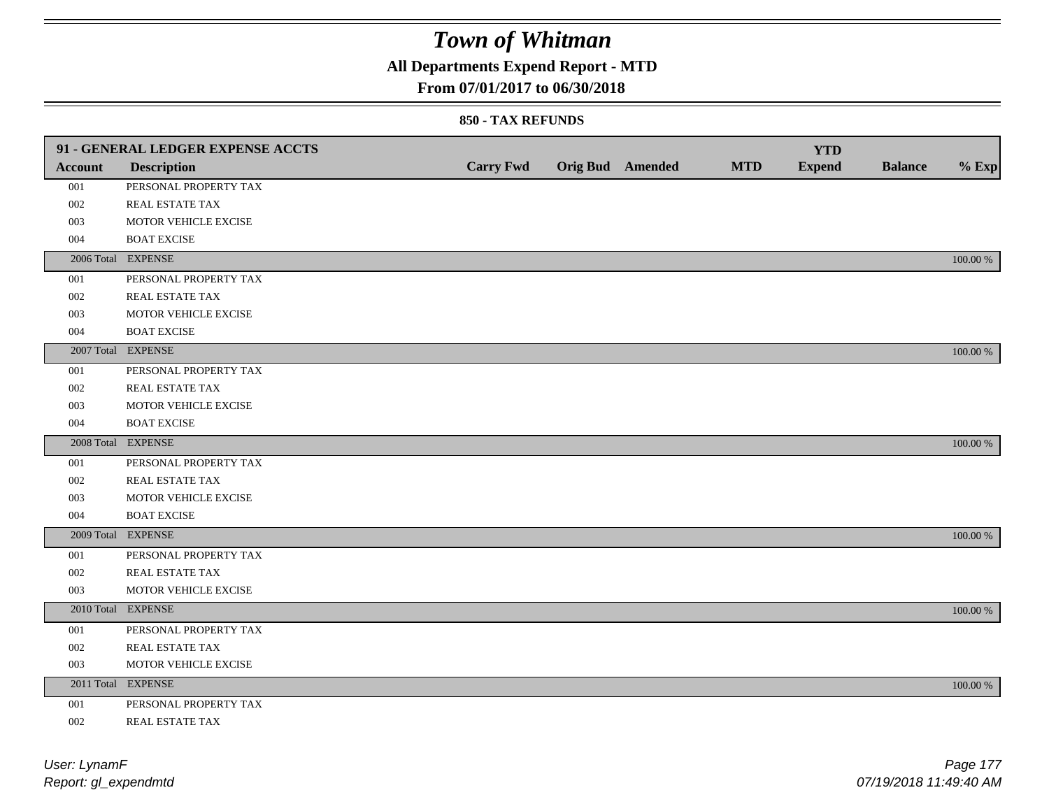## **All Departments Expend Report - MTD**

### **From 07/01/2017 to 06/30/2018**

|         | 91 - GENERAL LEDGER EXPENSE ACCTS |                  |                         |            | <b>YTD</b>    |                |             |
|---------|-----------------------------------|------------------|-------------------------|------------|---------------|----------------|-------------|
| Account | <b>Description</b>                | <b>Carry Fwd</b> | <b>Orig Bud</b> Amended | <b>MTD</b> | <b>Expend</b> | <b>Balance</b> | $%$ Exp     |
| 001     | PERSONAL PROPERTY TAX             |                  |                         |            |               |                |             |
| 002     | REAL ESTATE TAX                   |                  |                         |            |               |                |             |
| 003     | MOTOR VEHICLE EXCISE              |                  |                         |            |               |                |             |
| 004     | <b>BOAT EXCISE</b>                |                  |                         |            |               |                |             |
|         | 2006 Total EXPENSE                |                  |                         |            |               |                | 100.00 %    |
| 001     | PERSONAL PROPERTY TAX             |                  |                         |            |               |                |             |
| 002     | REAL ESTATE TAX                   |                  |                         |            |               |                |             |
| 003     | MOTOR VEHICLE EXCISE              |                  |                         |            |               |                |             |
| 004     | <b>BOAT EXCISE</b>                |                  |                         |            |               |                |             |
|         | 2007 Total EXPENSE                |                  |                         |            |               |                | 100.00 %    |
| 001     | PERSONAL PROPERTY TAX             |                  |                         |            |               |                |             |
| 002     | REAL ESTATE TAX                   |                  |                         |            |               |                |             |
| 003     | MOTOR VEHICLE EXCISE              |                  |                         |            |               |                |             |
| 004     | <b>BOAT EXCISE</b>                |                  |                         |            |               |                |             |
|         | 2008 Total EXPENSE                |                  |                         |            |               |                | 100.00 %    |
| 001     | PERSONAL PROPERTY TAX             |                  |                         |            |               |                |             |
| 002     | <b>REAL ESTATE TAX</b>            |                  |                         |            |               |                |             |
| 003     | MOTOR VEHICLE EXCISE              |                  |                         |            |               |                |             |
| 004     | <b>BOAT EXCISE</b>                |                  |                         |            |               |                |             |
|         | 2009 Total EXPENSE                |                  |                         |            |               |                | 100.00 %    |
| 001     | PERSONAL PROPERTY TAX             |                  |                         |            |               |                |             |
| 002     | REAL ESTATE TAX                   |                  |                         |            |               |                |             |
| 003     | MOTOR VEHICLE EXCISE              |                  |                         |            |               |                |             |
|         | 2010 Total EXPENSE                |                  |                         |            |               |                | 100.00 %    |
| 001     | PERSONAL PROPERTY TAX             |                  |                         |            |               |                |             |
| 002     | REAL ESTATE TAX                   |                  |                         |            |               |                |             |
| 003     | MOTOR VEHICLE EXCISE              |                  |                         |            |               |                |             |
|         | 2011 Total EXPENSE                |                  |                         |            |               |                | $100.00~\%$ |
| 001     | PERSONAL PROPERTY TAX             |                  |                         |            |               |                |             |
| 002     | REAL ESTATE TAX                   |                  |                         |            |               |                |             |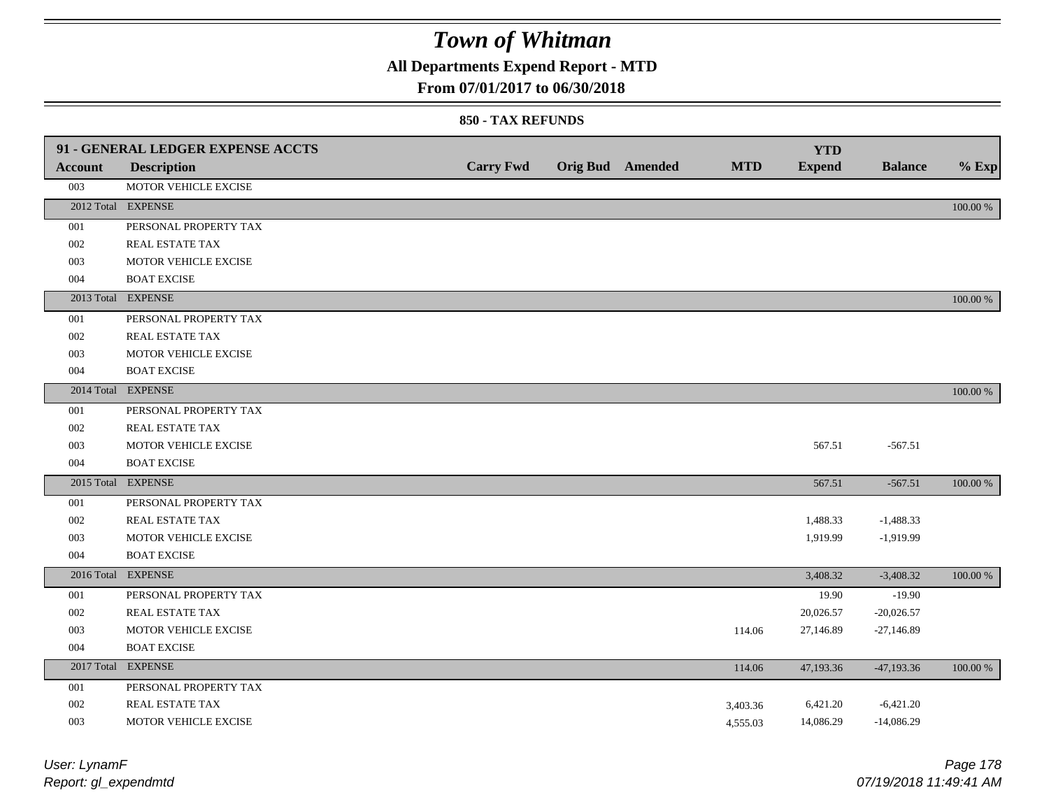## **All Departments Expend Report - MTD**

### **From 07/01/2017 to 06/30/2018**

| <b>Account</b> | 91 - GENERAL LEDGER EXPENSE ACCTS<br><b>Description</b> | <b>Carry Fwd</b> | Orig Bud Amended | <b>MTD</b> | <b>YTD</b><br><b>Expend</b> | <b>Balance</b> | $%$ Exp  |
|----------------|---------------------------------------------------------|------------------|------------------|------------|-----------------------------|----------------|----------|
| 003            | MOTOR VEHICLE EXCISE                                    |                  |                  |            |                             |                |          |
|                | 2012 Total EXPENSE                                      |                  |                  |            |                             |                | 100.00 % |
| 001            | PERSONAL PROPERTY TAX                                   |                  |                  |            |                             |                |          |
| 002            | REAL ESTATE TAX                                         |                  |                  |            |                             |                |          |
| 003            | MOTOR VEHICLE EXCISE                                    |                  |                  |            |                             |                |          |
| 004            | <b>BOAT EXCISE</b>                                      |                  |                  |            |                             |                |          |
|                | 2013 Total EXPENSE                                      |                  |                  |            |                             |                | 100.00 % |
| 001            | PERSONAL PROPERTY TAX                                   |                  |                  |            |                             |                |          |
| 002            | REAL ESTATE TAX                                         |                  |                  |            |                             |                |          |
| 003            | MOTOR VEHICLE EXCISE                                    |                  |                  |            |                             |                |          |
| 004            | <b>BOAT EXCISE</b>                                      |                  |                  |            |                             |                |          |
|                | 2014 Total EXPENSE                                      |                  |                  |            |                             |                | 100.00 % |
| 001            | PERSONAL PROPERTY TAX                                   |                  |                  |            |                             |                |          |
| 002            | REAL ESTATE TAX                                         |                  |                  |            |                             |                |          |
| 003            | MOTOR VEHICLE EXCISE                                    |                  |                  |            | 567.51                      | $-567.51$      |          |
| 004            | <b>BOAT EXCISE</b>                                      |                  |                  |            |                             |                |          |
|                | 2015 Total EXPENSE                                      |                  |                  |            | 567.51                      | $-567.51$      | 100.00 % |
| 001            | PERSONAL PROPERTY TAX                                   |                  |                  |            |                             |                |          |
| 002            | REAL ESTATE TAX                                         |                  |                  |            | 1,488.33                    | $-1,488.33$    |          |
| 003            | MOTOR VEHICLE EXCISE                                    |                  |                  |            | 1,919.99                    | $-1,919.99$    |          |
| 004            | <b>BOAT EXCISE</b>                                      |                  |                  |            |                             |                |          |
|                | 2016 Total EXPENSE                                      |                  |                  |            | 3,408.32                    | $-3,408.32$    | 100.00 % |
| 001            | PERSONAL PROPERTY TAX                                   |                  |                  |            | 19.90                       | $-19.90$       |          |
| 002            | REAL ESTATE TAX                                         |                  |                  |            | 20,026.57                   | $-20,026.57$   |          |
| 003            | MOTOR VEHICLE EXCISE                                    |                  |                  | 114.06     | 27,146.89                   | $-27,146.89$   |          |
| 004            | <b>BOAT EXCISE</b>                                      |                  |                  |            |                             |                |          |
|                | 2017 Total EXPENSE                                      |                  |                  | 114.06     | 47,193.36                   | $-47,193.36$   | 100.00 % |
| 001            | PERSONAL PROPERTY TAX                                   |                  |                  |            |                             |                |          |
| 002            | REAL ESTATE TAX                                         |                  |                  | 3,403.36   | 6,421.20                    | $-6,421.20$    |          |
| 003            | MOTOR VEHICLE EXCISE                                    |                  |                  | 4,555.03   | 14,086.29                   | $-14,086.29$   |          |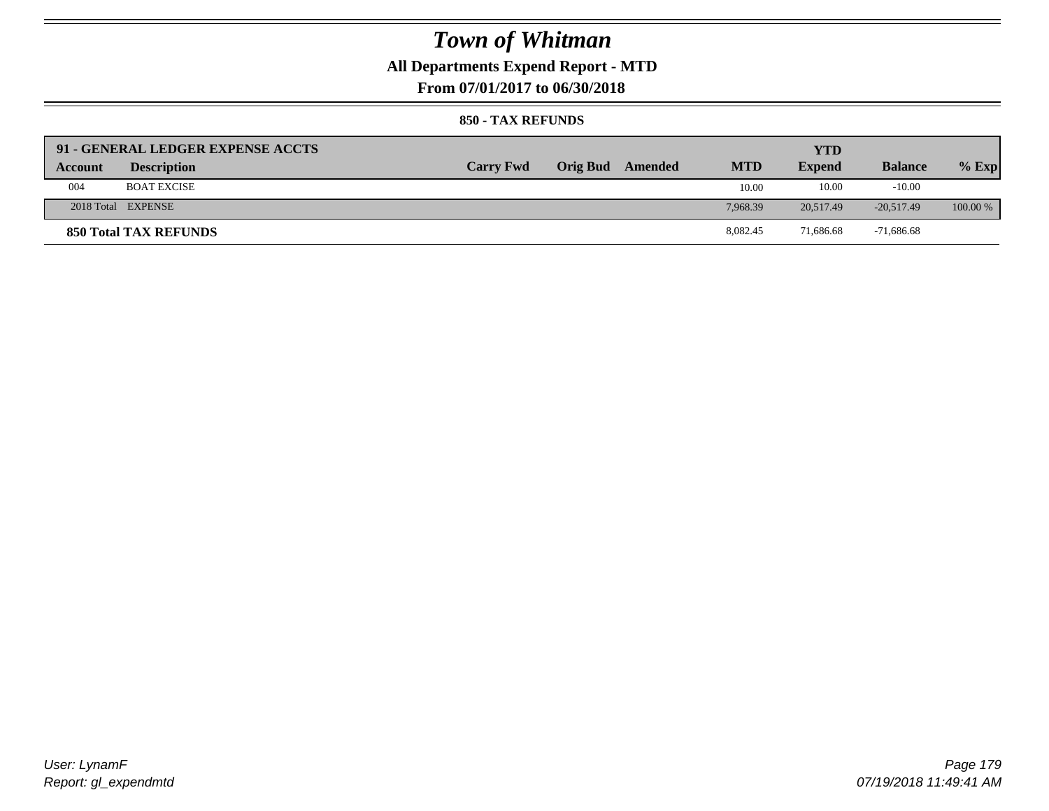## **All Departments Expend Report - MTD**

**From 07/01/2017 to 06/30/2018**

|         | 91 - GENERAL LEDGER EXPENSE ACCTS |                  |                         |            | YTD           |                |            |
|---------|-----------------------------------|------------------|-------------------------|------------|---------------|----------------|------------|
| Account | <b>Description</b>                | <b>Carry Fwd</b> | <b>Orig Bud</b> Amended | <b>MTD</b> | <b>Expend</b> | <b>Balance</b> | $%$ Exp    |
| 004     | <b>BOAT EXCISE</b>                |                  |                         | 10.00      | 10.00         | $-10.00$       |            |
|         | 2018 Total EXPENSE                |                  |                         | 7.968.39   | 20.517.49     | $-20.517.49$   | $100.00\%$ |
|         | 850 Total TAX REFUNDS             |                  |                         | 8,082.45   | 71,686.68     | $-71,686.68$   |            |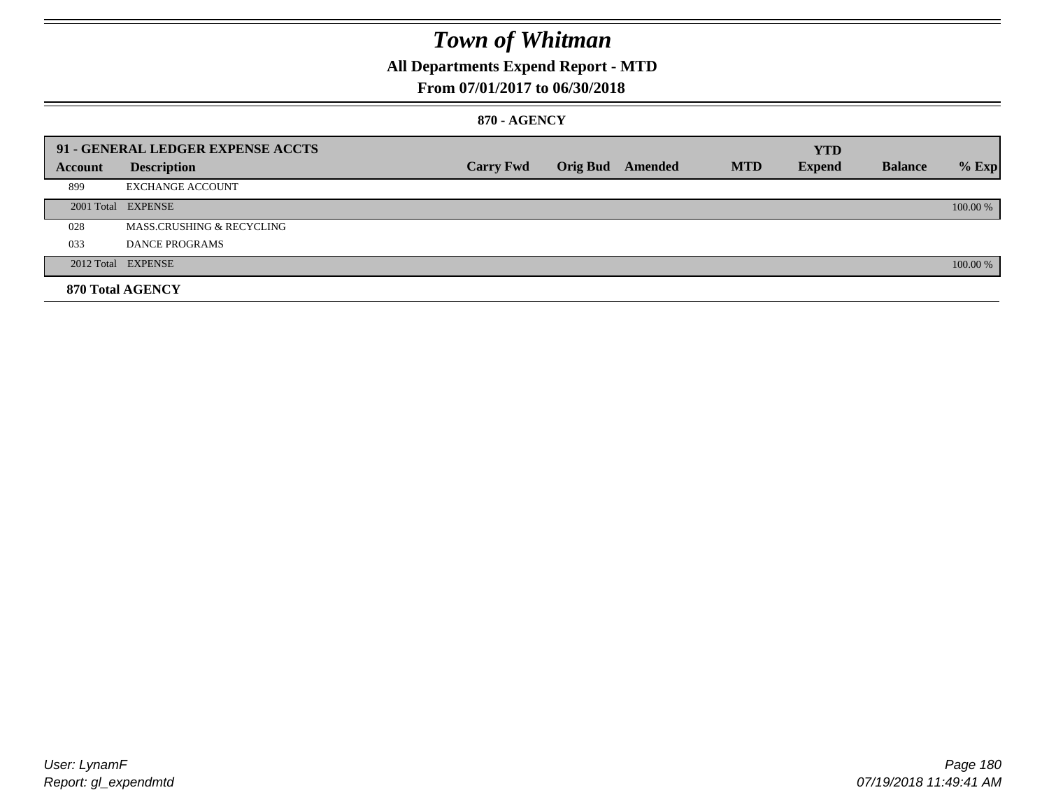## **All Departments Expend Report - MTD**

### **From 07/01/2017 to 06/30/2018**

#### **870 - AGENCY**

|         | 91 - GENERAL LEDGER EXPENSE ACCTS |                  |                         |            | <b>YTD</b>    |                |          |
|---------|-----------------------------------|------------------|-------------------------|------------|---------------|----------------|----------|
| Account | <b>Description</b>                | <b>Carry Fwd</b> | <b>Orig Bud</b> Amended | <b>MTD</b> | <b>Expend</b> | <b>Balance</b> | $%$ Exp  |
| 899     | <b>EXCHANGE ACCOUNT</b>           |                  |                         |            |               |                |          |
|         | 2001 Total EXPENSE                |                  |                         |            |               |                | 100.00 % |
| 028     | MASS.CRUSHING & RECYCLING         |                  |                         |            |               |                |          |
| 033     | <b>DANCE PROGRAMS</b>             |                  |                         |            |               |                |          |
|         | 2012 Total EXPENSE                |                  |                         |            |               |                | 100.00 % |
|         | 870 Total AGENCY                  |                  |                         |            |               |                |          |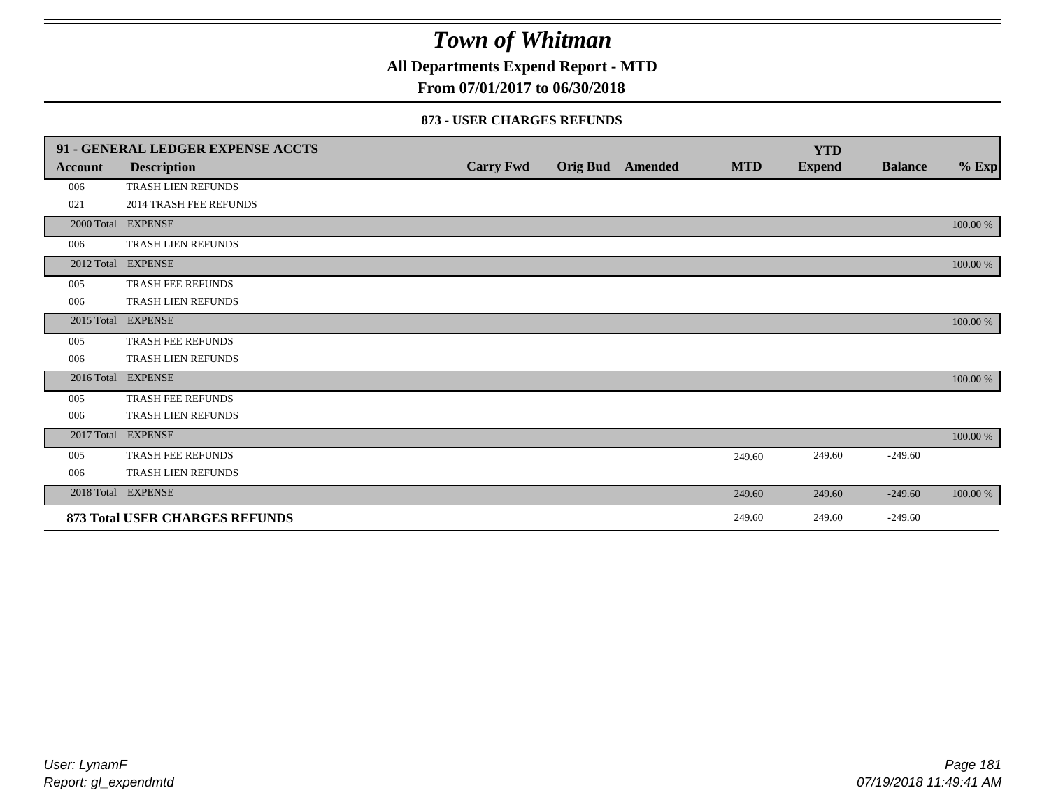**All Departments Expend Report - MTD**

## **From 07/01/2017 to 06/30/2018**

### **873 - USER CHARGES REFUNDS**

|            | 91 - GENERAL LEDGER EXPENSE ACCTS |                  |                  |            | <b>YTD</b>    |                |          |
|------------|-----------------------------------|------------------|------------------|------------|---------------|----------------|----------|
| Account    | <b>Description</b>                | <b>Carry Fwd</b> | Orig Bud Amended | <b>MTD</b> | <b>Expend</b> | <b>Balance</b> | $%$ Exp  |
| 006        | TRASH LIEN REFUNDS                |                  |                  |            |               |                |          |
| 021        | <b>2014 TRASH FEE REFUNDS</b>     |                  |                  |            |               |                |          |
|            | 2000 Total EXPENSE                |                  |                  |            |               |                | 100.00 % |
| 006        | <b>TRASH LIEN REFUNDS</b>         |                  |                  |            |               |                |          |
|            | 2012 Total EXPENSE                |                  |                  |            |               |                | 100.00 % |
| 005        | <b>TRASH FEE REFUNDS</b>          |                  |                  |            |               |                |          |
| 006        | TRASH LIEN REFUNDS                |                  |                  |            |               |                |          |
| 2015 Total | <b>EXPENSE</b>                    |                  |                  |            |               |                | 100.00 % |
| 005        | TRASH FEE REFUNDS                 |                  |                  |            |               |                |          |
| 006        | TRASH LIEN REFUNDS                |                  |                  |            |               |                |          |
|            | 2016 Total EXPENSE                |                  |                  |            |               |                | 100.00 % |
| 005        | TRASH FEE REFUNDS                 |                  |                  |            |               |                |          |
| 006        | TRASH LIEN REFUNDS                |                  |                  |            |               |                |          |
|            | 2017 Total EXPENSE                |                  |                  |            |               |                | 100.00 % |
| 005        | <b>TRASH FEE REFUNDS</b>          |                  |                  | 249.60     | 249.60        | $-249.60$      |          |
| 006        | TRASH LIEN REFUNDS                |                  |                  |            |               |                |          |
|            | 2018 Total EXPENSE                |                  |                  | 249.60     | 249.60        | $-249.60$      | 100.00 % |
|            | 873 Total USER CHARGES REFUNDS    |                  |                  | 249.60     | 249.60        | $-249.60$      |          |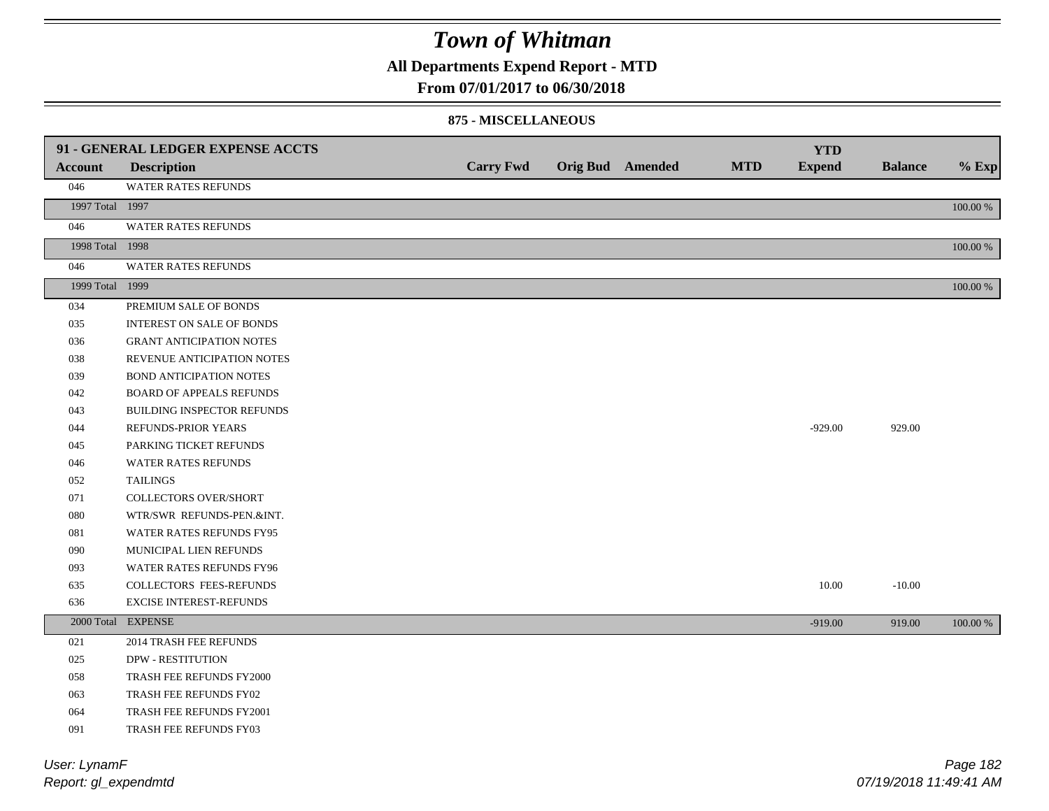**All Departments Expend Report - MTD**

### **From 07/01/2017 to 06/30/2018**

#### **875 - MISCELLANEOUS**

|                 | 91 - GENERAL LEDGER EXPENSE ACCTS |                  |                         |            | <b>YTD</b>    |                |          |
|-----------------|-----------------------------------|------------------|-------------------------|------------|---------------|----------------|----------|
| <b>Account</b>  | <b>Description</b>                | <b>Carry Fwd</b> | <b>Orig Bud</b> Amended | <b>MTD</b> | <b>Expend</b> | <b>Balance</b> | $%$ Exp  |
| 046             | WATER RATES REFUNDS               |                  |                         |            |               |                |          |
| 1997 Total 1997 |                                   |                  |                         |            |               |                | 100.00 % |
| 046             | <b>WATER RATES REFUNDS</b>        |                  |                         |            |               |                |          |
| 1998 Total 1998 |                                   |                  |                         |            |               |                | 100.00 % |
| 046             | <b>WATER RATES REFUNDS</b>        |                  |                         |            |               |                |          |
| 1999 Total 1999 |                                   |                  |                         |            |               |                | 100.00 % |
| 034             | PREMIUM SALE OF BONDS             |                  |                         |            |               |                |          |
| 035             | <b>INTEREST ON SALE OF BONDS</b>  |                  |                         |            |               |                |          |
| 036             | <b>GRANT ANTICIPATION NOTES</b>   |                  |                         |            |               |                |          |
| 038             | REVENUE ANTICIPATION NOTES        |                  |                         |            |               |                |          |
| 039             | BOND ANTICIPATION NOTES           |                  |                         |            |               |                |          |
| 042             | <b>BOARD OF APPEALS REFUNDS</b>   |                  |                         |            |               |                |          |
| 043             | BUILDING INSPECTOR REFUNDS        |                  |                         |            |               |                |          |
| 044             | REFUNDS-PRIOR YEARS               |                  |                         |            | $-929.00$     | 929.00         |          |
| 045             | PARKING TICKET REFUNDS            |                  |                         |            |               |                |          |
| 046             | <b>WATER RATES REFUNDS</b>        |                  |                         |            |               |                |          |
| 052             | <b>TAILINGS</b>                   |                  |                         |            |               |                |          |
| 071             | COLLECTORS OVER/SHORT             |                  |                         |            |               |                |          |
| 080             | WTR/SWR REFUNDS-PEN.&INT.         |                  |                         |            |               |                |          |
| 081             | WATER RATES REFUNDS FY95          |                  |                         |            |               |                |          |
| 090             | MUNICIPAL LIEN REFUNDS            |                  |                         |            |               |                |          |
| 093             | WATER RATES REFUNDS FY96          |                  |                         |            |               |                |          |
| 635             | <b>COLLECTORS FEES-REFUNDS</b>    |                  |                         |            | 10.00         | $-10.00$       |          |
| 636             | EXCISE INTEREST-REFUNDS           |                  |                         |            |               |                |          |
|                 | 2000 Total EXPENSE                |                  |                         |            | $-919.00$     | 919.00         | 100.00 % |
| 021             | 2014 TRASH FEE REFUNDS            |                  |                         |            |               |                |          |
| 025             | <b>DPW - RESTITUTION</b>          |                  |                         |            |               |                |          |
| 058             | TRASH FEE REFUNDS FY2000          |                  |                         |            |               |                |          |
| 063             | TRASH FEE REFUNDS FY02            |                  |                         |            |               |                |          |
| 064             | TRASH FEE REFUNDS FY2001          |                  |                         |            |               |                |          |
| 091             | TRASH FEE REFUNDS FY03            |                  |                         |            |               |                |          |

*Report: gl\_expendmtd User: LynamF*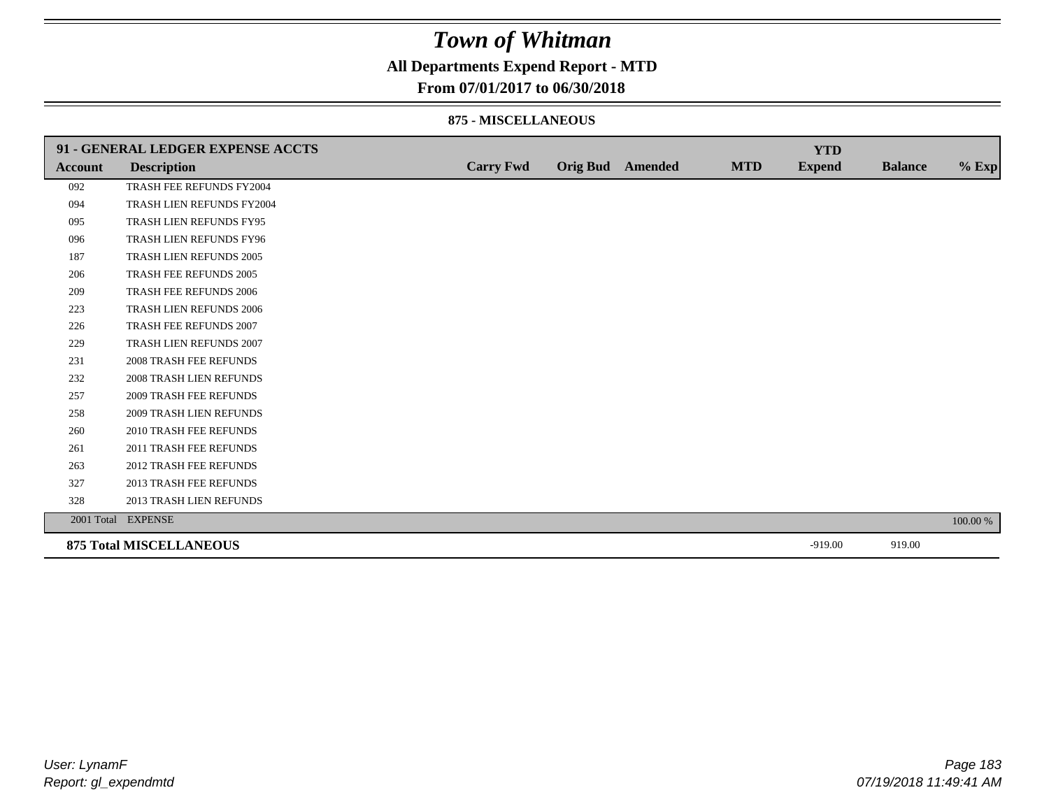## **All Departments Expend Report - MTD**

### **From 07/01/2017 to 06/30/2018**

### **875 - MISCELLANEOUS**

|         | 91 - GENERAL LEDGER EXPENSE ACCTS |                  |                         |            | <b>YTD</b>    |                |          |
|---------|-----------------------------------|------------------|-------------------------|------------|---------------|----------------|----------|
| Account | <b>Description</b>                | <b>Carry Fwd</b> | <b>Orig Bud</b> Amended | <b>MTD</b> | <b>Expend</b> | <b>Balance</b> | $%$ Exp  |
| 092     | TRASH FEE REFUNDS FY2004          |                  |                         |            |               |                |          |
| 094     | TRASH LIEN REFUNDS FY2004         |                  |                         |            |               |                |          |
| 095     | TRASH LIEN REFUNDS FY95           |                  |                         |            |               |                |          |
| 096     | TRASH LIEN REFUNDS FY96           |                  |                         |            |               |                |          |
| 187     | TRASH LIEN REFUNDS 2005           |                  |                         |            |               |                |          |
| 206     | TRASH FEE REFUNDS 2005            |                  |                         |            |               |                |          |
| 209     | <b>TRASH FEE REFUNDS 2006</b>     |                  |                         |            |               |                |          |
| 223     | TRASH LIEN REFUNDS 2006           |                  |                         |            |               |                |          |
| 226     | TRASH FEE REFUNDS 2007            |                  |                         |            |               |                |          |
| 229     | TRASH LIEN REFUNDS 2007           |                  |                         |            |               |                |          |
| 231     | <b>2008 TRASH FEE REFUNDS</b>     |                  |                         |            |               |                |          |
| 232     | 2008 TRASH LIEN REFUNDS           |                  |                         |            |               |                |          |
| 257     | <b>2009 TRASH FEE REFUNDS</b>     |                  |                         |            |               |                |          |
| 258     | <b>2009 TRASH LIEN REFUNDS</b>    |                  |                         |            |               |                |          |
| 260     | 2010 TRASH FEE REFUNDS            |                  |                         |            |               |                |          |
| 261     | 2011 TRASH FEE REFUNDS            |                  |                         |            |               |                |          |
| 263     | <b>2012 TRASH FEE REFUNDS</b>     |                  |                         |            |               |                |          |
| 327     | <b>2013 TRASH FEE REFUNDS</b>     |                  |                         |            |               |                |          |
| 328     | 2013 TRASH LIEN REFUNDS           |                  |                         |            |               |                |          |
|         | 2001 Total EXPENSE                |                  |                         |            |               |                | 100.00 % |
|         | <b>875 Total MISCELLANEOUS</b>    |                  |                         |            | $-919.00$     | 919.00         |          |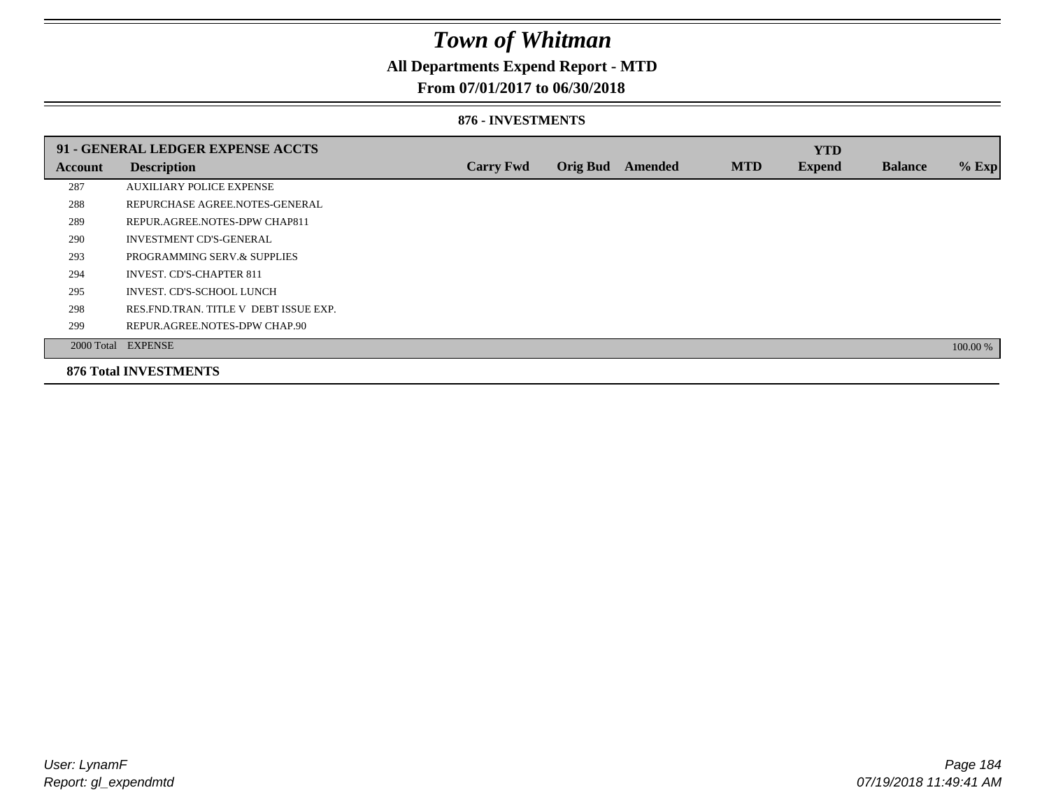## **All Departments Expend Report - MTD**

### **From 07/01/2017 to 06/30/2018**

### **876 - INVESTMENTS**

|         | 91 - GENERAL LEDGER EXPENSE ACCTS       |                  |                 |                |            | <b>YTD</b>    |                |          |
|---------|-----------------------------------------|------------------|-----------------|----------------|------------|---------------|----------------|----------|
| Account | <b>Description</b>                      | <b>Carry Fwd</b> | <b>Orig Bud</b> | <b>Amended</b> | <b>MTD</b> | <b>Expend</b> | <b>Balance</b> | $%$ Exp  |
| 287     | <b>AUXILIARY POLICE EXPENSE</b>         |                  |                 |                |            |               |                |          |
| 288     | REPURCHASE AGREE.NOTES-GENERAL          |                  |                 |                |            |               |                |          |
| 289     | REPUR.AGREE.NOTES-DPW CHAP811           |                  |                 |                |            |               |                |          |
| 290     | <b>INVESTMENT CD'S-GENERAL</b>          |                  |                 |                |            |               |                |          |
| 293     | PROGRAMMING SERV.& SUPPLIES             |                  |                 |                |            |               |                |          |
| 294     | <b>INVEST. CD'S-CHAPTER 811</b>         |                  |                 |                |            |               |                |          |
| 295     | INVEST. CD'S-SCHOOL LUNCH               |                  |                 |                |            |               |                |          |
| 298     | RES. FND. TRAN. TITLE V DEBT ISSUE EXP. |                  |                 |                |            |               |                |          |
| 299     | REPUR.AGREE.NOTES-DPW CHAP.90           |                  |                 |                |            |               |                |          |
|         | 2000 Total EXPENSE                      |                  |                 |                |            |               |                | 100.00 % |
|         | <b>876 Total INVESTMENTS</b>            |                  |                 |                |            |               |                |          |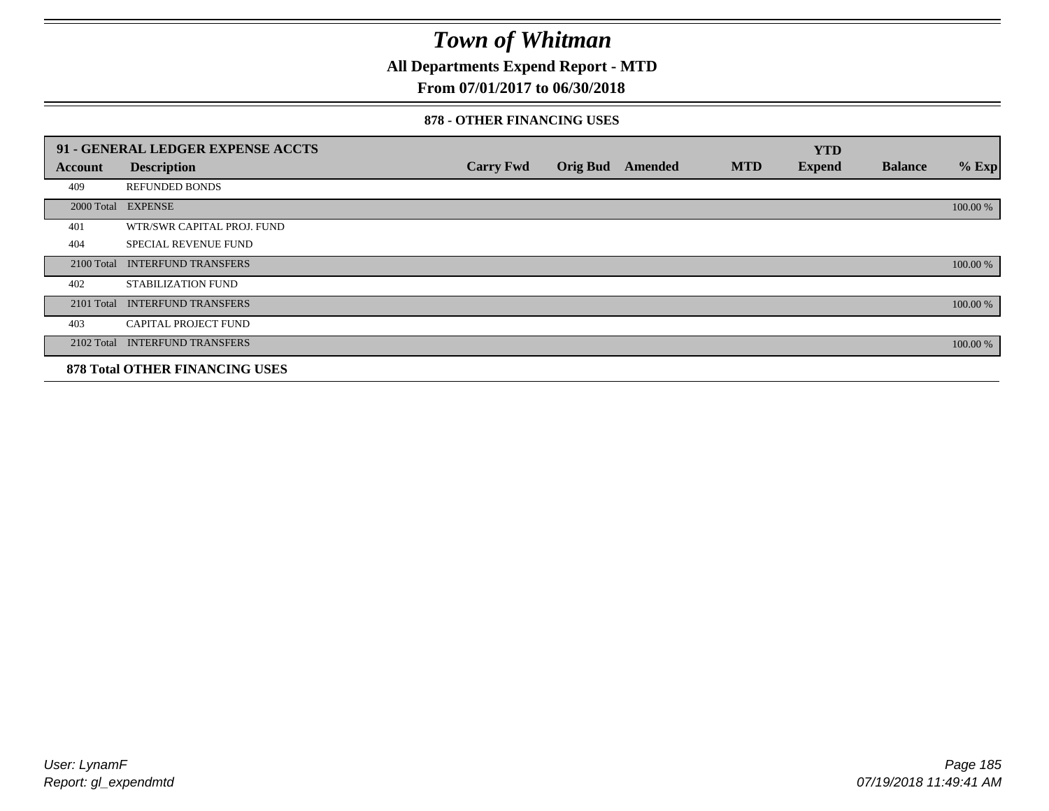**All Departments Expend Report - MTD**

## **From 07/01/2017 to 06/30/2018**

### **878 - OTHER FINANCING USES**

|                | 91 - GENERAL LEDGER EXPENSE ACCTS     |                  |                 |         |            | <b>YTD</b>    |                |          |
|----------------|---------------------------------------|------------------|-----------------|---------|------------|---------------|----------------|----------|
| <b>Account</b> | <b>Description</b>                    | <b>Carry Fwd</b> | <b>Orig Bud</b> | Amended | <b>MTD</b> | <b>Expend</b> | <b>Balance</b> | $%$ Exp  |
| 409            | <b>REFUNDED BONDS</b>                 |                  |                 |         |            |               |                |          |
| 2000 Total     | <b>EXPENSE</b>                        |                  |                 |         |            |               |                | 100.00 % |
| 401            | WTR/SWR CAPITAL PROJ. FUND            |                  |                 |         |            |               |                |          |
| 404            | <b>SPECIAL REVENUE FUND</b>           |                  |                 |         |            |               |                |          |
| 2100 Total     | <b>INTERFUND TRANSFERS</b>            |                  |                 |         |            |               |                | 100.00 % |
| 402            | STABILIZATION FUND                    |                  |                 |         |            |               |                |          |
| 2101 Total     | <b>INTERFUND TRANSFERS</b>            |                  |                 |         |            |               |                | 100.00 % |
| 403            | <b>CAPITAL PROJECT FUND</b>           |                  |                 |         |            |               |                |          |
|                | 2102 Total INTERFUND TRANSFERS        |                  |                 |         |            |               |                | 100.00 % |
|                | <b>878 Total OTHER FINANCING USES</b> |                  |                 |         |            |               |                |          |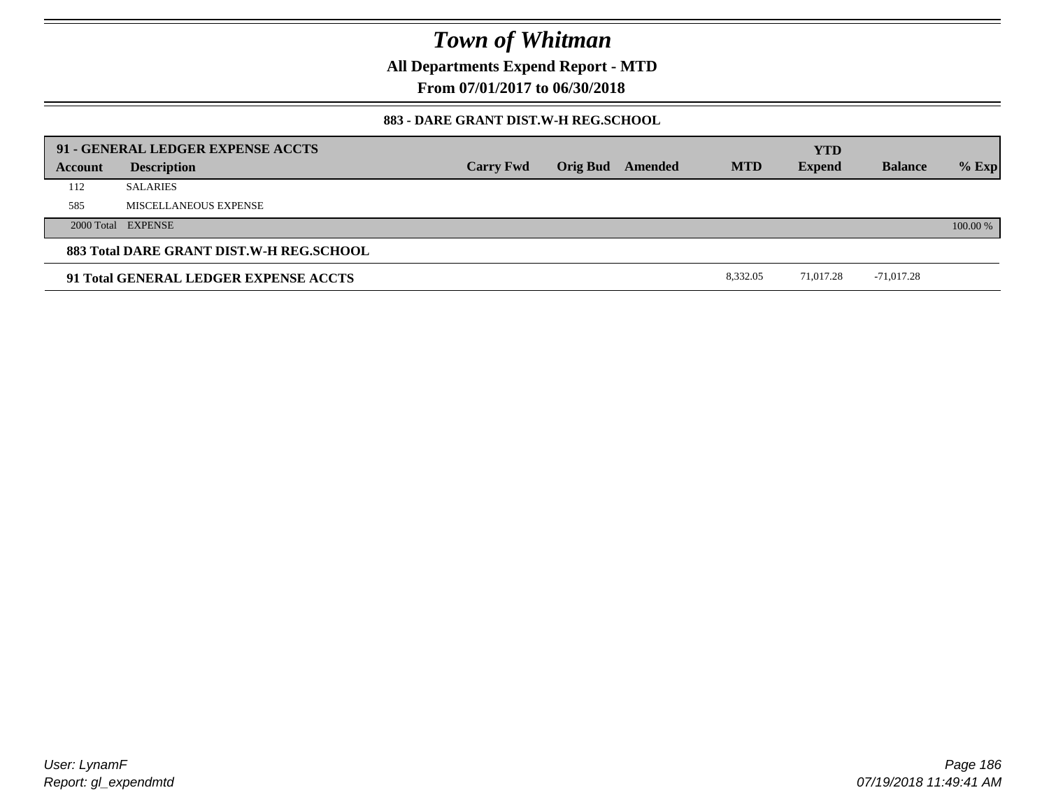**All Departments Expend Report - MTD**

**From 07/01/2017 to 06/30/2018**

### **883 - DARE GRANT DIST.W-H REG.SCHOOL**

|         | 91 - GENERAL LEDGER EXPENSE ACCTS        |                  |                         |            | <b>YTD</b>    |                |          |
|---------|------------------------------------------|------------------|-------------------------|------------|---------------|----------------|----------|
| Account | <b>Description</b>                       | <b>Carry Fwd</b> | <b>Orig Bud</b> Amended | <b>MTD</b> | <b>Expend</b> | <b>Balance</b> | $%$ Exp  |
| 112     | <b>SALARIES</b>                          |                  |                         |            |               |                |          |
| 585     | MISCELLANEOUS EXPENSE                    |                  |                         |            |               |                |          |
|         | 2000 Total EXPENSE                       |                  |                         |            |               |                | 100.00 % |
|         | 883 Total DARE GRANT DIST.W-H REG.SCHOOL |                  |                         |            |               |                |          |
|         | 91 Total GENERAL LEDGER EXPENSE ACCTS    |                  |                         | 8.332.05   | 71.017.28     | -71,017.28     |          |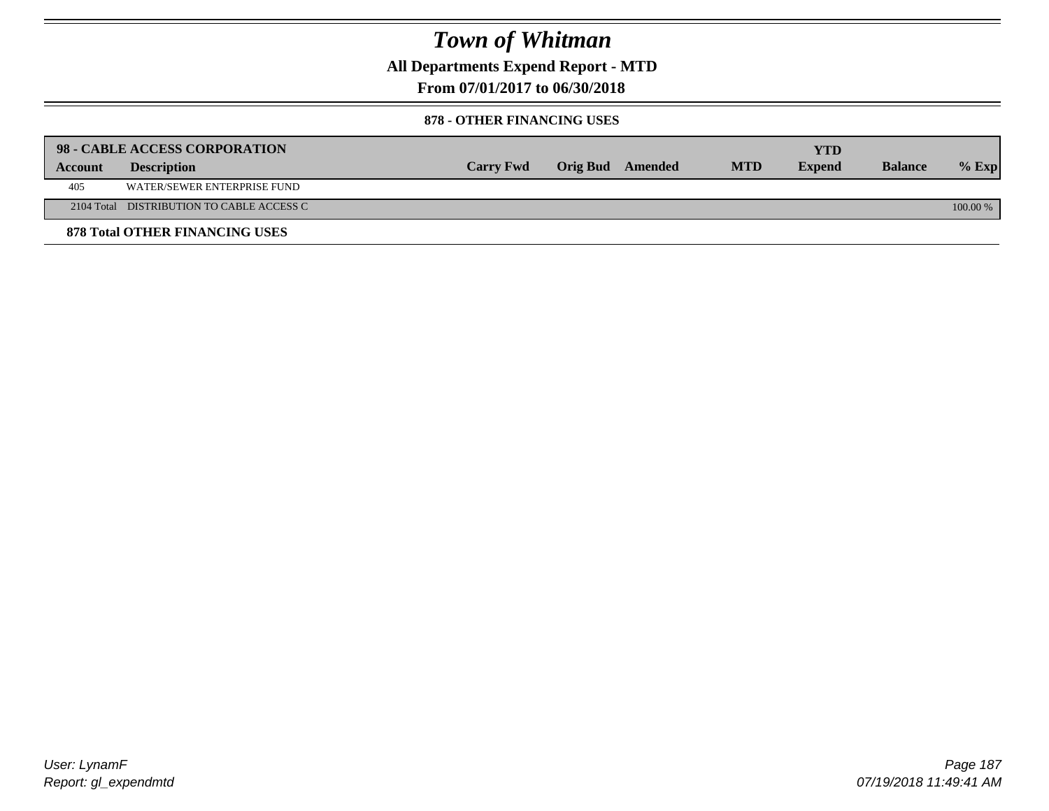**All Departments Expend Report - MTD**

**From 07/01/2017 to 06/30/2018**

### **878 - OTHER FINANCING USES**

|         | 98 - CABLE ACCESS CORPORATION             |                  |                  |            | <b>YTD</b>    |                |            |
|---------|-------------------------------------------|------------------|------------------|------------|---------------|----------------|------------|
| Account | <b>Description</b>                        | <b>Carry Fwd</b> | Orig Bud Amended | <b>MTD</b> | <b>Expend</b> | <b>Balance</b> | $%$ Exp    |
| 405     | WATER/SEWER ENTERPRISE FUND               |                  |                  |            |               |                |            |
|         | 2104 Total DISTRIBUTION TO CABLE ACCESS C |                  |                  |            |               |                | $100.00\%$ |
|         | <b>878 Total OTHER FINANCING USES</b>     |                  |                  |            |               |                |            |